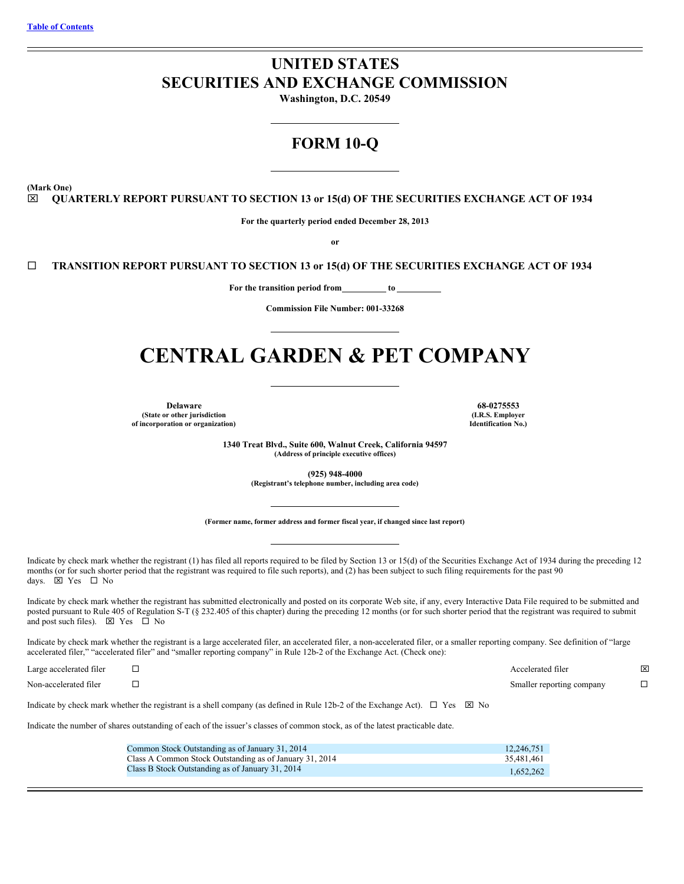# **UNITED STATES SECURITIES AND EXCHANGE COMMISSION**

**Washington, D.C. 20549**

# **FORM 10-Q**

**(Mark One)**

x **QUARTERLY REPORT PURSUANT TO SECTION 13 or 15(d) OF THE SECURITIES EXCHANGE ACT OF 1934**

**For the quarterly period ended December 28, 2013**

**or**

¨ **TRANSITION REPORT PURSUANT TO SECTION 13 or 15(d) OF THE SECURITIES EXCHANGE ACT OF 1934**

**For the transition period from to**

**Commission File Number: 001-33268**

# **CENTRAL GARDEN & PET COMPANY**

**Delaware 68-0275553 (State or other jurisdiction of incorporation or organization)**

**(I.R.S. Employer Identification No.)**

**1340 Treat Blvd., Suite 600, Walnut Creek, California 94597 (Address of principle executive offices)**

> **(925) 948-4000 (Registrant's telephone number, including area code)**

**(Former name, former address and former fiscal year, if changed since last report)**

Indicate by check mark whether the registrant (1) has filed all reports required to be filed by Section 13 or 15(d) of the Securities Exchange Act of 1934 during the preceding 12 months (or for such shorter period that the registrant was required to file such reports), and (2) has been subject to such filing requirements for the past 90 days.  $\boxtimes$  Yes  $\Box$  No

Indicate by check mark whether the registrant has submitted electronically and posted on its corporate Web site, if any, every Interactive Data File required to be submitted and posted pursuant to Rule 405 of Regulation S-T (§ 232.405 of this chapter) during the preceding 12 months (or for such shorter period that the registrant was required to submit and post such files).  $\boxtimes$  Yes  $\Box$  No

Indicate by check mark whether the registrant is a large accelerated filer, an accelerated filer, a non-accelerated filer, or a smaller reporting company. See definition of "large accelerated filer," "accelerated filer" and "smaller reporting company" in Rule 12b-2 of the Exchange Act. (Check one):

| Large accelerated filer | Accelerated filer         | × |
|-------------------------|---------------------------|---|
| Non-accelerated filer   | Smaller reporting company |   |

Indicate by check mark whether the registrant is a shell company (as defined in Rule 12b-2 of the Exchange Act).  $\Box$  Yes  $\boxtimes$  No

Indicate the number of shares outstanding of each of the issuer's classes of common stock, as of the latest practicable date.

| Common Stock Outstanding as of January 31, 2014         | 12.246.751 |
|---------------------------------------------------------|------------|
| Class A Common Stock Outstanding as of January 31, 2014 | 35.481.461 |
| Class B Stock Outstanding as of January 31, 2014        | 1.652.262  |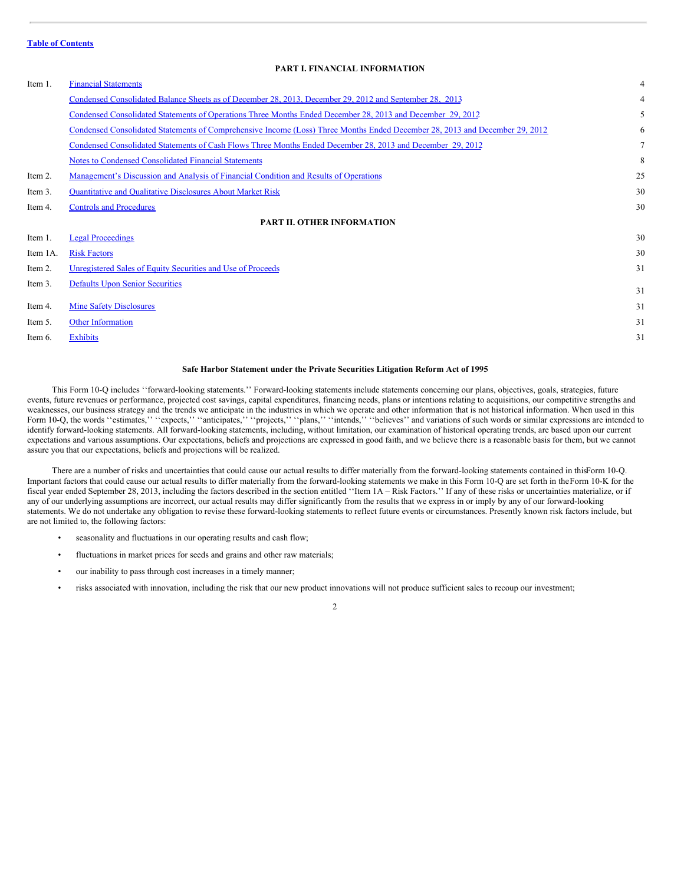# <span id="page-1-0"></span>**PART I. FINANCIAL INFORMATION**

| Item 1.  | <b>Financial Statements</b>                                                                                                 | $\overline{4}$ |
|----------|-----------------------------------------------------------------------------------------------------------------------------|----------------|
|          | Condensed Consolidated Balance Sheets as of December 28, 2013, December 29, 2012 and September 28, 2013                     | $\overline{4}$ |
|          | Condensed Consolidated Statements of Operations Three Months Ended December 28, 2013 and December 29, 2012                  | 5              |
|          | Condensed Consolidated Statements of Comprehensive Income (Loss) Three Months Ended December 28, 2013 and December 29, 2012 | 6              |
|          | Condensed Consolidated Statements of Cash Flows Three Months Ended December 28, 2013 and December 29, 2012                  | $\tau$         |
|          | <b>Notes to Condensed Consolidated Financial Statements</b>                                                                 | 8              |
| Item 2.  | Management's Discussion and Analysis of Financial Condition and Results of Operations                                       | 25             |
| Item 3.  | <b>Ouantitative and Qualitative Disclosures About Market Risk</b>                                                           | 30             |
| Item 4.  | <b>Controls and Procedures</b>                                                                                              | 30             |
|          | PART II. OTHER INFORMATION                                                                                                  |                |
| Item 1.  | <b>Legal Proceedings</b>                                                                                                    | 30             |
| Item 1A. | <b>Risk Factors</b>                                                                                                         | 30             |
| Item 2.  | Unregistered Sales of Equity Securities and Use of Proceeds                                                                 | 31             |
| Item 3.  | <b>Defaults Upon Senior Securities</b>                                                                                      | 31             |
| Item 4.  | <b>Mine Safety Disclosures</b>                                                                                              | 31             |
| Item 5.  | Other Information                                                                                                           | 31             |
| Item 6.  | Exhibits                                                                                                                    | 31             |
|          |                                                                                                                             |                |

#### **Safe Harbor Statement under the Private Securities Litigation Reform Act of 1995**

This Form 10-Q includes ''forward-looking statements.'' Forward-looking statements include statements concerning our plans, objectives, goals, strategies, future events, future revenues or performance, projected cost savings, capital expenditures, financing needs, plans or intentions relating to acquisitions, our competitive strengths and weaknesses, our business strategy and the trends we anticipate in the industries in which we operate and other information that is not historical information. When used in this Form 10-Q, the words "estimates," "expects," "anticipates," "projects," "plans," "intends," "believes" and variations of such words or similar expressions are intended to identify forward-looking statements. All forward-looking statements, including, without limitation, our examination of historical operating trends, are based upon our current expectations and various assumptions. Our expectations, beliefs and projections are expressed in good faith, and we believe there is a reasonable basis for them, but we cannot assure you that our expectations, beliefs and projections will be realized.

There are a number of risks and uncertainties that could cause our actual results to differ materially from the forward-looking statements contained in thisForm 10-Q. Important factors that could cause our actual results to differ materially from the forward-looking statements we make in this Form 10-Q are set forth in theForm 10-K for the fiscal year ended September 28, 2013, including the factors described in the section entitled ''Item 1A – Risk Factors.'' If any of these risks or uncertainties materialize, or if any of our underlying assumptions are incorrect, our actual results may differ significantly from the results that we express in or imply by any of our forward-looking statements. We do not undertake any obligation to revise these forward-looking statements to reflect future events or circumstances. Presently known risk factors include, but are not limited to, the following factors:

- seasonality and fluctuations in our operating results and cash flow;
- fluctuations in market prices for seeds and grains and other raw materials;
- our inability to pass through cost increases in a timely manner;
- risks associated with innovation, including the risk that our new product innovations will not produce sufficient sales to recoup our investment;

 $\overline{\phantom{a}}$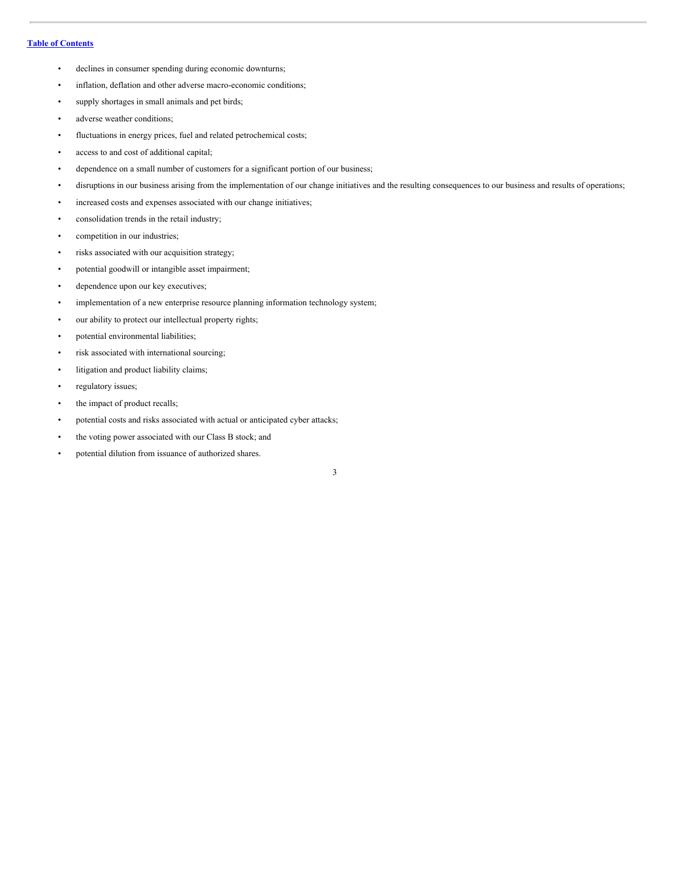- declines in consumer spending during economic downturns;
- inflation, deflation and other adverse macro-economic conditions;
- supply shortages in small animals and pet birds;
- adverse weather conditions;
- fluctuations in energy prices, fuel and related petrochemical costs;
- access to and cost of additional capital;
- dependence on a small number of customers for a significant portion of our business;
- disruptions in our business arising from the implementation of our change initiatives and the resulting consequences to our business and results of operations;
- increased costs and expenses associated with our change initiatives;
- consolidation trends in the retail industry;
- competition in our industries;
- risks associated with our acquisition strategy;
- potential goodwill or intangible asset impairment;
- dependence upon our key executives;
- implementation of a new enterprise resource planning information technology system;
- our ability to protect our intellectual property rights;
- potential environmental liabilities;
- risk associated with international sourcing;
- litigation and product liability claims;
- regulatory issues;
- the impact of product recalls;
- potential costs and risks associated with actual or anticipated cyber attacks;
- the voting power associated with our Class B stock; and
- potential dilution from issuance of authorized shares.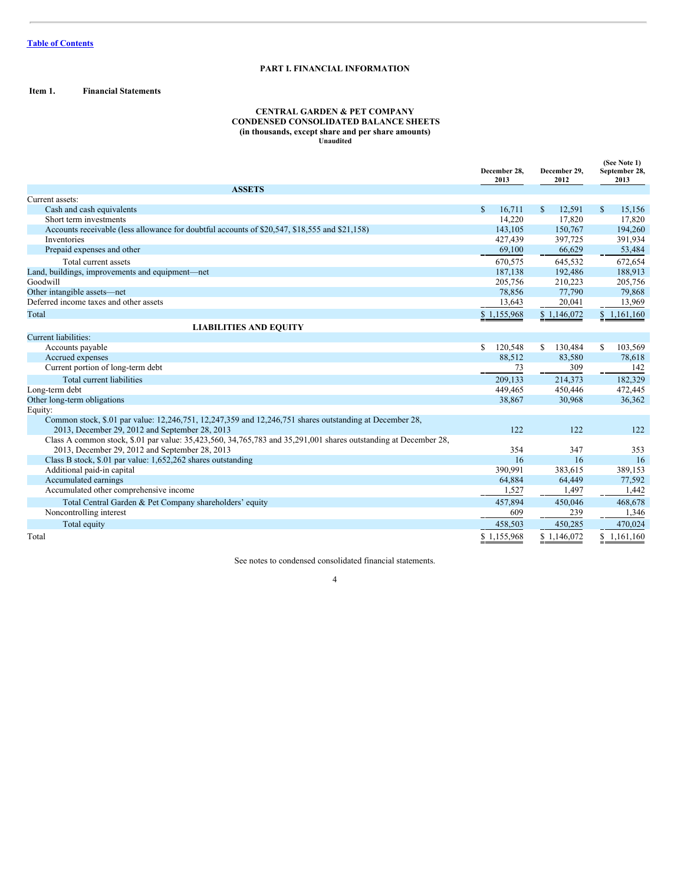# **PART I. FINANCIAL INFORMATION**

# <span id="page-3-0"></span>**Item 1. Financial Statements**

## <span id="page-3-1"></span>**CENTRAL GARDEN & PET COMPANY CONDENSED CONSOLIDATED BALANCE SHEETS (in thousands, except share and per share amounts) Unaudited**

|                                                                                                                                                                   | December 28.<br>2013   | December 29.<br>2012    | (See Note 1)<br>September 28,<br>2013 |
|-------------------------------------------------------------------------------------------------------------------------------------------------------------------|------------------------|-------------------------|---------------------------------------|
| <b>ASSETS</b>                                                                                                                                                     |                        |                         |                                       |
| Current assets:                                                                                                                                                   |                        |                         |                                       |
| Cash and cash equivalents                                                                                                                                         | $\mathbf{s}$<br>16,711 | 12,591<br><sup>\$</sup> | $\mathbb{S}$<br>15,156                |
| Short term investments                                                                                                                                            | 14.220                 | 17.820                  | 17,820                                |
| Accounts receivable (less allowance for doubtful accounts of \$20,547, \$18,555 and \$21,158)                                                                     | 143,105                | 150,767                 | 194,260                               |
| Inventories                                                                                                                                                       | 427,439                | 397,725                 | 391,934                               |
| Prepaid expenses and other                                                                                                                                        | 69,100                 | 66,629                  | 53,484                                |
| Total current assets                                                                                                                                              | 670,575                | 645,532                 | 672,654                               |
| Land, buildings, improvements and equipment—net                                                                                                                   | 187,138                | 192,486                 | 188,913                               |
| Goodwill                                                                                                                                                          | 205,756                | 210,223                 | 205,756                               |
| Other intangible assets-net                                                                                                                                       | 78,856                 | 77,790                  | 79,868                                |
| Deferred income taxes and other assets                                                                                                                            | 13,643                 | 20,041                  | 13,969                                |
| Total                                                                                                                                                             | \$1,155,968            | \$1,146,072             | \$1,161,160                           |
| <b>LIABILITIES AND EQUITY</b>                                                                                                                                     |                        |                         |                                       |
| <b>Current liabilities:</b>                                                                                                                                       |                        |                         |                                       |
| Accounts payable                                                                                                                                                  | S.<br>120,548          | 130,484<br>S.           | \$<br>103,569                         |
| Accrued expenses                                                                                                                                                  | 88,512                 | 83,580                  | 78,618                                |
| Current portion of long-term debt                                                                                                                                 | 73                     | 309                     | 142                                   |
| Total current liabilities                                                                                                                                         | 209,133                | 214,373                 | 182,329                               |
| Long-term debt                                                                                                                                                    | 449,465                | 450,446                 | 472,445                               |
| Other long-term obligations                                                                                                                                       | 38,867                 | 30,968                  | 36,362                                |
| Equity:                                                                                                                                                           |                        |                         |                                       |
| Common stock, \$.01 par value: 12,246,751, 12,247,359 and 12,246,751 shares outstanding at December 28,                                                           |                        |                         |                                       |
| 2013, December 29, 2012 and September 28, 2013                                                                                                                    | 122                    | 122                     | 122                                   |
| Class A common stock, \$.01 par value: 35,423,560, 34,765,783 and 35,291,001 shares outstanding at December 28,<br>2013, December 29, 2012 and September 28, 2013 | 354                    | 347                     | 353                                   |
| Class B stock, \$.01 par value: 1,652,262 shares outstanding                                                                                                      | 16                     | 16                      | 16                                    |
| Additional paid-in capital                                                                                                                                        | 390.991                | 383,615                 | 389,153                               |
| Accumulated earnings                                                                                                                                              | 64,884                 | 64,449                  | 77,592                                |
| Accumulated other comprehensive income                                                                                                                            | 1,527                  | 1,497                   | 1,442                                 |
|                                                                                                                                                                   |                        |                         |                                       |
| Total Central Garden & Pet Company shareholders' equity<br>Noncontrolling interest                                                                                | 457,894<br>609         | 450,046<br>239          | 468,678<br>1,346                      |
|                                                                                                                                                                   |                        |                         |                                       |
| Total equity                                                                                                                                                      | 458,503                | 450,285                 | 470,024                               |
| Total                                                                                                                                                             | \$1.155.968            | \$1.146.072             | \$1,161,160                           |

See notes to condensed consolidated financial statements.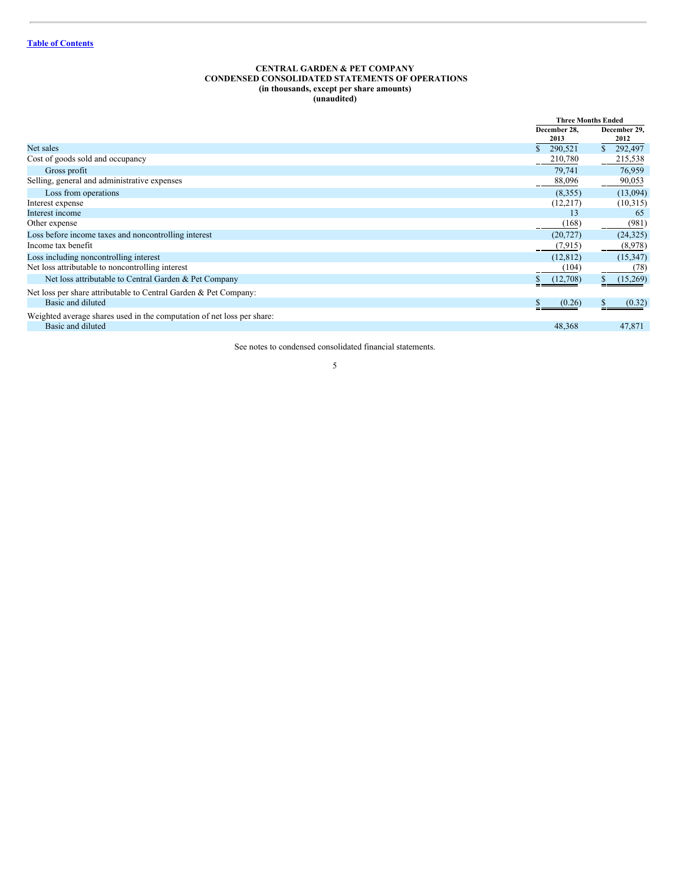#### <span id="page-4-0"></span>**CENTRAL GARDEN & PET COMPANY CONDENSED CONSOLIDATED STATEMENTS OF OPERATIONS (in thousands, except per share amounts) (unaudited)**

|                                                                        |                      | <b>Three Months Ended</b> |
|------------------------------------------------------------------------|----------------------|---------------------------|
|                                                                        | December 28.<br>2013 | December 29,<br>2012      |
| Net sales                                                              | S.<br>290,521        | 292,497<br>S.             |
| Cost of goods sold and occupancy                                       | 210,780              | 215,538                   |
| Gross profit                                                           | 79,741               | 76,959                    |
| Selling, general and administrative expenses                           | 88,096               | 90,053                    |
| Loss from operations                                                   | (8.355)              | (13,094)                  |
| Interest expense                                                       | (12,217)             | (10,315)                  |
| Interest income                                                        | 13                   | 65                        |
| Other expense                                                          | (168)                | (981)                     |
| Loss before income taxes and noncontrolling interest                   | (20, 727)            | (24, 325)                 |
| Income tax benefit                                                     | (7, 915)             | (8,978)                   |
| Loss including noncontrolling interest                                 | (12, 812)            | (15,347)                  |
| Net loss attributable to noncontrolling interest                       | (104)                | (78)                      |
| Net loss attributable to Central Garden & Pet Company                  | (12,708)             | (15,269)                  |
| Net loss per share attributable to Central Garden & Pet Company:       |                      |                           |
| Basic and diluted                                                      | (0.26)               | (0.32)                    |
| Weighted average shares used in the computation of net loss per share: |                      |                           |
| Basic and diluted                                                      | 48,368               | 47,871                    |

See notes to condensed consolidated financial statements.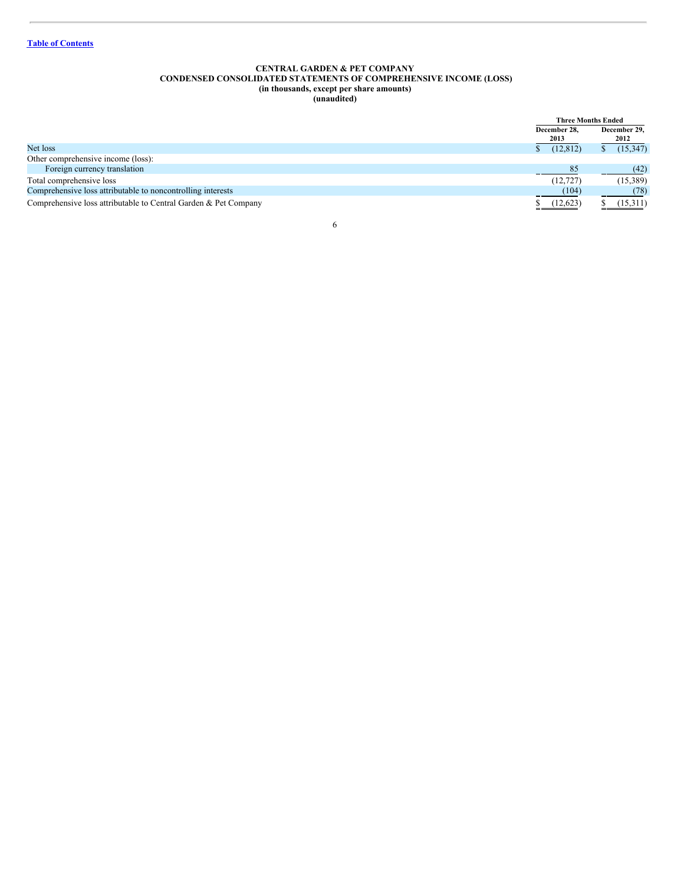#### <span id="page-5-0"></span>**CENTRAL GARDEN & PET COMPANY CONDENSED CONSOLIDATED STATEMENTS OF COMPREHENSIVE INCOME (LOSS) (in thousands, except per share amounts) (unaudited)**

|                                                                 |                      | <b>Three Months Ended</b> |
|-----------------------------------------------------------------|----------------------|---------------------------|
|                                                                 | December 28,<br>2013 | December 29,<br>2012      |
| Net loss                                                        | $\frac{12,812}{2}$   | (15, 347)                 |
| Other comprehensive income (loss):                              |                      |                           |
| Foreign currency translation                                    | 85                   | (42)                      |
| Total comprehensive loss                                        | (12, 727)            | (15,389)                  |
| Comprehensive loss attributable to noncontrolling interests     | (104)                | (78)                      |
| Comprehensive loss attributable to Central Garden & Pet Company | (12,623)             | (15,311)                  |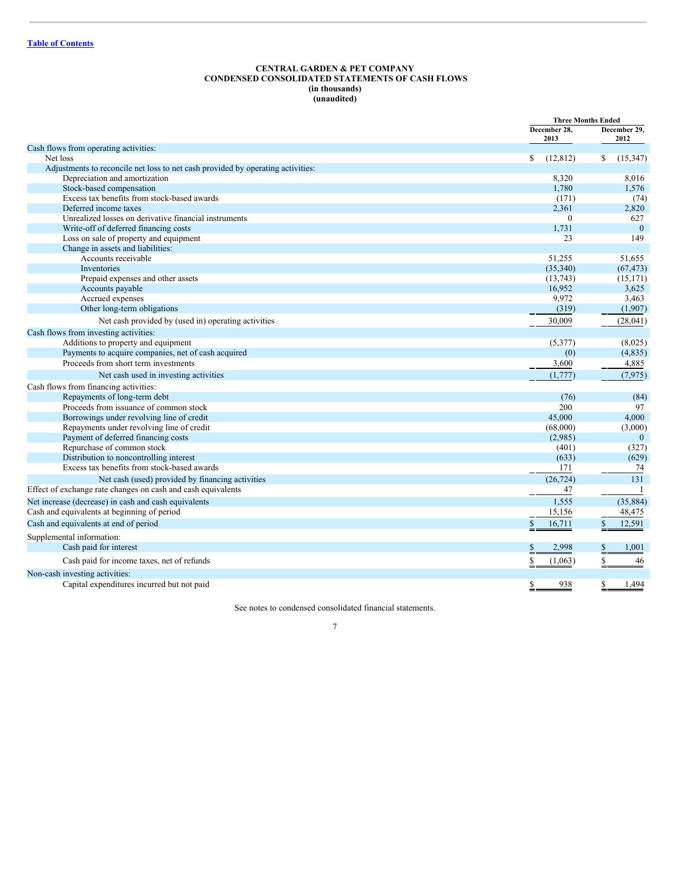#### <span id="page-6-0"></span>**CENTRAL GARDEN & PET COMPANY CONDENSED CONSOLIDATED STATEMENTS OF CASH FLOWS (in thousands) (unaudited)**

|                                                                                 |                | <b>Three Months Ended</b> |
|---------------------------------------------------------------------------------|----------------|---------------------------|
|                                                                                 | December 28,   | December 29,              |
| Cash flows from operating activities:                                           | 2013           | 2012                      |
| Net loss                                                                        | S<br>(12, 812) | \$<br>(15, 347)           |
| Adjustments to reconcile net loss to net cash provided by operating activities: |                |                           |
| Depreciation and amortization                                                   | 8,320          | 8,016                     |
| Stock-based compensation                                                        | 1,780          | 1,576                     |
| Excess tax benefits from stock-based awards                                     | (171)          | (74)                      |
| Deferred income taxes                                                           | 2,361          | 2,820                     |
| Unrealized losses on derivative financial instruments                           | $\Omega$       | 627                       |
| Write-off of deferred financing costs                                           | 1,731          | $\mathbf{0}$              |
| Loss on sale of property and equipment                                          | 23             | 149                       |
| Change in assets and liabilities:                                               |                |                           |
| Accounts receivable                                                             | 51,255         | 51,655                    |
| Inventories                                                                     | (35,340)       | (67, 473)                 |
| Prepaid expenses and other assets                                               | (13, 743)      | (15, 171)                 |
| Accounts payable                                                                | 16,952         | 3,625                     |
| Accrued expenses                                                                | 9,972          | 3,463                     |
| Other long-term obligations                                                     | (319)          | (1,907)                   |
| Net cash provided by (used in) operating activities                             | 30,009         | (28, 041)                 |
| Cash flows from investing activities:                                           |                |                           |
| Additions to property and equipment                                             | (5,377)        | (8,025)                   |
| Payments to acquire companies, net of cash acquired                             | (0)            | (4,835)                   |
| Proceeds from short term investments                                            | 3,600          | 4,885                     |
| Net cash used in investing activities                                           | (1,777)        | (7, 975)                  |
| Cash flows from financing activities:                                           |                |                           |
| Repayments of long-term debt                                                    | (76)           | (84)                      |
| Proceeds from issuance of common stock                                          | 200            | 97                        |
| Borrowings under revolving line of credit                                       | 45,000         | 4,000                     |
| Repayments under revolving line of credit                                       | (68,000)       | (3,000)                   |
| Payment of deferred financing costs                                             | (2,985)        | $\mathbf{0}$              |
| Repurchase of common stock                                                      | (401)          | (327)                     |
| Distribution to noncontrolling interest                                         | (633)          | (629)                     |
| Excess tax benefits from stock-based awards                                     | 171            | 74                        |
| Net cash (used) provided by financing activities                                | (26, 724)      | 131                       |
| Effect of exchange rate changes on cash and cash equivalents                    | 47             | -1                        |
| Net increase (decrease) in cash and cash equivalents                            | 1,555          | (35,884)                  |
| Cash and equivalents at beginning of period                                     | 15,156         | 48,475                    |
| Cash and equivalents at end of period                                           | \$<br>16,711   | S<br>12,591               |
|                                                                                 |                |                           |
| Supplemental information:                                                       |                |                           |
| Cash paid for interest                                                          | \$<br>2,998    | \$<br>1,001               |
| Cash paid for income taxes, net of refunds                                      | \$<br>(1,063)  | 46                        |
| Non-cash investing activities:                                                  |                |                           |
| Capital expenditures incurred but not paid                                      | S<br>938       | 1,494                     |

See notes to condensed consolidated financial statements.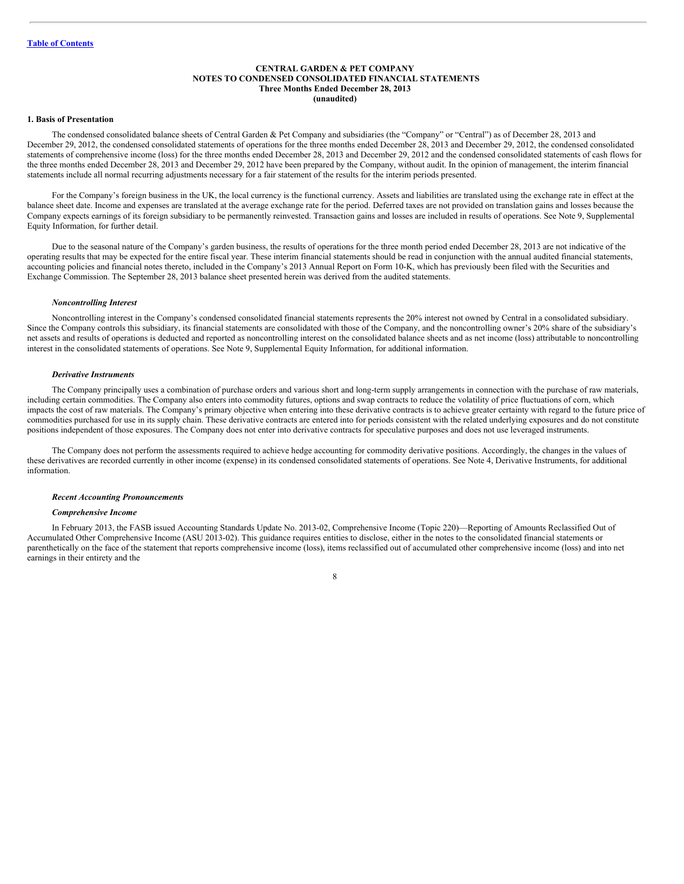#### <span id="page-7-0"></span>**CENTRAL GARDEN & PET COMPANY NOTES TO CONDENSED CONSOLIDATED FINANCIAL STATEMENTS Three Months Ended December 28, 2013 (unaudited)**

#### **1. Basis of Presentation**

The condensed consolidated balance sheets of Central Garden & Pet Company and subsidiaries (the "Company" or "Central") as of December 28, 2013 and December 29, 2012, the condensed consolidated statements of operations for the three months ended December 28, 2013 and December 29, 2012, the condensed consolidated statements of comprehensive income (loss) for the three months ended December 28, 2013 and December 29, 2012 and the condensed consolidated statements of cash flows for the three months ended December 28, 2013 and December 29, 2012 have been prepared by the Company, without audit. In the opinion of management, the interim financial statements include all normal recurring adjustments necessary for a fair statement of the results for the interim periods presented.

For the Company's foreign business in the UK, the local currency is the functional currency. Assets and liabilities are translated using the exchange rate in effect at the balance sheet date. Income and expenses are translated at the average exchange rate for the period. Deferred taxes are not provided on translation gains and losses because the Company expects earnings of its foreign subsidiary to be permanently reinvested. Transaction gains and losses are included in results of operations. See Note 9, Supplemental Equity Information, for further detail.

Due to the seasonal nature of the Company's garden business, the results of operations for the three month period ended December 28, 2013 are not indicative of the operating results that may be expected for the entire fiscal year. These interim financial statements should be read in conjunction with the annual audited financial statements, accounting policies and financial notes thereto, included in the Company's 2013 Annual Report on Form 10-K, which has previously been filed with the Securities and Exchange Commission. The September 28, 2013 balance sheet presented herein was derived from the audited statements.

#### *Noncontrolling Interest*

Noncontrolling interest in the Company's condensed consolidated financial statements represents the 20% interest not owned by Central in a consolidated subsidiary. Since the Company controls this subsidiary, its financial statements are consolidated with those of the Company, and the noncontrolling owner's 20% share of the subsidiary's net assets and results of operations is deducted and reported as noncontrolling interest on the consolidated balance sheets and as net income (loss) attributable to noncontrolling interest in the consolidated statements of operations. See Note 9, Supplemental Equity Information, for additional information.

#### *Derivative Instruments*

The Company principally uses a combination of purchase orders and various short and long-term supply arrangements in connection with the purchase of raw materials, including certain commodities. The Company also enters into commodity futures, options and swap contracts to reduce the volatility of price fluctuations of corn, which impacts the cost of raw materials. The Company's primary objective when entering into these derivative contracts is to achieve greater certainty with regard to the future price of commodities purchased for use in its supply chain. These derivative contracts are entered into for periods consistent with the related underlying exposures and do not constitute positions independent of those exposures. The Company does not enter into derivative contracts for speculative purposes and does not use leveraged instruments.

The Company does not perform the assessments required to achieve hedge accounting for commodity derivative positions. Accordingly, the changes in the values of these derivatives are recorded currently in other income (expense) in its condensed consolidated statements of operations. See Note 4, Derivative Instruments, for additional information.

#### *Recent Accounting Pronouncements*

#### *Comprehensive Income*

In February 2013, the FASB issued Accounting Standards Update No. 2013-02, Comprehensive Income (Topic 220)—Reporting of Amounts Reclassified Out of Accumulated Other Comprehensive Income (ASU 2013-02). This guidance requires entities to disclose, either in the notes to the consolidated financial statements or parenthetically on the face of the statement that reports comprehensive income (loss), items reclassified out of accumulated other comprehensive income (loss) and into net earnings in their entirety and the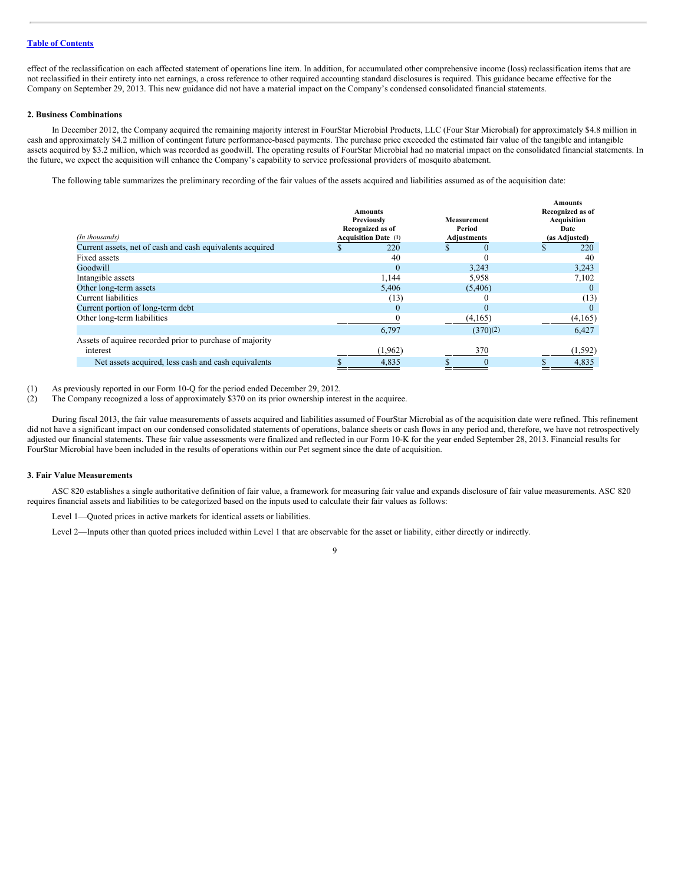effect of the reclassification on each affected statement of operations line item. In addition, for accumulated other comprehensive income (loss) reclassification items that are not reclassified in their entirety into net earnings, a cross reference to other required accounting standard disclosures is required. This guidance became effective for the Company on September 29, 2013. This new guidance did not have a material impact on the Company's condensed consolidated financial statements.

#### **2. Business Combinations**

In December 2012, the Company acquired the remaining majority interest in FourStar Microbial Products, LLC (Four Star Microbial) for approximately \$4.8 million in cash and approximately \$4.2 million of contingent future performance-based payments. The purchase price exceeded the estimated fair value of the tangible and intangible assets acquired by \$3.2 million, which was recorded as goodwill. The operating results of FourStar Microbial had no material impact on the consolidated financial statements. In the future, we expect the acquisition will enhance the Company's capability to service professional providers of mosquito abatement.

The following table summarizes the preliminary recording of the fair values of the assets acquired and liabilities assumed as of the acquisition date:

| (In thousands)                                            | Amounts<br>Previously<br>Recognized as of<br><b>Acquisition Date</b> (1) | Measurement<br>Period<br>Adjustments |              | <b>Amounts</b><br>Recognized as of<br>Acquisition<br>Date<br>(as Adjusted) |
|-----------------------------------------------------------|--------------------------------------------------------------------------|--------------------------------------|--------------|----------------------------------------------------------------------------|
| Current assets, net of cash and cash equivalents acquired | 220                                                                      |                                      | $\theta$     | 220                                                                        |
| Fixed assets                                              | 40                                                                       |                                      | $\Omega$     | 40                                                                         |
| Goodwill                                                  | $\mathbf{0}$                                                             |                                      | 3,243        | 3,243                                                                      |
| Intangible assets                                         | 1,144                                                                    |                                      | 5,958        | 7,102                                                                      |
| Other long-term assets                                    | 5,406                                                                    |                                      | (5,406)      | $\theta$                                                                   |
| Current liabilities                                       | (13)                                                                     |                                      | $\theta$     | (13)                                                                       |
| Current portion of long-term debt                         |                                                                          |                                      | $\Omega$     |                                                                            |
| Other long-term liabilities                               |                                                                          |                                      | (4,165)      | (4,165)                                                                    |
|                                                           | 6,797                                                                    |                                      | (370)(2)     | 6,427                                                                      |
| Assets of aquiree recorded prior to purchase of majority  |                                                                          |                                      |              |                                                                            |
| interest                                                  | (1,962)                                                                  |                                      | 370          | (1, 592)                                                                   |
| Net assets acquired, less cash and cash equivalents       | 4,835                                                                    |                                      | $\mathbf{0}$ | 4.835                                                                      |

(1) As previously reported in our Form 10-Q for the period ended December 29, 2012.

(2) The Company recognized a loss of approximately \$370 on its prior ownership interest in the acquiree.

During fiscal 2013, the fair value measurements of assets acquired and liabilities assumed of FourStar Microbial as of the acquisition date were refined. This refinement did not have a significant impact on our condensed consolidated statements of operations, balance sheets or cash flows in any period and, therefore, we have not retrospectively adjusted our financial statements. These fair value assessments were finalized and reflected in our Form 10-K for the year ended September 28, 2013. Financial results for FourStar Microbial have been included in the results of operations within our Pet segment since the date of acquisition.

#### **3. Fair Value Measurements**

ASC 820 establishes a single authoritative definition of fair value, a framework for measuring fair value and expands disclosure of fair value measurements. ASC 820 requires financial assets and liabilities to be categorized based on the inputs used to calculate their fair values as follows:

Level 1—Quoted prices in active markets for identical assets or liabilities.

Level 2—Inputs other than quoted prices included within Level 1 that are observable for the asset or liability, either directly or indirectly.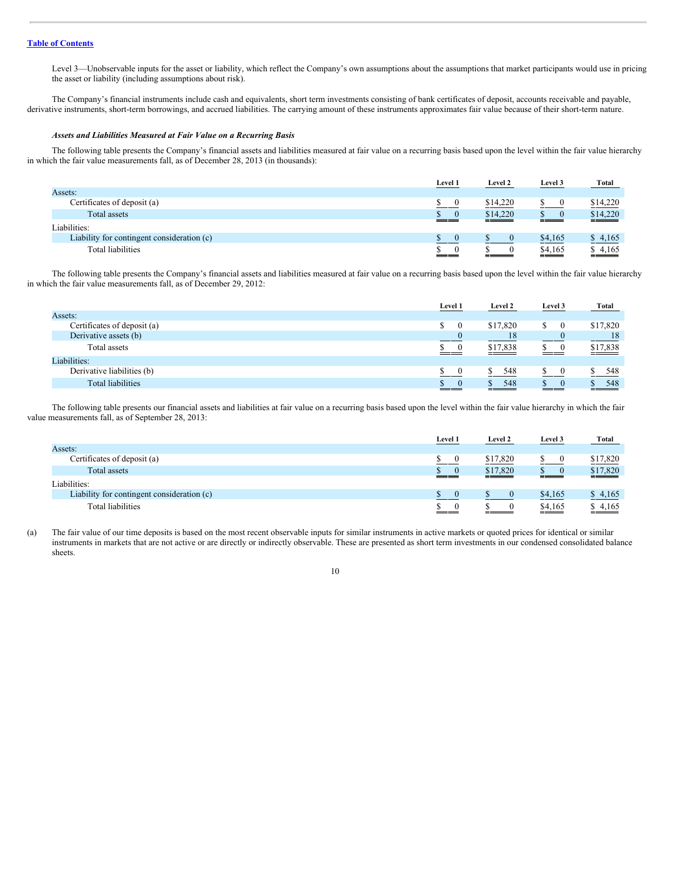Level 3—Unobservable inputs for the asset or liability, which reflect the Company's own assumptions about the assumptions that market participants would use in pricing the asset or liability (including assumptions about risk).

The Company's financial instruments include cash and equivalents, short term investments consisting of bank certificates of deposit, accounts receivable and payable, derivative instruments, short-term borrowings, and accrued liabilities. The carrying amount of these instruments approximates fair value because of their short-term nature.

# *Assets and Liabilities Measured at Fair Value on a Recurring Basis*

The following table presents the Company's financial assets and liabilities measured at fair value on a recurring basis based upon the level within the fair value hierarchy in which the fair value measurements fall, as of December 28, 2013 (in thousands):

|                                            | Level 1 | Level 2  | Level 3 | <b>Total</b> |
|--------------------------------------------|---------|----------|---------|--------------|
| Assets:                                    |         |          |         |              |
| Certificates of deposit (a)                |         | \$14,220 |         | \$14,220     |
| Total assets                               |         | \$14,220 | \$      | \$14,220     |
| Liabilities:                               |         |          |         |              |
| Liability for contingent consideration (c) |         |          | \$4,165 | \$4,165      |
| Total liabilities                          | __      | ======   | \$4,165 | \$4,165      |

The following table presents the Company's financial assets and liabilities measured at fair value on a recurring basis based upon the level within the fair value hierarchy in which the fair value measurements fall, as of December 29, 2012:

|          | Level 2                        |  | <b>Total</b> |
|----------|--------------------------------|--|--------------|
|          |                                |  |              |
|          | \$17,820                       |  | \$17,820     |
|          | 18                             |  | 18           |
|          | \$17,838                       |  | \$17,838     |
|          |                                |  |              |
|          | 548                            |  | 548          |
| $\Omega$ | 548                            |  | 548          |
|          | Level 1<br>$\frac{S}{1}$<br>__ |  | Level 3      |

The following table presents our financial assets and liabilities at fair value on a recurring basis based upon the level within the fair value hierarchy in which the fair value measurements fall, as of September 28, 2013:

|                                            | Level 1  | Level 2    | Level 3            | <b>Total</b>          |
|--------------------------------------------|----------|------------|--------------------|-----------------------|
| Assets:                                    |          |            |                    |                       |
| Certificates of deposit (a)                |          | \$17,820   |                    | \$17,820              |
| Total assets                               | $\theta$ | \$17,820   | S.                 | \$17,820              |
| Liabilities:                               |          |            |                    |                       |
| Liability for contingent consideration (c) |          |            | \$4,165            | \$4,165               |
| Total liabilities                          |          | 0<br>_____ | $\frac{$4,165}{4}$ | $\underline{\$4,165}$ |

(a) The fair value of our time deposits is based on the most recent observable inputs for similar instruments in active markets or quoted prices for identical or similar instruments in markets that are not active or are directly or indirectly observable. These are presented as short term investments in our condensed consolidated balance sheets.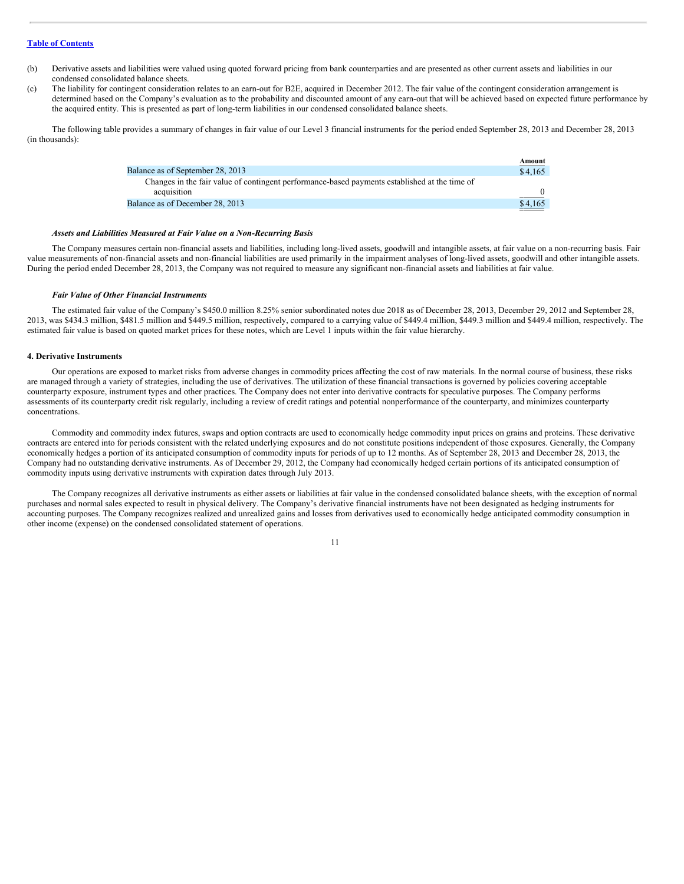- (b) Derivative assets and liabilities were valued using quoted forward pricing from bank counterparties and are presented as other current assets and liabilities in our condensed consolidated balance sheets.
- (c) The liability for contingent consideration relates to an earn-out for B2E, acquired in December 2012. The fair value of the contingent consideration arrangement is determined based on the Company's evaluation as to the probability and discounted amount of any earn-out that will be achieved based on expected future performance by the acquired entity. This is presented as part of long-term liabilities in our condensed consolidated balance sheets.

The following table provides a summary of changes in fair value of our Level 3 financial instruments for the period ended September 28, 2013 and December 28, 2013 (in thousands):

|                                                                                               | Amount  |
|-----------------------------------------------------------------------------------------------|---------|
| Balance as of September 28, 2013                                                              | \$4,165 |
| Changes in the fair value of contingent performance-based payments established at the time of |         |
| acquisition                                                                                   |         |
| Balance as of December 28, 2013                                                               | \$4,165 |
|                                                                                               |         |

#### *Assets and Liabilities Measured at Fair Value on a Non-Recurring Basis*

The Company measures certain non-financial assets and liabilities, including long-lived assets, goodwill and intangible assets, at fair value on a non-recurring basis. Fair value measurements of non-financial assets and non-financial liabilities are used primarily in the impairment analyses of long-lived assets, goodwill and other intangible assets. During the period ended December 28, 2013, the Company was not required to measure any significant non-financial assets and liabilities at fair value.

#### *Fair Value of Other Financial Instruments*

The estimated fair value of the Company's \$450.0 million 8.25% senior subordinated notes due 2018 as of December 28, 2013, December 29, 2012 and September 28, 2013, was \$434.3 million, \$481.5 million and \$449.5 million, respectively, compared to a carrying value of \$449.4 million, \$449.3 million and \$449.4 million, respectively. The estimated fair value is based on quoted market prices for these notes, which are Level 1 inputs within the fair value hierarchy.

#### **4. Derivative Instruments**

Our operations are exposed to market risks from adverse changes in commodity prices affecting the cost of raw materials. In the normal course of business, these risks are managed through a variety of strategies, including the use of derivatives. The utilization of these financial transactions is governed by policies covering acceptable counterparty exposure, instrument types and other practices. The Company does not enter into derivative contracts for speculative purposes. The Company performs assessments of its counterparty credit risk regularly, including a review of credit ratings and potential nonperformance of the counterparty, and minimizes counterparty concentrations.

Commodity and commodity index futures, swaps and option contracts are used to economically hedge commodity input prices on grains and proteins. These derivative contracts are entered into for periods consistent with the related underlying exposures and do not constitute positions independent of those exposures. Generally, the Company economically hedges a portion of its anticipated consumption of commodity inputs for periods of up to 12 months. As of September 28, 2013 and December 28, 2013, the Company had no outstanding derivative instruments. As of December 29, 2012, the Company had economically hedged certain portions of its anticipated consumption of commodity inputs using derivative instruments with expiration dates through July 2013.

The Company recognizes all derivative instruments as either assets or liabilities at fair value in the condensed consolidated balance sheets, with the exception of normal purchases and normal sales expected to result in physical delivery. The Company's derivative financial instruments have not been designated as hedging instruments for accounting purposes. The Company recognizes realized and unrealized gains and losses from derivatives used to economically hedge anticipated commodity consumption in other income (expense) on the condensed consolidated statement of operations.

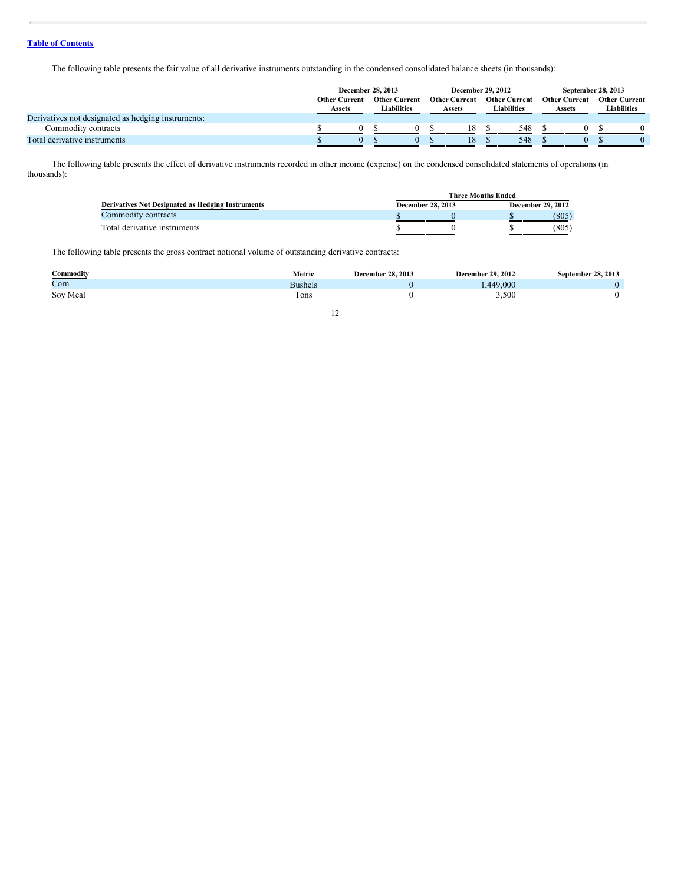The following table presents the fair value of all derivative instruments outstanding in the condensed consolidated balance sheets (in thousands):

|                                                    |                                              | <b>December 28, 2013</b> |                      | <b>December 29, 2012</b> | September 28, 2013   |                      |  |
|----------------------------------------------------|----------------------------------------------|--------------------------|----------------------|--------------------------|----------------------|----------------------|--|
|                                                    | <b>Other Current</b><br><b>Other Current</b> |                          | <b>Other Current</b> | <b>Other Current</b>     | <b>Other Current</b> | <b>Other Current</b> |  |
|                                                    | <b>Assets</b>                                | Liabilities              | Assets               | Liabilities              | <b>Assets</b>        | Liabilities          |  |
| Derivatives not designated as hedging instruments: |                                              |                          |                      |                          |                      |                      |  |
| Commodity contracts                                |                                              |                          |                      | 548                      |                      |                      |  |
| Total derivative instruments                       | 0                                            |                          |                      | 548                      |                      |                      |  |

The following table presents the effect of derivative instruments recorded in other income (expense) on the condensed consolidated statements of operations (in thousands):

|                                                   | <b>Three Months Ended</b> |                          |  |  |  |  |  |
|---------------------------------------------------|---------------------------|--------------------------|--|--|--|--|--|
| Derivatives Not Designated as Hedging Instruments | December 28, 2013         | <b>December 29, 2012</b> |  |  |  |  |  |
| Commodity contracts                               |                           | (805)                    |  |  |  |  |  |
| Total derivative instruments                      |                           | (805)                    |  |  |  |  |  |

The following table presents the gross contract notional volume of outstanding derivative contracts:

| Commodity | Metric         | December 28, 2013 | December 29, 2012 | September 28, 2013 |
|-----------|----------------|-------------------|-------------------|--------------------|
| Corn      | <b>Bushels</b> |                   | .449.000          |                    |
| Soy Meal  | Tons           |                   | 3.500             |                    |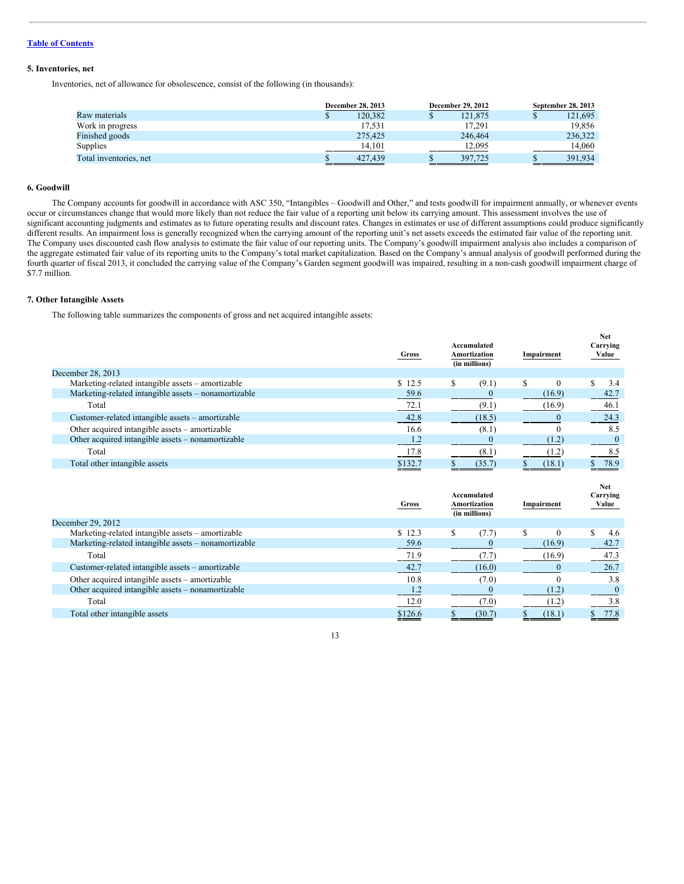#### **5. Inventories, net**

Inventories, net of allowance for obsolescence, consist of the following (in thousands):

|                        | December 28, 2013 | <b>December 29, 2012</b> | September 28, 2013 |
|------------------------|-------------------|--------------------------|--------------------|
| Raw materials          | 120.382           | 121,875                  | 121.695<br>D       |
| Work in progress       | 17.531            | 17.291                   | 19.856             |
| Finished goods         | 275.425           | 246.464                  | 236,322            |
| Supplies               | 14.101            | 12.095                   | 14.060             |
| Total inventories, net | 427,439           | 397,725                  | 391.934            |

#### **6. Goodwill**

The Company accounts for goodwill in accordance with ASC 350, "Intangibles – Goodwill and Other," and tests goodwill for impairment annually, or whenever events occur or circumstances change that would more likely than not reduce the fair value of a reporting unit below its carrying amount. This assessment involves the use of significant accounting judgments and estimates as to future operating results and discount rates. Changes in estimates or use of different assumptions could produce significantly different results. An impairment loss is generally recognized when the carrying amount of the reporting unit's net assets exceeds the estimated fair value of the reporting unit. The Company uses discounted cash flow analysis to estimate the fair value of our reporting units. The Company's goodwill impairment analysis also includes a comparison of the aggregate estimated fair value of its reporting units to the Company's total market capitalization. Based on the Company's annual analysis of goodwill performed during the fourth quarter of fiscal 2013, it concluded the carrying value of the Company's Garden segment goodwill was impaired, resulting in a non-cash goodwill impairment charge of \$7.7 million.

# **7. Other Intangible Assets**

The following table summarizes the components of gross and net acquired intangible assets:

|                                                      | <b>Gross</b> | Accumulated<br><b>Amortization</b><br>(in millions) | Impairment | Carrying<br>Value |
|------------------------------------------------------|--------------|-----------------------------------------------------|------------|-------------------|
| December 28, 2013                                    |              |                                                     |            |                   |
| Marketing-related intangible assets – amortizable    | \$12.5       | (9.1)                                               |            | 3.4               |
| Marketing-related intangible assets – nonamortizable | 59.6         |                                                     | (16.9)     | 42.7              |
| Total                                                | 72.1         | (9.1)                                               | (16.9)     | 46.1              |
| Customer-related intangible assets - amortizable     | 42.8         | (18.5)                                              |            | 24.3              |
| Other acquired intangible assets – amortizable       | 16.6         | (8.1)                                               | O          | 8.5               |
| Other acquired intangible assets – nonamortizable    | 1.2          |                                                     | (1.2)      |                   |
| Total                                                | 17.8         | (8.1)                                               | (1.2)      | 8.5               |
| Total other intangible assets                        | \$132.7      | (35.7)                                              | (18.1)     | 78.9              |

**Net**

**Net**

| December 29, 2012<br>Marketing-related intangible assets - amortizable<br>\$12.3<br>7.7<br>.Ъ<br>Marketing-related intangible assets - nonamortizable<br>59.6<br>(16.9)<br>Total | Value |
|----------------------------------------------------------------------------------------------------------------------------------------------------------------------------------|-------|
|                                                                                                                                                                                  |       |
|                                                                                                                                                                                  | 4.6   |
|                                                                                                                                                                                  | 42.7  |
| 71.9<br>(16.9)<br>$\frac{1}{2}$                                                                                                                                                  | 47.3  |
| 42.7<br>(16.0)<br>Customer-related intangible assets – amortizable                                                                                                               | 26.7  |
| Other acquired intangible assets – amortizable<br>10.8<br>(7.0)                                                                                                                  | 3.8   |
| Other acquired intangible assets – nonamortizable<br>(1.2)                                                                                                                       |       |
| Total<br>12.0<br>(1.2)<br>(7.0)                                                                                                                                                  | 3.8   |
| \$126.6<br>Total other intangible assets<br>(30.7)<br>(18.1)                                                                                                                     | 77.8  |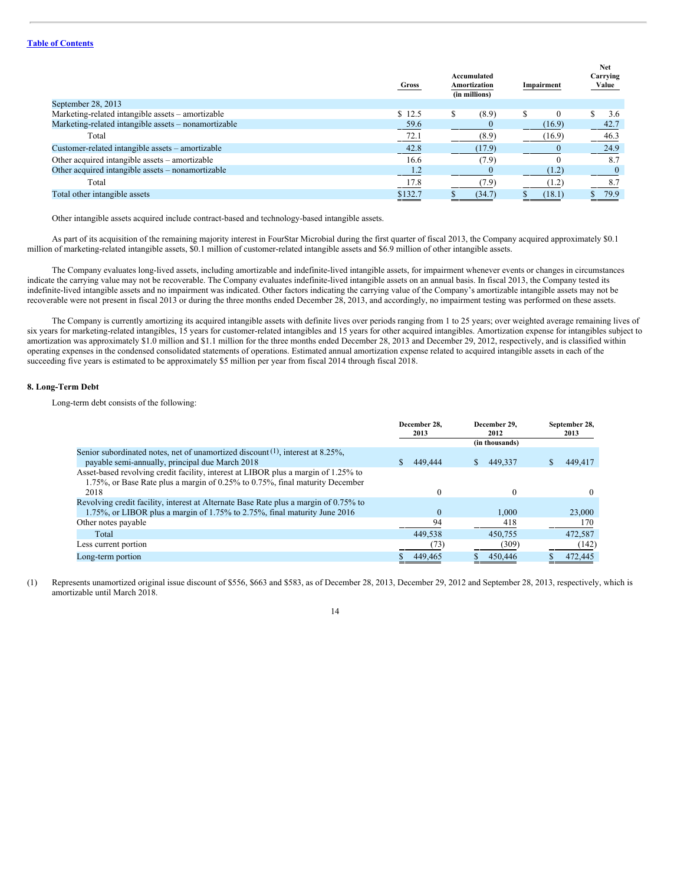|                                                      | Gross   | Accumulated<br>Amortization<br>(in millions) |        | <b>Net</b><br>Carrying<br>Value |
|------------------------------------------------------|---------|----------------------------------------------|--------|---------------------------------|
| September 28, 2013                                   |         |                                              |        |                                 |
| Marketing-related intangible assets - amortizable    | \$12.5  | (8.9)                                        |        | 3.6                             |
| Marketing-related intangible assets – nonamortizable | 59.6    |                                              | (16.9) | 42.7                            |
| Total                                                | 72.1    | (8.9)                                        | (16.9) | 46.3                            |
| Customer-related intangible assets – amortizable     | 42.8    | (17.9)                                       |        | 24.9                            |
| Other acquired intangible assets - amortizable       | 16.6    | (7.9)                                        |        | 8.7                             |
| Other acquired intangible assets – nonamortizable    |         |                                              | (1.2)  |                                 |
| Total                                                | 17.8    | (7.9)                                        | (1.2)  | 8.7                             |
| Total other intangible assets                        | \$132.7 | (34.7)                                       | (18.1) | 79.9                            |
|                                                      |         |                                              |        |                                 |

Other intangible assets acquired include contract-based and technology-based intangible assets.

As part of its acquisition of the remaining majority interest in FourStar Microbial during the first quarter of fiscal 2013, the Company acquired approximately \$0.1 million of marketing-related intangible assets, \$0.1 million of customer-related intangible assets and \$6.9 million of other intangible assets.

The Company evaluates long-lived assets, including amortizable and indefinite-lived intangible assets, for impairment whenever events or changes in circumstances indicate the carrying value may not be recoverable. The Company evaluates indefinite-lived intangible assets on an annual basis. In fiscal 2013, the Company tested its indefinite-lived intangible assets and no impairment was indicated. Other factors indicating the carrying value of the Company's amortizable intangible assets may not be recoverable were not present in fiscal 2013 or during the three months ended December 28, 2013, and accordingly, no impairment testing was performed on these assets.

The Company is currently amortizing its acquired intangible assets with definite lives over periods ranging from 1 to 25 years; over weighted average remaining lives of six years for marketing-related intangibles, 15 years for customer-related intangibles and 15 years for other acquired intangibles. Amortization expense for intangibles subject to amortization was approximately \$1.0 million and \$1.1 million for the three months ended December 28, 2013 and December 29, 2012, respectively, and is classified within operating expenses in the condensed consolidated statements of operations. Estimated annual amortization expense related to acquired intangible assets in each of the succeeding five years is estimated to be approximately \$5 million per year from fiscal 2014 through fiscal 2018.

#### **8. Long-Term Debt**

Long-term debt consists of the following:

|                                                                                      | December 28.<br>2013 | December 29.<br>2012 | September 28,<br>2013 |
|--------------------------------------------------------------------------------------|----------------------|----------------------|-----------------------|
|                                                                                      |                      | (in thousands)       |                       |
| Senior subordinated notes, net of unamortized discount $(1)$ , interest at 8.25%,    |                      |                      |                       |
| payable semi-annually, principal due March 2018                                      | 449,444              | \$<br>449.337        | 449,417               |
| Asset-based revolving credit facility, interest at LIBOR plus a margin of 1.25% to   |                      |                      |                       |
| 1.75%, or Base Rate plus a margin of 0.25% to 0.75%, final maturity December         |                      |                      |                       |
| 2018                                                                                 | 0                    | $\Omega$             |                       |
| Revolving credit facility, interest at Alternate Base Rate plus a margin of 0.75% to |                      |                      |                       |
| 1.75%, or LIBOR plus a margin of 1.75% to 2.75%, final maturity June 2016            | $\mathbf{0}$         | 1.000                | 23,000                |
| Other notes payable                                                                  | 94                   | 418                  | 170                   |
| Total                                                                                | 449,538              | 450.755              | 472,587               |
| Less current portion                                                                 | (73)                 | (309)                | (142)                 |
| Long-term portion                                                                    | 449,465              | 450,446              | 472,445               |

(1) Represents unamortized original issue discount of \$556, \$663 and \$583, as of December 28, 2013, December 29, 2012 and September 28, 2013, respectively, which is amortizable until March 2018.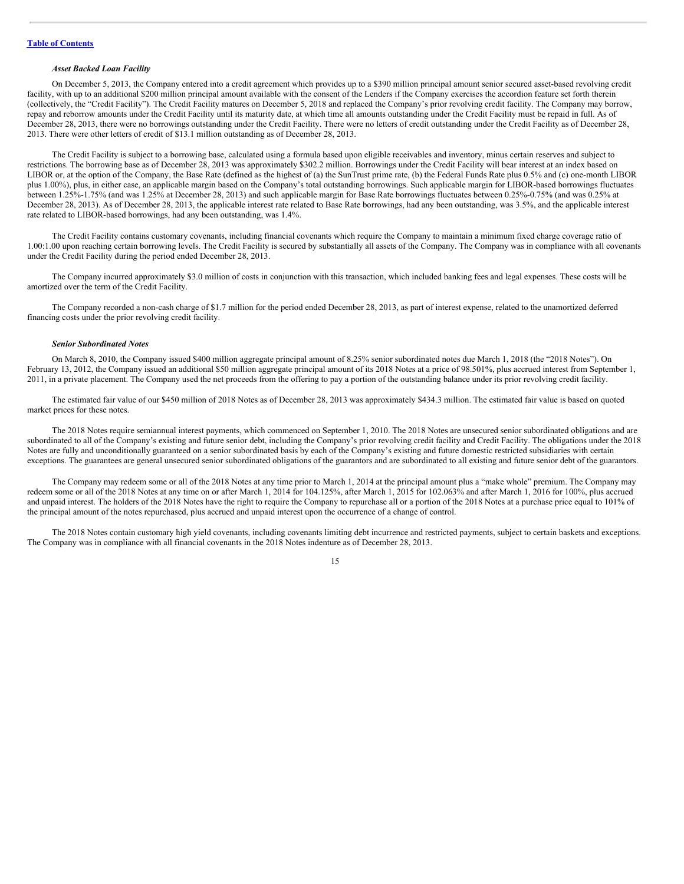# *Asset Backed Loan Facility*

On December 5, 2013, the Company entered into a credit agreement which provides up to a \$390 million principal amount senior secured asset-based revolving credit facility, with up to an additional \$200 million principal amount available with the consent of the Lenders if the Company exercises the accordion feature set forth therein (collectively, the "Credit Facility"). The Credit Facility matures on December 5, 2018 and replaced the Company's prior revolving credit facility. The Company may borrow, repay and reborrow amounts under the Credit Facility until its maturity date, at which time all amounts outstanding under the Credit Facility must be repaid in full. As of December 28, 2013, there were no borrowings outstanding under the Credit Facility. There were no letters of credit outstanding under the Credit Facility as of December 28, 2013. There were other letters of credit of \$13.1 million outstanding as of December 28, 2013.

The Credit Facility is subject to a borrowing base, calculated using a formula based upon eligible receivables and inventory, minus certain reserves and subject to restrictions. The borrowing base as of December 28, 2013 was approximately \$302.2 million. Borrowings under the Credit Facility will bear interest at an index based on LIBOR or, at the option of the Company, the Base Rate (defined as the highest of (a) the SunTrust prime rate, (b) the Federal Funds Rate plus 0.5% and (c) one-month LIBOR plus 1.00%), plus, in either case, an applicable margin based on the Company's total outstanding borrowings. Such applicable margin for LIBOR-based borrowings fluctuates between 1.25%-1.75% (and was 1.25% at December 28, 2013) and such applicable margin for Base Rate borrowings fluctuates between 0.25%-0.75% (and was 0.25% at December 28, 2013). As of December 28, 2013, the applicable interest rate related to Base Rate borrowings, had any been outstanding, was 3.5%, and the applicable interest rate related to LIBOR-based borrowings, had any been outstanding, was 1.4%.

The Credit Facility contains customary covenants, including financial covenants which require the Company to maintain a minimum fixed charge coverage ratio of 1.00:1.00 upon reaching certain borrowing levels. The Credit Facility is secured by substantially all assets of the Company. The Company was in compliance with all covenants under the Credit Facility during the period ended December 28, 2013.

The Company incurred approximately \$3.0 million of costs in conjunction with this transaction, which included banking fees and legal expenses. These costs will be amortized over the term of the Credit Facility.

The Company recorded a non-cash charge of \$1.7 million for the period ended December 28, 2013, as part of interest expense, related to the unamortized deferred financing costs under the prior revolving credit facility.

#### *Senior Subordinated Notes*

On March 8, 2010, the Company issued \$400 million aggregate principal amount of 8.25% senior subordinated notes due March 1, 2018 (the "2018 Notes"). On February 13, 2012, the Company issued an additional \$50 million aggregate principal amount of its 2018 Notes at a price of 98.501%, plus accrued interest from September 1, 2011, in a private placement. The Company used the net proceeds from the offering to pay a portion of the outstanding balance under its prior revolving credit facility.

The estimated fair value of our \$450 million of 2018 Notes as of December 28, 2013 was approximately \$434.3 million. The estimated fair value is based on quoted market prices for these notes.

The 2018 Notes require semiannual interest payments, which commenced on September 1, 2010. The 2018 Notes are unsecured senior subordinated obligations and are subordinated to all of the Company's existing and future senior debt, including the Company's prior revolving credit facility and Credit Facility. The obligations under the 2018 Notes are fully and unconditionally guaranteed on a senior subordinated basis by each of the Company's existing and future domestic restricted subsidiaries with certain exceptions. The guarantees are general unsecured senior subordinated obligations of the guarantors and are subordinated to all existing and future senior debt of the guarantors.

The Company may redeem some or all of the 2018 Notes at any time prior to March 1, 2014 at the principal amount plus a "make whole" premium. The Company may redeem some or all of the 2018 Notes at any time on or after March 1, 2014 for 104.125%, after March 1, 2015 for 102.063% and after March 1, 2016 for 100%, plus accrued and unpaid interest. The holders of the 2018 Notes have the right to require the Company to repurchase all or a portion of the 2018 Notes at a purchase price equal to 101% of the principal amount of the notes repurchased, plus accrued and unpaid interest upon the occurrence of a change of control.

The 2018 Notes contain customary high yield covenants, including covenants limiting debt incurrence and restricted payments, subject to certain baskets and exceptions. The Company was in compliance with all financial covenants in the 2018 Notes indenture as of December 28, 2013.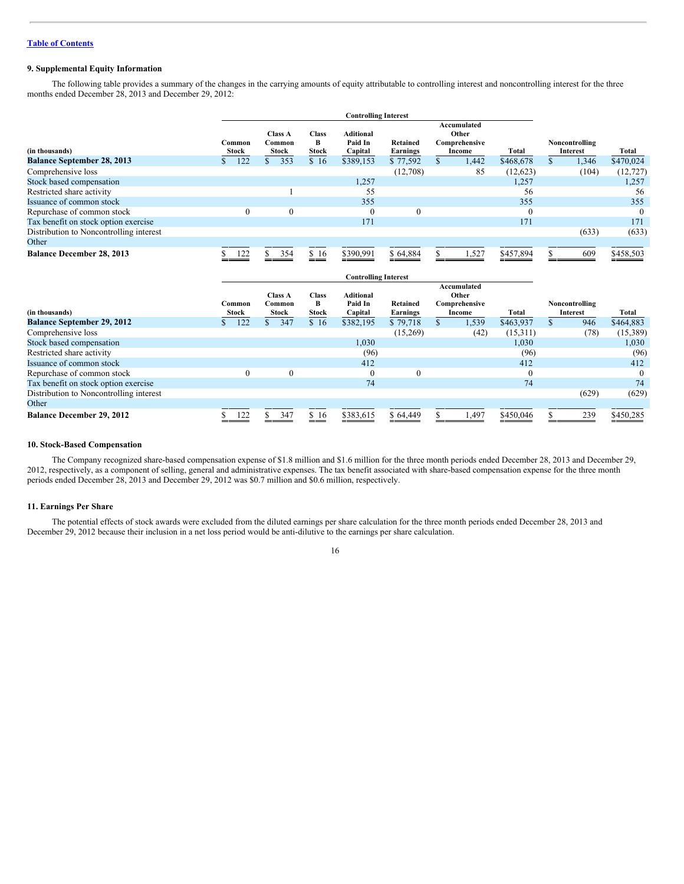# **9. Supplemental Equity Information**

The following table provides a summary of the changes in the carrying amounts of equity attributable to controlling interest and noncontrolling interest for the three months ended December 28, 2013 and December 29, 2012:

|                                         | <b>Controlling Interest</b> |                                   |          |                                   |                                        |                      |  |                                                 |           |                            |           |
|-----------------------------------------|-----------------------------|-----------------------------------|----------|-----------------------------------|----------------------------------------|----------------------|--|-------------------------------------------------|-----------|----------------------------|-----------|
| (in thousands)                          | Common<br>Stock             | <b>Class A</b><br>Common<br>Stock |          | <b>Class</b><br>B<br><b>Stock</b> | <b>Aditional</b><br>Paid In<br>Capital | Retained<br>Earnings |  | Accumulated<br>Other<br>Comprehensive<br>Income | Total     | Noncontrolling<br>Interest | Total     |
| <b>Balance September 28, 2013</b>       | 122                         |                                   | 353      | \$16                              | \$389,153                              | \$77,592             |  | 1.442                                           | \$468,678 | 1,346                      | \$470,024 |
| Comprehensive loss                      |                             |                                   |          |                                   |                                        | (12,708)             |  | 85                                              | (12, 623) | (104)                      | (12, 727) |
| Stock based compensation                |                             |                                   |          |                                   | 1,257                                  |                      |  |                                                 | 1,257     |                            | 1,257     |
| Restricted share activity               |                             |                                   |          |                                   | 55                                     |                      |  |                                                 | 56        |                            | 56        |
| Issuance of common stock                |                             |                                   |          |                                   | 355                                    |                      |  |                                                 | 355       |                            | 355       |
| Repurchase of common stock              | $\Omega$                    |                                   | $\Omega$ |                                   | $\Omega$                               | $\theta$             |  |                                                 | $\Omega$  |                            | $\Omega$  |
| Tax benefit on stock option exercise    |                             |                                   |          |                                   | 171                                    |                      |  |                                                 | 171       |                            | 171       |
| Distribution to Noncontrolling interest |                             |                                   |          |                                   |                                        |                      |  |                                                 |           | (633)                      | (633)     |
| Other                                   |                             |                                   |          |                                   |                                        |                      |  |                                                 |           |                            |           |
| <b>Balance December 28, 2013</b>        |                             |                                   | 354      | \$16                              | \$390,991                              | \$64,884             |  | 1,527                                           | \$457,894 | 609                        | \$458,503 |

|                                         |                  |                |              | <b>Controlling Interest</b> |          |               |           |                |           |
|-----------------------------------------|------------------|----------------|--------------|-----------------------------|----------|---------------|-----------|----------------|-----------|
|                                         |                  |                |              |                             |          | Accumulated   |           |                |           |
|                                         |                  | <b>Class A</b> | <b>Class</b> | <b>Aditional</b>            |          | Other         |           |                |           |
|                                         | Common           | Common         | в            | Paid In                     | Retained | Comprehensive |           | Noncontrolling |           |
| (in thousands)                          | Stock            | Stock          | Stock        | Capital                     | Earnings | Income        | Total     | Interest       | Total     |
| <b>Balance September 29, 2012</b>       | 122              | 347            | \$16         | \$382,195                   | \$79,718 | 1,539         | \$463,937 | 946            | \$464,883 |
| Comprehensive loss                      |                  |                |              |                             | (15,269) | (42)          | (15,311)  | (78)           | (15,389)  |
| Stock based compensation                |                  |                |              | 1,030                       |          |               | 1,030     |                | 1,030     |
| Restricted share activity               |                  |                |              | (96)                        |          |               | (96)      |                | (96)      |
| Issuance of common stock                |                  |                |              | 412                         |          |               | 412       |                | 412       |
| Repurchase of common stock              | $\boldsymbol{0}$ | $\Omega$       |              | 0                           |          |               | 0         |                | $\theta$  |
| Tax benefit on stock option exercise    |                  |                |              | 74                          |          |               | 74        |                | 74        |
| Distribution to Noncontrolling interest |                  |                |              |                             |          |               |           | (629)          | (629)     |
| Other                                   |                  |                |              |                             |          |               |           |                |           |
| <b>Balance December 29, 2012</b>        | 122              | 347            | \$16         | \$383,615                   | \$64,449 | 1,497         | \$450,046 | 239            | \$450,285 |

#### **10. Stock-Based Compensation**

The Company recognized share-based compensation expense of \$1.8 million and \$1.6 million for the three month periods ended December 28, 2013 and December 29, 2012, respectively, as a component of selling, general and administrative expenses. The tax benefit associated with share-based compensation expense for the three month periods ended December 28, 2013 and December 29, 2012 was \$0.7 million and \$0.6 million, respectively.

#### **11. Earnings Per Share**

The potential effects of stock awards were excluded from the diluted earnings per share calculation for the three month periods ended December 28, 2013 and December 29, 2012 because their inclusion in a net loss period would be anti-dilutive to the earnings per share calculation.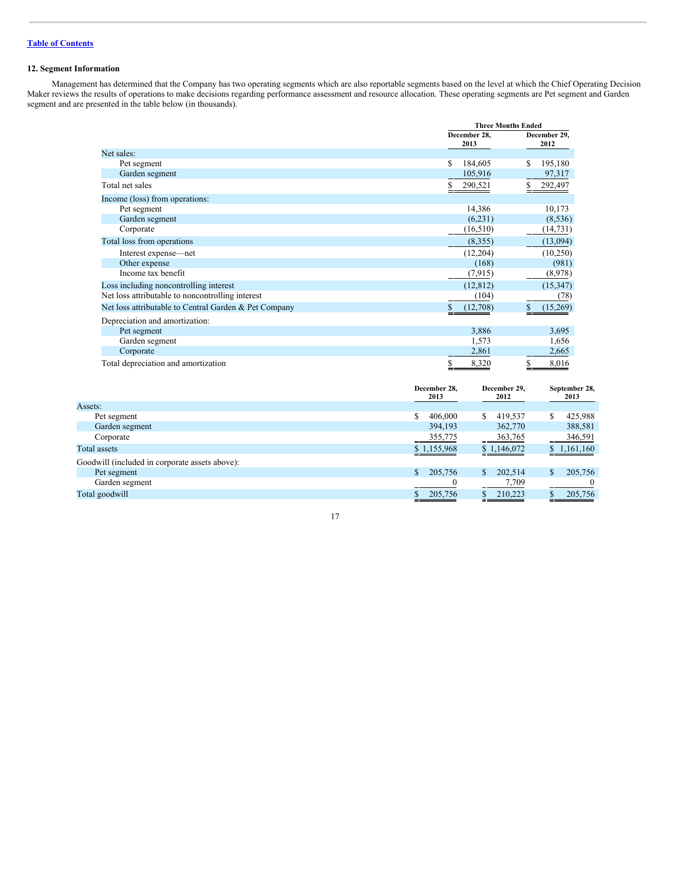# **12. Segment Information**

Management has determined that the Company has two operating segments which are also reportable segments based on the level at which the Chief Operating Decision Maker reviews the results of operations to make decisions regarding performance assessment and resource allocation. These operating segments are Pet segment and Garden segment and are presented in the table below (in thousands).

|                                                       |              | <b>Three Months Ended</b> |
|-------------------------------------------------------|--------------|---------------------------|
|                                                       | December 28. | December 29.              |
| Net sales:                                            | 2013         | 2012                      |
| Pet segment                                           | 184,605<br>S | 195,180                   |
| Garden segment                                        | 105,916      | 97,317                    |
| Total net sales                                       | 290,521      | 292,497                   |
| Income (loss) from operations:                        |              |                           |
| Pet segment                                           | 14,386       | 10,173                    |
| Garden segment                                        | (6,231)      | (8,536)                   |
| Corporate                                             | (16, 510)    | (14, 731)                 |
| Total loss from operations                            | (8,355)      | (13,094)                  |
| Interest expense—net                                  | (12, 204)    | (10,250)                  |
| Other expense                                         | (168)        | (981)                     |
| Income tax benefit                                    | (7,915)      | (8,978)                   |
| Loss including noncontrolling interest                | (12, 812)    | (15, 347)                 |
| Net loss attributable to noncontrolling interest      | (104)        | (78)                      |
| Net loss attributable to Central Garden & Pet Company | (12,708)     | (15,269)                  |
| Depreciation and amortization:                        |              |                           |
| Pet segment                                           | 3,886        | 3,695                     |
| Garden segment                                        | 1,573        | 1,656                     |
| Corporate                                             | 2,861        | 2,665                     |
| Total depreciation and amortization                   | \$<br>8,320  | \$<br>8,016               |

|                                                | December 28.<br>2013 | December 29.<br>2012 | September 28,<br>2013 |
|------------------------------------------------|----------------------|----------------------|-----------------------|
| Assets:                                        |                      |                      |                       |
| Pet segment                                    | 406,000<br>S         | S<br>419,537         | 425,988<br>S.         |
| Garden segment                                 | 394,193              | 362,770              | 388,581               |
| Corporate                                      | 355,775              | 363,765              | 346,591               |
| Total assets                                   | \$1,155,968          | \$1,146,072          | \$1,161,160           |
| Goodwill (included in corporate assets above): |                      |                      |                       |
| Pet segment                                    | 205,756<br>\$        | 202.514<br>S.        | 205,756               |
| Garden segment                                 |                      | 7,709                |                       |
| Total goodwill                                 | 205,756              | 210,223              | 205,756               |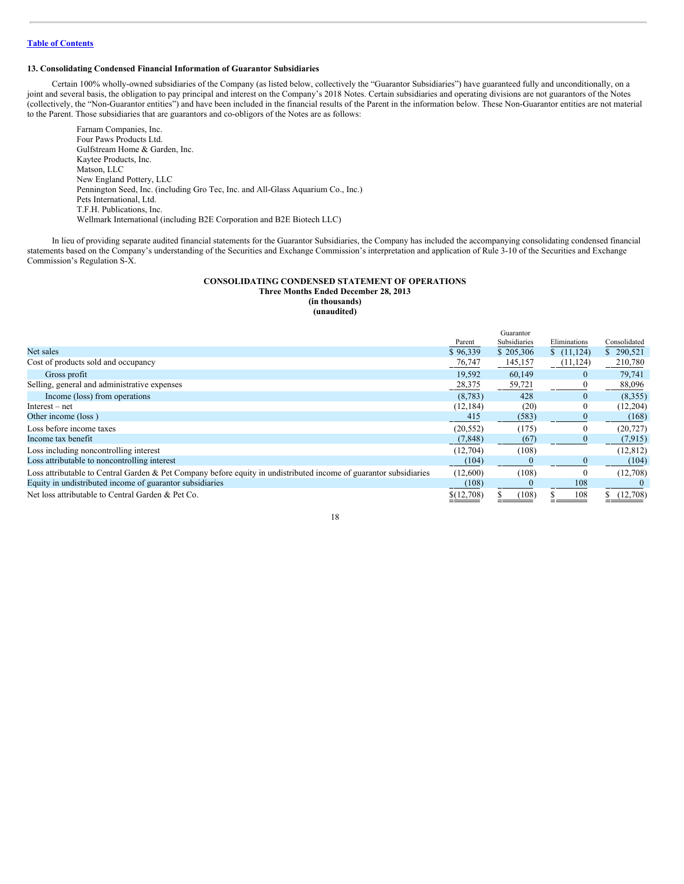## **13. Consolidating Condensed Financial Information of Guarantor Subsidiaries**

Certain 100% wholly-owned subsidiaries of the Company (as listed below, collectively the "Guarantor Subsidiaries") have guaranteed fully and unconditionally, on a joint and several basis, the obligation to pay principal and interest on the Company's 2018 Notes. Certain subsidiaries and operating divisions are not guarantors of the Notes (collectively, the "Non-Guarantor entities") and have been included in the financial results of the Parent in the information below. These Non-Guarantor entities are not material to the Parent. Those subsidiaries that are guarantors and co-obligors of the Notes are as follows:

Farnam Companies, Inc. Four Paws Products Ltd. Gulfstream Home & Garden, Inc. Kaytee Products, Inc. Matson, LLC New England Pottery, LLC Pennington Seed, Inc. (including Gro Tec, Inc. and All-Glass Aquarium Co., Inc.) Pets International, Ltd. T.F.H. Publications, Inc. Wellmark International (including B2E Corporation and B2E Biotech LLC)

In lieu of providing separate audited financial statements for the Guarantor Subsidiaries, the Company has included the accompanying consolidating condensed financial statements based on the Company's understanding of the Securities and Exchange Commission's interpretation and application of Rule 3-10 of the Securities and Exchange Commission's Regulation S-X.

#### **CONSOLIDATING CONDENSED STATEMENT OF OPERATIONS Three Months Ended December 28, 2013 (in thousands) (unaudited)**

Parent Guarantor Subsidiaries Eliminations Consolidated Net sales \$ 96,339 \$ 205,306 \$ (11,124) \$ 290,521 Cost of products sold and occupancy 76,747 145,157 (11,124) 210,780 Gross profit **19,592** 60,149 0 79,741 Selling, general and administrative expenses 28,375 59,721 0 88,096 Income (loss) from operations (8,783) 428 0 (8,355)<br>Interest – net (12,184) (20) 0 (12,204) Interest – net (12,204) (20) 0 (12,204) Other income (loss)  $(168)$  (168) Loss before income taxes (20,552) (175) 0 (20,727) Income tax benefit  $(7,848)$   $(67)$   $0$   $(7,915)$ Loss including noncontrolling interest (12,704) (108) (12,812)<br>
Loss attributable to noncontrolling interest (104) (104) (104) (104) (104) (104) (104) Loss attributable to noncontrolling interest  $(104)$   $-$  0 Loss attributable to Central Garden & Pet Company before equity in undistributed income of guarantor subsidiaries (12,600) (108) (108) 0 (12,708) Equity in undistributed income of guarantor subsidiaries (108) 0 108 0 Net loss attributable to Central Garden & Pet Co.  $\underline{\$(12,708)}$   $\underline{\$ (108)}$   $\underline{\$ (108)}$   $\underline{\$ (108)}$   $\underline{\$ (12,708)}$ 

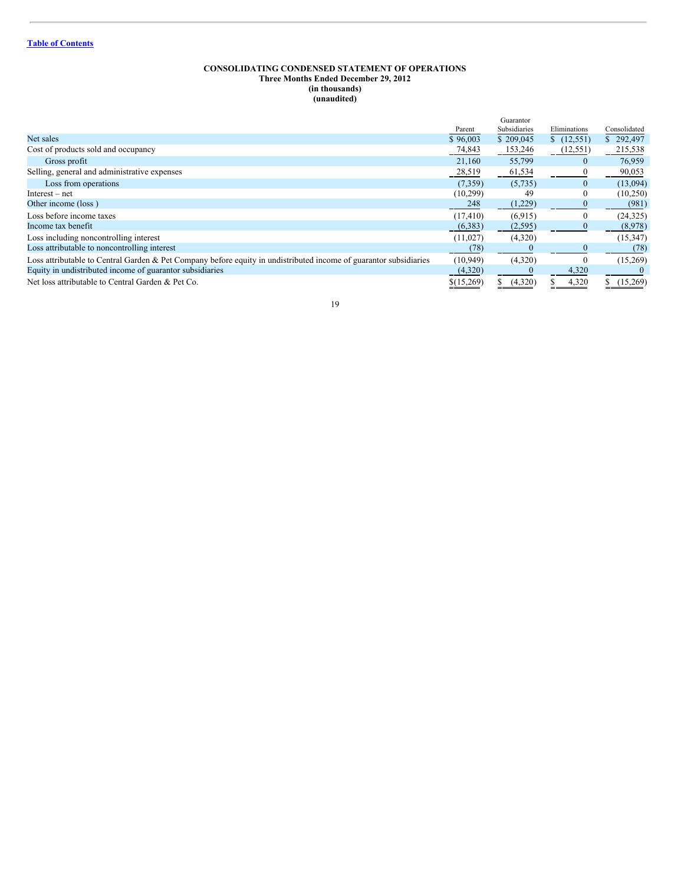#### **CONSOLIDATING CONDENSED STATEMENT OF OPERATIONS Three Months Ended December 29, 2012 (in thousands) (unaudited)**

|                                                                                                                   |            | Guarantor    |              |              |
|-------------------------------------------------------------------------------------------------------------------|------------|--------------|--------------|--------------|
|                                                                                                                   | Parent     | Subsidiaries | Eliminations | Consolidated |
| Net sales                                                                                                         | \$96,003   | \$209,045    | (12, 551)    | \$292,497    |
| Cost of products sold and occupancy                                                                               | 74,843     | 153,246      | (12, 551)    | 215,538      |
| Gross profit                                                                                                      | 21,160     | 55,799       | $\bf{0}$     | 76,959       |
| Selling, general and administrative expenses                                                                      | 28,519     | 61,534       | $\theta$     | 90,053       |
| Loss from operations                                                                                              | (7,359)    | (5,735)      | $\bf{0}$     | (13,094)     |
| $Interest - net$                                                                                                  | (10,299)   | 49           |              | (10,250)     |
| Other income (loss)                                                                                               | 248        | (1,229)      |              | (981)        |
| Loss before income taxes                                                                                          | (17, 410)  | (6,915)      | 0            | (24, 325)    |
| Income tax benefit                                                                                                | (6,383)    | (2, 595)     | $\bf{0}$     | (8,978)      |
| Loss including noncontrolling interest                                                                            | (11, 027)  | (4,320)      |              | (15,347)     |
| Loss attributable to noncontrolling interest                                                                      | (78)       |              |              | (78)         |
| Loss attributable to Central Garden & Pet Company before equity in undistributed income of guarantor subsidiaries | (10, 949)  | (4,320)      | $\left($     | (15,269)     |
| Equity in undistributed income of guarantor subsidiaries                                                          | (4,320)    |              | 4,320        |              |
| Net loss attributable to Central Garden & Pet Co.                                                                 | \$(15,269) | (4,320)      | 4,320        | (15,269)     |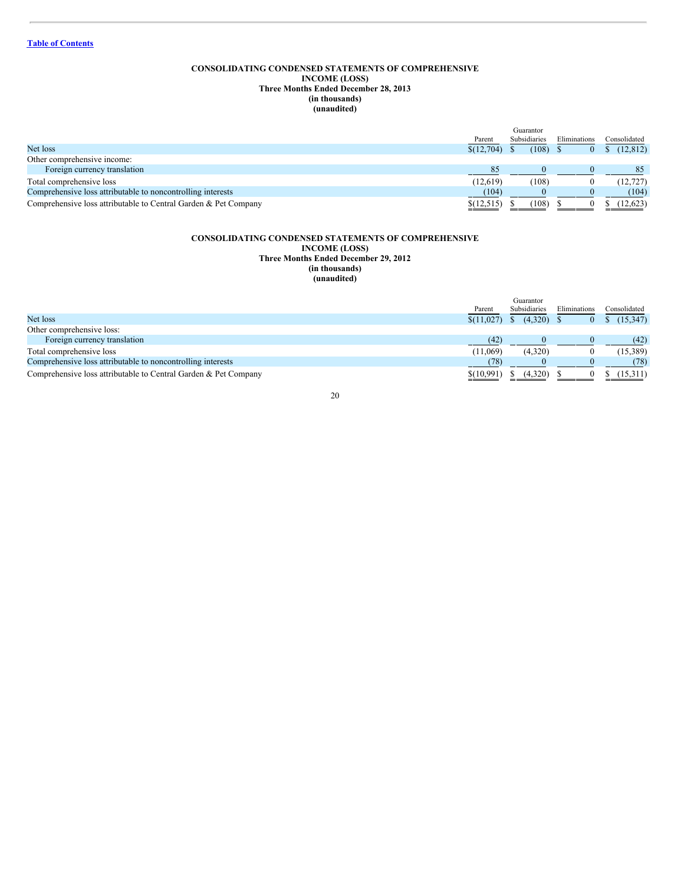# **CONSOLIDATING CONDENSED STATEMENTS OF COMPREHENSIVE INCOME (LOSS) Three Months Ended December 28, 2013 (in thousands) (unaudited)**

|                                                                 |              | Guarantor    |              |              |
|-----------------------------------------------------------------|--------------|--------------|--------------|--------------|
|                                                                 | Parent       | Subsidiaries | Eliminations | Consolidated |
| Net loss                                                        | \$(12,704)   | (108)        |              | (12, 812)    |
| Other comprehensive income:                                     |              |              |              |              |
| Foreign currency translation                                    | 85           |              |              | 85           |
| Total comprehensive loss                                        | (12.619)     | (108)        |              | (12, 727)    |
| Comprehensive loss attributable to noncontrolling interests     | (104)        |              |              | (104)        |
| Comprehensive loss attributable to Central Garden & Pet Company | $$$ (12,515) | (108)        |              | (12, 623)    |

# **CONSOLIDATING CONDENSED STATEMENTS OF COMPREHENSIVE INCOME (LOSS) Three Months Ended December 29, 2012 (in thousands) (unaudited)**

|                                                                 | Parent     | Guarantor<br>Subsidiaries | Eliminations | Consolidated |
|-----------------------------------------------------------------|------------|---------------------------|--------------|--------------|
| Net loss                                                        | \$(11,027) | (4,320)                   |              | (15,347)     |
| Other comprehensive loss:                                       |            |                           |              |              |
| Foreign currency translation                                    | (42)       |                           |              | (42)         |
| Total comprehensive loss                                        | (11,069)   | (4,320)                   |              | (15,389)     |
| Comprehensive loss attributable to noncontrolling interests     | (78)       |                           |              | (78)         |
| Comprehensive loss attributable to Central Garden & Pet Company | \$(10,991) | (4.320)                   |              | (15.311)     |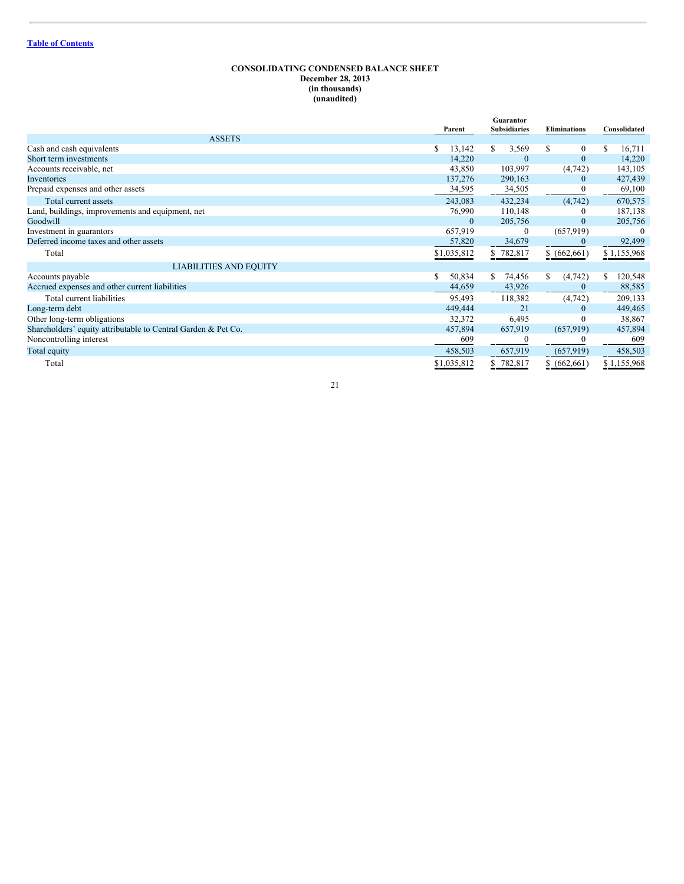# **CONSOLIDATING CONDENSED BALANCE SHEET December 28, 2013 (in thousands) (unaudited)**

|                                                               | Parent        | Guarantor<br><b>Subsidiaries</b> | <b>Eliminations</b> | Consolidated |
|---------------------------------------------------------------|---------------|----------------------------------|---------------------|--------------|
| <b>ASSETS</b>                                                 |               |                                  |                     |              |
| Cash and cash equivalents                                     | 13,142<br>S   | 3,569<br>S.                      | 0                   | 16,711       |
| Short term investments                                        | 14,220        | $\bf{0}$                         | $\mathbf{0}$        | 14,220       |
| Accounts receivable, net                                      | 43,850        | 103,997                          | (4,742)             | 143,105      |
| Inventories                                                   | 137,276       | 290,163                          | 0                   | 427,439      |
| Prepaid expenses and other assets                             | 34,595        | 34,505                           | 0                   | 69,100       |
| Total current assets                                          | 243,083       | 432,234                          | (4,742)             | 670,575      |
| Land, buildings, improvements and equipment, net              | 76,990        | 110,148                          |                     | 187,138      |
| Goodwill                                                      | $\theta$      | 205,756                          | 0                   | 205,756      |
| Investment in guarantors                                      | 657,919       | $\mathbf{0}$                     | (657, 919)          | $\Omega$     |
| Deferred income taxes and other assets                        | 57,820        | 34,679                           | 0                   | 92,499       |
| Total                                                         | \$1,035,812   | \$782,817                        | \$ (662,661)        | \$1,155,968  |
| <b>LIABILITIES AND EQUITY</b>                                 |               |                                  |                     |              |
| Accounts payable                                              | \$.<br>50,834 | 74,456<br>S.                     | (4,742)<br>S.       | 120,548      |
| Accrued expenses and other current liabilities                | 44,659        | 43,926                           | 0                   | 88,585       |
| Total current liabilities                                     | 95,493        | 118,382                          | (4,742)             | 209,133      |
| Long-term debt                                                | 449,444       | 21                               | 0                   | 449,465      |
| Other long-term obligations                                   | 32,372        | 6,495                            | 0                   | 38,867       |
| Shareholders' equity attributable to Central Garden & Pet Co. | 457,894       | 657,919                          | (657, 919)          | 457,894      |
| Noncontrolling interest                                       | 609           | $\boldsymbol{0}$                 | 0                   | 609          |
| Total equity                                                  | 458,503       | 657,919                          | (657, 919)          | 458,503      |
| Total                                                         | \$1,035,812   | \$782,817                        | \$ (662, 661)       | \$1,155,968  |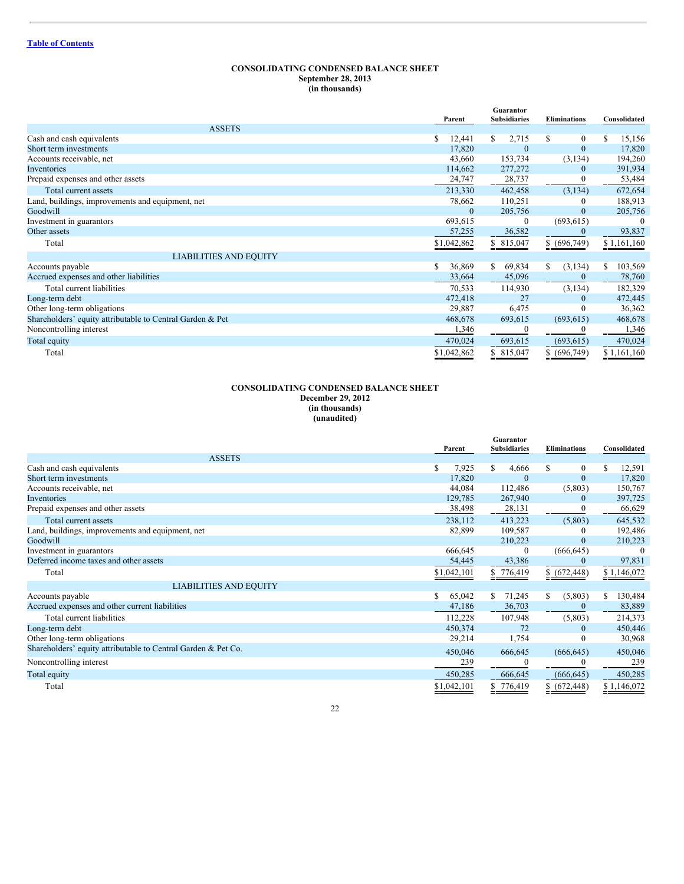# **CONSOLIDATING CONDENSED BALANCE SHEET September 28, 2013 (in thousands)**

|                                                           | Parent        | Guarantor<br><b>Subsidiaries</b> | <b>Eliminations</b> | Consolidated |
|-----------------------------------------------------------|---------------|----------------------------------|---------------------|--------------|
| <b>ASSETS</b>                                             |               |                                  |                     |              |
| Cash and cash equivalents                                 | 12,441<br>S.  | 2,715<br>S                       | 0                   | 15,156<br>S  |
| Short term investments                                    | 17,820        | $\Omega$                         | $\mathbf{0}$        | 17,820       |
| Accounts receivable, net                                  | 43,660        | 153,734                          | (3, 134)            | 194,260      |
| Inventories                                               | 114,662       | 277,272                          | $\mathbf{0}$        | 391,934      |
| Prepaid expenses and other assets                         | 24,747        | 28,737                           | 0                   | 53,484       |
| Total current assets                                      | 213,330       | 462,458                          | (3, 134)            | 672,654      |
| Land, buildings, improvements and equipment, net          | 78,662        | 110,251                          | $_{0}$              | 188,913      |
| Goodwill                                                  | $\Omega$      | 205,756                          | $\theta$            | 205,756      |
| Investment in guarantors                                  | 693,615       | $\mathbf{0}$                     | (693, 615)          | $\theta$     |
| Other assets                                              | 57,255        | 36,582                           | 0                   | 93,837       |
| Total                                                     | \$1,042,862   | \$ 815,047                       | \$ (696,749)        | \$1,161,160  |
| <b>LIABILITIES AND EQUITY</b>                             |               |                                  |                     |              |
| Accounts payable                                          | 36,869<br>\$. | 69,834<br>S.                     | S.<br>(3, 134)      | 103,569<br>S |
| Accrued expenses and other liabilities                    | 33,664        | 45,096                           | 0                   | 78,760       |
| Total current liabilities                                 | 70,533        | 114,930                          | (3, 134)            | 182,329      |
| Long-term debt                                            | 472,418       | 27                               | $\Omega$            | 472,445      |
| Other long-term obligations                               | 29,887        | 6,475                            | 0                   | 36,362       |
| Shareholders' equity attributable to Central Garden & Pet | 468,678       | 693,615                          | (693, 615)          | 468,678      |
| Noncontrolling interest                                   | 1,346         | $\bf{0}$                         | 0                   | 1,346        |
| Total equity                                              | 470,024       | 693,615                          | (693, 615)          | 470,024      |
| Total                                                     | \$1,042,862   | \$ 815,047                       | \$ (696,749)        | \$1,161,160  |

# **CONSOLIDATING CONDENSED BALANCE SHEET December 29, 2012 (in thousands) (unaudited)**

|                                                               | Parent       | Guarantor<br><b>Subsidiaries</b> | <b>Eliminations</b>  | Consolidated  |
|---------------------------------------------------------------|--------------|----------------------------------|----------------------|---------------|
| <b>ASSETS</b>                                                 |              |                                  |                      |               |
| Cash and cash equivalents                                     | S.<br>7,925  | S.<br>4,666                      | <b>S</b><br>$\theta$ | S<br>12,591   |
| Short term investments                                        | 17,820       | $\theta$                         | $\theta$             | 17,820        |
| Accounts receivable, net                                      | 44,084       | 112,486                          | (5,803)              | 150,767       |
| Inventories                                                   | 129,785      | 267,940                          | $\mathbf{0}$         | 397,725       |
| Prepaid expenses and other assets                             | 38,498       | 28,131                           | 0                    | 66,629        |
| Total current assets                                          | 238,112      | 413,223                          | (5,803)              | 645,532       |
| Land, buildings, improvements and equipment, net              | 82,899       | 109,587                          | 0                    | 192,486       |
| Goodwill                                                      |              | 210,223                          | $\Omega$             | 210,223       |
| Investment in guarantors                                      | 666,645      | $\mathbf{0}$                     | (666, 645)           | $\bf{0}$      |
| Deferred income taxes and other assets                        | 54,445       | 43,386                           | $\mathbf{0}$         | 97,831        |
| Total                                                         | \$1,042,101  | \$776,419                        | \$ (672, 448)        | \$1,146,072   |
| <b>LIABILITIES AND EQUITY</b>                                 |              |                                  |                      |               |
| Accounts payable                                              | \$<br>65,042 | 71,245<br>S.                     | S<br>(5,803)         | 130,484<br>£. |
| Accrued expenses and other current liabilities                | 47,186       | 36,703                           | $\mathbf{0}$         | 83,889        |
| Total current liabilities                                     | 112,228      | 107,948                          | (5,803)              | 214,373       |
| Long-term debt                                                | 450,374      | 72                               | $\theta$             | 450,446       |
| Other long-term obligations                                   | 29,214       | 1,754                            | 0                    | 30,968        |
| Shareholders' equity attributable to Central Garden & Pet Co. | 450,046      | 666,645                          | (666, 645)           | 450,046       |
| Noncontrolling interest                                       | 239          | 0                                | 0                    | 239           |
| Total equity                                                  | 450,285      | 666,645                          | (666, 645)           | 450,285       |
| Total                                                         | \$1,042,101  | 776,419                          | \$ (672, 448)        | \$1,146,072   |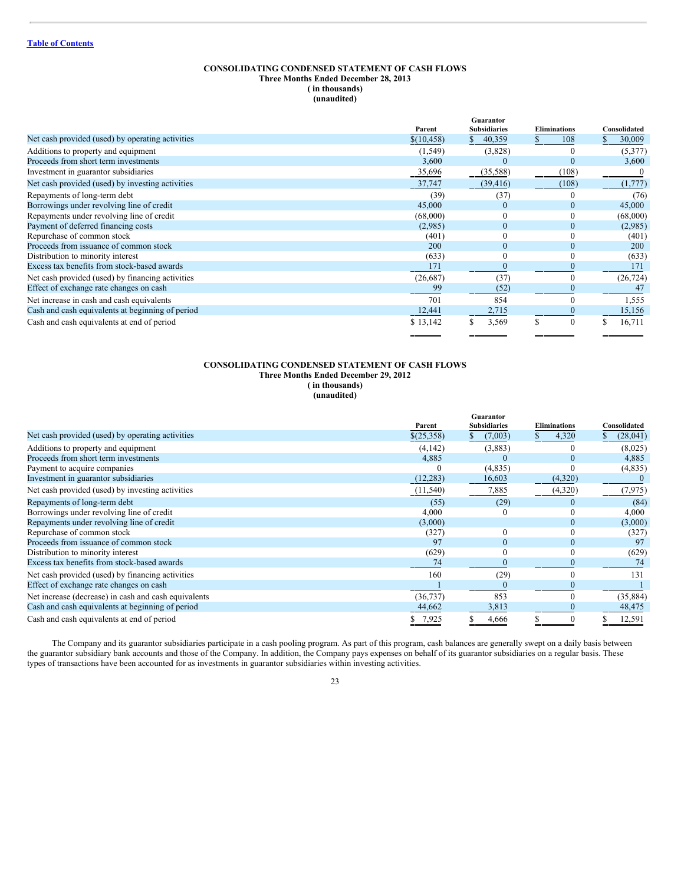### **CONSOLIDATING CONDENSED STATEMENT OF CASH FLOWS Three Months Ended December 28, 2013 ( in thousands) (unaudited)**

|                                                  |            | Guarantor<br><b>Eliminations</b> |          |              |
|--------------------------------------------------|------------|----------------------------------|----------|--------------|
|                                                  | Parent     | <b>Subsidiaries</b>              |          | Consolidated |
| Net cash provided (used) by operating activities | \$(10,458) | 40,359                           | 108      | 30,009       |
| Additions to property and equipment              | (1, 549)   | (3,828)                          | 0        | (5,377)      |
| Proceeds from short term investments             | 3,600      | $\theta$                         | $\theta$ | 3,600        |
| Investment in guarantor subsidiaries             | 35,696     | (35, 588)                        | (108)    |              |
| Net cash provided (used) by investing activities | 37,747     | (39, 416)                        | (108)    | (1,777)      |
| Repayments of long-term debt                     | (39)       | (37)                             |          | (76)         |
| Borrowings under revolving line of credit        | 45,000     | $\Omega$                         | $\Omega$ | 45,000       |
| Repayments under revolving line of credit        | (68,000)   | $\Omega$                         | $\Omega$ | (68,000)     |
| Payment of deferred financing costs              | (2,985)    | $\Omega$                         | $\Omega$ | (2,985)      |
| Repurchase of common stock                       | (401)      | 0                                | $\Omega$ | (401)        |
| Proceeds from issuance of common stock           | 200        | $\theta$                         | $\theta$ | 200          |
| Distribution to minority interest                | (633)      | $\theta$                         | $\theta$ | (633)        |
| Excess tax benefits from stock-based awards      | 171        | $\Omega$                         | $\theta$ | 171          |
| Net cash provided (used) by financing activities | (26, 687)  | (37)                             |          | (26, 724)    |
| Effect of exchange rate changes on cash          | 99         | (52)                             |          | 47           |
| Net increase in cash and cash equivalents        | 701        | 854                              | $\theta$ | 1,555        |
| Cash and cash equivalents at beginning of period | 12,441     | 2,715                            |          | 15,156       |
| Cash and cash equivalents at end of period       | \$13,142   | 3,569                            | $\theta$ | 16,711       |

#### **CONSOLIDATING CONDENSED STATEMENT OF CASH FLOWS Three Months Ended December 29, 2012 ( in thousands) (unaudited)**

|                                                      |             | Guarantor           |                     |              |
|------------------------------------------------------|-------------|---------------------|---------------------|--------------|
|                                                      | Parent      | <b>Subsidiaries</b> | <b>Eliminations</b> | Consolidated |
| Net cash provided (used) by operating activities     | \$(25,358)  | (7,003)             | 4,320               | (28,041)     |
| Additions to property and equipment                  | (4, 142)    | (3,883)             |                     | (8,025)      |
| Proceeds from short term investments                 | 4,885       |                     | $\Omega$            | 4,885        |
| Payment to acquire companies                         |             | (4,835)             |                     | (4,835)      |
| Investment in guarantor subsidiaries                 | (12, 283)   | 16,603              | (4,320)             |              |
| Net cash provided (used) by investing activities     | (11, 540)   | 7,885               | (4,320)             | (7, 975)     |
| Repayments of long-term debt                         | (55)        | (29)                | $\Omega$            | (84)         |
| Borrowings under revolving line of credit            | 4,000       | $\theta$            |                     | 4,000        |
| Repayments under revolving line of credit            | (3,000)     |                     |                     | (3,000)      |
| Repurchase of common stock                           | (327)       | $\Omega$            |                     | (327)        |
| Proceeds from issuance of common stock               | 97          | $\theta$            | $\theta$            | 97           |
| Distribution to minority interest                    | (629)       | $\theta$            |                     | (629)        |
| Excess tax benefits from stock-based awards          | 74          |                     |                     | 74           |
| Net cash provided (used) by financing activities     | 160         | (29)                |                     | 131          |
| Effect of exchange rate changes on cash              |             |                     |                     |              |
| Net increase (decrease) in cash and cash equivalents | (36, 737)   | 853                 |                     | (35,884)     |
| Cash and cash equivalents at beginning of period     | 44,662      | 3,813               |                     | 48,475       |
| Cash and cash equivalents at end of period           | 7,925<br>D. | 4,666               |                     | 12,591       |

The Company and its guarantor subsidiaries participate in a cash pooling program. As part of this program, cash balances are generally swept on a daily basis between the guarantor subsidiary bank accounts and those of the Company. In addition, the Company pays expenses on behalf of its guarantor subsidiaries on a regular basis. These types of transactions have been accounted for as investments in guarantor subsidiaries within investing activities.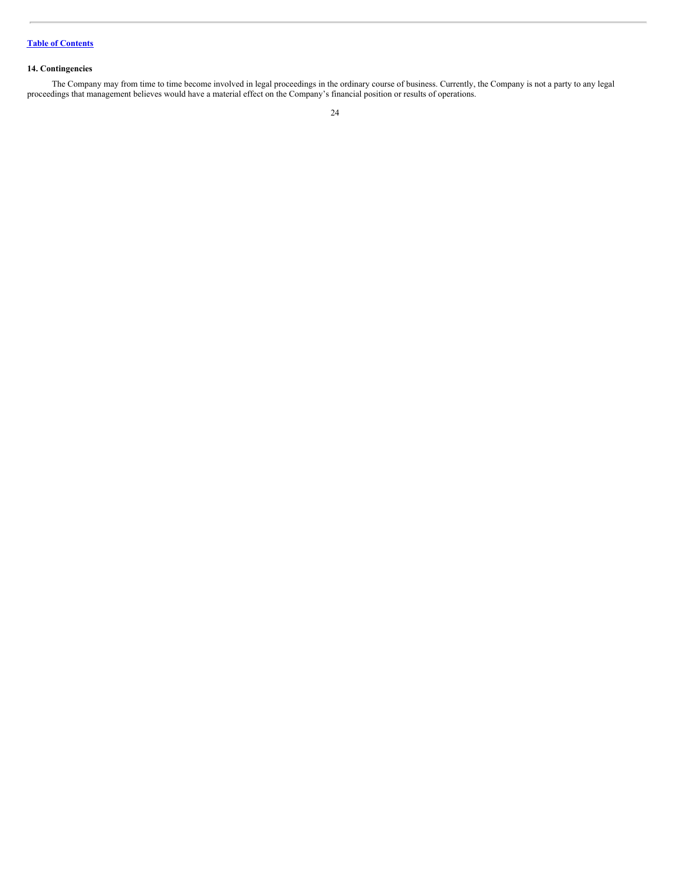# **14. Contingencies**

The Company may from time to time become involved in legal proceedings in the ordinary course of business. Currently, the Company is not a party to any legal proceedings that management believes would have a material effect on the Company's financial position or results of operations.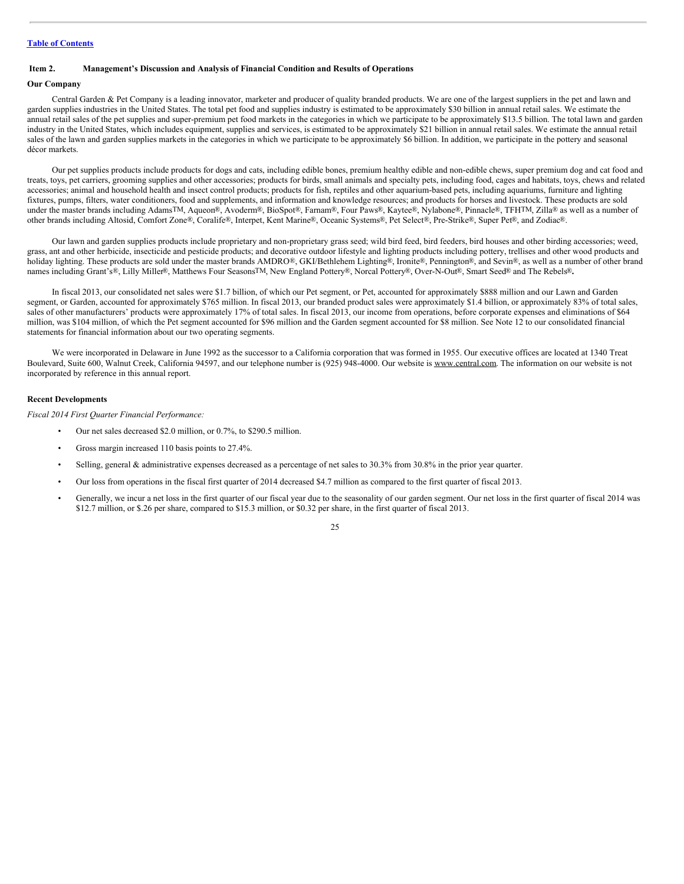#### <span id="page-24-0"></span>**Item 2. Management's Discussion and Analysis of Financial Condition and Results of Operations**

# **Our Company**

Central Garden & Pet Company is a leading innovator, marketer and producer of quality branded products. We are one of the largest suppliers in the pet and lawn and garden supplies industries in the United States. The total pet food and supplies industry is estimated to be approximately \$30 billion in annual retail sales. We estimate the annual retail sales of the pet supplies and super-premium pet food markets in the categories in which we participate to be approximately \$13.5 billion. The total lawn and garden industry in the United States, which includes equipment, supplies and services, is estimated to be approximately \$21 billion in annual retail sales. We estimate the annual retail sales of the lawn and garden supplies markets in the categories in which we participate to be approximately \$6 billion. In addition, we participate in the pottery and seasonal décor markets.

Our pet supplies products include products for dogs and cats, including edible bones, premium healthy edible and non-edible chews, super premium dog and cat food and treats, toys, pet carriers, grooming supplies and other accessories; products for birds, small animals and specialty pets, including food, cages and habitats, toys, chews and related accessories; animal and household health and insect control products; products for fish, reptiles and other aquarium-based pets, including aquariums, furniture and lighting fixtures, pumps, filters, water conditioners, food and supplements, and information and knowledge resources; and products for horses and livestock. These products are sold under the master brands including Adams<sup>TM</sup>, Aqueon®, Avoderm®, BioSpot®, Farnam®, Four Paws®, Kaytee®, Nylabone®, Pinnacle®, TFHTM, Zilla® as well as a number of other brands including Altosid, Comfort Zone®, Coralife®, Interpet, Kent Marine®, Oceanic Systems®, Pet Select®, Pre-Strike®, Super Pet®, and Zodiac®.

Our lawn and garden supplies products include proprietary and non-proprietary grass seed; wild bird feed, bird feeders, bird houses and other birding accessories; weed, grass, ant and other herbicide, insecticide and pesticide products; and decorative outdoor lifestyle and lighting products including pottery, trellises and other wood products and holiday lighting. These products are sold under the master brands AMDRO®, GKI/Bethlehem Lighting®, Ironite®, Pennington®, and Sevin®, as well as a number of other brand names including Grant's®, Lilly Miller®, Matthews Four SeasonsTM, New England Pottery®, Norcal Pottery®, Over-N-Out®, Smart Seed® and The Rebels®**.**

In fiscal 2013, our consolidated net sales were \$1.7 billion, of which our Pet segment, or Pet, accounted for approximately \$888 million and our Lawn and Garden segment, or Garden, accounted for approximately \$765 million. In fiscal 2013, our branded product sales were approximately \$1.4 billion, or approximately 83% of total sales, sales of other manufacturers' products were approximately 17% of total sales. In fiscal 2013, our income from operations, before corporate expenses and eliminations of \$64 million, was \$104 million, of which the Pet segment accounted for \$96 million and the Garden segment accounted for \$8 million. See Note 12 to our consolidated financial statements for financial information about our two operating segments.

We were incorporated in Delaware in June 1992 as the successor to a California corporation that was formed in 1955. Our executive offices are located at 1340 Treat Boulevard, Suite 600, Walnut Creek, California 94597, and our telephone number is (925) 948-4000. Our website is www.central.com. The information on our website is not incorporated by reference in this annual report.

#### **Recent Developments**

*Fiscal 2014 First Quarter Financial Performance:*

- Our net sales decreased \$2.0 million, or 0.7%, to \$290.5 million.
- Gross margin increased 110 basis points to 27.4%.
- Selling, general & administrative expenses decreased as a percentage of net sales to 30.3% from 30.8% in the prior year quarter.
- Our loss from operations in the fiscal first quarter of 2014 decreased \$4.7 million as compared to the first quarter of fiscal 2013.
- Generally, we incur a net loss in the first quarter of our fiscal year due to the seasonality of our garden segment. Our net loss in the first quarter of fiscal 2014 was \$12.7 million, or \$.26 per share, compared to \$15.3 million, or \$0.32 per share, in the first quarter of fiscal 2013.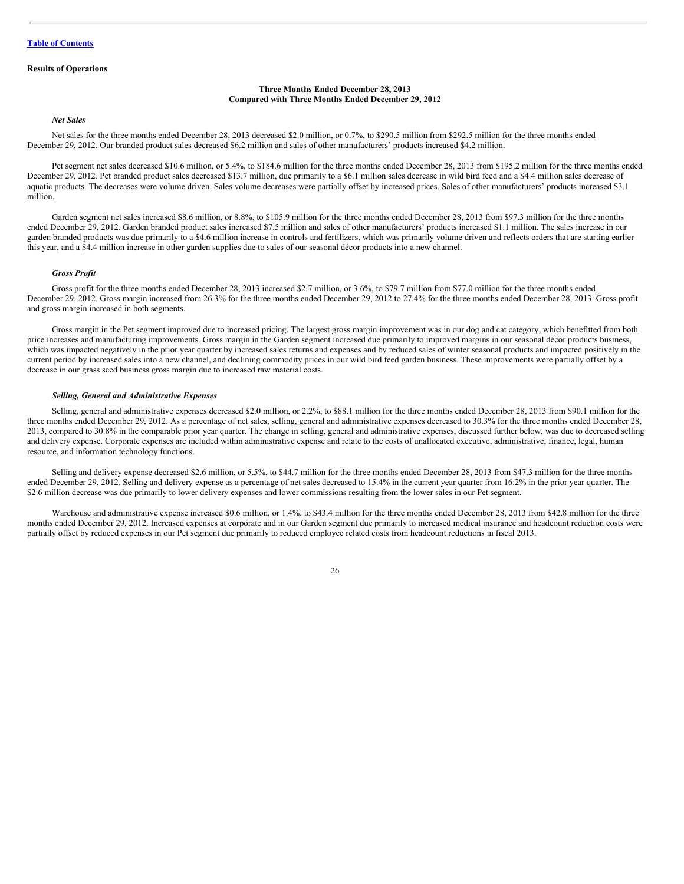#### **Results of Operations**

#### **Three Months Ended December 28, 2013 Compared with Three Months Ended December 29, 2012**

#### *Net Sales*

Net sales for the three months ended December 28, 2013 decreased \$2.0 million, or 0.7%, to \$290.5 million from \$292.5 million for the three months ended December 29, 2012. Our branded product sales decreased \$6.2 million and sales of other manufacturers' products increased \$4.2 million.

Pet segment net sales decreased \$10.6 million, or 5.4%, to \$184.6 million for the three months ended December 28, 2013 from \$195.2 million for the three months ended December 29, 2012. Pet branded product sales decreased \$13.7 million, due primarily to a \$6.1 million sales decrease in wild bird feed and a \$4.4 million sales decrease of aquatic products. The decreases were volume driven. Sales volume decreases were partially offset by increased prices. Sales of other manufacturers' products increased \$3.1 million.

Garden segment net sales increased \$8.6 million, or 8.8%, to \$105.9 million for the three months ended December 28, 2013 from \$97.3 million for the three months ended December 29, 2012. Garden branded product sales increased \$7.5 million and sales of other manufacturers' products increased \$1.1 million. The sales increase in our garden branded products was due primarily to a \$4.6 million increase in controls and fertilizers, which was primarily volume driven and reflects orders that are starting earlier this year, and a \$4.4 million increase in other garden supplies due to sales of our seasonal décor products into a new channel.

#### *Gross Profit*

Gross profit for the three months ended December 28, 2013 increased \$2.7 million, or 3.6%, to \$79.7 million from \$77.0 million for the three months ended December 29, 2012. Gross margin increased from 26.3% for the three months ended December 29, 2012 to 27.4% for the three months ended December 28, 2013. Gross profit and gross margin increased in both segments.

Gross margin in the Pet segment improved due to increased pricing. The largest gross margin improvement was in our dog and cat category, which benefitted from both price increases and manufacturing improvements. Gross margin in the Garden segment increased due primarily to improved margins in our seasonal décor products business, which was impacted negatively in the prior year quarter by increased sales returns and expenses and by reduced sales of winter seasonal products and impacted positively in the current period by increased sales into a new channel, and declining commodity prices in our wild bird feed garden business. These improvements were partially offset by a decrease in our grass seed business gross margin due to increased raw material costs.

#### *Selling, General and Administrative Expenses*

Selling, general and administrative expenses decreased \$2.0 million, or 2.2%, to \$88.1 million for the three months ended December 28, 2013 from \$90.1 million for the three months ended December 29, 2012. As a percentage of net sales, selling, general and administrative expenses decreased to 30.3% for the three months ended December 28, 2013, compared to 30.8% in the comparable prior year quarter. The change in selling, general and administrative expenses, discussed further below, was due to decreased selling and delivery expense. Corporate expenses are included within administrative expense and relate to the costs of unallocated executive, administrative, finance, legal, human resource, and information technology functions.

Selling and delivery expense decreased \$2.6 million, or 5.5%, to \$44.7 million for the three months ended December 28, 2013 from \$47.3 million for the three months ended December 29, 2012. Selling and delivery expense as a percentage of net sales decreased to 15.4% in the current year quarter from 16.2% in the prior year quarter. The \$2.6 million decrease was due primarily to lower delivery expenses and lower commissions resulting from the lower sales in our Pet segment.

Warehouse and administrative expense increased \$0.6 million, or 1.4%, to \$43.4 million for the three months ended December 28, 2013 from \$42.8 million for the three months ended December 29, 2012. Increased expenses at corporate and in our Garden segment due primarily to increased medical insurance and headcount reduction costs were partially offset by reduced expenses in our Pet segment due primarily to reduced employee related costs from headcount reductions in fiscal 2013.

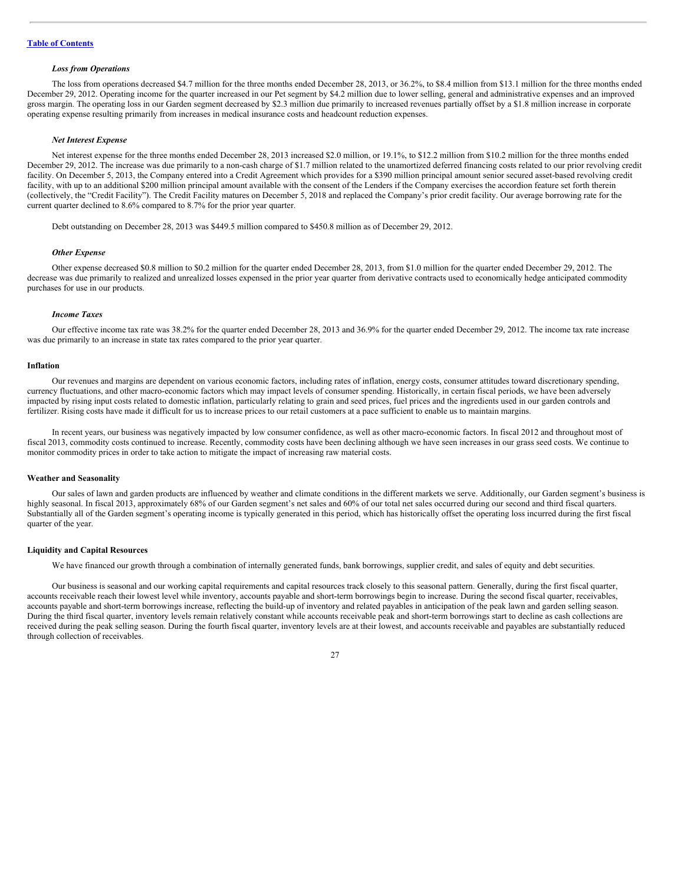#### *Loss from Operations*

The loss from operations decreased \$4.7 million for the three months ended December 28, 2013, or 36.2%, to \$8.4 million from \$13.1 million for the three months ended December 29, 2012. Operating income for the quarter increased in our Pet segment by \$4.2 million due to lower selling, general and administrative expenses and an improved gross margin. The operating loss in our Garden segment decreased by \$2.3 million due primarily to increased revenues partially offset by a \$1.8 million increase in corporate operating expense resulting primarily from increases in medical insurance costs and headcount reduction expenses.

#### *Net Interest Expense*

Net interest expense for the three months ended December 28, 2013 increased \$2.0 million, or 19.1%, to \$12.2 million from \$10.2 million for the three months ended December 29, 2012. The increase was due primarily to a non-cash charge of \$1.7 million related to the unamortized deferred financing costs related to our prior revolving credit facility. On December 5, 2013, the Company entered into a Credit Agreement which provides for a \$390 million principal amount senior secured asset-based revolving credit facility, with up to an additional \$200 million principal amount available with the consent of the Lenders if the Company exercises the accordion feature set forth therein (collectively, the "Credit Facility"). The Credit Facility matures on December 5, 2018 and replaced the Company's prior credit facility. Our average borrowing rate for the current quarter declined to 8.6% compared to 8.7% for the prior year quarter.

Debt outstanding on December 28, 2013 was \$449.5 million compared to \$450.8 million as of December 29, 2012.

#### *Other Expense*

Other expense decreased \$0.8 million to \$0.2 million for the quarter ended December 28, 2013, from \$1.0 million for the quarter ended December 29, 2012. The decrease was due primarily to realized and unrealized losses expensed in the prior year quarter from derivative contracts used to economically hedge anticipated commodity purchases for use in our products.

#### *Income Taxes*

Our effective income tax rate was 38.2% for the quarter ended December 28, 2013 and 36.9% for the quarter ended December 29, 2012. The income tax rate increase was due primarily to an increase in state tax rates compared to the prior year quarter.

#### **Inflation**

Our revenues and margins are dependent on various economic factors, including rates of inflation, energy costs, consumer attitudes toward discretionary spending, currency fluctuations, and other macro-economic factors which may impact levels of consumer spending. Historically, in certain fiscal periods, we have been adversely impacted by rising input costs related to domestic inflation, particularly relating to grain and seed prices, fuel prices and the ingredients used in our garden controls and fertilizer. Rising costs have made it difficult for us to increase prices to our retail customers at a pace sufficient to enable us to maintain margins.

In recent years, our business was negatively impacted by low consumer confidence, as well as other macro-economic factors. In fiscal 2012 and throughout most of fiscal 2013, commodity costs continued to increase. Recently, commodity costs have been declining although we have seen increases in our grass seed costs. We continue to monitor commodity prices in order to take action to mitigate the impact of increasing raw material costs.

#### **Weather and Seasonality**

Our sales of lawn and garden products are influenced by weather and climate conditions in the different markets we serve. Additionally, our Garden segment's business is highly seasonal. In fiscal 2013, approximately 68% of our Garden segment's net sales and 60% of our total net sales occurred during our second and third fiscal quarters. Substantially all of the Garden segment's operating income is typically generated in this period, which has historically offset the operating loss incurred during the first fiscal quarter of the year.

#### **Liquidity and Capital Resources**

We have financed our growth through a combination of internally generated funds, bank borrowings, supplier credit, and sales of equity and debt securities.

Our business is seasonal and our working capital requirements and capital resources track closely to this seasonal pattern. Generally, during the first fiscal quarter, accounts receivable reach their lowest level while inventory, accounts payable and short-term borrowings begin to increase. During the second fiscal quarter, receivables, accounts payable and short-term borrowings increase, reflecting the build-up of inventory and related payables in anticipation of the peak lawn and garden selling season. During the third fiscal quarter, inventory levels remain relatively constant while accounts receivable peak and short-term borrowings start to decline as cash collections are received during the peak selling season. During the fourth fiscal quarter, inventory levels are at their lowest, and accounts receivable and payables are substantially reduced through collection of receivables.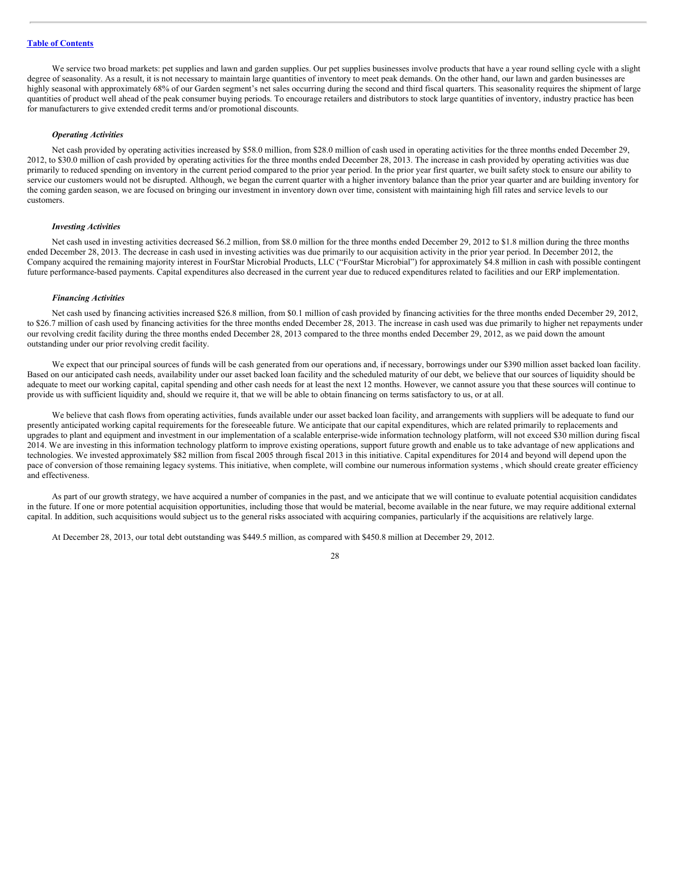We service two broad markets: pet supplies and lawn and garden supplies. Our pet supplies businesses involve products that have a year round selling cycle with a slight degree of seasonality. As a result, it is not necessary to maintain large quantities of inventory to meet peak demands. On the other hand, our lawn and garden businesses are highly seasonal with approximately 68% of our Garden segment's net sales occurring during the second and third fiscal quarters. This seasonality requires the shipment of large quantities of product well ahead of the peak consumer buying periods. To encourage retailers and distributors to stock large quantities of inventory, industry practice has been for manufacturers to give extended credit terms and/or promotional discounts.

#### *Operating Activities*

Net cash provided by operating activities increased by \$58.0 million, from \$28.0 million of cash used in operating activities for the three months ended December 29, 2012, to \$30.0 million of cash provided by operating activities for the three months ended December 28, 2013. The increase in cash provided by operating activities was due primarily to reduced spending on inventory in the current period compared to the prior year period. In the prior year first quarter, we built safety stock to ensure our ability to service our customers would not be disrupted. Although, we began the current quarter with a higher inventory balance than the prior year quarter and are building inventory for the coming garden season, we are focused on bringing our investment in inventory down over time, consistent with maintaining high fill rates and service levels to our customers.

#### *Investing Activities*

Net cash used in investing activities decreased \$6.2 million, from \$8.0 million for the three months ended December 29, 2012 to \$1.8 million during the three months ended December 28, 2013. The decrease in cash used in investing activities was due primarily to our acquisition activity in the prior year period. In December 2012, the Company acquired the remaining majority interest in FourStar Microbial Products, LLC ("FourStar Microbial") for approximately \$4.8 million in cash with possible contingent future performance-based payments. Capital expenditures also decreased in the current year due to reduced expenditures related to facilities and our ERP implementation.

#### *Financing Activities*

Net cash used by financing activities increased \$26.8 million, from \$0.1 million of cash provided by financing activities for the three months ended December 29, 2012, to \$26.7 million of cash used by financing activities for the three months ended December 28, 2013. The increase in cash used was due primarily to higher net repayments under our revolving credit facility during the three months ended December 28, 2013 compared to the three months ended December 29, 2012, as we paid down the amount outstanding under our prior revolving credit facility.

We expect that our principal sources of funds will be cash generated from our operations and, if necessary, borrowings under our \$390 million asset backed loan facility. Based on our anticipated cash needs, availability under our asset backed loan facility and the scheduled maturity of our debt, we believe that our sources of liquidity should be adequate to meet our working capital, capital spending and other cash needs for at least the next 12 months. However, we cannot assure you that these sources will continue to provide us with sufficient liquidity and, should we require it, that we will be able to obtain financing on terms satisfactory to us, or at all.

We believe that cash flows from operating activities, funds available under our asset backed loan facility, and arrangements with suppliers will be adequate to fund our presently anticipated working capital requirements for the foreseeable future. We anticipate that our capital expenditures, which are related primarily to replacements and upgrades to plant and equipment and investment in our implementation of a scalable enterprise-wide information technology platform, will not exceed \$30 million during fiscal 2014. We are investing in this information technology platform to improve existing operations, support future growth and enable us to take advantage of new applications and technologies. We invested approximately \$82 million from fiscal 2005 through fiscal 2013 in this initiative. Capital expenditures for 2014 and beyond will depend upon the pace of conversion of those remaining legacy systems. This initiative, when complete, will combine our numerous information systems , which should create greater efficiency and effectiveness.

As part of our growth strategy, we have acquired a number of companies in the past, and we anticipate that we will continue to evaluate potential acquisition candidates in the future. If one or more potential acquisition opportunities, including those that would be material, become available in the near future, we may require additional external capital. In addition, such acquisitions would subject us to the general risks associated with acquiring companies, particularly if the acquisitions are relatively large.

28

At December 28, 2013, our total debt outstanding was \$449.5 million, as compared with \$450.8 million at December 29, 2012.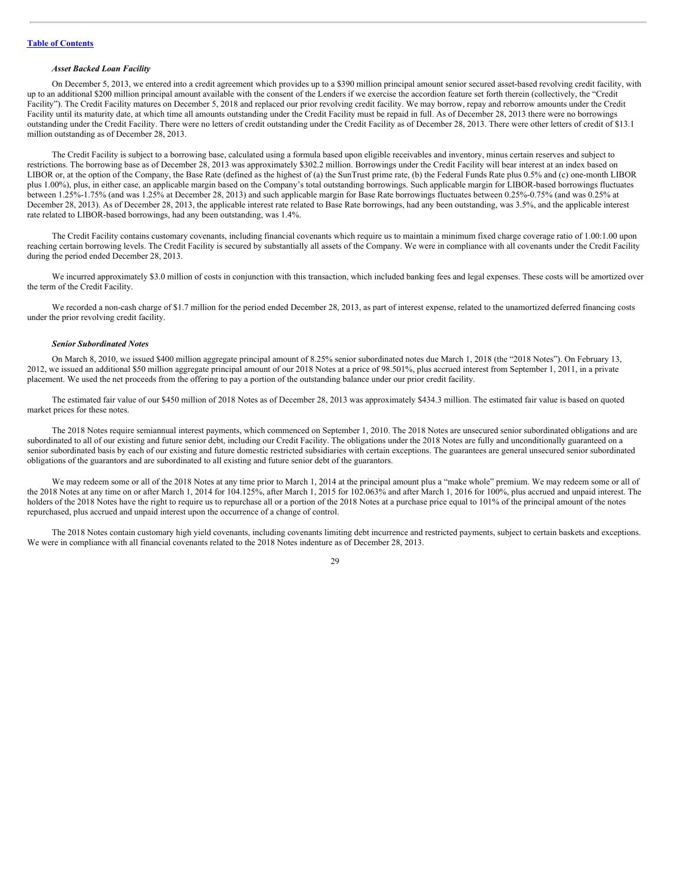#### *Asset Backed Loan Facility*

On December 5, 2013, we entered into a credit agreement which provides up to a \$390 million principal amount senior secured asset-based revolving credit facility, with up to an additional \$200 million principal amount available with the consent of the Lenders if we exercise the accordion feature set forth therein (collectively, the "Credit Facility"). The Credit Facility matures on December 5, 2018 and replaced our prior revolving credit facility. We may borrow, repay and reborrow amounts under the Credit Facility until its maturity date, at which time all amounts outstanding under the Credit Facility must be repaid in full. As of December 28, 2013 there were no borrowings outstanding under the Credit Facility. There were no letters of credit outstanding under the Credit Facility as of December 28, 2013. There were other letters of credit of \$13.1 million outstanding as of December 28, 2013.

The Credit Facility is subject to a borrowing base, calculated using a formula based upon eligible receivables and inventory, minus certain reserves and subject to restrictions. The borrowing base as of December 28, 2013 was approximately \$302.2 million. Borrowings under the Credit Facility will bear interest at an index based on LIBOR or, at the option of the Company, the Base Rate (defined as the highest of (a) the SunTrust prime rate, (b) the Federal Funds Rate plus 0.5% and (c) one-month LIBOR plus 1.00%), plus, in either case, an applicable margin based on the Company's total outstanding borrowings. Such applicable margin for LIBOR-based borrowings fluctuates between 1.25%-1.75% (and was 1.25% at December 28, 2013) and such applicable margin for Base Rate borrowings fluctuates between 0.25%-0.75% (and was 0.25% at December 28, 2013). As of December 28, 2013, the applicable interest rate related to Base Rate borrowings, had any been outstanding, was 3.5%, and the applicable interest rate related to LIBOR-based borrowings, had any been outstanding, was 1.4%.

The Credit Facility contains customary covenants, including financial covenants which require us to maintain a minimum fixed charge coverage ratio of 1.00:1.00 upon reaching certain borrowing levels. The Credit Facility is secured by substantially all assets of the Company. We were in compliance with all covenants under the Credit Facility during the period ended December 28, 2013.

We incurred approximately \$3.0 million of costs in conjunction with this transaction, which included banking fees and legal expenses. These costs will be amortized over the term of the Credit Facility.

We recorded a non-cash charge of \$1.7 million for the period ended December 28, 2013, as part of interest expense, related to the unamortized deferred financing costs under the prior revolving credit facility.

#### *Senior Subordinated Notes*

On March 8, 2010, we issued \$400 million aggregate principal amount of 8.25% senior subordinated notes due March 1, 2018 (the "2018 Notes"). On February 13, 2012, we issued an additional \$50 million aggregate principal amount of our 2018 Notes at a price of 98.501%, plus accrued interest from September 1, 2011, in a private placement. We used the net proceeds from the offering to pay a portion of the outstanding balance under our prior credit facility.

The estimated fair value of our \$450 million of 2018 Notes as of December 28, 2013 was approximately \$434.3 million. The estimated fair value is based on quoted market prices for these notes.

The 2018 Notes require semiannual interest payments, which commenced on September 1, 2010. The 2018 Notes are unsecured senior subordinated obligations and are subordinated to all of our existing and future senior debt, including our Credit Facility. The obligations under the 2018 Notes are fully and unconditionally guaranteed on a senior subordinated basis by each of our existing and future domestic restricted subsidiaries with certain exceptions. The guarantees are general unsecured senior subordinated obligations of the guarantors and are subordinated to all existing and future senior debt of the guarantors.

We may redeem some or all of the 2018 Notes at any time prior to March 1, 2014 at the principal amount plus a "make whole" premium. We may redeem some or all of the 2018 Notes at any time on or after March 1, 2014 for 104.125%, after March 1, 2015 for 102.063% and after March 1, 2016 for 100%, plus accrued and unpaid interest. The holders of the 2018 Notes have the right to require us to repurchase all or a portion of the 2018 Notes at a purchase price equal to 101% of the principal amount of the notes repurchased, plus accrued and unpaid interest upon the occurrence of a change of control.

The 2018 Notes contain customary high yield covenants, including covenants limiting debt incurrence and restricted payments, subject to certain baskets and exceptions. We were in compliance with all financial covenants related to the 2018 Notes indenture as of December 28, 2013.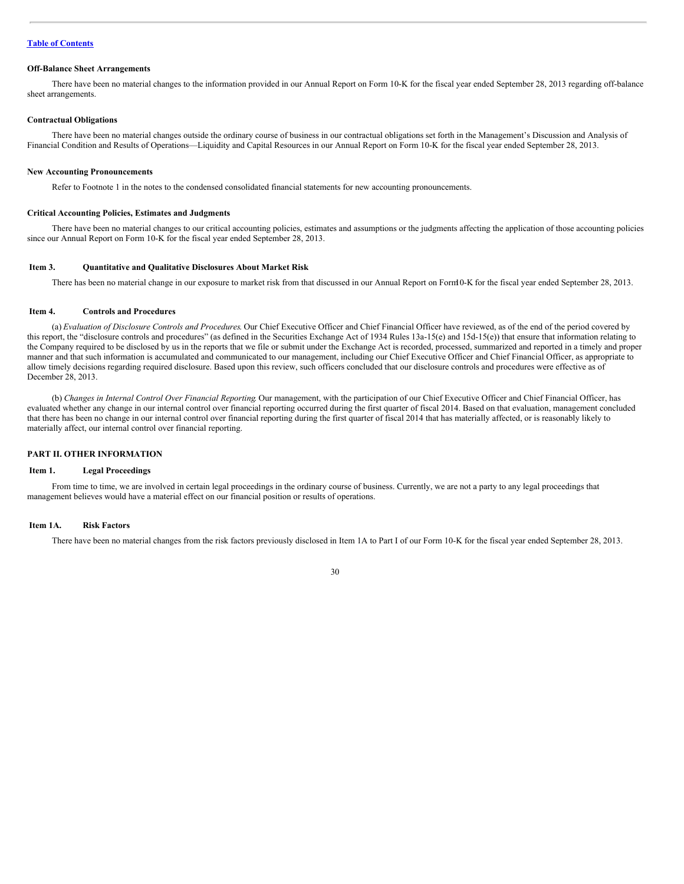#### **Off-Balance Sheet Arrangements**

There have been no material changes to the information provided in our Annual Report on Form 10-K for the fiscal year ended September 28, 2013 regarding off-balance sheet arrangements.

#### **Contractual Obligations**

There have been no material changes outside the ordinary course of business in our contractual obligations set forth in the Management's Discussion and Analysis of Financial Condition and Results of Operations—Liquidity and Capital Resources in our Annual Report on Form 10-K for the fiscal year ended September 28, 2013.

#### **New Accounting Pronouncements**

Refer to Footnote 1 in the notes to the condensed consolidated financial statements for new accounting pronouncements.

# **Critical Accounting Policies, Estimates and Judgments**

There have been no material changes to our critical accounting policies, estimates and assumptions or the judgments affecting the application of those accounting policies since our Annual Report on Form 10-K for the fiscal year ended September 28, 2013.

#### <span id="page-29-0"></span>**Item 3. Quantitative and Qualitative Disclosures About Market Risk**

There has been no material change in our exposure to market risk from that discussed in our Annual Report on Form10-K for the fiscal year ended September 28, 2013.

#### <span id="page-29-1"></span>**Item 4. Controls and Procedures**

(a) *Evaluation of Disclosure Controls and Procedures*. Our Chief Executive Officer and Chief Financial Officer have reviewed, as of the end of the period covered by this report, the "disclosure controls and procedures" (as defined in the Securities Exchange Act of 1934 Rules 13a-15(e) and 15d-15(e)) that ensure that information relating to the Company required to be disclosed by us in the reports that we file or submit under the Exchange Act is recorded, processed, summarized and reported in a timely and proper manner and that such information is accumulated and communicated to our management, including our Chief Executive Officer and Chief Financial Officer, as appropriate to allow timely decisions regarding required disclosure. Based upon this review, such officers concluded that our disclosure controls and procedures were effective as of December 28, 2013.

(b) *Changes in Internal Control Over Financial Reporting*. Our management, with the participation of our Chief Executive Officer and Chief Financial Officer, has evaluated whether any change in our internal control over financial reporting occurred during the first quarter of fiscal 2014. Based on that evaluation, management concluded that there has been no change in our internal control over financial reporting during the first quarter of fiscal 2014 that has materially affected, or is reasonably likely to materially affect, our internal control over financial reporting.

# **PART II. OTHER INFORMATION**

# <span id="page-29-2"></span>**Item 1. Legal Proceedings**

From time to time, we are involved in certain legal proceedings in the ordinary course of business. Currently, we are not a party to any legal proceedings that management believes would have a material effect on our financial position or results of operations.

#### <span id="page-29-3"></span>**Item 1A. Risk Factors**

There have been no material changes from the risk factors previously disclosed in Item 1A to Part I of our Form 10-K for the fiscal year ended September 28, 2013.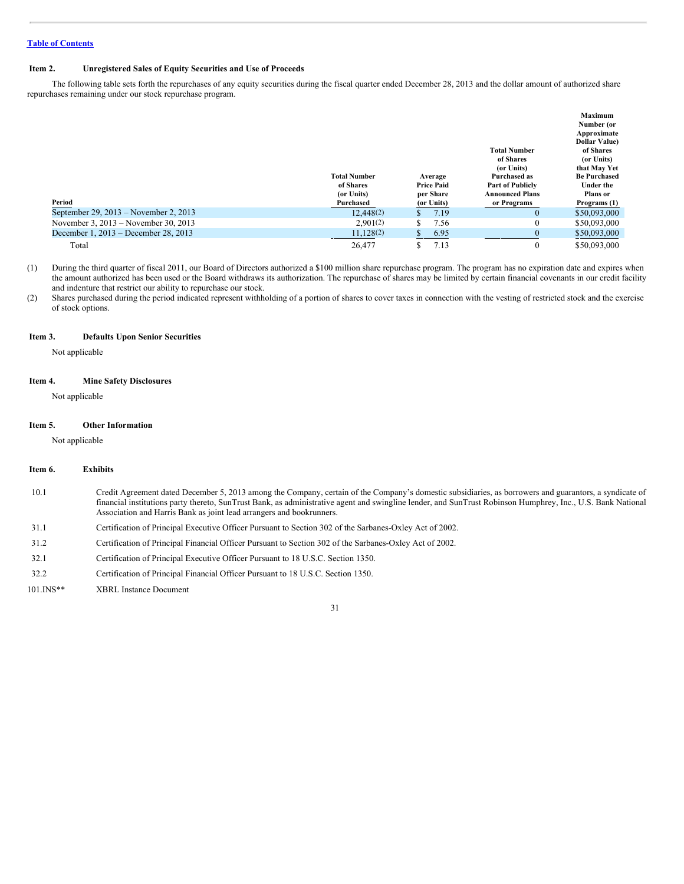# <span id="page-30-0"></span>**Item 2. Unregistered Sales of Equity Securities and Use of Proceeds**

The following table sets forth the repurchases of any equity securities during the fiscal quarter ended December 28, 2013 and the dollar amount of authorized share repurchases remaining under our stock repurchase program.

|                                       | <b>Total Number</b><br>of Shares<br>(or Units) | Average<br><b>Price Paid</b><br>per Share | <b>Total Number</b><br>of Shares<br>(or Units)<br><b>Purchased as</b><br><b>Part of Publicly</b><br><b>Announced Plans</b> | Maximum<br>Number (or<br>Approximate<br><b>Dollar Value</b> )<br>of Shares<br>(or Units)<br>that May Yet<br><b>Be Purchased</b><br>Under the<br><b>Plans or</b> |
|---------------------------------------|------------------------------------------------|-------------------------------------------|----------------------------------------------------------------------------------------------------------------------------|-----------------------------------------------------------------------------------------------------------------------------------------------------------------|
| Period                                | Purchased                                      | (or Units)                                | or Programs                                                                                                                | Programs (1)                                                                                                                                                    |
| September 29, 2013 – November 2, 2013 | 12,448(2)                                      | 7.19<br>\$                                | $\theta$                                                                                                                   | \$50,093,000                                                                                                                                                    |
| November 3, 2013 – November 30, 2013  | 2,901(2)                                       | 7.56<br>S.                                | $\theta$                                                                                                                   | \$50,093,000                                                                                                                                                    |
| December 1, 2013 – December 28, 2013  | 11,128(2)                                      | 6.95<br>\$                                |                                                                                                                            | \$50,093,000                                                                                                                                                    |
| Total                                 | 26,477                                         | 7.13                                      |                                                                                                                            | \$50,093,000                                                                                                                                                    |

(1) During the third quarter of fiscal 2011, our Board of Directors authorized a \$100 million share repurchase program. The program has no expiration date and expires when the amount authorized has been used or the Board withdraws its authorization. The repurchase of shares may be limited by certain financial covenants in our credit facility and indenture that restrict our ability to repurchase our stock.

(2) Shares purchased during the period indicated represent withholding of a portion of shares to cover taxes in connection with the vesting of restricted stock and the exercise of stock options.

#### <span id="page-30-1"></span>**Item 3. Defaults Upon Senior Securities**

Not applicable

# <span id="page-30-2"></span>**Item 4. Mine Safety Disclosures**

Not applicable

#### <span id="page-30-3"></span>**Item 5. Other Information**

Not applicable

#### <span id="page-30-4"></span>**Item 6. Exhibits**

- 10.1 Credit Agreement dated December 5, 2013 among the Company, certain of the Company's domestic subsidiaries, as borrowers and guarantors, a syndicate of financial institutions party thereto, SunTrust Bank, as administrative agent and swingline lender, and SunTrust Robinson Humphrey, Inc., U.S. Bank National Association and Harris Bank as joint lead arrangers and bookrunners.
- 31.1 Certification of Principal Executive Officer Pursuant to Section 302 of the Sarbanes-Oxley Act of 2002.
- 31.2 Certification of Principal Financial Officer Pursuant to Section 302 of the Sarbanes-Oxley Act of 2002.
- 32.1 Certification of Principal Executive Officer Pursuant to 18 U.S.C. Section 1350.
- 32.2 Certification of Principal Financial Officer Pursuant to 18 U.S.C. Section 1350.
- 101.INS\*\* XBRL Instance Document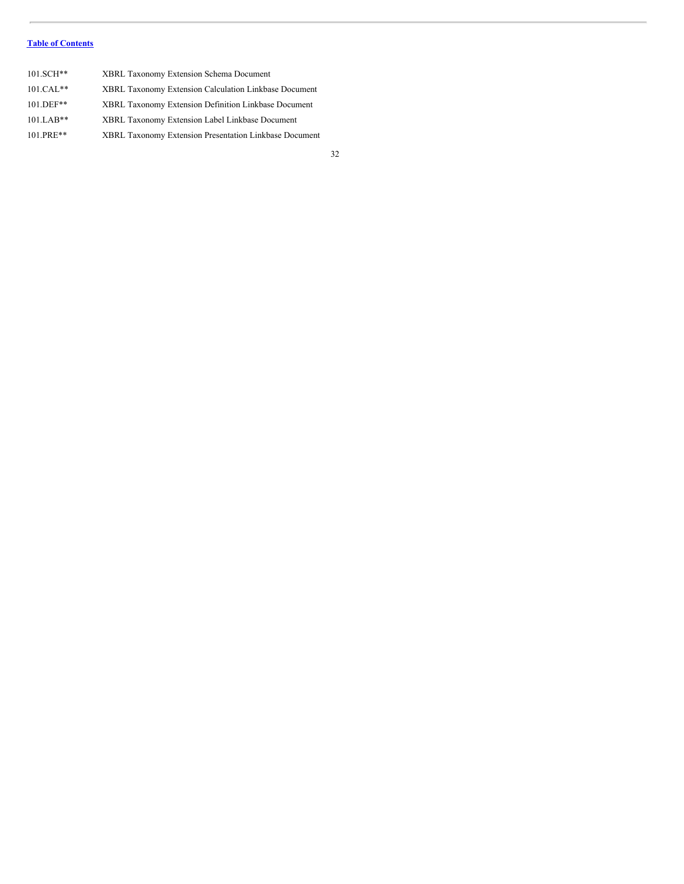| 101.SCH**   | <b>XBRL Taxonomy Extension Schema Document</b>         |
|-------------|--------------------------------------------------------|
| 101.CAL**   | XBRL Taxonomy Extension Calculation Linkbase Document  |
| 101.DEF**   | XBRL Taxonomy Extension Definition Linkbase Document   |
| $101.LAB**$ | XBRL Taxonomy Extension Label Linkbase Document        |
| 101.PRE**   | XBRL Taxonomy Extension Presentation Linkbase Document |
|             |                                                        |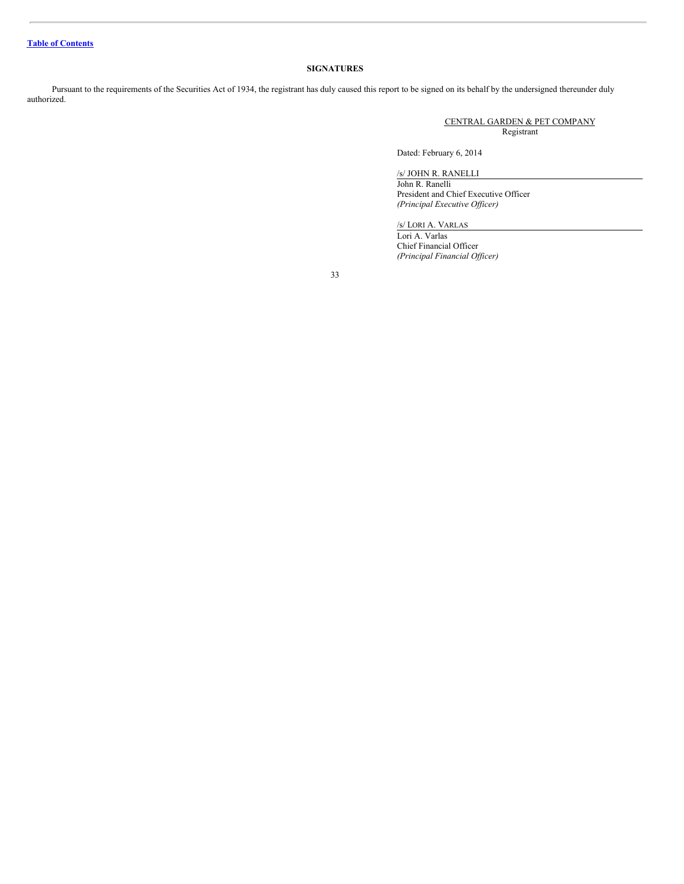# **SIGNATURES**

Pursuant to the requirements of the Securities Act of 1934, the registrant has duly caused this report to be signed on its behalf by the undersigned thereunder duly authorized.

> CENTRAL GARDEN & PET COMPANY Registrant

Dated: February 6, 2014

/s/ JOHN R. RANELLI

John R. Ranelli President and Chief Executive Officer *(Principal Executive Of icer)*

/s/ LORI A. VARLAS

Lori A. Varlas Chief Financial Officer *(Principal Financial Of icer)*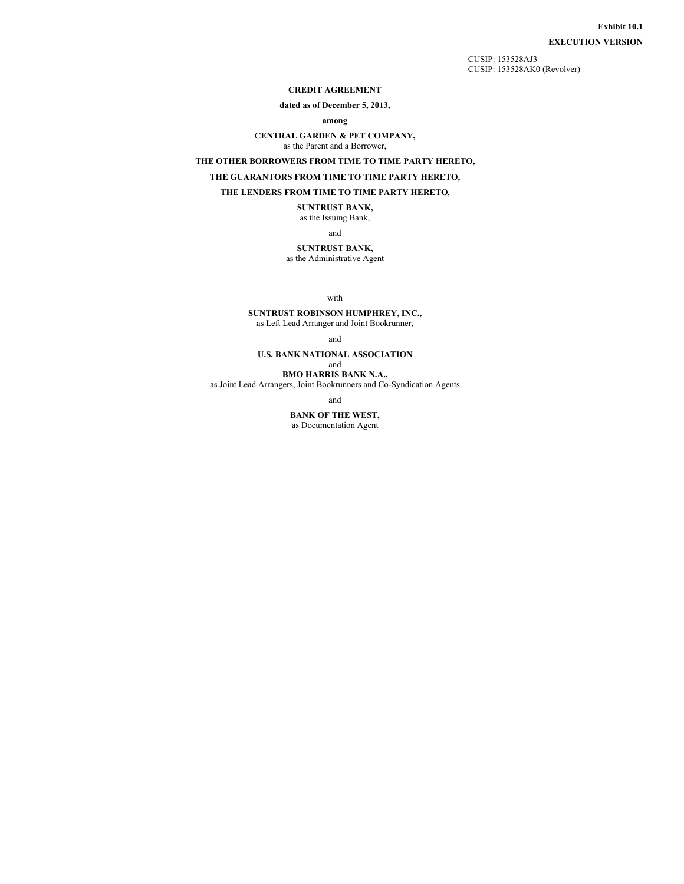**Exhibit 10.1 EXECUTION VERSION**

CUSIP: 153528AJ3 CUSIP: 153528AK0 (Revolver)

# **CREDIT AGREEMENT**

# **dated as of December 5, 2013,**

**among**

**CENTRAL GARDEN & PET COMPANY,** as the Parent and a Borrower,

**THE OTHER BORROWERS FROM TIME TO TIME PARTY HERETO,**

# **THE GUARANTORS FROM TIME TO TIME PARTY HERETO,**

# **THE LENDERS FROM TIME TO TIME PARTY HERETO**,

**SUNTRUST BANK,** as the Issuing Bank,

and

# **SUNTRUST BANK,** as the Administrative Agent

with

**SUNTRUST ROBINSON HUMPHREY, INC.,** as Left Lead Arranger and Joint Bookrunner,

and

# **U.S. BANK NATIONAL ASSOCIATION**

and **BMO HARRIS BANK N.A.,** as Joint Lead Arrangers, Joint Bookrunners and Co-Syndication Agents

and

**BANK OF THE WEST,** as Documentation Agent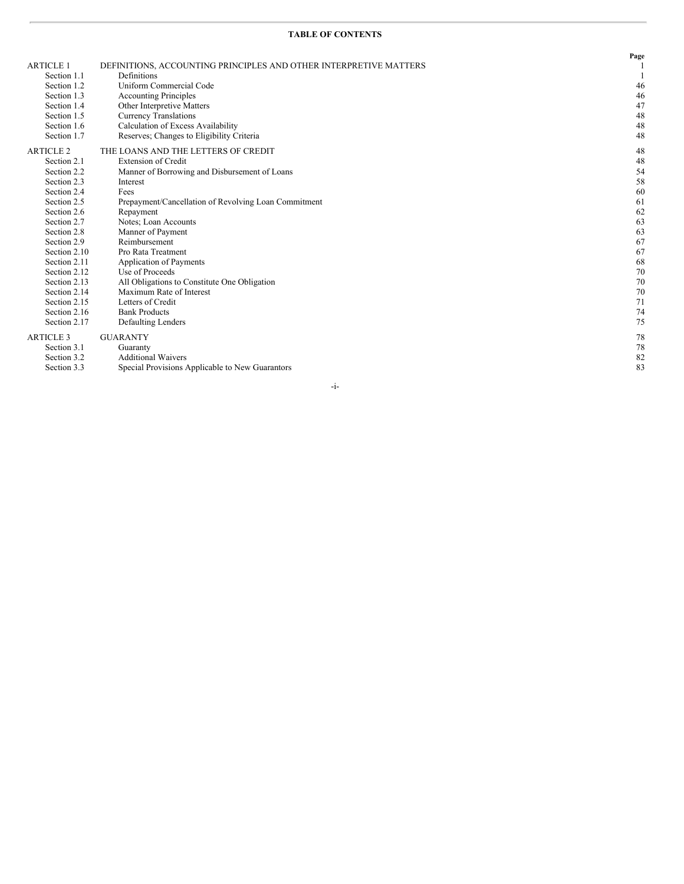#### **TABLE OF CONTENTS**

|                  |                                                                   | Page |
|------------------|-------------------------------------------------------------------|------|
| <b>ARTICLE 1</b> | DEFINITIONS, ACCOUNTING PRINCIPLES AND OTHER INTERPRETIVE MATTERS |      |
| Section 1.1      | Definitions                                                       |      |
| Section 1.2      | Uniform Commercial Code                                           | 46   |
| Section 1.3      | <b>Accounting Principles</b>                                      | 46   |
| Section 1.4      | Other Interpretive Matters                                        | 47   |
| Section 1.5      | <b>Currency Translations</b>                                      | 48   |
| Section 1.6      | Calculation of Excess Availability                                | 48   |
| Section 1.7      | Reserves; Changes to Eligibility Criteria                         | 48   |
| <b>ARTICLE 2</b> | THE LOANS AND THE LETTERS OF CREDIT                               | 48   |
| Section 2.1      | <b>Extension of Credit</b>                                        | 48   |
| Section 2.2      | Manner of Borrowing and Disbursement of Loans                     | 54   |
| Section 2.3      | Interest                                                          | 58   |
| Section 2.4      | Fees                                                              | 60   |
| Section 2.5      | Prepayment/Cancellation of Revolving Loan Commitment              | 61   |
| Section 2.6      | Repayment                                                         | 62   |
| Section 2.7      | Notes; Loan Accounts                                              | 63   |
| Section 2.8      | Manner of Payment                                                 | 63   |
| Section 2.9      | Reimbursement                                                     | 67   |
| Section 2.10     | Pro Rata Treatment                                                | 67   |
| Section 2.11     | Application of Payments                                           | 68   |
| Section 2.12     | Use of Proceeds                                                   | 70   |
| Section 2.13     | All Obligations to Constitute One Obligation                      | 70   |
| Section 2.14     | Maximum Rate of Interest                                          | 70   |
| Section 2.15     | Letters of Credit                                                 | 71   |
| Section 2.16     | <b>Bank Products</b>                                              | 74   |
| Section 2.17     | Defaulting Lenders                                                | 75   |
| <b>ARTICLE 3</b> | <b>GUARANTY</b>                                                   | 78   |
| Section 3.1      | Guaranty                                                          | 78   |
| Section 3.2      | <b>Additional Waivers</b>                                         | 82   |
| Section 3.3      | Special Provisions Applicable to New Guarantors                   | 83   |

- i -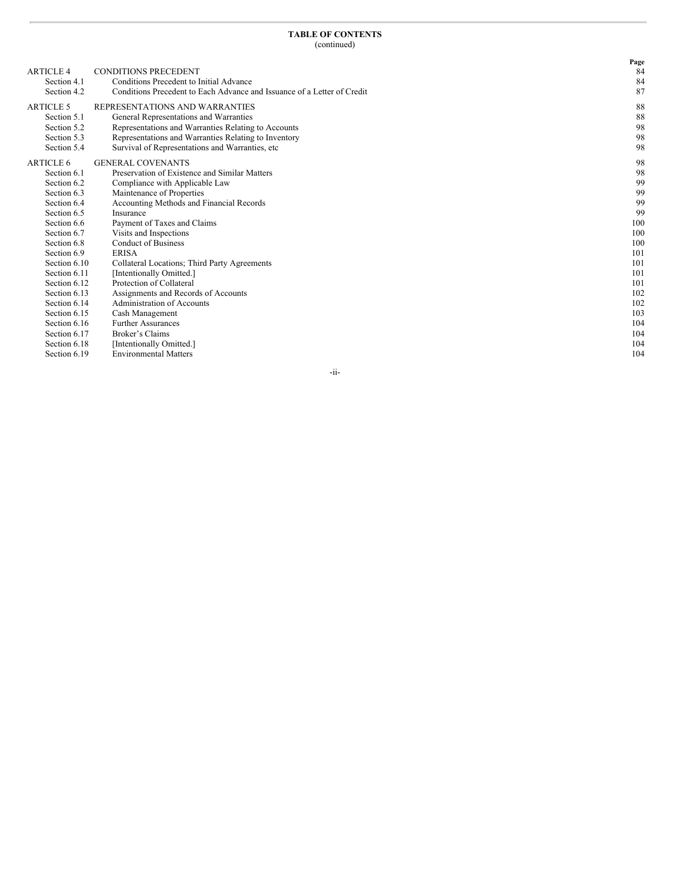| <b>ARTICLE 4</b> | <b>CONDITIONS PRECEDENT</b>                                             | Page<br>84 |
|------------------|-------------------------------------------------------------------------|------------|
| Section 4.1      | Conditions Precedent to Initial Advance                                 | 84         |
| Section 4.2      | Conditions Precedent to Each Advance and Issuance of a Letter of Credit | 87         |
|                  |                                                                         |            |
| <b>ARTICLE 5</b> | REPRESENTATIONS AND WARRANTIES                                          | 88         |
| Section 5.1      | General Representations and Warranties                                  | 88         |
| Section 5.2      | Representations and Warranties Relating to Accounts                     | 98         |
| Section 5.3      | Representations and Warranties Relating to Inventory                    | 98         |
| Section 5.4      | Survival of Representations and Warranties, etc.                        | 98         |
| <b>ARTICLE 6</b> | <b>GENERAL COVENANTS</b>                                                | 98         |
| Section 6.1      | Preservation of Existence and Similar Matters                           | 98         |
| Section 6.2      | Compliance with Applicable Law                                          | 99         |
| Section 6.3      | Maintenance of Properties                                               | 99         |
| Section 6.4      | Accounting Methods and Financial Records                                | 99         |
| Section 6.5      | Insurance                                                               | 99         |
| Section 6.6      | Payment of Taxes and Claims                                             | 100        |
| Section 6.7      | Visits and Inspections                                                  | 100        |
| Section 6.8      | <b>Conduct of Business</b>                                              | 100        |
| Section 6.9      | <b>ERISA</b>                                                            | 101        |
| Section 6.10     | Collateral Locations; Third Party Agreements                            | 101        |
| Section 6.11     | [Intentionally Omitted.]                                                | 101        |
| Section 6.12     | Protection of Collateral                                                | 101        |
| Section 6.13     | Assignments and Records of Accounts                                     | 102        |
| Section 6.14     | Administration of Accounts                                              | 102        |
| Section 6.15     | Cash Management                                                         | 103        |
| Section 6.16     | <b>Further Assurances</b>                                               | 104        |
| Section 6.17     | Broker's Claims                                                         | 104        |
| Section 6.18     | [Intentionally Omitted.]                                                | 104        |
| Section 6.19     | <b>Environmental Matters</b>                                            | 104        |

- i i -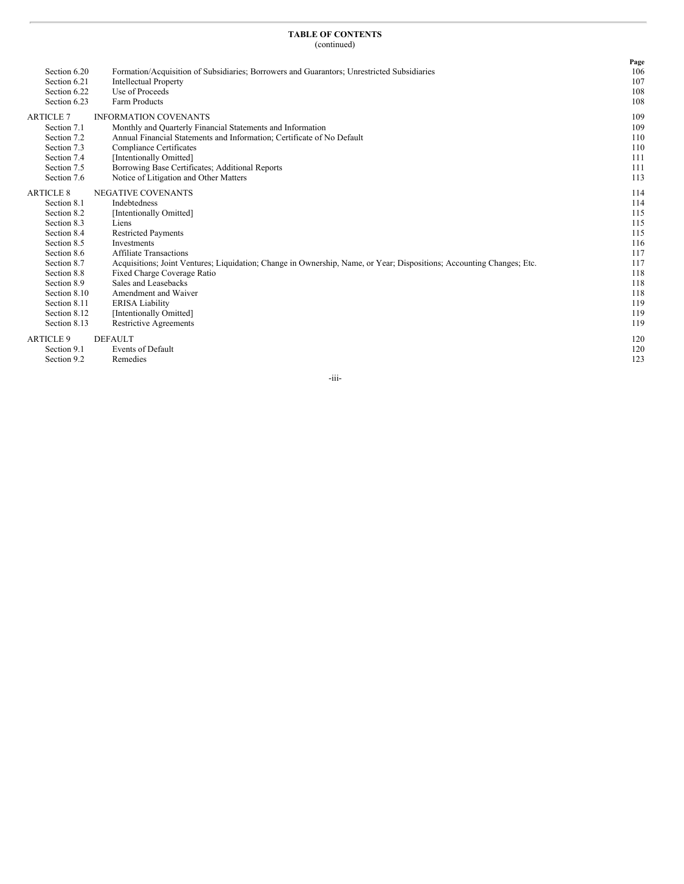## **TABLE OF CONTENTS** (continued)

| Section 6.20<br>Section 6.21<br>Section 6.22<br>Section 6.23 | Formation/Acquisition of Subsidiaries; Borrowers and Guarantors; Unrestricted Subsidiaries<br><b>Intellectual Property</b><br>Use of Proceeds<br>Farm Products | Page<br>106<br>107<br>108<br>108 |
|--------------------------------------------------------------|----------------------------------------------------------------------------------------------------------------------------------------------------------------|----------------------------------|
| <b>ARTICLE 7</b>                                             | <b>INFORMATION COVENANTS</b>                                                                                                                                   | 109                              |
| Section 7.1                                                  | Monthly and Quarterly Financial Statements and Information                                                                                                     | 109                              |
| Section 7.2                                                  | Annual Financial Statements and Information; Certificate of No Default                                                                                         | 110                              |
| Section 7.3                                                  | Compliance Certificates                                                                                                                                        | 110                              |
| Section 7.4                                                  | [Intentionally Omitted]                                                                                                                                        | 111                              |
| Section 7.5                                                  | Borrowing Base Certificates; Additional Reports                                                                                                                | 111                              |
| Section 7.6                                                  | Notice of Litigation and Other Matters                                                                                                                         | 113                              |
| <b>ARTICLE 8</b>                                             | <b>NEGATIVE COVENANTS</b>                                                                                                                                      | 114                              |
| Section 8.1                                                  | Indebtedness                                                                                                                                                   | 114                              |
| Section 8.2                                                  | [Intentionally Omitted]                                                                                                                                        | 115                              |
| Section 8.3                                                  | Liens                                                                                                                                                          | 115                              |
| Section 8.4                                                  | <b>Restricted Payments</b>                                                                                                                                     | 115                              |
| Section 8.5                                                  | <b>Investments</b>                                                                                                                                             | 116                              |
| Section 8.6                                                  | <b>Affiliate Transactions</b>                                                                                                                                  | 117                              |
| Section 8.7                                                  | Acquisitions; Joint Ventures; Liquidation; Change in Ownership, Name, or Year; Dispositions; Accounting Changes; Etc.                                          | 117                              |
| Section 8.8                                                  | Fixed Charge Coverage Ratio                                                                                                                                    | 118                              |
| Section 8.9                                                  | Sales and Leasebacks                                                                                                                                           | 118                              |
| Section 8.10                                                 | Amendment and Waiver                                                                                                                                           | 118                              |
| Section 8.11                                                 | <b>ERISA</b> Liability                                                                                                                                         | 119                              |
| Section 8.12                                                 | [Intentionally Omitted]                                                                                                                                        | 119                              |
| Section 8.13                                                 | <b>Restrictive Agreements</b>                                                                                                                                  | 119                              |
| ARTICLE 9                                                    | <b>DEFAULT</b>                                                                                                                                                 | 120                              |
| Section 9.1                                                  | <b>Events of Default</b>                                                                                                                                       | 120                              |
| Section 9.2                                                  | Remedies                                                                                                                                                       | 123                              |

-iii-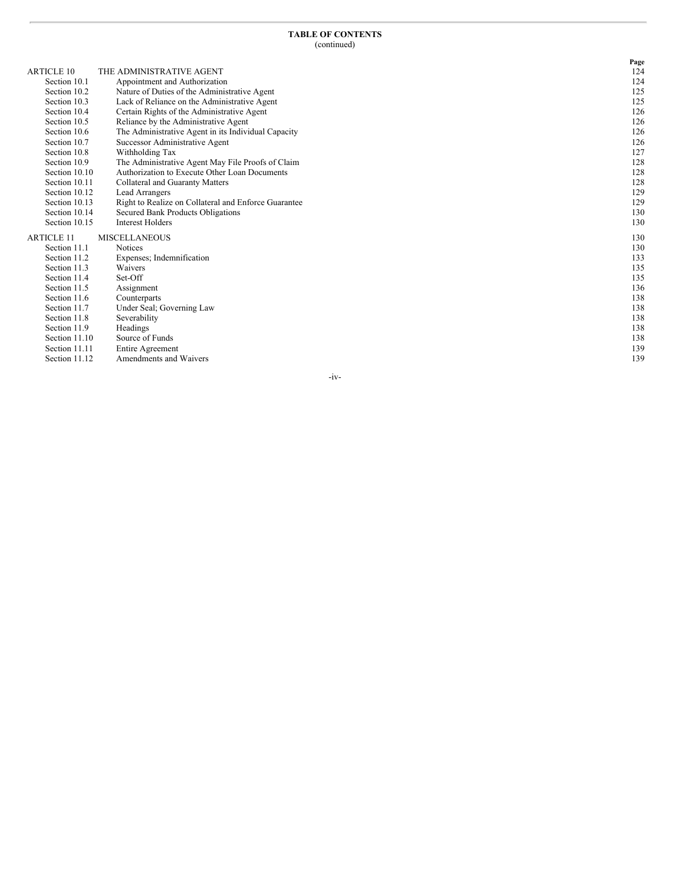|               |                                                      | Page |
|---------------|------------------------------------------------------|------|
| ARTICLE 10    | THE ADMINISTRATIVE AGENT                             | 124  |
| Section 10.1  | Appointment and Authorization                        | 124  |
| Section 10.2  | Nature of Duties of the Administrative Agent         | 125  |
| Section 10.3  | Lack of Reliance on the Administrative Agent         | 125  |
| Section 10.4  | Certain Rights of the Administrative Agent           | 126  |
| Section 10.5  | Reliance by the Administrative Agent                 | 126  |
| Section 10.6  | The Administrative Agent in its Individual Capacity  | 126  |
| Section 10.7  | Successor Administrative Agent                       | 126  |
| Section 10.8  | Withholding Tax                                      | 127  |
| Section 10.9  | The Administrative Agent May File Proofs of Claim    | 128  |
| Section 10.10 | Authorization to Execute Other Loan Documents        | 128  |
| Section 10.11 | Collateral and Guaranty Matters                      | 128  |
| Section 10.12 | <b>Lead Arrangers</b>                                | 129  |
| Section 10.13 | Right to Realize on Collateral and Enforce Guarantee | 129  |
| Section 10.14 | <b>Secured Bank Products Obligations</b>             | 130  |
| Section 10.15 | <b>Interest Holders</b>                              | 130  |
| ARTICLE 11    | <b>MISCELLANEOUS</b>                                 | 130  |
| Section 11.1  | <b>Notices</b>                                       | 130  |
| Section 11.2  | Expenses; Indemnification                            | 133  |
| Section 11.3  | Waivers                                              | 135  |
| Section 11.4  | Set-Off                                              | 135  |
| Section 11.5  | Assignment                                           | 136  |
| Section 11.6  | Counterparts                                         | 138  |
| Section 11.7  | Under Seal; Governing Law                            | 138  |
| Section 11.8  | Severability                                         | 138  |
| Section 11.9  | Headings                                             | 138  |
| Section 11.10 | Source of Funds                                      | 138  |
| Section 11.11 | Entire Agreement                                     | 139  |
| Section 11.12 | <b>Amendments and Waivers</b>                        | 139  |
|               |                                                      |      |

| - | r. |  |
|---|----|--|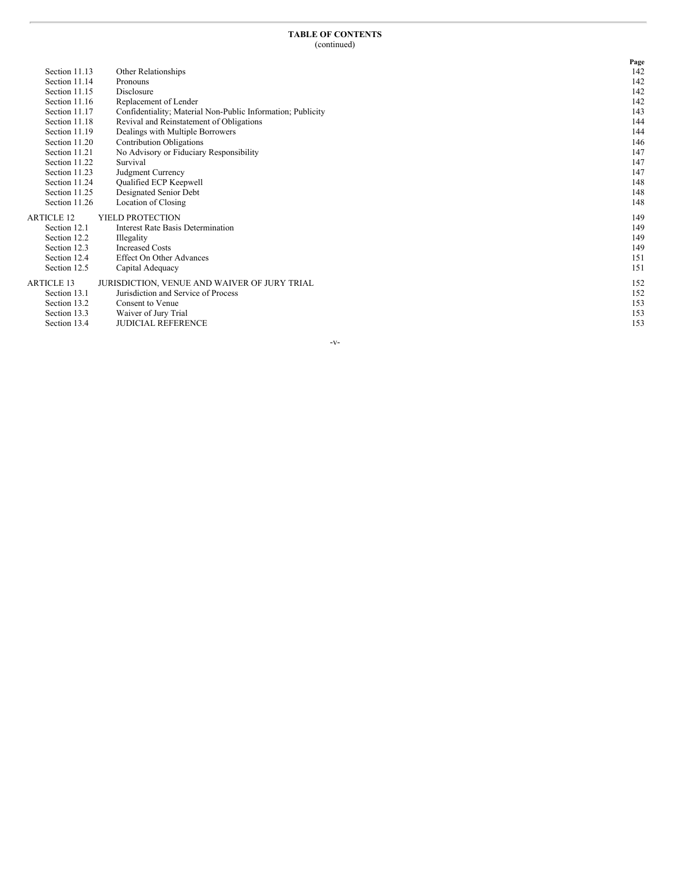|               |                                                             | Page |
|---------------|-------------------------------------------------------------|------|
| Section 11.13 | Other Relationships                                         | 142  |
| Section 11.14 | Pronouns                                                    | 142  |
| Section 11.15 | Disclosure                                                  | 142  |
| Section 11.16 | Replacement of Lender                                       | 142  |
| Section 11.17 | Confidentiality; Material Non-Public Information; Publicity | 143  |
| Section 11.18 | Revival and Reinstatement of Obligations                    | 144  |
| Section 11.19 | Dealings with Multiple Borrowers                            | 144  |
| Section 11.20 | <b>Contribution Obligations</b>                             | 146  |
| Section 11.21 | No Advisory or Fiduciary Responsibility                     | 147  |
| Section 11.22 | Survival                                                    | 147  |
| Section 11.23 | Judgment Currency                                           | 147  |
| Section 11.24 | Qualified ECP Keepwell                                      | 148  |
| Section 11.25 | Designated Senior Debt                                      | 148  |
| Section 11.26 | Location of Closing                                         | 148  |
| ARTICLE 12    | YIELD PROTECTION                                            | 149  |
| Section 12.1  | Interest Rate Basis Determination                           | 149  |
| Section 12.2  | <b>Illegality</b>                                           | 149  |
| Section 12.3  | <b>Increased Costs</b>                                      | 149  |
| Section 12.4  | <b>Effect On Other Advances</b>                             | 151  |
| Section 12.5  | Capital Adequacy                                            | 151  |
| ARTICLE 13    | JURISDICTION, VENUE AND WAIVER OF JURY TRIAL                | 152  |
| Section 13.1  | Jurisdiction and Service of Process                         | 152  |
| Section 13.2  | Consent to Venue                                            | 153  |
| Section 13.3  | Waiver of Jury Trial                                        | 153  |
| Section 13.4  | <b>JUDICIAL REFERENCE</b>                                   | 153  |

- v -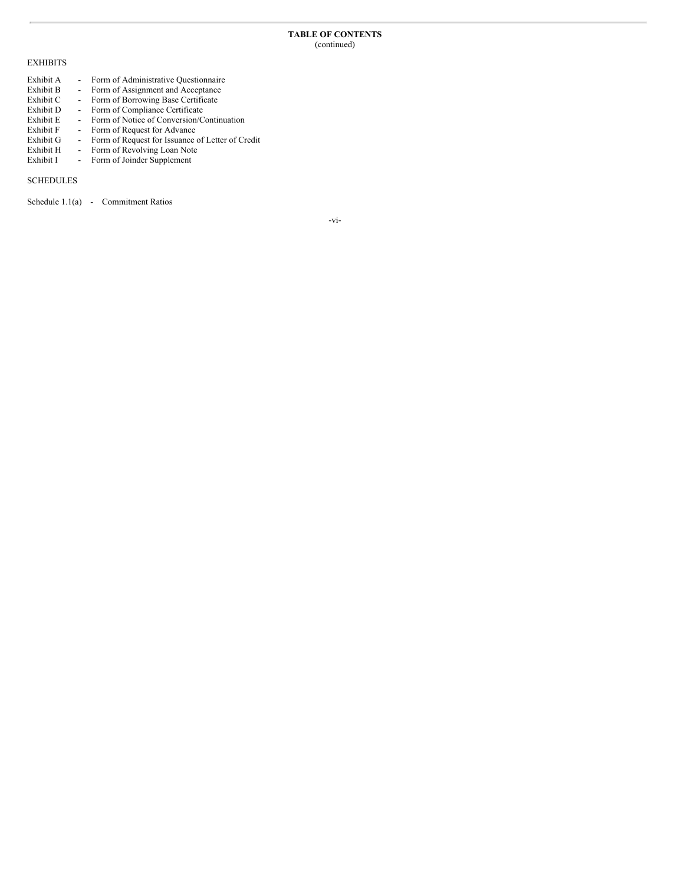### **TABLE OF CONTENTS** (continued)

# EXHIBITS

- Exhibit H Form of Revolving Loan Note
- Exhibit I Form of Joinder Supplement

## SCHEDULES

Schedule 1.1(a) - Commitment Ratios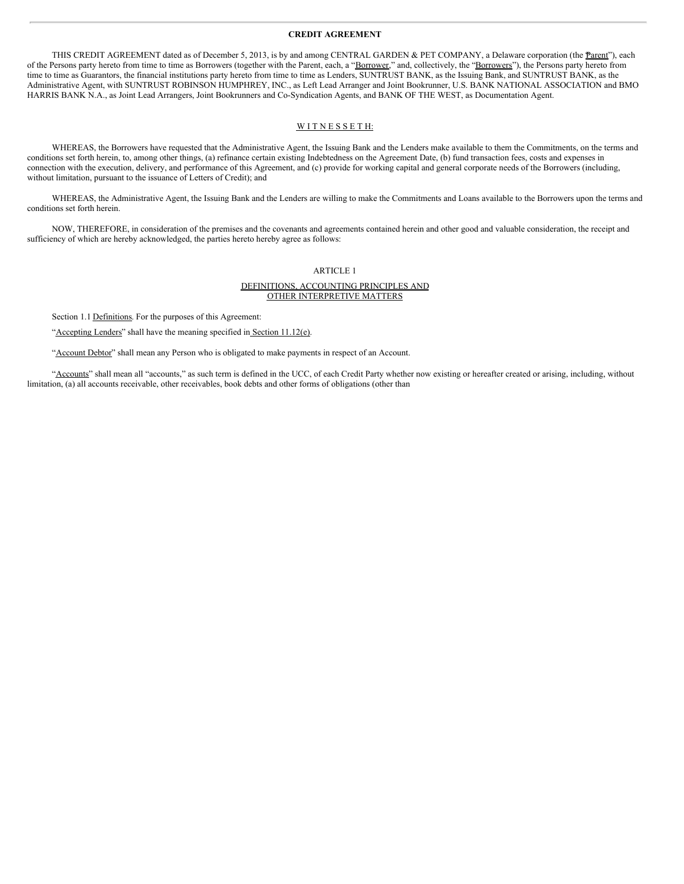### **CREDIT AGREEMENT**

THIS CREDIT AGREEMENT dated as of December 5, 2013, is by and among CENTRAL GARDEN & PET COMPANY, a Delaware corporation (the Parent"), each of the Persons party hereto from time to time as Borrowers (together with the Parent, each, a "Borrower," and, collectively, the "Borrowers"), the Persons party hereto from time to time as Guarantors, the financial institutions party hereto from time to time as Lenders, SUNTRUST BANK, as the Issuing Bank, and SUNTRUST BANK, as the Administrative Agent, with SUNTRUST ROBINSON HUMPHREY, INC., as Left Lead Arranger and Joint Bookrunner, U.S. BANK NATIONAL ASSOCIATION and BMO HARRIS BANK N.A., as Joint Lead Arrangers, Joint Bookrunners and Co-Syndication Agents, and BANK OF THE WEST, as Documentation Agent.

### WITNESSETH:

WHEREAS, the Borrowers have requested that the Administrative Agent, the Issuing Bank and the Lenders make available to them the Commitments, on the terms and conditions set forth herein, to, among other things, (a) refinance certain existing Indebtedness on the Agreement Date, (b) fund transaction fees, costs and expenses in connection with the execution, delivery, and performance of this Agreement, and (c) provide for working capital and general corporate needs of the Borrowers (including, without limitation, pursuant to the issuance of Letters of Credit); and

WHEREAS, the Administrative Agent, the Issuing Bank and the Lenders are willing to make the Commitments and Loans available to the Borrowers upon the terms and conditions set forth herein.

NOW, THEREFORE, in consideration of the premises and the covenants and agreements contained herein and other good and valuable consideration, the receipt and sufficiency of which are hereby acknowledged, the parties hereto hereby agree as follows:

## ARTICLE 1

#### DEFINITIONS, ACCOUNTING PRINCIPLES AND OTHER INTERPRETIVE MATTERS

Section 1.1 Definitions. For the purposes of this Agreement:

"Accepting Lenders" shall have the meaning specified in Section 11.12(e).

"Account Debtor" shall mean any Person who is obligated to make payments in respect of an Account.

"Accounts" shall mean all "accounts," as such term is defined in the UCC, of each Credit Party whether now existing or hereafter created or arising, including, without limitation, (a) all accounts receivable, other receivables, book debts and other forms of obligations (other than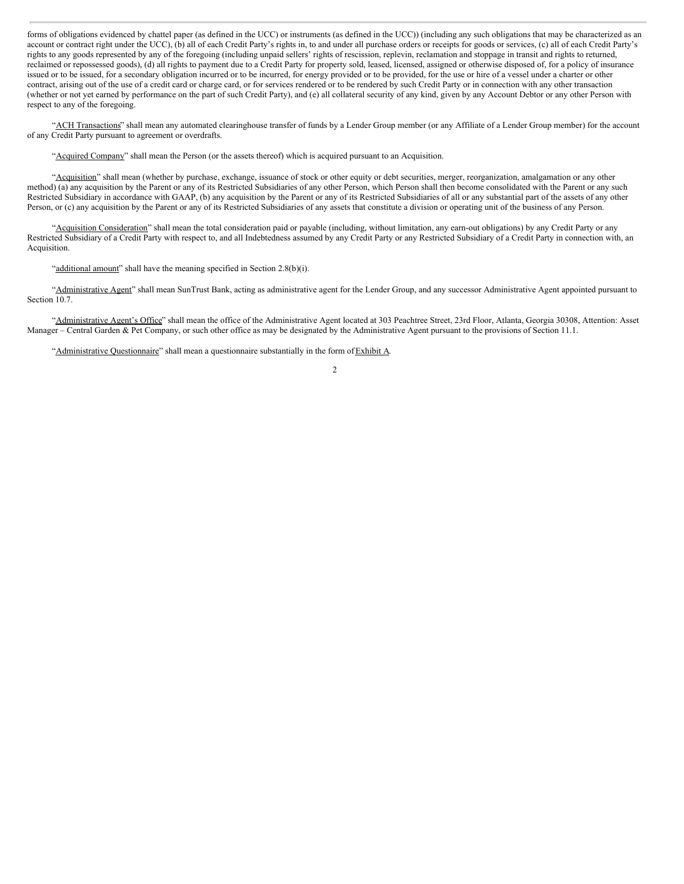forms of obligations evidenced by chattel paper (as defined in the UCC) or instruments (as defined in the UCC)) (including any such obligations that may be characterized as an account or contract right under the UCC), (b) all of each Credit Party's rights in, to and under all purchase orders or receipts for goods or services, (c) all of each Credit Party's rights to any goods represented by any of the foregoing (including unpaid sellers' rights of rescission, replevin, reclamation and stoppage in transit and rights to returned, reclaimed or repossessed goods), (d) all rights to payment due to a Credit Party for property sold, leased, licensed, assigned or otherwise disposed of, for a policy of insurance issued or to be issued, for a secondary obligation incurred or to be incurred, for energy provided or to be provided, for the use or hire of a vessel under a charter or other contract, arising out of the use of a credit card or charge card, or for services rendered or to be rendered by such Credit Party or in connection with any other transaction (whether or not yet earned by performance on the part of such Credit Party), and (e) all collateral security of any kind, given by any Account Debtor or any other Person with respect to any of the foregoing.

"ACH Transactions" shall mean any automated clearinghouse transfer of funds by a Lender Group member (or any Affiliate of a Lender Group member) for the account of any Credit Party pursuant to agreement or overdrafts.

"Acquired Company" shall mean the Person (or the assets thereof) which is acquired pursuant to an Acquisition.

"Acquisition" shall mean (whether by purchase, exchange, issuance of stock or other equity or debt securities, merger, reorganization, amalgamation or any other method) (a) any acquisition by the Parent or any of its Restricted Subsidiaries of any other Person, which Person shall then become consolidated with the Parent or any such Restricted Subsidiary in accordance with GAAP, (b) any acquisition by the Parent or any of its Restricted Subsidiaries of all or any substantial part of the assets of any other Person, or (c) any acquisition by the Parent or any of its Restricted Subsidiaries of any assets that constitute a division or operating unit of the business of any Person.

"Acquisition Consideration" shall mean the total consideration paid or payable (including, without limitation, any earn-out obligations) by any Credit Party or any Restricted Subsidiary of a Credit Party with respect to, and all Indebtedness assumed by any Credit Party or any Restricted Subsidiary of a Credit Party in connection with, an Acquisition.

"additional amount" shall have the meaning specified in Section 2.8(b)(i).

"Administrative Agent" shall mean SunTrust Bank, acting as administrative agent for the Lender Group, and any successor Administrative Agent appointed pursuant to Section 10.7.

"Administrative Agent's Office" shall mean the office of the Administrative Agent located at 303 Peachtree Street, 23rd Floor, Atlanta, Georgia 30308, Attention: Asset Manager – Central Garden & Pet Company, or such other office as may be designated by the Administrative Agent pursuant to the provisions of Section 11.1.

 $\overline{2}$ 

"Administrative Questionnaire" shall mean a questionnaire substantially in the form of Exhibit A.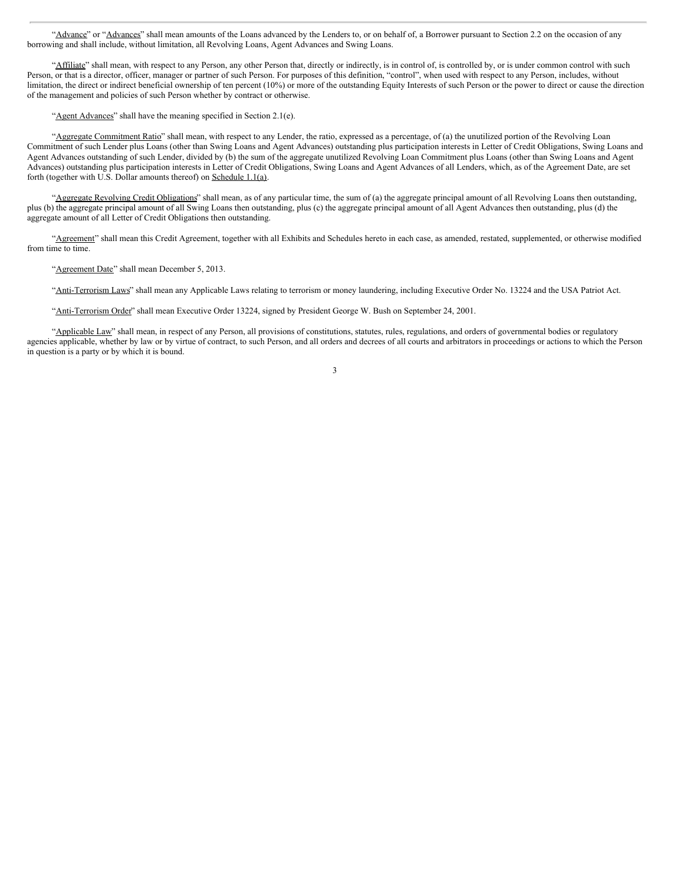"Advance" or "Advances" shall mean amounts of the Loans advanced by the Lenders to, or on behalf of, a Borrower pursuant to Section 2.2 on the occasion of any borrowing and shall include, without limitation, all Revolving Loans, Agent Advances and Swing Loans.

"Affiliate" shall mean, with respect to any Person, any other Person that, directly or indirectly, is in control of, is controlled by, or is under common control with such Person, or that is a director, officer, manager or partner of such Person. For purposes of this definition, "control", when used with respect to any Person, includes, without limitation, the direct or indirect beneficial ownership of ten percent (10%) or more of the outstanding Equity Interests of such Person or the power to direct or cause the direction of the management and policies of such Person whether by contract or otherwise.

"Agent Advances" shall have the meaning specified in Section 2.1(e).

"Aggregate Commitment Ratio" shall mean, with respect to any Lender, the ratio, expressed as a percentage, of (a) the unutilized portion of the Revolving Loan Commitment of such Lender plus Loans (other than Swing Loans and Agent Advances) outstanding plus participation interests in Letter of Credit Obligations, Swing Loans and Agent Advances outstanding of such Lender, divided by (b) the sum of the aggregate unutilized Revolving Loan Commitment plus Loans (other than Swing Loans and Agent Advances) outstanding plus participation interests in Letter of Credit Obligations, Swing Loans and Agent Advances of all Lenders, which, as of the Agreement Date, are set forth (together with U.S. Dollar amounts thereof) on Schedule 1.1(a).

"Aggregate Revolving Credit Obligations" shall mean, as of any particular time, the sum of (a) the aggregate principal amount of all Revolving Loans then outstanding, plus (b) the aggregate principal amount of all Swing Loans then outstanding, plus (c) the aggregate principal amount of all Agent Advances then outstanding, plus (d) the aggregate amount of all Letter of Credit Obligations then outstanding.

"Agreement" shall mean this Credit Agreement, together with all Exhibits and Schedules hereto in each case, as amended, restated, supplemented, or otherwise modified from time to time.

"Agreement Date" shall mean December 5, 2013.

"Anti-Terrorism Laws" shall mean any Applicable Laws relating to terrorism or money laundering, including Executive Order No. 13224 and the USA Patriot Act.

"Anti-Terrorism Order" shall mean Executive Order 13224, signed by President George W. Bush on September 24, 2001.

"Applicable Law" shall mean, in respect of any Person, all provisions of constitutions, statutes, rules, regulations, and orders of governmental bodies or regulatory agencies applicable, whether by law or by virtue of contract, to such Person, and all orders and decrees of all courts and arbitrators in proceedings or actions to which the Person in question is a party or by which it is bound.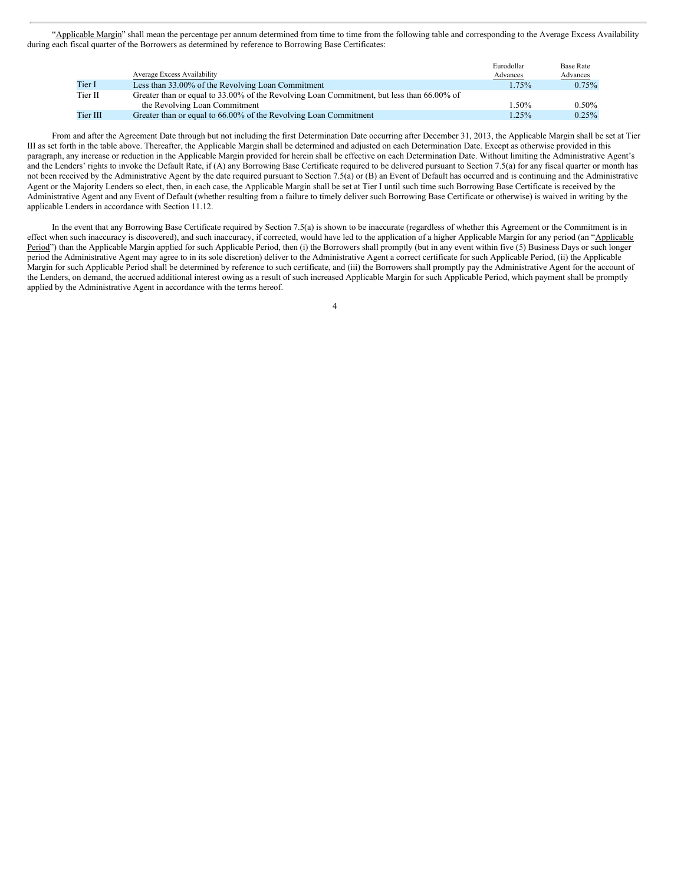"Applicable Margin" shall mean the percentage per annum determined from time to time from the following table and corresponding to the Average Excess Availability during each fiscal quarter of the Borrowers as determined by reference to Borrowing Base Certificates:

|          | Average Excess Availability                                                               | Eurodollar<br>Advances | <b>Base Rate</b><br>Advances |
|----------|-------------------------------------------------------------------------------------------|------------------------|------------------------------|
| Tier I   | Less than 33.00% of the Revolving Loan Commitment                                         | 1.75%                  | $0.75\%$                     |
| Tier II  | Greater than or equal to 33.00% of the Revolving Loan Commitment, but less than 66.00% of |                        |                              |
|          | the Revolving Loan Commitment                                                             | 1.50%                  | $0.50\%$                     |
| Tier III | Greater than or equal to 66.00% of the Revolving Loan Commitment                          | 1.25%                  | 0.25%                        |

From and after the Agreement Date through but not including the first Determination Date occurring after December 31, 2013, the Applicable Margin shall be set at Tier III as set forth in the table above. Thereafter, the Applicable Margin shall be determined and adjusted on each Determination Date. Except as otherwise provided in this paragraph, any increase or reduction in the Applicable Margin provided for herein shall be effective on each Determination Date. Without limiting the Administrative Agent's and the Lenders' rights to invoke the Default Rate, if (A) any Borrowing Base Certificate required to be delivered pursuant to Section 7.5(a) for any fiscal quarter or month has not been received by the Administrative Agent by the date required pursuant to Section 7.5(a) or (B) an Event of Default has occurred and is continuing and the Administrative Agent or the Majority Lenders so elect, then, in each case, the Applicable Margin shall be set at Tier I until such time such Borrowing Base Certificate is received by the Administrative Agent and any Event of Default (whether resulting from a failure to timely deliver such Borrowing Base Certificate or otherwise) is waived in writing by the applicable Lenders in accordance with Section 11.12.

In the event that any Borrowing Base Certificate required by Section 7.5(a) is shown to be inaccurate (regardless of whether this Agreement or the Commitment is in effect when such inaccuracy is discovered), and such inaccuracy, if corrected, would have led to the application of a higher Applicable Margin for any period (an "Applicable Period") than the Applicable Margin applied for such Applicable Period, then (i) the Borrowers shall promptly (but in any event within five (5) Business Days or such longer period the Administrative Agent may agree to in its sole discretion) deliver to the Administrative Agent a correct certificate for such Applicable Period, (ii) the Applicable Margin for such Applicable Period shall be determined by reference to such certificate, and (iii) the Borrowers shall promptly pay the Administrative Agent for the account of the Lenders, on demand, the accrued additional interest owing as a result of such increased Applicable Margin for such Applicable Period, which payment shall be promptly applied by the Administrative Agent in accordance with the terms hereof.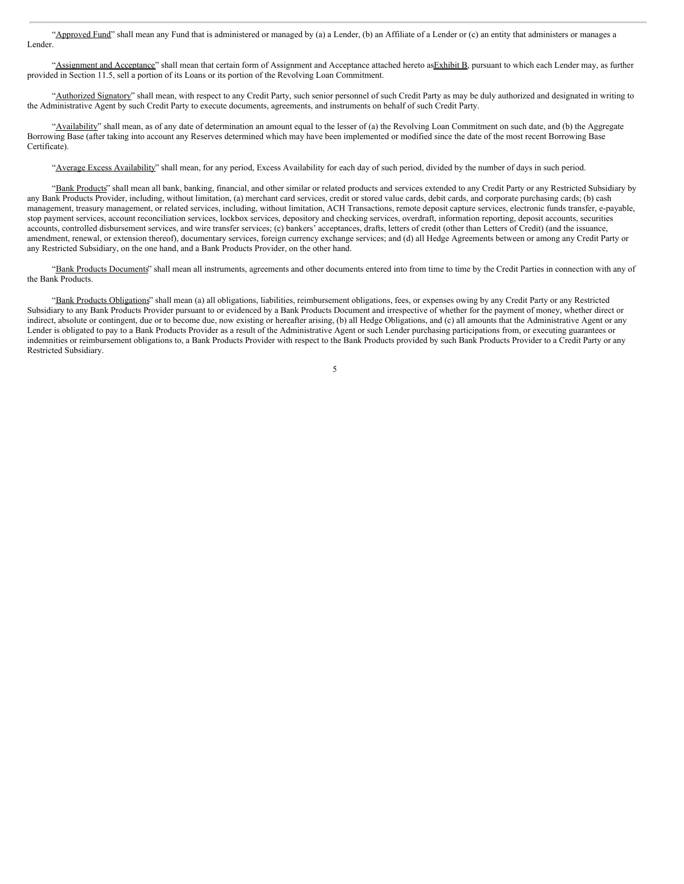"Approved Fund" shall mean any Fund that is administered or managed by (a) a Lender, (b) an Affiliate of a Lender or (c) an entity that administers or manages a Lender.

"Assignment and Acceptance" shall mean that certain form of Assignment and Acceptance attached hereto asExhibit B, pursuant to which each Lender may, as further provided in Section 11.5, sell a portion of its Loans or its portion of the Revolving Loan Commitment.

"Authorized Signatory" shall mean, with respect to any Credit Party, such senior personnel of such Credit Party as may be duly authorized and designated in writing to the Administrative Agent by such Credit Party to execute documents, agreements, and instruments on behalf of such Credit Party.

"Availability" shall mean, as of any date of determination an amount equal to the lesser of (a) the Revolving Loan Commitment on such date, and (b) the Aggregate Borrowing Base (after taking into account any Reserves determined which may have been implemented or modified since the date of the most recent Borrowing Base Certificate).

"Average Excess Availability" shall mean, for any period, Excess Availability for each day of such period, divided by the number of days in such period.

"Bank Products" shall mean all bank, banking, financial, and other similar or related products and services extended to any Credit Party or any Restricted Subsidiary by any Bank Products Provider, including, without limitation, (a) merchant card services, credit or stored value cards, debit cards, and corporate purchasing cards; (b) cash management, treasury management, or related services, including, without limitation, ACH Transactions, remote deposit capture services, electronic funds transfer, e-payable, stop payment services, account reconciliation services, lockbox services, depository and checking services, overdraft, information reporting, deposit accounts, securities accounts, controlled disbursement services, and wire transfer services; (c) bankers' acceptances, drafts, letters of credit (other than Letters of Credit) (and the issuance, amendment, renewal, or extension thereof), documentary services, foreign currency exchange services; and (d) all Hedge Agreements between or among any Credit Party or any Restricted Subsidiary, on the one hand, and a Bank Products Provider, on the other hand.

"Bank Products Documents" shall mean all instruments, agreements and other documents entered into from time to time by the Credit Parties in connection with any of the Bank Products.

"Bank Products Obligations" shall mean (a) all obligations, liabilities, reimbursement obligations, fees, or expenses owing by any Credit Party or any Restricted Subsidiary to any Bank Products Provider pursuant to or evidenced by a Bank Products Document and irrespective of whether for the payment of money, whether direct or indirect, absolute or contingent, due or to become due, now existing or hereafter arising, (b) all Hedge Obligations, and (c) all amounts that the Administrative Agent or any Lender is obligated to pay to a Bank Products Provider as a result of the Administrative Agent or such Lender purchasing participations from, or executing guarantees or indemnities or reimbursement obligations to, a Bank Products Provider with respect to the Bank Products provided by such Bank Products Provider to a Credit Party or any Restricted Subsidiary.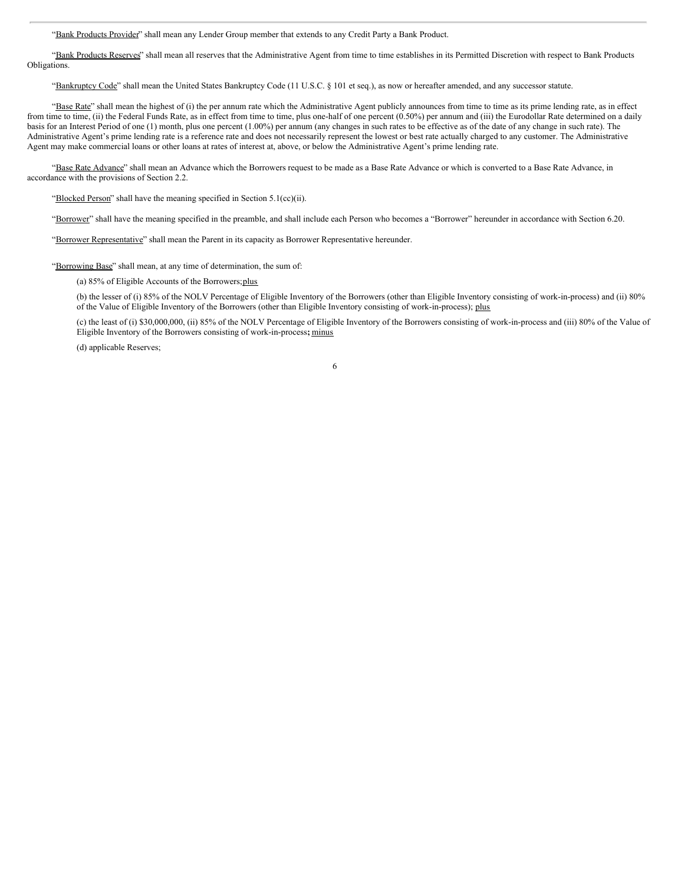"Bank Products Provider" shall mean any Lender Group member that extends to any Credit Party a Bank Product.

"Bank Products Reserves" shall mean all reserves that the Administrative Agent from time to time establishes in its Permitted Discretion with respect to Bank Products Obligations.

"Bankruptcy Code" shall mean the United States Bankruptcy Code (11 U.S.C. § 101 et seq.), as now or hereafter amended, and any successor statute.

"Base Rate" shall mean the highest of (i) the per annum rate which the Administrative Agent publicly announces from time to time as its prime lending rate, as in effect from time to time, (ii) the Federal Funds Rate, as in effect from time to time, plus one-half of one percent (0.50%) per annum and (iii) the Eurodollar Rate determined on a daily basis for an Interest Period of one (1) month, plus one percent (1.00%) per annum (any changes in such rates to be effective as of the date of any change in such rate). The Administrative Agent's prime lending rate is a reference rate and does not necessarily represent the lowest or best rate actually charged to any customer. The Administrative Agent may make commercial loans or other loans at rates of interest at, above, or below the Administrative Agent's prime lending rate.

"Base Rate Advance" shall mean an Advance which the Borrowers request to be made as a Base Rate Advance or which is converted to a Base Rate Advance, in accordance with the provisions of Section 2.2.

"Blocked Person" shall have the meaning specified in Section 5.1(cc)(ii).

"Borrower" shall have the meaning specified in the preamble, and shall include each Person who becomes a "Borrower" hereunder in accordance with Section 6.20.

"Borrower Representative" shall mean the Parent in its capacity as Borrower Representative hereunder.

"Borrowing Base" shall mean, at any time of determination, the sum of:

(a) 85% of Eligible Accounts of the Borrowers;plus

(b) the lesser of (i) 85% of the NOLV Percentage of Eligible Inventory of the Borrowers (other than Eligible Inventory consisting of work-in-process) and (ii) 80% of the Value of Eligible Inventory of the Borrowers (other than Eligible Inventory consisting of work-in-process); plus

(c) the least of (i) \$30,000,000, (ii) 85% of the NOLV Percentage of Eligible Inventory of the Borrowers consisting of work-in-process and (iii) 80% of the Value of Eligible Inventory of the Borrowers consisting of work-in-process**;** minus

(d) applicable Reserves;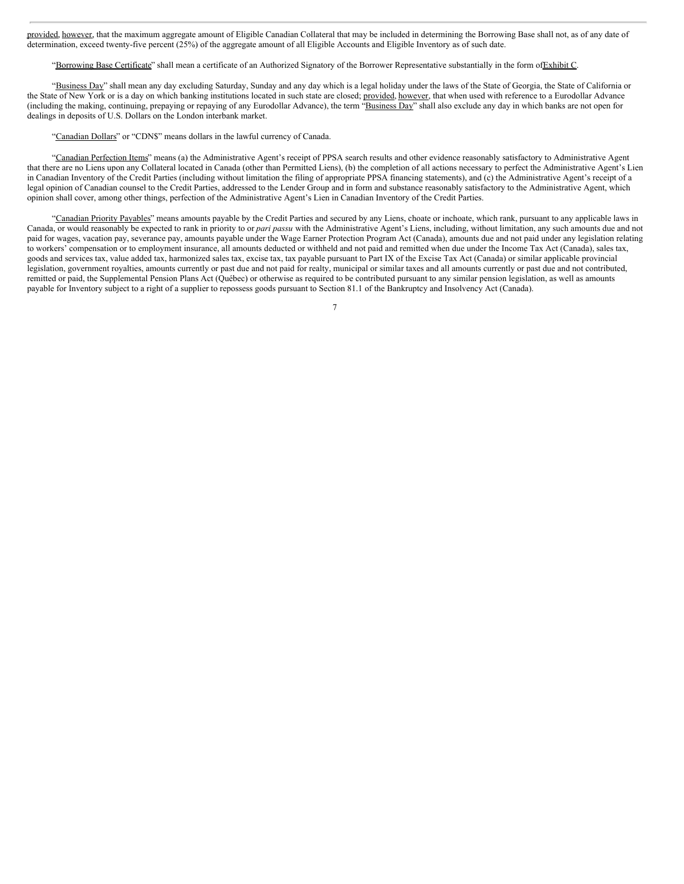provided, however, that the maximum aggregate amount of Eligible Canadian Collateral that may be included in determining the Borrowing Base shall not, as of any date of determination, exceed twenty-five percent (25%) of the aggregate amount of all Eligible Accounts and Eligible Inventory as of such date.

"Borrowing Base Certificate" shall mean a certificate of an Authorized Signatory of the Borrower Representative substantially in the form ofExhibit C.

"Business Day" shall mean any day excluding Saturday, Sunday and any day which is a legal holiday under the laws of the State of Georgia, the State of California or the State of New York or is a day on which banking institutions located in such state are closed; provided, however, that when used with reference to a Eurodollar Advance (including the making, continuing, prepaying or repaying of any Eurodollar Advance), the term "Business Day" shall also exclude any day in which banks are not open for dealings in deposits of U.S. Dollars on the London interbank market.

"Canadian Dollars" or "CDN\$" means dollars in the lawful currency of Canada.

"Canadian Perfection Items" means (a) the Administrative Agent's receipt of PPSA search results and other evidence reasonably satisfactory to Administrative Agent that there are no Liens upon any Collateral located in Canada (other than Permitted Liens), (b) the completion of all actions necessary to perfect the Administrative Agent's Lien in Canadian Inventory of the Credit Parties (including without limitation the filing of appropriate PPSA financing statements), and (c) the Administrative Agent's receipt of a legal opinion of Canadian counsel to the Credit Parties, addressed to the Lender Group and in form and substance reasonably satisfactory to the Administrative Agent, which opinion shall cover, among other things, perfection of the Administrative Agent's Lien in Canadian Inventory of the Credit Parties.

"Canadian Priority Payables" means amounts payable by the Credit Parties and secured by any Liens, choate or inchoate, which rank, pursuant to any applicable laws in Canada, or would reasonably be expected to rank in priority to or *pari passu* with the Administrative Agent's Liens, including, without limitation, any such amounts due and not paid for wages, vacation pay, severance pay, amounts payable under the Wage Earner Protection Program Act (Canada), amounts due and not paid under any legislation relating to workers' compensation or to employment insurance, all amounts deducted or withheld and not paid and remitted when due under the Income Tax Act (Canada), sales tax, goods and services tax, value added tax, harmonized sales tax, excise tax, tax payable pursuant to Part IX of the Excise Tax Act (Canada) or similar applicable provincial legislation, government royalties, amounts currently or past due and not paid for realty, municipal or similar taxes and all amounts currently or past due and not contributed, remitted or paid, the Supplemental Pension Plans Act (Québec) or otherwise as required to be contributed pursuant to any similar pension legislation, as well as amounts payable for Inventory subject to a right of a supplier to repossess goods pursuant to Section 81.1 of the Bankruptcy and Insolvency Act (Canada).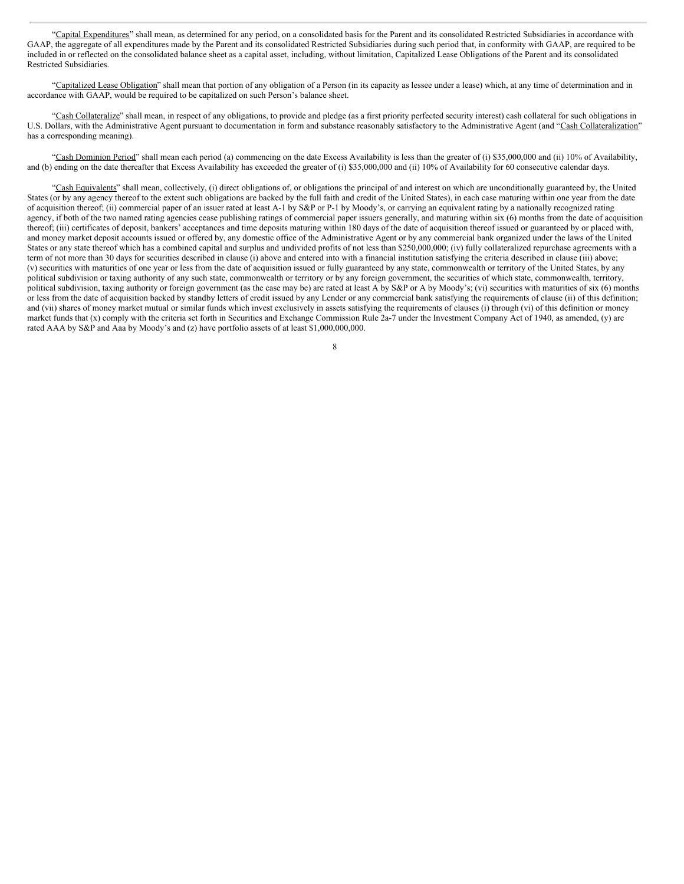"Capital Expenditures" shall mean, as determined for any period, on a consolidated basis for the Parent and its consolidated Restricted Subsidiaries in accordance with GAAP, the aggregate of all expenditures made by the Parent and its consolidated Restricted Subsidiaries during such period that, in conformity with GAAP, are required to be included in or reflected on the consolidated balance sheet as a capital asset, including, without limitation, Capitalized Lease Obligations of the Parent and its consolidated Restricted Subsidiaries.

"Capitalized Lease Obligation" shall mean that portion of any obligation of a Person (in its capacity as lessee under a lease) which, at any time of determination and in accordance with GAAP, would be required to be capitalized on such Person's balance sheet.

"Cash Collateralize" shall mean, in respect of any obligations, to provide and pledge (as a first priority perfected security interest) cash collateral for such obligations in U.S. Dollars, with the Administrative Agent pursuant to documentation in form and substance reasonably satisfactory to the Administrative Agent (and "Cash Collateralization" has a corresponding meaning).

"Cash Dominion Period" shall mean each period (a) commencing on the date Excess Availability is less than the greater of (i) \$35,000,000 and (ii) 10% of Availability, and (b) ending on the date thereafter that Excess Availability has exceeded the greater of (i) \$35,000,000 and (ii) 10% of Availability for 60 consecutive calendar days.

"Cash Equivalents" shall mean, collectively, (i) direct obligations of, or obligations the principal of and interest on which are unconditionally guaranteed by, the United States (or by any agency thereof to the extent such obligations are backed by the full faith and credit of the United States), in each case maturing within one year from the date of acquisition thereof; (ii) commercial paper of an issuer rated at least A-1 by S&P or P-1 by Moody's, or carrying an equivalent rating by a nationally recognized rating agency, if both of the two named rating agencies cease publishing ratings of commercial paper issuers generally, and maturing within six (6) months from the date of acquisition thereof; (iii) certificates of deposit, bankers' acceptances and time deposits maturing within 180 days of the date of acquisition thereof issued or guaranteed by or placed with, and money market deposit accounts issued or offered by, any domestic office of the Administrative Agent or by any commercial bank organized under the laws of the United States or any state thereof which has a combined capital and surplus and undivided profits of not less than \$250,000,000; (iv) fully collateralized repurchase agreements with a term of not more than 30 days for securities described in clause (i) above and entered into with a financial institution satisfying the criteria described in clause (iii) above; (v) securities with maturities of one year or less from the date of acquisition issued or fully guaranteed by any state, commonwealth or territory of the United States, by any political subdivision or taxing authority of any such state, commonwealth or territory or by any foreign government, the securities of which state, commonwealth, territory, political subdivision, taxing authority or foreign government (as the case may be) are rated at least A by S&P or A by Moody's; (vi) securities with maturities of six (6) months or less from the date of acquisition backed by standby letters of credit issued by any Lender or any commercial bank satisfying the requirements of clause (ii) of this definition; and (vii) shares of money market mutual or similar funds which invest exclusively in assets satisfying the requirements of clauses (i) through (vi) of this definition or money market funds that (x) comply with the criteria set forth in Securities and Exchange Commission Rule 2a-7 under the Investment Company Act of 1940, as amended, (y) are rated AAA by S&P and Aaa by Moody's and (z) have portfolio assets of at least \$1,000,000,000.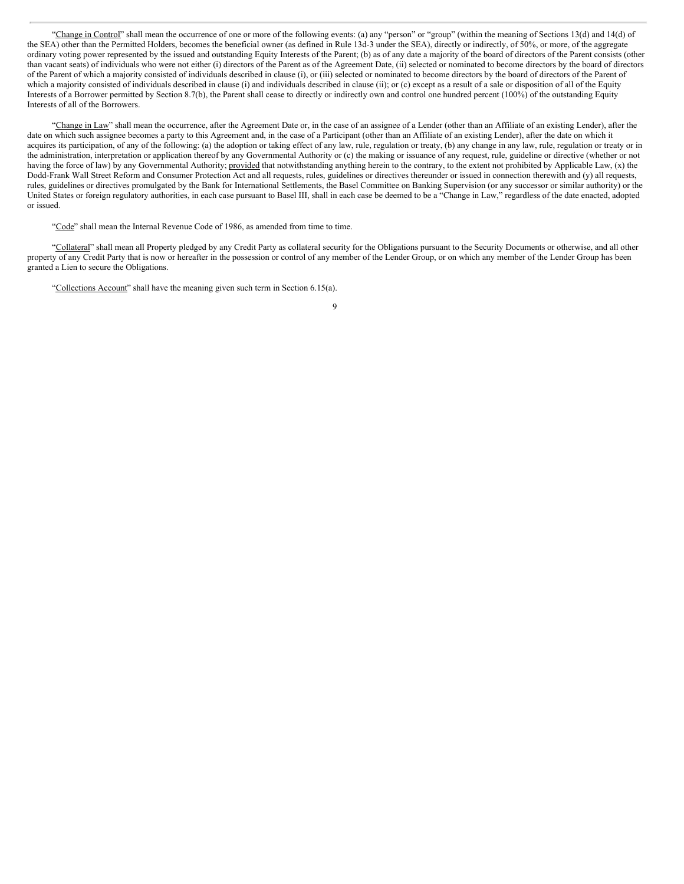"Change in Control" shall mean the occurrence of one or more of the following events: (a) any "person" or "group" (within the meaning of Sections 13(d) and 14(d) of the SEA) other than the Permitted Holders, becomes the beneficial owner (as defined in Rule 13d-3 under the SEA), directly or indirectly, of 50%, or more, of the aggregate ordinary voting power represented by the issued and outstanding Equity Interests of the Parent; (b) as of any date a majority of the board of directors of the Parent consists (other than vacant seats) of individuals who were not either (i) directors of the Parent as of the Agreement Date, (ii) selected or nominated to become directors by the board of directors of the Parent of which a majority consisted of individuals described in clause (i), or (iii) selected or nominated to become directors by the board of directors of the Parent of which a majority consisted of individuals described in clause (i) and individuals described in clause (ii); or (c) except as a result of a sale or disposition of all of the Equity Interests of a Borrower permitted by Section 8.7(b), the Parent shall cease to directly or indirectly own and control one hundred percent (100%) of the outstanding Equity Interests of all of the Borrowers.

"Change in Law" shall mean the occurrence, after the Agreement Date or, in the case of an assignee of a Lender (other than an Affiliate of an existing Lender), after the date on which such assignee becomes a party to this Agreement and, in the case of a Participant (other than an Affiliate of an existing Lender), after the date on which it acquires its participation, of any of the following: (a) the adoption or taking effect of any law, rule, regulation or treaty, (b) any change in any law, rule, regulation or treaty or in the administration, interpretation or application thereof by any Governmental Authority or (c) the making or issuance of any request, rule, guideline or directive (whether or not having the force of law) by any Governmental Authority; provided that notwithstanding anything herein to the contrary, to the extent not prohibited by Applicable Law, (x) the Dodd-Frank Wall Street Reform and Consumer Protection Act and all requests, rules, guidelines or directives thereunder or issued in connection therewith and (y) all requests, rules, guidelines or directives promulgated by the Bank for International Settlements, the Basel Committee on Banking Supervision (or any successor or similar authority) or the United States or foreign regulatory authorities, in each case pursuant to Basel III, shall in each case be deemed to be a "Change in Law," regardless of the date enacted, adopted or issued.

"Code" shall mean the Internal Revenue Code of 1986, as amended from time to time.

"Collateral" shall mean all Property pledged by any Credit Party as collateral security for the Obligations pursuant to the Security Documents or otherwise, and all other property of any Credit Party that is now or hereafter in the possession or control of any member of the Lender Group, or on which any member of the Lender Group has been granted a Lien to secure the Obligations.

"Collections Account" shall have the meaning given such term in Section 6.15(a).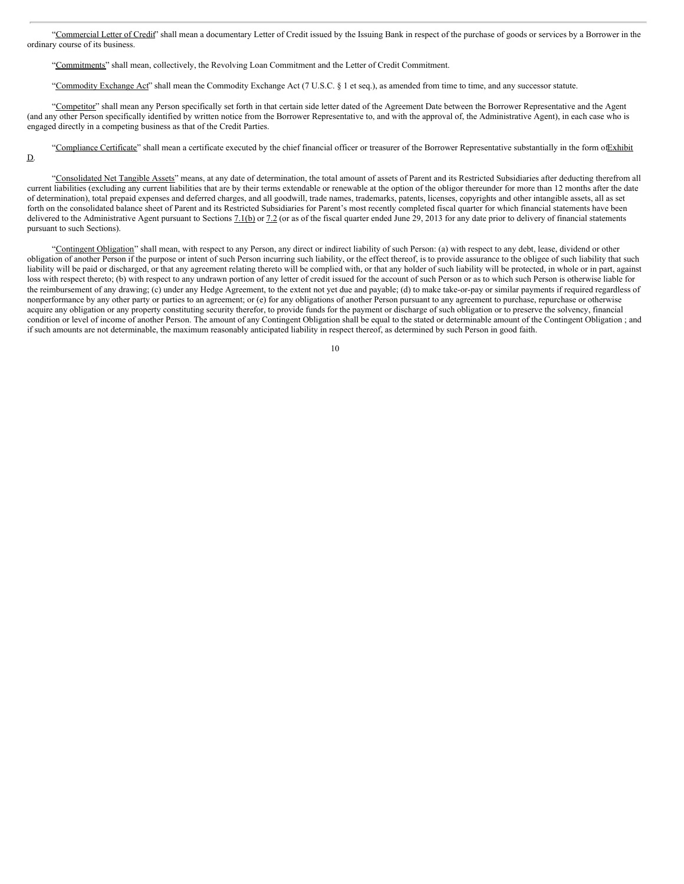"Commercial Letter of Credit" shall mean a documentary Letter of Credit issued by the Issuing Bank in respect of the purchase of goods or services by a Borrower in the ordinary course of its business.

"Commitments" shall mean, collectively, the Revolving Loan Commitment and the Letter of Credit Commitment.

"Commodity Exchange Act" shall mean the Commodity Exchange Act (7 U.S.C. § 1 et seq.), as amended from time to time, and any successor statute.

"Competitor" shall mean any Person specifically set forth in that certain side letter dated of the Agreement Date between the Borrower Representative and the Agent (and any other Person specifically identified by written notice from the Borrower Representative to, and with the approval of, the Administrative Agent), in each case who is engaged directly in a competing business as that of the Credit Parties.

"Compliance Certificate" shall mean a certificate executed by the chief financial officer or treasurer of the Borrower Representative substantially in the form ofExhibit  $\underline{\mathbf{D}}$ .

"Consolidated Net Tangible Assets" means, at any date of determination, the total amount of assets of Parent and its Restricted Subsidiaries after deducting therefrom all current liabilities (excluding any current liabilities that are by their terms extendable or renewable at the option of the obligor thereunder for more than 12 months after the date of determination), total prepaid expenses and deferred charges, and all goodwill, trade names, trademarks, patents, licenses, copyrights and other intangible assets, all as set forth on the consolidated balance sheet of Parent and its Restricted Subsidiaries for Parent's most recently completed fiscal quarter for which financial statements have been delivered to the Administrative Agent pursuant to Sections  $7.1(b)$  or  $7.2$  (or as of the fiscal quarter ended June 29, 2013 for any date prior to delivery of financial statements pursuant to such Sections).

"Contingent Obligation" shall mean, with respect to any Person, any direct or indirect liability of such Person: (a) with respect to any debt, lease, dividend or other obligation of another Person if the purpose or intent of such Person incurring such liability, or the effect thereof, is to provide assurance to the obligee of such liability that such liability will be paid or discharged, or that any agreement relating thereto will be complied with, or that any holder of such liability will be protected, in whole or in part, against loss with respect thereto; (b) with respect to any undrawn portion of any letter of credit issued for the account of such Person or as to which such Person is otherwise liable for the reimbursement of any drawing; (c) under any Hedge Agreement, to the extent not yet due and payable; (d) to make take-or-pay or similar payments if required regardless of nonperformance by any other party or parties to an agreement; or (e) for any obligations of another Person pursuant to any agreement to purchase, repurchase or otherwise acquire any obligation or any property constituting security therefor, to provide funds for the payment or discharge of such obligation or to preserve the solvency, financial condition or level of income of another Person. The amount of any Contingent Obligation shall be equal to the stated or determinable amount of the Contingent Obligation ; and if such amounts are not determinable, the maximum reasonably anticipated liability in respect thereof, as determined by such Person in good faith.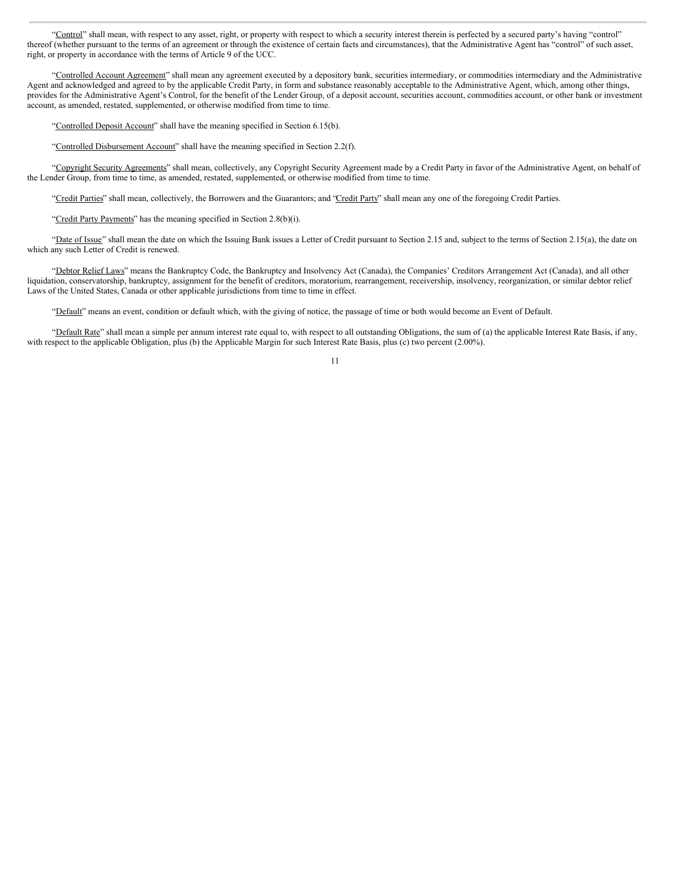"Control" shall mean, with respect to any asset, right, or property with respect to which a security interest therein is perfected by a secured party's having "control" thereof (whether pursuant to the terms of an agreement or through the existence of certain facts and circumstances), that the Administrative Agent has "control" of such asset, right, or property in accordance with the terms of Article 9 of the UCC.

"Controlled Account Agreement" shall mean any agreement executed by a depository bank, securities intermediary, or commodities intermediary and the Administrative Agent and acknowledged and agreed to by the applicable Credit Party, in form and substance reasonably acceptable to the Administrative Agent, which, among other things, provides for the Administrative Agent's Control, for the benefit of the Lender Group, of a deposit account, securities account, commodities account, or other bank or investment account, as amended, restated, supplemented, or otherwise modified from time to time.

"Controlled Deposit Account" shall have the meaning specified in Section 6.15(b).

"Controlled Disbursement Account" shall have the meaning specified in Section 2.2(f).

"Copyright Security Agreements" shall mean, collectively, any Copyright Security Agreement made by a Credit Party in favor of the Administrative Agent, on behalf of the Lender Group, from time to time, as amended, restated, supplemented, or otherwise modified from time to time.

"Credit Parties" shall mean, collectively, the Borrowers and the Guarantors; and "Credit Party" shall mean any one of the foregoing Credit Parties.

"Credit Party Payments" has the meaning specified in Section 2.8(b)(i).

"Date of Issue" shall mean the date on which the Issuing Bank issues a Letter of Credit pursuant to Section 2.15 and, subject to the terms of Section 2.15(a), the date on which any such Letter of Credit is renewed.

"Debtor Relief Laws" means the Bankruptcy Code, the Bankruptcy and Insolvency Act (Canada), the Companies' Creditors Arrangement Act (Canada), and all other liquidation, conservatorship, bankruptcy, assignment for the benefit of creditors, moratorium, rearrangement, receivership, insolvency, reorganization, or similar debtor relief Laws of the United States, Canada or other applicable jurisdictions from time to time in effect.

"Default" means an event, condition or default which, with the giving of notice, the passage of time or both would become an Event of Default.

"Default Rate" shall mean a simple per annum interest rate equal to, with respect to all outstanding Obligations, the sum of (a) the applicable Interest Rate Basis, if any, with respect to the applicable Obligation, plus (b) the Applicable Margin for such Interest Rate Basis, plus (c) two percent (2.00%).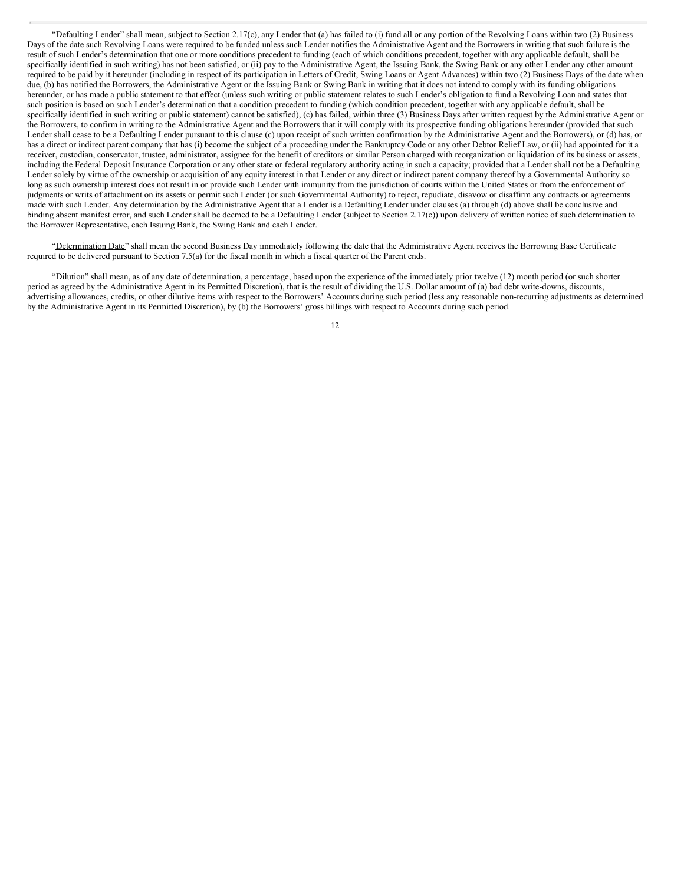"Defaulting Lender" shall mean, subject to Section 2.17(c), any Lender that (a) has failed to (i) fund all or any portion of the Revolving Loans within two (2) Business Days of the date such Revolving Loans were required to be funded unless such Lender notifies the Administrative Agent and the Borrowers in writing that such failure is the result of such Lender's determination that one or more conditions precedent to funding (each of which conditions precedent, together with any applicable default, shall be specifically identified in such writing) has not been satisfied, or (ii) pay to the Administrative Agent, the Issuing Bank, the Swing Bank or any other Lender any other amount required to be paid by it hereunder (including in respect of its participation in Letters of Credit, Swing Loans or Agent Advances) within two (2) Business Days of the date when due, (b) has notified the Borrowers, the Administrative Agent or the Issuing Bank or Swing Bank in writing that it does not intend to comply with its funding obligations hereunder, or has made a public statement to that effect (unless such writing or public statement relates to such Lender's obligation to fund a Revolving Loan and states that such position is based on such Lender's determination that a condition precedent to funding (which condition precedent, together with any applicable default, shall be specifically identified in such writing or public statement) cannot be satisfied), (c) has failed, within three (3) Business Days after written request by the Administrative Agent or the Borrowers, to confirm in writing to the Administrative Agent and the Borrowers that it will comply with its prospective funding obligations hereunder (provided that such Lender shall cease to be a Defaulting Lender pursuant to this clause (c) upon receipt of such written confirmation by the Administrative Agent and the Borrowers), or (d) has, or has a direct or indirect parent company that has (i) become the subject of a proceeding under the Bankruptcy Code or any other Debtor Relief Law, or (ii) had appointed for it a receiver, custodian, conservator, trustee, administrator, assignee for the benefit of creditors or similar Person charged with reorganization or liquidation of its business or assets, including the Federal Deposit Insurance Corporation or any other state or federal regulatory authority acting in such a capacity; provided that a Lender shall not be a Defaulting Lender solely by virtue of the ownership or acquisition of any equity interest in that Lender or any direct or indirect parent company thereof by a Governmental Authority so long as such ownership interest does not result in or provide such Lender with immunity from the jurisdiction of courts within the United States or from the enforcement of judgments or writs of attachment on its assets or permit such Lender (or such Governmental Authority) to reject, repudiate, disavow or disaffirm any contracts or agreements made with such Lender. Any determination by the Administrative Agent that a Lender is a Defaulting Lender under clauses (a) through (d) above shall be conclusive and binding absent manifest error, and such Lender shall be deemed to be a Defaulting Lender (subject to Section 2.17(c)) upon delivery of written notice of such determination to the Borrower Representative, each Issuing Bank, the Swing Bank and each Lender.

"Determination Date" shall mean the second Business Day immediately following the date that the Administrative Agent receives the Borrowing Base Certificate required to be delivered pursuant to Section 7.5(a) for the fiscal month in which a fiscal quarter of the Parent ends.

"Dilution" shall mean, as of any date of determination, a percentage, based upon the experience of the immediately prior twelve (12) month period (or such shorter period as agreed by the Administrative Agent in its Permitted Discretion), that is the result of dividing the U.S. Dollar amount of (a) bad debt write-downs, discounts, advertising allowances, credits, or other dilutive items with respect to the Borrowers' Accounts during such period (less any reasonable non-recurring adjustments as determined by the Administrative Agent in its Permitted Discretion), by (b) the Borrowers' gross billings with respect to Accounts during such period.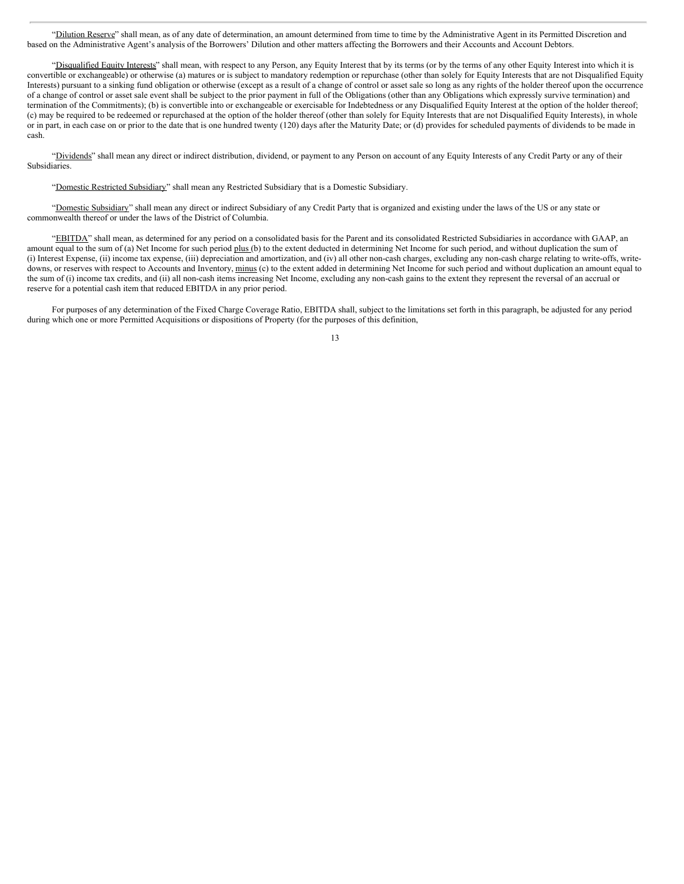"Dilution Reserve" shall mean, as of any date of determination, an amount determined from time to time by the Administrative Agent in its Permitted Discretion and based on the Administrative Agent's analysis of the Borrowers' Dilution and other matters affecting the Borrowers and their Accounts and Account Debtors.

"Disqualified Equity Interests" shall mean, with respect to any Person, any Equity Interest that by its terms (or by the terms of any other Equity Interest into which it is convertible or exchangeable) or otherwise (a) matures or is subject to mandatory redemption or repurchase (other than solely for Equity Interests that are not Disqualified Equity Interests) pursuant to a sinking fund obligation or otherwise (except as a result of a change of control or asset sale so long as any rights of the holder thereof upon the occurrence of a change of control or asset sale event shall be subject to the prior payment in full of the Obligations (other than any Obligations which expressly survive termination) and termination of the Commitments); (b) is convertible into or exchangeable or exercisable for Indebtedness or any Disqualified Equity Interest at the option of the holder thereof; (c) may be required to be redeemed or repurchased at the option of the holder thereof (other than solely for Equity Interests that are not Disqualified Equity Interests), in whole or in part, in each case on or prior to the date that is one hundred twenty (120) days after the Maturity Date; or (d) provides for scheduled payments of dividends to be made in cash.

"Dividends" shall mean any direct or indirect distribution, dividend, or payment to any Person on account of any Equity Interests of any Credit Party or any of their Subsidiaries.

"Domestic Restricted Subsidiary" shall mean any Restricted Subsidiary that is a Domestic Subsidiary.

"Domestic Subsidiary" shall mean any direct or indirect Subsidiary of any Credit Party that is organized and existing under the laws of the US or any state or commonwealth thereof or under the laws of the District of Columbia.

"EBITDA" shall mean, as determined for any period on a consolidated basis for the Parent and its consolidated Restricted Subsidiaries in accordance with GAAP, an amount equal to the sum of (a) Net Income for such period plus (b) to the extent deducted in determining Net Income for such period, and without duplication the sum of (i) Interest Expense, (ii) income tax expense, (iii) depreciation and amortization, and (iv) all other non-cash charges, excluding any non-cash charge relating to write-offs, writedowns, or reserves with respect to Accounts and Inventory, minus (c) to the extent added in determining Net Income for such period and without duplication an amount equal to the sum of (i) income tax credits, and (ii) all non-cash items increasing Net Income, excluding any non-cash gains to the extent they represent the reversal of an accrual or reserve for a potential cash item that reduced EBITDA in any prior period.

For purposes of any determination of the Fixed Charge Coverage Ratio, EBITDA shall, subject to the limitations set forth in this paragraph, be adjusted for any period during which one or more Permitted Acquisitions or dispositions of Property (for the purposes of this definition,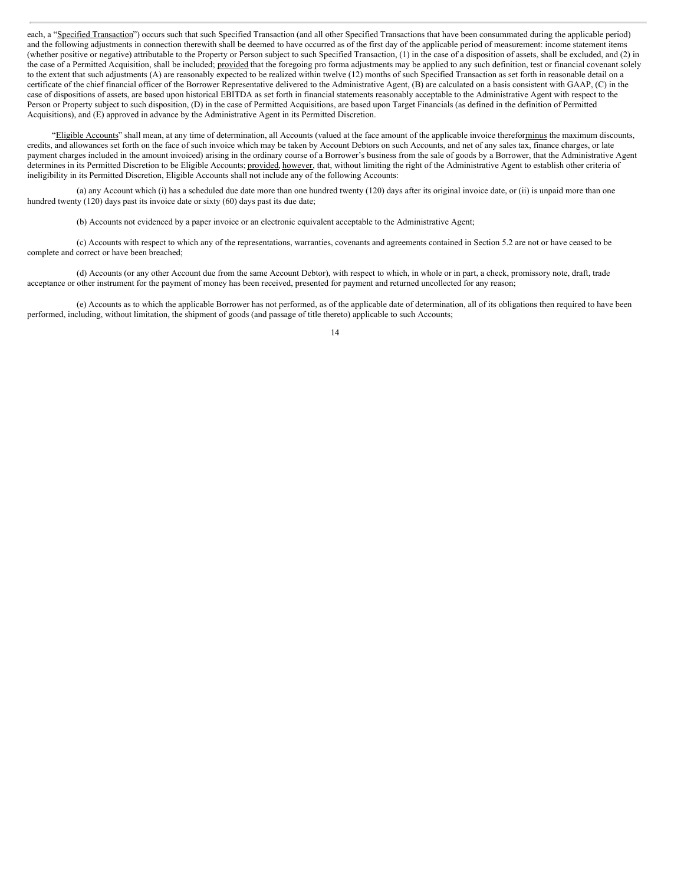each, a "Specified Transaction") occurs such that such Specified Transaction (and all other Specified Transactions that have been consummated during the applicable period) and the following adjustments in connection therewith shall be deemed to have occurred as of the first day of the applicable period of measurement: income statement items (whether positive or negative) attributable to the Property or Person subject to such Specified Transaction, (1) in the case of a disposition of assets, shall be excluded, and (2) in the case of a Permitted Acquisition, shall be included; provided that the foregoing pro forma adjustments may be applied to any such definition, test or financial covenant solely to the extent that such adjustments (A) are reasonably expected to be realized within twelve (12) months of such Specified Transaction as set forth in reasonable detail on a certificate of the chief financial officer of the Borrower Representative delivered to the Administrative Agent, (B) are calculated on a basis consistent with GAAP, (C) in the case of dispositions of assets, are based upon historical EBITDA as set forth in financial statements reasonably acceptable to the Administrative Agent with respect to the Person or Property subject to such disposition, (D) in the case of Permitted Acquisitions, are based upon Target Financials (as defined in the definition of Permitted Acquisitions), and (E) approved in advance by the Administrative Agent in its Permitted Discretion.

"Eligible Accounts" shall mean, at any time of determination, all Accounts (valued at the face amount of the applicable invoice thereforminus the maximum discounts, credits, and allowances set forth on the face of such invoice which may be taken by Account Debtors on such Accounts, and net of any sales tax, finance charges, or late payment charges included in the amount invoiced) arising in the ordinary course of a Borrower's business from the sale of goods by a Borrower, that the Administrative Agent determines in its Permitted Discretion to be Eligible Accounts; provided, however, that, without limiting the right of the Administrative Agent to establish other criteria of ineligibility in its Permitted Discretion, Eligible Accounts shall not include any of the following Accounts:

(a) any Account which (i) has a scheduled due date more than one hundred twenty (120) days after its original invoice date, or (ii) is unpaid more than one hundred twenty (120) days past its invoice date or sixty (60) days past its due date;

(b) Accounts not evidenced by a paper invoice or an electronic equivalent acceptable to the Administrative Agent;

(c) Accounts with respect to which any of the representations, warranties, covenants and agreements contained in Section 5.2 are not or have ceased to be complete and correct or have been breached;

(d) Accounts (or any other Account due from the same Account Debtor), with respect to which, in whole or in part, a check, promissory note, draft, trade acceptance or other instrument for the payment of money has been received, presented for payment and returned uncollected for any reason;

(e) Accounts as to which the applicable Borrower has not performed, as of the applicable date of determination, all of its obligations then required to have been performed, including, without limitation, the shipment of goods (and passage of title thereto) applicable to such Accounts;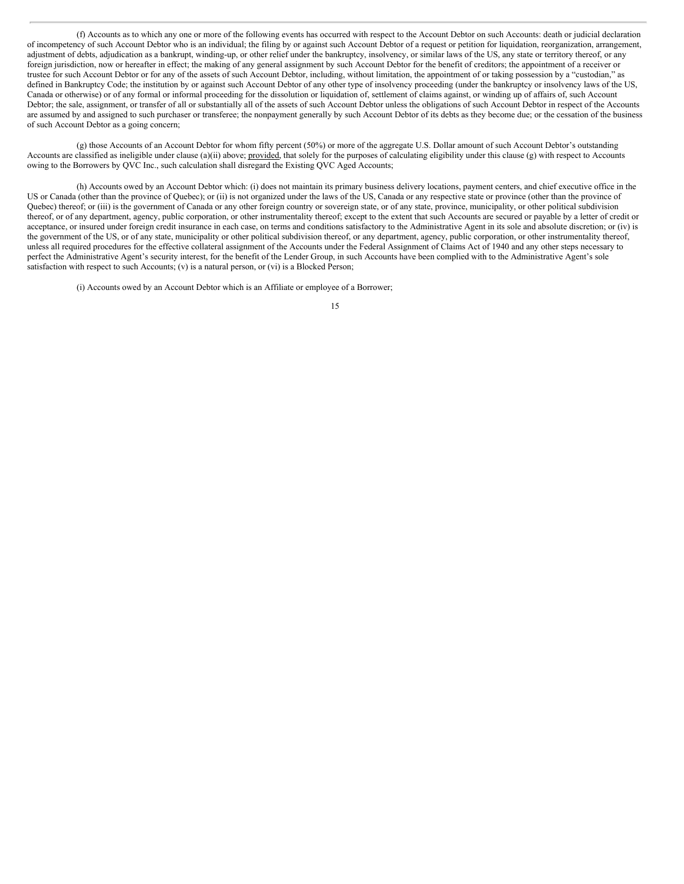(f) Accounts as to which any one or more of the following events has occurred with respect to the Account Debtor on such Accounts: death or judicial declaration of incompetency of such Account Debtor who is an individual; the filing by or against such Account Debtor of a request or petition for liquidation, reorganization, arrangement, adjustment of debts, adjudication as a bankrupt, winding-up, or other relief under the bankruptcy, insolvency, or similar laws of the US, any state or territory thereof, or any foreign jurisdiction, now or hereafter in effect; the making of any general assignment by such Account Debtor for the benefit of creditors; the appointment of a receiver or trustee for such Account Debtor or for any of the assets of such Account Debtor, including, without limitation, the appointment of or taking possession by a "custodian," as defined in Bankruptcy Code; the institution by or against such Account Debtor of any other type of insolvency proceeding (under the bankruptcy or insolvency laws of the US, Canada or otherwise) or of any formal or informal proceeding for the dissolution or liquidation of, settlement of claims against, or winding up of affairs of, such Account Debtor; the sale, assignment, or transfer of all or substantially all of the assets of such Account Debtor unless the obligations of such Account Debtor in respect of the Accounts are assumed by and assigned to such purchaser or transferee; the nonpayment generally by such Account Debtor of its debts as they become due; or the cessation of the business of such Account Debtor as a going concern;

(g) those Accounts of an Account Debtor for whom fifty percent (50%) or more of the aggregate U.S. Dollar amount of such Account Debtor's outstanding Accounts are classified as ineligible under clause (a)(ii) above; provided, that solely for the purposes of calculating eligibility under this clause (g) with respect to Accounts owing to the Borrowers by QVC Inc., such calculation shall disregard the Existing QVC Aged Accounts;

(h) Accounts owed by an Account Debtor which: (i) does not maintain its primary business delivery locations, payment centers, and chief executive office in the US or Canada (other than the province of Quebec); or (ii) is not organized under the laws of the US, Canada or any respective state or province (other than the province of Quebec) thereof; or (iii) is the government of Canada or any other foreign country or sovereign state, or of any state, province, municipality, or other political subdivision thereof, or of any department, agency, public corporation, or other instrumentality thereof; except to the extent that such Accounts are secured or payable by a letter of credit or acceptance, or insured under foreign credit insurance in each case, on terms and conditions satisfactory to the Administrative Agent in its sole and absolute discretion; or (iv) is the government of the US, or of any state, municipality or other political subdivision thereof, or any department, agency, public corporation, or other instrumentality thereof, unless all required procedures for the effective collateral assignment of the Accounts under the Federal Assignment of Claims Act of 1940 and any other steps necessary to perfect the Administrative Agent's security interest, for the benefit of the Lender Group, in such Accounts have been complied with to the Administrative Agent's sole satisfaction with respect to such Accounts; (v) is a natural person, or (vi) is a Blocked Person;

(i) Accounts owed by an Account Debtor which is an Affiliate or employee of a Borrower;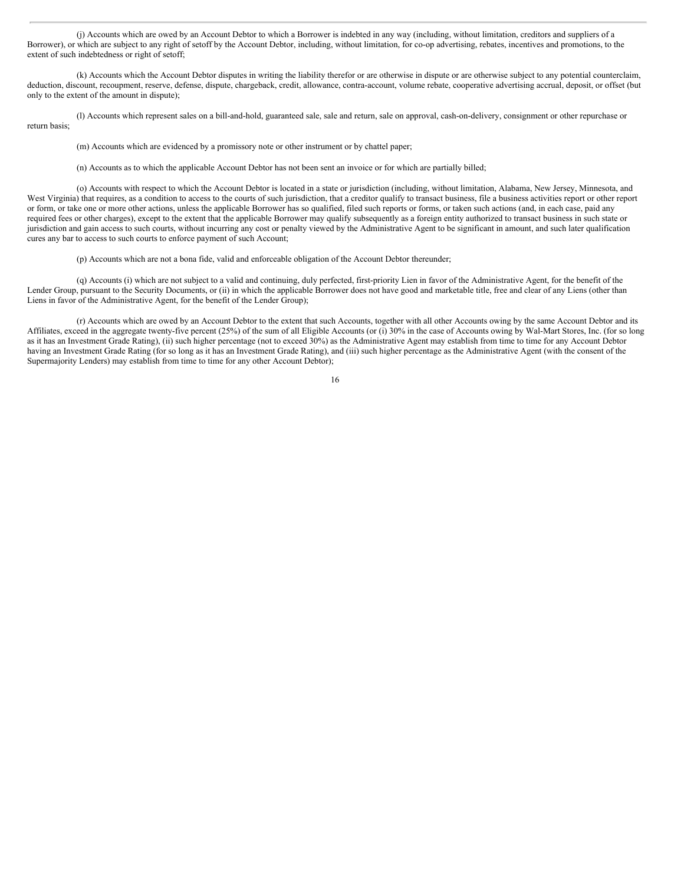(j) Accounts which are owed by an Account Debtor to which a Borrower is indebted in any way (including, without limitation, creditors and suppliers of a Borrower), or which are subject to any right of setoff by the Account Debtor, including, without limitation, for co-op advertising, rebates, incentives and promotions, to the extent of such indebtedness or right of setoff;

(k) Accounts which the Account Debtor disputes in writing the liability therefor or are otherwise in dispute or are otherwise subject to any potential counterclaim, deduction, discount, recoupment, reserve, defense, dispute, chargeback, credit, allowance, contra-account, volume rebate, cooperative advertising accrual, deposit, or offset (but only to the extent of the amount in dispute);

(l) Accounts which represent sales on a bill-and-hold, guaranteed sale, sale and return, sale on approval, cash-on-delivery, consignment or other repurchase or return basis;

(m) Accounts which are evidenced by a promissory note or other instrument or by chattel paper;

(n) Accounts as to which the applicable Account Debtor has not been sent an invoice or for which are partially billed;

(o) Accounts with respect to which the Account Debtor is located in a state or jurisdiction (including, without limitation, Alabama, New Jersey, Minnesota, and West Virginia) that requires, as a condition to access to the courts of such jurisdiction, that a creditor qualify to transact business, file a business activities report or other report or form, or take one or more other actions, unless the applicable Borrower has so qualified, filed such reports or forms, or taken such actions (and, in each case, paid any required fees or other charges), except to the extent that the applicable Borrower may qualify subsequently as a foreign entity authorized to transact business in such state or jurisdiction and gain access to such courts, without incurring any cost or penalty viewed by the Administrative Agent to be significant in amount, and such later qualification cures any bar to access to such courts to enforce payment of such Account;

(p) Accounts which are not a bona fide, valid and enforceable obligation of the Account Debtor thereunder;

(q) Accounts (i) which are not subject to a valid and continuing, duly perfected, first-priority Lien in favor of the Administrative Agent, for the benefit of the Lender Group, pursuant to the Security Documents, or (ii) in which the applicable Borrower does not have good and marketable title, free and clear of any Liens (other than Liens in favor of the Administrative Agent, for the benefit of the Lender Group);

(r) Accounts which are owed by an Account Debtor to the extent that such Accounts, together with all other Accounts owing by the same Account Debtor and its Affiliates, exceed in the aggregate twenty-five percent (25%) of the sum of all Eligible Accounts (or (i) 30% in the case of Accounts owing by Wal-Mart Stores, Inc. (for so long as it has an Investment Grade Rating), (ii) such higher percentage (not to exceed 30%) as the Administrative Agent may establish from time to time for any Account Debtor having an Investment Grade Rating (for so long as it has an Investment Grade Rating), and (iii) such higher percentage as the Administrative Agent (with the consent of the Supermajority Lenders) may establish from time to time for any other Account Debtor);

<sup>16</sup>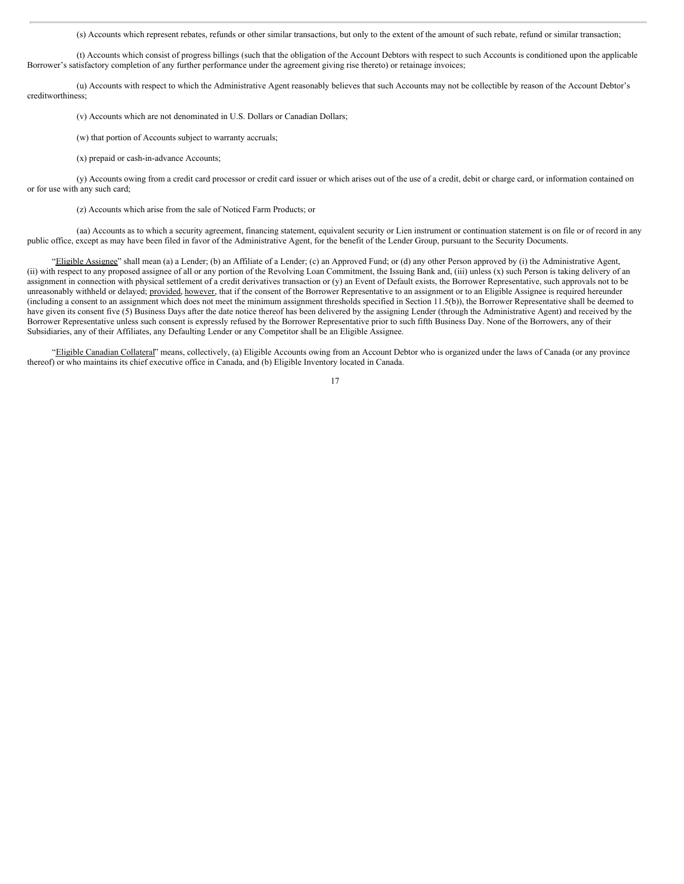(s) Accounts which represent rebates, refunds or other similar transactions, but only to the extent of the amount of such rebate, refund or similar transaction;

(t) Accounts which consist of progress billings (such that the obligation of the Account Debtors with respect to such Accounts is conditioned upon the applicable Borrower's satisfactory completion of any further performance under the agreement giving rise thereto) or retainage invoices;

(u) Accounts with respect to which the Administrative Agent reasonably believes that such Accounts may not be collectible by reason of the Account Debtor's creditworthiness;

(v) Accounts which are not denominated in U.S. Dollars or Canadian Dollars;

(w) that portion of Accounts subject to warranty accruals;

(x) prepaid or cash-in-advance Accounts;

(y) Accounts owing from a credit card processor or credit card issuer or which arises out of the use of a credit, debit or charge card, or information contained on or for use with any such card;

(z) Accounts which arise from the sale of Noticed Farm Products; or

(aa) Accounts as to which a security agreement, financing statement, equivalent security or Lien instrument or continuation statement is on file or of record in any public office, except as may have been filed in favor of the Administrative Agent, for the benefit of the Lender Group, pursuant to the Security Documents.

"Eligible Assignee" shall mean (a) a Lender; (b) an Affiliate of a Lender; (c) an Approved Fund; or (d) any other Person approved by (i) the Administrative Agent, (ii) with respect to any proposed assignee of all or any portion of the Revolving Loan Commitment, the Issuing Bank and, (iii) unless (x) such Person is taking delivery of an assignment in connection with physical settlement of a credit derivatives transaction or (y) an Event of Default exists, the Borrower Representative, such approvals not to be unreasonably withheld or delayed; provided, however, that if the consent of the Borrower Representative to an assignment or to an Eligible Assignee is required hereunder (including a consent to an assignment which does not meet the minimum assignment thresholds specified in Section 11.5(b)), the Borrower Representative shall be deemed to have given its consent five (5) Business Days after the date notice thereof has been delivered by the assigning Lender (through the Administrative Agent) and received by the Borrower Representative unless such consent is expressly refused by the Borrower Representative prior to such fifth Business Day. None of the Borrowers, any of their Subsidiaries, any of their Affiliates, any Defaulting Lender or any Competitor shall be an Eligible Assignee.

"Eligible Canadian Collateral" means, collectively, (a) Eligible Accounts owing from an Account Debtor who is organized under the laws of Canada (or any province thereof) or who maintains its chief executive office in Canada, and (b) Eligible Inventory located in Canada.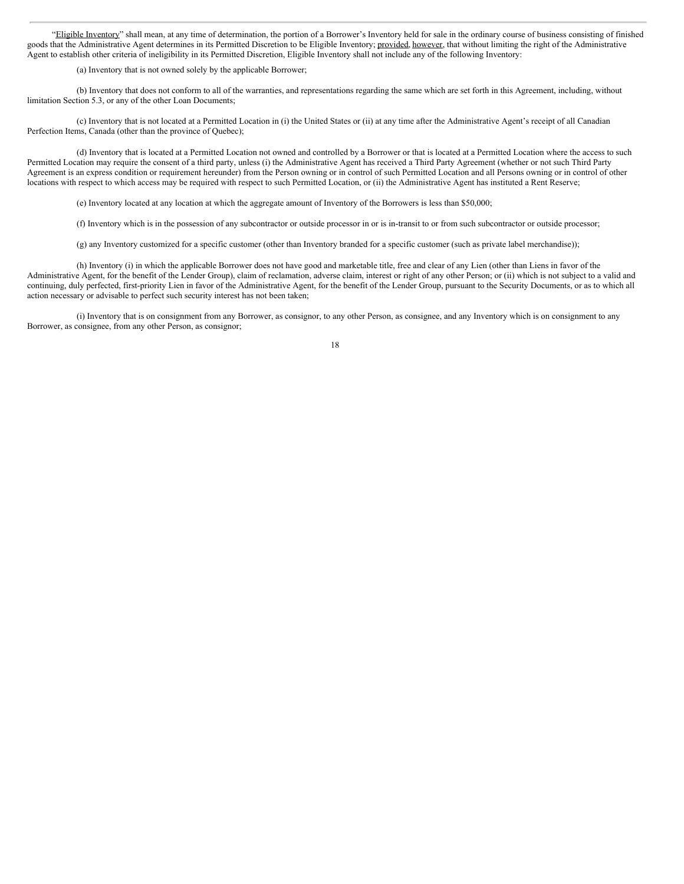"Eligible Inventory" shall mean, at any time of determination, the portion of a Borrower's Inventory held for sale in the ordinary course of business consisting of finished goods that the Administrative Agent determines in its Permitted Discretion to be Eligible Inventory; provided, however, that without limiting the right of the Administrative Agent to establish other criteria of ineligibility in its Permitted Discretion, Eligible Inventory shall not include any of the following Inventory:

(a) Inventory that is not owned solely by the applicable Borrower;

(b) Inventory that does not conform to all of the warranties, and representations regarding the same which are set forth in this Agreement, including, without limitation Section 5.3, or any of the other Loan Documents;

(c) Inventory that is not located at a Permitted Location in (i) the United States or (ii) at any time after the Administrative Agent's receipt of all Canadian Perfection Items, Canada (other than the province of Quebec);

(d) Inventory that is located at a Permitted Location not owned and controlled by a Borrower or that is located at a Permitted Location where the access to such Permitted Location may require the consent of a third party, unless (i) the Administrative Agent has received a Third Party Agreement (whether or not such Third Party Agreement is an express condition or requirement hereunder) from the Person owning or in control of such Permitted Location and all Persons owning or in control of other locations with respect to which access may be required with respect to such Permitted Location, or (ii) the Administrative Agent has instituted a Rent Reserve;

(e) Inventory located at any location at which the aggregate amount of Inventory of the Borrowers is less than \$50,000;

(f) Inventory which is in the possession of any subcontractor or outside processor in or is in-transit to or from such subcontractor or outside processor;

(g) any Inventory customized for a specific customer (other than Inventory branded for a specific customer (such as private label merchandise));

(h) Inventory (i) in which the applicable Borrower does not have good and marketable title, free and clear of any Lien (other than Liens in favor of the Administrative Agent, for the benefit of the Lender Group), claim of reclamation, adverse claim, interest or right of any other Person; or (ii) which is not subject to a valid and continuing, duly perfected, first-priority Lien in favor of the Administrative Agent, for the benefit of the Lender Group, pursuant to the Security Documents, or as to which all action necessary or advisable to perfect such security interest has not been taken;

(i) Inventory that is on consignment from any Borrower, as consignor, to any other Person, as consignee, and any Inventory which is on consignment to any Borrower, as consignee, from any other Person, as consignor;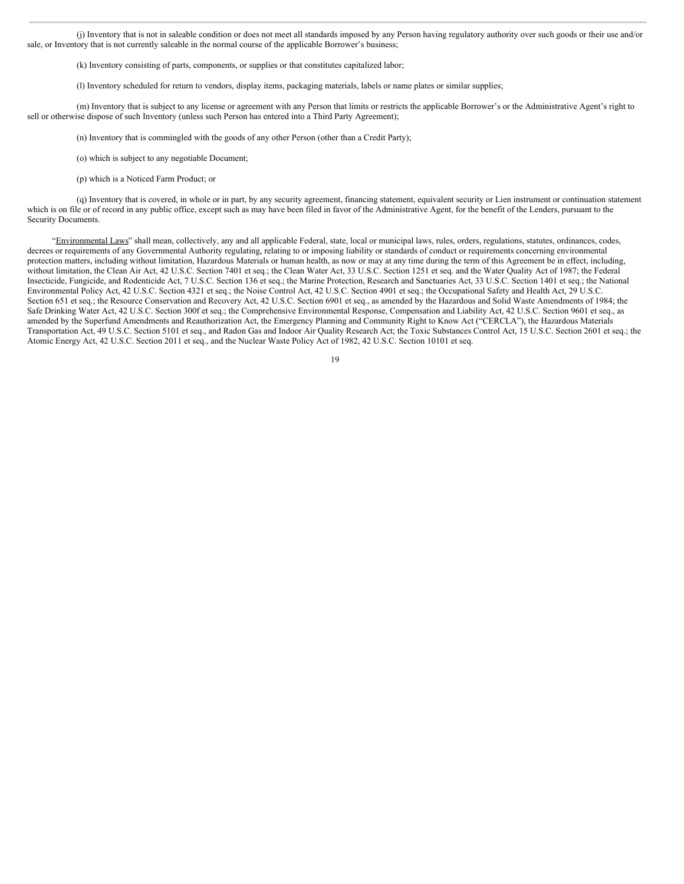(j) Inventory that is not in saleable condition or does not meet all standards imposed by any Person having regulatory authority over such goods or their use and/or sale, or Inventory that is not currently saleable in the normal course of the applicable Borrower's business;

(k) Inventory consisting of parts, components, or supplies or that constitutes capitalized labor;

(l) Inventory scheduled for return to vendors, display items, packaging materials, labels or name plates or similar supplies;

(m) Inventory that is subject to any license or agreement with any Person that limits or restricts the applicable Borrower's or the Administrative Agent's right to sell or otherwise dispose of such Inventory (unless such Person has entered into a Third Party Agreement);

(n) Inventory that is commingled with the goods of any other Person (other than a Credit Party);

- (o) which is subject to any negotiable Document;
- (p) which is a Noticed Farm Product; or

(q) Inventory that is covered, in whole or in part, by any security agreement, financing statement, equivalent security or Lien instrument or continuation statement which is on file or of record in any public office, except such as may have been filed in favor of the Administrative Agent, for the benefit of the Lenders, pursuant to the Security Documents.

"Environmental Laws" shall mean, collectively, any and all applicable Federal, state, local or municipal laws, rules, orders, regulations, statutes, ordinances, codes, decrees or requirements of any Governmental Authority regulating, relating to or imposing liability or standards of conduct or requirements concerning environmental protection matters, including without limitation, Hazardous Materials or human health, as now or may at any time during the term of this Agreement be in effect, including, without limitation, the Clean Air Act, 42 U.S.C. Section 7401 et seq.; the Clean Water Act, 33 U.S.C. Section 1251 et seq. and the Water Quality Act of 1987; the Federal Insecticide, Fungicide, and Rodenticide Act, 7 U.S.C. Section 136 et seq.; the Marine Protection, Research and Sanctuaries Act, 33 U.S.C. Section 1401 et seq.; the National Environmental Policy Act, 42 U.S.C. Section 4321 et seq.; the Noise Control Act, 42 U.S.C. Section 4901 et seq.; the Occupational Safety and Health Act, 29 U.S.C. Section 651 et seq.; the Resource Conservation and Recovery Act, 42 U.S.C. Section 6901 et seq., as amended by the Hazardous and Solid Waste Amendments of 1984; the Safe Drinking Water Act, 42 U.S.C. Section 300f et seq.; the Comprehensive Environmental Response, Compensation and Liability Act, 42 U.S.C. Section 9601 et seq., as amended by the Superfund Amendments and Reauthorization Act, the Emergency Planning and Community Right to Know Act ("CERCLA"), the Hazardous Materials Transportation Act, 49 U.S.C. Section 5101 et seq., and Radon Gas and Indoor Air Quality Research Act; the Toxic Substances Control Act, 15 U.S.C. Section 2601 et seq.; the Atomic Energy Act, 42 U.S.C. Section 2011 et seq., and the Nuclear Waste Policy Act of 1982, 42 U.S.C. Section 10101 et seq.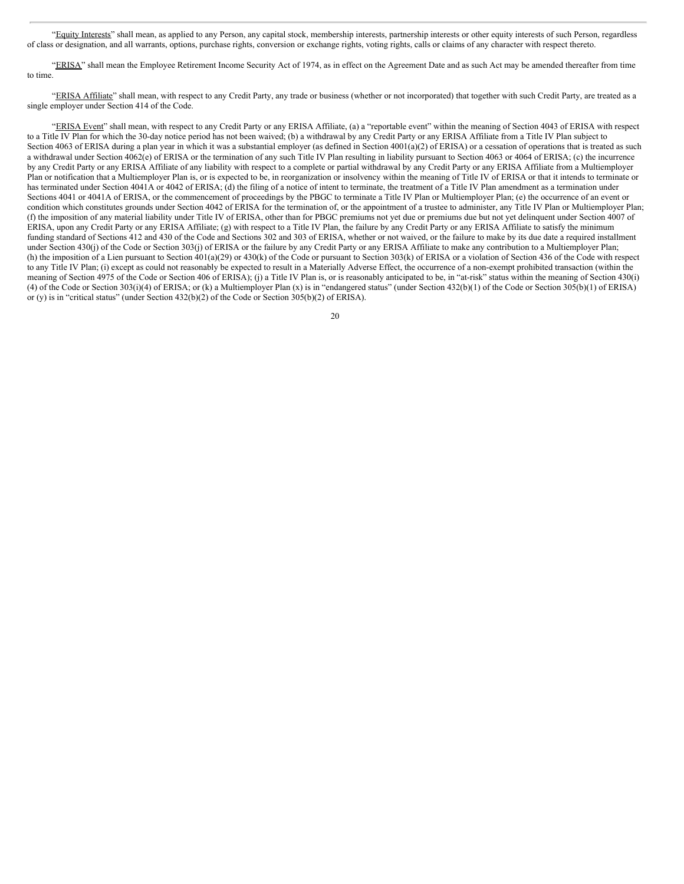"Equity Interests" shall mean, as applied to any Person, any capital stock, membership interests, partnership interests or other equity interests of such Person, regardless of class or designation, and all warrants, options, purchase rights, conversion or exchange rights, voting rights, calls or claims of any character with respect thereto.

"ERISA" shall mean the Employee Retirement Income Security Act of 1974, as in effect on the Agreement Date and as such Act may be amended thereafter from time to time.

"ERISA Affiliate" shall mean, with respect to any Credit Party, any trade or business (whether or not incorporated) that together with such Credit Party, are treated as a single employer under Section 414 of the Code.

"ERISA Event" shall mean, with respect to any Credit Party or any ERISA Affiliate, (a) a "reportable event" within the meaning of Section 4043 of ERISA with respect to a Title IV Plan for which the 30-day notice period has not been waived; (b) a withdrawal by any Credit Party or any ERISA Affiliate from a Title IV Plan subject to Section 4063 of ERISA during a plan year in which it was a substantial employer (as defined in Section 4001(a)(2) of ERISA) or a cessation of operations that is treated as such a withdrawal under Section 4062(e) of ERISA or the termination of any such Title IV Plan resulting in liability pursuant to Section 4063 or 4064 of ERISA; (c) the incurrence by any Credit Party or any ERISA Affiliate of any liability with respect to a complete or partial withdrawal by any Credit Party or any ERISA Affiliate from a Multiemployer Plan or notification that a Multiemployer Plan is, or is expected to be, in reorganization or insolvency within the meaning of Title IV of ERISA or that it intends to terminate or has terminated under Section 4041A or 4042 of ERISA; (d) the filing of a notice of intent to terminate, the treatment of a Title IV Plan amendment as a termination under Sections 4041 or 4041A of ERISA, or the commencement of proceedings by the PBGC to terminate a Title IV Plan or Multiemployer Plan; (e) the occurrence of an event or condition which constitutes grounds under Section 4042 of ERISA for the termination of, or the appointment of a trustee to administer, any Title IV Plan or Multiemployer Plan; (f) the imposition of any material liability under Title IV of ERISA, other than for PBGC premiums not yet due or premiums due but not yet delinquent under Section 4007 of ERISA, upon any Credit Party or any ERISA Affiliate; (g) with respect to a Title IV Plan, the failure by any Credit Party or any ERISA Affiliate to satisfy the minimum funding standard of Sections 412 and 430 of the Code and Sections 302 and 303 of ERISA, whether or not waived, or the failure to make by its due date a required installment under Section 430(j) of the Code or Section 303(j) of ERISA or the failure by any Credit Party or any ERISA Affiliate to make any contribution to a Multiemployer Plan; (h) the imposition of a Lien pursuant to Section 401(a)(29) or 430(k) of the Code or pursuant to Section 303(k) of ERISA or a violation of Section 436 of the Code with respect to any Title IV Plan; (i) except as could not reasonably be expected to result in a Materially Adverse Effect, the occurrence of a non-exempt prohibited transaction (within the meaning of Section 4975 of the Code or Section 406 of ERISA); (j) a Title IV Plan is, or is reasonably anticipated to be, in "at-risk" status within the meaning of Section 430(i) (4) of the Code or Section 303(i)(4) of ERISA; or (k) a Multiemployer Plan (x) is in "endangered status" (under Section 432(b)(1) of the Code or Section 305(b)(1) of ERISA) or (y) is in "critical status" (under Section 432(b)(2) of the Code or Section 305(b)(2) of ERISA).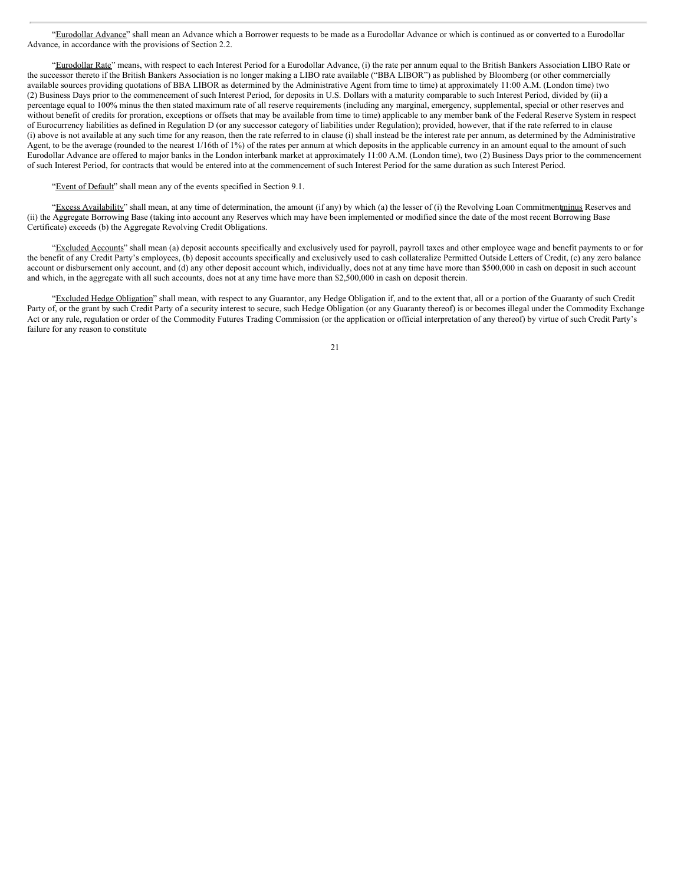"Eurodollar Advance" shall mean an Advance which a Borrower requests to be made as a Eurodollar Advance or which is continued as or converted to a Eurodollar Advance, in accordance with the provisions of Section 2.2.

"Eurodollar Rate" means, with respect to each Interest Period for a Eurodollar Advance, (i) the rate per annum equal to the British Bankers Association LIBO Rate or the successor thereto if the British Bankers Association is no longer making a LIBO rate available ("BBA LIBOR") as published by Bloomberg (or other commercially available sources providing quotations of BBA LIBOR as determined by the Administrative Agent from time to time) at approximately 11:00 A.M. (London time) two (2) Business Days prior to the commencement of such Interest Period, for deposits in U.S. Dollars with a maturity comparable to such Interest Period, divided by (ii) a percentage equal to 100% minus the then stated maximum rate of all reserve requirements (including any marginal, emergency, supplemental, special or other reserves and without benefit of credits for proration, exceptions or offsets that may be available from time to time) applicable to any member bank of the Federal Reserve System in respect of Eurocurrency liabilities as defined in Regulation D (or any successor category of liabilities under Regulation); provided, however, that if the rate referred to in clause (i) above is not available at any such time for any reason, then the rate referred to in clause (i) shall instead be the interest rate per annum, as determined by the Administrative Agent, to be the average (rounded to the nearest 1/16th of 1%) of the rates per annum at which deposits in the applicable currency in an amount equal to the amount of such Eurodollar Advance are offered to major banks in the London interbank market at approximately 11:00 A.M. (London time), two (2) Business Days prior to the commencement of such Interest Period, for contracts that would be entered into at the commencement of such Interest Period for the same duration as such Interest Period.

"Event of Default" shall mean any of the events specified in Section 9.1.

"Excess Availability" shall mean, at any time of determination, the amount (if any) by which (a) the lesser of (i) the Revolving Loan Commitmentminus Reserves and (ii) the Aggregate Borrowing Base (taking into account any Reserves which may have been implemented or modified since the date of the most recent Borrowing Base Certificate) exceeds (b) the Aggregate Revolving Credit Obligations.

"Excluded Accounts" shall mean (a) deposit accounts specifically and exclusively used for payroll, payroll taxes and other employee wage and benefit payments to or for the benefit of any Credit Party's employees, (b) deposit accounts specifically and exclusively used to cash collateralize Permitted Outside Letters of Credit, (c) any zero balance account or disbursement only account, and (d) any other deposit account which, individually, does not at any time have more than \$500,000 in cash on deposit in such account and which, in the aggregate with all such accounts, does not at any time have more than \$2,500,000 in cash on deposit therein.

"Excluded Hedge Obligation" shall mean, with respect to any Guarantor, any Hedge Obligation if, and to the extent that, all or a portion of the Guaranty of such Credit Party of, or the grant by such Credit Party of a security interest to secure, such Hedge Obligation (or any Guaranty thereof) is or becomes illegal under the Commodity Exchange Act or any rule, regulation or order of the Commodity Futures Trading Commission (or the application or official interpretation of any thereof) by virtue of such Credit Party's failure for any reason to constitute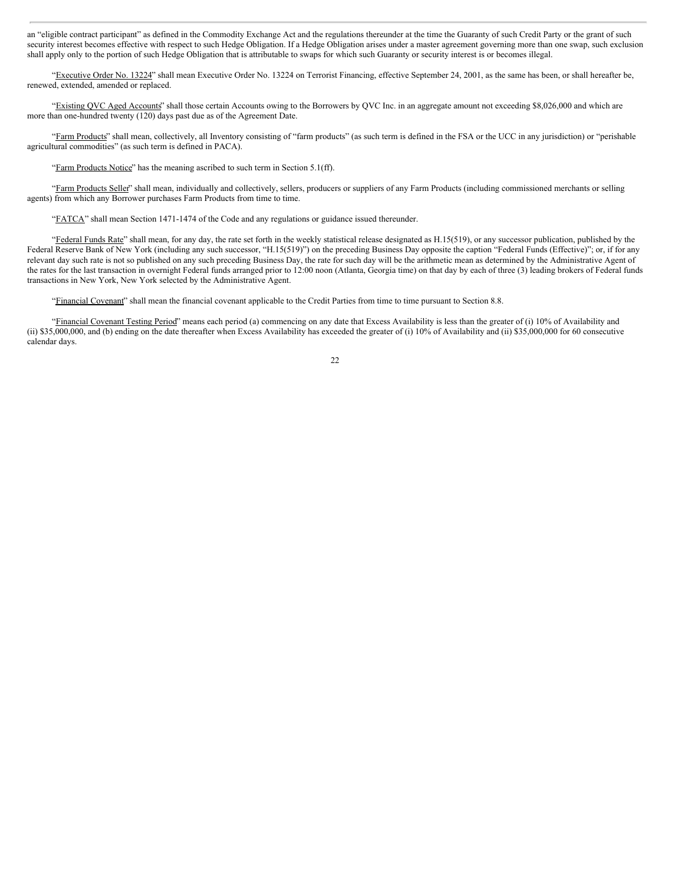an "eligible contract participant" as defined in the Commodity Exchange Act and the regulations thereunder at the time the Guaranty of such Credit Party or the grant of such security interest becomes effective with respect to such Hedge Obligation. If a Hedge Obligation arises under a master agreement governing more than one swap, such exclusion shall apply only to the portion of such Hedge Obligation that is attributable to swaps for which such Guaranty or security interest is or becomes illegal.

"Executive Order No. 13224" shall mean Executive Order No. 13224 on Terrorist Financing, effective September 24, 2001, as the same has been, or shall hereafter be, renewed, extended, amended or replaced.

"Existing QVC Aged Accounts" shall those certain Accounts owing to the Borrowers by QVC Inc. in an aggregate amount not exceeding \$8,026,000 and which are more than one-hundred twenty (120) days past due as of the Agreement Date.

"Farm Products" shall mean, collectively, all Inventory consisting of "farm products" (as such term is defined in the FSA or the UCC in any jurisdiction) or "perishable agricultural commodities" (as such term is defined in PACA).

"Farm Products Notice" has the meaning ascribed to such term in Section 5.1(ff).

"Farm Products Seller" shall mean, individually and collectively, sellers, producers or suppliers of any Farm Products (including commissioned merchants or selling agents) from which any Borrower purchases Farm Products from time to time.

"FATCA" shall mean Section 1471-1474 of the Code and any regulations or guidance issued thereunder.

"Federal Funds Rate" shall mean, for any day, the rate set forth in the weekly statistical release designated as H.15(519), or any successor publication, published by the Federal Reserve Bank of New York (including any such successor, "H.15(519)") on the preceding Business Day opposite the caption "Federal Funds (Effective)"; or, if for any relevant day such rate is not so published on any such preceding Business Day, the rate for such day will be the arithmetic mean as determined by the Administrative Agent of the rates for the last transaction in overnight Federal funds arranged prior to 12:00 noon (Atlanta, Georgia time) on that day by each of three (3) leading brokers of Federal funds transactions in New York, New York selected by the Administrative Agent.

"Financial Covenant" shall mean the financial covenant applicable to the Credit Parties from time to time pursuant to Section 8.8.

"Financial Covenant Testing Period" means each period (a) commencing on any date that Excess Availability is less than the greater of (i) 10% of Availability and (ii) \$35,000,000, and (b) ending on the date thereafter when Excess Availability has exceeded the greater of (i) 10% of Availability and (ii) \$35,000,000 for 60 consecutive calendar days.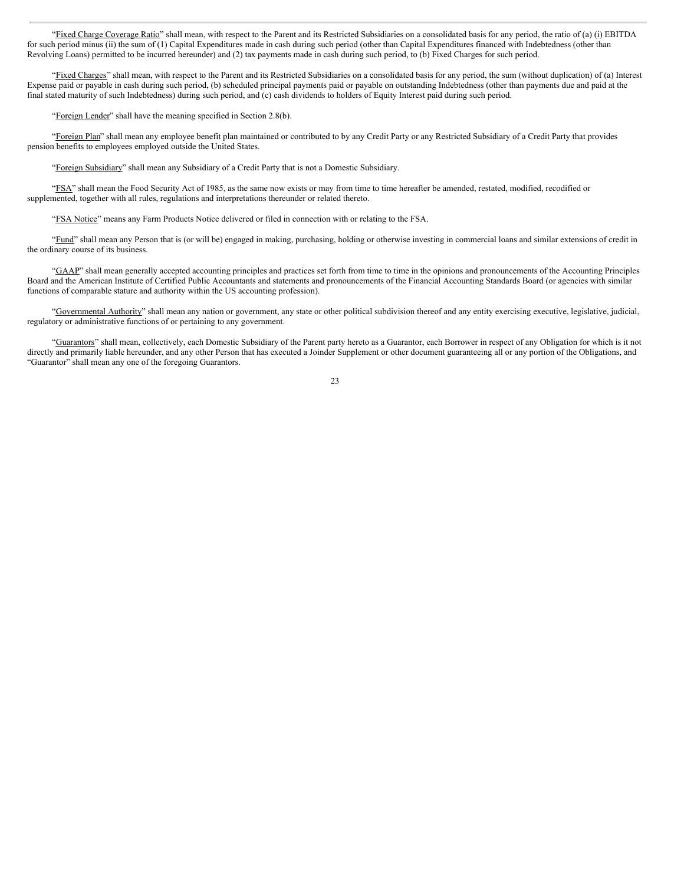"Fixed Charge Coverage Ratio" shall mean, with respect to the Parent and its Restricted Subsidiaries on a consolidated basis for any period, the ratio of (a) (i) EBITDA for such period minus (ii) the sum of (1) Capital Expenditures made in cash during such period (other than Capital Expenditures financed with Indebtedness (other than Revolving Loans) permitted to be incurred hereunder) and (2) tax payments made in cash during such period, to (b) Fixed Charges for such period.

"Fixed Charges" shall mean, with respect to the Parent and its Restricted Subsidiaries on a consolidated basis for any period, the sum (without duplication) of (a) Interest Expense paid or payable in cash during such period, (b) scheduled principal payments paid or payable on outstanding Indebtedness (other than payments due and paid at the final stated maturity of such Indebtedness) during such period, and (c) cash dividends to holders of Equity Interest paid during such period.

"Foreign Lender" shall have the meaning specified in Section 2.8(b).

"Foreign Plan" shall mean any employee benefit plan maintained or contributed to by any Credit Party or any Restricted Subsidiary of a Credit Party that provides pension benefits to employees employed outside the United States.

"Foreign Subsidiary" shall mean any Subsidiary of a Credit Party that is not a Domestic Subsidiary.

"FSA" shall mean the Food Security Act of 1985, as the same now exists or may from time to time hereafter be amended, restated, modified, recodified or supplemented, together with all rules, regulations and interpretations thereunder or related thereto.

"FSA Notice" means any Farm Products Notice delivered or filed in connection with or relating to the FSA.

"Fund" shall mean any Person that is (or will be) engaged in making, purchasing, holding or otherwise investing in commercial loans and similar extensions of credit in the ordinary course of its business.

"GAAP" shall mean generally accepted accounting principles and practices set forth from time to time in the opinions and pronouncements of the Accounting Principles Board and the American Institute of Certified Public Accountants and statements and pronouncements of the Financial Accounting Standards Board (or agencies with similar functions of comparable stature and authority within the US accounting profession).

"Governmental Authority" shall mean any nation or government, any state or other political subdivision thereof and any entity exercising executive, legislative, judicial, regulatory or administrative functions of or pertaining to any government.

"Guarantors" shall mean, collectively, each Domestic Subsidiary of the Parent party hereto as a Guarantor, each Borrower in respect of any Obligation for which is it not directly and primarily liable hereunder, and any other Person that has executed a Joinder Supplement or other document guaranteeing all or any portion of the Obligations, and "Guarantor" shall mean any one of the foregoing Guarantors.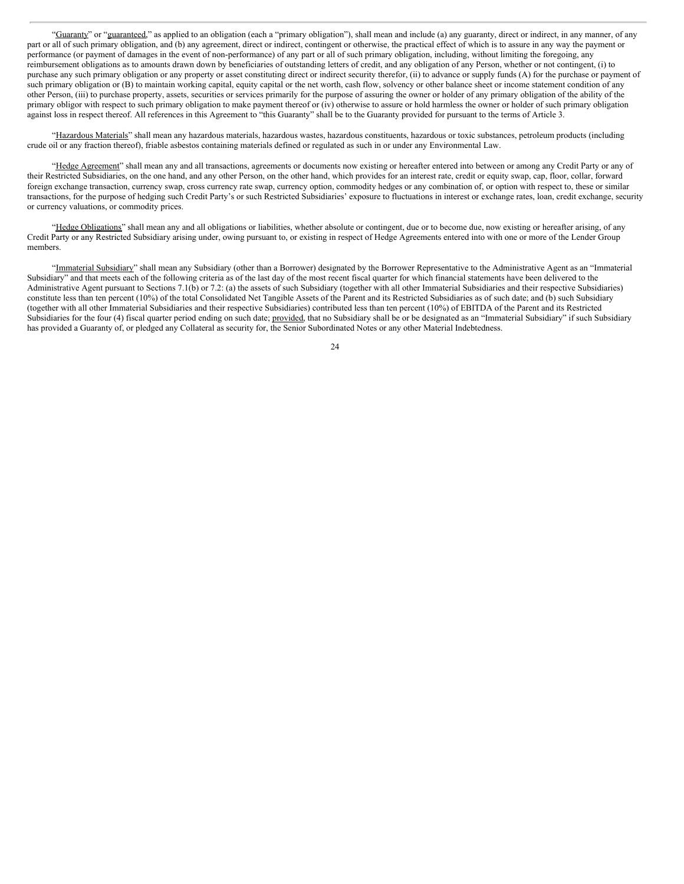"Guaranty" or "guaranteed," as applied to an obligation (each a "primary obligation"), shall mean and include (a) any guaranty, direct or indirect, in any manner, of any part or all of such primary obligation, and (b) any agreement, direct or indirect, contingent or otherwise, the practical effect of which is to assure in any way the payment or performance (or payment of damages in the event of non-performance) of any part or all of such primary obligation, including, without limiting the foregoing, any reimbursement obligations as to amounts drawn down by beneficiaries of outstanding letters of credit, and any obligation of any Person, whether or not contingent, (i) to purchase any such primary obligation or any property or asset constituting direct or indirect security therefor, (ii) to advance or supply funds (A) for the purchase or payment of such primary obligation or (B) to maintain working capital, equity capital or the net worth, cash flow, solvency or other balance sheet or income statement condition of any other Person, (iii) to purchase property, assets, securities or services primarily for the purpose of assuring the owner or holder of any primary obligation of the ability of the primary obligor with respect to such primary obligation to make payment thereof or (iv) otherwise to assure or hold harmless the owner or holder of such primary obligation against loss in respect thereof. All references in this Agreement to "this Guaranty" shall be to the Guaranty provided for pursuant to the terms of Article 3.

"Hazardous Materials" shall mean any hazardous materials, hazardous wastes, hazardous constituents, hazardous or toxic substances, petroleum products (including crude oil or any fraction thereof), friable asbestos containing materials defined or regulated as such in or under any Environmental Law.

"Hedge Agreement" shall mean any and all transactions, agreements or documents now existing or hereafter entered into between or among any Credit Party or any of their Restricted Subsidiaries, on the one hand, and any other Person, on the other hand, which provides for an interest rate, credit or equity swap, cap, floor, collar, forward foreign exchange transaction, currency swap, cross currency rate swap, currency option, commodity hedges or any combination of, or option with respect to, these or similar transactions, for the purpose of hedging such Credit Party's or such Restricted Subsidiaries' exposure to fluctuations in interest or exchange rates, loan, credit exchange, security or currency valuations, or commodity prices.

"Hedge Obligations" shall mean any and all obligations or liabilities, whether absolute or contingent, due or to become due, now existing or hereafter arising, of any Credit Party or any Restricted Subsidiary arising under, owing pursuant to, or existing in respect of Hedge Agreements entered into with one or more of the Lender Group members.

"Immaterial Subsidiary" shall mean any Subsidiary (other than a Borrower) designated by the Borrower Representative to the Administrative Agent as an "Immaterial Subsidiary" and that meets each of the following criteria as of the last day of the most recent fiscal quarter for which financial statements have been delivered to the Administrative Agent pursuant to Sections 7.1(b) or 7.2: (a) the assets of such Subsidiary (together with all other Immaterial Subsidiaries and their respective Subsidiaries) constitute less than ten percent (10%) of the total Consolidated Net Tangible Assets of the Parent and its Restricted Subsidiaries as of such date; and (b) such Subsidiary (together with all other Immaterial Subsidiaries and their respective Subsidiaries) contributed less than ten percent (10%) of EBITDA of the Parent and its Restricted Subsidiaries for the four (4) fiscal quarter period ending on such date; provided, that no Subsidiary shall be or be designated as an "Immaterial Subsidiary" if such Subsidiary has provided a Guaranty of, or pledged any Collateral as security for, the Senior Subordinated Notes or any other Material Indebtedness.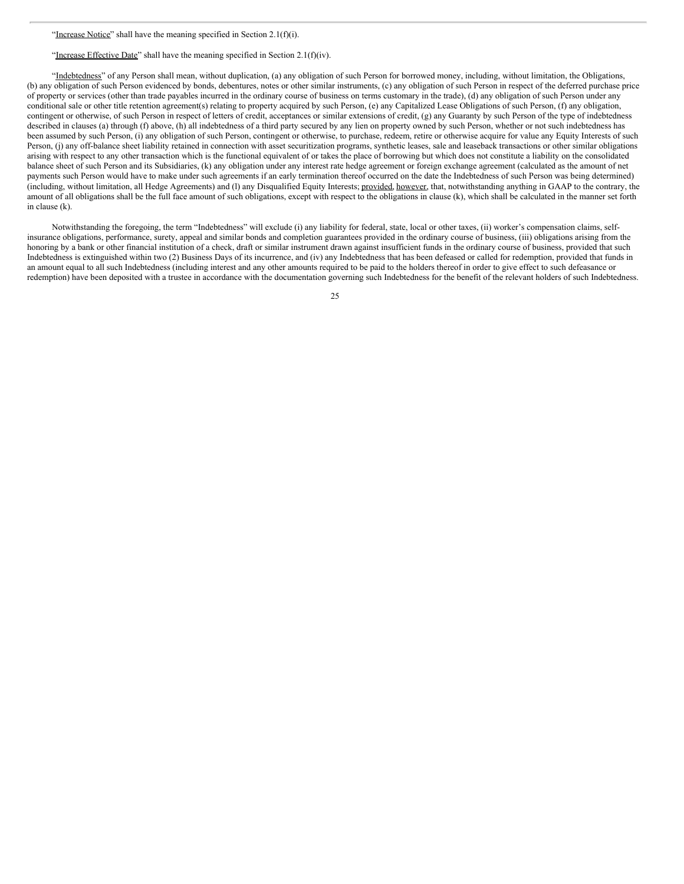#### "Increase Notice" shall have the meaning specified in Section 2.1(f)(i).

### "Increase Effective Date" shall have the meaning specified in Section 2.1(f)(iv).

"Indebtedness" of any Person shall mean, without duplication, (a) any obligation of such Person for borrowed money, including, without limitation, the Obligations, (b) any obligation of such Person evidenced by bonds, debentures, notes or other similar instruments, (c) any obligation of such Person in respect of the deferred purchase price of property or services (other than trade payables incurred in the ordinary course of business on terms customary in the trade), (d) any obligation of such Person under any conditional sale or other title retention agreement(s) relating to property acquired by such Person, (e) any Capitalized Lease Obligations of such Person, (f) any obligation, contingent or otherwise, of such Person in respect of letters of credit, acceptances or similar extensions of credit, (g) any Guaranty by such Person of the type of indebtedness described in clauses (a) through (f) above, (h) all indebtedness of a third party secured by any lien on property owned by such Person, whether or not such indebtedness has been assumed by such Person, (i) any obligation of such Person, contingent or otherwise, to purchase, redeem, retire or otherwise acquire for value any Equity Interests of such Person, (j) any off-balance sheet liability retained in connection with asset securitization programs, synthetic leases, sale and leaseback transactions or other similar obligations arising with respect to any other transaction which is the functional equivalent of or takes the place of borrowing but which does not constitute a liability on the consolidated balance sheet of such Person and its Subsidiaries, (k) any obligation under any interest rate hedge agreement or foreign exchange agreement (calculated as the amount of net payments such Person would have to make under such agreements if an early termination thereof occurred on the date the Indebtedness of such Person was being determined) (including, without limitation, all Hedge Agreements) and (l) any Disqualified Equity Interests; provided, however, that, notwithstanding anything in GAAP to the contrary, the amount of all obligations shall be the full face amount of such obligations, except with respect to the obligations in clause (k), which shall be calculated in the manner set forth in clause (k).

Notwithstanding the foregoing, the term "Indebtedness" will exclude (i) any liability for federal, state, local or other taxes, (ii) worker's compensation claims, selfinsurance obligations, performance, surety, appeal and similar bonds and completion guarantees provided in the ordinary course of business, (iii) obligations arising from the honoring by a bank or other financial institution of a check, draft or similar instrument drawn against insufficient funds in the ordinary course of business, provided that such Indebtedness is extinguished within two (2) Business Days of its incurrence, and (iv) any Indebtedness that has been defeased or called for redemption, provided that funds in an amount equal to all such Indebtedness (including interest and any other amounts required to be paid to the holders thereof in order to give effect to such defeasance or redemption) have been deposited with a trustee in accordance with the documentation governing such Indebtedness for the benefit of the relevant holders of such Indebtedness.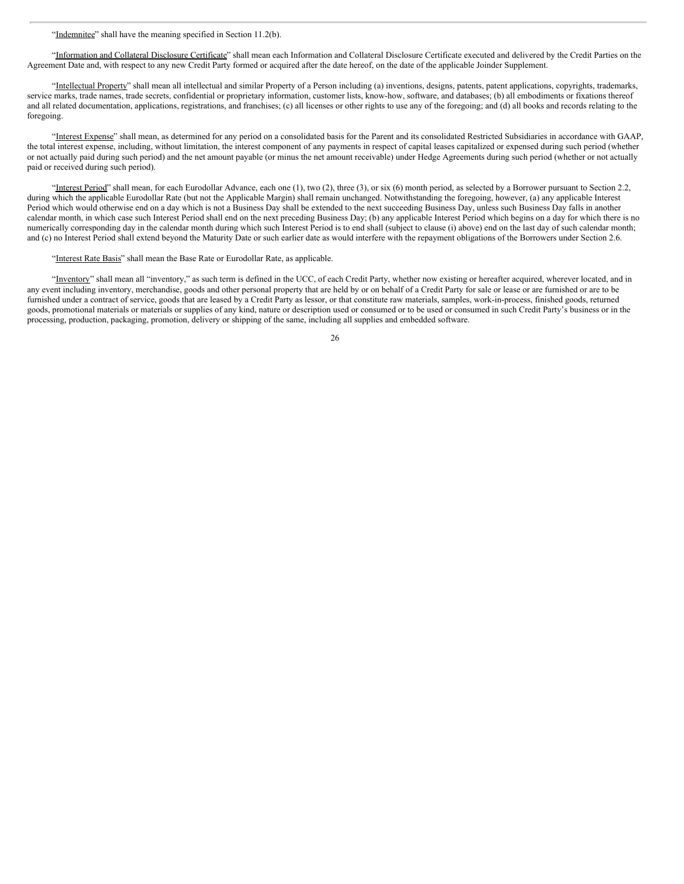#### "Indemnitee" shall have the meaning specified in Section 11.2(b).

"Information and Collateral Disclosure Certificate" shall mean each Information and Collateral Disclosure Certificate executed and delivered by the Credit Parties on the Agreement Date and, with respect to any new Credit Party formed or acquired after the date hereof, on the date of the applicable Joinder Supplement.

"Intellectual Property" shall mean all intellectual and similar Property of a Person including (a) inventions, designs, patents, patent applications, copyrights, trademarks, service marks, trade names, trade secrets, confidential or proprietary information, customer lists, know-how, software, and databases; (b) all embodiments or fixations thereof and all related documentation, applications, registrations, and franchises; (c) all licenses or other rights to use any of the foregoing; and (d) all books and records relating to the foregoing.

"Interest Expense" shall mean, as determined for any period on a consolidated basis for the Parent and its consolidated Restricted Subsidiaries in accordance with GAAP, the total interest expense, including, without limitation, the interest component of any payments in respect of capital leases capitalized or expensed during such period (whether or not actually paid during such period) and the net amount payable (or minus the net amount receivable) under Hedge Agreements during such period (whether or not actually paid or received during such period).

"Interest Period" shall mean, for each Eurodollar Advance, each one (1), two (2), three (3), or six (6) month period, as selected by a Borrower pursuant to Section 2.2, during which the applicable Eurodollar Rate (but not the Applicable Margin) shall remain unchanged. Notwithstanding the foregoing, however, (a) any applicable Interest Period which would otherwise end on a day which is not a Business Day shall be extended to the next succeeding Business Day, unless such Business Day falls in another calendar month, in which case such Interest Period shall end on the next preceding Business Day; (b) any applicable Interest Period which begins on a day for which there is no numerically corresponding day in the calendar month during which such Interest Period is to end shall (subject to clause (i) above) end on the last day of such calendar month; and (c) no Interest Period shall extend beyond the Maturity Date or such earlier date as would interfere with the repayment obligations of the Borrowers under Section 2.6.

"Interest Rate Basis" shall mean the Base Rate or Eurodollar Rate, as applicable.

"Inventory" shall mean all "inventory," as such term is defined in the UCC, of each Credit Party, whether now existing or hereafter acquired, wherever located, and in any event including inventory, merchandise, goods and other personal property that are held by or on behalf of a Credit Party for sale or lease or are furnished or are to be furnished under a contract of service, goods that are leased by a Credit Party as lessor, or that constitute raw materials, samples, work-in-process, finished goods, returned goods, promotional materials or materials or supplies of any kind, nature or description used or consumed or to be used or consumed in such Credit Party's business or in the processing, production, packaging, promotion, delivery or shipping of the same, including all supplies and embedded software.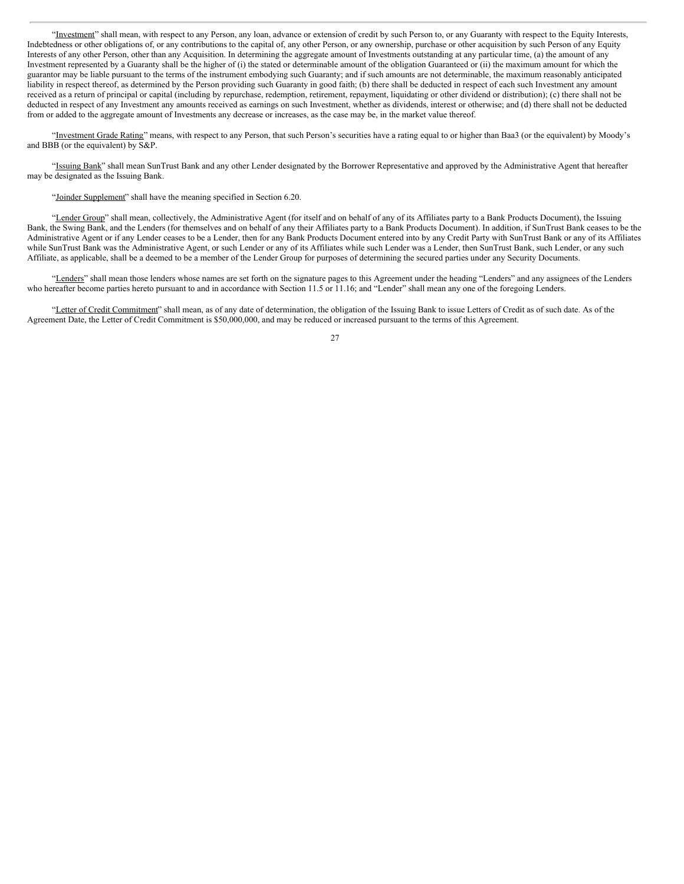"Investment" shall mean, with respect to any Person, any loan, advance or extension of credit by such Person to, or any Guaranty with respect to the Equity Interests, Indebtedness or other obligations of, or any contributions to the capital of, any other Person, or any ownership, purchase or other acquisition by such Person of any Equity Interests of any other Person, other than any Acquisition. In determining the aggregate amount of Investments outstanding at any particular time, (a) the amount of any Investment represented by a Guaranty shall be the higher of (i) the stated or determinable amount of the obligation Guaranteed or (ii) the maximum amount for which the guarantor may be liable pursuant to the terms of the instrument embodying such Guaranty; and if such amounts are not determinable, the maximum reasonably anticipated liability in respect thereof, as determined by the Person providing such Guaranty in good faith; (b) there shall be deducted in respect of each such Investment any amount received as a return of principal or capital (including by repurchase, redemption, retirement, repayment, liquidating or other dividend or distribution); (c) there shall not be deducted in respect of any Investment any amounts received as earnings on such Investment, whether as dividends, interest or otherwise; and (d) there shall not be deducted from or added to the aggregate amount of Investments any decrease or increases, as the case may be, in the market value thereof.

"Investment Grade Rating" means, with respect to any Person, that such Person's securities have a rating equal to or higher than Baa3 (or the equivalent) by Moody's and BBB (or the equivalent) by S&P.

"Issuing Bank" shall mean SunTrust Bank and any other Lender designated by the Borrower Representative and approved by the Administrative Agent that hereafter may be designated as the Issuing Bank.

"Joinder Supplement" shall have the meaning specified in Section 6.20.

"Lender Group" shall mean, collectively, the Administrative Agent (for itself and on behalf of any of its Affiliates party to a Bank Products Document), the Issuing Bank, the Swing Bank, and the Lenders (for themselves and on behalf of any their Affiliates party to a Bank Products Document). In addition, if SunTrust Bank ceases to be the Administrative Agent or if any Lender ceases to be a Lender, then for any Bank Products Document entered into by any Credit Party with SunTrust Bank or any of its Affiliates while SunTrust Bank was the Administrative Agent, or such Lender or any of its Affiliates while such Lender was a Lender, then SunTrust Bank, such Lender, or any such Affiliate, as applicable, shall be a deemed to be a member of the Lender Group for purposes of determining the secured parties under any Security Documents.

"Lenders" shall mean those lenders whose names are set forth on the signature pages to this Agreement under the heading "Lenders" and any assignees of the Lenders who hereafter become parties hereto pursuant to and in accordance with Section 11.5 or 11.16; and "Lender" shall mean any one of the foregoing Lenders.

"Letter of Credit Commitment" shall mean, as of any date of determination, the obligation of the Issuing Bank to issue Letters of Credit as of such date. As of the Agreement Date, the Letter of Credit Commitment is \$50,000,000, and may be reduced or increased pursuant to the terms of this Agreement.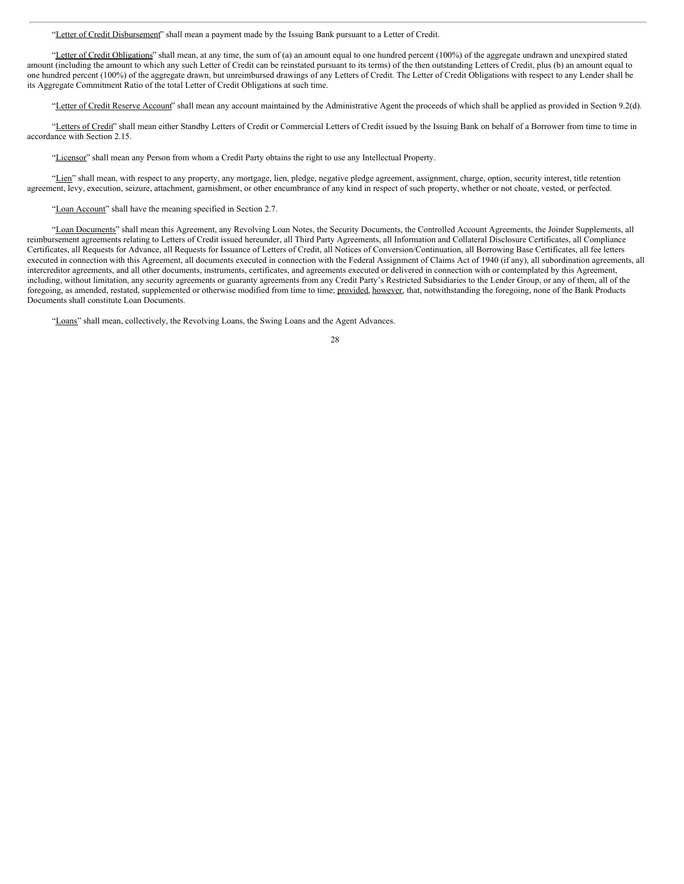"Letter of Credit Disbursement" shall mean a payment made by the Issuing Bank pursuant to a Letter of Credit.

"Letter of Credit Obligations" shall mean, at any time, the sum of (a) an amount equal to one hundred percent (100%) of the aggregate undrawn and unexpired stated amount (including the amount to which any such Letter of Credit can be reinstated pursuant to its terms) of the then outstanding Letters of Credit, plus (b) an amount equal to one hundred percent (100%) of the aggregate drawn, but unreimbursed drawings of any Letters of Credit. The Letter of Credit Obligations with respect to any Lender shall be its Aggregate Commitment Ratio of the total Letter of Credit Obligations at such time.

"Letter of Credit Reserve Account" shall mean any account maintained by the Administrative Agent the proceeds of which shall be applied as provided in Section 9.2(d).

"Letters of Credit" shall mean either Standby Letters of Credit or Commercial Letters of Credit issued by the Issuing Bank on behalf of a Borrower from time to time in accordance with Section 2.15.

"Licensor" shall mean any Person from whom a Credit Party obtains the right to use any Intellectual Property.

"Lien" shall mean, with respect to any property, any mortgage, lien, pledge, negative pledge agreement, assignment, charge, option, security interest, title retention agreement, levy, execution, seizure, attachment, garnishment, or other encumbrance of any kind in respect of such property, whether or not choate, vested, or perfected.

"Loan Account" shall have the meaning specified in Section 2.7.

"Loan Documents" shall mean this Agreement, any Revolving Loan Notes, the Security Documents, the Controlled Account Agreements, the Joinder Supplements, all reimbursement agreements relating to Letters of Credit issued hereunder, all Third Party Agreements, all Information and Collateral Disclosure Certificates, all Compliance Certificates, all Requests for Advance, all Requests for Issuance of Letters of Credit, all Notices of Conversion/Continuation, all Borrowing Base Certificates, all fee letters executed in connection with this Agreement, all documents executed in connection with the Federal Assignment of Claims Act of 1940 (if any), all subordination agreements, all intercreditor agreements, and all other documents, instruments, certificates, and agreements executed or delivered in connection with or contemplated by this Agreement, including, without limitation, any security agreements or guaranty agreements from any Credit Party's Restricted Subsidiaries to the Lender Group, or any of them, all of the foregoing, as amended, restated, supplemented or otherwise modified from time to time; provided, however, that, notwithstanding the foregoing, none of the Bank Products Documents shall constitute Loan Documents.

"Loans" shall mean, collectively, the Revolving Loans, the Swing Loans and the Agent Advances.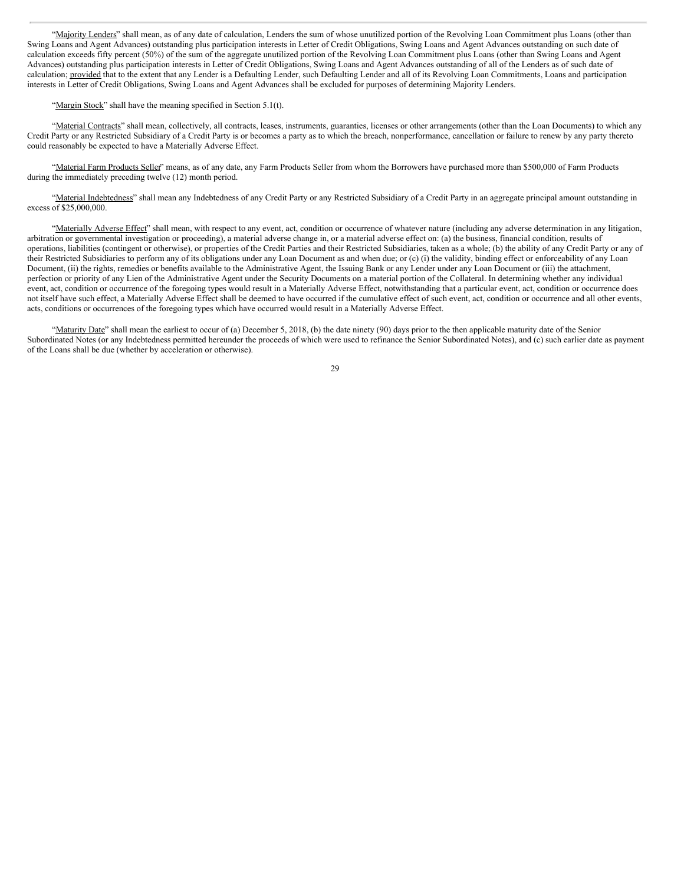"Majority Lenders" shall mean, as of any date of calculation, Lenders the sum of whose unutilized portion of the Revolving Loan Commitment plus Loans (other than Swing Loans and Agent Advances) outstanding plus participation interests in Letter of Credit Obligations, Swing Loans and Agent Advances outstanding on such date of calculation exceeds fifty percent (50%) of the sum of the aggregate unutilized portion of the Revolving Loan Commitment plus Loans (other than Swing Loans and Agent Advances) outstanding plus participation interests in Letter of Credit Obligations, Swing Loans and Agent Advances outstanding of all of the Lenders as of such date of calculation; provided that to the extent that any Lender is a Defaulting Lender, such Defaulting Lender and all of its Revolving Loan Commitments, Loans and participation interests in Letter of Credit Obligations, Swing Loans and Agent Advances shall be excluded for purposes of determining Majority Lenders.

"Margin Stock" shall have the meaning specified in Section 5.1(t).

"Material Contracts" shall mean, collectively, all contracts, leases, instruments, guaranties, licenses or other arrangements (other than the Loan Documents) to which any Credit Party or any Restricted Subsidiary of a Credit Party is or becomes a party as to which the breach, nonperformance, cancellation or failure to renew by any party thereto could reasonably be expected to have a Materially Adverse Effect.

"Material Farm Products Seller" means, as of any date, any Farm Products Seller from whom the Borrowers have purchased more than \$500,000 of Farm Products during the immediately preceding twelve (12) month period.

"Material Indebtedness" shall mean any Indebtedness of any Credit Party or any Restricted Subsidiary of a Credit Party in an aggregate principal amount outstanding in excess of \$25,000,000.

"Materially Adverse Effect" shall mean, with respect to any event, act, condition or occurrence of whatever nature (including any adverse determination in any litigation, arbitration or governmental investigation or proceeding), a material adverse change in, or a material adverse effect on: (a) the business, financial condition, results of operations, liabilities (contingent or otherwise), or properties of the Credit Parties and their Restricted Subsidiaries, taken as a whole; (b) the ability of any Credit Party or any of their Restricted Subsidiaries to perform any of its obligations under any Loan Document as and when due; or (c) (i) the validity, binding effect or enforceability of any Loan Document, (ii) the rights, remedies or benefits available to the Administrative Agent, the Issuing Bank or any Lender under any Loan Document or (iii) the attachment, perfection or priority of any Lien of the Administrative Agent under the Security Documents on a material portion of the Collateral. In determining whether any individual event, act, condition or occurrence of the foregoing types would result in a Materially Adverse Effect, notwithstanding that a particular event, act, condition or occurrence does not itself have such effect, a Materially Adverse Effect shall be deemed to have occurred if the cumulative effect of such event, act, condition or occurrence and all other events, acts, conditions or occurrences of the foregoing types which have occurred would result in a Materially Adverse Effect.

"Maturity Date" shall mean the earliest to occur of (a) December 5, 2018, (b) the date ninety (90) days prior to the then applicable maturity date of the Senior Subordinated Notes (or any Indebtedness permitted hereunder the proceeds of which were used to refinance the Senior Subordinated Notes), and (c) such earlier date as payment of the Loans shall be due (whether by acceleration or otherwise).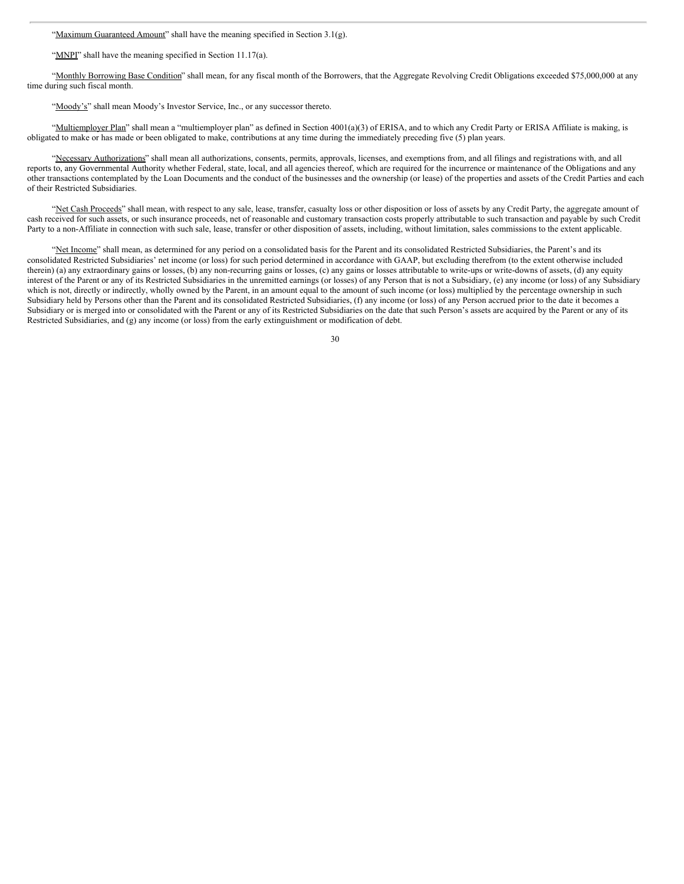"Maximum Guaranteed Amount" shall have the meaning specified in Section 3.1(g).

"MNPI" shall have the meaning specified in Section 11.17(a).

"Monthly Borrowing Base Condition" shall mean, for any fiscal month of the Borrowers, that the Aggregate Revolving Credit Obligations exceeded \$75,000,000 at any time during such fiscal month.

"Moody's" shall mean Moody's Investor Service, Inc., or any successor thereto.

"Multiemployer Plan" shall mean a "multiemployer plan" as defined in Section 4001(a)(3) of ERISA, and to which any Credit Party or ERISA Affiliate is making, is obligated to make or has made or been obligated to make, contributions at any time during the immediately preceding five (5) plan years.

"Necessary Authorizations" shall mean all authorizations, consents, permits, approvals, licenses, and exemptions from, and all filings and registrations with, and all reports to, any Governmental Authority whether Federal, state, local, and all agencies thereof, which are required for the incurrence or maintenance of the Obligations and any other transactions contemplated by the Loan Documents and the conduct of the businesses and the ownership (or lease) of the properties and assets of the Credit Parties and each of their Restricted Subsidiaries.

"Net Cash Proceeds" shall mean, with respect to any sale, lease, transfer, casualty loss or other disposition or loss of assets by any Credit Party, the aggregate amount of cash received for such assets, or such insurance proceeds, net of reasonable and customary transaction costs properly attributable to such transaction and payable by such Credit Party to a non-Affiliate in connection with such sale, lease, transfer or other disposition of assets, including, without limitation, sales commissions to the extent applicable.

"Net Income" shall mean, as determined for any period on a consolidated basis for the Parent and its consolidated Restricted Subsidiaries, the Parent's and its consolidated Restricted Subsidiaries' net income (or loss) for such period determined in accordance with GAAP, but excluding therefrom (to the extent otherwise included therein) (a) any extraordinary gains or losses, (b) any non-recurring gains or losses, (c) any gains or losses attributable to write-ups or write-downs of assets, (d) any equity interest of the Parent or any of its Restricted Subsidiaries in the unremitted earnings (or losses) of any Person that is not a Subsidiary, (e) any income (or loss) of any Subsidiary which is not, directly or indirectly, wholly owned by the Parent, in an amount equal to the amount of such income (or loss) multiplied by the percentage ownership in such Subsidiary held by Persons other than the Parent and its consolidated Restricted Subsidiaries, (f) any income (or loss) of any Person accrued prior to the date it becomes a Subsidiary or is merged into or consolidated with the Parent or any of its Restricted Subsidiaries on the date that such Person's assets are acquired by the Parent or any of its Restricted Subsidiaries, and (g) any income (or loss) from the early extinguishment or modification of debt.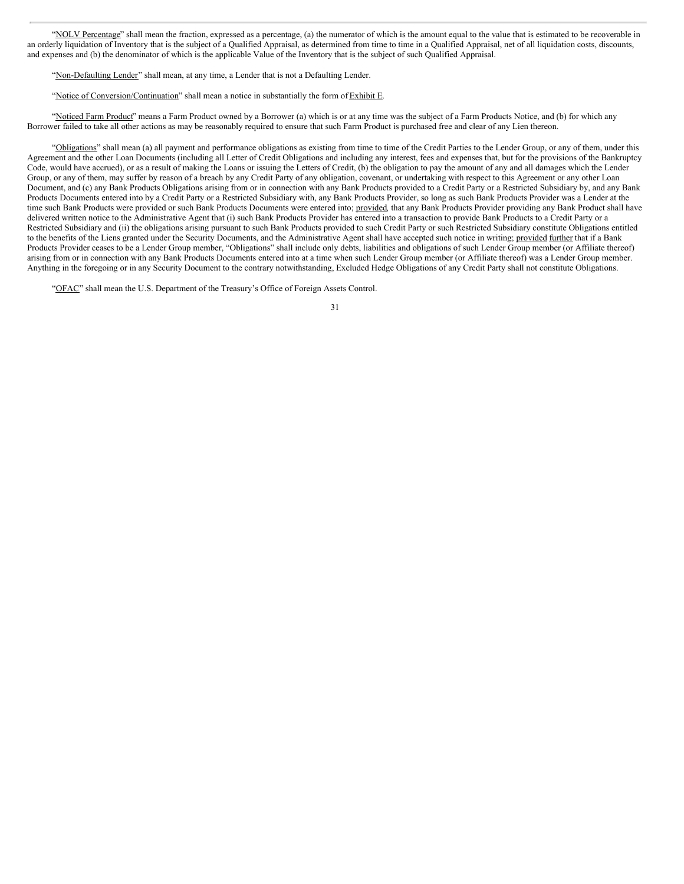"NOLV Percentage" shall mean the fraction, expressed as a percentage, (a) the numerator of which is the amount equal to the value that is estimated to be recoverable in an orderly liquidation of Inventory that is the subject of a Qualified Appraisal, as determined from time to time in a Qualified Appraisal, net of all liquidation costs, discounts, and expenses and (b) the denominator of which is the applicable Value of the Inventory that is the subject of such Qualified Appraisal.

"Non-Defaulting Lender" shall mean, at any time, a Lender that is not a Defaulting Lender.

"Notice of Conversion/Continuation" shall mean a notice in substantially the form of Exhibit E.

"Noticed Farm Product" means a Farm Product owned by a Borrower (a) which is or at any time was the subject of a Farm Products Notice, and (b) for which any Borrower failed to take all other actions as may be reasonably required to ensure that such Farm Product is purchased free and clear of any Lien thereon.

"Obligations" shall mean (a) all payment and performance obligations as existing from time to time of the Credit Parties to the Lender Group, or any of them, under this Agreement and the other Loan Documents (including all Letter of Credit Obligations and including any interest, fees and expenses that, but for the provisions of the Bankruptcy Code, would have accrued), or as a result of making the Loans or issuing the Letters of Credit, (b) the obligation to pay the amount of any and all damages which the Lender Group, or any of them, may suffer by reason of a breach by any Credit Party of any obligation, covenant, or undertaking with respect to this Agreement or any other Loan Document, and (c) any Bank Products Obligations arising from or in connection with any Bank Products provided to a Credit Party or a Restricted Subsidiary by, and any Bank Products Documents entered into by a Credit Party or a Restricted Subsidiary with, any Bank Products Provider, so long as such Bank Products Provider was a Lender at the time such Bank Products were provided or such Bank Products Documents were entered into; provided*,* that any Bank Products Provider providing any Bank Product shall have delivered written notice to the Administrative Agent that (i) such Bank Products Provider has entered into a transaction to provide Bank Products to a Credit Party or a Restricted Subsidiary and (ii) the obligations arising pursuant to such Bank Products provided to such Credit Party or such Restricted Subsidiary constitute Obligations entitled to the benefits of the Liens granted under the Security Documents, and the Administrative Agent shall have accepted such notice in writing; provided further that if a Bank Products Provider ceases to be a Lender Group member, "Obligations" shall include only debts, liabilities and obligations of such Lender Group member (or Affiliate thereof) arising from or in connection with any Bank Products Documents entered into at a time when such Lender Group member (or Affiliate thereof) was a Lender Group member. Anything in the foregoing or in any Security Document to the contrary notwithstanding, Excluded Hedge Obligations of any Credit Party shall not constitute Obligations.

"OFAC" shall mean the U.S. Department of the Treasury's Office of Foreign Assets Control.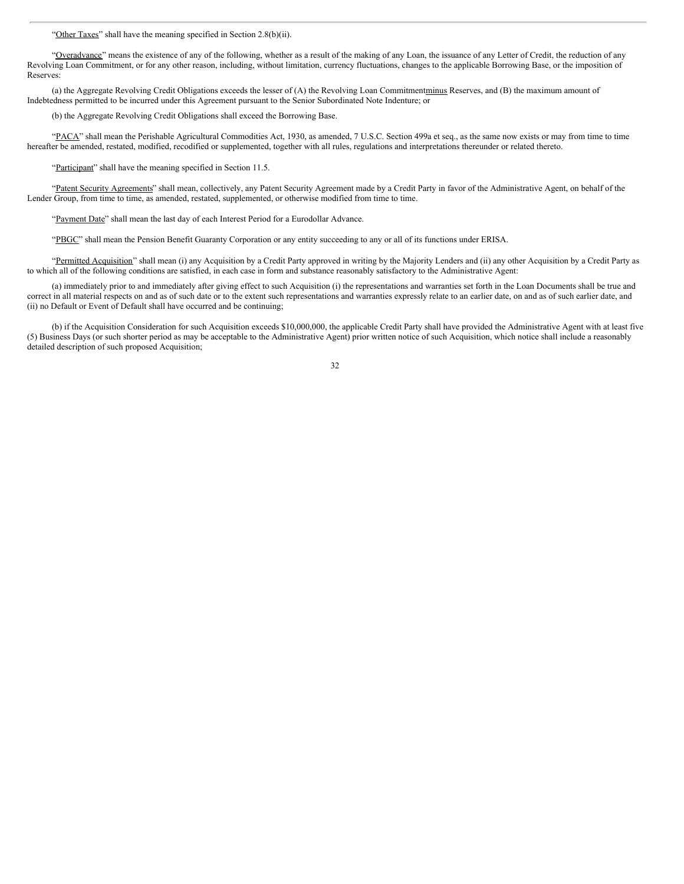"Other Taxes" shall have the meaning specified in Section 2.8(b)(ii).

"Overadvance" means the existence of any of the following, whether as a result of the making of any Loan, the issuance of any Letter of Credit, the reduction of any Revolving Loan Commitment, or for any other reason, including, without limitation, currency fluctuations, changes to the applicable Borrowing Base, or the imposition of Reserves:

(a) the Aggregate Revolving Credit Obligations exceeds the lesser of (A) the Revolving Loan Commitmentminus Reserves, and (B) the maximum amount of Indebtedness permitted to be incurred under this Agreement pursuant to the Senior Subordinated Note Indenture; or

(b) the Aggregate Revolving Credit Obligations shall exceed the Borrowing Base.

"PACA" shall mean the Perishable Agricultural Commodities Act, 1930, as amended, 7 U.S.C. Section 499a et seq., as the same now exists or may from time to time hereafter be amended, restated, modified, recodified or supplemented, together with all rules, regulations and interpretations thereunder or related thereto.

"Participant" shall have the meaning specified in Section 11.5.

"Patent Security Agreements" shall mean, collectively, any Patent Security Agreement made by a Credit Party in favor of the Administrative Agent, on behalf of the Lender Group, from time to time, as amended, restated, supplemented, or otherwise modified from time to time.

"Payment Date" shall mean the last day of each Interest Period for a Eurodollar Advance.

"PBGC" shall mean the Pension Benefit Guaranty Corporation or any entity succeeding to any or all of its functions under ERISA.

"Permitted Acquisition" shall mean (i) any Acquisition by a Credit Party approved in writing by the Majority Lenders and (ii) any other Acquisition by a Credit Party as to which all of the following conditions are satisfied, in each case in form and substance reasonably satisfactory to the Administrative Agent:

(a) immediately prior to and immediately after giving effect to such Acquisition (i) the representations and warranties set forth in the Loan Documents shall be true and correct in all material respects on and as of such date or to the extent such representations and warranties expressly relate to an earlier date, on and as of such earlier date, and (ii) no Default or Event of Default shall have occurred and be continuing;

(b) if the Acquisition Consideration for such Acquisition exceeds \$10,000,000, the applicable Credit Party shall have provided the Administrative Agent with at least five (5) Business Days (or such shorter period as may be acceptable to the Administrative Agent) prior written notice of such Acquisition, which notice shall include a reasonably detailed description of such proposed Acquisition;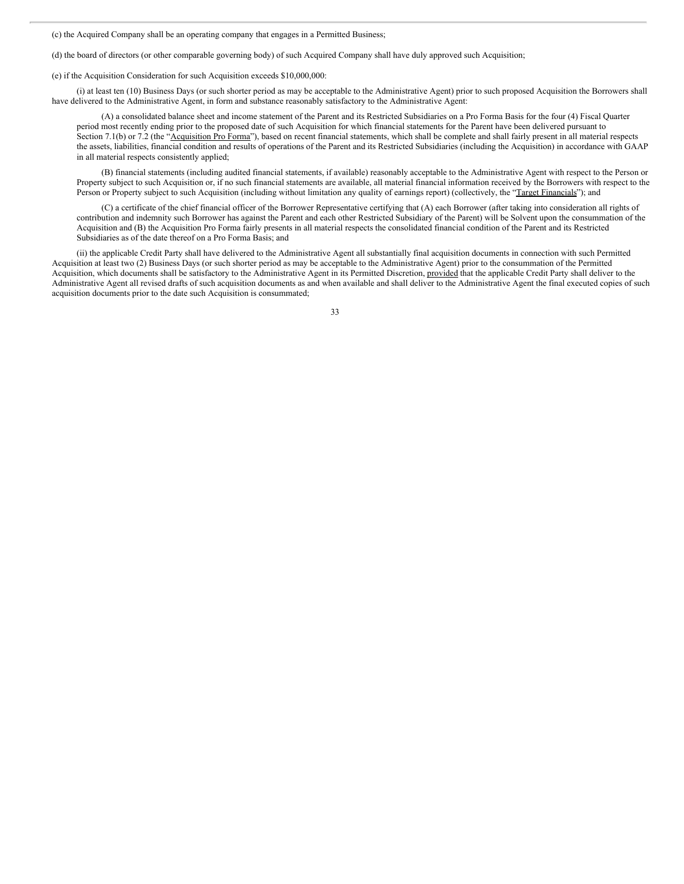(c) the Acquired Company shall be an operating company that engages in a Permitted Business;

(d) the board of directors (or other comparable governing body) of such Acquired Company shall have duly approved such Acquisition;

(e) if the Acquisition Consideration for such Acquisition exceeds \$10,000,000:

(i) at least ten (10) Business Days (or such shorter period as may be acceptable to the Administrative Agent) prior to such proposed Acquisition the Borrowers shall have delivered to the Administrative Agent, in form and substance reasonably satisfactory to the Administrative Agent:

(A) a consolidated balance sheet and income statement of the Parent and its Restricted Subsidiaries on a Pro Forma Basis for the four (4) Fiscal Quarter period most recently ending prior to the proposed date of such Acquisition for which financial statements for the Parent have been delivered pursuant to Section 7.1(b) or 7.2 (the "Acquisition Pro Forma"), based on recent financial statements, which shall be complete and shall fairly present in all material respects the assets, liabilities, financial condition and results of operations of the Parent and its Restricted Subsidiaries (including the Acquisition) in accordance with GAAP in all material respects consistently applied;

(B) financial statements (including audited financial statements, if available) reasonably acceptable to the Administrative Agent with respect to the Person or Property subject to such Acquisition or, if no such financial statements are available, all material financial information received by the Borrowers with respect to the Person or Property subject to such Acquisition (including without limitation any quality of earnings report) (collectively, the "Target Financials"); and

(C) a certificate of the chief financial officer of the Borrower Representative certifying that (A) each Borrower (after taking into consideration all rights of contribution and indemnity such Borrower has against the Parent and each other Restricted Subsidiary of the Parent) will be Solvent upon the consummation of the Acquisition and (B) the Acquisition Pro Forma fairly presents in all material respects the consolidated financial condition of the Parent and its Restricted Subsidiaries as of the date thereof on a Pro Forma Basis; and

(ii) the applicable Credit Party shall have delivered to the Administrative Agent all substantially final acquisition documents in connection with such Permitted Acquisition at least two (2) Business Days (or such shorter period as may be acceptable to the Administrative Agent) prior to the consummation of the Permitted Acquisition, which documents shall be satisfactory to the Administrative Agent in its Permitted Discretion, provided that the applicable Credit Party shall deliver to the Administrative Agent all revised drafts of such acquisition documents as and when available and shall deliver to the Administrative Agent the final executed copies of such acquisition documents prior to the date such Acquisition is consummated;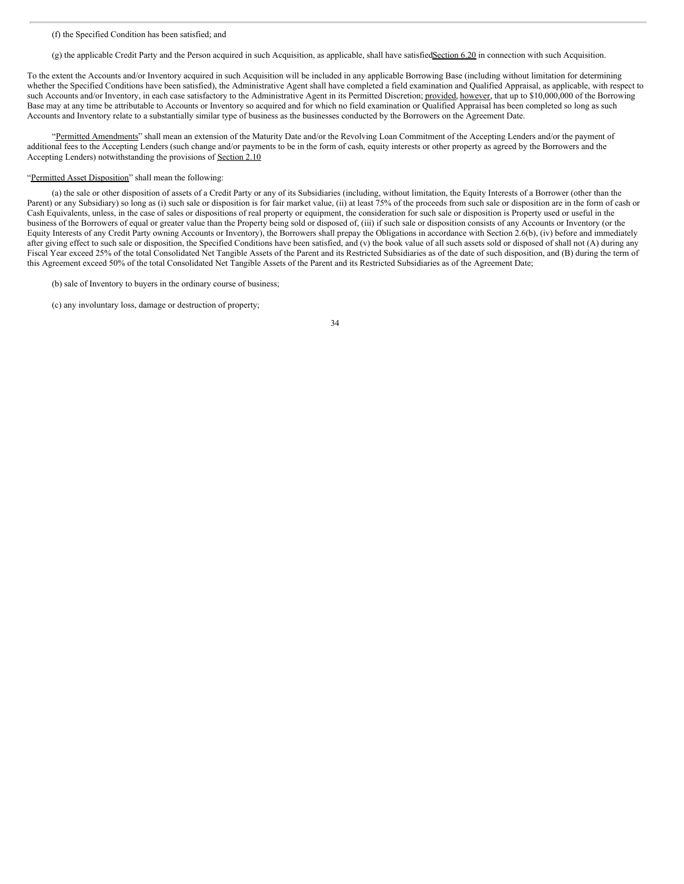#### (f) the Specified Condition has been satisfied; and

(g) the applicable Credit Party and the Person acquired in such Acquisition, as applicable, shall have satisfiedSection 6.20 in connection with such Acquisition.

To the extent the Accounts and/or Inventory acquired in such Acquisition will be included in any applicable Borrowing Base (including without limitation for determining whether the Specified Conditions have been satisfied), the Administrative Agent shall have completed a field examination and Qualified Appraisal, as applicable, with respect to such Accounts and/or Inventory, in each case satisfactory to the Administrative Agent in its Permitted Discretion; provided, however, that up to \$10,000,000 of the Borrowing Base may at any time be attributable to Accounts or Inventory so acquired and for which no field examination or Qualified Appraisal has been completed so long as such Accounts and Inventory relate to a substantially similar type of business as the businesses conducted by the Borrowers on the Agreement Date.

"Permitted Amendments" shall mean an extension of the Maturity Date and/or the Revolving Loan Commitment of the Accepting Lenders and/or the payment of additional fees to the Accepting Lenders (such change and/or payments to be in the form of cash, equity interests or other property as agreed by the Borrowers and the Accepting Lenders) notwithstanding the provisions of Section 2.10

#### "Permitted Asset Disposition" shall mean the following:

(a) the sale or other disposition of assets of a Credit Party or any of its Subsidiaries (including, without limitation, the Equity Interests of a Borrower (other than the Parent) or any Subsidiary) so long as (i) such sale or disposition is for fair market value, (ii) at least 75% of the proceeds from such sale or disposition are in the form of cash or Cash Equivalents, unless, in the case of sales or dispositions of real property or equipment, the consideration for such sale or disposition is Property used or useful in the business of the Borrowers of equal or greater value than the Property being sold or disposed of, (iii) if such sale or disposition consists of any Accounts or Inventory (or the Equity Interests of any Credit Party owning Accounts or Inventory), the Borrowers shall prepay the Obligations in accordance with Section 2.6(b), (iv) before and immediately after giving effect to such sale or disposition, the Specified Conditions have been satisfied, and (v) the book value of all such assets sold or disposed of shall not (A) during any Fiscal Year exceed 25% of the total Consolidated Net Tangible Assets of the Parent and its Restricted Subsidiaries as of the date of such disposition, and (B) during the term of this Agreement exceed 50% of the total Consolidated Net Tangible Assets of the Parent and its Restricted Subsidiaries as of the Agreement Date;

(b) sale of Inventory to buyers in the ordinary course of business;

(c) any involuntary loss, damage or destruction of property;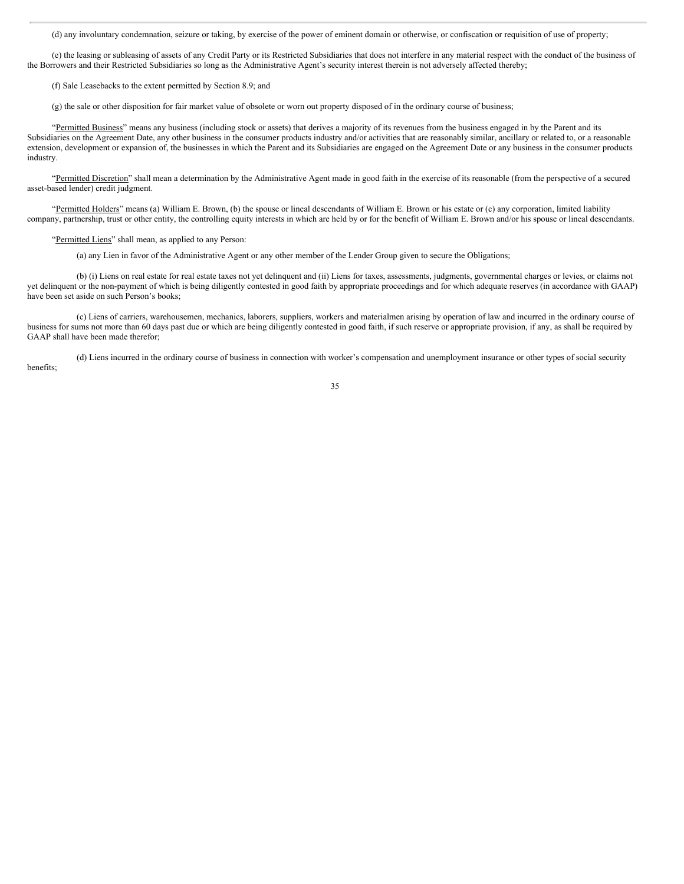(d) any involuntary condemnation, seizure or taking, by exercise of the power of eminent domain or otherwise, or confiscation or requisition of use of property;

(e) the leasing or subleasing of assets of any Credit Party or its Restricted Subsidiaries that does not interfere in any material respect with the conduct of the business of the Borrowers and their Restricted Subsidiaries so long as the Administrative Agent's security interest therein is not adversely affected thereby;

(f) Sale Leasebacks to the extent permitted by Section 8.9; and

(g) the sale or other disposition for fair market value of obsolete or worn out property disposed of in the ordinary course of business;

"Permitted Business" means any business (including stock or assets) that derives a majority of its revenues from the business engaged in by the Parent and its Subsidiaries on the Agreement Date, any other business in the consumer products industry and/or activities that are reasonably similar, ancillary or related to, or a reasonable extension, development or expansion of, the businesses in which the Parent and its Subsidiaries are engaged on the Agreement Date or any business in the consumer products industry.

"Permitted Discretion" shall mean a determination by the Administrative Agent made in good faith in the exercise of its reasonable (from the perspective of a secured asset-based lender) credit judgment.

"Permitted Holders" means (a) William E. Brown, (b) the spouse or lineal descendants of William E. Brown or his estate or (c) any corporation, limited liability company, partnership, trust or other entity, the controlling equity interests in which are held by or for the benefit of William E. Brown and/or his spouse or lineal descendants.

"Permitted Liens" shall mean, as applied to any Person:

(a) any Lien in favor of the Administrative Agent or any other member of the Lender Group given to secure the Obligations;

(b) (i) Liens on real estate for real estate taxes not yet delinquent and (ii) Liens for taxes, assessments, judgments, governmental charges or levies, or claims not yet delinquent or the non-payment of which is being diligently contested in good faith by appropriate proceedings and for which adequate reserves (in accordance with GAAP) have been set aside on such Person's books;

(c) Liens of carriers, warehousemen, mechanics, laborers, suppliers, workers and materialmen arising by operation of law and incurred in the ordinary course of business for sums not more than 60 days past due or which are being diligently contested in good faith, if such reserve or appropriate provision, if any, as shall be required by GAAP shall have been made therefor;

(d) Liens incurred in the ordinary course of business in connection with worker's compensation and unemployment insurance or other types of social security benefits;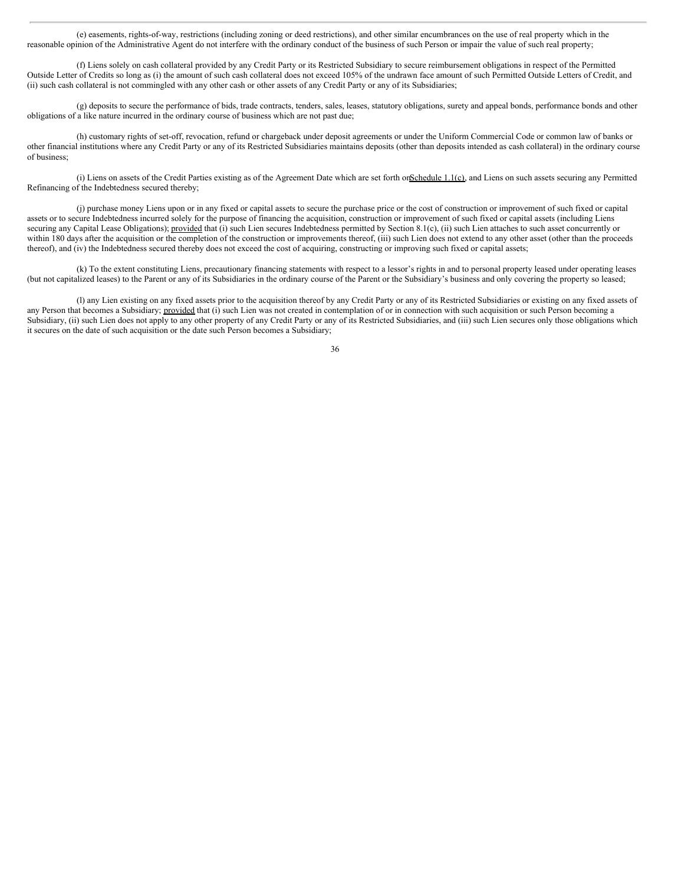(e) easements, rights-of-way, restrictions (including zoning or deed restrictions), and other similar encumbrances on the use of real property which in the reasonable opinion of the Administrative Agent do not interfere with the ordinary conduct of the business of such Person or impair the value of such real property;

(f) Liens solely on cash collateral provided by any Credit Party or its Restricted Subsidiary to secure reimbursement obligations in respect of the Permitted Outside Letter of Credits so long as (i) the amount of such cash collateral does not exceed 105% of the undrawn face amount of such Permitted Outside Letters of Credit, and (ii) such cash collateral is not commingled with any other cash or other assets of any Credit Party or any of its Subsidiaries;

(g) deposits to secure the performance of bids, trade contracts, tenders, sales, leases, statutory obligations, surety and appeal bonds, performance bonds and other obligations of a like nature incurred in the ordinary course of business which are not past due;

(h) customary rights of set-off, revocation, refund or chargeback under deposit agreements or under the Uniform Commercial Code or common law of banks or other financial institutions where any Credit Party or any of its Restricted Subsidiaries maintains deposits (other than deposits intended as cash collateral) in the ordinary course of business;

(i) Liens on assets of the Credit Parties existing as of the Agreement Date which are set forth onSchedule 1.1(c), and Liens on such assets securing any Permitted Refinancing of the Indebtedness secured thereby;

(j) purchase money Liens upon or in any fixed or capital assets to secure the purchase price or the cost of construction or improvement of such fixed or capital assets or to secure Indebtedness incurred solely for the purpose of financing the acquisition, construction or improvement of such fixed or capital assets (including Liens securing any Capital Lease Obligations); provided that (i) such Lien secures Indebtedness permitted by Section 8.1(c), (ii) such Lien attaches to such asset concurrently or within 180 days after the acquisition or the completion of the construction or improvements thereof, (iii) such Lien does not extend to any other asset (other than the proceeds thereof), and (iv) the Indebtedness secured thereby does not exceed the cost of acquiring, constructing or improving such fixed or capital assets;

(k) To the extent constituting Liens, precautionary financing statements with respect to a lessor's rights in and to personal property leased under operating leases (but not capitalized leases) to the Parent or any of its Subsidiaries in the ordinary course of the Parent or the Subsidiary's business and only covering the property so leased;

(l) any Lien existing on any fixed assets prior to the acquisition thereof by any Credit Party or any of its Restricted Subsidiaries or existing on any fixed assets of any Person that becomes a Subsidiary; provided that (i) such Lien was not created in contemplation of or in connection with such acquisition or such Person becoming a Subsidiary, (ii) such Lien does not apply to any other property of any Credit Party or any of its Restricted Subsidiaries, and (iii) such Lien secures only those obligations which it secures on the date of such acquisition or the date such Person becomes a Subsidiary;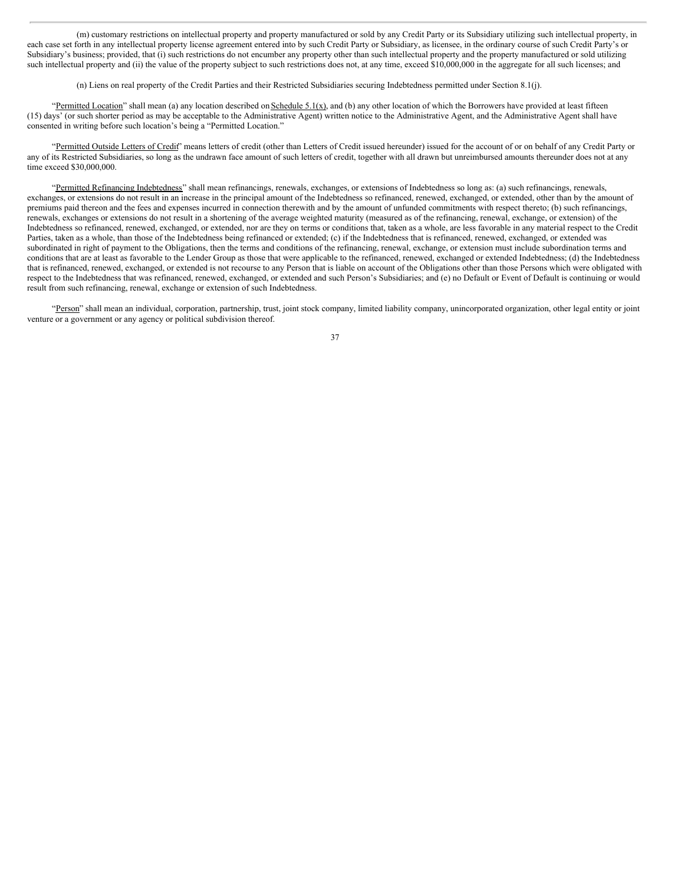(m) customary restrictions on intellectual property and property manufactured or sold by any Credit Party or its Subsidiary utilizing such intellectual property, in each case set forth in any intellectual property license agreement entered into by such Credit Party or Subsidiary, as licensee, in the ordinary course of such Credit Party's or Subsidiary's business; provided, that (i) such restrictions do not encumber any property other than such intellectual property and the property manufactured or sold utilizing such intellectual property and (ii) the value of the property subject to such restrictions does not, at any time, exceed \$10,000,000 in the aggregate for all such licenses; and

(n) Liens on real property of the Credit Parties and their Restricted Subsidiaries securing Indebtedness permitted under Section 8.1(j).

"Permitted Location" shall mean (a) any location described on Schedule 5.1(x), and (b) any other location of which the Borrowers have provided at least fifteen (15) days' (or such shorter period as may be acceptable to the Administrative Agent) written notice to the Administrative Agent, and the Administrative Agent shall have consented in writing before such location's being a "Permitted Location."

"Permitted Outside Letters of Credit" means letters of credit (other than Letters of Credit issued hereunder) issued for the account of or on behalf of any Credit Party or any of its Restricted Subsidiaries, so long as the undrawn face amount of such letters of credit, together with all drawn but unreimbursed amounts thereunder does not at any time exceed \$30,000,000.

"Permitted Refinancing Indebtedness" shall mean refinancings, renewals, exchanges, or extensions of Indebtedness so long as: (a) such refinancings, renewals, exchanges, or extensions do not result in an increase in the principal amount of the Indebtedness so refinanced, renewed, exchanged, or extended, other than by the amount of premiums paid thereon and the fees and expenses incurred in connection therewith and by the amount of unfunded commitments with respect thereto; (b) such refinancings, renewals, exchanges or extensions do not result in a shortening of the average weighted maturity (measured as of the refinancing, renewal, exchange, or extension) of the Indebtedness so refinanced, renewed, exchanged, or extended, nor are they on terms or conditions that, taken as a whole, are less favorable in any material respect to the Credit Parties, taken as a whole, than those of the Indebtedness being refinanced or extended; (c) if the Indebtedness that is refinanced, renewed, exchanged, or extended was subordinated in right of payment to the Obligations, then the terms and conditions of the refinancing, renewal, exchange, or extension must include subordination terms and conditions that are at least as favorable to the Lender Group as those that were applicable to the refinanced, renewed, exchanged or extended Indebtedness; (d) the Indebtedness that is refinanced, renewed, exchanged, or extended is not recourse to any Person that is liable on account of the Obligations other than those Persons which were obligated with respect to the Indebtedness that was refinanced, renewed, exchanged, or extended and such Person's Subsidiaries; and (e) no Default or Event of Default is continuing or would result from such refinancing, renewal, exchange or extension of such Indebtedness.

"Person" shall mean an individual, corporation, partnership, trust, joint stock company, limited liability company, unincorporated organization, other legal entity or joint venture or a government or any agency or political subdivision thereof.

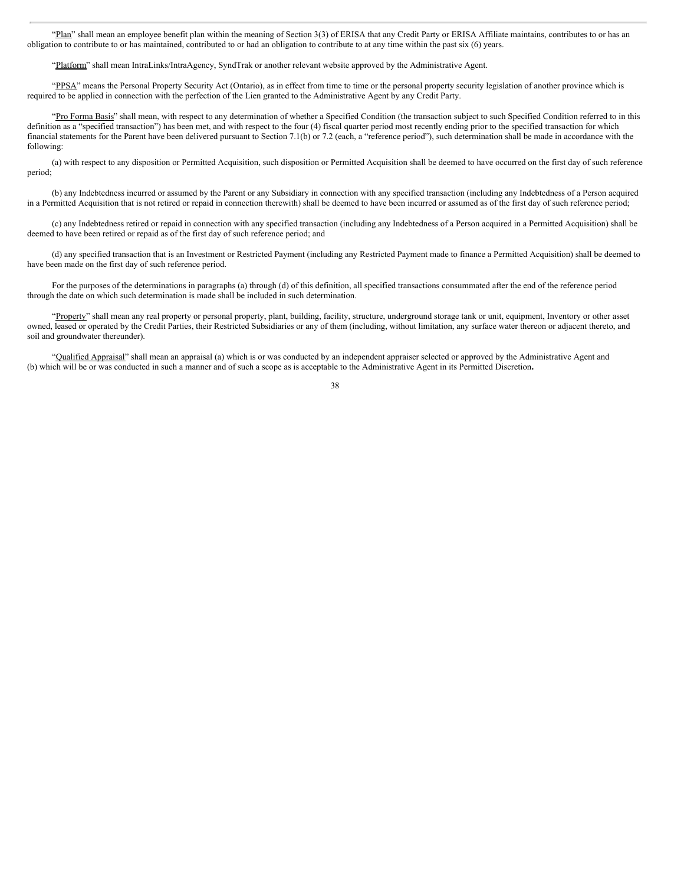"Plan" shall mean an employee benefit plan within the meaning of Section 3(3) of ERISA that any Credit Party or ERISA Affiliate maintains, contributes to or has an obligation to contribute to or has maintained, contributed to or had an obligation to contribute to at any time within the past six (6) years.

"Platform" shall mean IntraLinks/IntraAgency, SyndTrak or another relevant website approved by the Administrative Agent.

"PPSA" means the Personal Property Security Act (Ontario), as in effect from time to time or the personal property security legislation of another province which is required to be applied in connection with the perfection of the Lien granted to the Administrative Agent by any Credit Party.

"Pro Forma Basis" shall mean, with respect to any determination of whether a Specified Condition (the transaction subject to such Specified Condition referred to in this definition as a "specified transaction") has been met, and with respect to the four (4) fiscal quarter period most recently ending prior to the specified transaction for which financial statements for the Parent have been delivered pursuant to Section 7.1(b) or 7.2 (each, a "reference period"), such determination shall be made in accordance with the following:

(a) with respect to any disposition or Permitted Acquisition, such disposition or Permitted Acquisition shall be deemed to have occurred on the first day of such reference period;

(b) any Indebtedness incurred or assumed by the Parent or any Subsidiary in connection with any specified transaction (including any Indebtedness of a Person acquired in a Permitted Acquisition that is not retired or repaid in connection therewith) shall be deemed to have been incurred or assumed as of the first day of such reference period;

(c) any Indebtedness retired or repaid in connection with any specified transaction (including any Indebtedness of a Person acquired in a Permitted Acquisition) shall be deemed to have been retired or repaid as of the first day of such reference period; and

(d) any specified transaction that is an Investment or Restricted Payment (including any Restricted Payment made to finance a Permitted Acquisition) shall be deemed to have been made on the first day of such reference period.

For the purposes of the determinations in paragraphs (a) through (d) of this definition, all specified transactions consummated after the end of the reference period through the date on which such determination is made shall be included in such determination.

"Property" shall mean any real property or personal property, plant, building, facility, structure, underground storage tank or unit, equipment, Inventory or other asset owned, leased or operated by the Credit Parties, their Restricted Subsidiaries or any of them (including, without limitation, any surface water thereon or adjacent thereto, and soil and groundwater thereunder).

"Qualified Appraisal" shall mean an appraisal (a) which is or was conducted by an independent appraiser selected or approved by the Administrative Agent and (b) which will be or was conducted in such a manner and of such a scope as is acceptable to the Administrative Agent in its Permitted Discretion**.**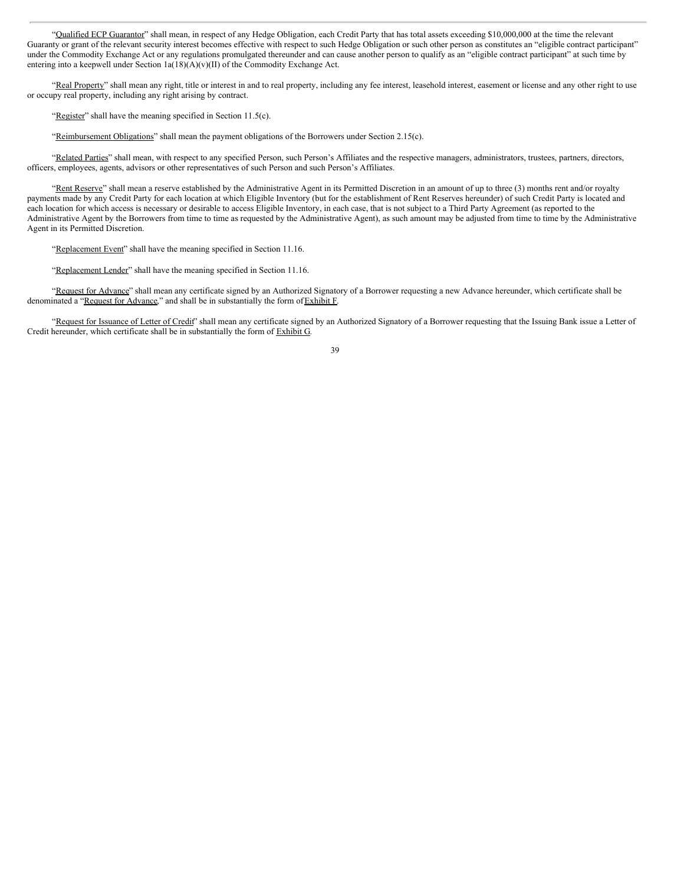"Qualified ECP Guarantor" shall mean, in respect of any Hedge Obligation, each Credit Party that has total assets exceeding \$10,000,000 at the time the relevant Guaranty or grant of the relevant security interest becomes effective with respect to such Hedge Obligation or such other person as constitutes an "eligible contract participant" under the Commodity Exchange Act or any regulations promulgated thereunder and can cause another person to qualify as an "eligible contract participant" at such time by entering into a keepwell under Section 1a(18)(A)(v)(II) of the Commodity Exchange Act.

"Real Property" shall mean any right, title or interest in and to real property, including any fee interest, leasehold interest, easement or license and any other right to use or occupy real property, including any right arising by contract.

"Register" shall have the meaning specified in Section 11.5(c).

"Reimbursement Obligations" shall mean the payment obligations of the Borrowers under Section 2.15(c).

"Related Parties" shall mean, with respect to any specified Person, such Person's Affiliates and the respective managers, administrators, trustees, partners, directors, officers, employees, agents, advisors or other representatives of such Person and such Person's Affiliates.

"Rent Reserve" shall mean a reserve established by the Administrative Agent in its Permitted Discretion in an amount of up to three (3) months rent and/or royalty payments made by any Credit Party for each location at which Eligible Inventory (but for the establishment of Rent Reserves hereunder) of such Credit Party is located and each location for which access is necessary or desirable to access Eligible Inventory, in each case, that is not subject to a Third Party Agreement (as reported to the Administrative Agent by the Borrowers from time to time as requested by the Administrative Agent), as such amount may be adjusted from time to time by the Administrative Agent in its Permitted Discretion.

"Replacement Event" shall have the meaning specified in Section 11.16.

"Replacement Lender" shall have the meaning specified in Section 11.16.

"Request for Advance" shall mean any certificate signed by an Authorized Signatory of a Borrower requesting a new Advance hereunder, which certificate shall be denominated a "Request for Advance," and shall be in substantially the form of Exhibit F.

"Request for Issuance of Letter of Credit" shall mean any certificate signed by an Authorized Signatory of a Borrower requesting that the Issuing Bank issue a Letter of Credit hereunder, which certificate shall be in substantially the form of Exhibit G.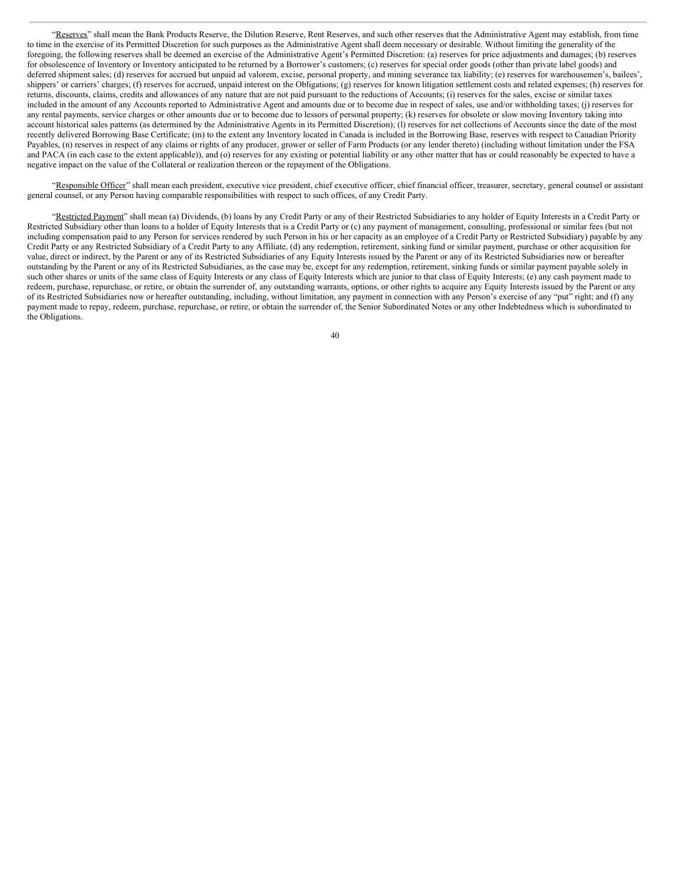"Reserves" shall mean the Bank Products Reserve, the Dilution Reserve, Rent Reserves, and such other reserves that the Administrative Agent may establish, from time to time in the exercise of its Permitted Discretion for such purposes as the Administrative Agent shall deem necessary or desirable. Without limiting the generality of the foregoing, the following reserves shall be deemed an exercise of the Administrative Agent's Permitted Discretion: (a) reserves for price adjustments and damages; (b) reserves for obsolescence of Inventory or Inventory anticipated to be returned by a Borrower's customers; (c) reserves for special order goods (other than private label goods) and deferred shipment sales; (d) reserves for accrued but unpaid ad valorem, excise, personal property, and mining severance tax liability; (e) reserves for warehousemen's, bailees', shippers' or carriers' charges; (f) reserves for accrued, unpaid interest on the Obligations; (g) reserves for known litigation settlement costs and related expenses; (h) reserves for returns, discounts, claims, credits and allowances of any nature that are not paid pursuant to the reductions of Accounts; (i) reserves for the sales, excise or similar taxes included in the amount of any Accounts reported to Administrative Agent and amounts due or to become due in respect of sales, use and/or withholding taxes; (j) reserves for any rental payments, service charges or other amounts due or to become due to lessors of personal property; (k) reserves for obsolete or slow moving Inventory taking into account historical sales patterns (as determined by the Administrative Agents in its Permitted Discretion); (l) reserves for net collections of Accounts since the date of the most recently delivered Borrowing Base Certificate; (m) to the extent any Inventory located in Canada is included in the Borrowing Base, reserves with respect to Canadian Priority Payables, (n) reserves in respect of any claims or rights of any producer, grower or seller of Farm Products (or any lender thereto) (including without limitation under the FSA and PACA (in each case to the extent applicable)), and (o) reserves for any existing or potential liability or any other matter that has or could reasonably be expected to have a negative impact on the value of the Collateral or realization thereon or the repayment of the Obligations.

"Responsible Officer" shall mean each president, executive vice president, chief executive officer, chief financial officer, treasurer, secretary, general counsel or assistant general counsel, or any Person having comparable responsibilities with respect to such offices, of any Credit Party.

"Restricted Payment" shall mean (a) Dividends, (b) loans by any Credit Party or any of their Restricted Subsidiaries to any holder of Equity Interests in a Credit Party or Restricted Subsidiary other than loans to a holder of Equity Interests that is a Credit Party or (c) any payment of management, consulting, professional or similar fees (but not including compensation paid to any Person for services rendered by such Person in his or her capacity as an employee of a Credit Party or Restricted Subsidiary) payable by any Credit Party or any Restricted Subsidiary of a Credit Party to any Affiliate, (d) any redemption, retirement, sinking fund or similar payment, purchase or other acquisition for value, direct or indirect, by the Parent or any of its Restricted Subsidiaries of any Equity Interests issued by the Parent or any of its Restricted Subsidiaries now or hereafter outstanding by the Parent or any of its Restricted Subsidiaries, as the case may be, except for any redemption, retirement, sinking funds or similar payment payable solely in such other shares or units of the same class of Equity Interests or any class of Equity Interests which are junior to that class of Equity Interests; (e) any cash payment made to redeem, purchase, repurchase, or retire, or obtain the surrender of, any outstanding warrants, options, or other rights to acquire any Equity Interests issued by the Parent or any of its Restricted Subsidiaries now or hereafter outstanding, including, without limitation, any payment in connection with any Person's exercise of any "put" right; and (f) any payment made to repay, redeem, purchase, repurchase, or retire, or obtain the surrender of, the Senior Subordinated Notes or any other Indebtedness which is subordinated to the Obligations.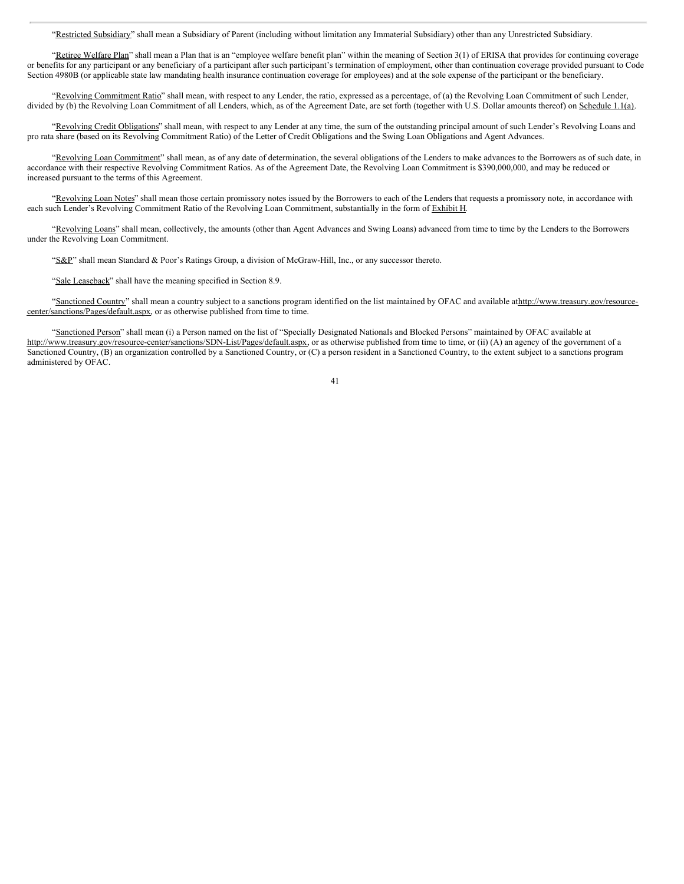"Restricted Subsidiary" shall mean a Subsidiary of Parent (including without limitation any Immaterial Subsidiary) other than any Unrestricted Subsidiary.

"Retiree Welfare Plan" shall mean a Plan that is an "employee welfare benefit plan" within the meaning of Section 3(1) of ERISA that provides for continuing coverage or benefits for any participant or any beneficiary of a participant after such participant's termination of employment, other than continuation coverage provided pursuant to Code Section 4980B (or applicable state law mandating health insurance continuation coverage for employees) and at the sole expense of the participant or the beneficiary.

"Revolving Commitment Ratio" shall mean, with respect to any Lender, the ratio, expressed as a percentage, of (a) the Revolving Loan Commitment of such Lender, divided by (b) the Revolving Loan Commitment of all Lenders, which, as of the Agreement Date, are set forth (together with U.S. Dollar amounts thereof) on Schedule 1.1(a).

"Revolving Credit Obligations" shall mean, with respect to any Lender at any time, the sum of the outstanding principal amount of such Lender's Revolving Loans and pro rata share (based on its Revolving Commitment Ratio) of the Letter of Credit Obligations and the Swing Loan Obligations and Agent Advances.

"Revolving Loan Commitment" shall mean, as of any date of determination, the several obligations of the Lenders to make advances to the Borrowers as of such date, in accordance with their respective Revolving Commitment Ratios. As of the Agreement Date, the Revolving Loan Commitment is \$390,000,000, and may be reduced or increased pursuant to the terms of this Agreement.

"Revolving Loan Notes" shall mean those certain promissory notes issued by the Borrowers to each of the Lenders that requests a promissory note, in accordance with each such Lender's Revolving Commitment Ratio of the Revolving Loan Commitment, substantially in the form of Exhibit H.

"Revolving Loans" shall mean, collectively, the amounts (other than Agent Advances and Swing Loans) advanced from time to time by the Lenders to the Borrowers under the Revolving Loan Commitment.

"S&P" shall mean Standard & Poor's Ratings Group, a division of McGraw-Hill, Inc., or any successor thereto.

"Sale Leaseback" shall have the meaning specified in Section 8.9.

"Sanctioned Country" shall mean a country subject to a sanctions program identified on the list maintained by OFAC and available athttp://www.treasury.gov/resourcecenter/sanctions/Pages/default.aspx, or as otherwise published from time to time.

"Sanctioned Person" shall mean (i) a Person named on the list of "Specially Designated Nationals and Blocked Persons" maintained by OFAC available at http://www.treasury.gov/resource-center/sanctions/SDN-List/Pages/default.aspx, or as otherwise published from time to time, or (ii) (A) an agency of the government of a Sanctioned Country, (B) an organization controlled by a Sanctioned Country, or (C) a person resident in a Sanctioned Country, to the extent subject to a sanctions program administered by OFAC.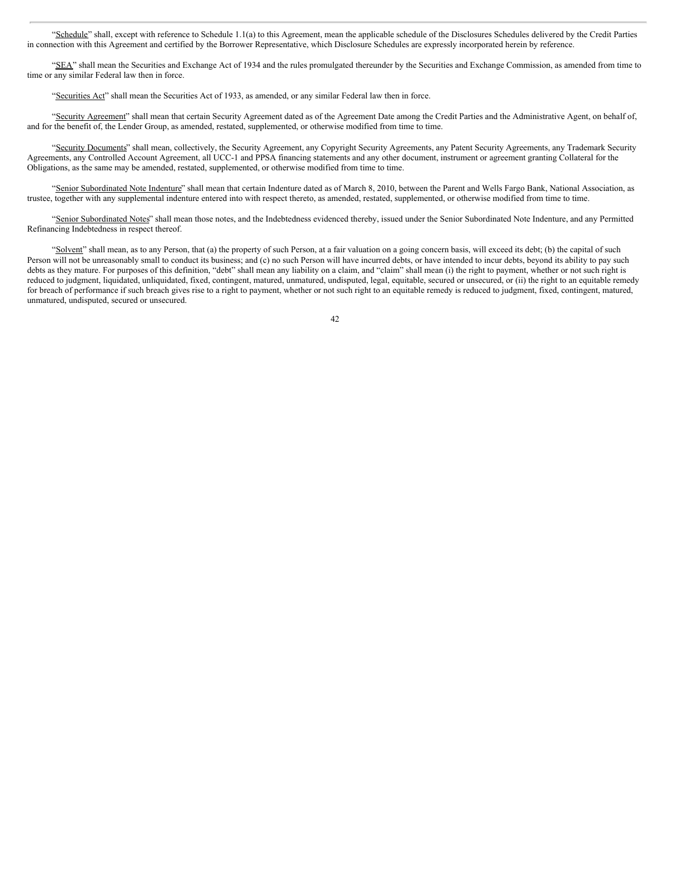"Schedule" shall, except with reference to Schedule 1.1(a) to this Agreement, mean the applicable schedule of the Disclosures Schedules delivered by the Credit Parties in connection with this Agreement and certified by the Borrower Representative, which Disclosure Schedules are expressly incorporated herein by reference.

"SEA" shall mean the Securities and Exchange Act of 1934 and the rules promulgated thereunder by the Securities and Exchange Commission, as amended from time to time or any similar Federal law then in force.

"Securities Act" shall mean the Securities Act of 1933, as amended, or any similar Federal law then in force.

"Security Agreement" shall mean that certain Security Agreement dated as of the Agreement Date among the Credit Parties and the Administrative Agent, on behalf of, and for the benefit of, the Lender Group, as amended, restated, supplemented, or otherwise modified from time to time.

"Security Documents" shall mean, collectively, the Security Agreement, any Copyright Security Agreements, any Patent Security Agreements, any Trademark Security Agreements, any Controlled Account Agreement, all UCC-1 and PPSA financing statements and any other document, instrument or agreement granting Collateral for the Obligations, as the same may be amended, restated, supplemented, or otherwise modified from time to time.

"Senior Subordinated Note Indenture" shall mean that certain Indenture dated as of March 8, 2010, between the Parent and Wells Fargo Bank, National Association, as trustee, together with any supplemental indenture entered into with respect thereto, as amended, restated, supplemented, or otherwise modified from time to time.

"Senior Subordinated Notes" shall mean those notes, and the Indebtedness evidenced thereby, issued under the Senior Subordinated Note Indenture, and any Permitted Refinancing Indebtedness in respect thereof.

"Solvent" shall mean, as to any Person, that (a) the property of such Person, at a fair valuation on a going concern basis, will exceed its debt; (b) the capital of such Person will not be unreasonably small to conduct its business; and (c) no such Person will have incurred debts, or have intended to incur debts, beyond its ability to pay such debts as they mature. For purposes of this definition, "debt" shall mean any liability on a claim, and "claim" shall mean (i) the right to payment, whether or not such right is reduced to judgment, liquidated, unliquidated, fixed, contingent, matured, unmatured, undisputed, legal, equitable, secured or unsecured, or (ii) the right to an equitable remedy for breach of performance if such breach gives rise to a right to payment, whether or not such right to an equitable remedy is reduced to judgment, fixed, contingent, matured, unmatured, undisputed, secured or unsecured.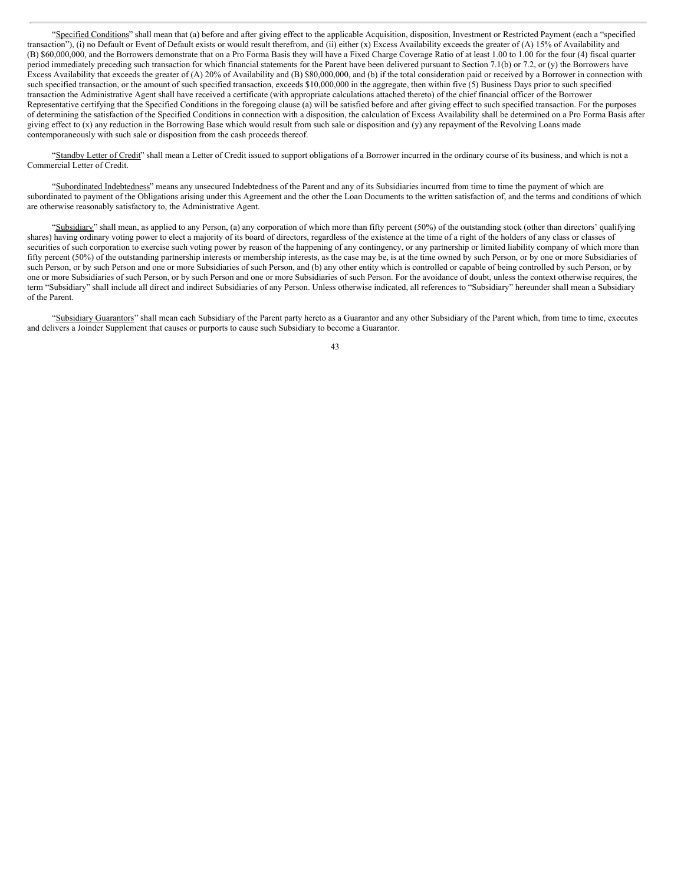"Specified Conditions" shall mean that (a) before and after giving effect to the applicable Acquisition, disposition, Investment or Restricted Payment (each a "specified transaction"), (i) no Default or Event of Default exists or would result therefrom, and (ii) either (x) Excess Availability exceeds the greater of (A) 15% of Availability and (B) \$60,000,000, and the Borrowers demonstrate that on a Pro Forma Basis they will have a Fixed Charge Coverage Ratio of at least 1.00 to 1.00 for the four (4) fiscal quarter period immediately preceding such transaction for which financial statements for the Parent have been delivered pursuant to Section 7.1(b) or 7.2, or (y) the Borrowers have Excess Availability that exceeds the greater of (A) 20% of Availability and (B) \$80,000,000, and (b) if the total consideration paid or received by a Borrower in connection with such specified transaction, or the amount of such specified transaction, exceeds \$10,000,000 in the aggregate, then within five (5) Business Days prior to such specified transaction the Administrative Agent shall have received a certificate (with appropriate calculations attached thereto) of the chief financial officer of the Borrower Representative certifying that the Specified Conditions in the foregoing clause (a) will be satisfied before and after giving effect to such specified transaction. For the purposes of determining the satisfaction of the Specified Conditions in connection with a disposition, the calculation of Excess Availability shall be determined on a Pro Forma Basis after giving effect to  $(x)$  any reduction in the Borrowing Base which would result from such sale or disposition and  $(y)$  any repayment of the Revolving Loans made contemporaneously with such sale or disposition from the cash proceeds thereof.

"Standby Letter of Credit" shall mean a Letter of Credit issued to support obligations of a Borrower incurred in the ordinary course of its business, and which is not a Commercial Letter of Credit.

"Subordinated Indebtedness" means any unsecured Indebtedness of the Parent and any of its Subsidiaries incurred from time to time the payment of which are subordinated to payment of the Obligations arising under this Agreement and the other the Loan Documents to the written satisfaction of, and the terms and conditions of which are otherwise reasonably satisfactory to, the Administrative Agent.

"Subsidiary" shall mean, as applied to any Person, (a) any corporation of which more than fifty percent (50%) of the outstanding stock (other than directors' qualifying shares) having ordinary voting power to elect a majority of its board of directors, regardless of the existence at the time of a right of the holders of any class or classes of securities of such corporation to exercise such voting power by reason of the happening of any contingency, or any partnership or limited liability company of which more than fifty percent (50%) of the outstanding partnership interests or membership interests, as the case may be, is at the time owned by such Person, or by one or more Subsidiaries of such Person, or by such Person and one or more Subsidiaries of such Person, and (b) any other entity which is controlled or capable of being controlled by such Person, or by one or more Subsidiaries of such Person, or by such Person and one or more Subsidiaries of such Person. For the avoidance of doubt, unless the context otherwise requires, the term "Subsidiary" shall include all direct and indirect Subsidiaries of any Person. Unless otherwise indicated, all references to "Subsidiary" hereunder shall mean a Subsidiary of the Parent.

"Subsidiary Guarantors" shall mean each Subsidiary of the Parent party hereto as a Guarantor and any other Subsidiary of the Parent which, from time to time, executes and delivers a Joinder Supplement that causes or purports to cause such Subsidiary to become a Guarantor.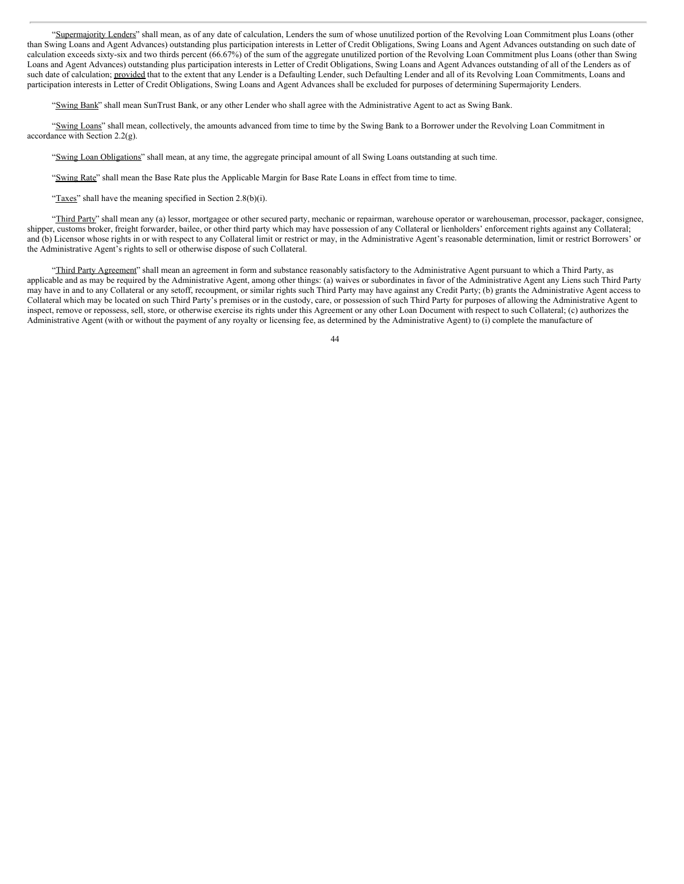"Supermajority Lenders" shall mean, as of any date of calculation, Lenders the sum of whose unutilized portion of the Revolving Loan Commitment plus Loans (other than Swing Loans and Agent Advances) outstanding plus participation interests in Letter of Credit Obligations, Swing Loans and Agent Advances outstanding on such date of calculation exceeds sixty-six and two thirds percent  $(66.67%)$  of the sum of the aggregate unutilized portion of the Revolving Loan Commitment plus Loans (other than Swing Loans and Agent Advances) outstanding plus participation interests in Letter of Credit Obligations, Swing Loans and Agent Advances outstanding of all of the Lenders as of such date of calculation; provided that to the extent that any Lender is a Defaulting Lender, such Defaulting Lender and all of its Revolving Loan Commitments, Loans and participation interests in Letter of Credit Obligations, Swing Loans and Agent Advances shall be excluded for purposes of determining Supermajority Lenders.

"Swing Bank" shall mean SunTrust Bank, or any other Lender who shall agree with the Administrative Agent to act as Swing Bank.

"Swing Loans" shall mean, collectively, the amounts advanced from time to time by the Swing Bank to a Borrower under the Revolving Loan Commitment in accordance with Section 2.2(g).

"Swing Loan Obligations" shall mean, at any time, the aggregate principal amount of all Swing Loans outstanding at such time.

"Swing Rate" shall mean the Base Rate plus the Applicable Margin for Base Rate Loans in effect from time to time.

"Taxes" shall have the meaning specified in Section 2.8(b)(i).

"Third Party" shall mean any (a) lessor, mortgagee or other secured party, mechanic or repairman, warehouse operator or warehouseman, processor, packager, consignee, shipper, customs broker, freight forwarder, bailee, or other third party which may have possession of any Collateral or lienholders' enforcement rights against any Collateral; and (b) Licensor whose rights in or with respect to any Collateral limit or restrict or may, in the Administrative Agent's reasonable determination, limit or restrict Borrowers' or the Administrative Agent's rights to sell or otherwise dispose of such Collateral.

"Third Party Agreement" shall mean an agreement in form and substance reasonably satisfactory to the Administrative Agent pursuant to which a Third Party, as applicable and as may be required by the Administrative Agent, among other things: (a) waives or subordinates in favor of the Administrative Agent any Liens such Third Party may have in and to any Collateral or any setoff, recoupment, or similar rights such Third Party may have against any Credit Party; (b) grants the Administrative Agent access to Collateral which may be located on such Third Party's premises or in the custody, care, or possession of such Third Party for purposes of allowing the Administrative Agent to inspect, remove or repossess, sell, store, or otherwise exercise its rights under this Agreement or any other Loan Document with respect to such Collateral; (c) authorizes the Administrative Agent (with or without the payment of any royalty or licensing fee, as determined by the Administrative Agent) to (i) complete the manufacture of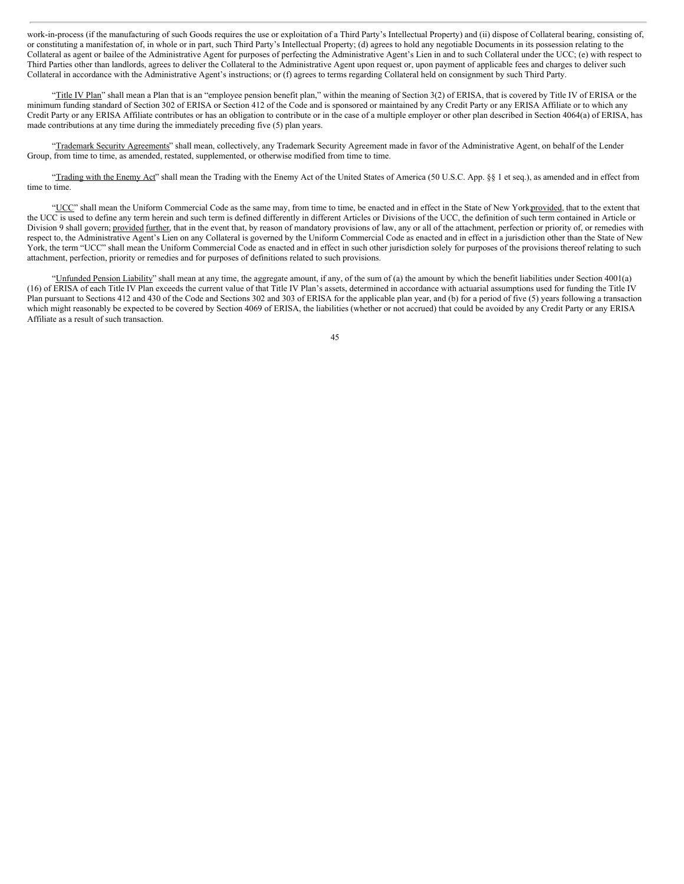work-in-process (if the manufacturing of such Goods requires the use or exploitation of a Third Party's Intellectual Property) and (ii) dispose of Collateral bearing, consisting of, or constituting a manifestation of, in whole or in part, such Third Party's Intellectual Property; (d) agrees to hold any negotiable Documents in its possession relating to the Collateral as agent or bailee of the Administrative Agent for purposes of perfecting the Administrative Agent's Lien in and to such Collateral under the UCC; (e) with respect to Third Parties other than landlords, agrees to deliver the Collateral to the Administrative Agent upon request or, upon payment of applicable fees and charges to deliver such Collateral in accordance with the Administrative Agent's instructions; or (f) agrees to terms regarding Collateral held on consignment by such Third Party.

"Title IV Plan" shall mean a Plan that is an "employee pension benefit plan," within the meaning of Section 3(2) of ERISA, that is covered by Title IV of ERISA or the minimum funding standard of Section 302 of ERISA or Section 412 of the Code and is sponsored or maintained by any Credit Party or any ERISA Affiliate or to which any Credit Party or any ERISA Affiliate contributes or has an obligation to contribute or in the case of a multiple employer or other plan described in Section 4064(a) of ERISA, has made contributions at any time during the immediately preceding five (5) plan years.

"Trademark Security Agreements" shall mean, collectively, any Trademark Security Agreement made in favor of the Administrative Agent, on behalf of the Lender Group, from time to time, as amended, restated, supplemented, or otherwise modified from time to time.

"Trading with the Enemy Act" shall mean the Trading with the Enemy Act of the United States of America (50 U.S.C. App. §§ 1 et seq.), as amended and in effect from time to time.

"UCC" shall mean the Uniform Commercial Code as the same may, from time to time, be enacted and in effect in the State of New York;provided, that to the extent that the UCC is used to define any term herein and such term is defined differently in different Articles or Divisions of the UCC, the definition of such term contained in Article or Division 9 shall govern; provided further, that in the event that, by reason of mandatory provisions of law, any or all of the attachment, perfection or priority of, or remedies with respect to, the Administrative Agent's Lien on any Collateral is governed by the Uniform Commercial Code as enacted and in effect in a jurisdiction other than the State of New York, the term "UCC" shall mean the Uniform Commercial Code as enacted and in effect in such other jurisdiction solely for purposes of the provisions thereof relating to such attachment, perfection, priority or remedies and for purposes of definitions related to such provisions.

"Unfunded Pension Liability" shall mean at any time, the aggregate amount, if any, of the sum of (a) the amount by which the benefit liabilities under Section 4001(a) (16) of ERISA of each Title IV Plan exceeds the current value of that Title IV Plan's assets, determined in accordance with actuarial assumptions used for funding the Title IV Plan pursuant to Sections 412 and 430 of the Code and Sections 302 and 303 of ERISA for the applicable plan year, and (b) for a period of five (5) years following a transaction which might reasonably be expected to be covered by Section 4069 of ERISA, the liabilities (whether or not accrued) that could be avoided by any Credit Party or any ERISA Affiliate as a result of such transaction.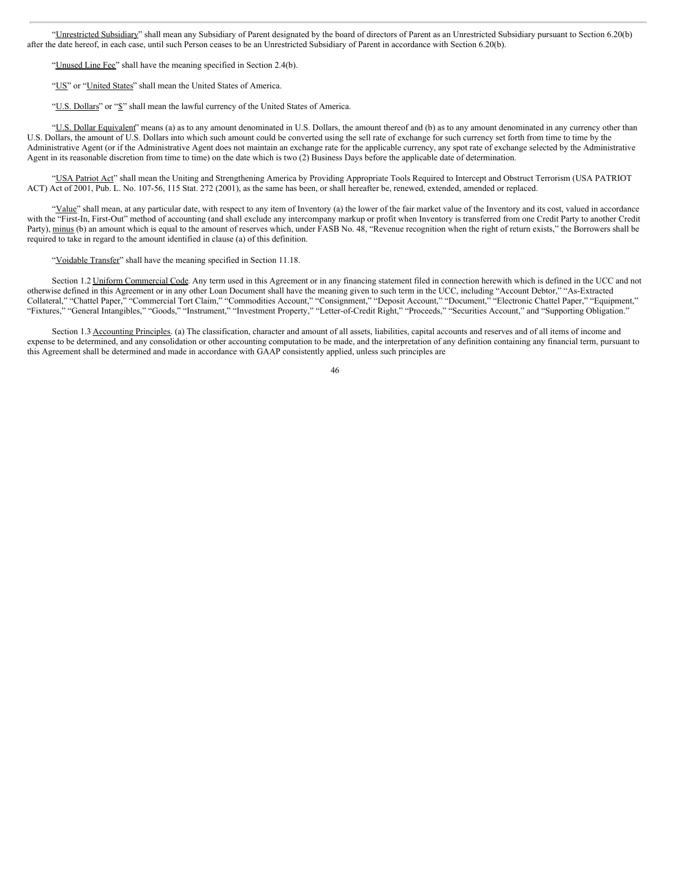"Unrestricted Subsidiary" shall mean any Subsidiary of Parent designated by the board of directors of Parent as an Unrestricted Subsidiary pursuant to Section 6.20(b) after the date hereof, in each case, until such Person ceases to be an Unrestricted Subsidiary of Parent in accordance with Section 6.20(b).

"Unused Line Fee" shall have the meaning specified in Section 2.4(b).

"US" or "United States" shall mean the United States of America.

"U.S. Dollars" or " $\mathcal{S}$ " shall mean the lawful currency of the United States of America.

"U.S. Dollar Equivalent" means (a) as to any amount denominated in U.S. Dollars, the amount thereof and (b) as to any amount denominated in any currency other than U.S. Dollars, the amount of U.S. Dollars into which such amount could be converted using the sell rate of exchange for such currency set forth from time to time by the Administrative Agent (or if the Administrative Agent does not maintain an exchange rate for the applicable currency, any spot rate of exchange selected by the Administrative Agent in its reasonable discretion from time to time) on the date which is two (2) Business Days before the applicable date of determination.

"USA Patriot Act" shall mean the Uniting and Strengthening America by Providing Appropriate Tools Required to Intercept and Obstruct Terrorism (USA PATRIOT ACT) Act of 2001, Pub. L. No. 107-56, 115 Stat. 272 (2001), as the same has been, or shall hereafter be, renewed, extended, amended or replaced.

"Value" shall mean, at any particular date, with respect to any item of Inventory (a) the lower of the fair market value of the Inventory and its cost, valued in accordance with the "First-In, First-Out" method of accounting (and shall exclude any intercompany markup or profit when Inventory is transferred from one Credit Party to another Credit Party), minus (b) an amount which is equal to the amount of reserves which, under FASB No. 48, "Revenue recognition when the right of return exists," the Borrowers shall be required to take in regard to the amount identified in clause (a) of this definition.

"Voidable Transfer" shall have the meaning specified in Section 11.18.

Section 1.2 Uniform Commercial Code. Any term used in this Agreement or in any financing statement filed in connection herewith which is defined in the UCC and not otherwise defined in this Agreement or in any other Loan Document shall have the meaning given to such term in the UCC, including "Account Debtor," "As-Extracted Collateral," "Chattel Paper," "Commercial Tort Claim," "Commodities Account," "Consignment," "Deposit Account," "Document," "Electronic Chattel Paper," "Equipment," "Fixtures," "General Intangibles," "Goods," "Instrument," "Investment Property," "Letter-of-Credit Right," "Proceeds," "Securities Account," and "Supporting Obligation."

Section 1.3 Accounting Principles. (a) The classification, character and amount of all assets, liabilities, capital accounts and reserves and of all items of income and expense to be determined, and any consolidation or other accounting computation to be made, and the interpretation of any definition containing any financial term, pursuant to this Agreement shall be determined and made in accordance with GAAP consistently applied, unless such principles are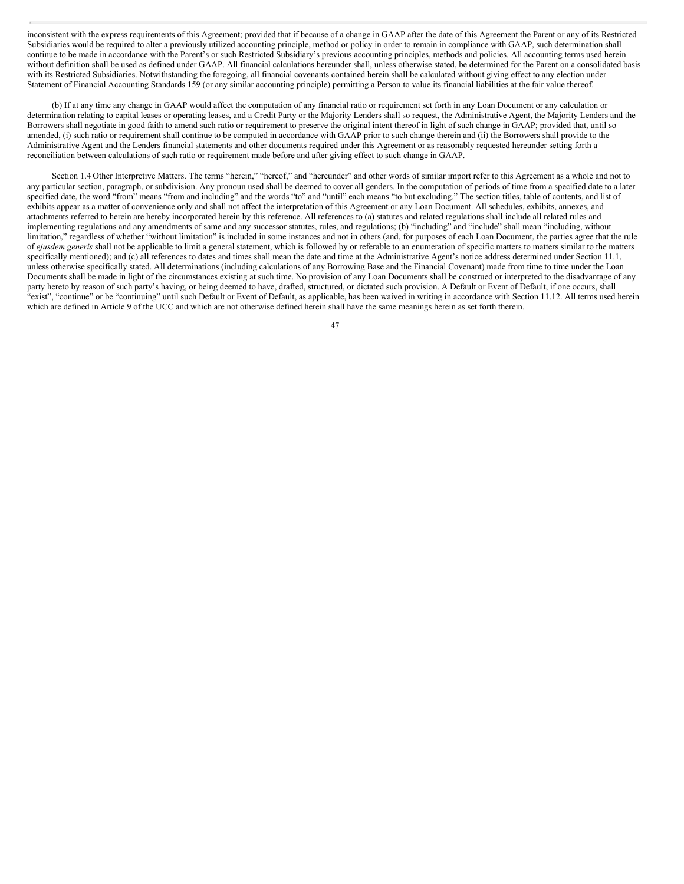inconsistent with the express requirements of this Agreement; provided that if because of a change in GAAP after the date of this Agreement the Parent or any of its Restricted Subsidiaries would be required to alter a previously utilized accounting principle, method or policy in order to remain in compliance with GAAP, such determination shall continue to be made in accordance with the Parent's or such Restricted Subsidiary's previous accounting principles, methods and policies. All accounting terms used herein without definition shall be used as defined under GAAP. All financial calculations hereunder shall, unless otherwise stated, be determined for the Parent on a consolidated basis with its Restricted Subsidiaries. Notwithstanding the foregoing, all financial covenants contained herein shall be calculated without giving effect to any election under Statement of Financial Accounting Standards 159 (or any similar accounting principle) permitting a Person to value its financial liabilities at the fair value thereof.

(b) If at any time any change in GAAP would affect the computation of any financial ratio or requirement set forth in any Loan Document or any calculation or determination relating to capital leases or operating leases, and a Credit Party or the Majority Lenders shall so request, the Administrative Agent, the Majority Lenders and the Borrowers shall negotiate in good faith to amend such ratio or requirement to preserve the original intent thereof in light of such change in GAAP; provided that, until so amended, (i) such ratio or requirement shall continue to be computed in accordance with GAAP prior to such change therein and (ii) the Borrowers shall provide to the Administrative Agent and the Lenders financial statements and other documents required under this Agreement or as reasonably requested hereunder setting forth a reconciliation between calculations of such ratio or requirement made before and after giving effect to such change in GAAP.

Section 1.4 Other Interpretive Matters. The terms "herein," "hereof," and "hereunder" and other words of similar import refer to this Agreement as a whole and not to any particular section, paragraph, or subdivision. Any pronoun used shall be deemed to cover all genders. In the computation of periods of time from a specified date to a later specified date, the word "from" means "from and including" and the words "to" and "until" each means "to but excluding." The section titles, table of contents, and list of exhibits appear as a matter of convenience only and shall not affect the interpretation of this Agreement or any Loan Document. All schedules, exhibits, annexes, and attachments referred to herein are hereby incorporated herein by this reference. All references to (a) statutes and related regulations shall include all related rules and implementing regulations and any amendments of same and any successor statutes, rules, and regulations; (b) "including" and "include" shall mean "including, without limitation," regardless of whether "without limitation" is included in some instances and not in others (and, for purposes of each Loan Document, the parties agree that the rule of *ejusdem generis* shall not be applicable to limit a general statement, which is followed by or referable to an enumeration of specific matters to matters similar to the matters specifically mentioned); and (c) all references to dates and times shall mean the date and time at the Administrative Agent's notice address determined under Section 11.1, unless otherwise specifically stated. All determinations (including calculations of any Borrowing Base and the Financial Covenant) made from time to time under the Loan Documents shall be made in light of the circumstances existing at such time. No provision of any Loan Documents shall be construed or interpreted to the disadvantage of any party hereto by reason of such party's having, or being deemed to have, drafted, structured, or dictated such provision. A Default or Event of Default, if one occurs, shall "exist", "continue" or be "continuing" until such Default or Event of Default, as applicable, has been waived in writing in accordance with Section 11.12. All terms used herein which are defined in Article 9 of the UCC and which are not otherwise defined herein shall have the same meanings herein as set forth therein.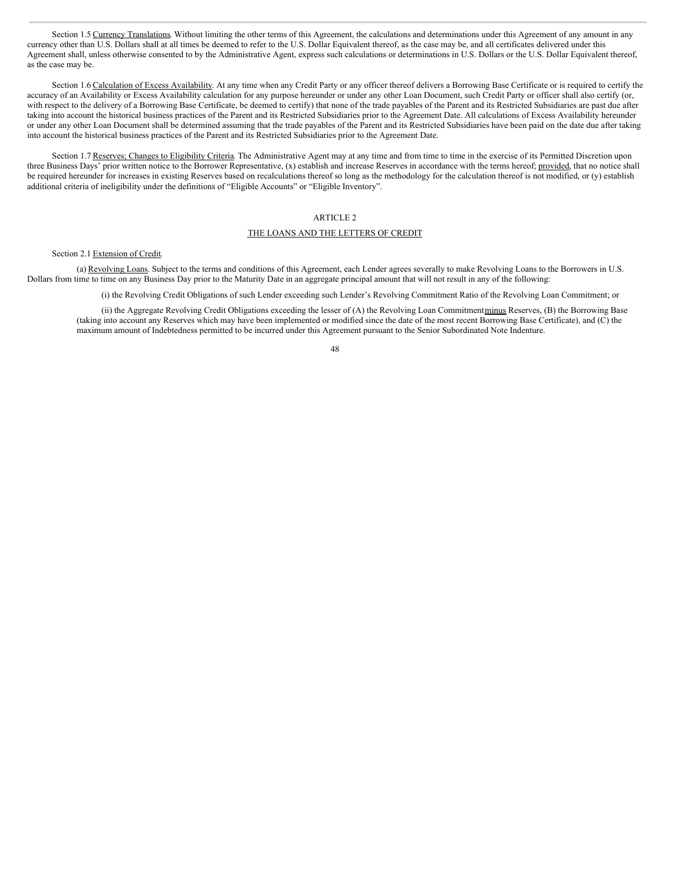Section 1.5 Currency Translations. Without limiting the other terms of this Agreement, the calculations and determinations under this Agreement of any amount in any currency other than U.S. Dollars shall at all times be deemed to refer to the U.S. Dollar Equivalent thereof, as the case may be, and all certificates delivered under this Agreement shall, unless otherwise consented to by the Administrative Agent, express such calculations or determinations in U.S. Dollars or the U.S. Dollar Equivalent thereof, as the case may be.

Section 1.6 Calculation of Excess Availability. At any time when any Credit Party or any officer thereof delivers a Borrowing Base Certificate or is required to certify the accuracy of an Availability or Excess Availability calculation for any purpose hereunder or under any other Loan Document, such Credit Party or officer shall also certify (or, with respect to the delivery of a Borrowing Base Certificate, be deemed to certify) that none of the trade payables of the Parent and its Restricted Subsidiaries are past due after taking into account the historical business practices of the Parent and its Restricted Subsidiaries prior to the Agreement Date. All calculations of Excess Availability hereunder or under any other Loan Document shall be determined assuming that the trade payables of the Parent and its Restricted Subsidiaries have been paid on the date due after taking into account the historical business practices of the Parent and its Restricted Subsidiaries prior to the Agreement Date.

Section 1.7 Reserves; Changes to Eligibility Criteria. The Administrative Agent may at any time and from time to time in the exercise of its Permitted Discretion upon three Business Days' prior written notice to the Borrower Representative, (x) establish and increase Reserves in accordance with the terms hereof; provided, that no notice shall be required hereunder for increases in existing Reserves based on recalculations thereof so long as the methodology for the calculation thereof is not modified, or (y) establish additional criteria of ineligibility under the definitions of "Eligible Accounts" or "Eligible Inventory".

# ARTICLE 2

## THE LOANS AND THE LETTERS OF CREDIT

### Section 2.1 Extension of Credit.

(a) Revolving Loans. Subject to the terms and conditions of this Agreement, each Lender agrees severally to make Revolving Loans to the Borrowers in U.S. Dollars from time to time on any Business Day prior to the Maturity Date in an aggregate principal amount that will not result in any of the following:

(i) the Revolving Credit Obligations of such Lender exceeding such Lender's Revolving Commitment Ratio of the Revolving Loan Commitment; or

(ii) the Aggregate Revolving Credit Obligations exceeding the lesser of (A) the Revolving Loan Commitmentminus Reserves, (B) the Borrowing Base (taking into account any Reserves which may have been implemented or modified since the date of the most recent Borrowing Base Certificate), and (C) the maximum amount of Indebtedness permitted to be incurred under this Agreement pursuant to the Senior Subordinated Note Indenture.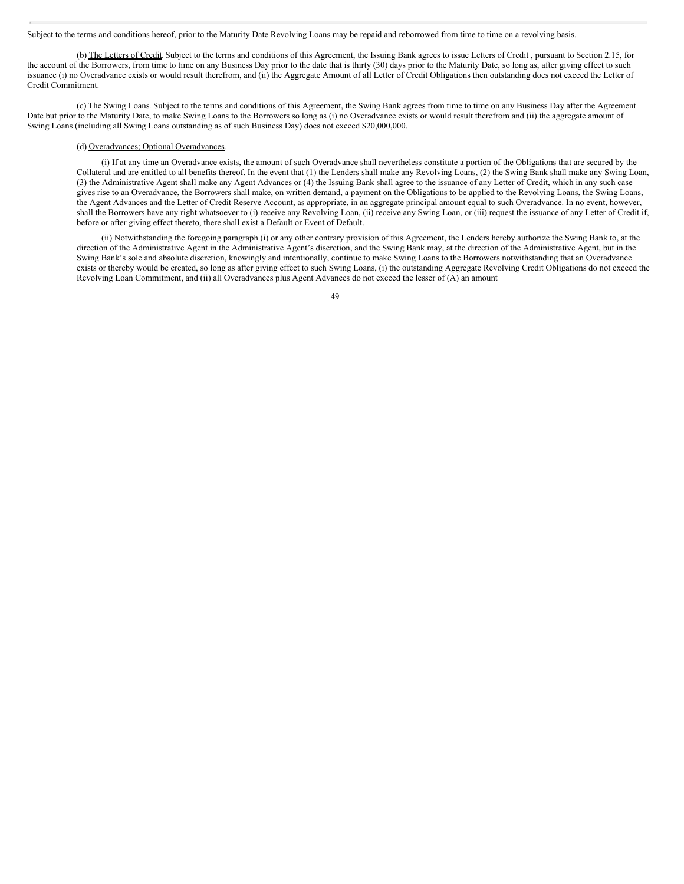Subject to the terms and conditions hereof, prior to the Maturity Date Revolving Loans may be repaid and reborrowed from time to time on a revolving basis.

(b) The Letters of Credit. Subject to the terms and conditions of this Agreement, the Issuing Bank agrees to issue Letters of Credit, pursuant to Section 2.15, for the account of the Borrowers, from time to time on any Business Day prior to the date that is thirty (30) days prior to the Maturity Date, so long as, after giving effect to such issuance (i) no Overadvance exists or would result therefrom, and (ii) the Aggregate Amount of all Letter of Credit Obligations then outstanding does not exceed the Letter of Credit Commitment.

(c) The Swing Loans. Subject to the terms and conditions of this Agreement, the Swing Bank agrees from time to time on any Business Day after the Agreement Date but prior to the Maturity Date, to make Swing Loans to the Borrowers so long as (i) no Overadvance exists or would result therefrom and (ii) the aggregate amount of Swing Loans (including all Swing Loans outstanding as of such Business Day) does not exceed \$20,000,000.

## (d) Overadvances; Optional Overadvances.

(i) If at any time an Overadvance exists, the amount of such Overadvance shall nevertheless constitute a portion of the Obligations that are secured by the Collateral and are entitled to all benefits thereof. In the event that (1) the Lenders shall make any Revolving Loans, (2) the Swing Bank shall make any Swing Loan, (3) the Administrative Agent shall make any Agent Advances or (4) the Issuing Bank shall agree to the issuance of any Letter of Credit, which in any such case gives rise to an Overadvance, the Borrowers shall make, on written demand, a payment on the Obligations to be applied to the Revolving Loans, the Swing Loans, the Agent Advances and the Letter of Credit Reserve Account, as appropriate, in an aggregate principal amount equal to such Overadvance. In no event, however, shall the Borrowers have any right whatsoever to (i) receive any Revolving Loan, (ii) receive any Swing Loan, or (iii) request the issuance of any Letter of Credit if, before or after giving effect thereto, there shall exist a Default or Event of Default.

(ii) Notwithstanding the foregoing paragraph (i) or any other contrary provision of this Agreement, the Lenders hereby authorize the Swing Bank to, at the direction of the Administrative Agent in the Administrative Agent's discretion, and the Swing Bank may, at the direction of the Administrative Agent, but in the Swing Bank's sole and absolute discretion, knowingly and intentionally, continue to make Swing Loans to the Borrowers notwithstanding that an Overadvance exists or thereby would be created, so long as after giving effect to such Swing Loans, (i) the outstanding Aggregate Revolving Credit Obligations do not exceed the Revolving Loan Commitment, and (ii) all Overadvances plus Agent Advances do not exceed the lesser of (A) an amount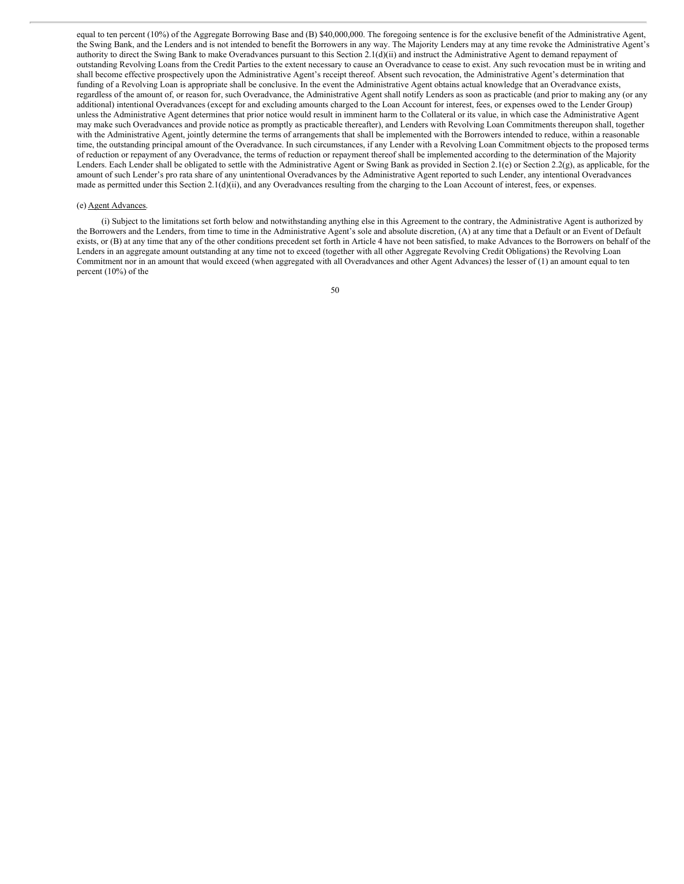equal to ten percent (10%) of the Aggregate Borrowing Base and (B) \$40,000,000. The foregoing sentence is for the exclusive benefit of the Administrative Agent, the Swing Bank, and the Lenders and is not intended to benefit the Borrowers in any way. The Majority Lenders may at any time revoke the Administrative Agent's authority to direct the Swing Bank to make Overadvances pursuant to this Section 2.1(d)(ii) and instruct the Administrative Agent to demand repayment of outstanding Revolving Loans from the Credit Parties to the extent necessary to cause an Overadvance to cease to exist. Any such revocation must be in writing and shall become effective prospectively upon the Administrative Agent's receipt thereof. Absent such revocation, the Administrative Agent's determination that funding of a Revolving Loan is appropriate shall be conclusive. In the event the Administrative Agent obtains actual knowledge that an Overadvance exists, regardless of the amount of, or reason for, such Overadvance, the Administrative Agent shall notify Lenders as soon as practicable (and prior to making any (or any additional) intentional Overadvances (except for and excluding amounts charged to the Loan Account for interest, fees, or expenses owed to the Lender Group) unless the Administrative Agent determines that prior notice would result in imminent harm to the Collateral or its value, in which case the Administrative Agent may make such Overadvances and provide notice as promptly as practicable thereafter), and Lenders with Revolving Loan Commitments thereupon shall, together with the Administrative Agent, jointly determine the terms of arrangements that shall be implemented with the Borrowers intended to reduce, within a reasonable time, the outstanding principal amount of the Overadvance. In such circumstances, if any Lender with a Revolving Loan Commitment objects to the proposed terms of reduction or repayment of any Overadvance, the terms of reduction or repayment thereof shall be implemented according to the determination of the Majority Lenders. Each Lender shall be obligated to settle with the Administrative Agent or Swing Bank as provided in Section 2.1(e) or Section 2.2(g), as applicable, for the amount of such Lender's pro rata share of any unintentional Overadvances by the Administrative Agent reported to such Lender, any intentional Overadvances made as permitted under this Section 2.1(d)(ii), and any Overadvances resulting from the charging to the Loan Account of interest, fees, or expenses.

#### (e) Agent Advances.

(i) Subject to the limitations set forth below and notwithstanding anything else in this Agreement to the contrary, the Administrative Agent is authorized by the Borrowers and the Lenders, from time to time in the Administrative Agent's sole and absolute discretion, (A) at any time that a Default or an Event of Default exists, or (B) at any time that any of the other conditions precedent set forth in Article 4 have not been satisfied, to make Advances to the Borrowers on behalf of the Lenders in an aggregate amount outstanding at any time not to exceed (together with all other Aggregate Revolving Credit Obligations) the Revolving Loan Commitment nor in an amount that would exceed (when aggregated with all Overadvances and other Agent Advances) the lesser of (1) an amount equal to ten percent (10%) of the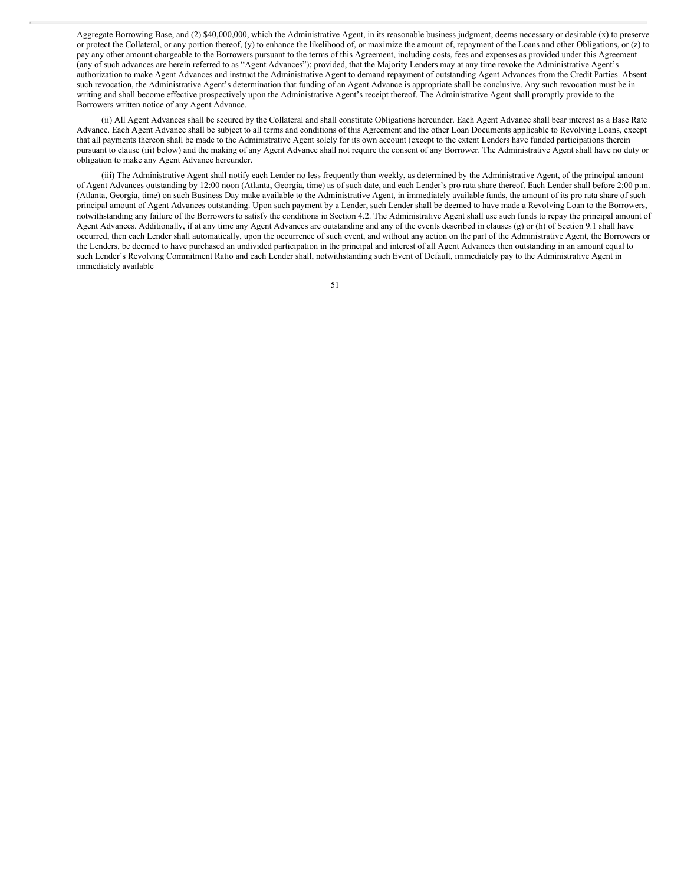Aggregate Borrowing Base, and (2) \$40,000,000, which the Administrative Agent, in its reasonable business judgment, deems necessary or desirable (x) to preserve or protect the Collateral, or any portion thereof, (y) to enhance the likelihood of, or maximize the amount of, repayment of the Loans and other Obligations, or (z) to pay any other amount chargeable to the Borrowers pursuant to the terms of this Agreement, including costs, fees and expenses as provided under this Agreement (any of such advances are herein referred to as "Agent Advances"); provided, that the Majority Lenders may at any time revoke the Administrative Agent's authorization to make Agent Advances and instruct the Administrative Agent to demand repayment of outstanding Agent Advances from the Credit Parties. Absent such revocation, the Administrative Agent's determination that funding of an Agent Advance is appropriate shall be conclusive. Any such revocation must be in writing and shall become effective prospectively upon the Administrative Agent's receipt thereof. The Administrative Agent shall promptly provide to the Borrowers written notice of any Agent Advance.

(ii) All Agent Advances shall be secured by the Collateral and shall constitute Obligations hereunder. Each Agent Advance shall bear interest as a Base Rate Advance. Each Agent Advance shall be subject to all terms and conditions of this Agreement and the other Loan Documents applicable to Revolving Loans, except that all payments thereon shall be made to the Administrative Agent solely for its own account (except to the extent Lenders have funded participations therein pursuant to clause (iii) below) and the making of any Agent Advance shall not require the consent of any Borrower. The Administrative Agent shall have no duty or obligation to make any Agent Advance hereunder.

(iii) The Administrative Agent shall notify each Lender no less frequently than weekly, as determined by the Administrative Agent, of the principal amount of Agent Advances outstanding by 12:00 noon (Atlanta, Georgia, time) as of such date, and each Lender's pro rata share thereof. Each Lender shall before 2:00 p.m. (Atlanta, Georgia, time) on such Business Day make available to the Administrative Agent, in immediately available funds, the amount of its pro rata share of such principal amount of Agent Advances outstanding. Upon such payment by a Lender, such Lender shall be deemed to have made a Revolving Loan to the Borrowers, notwithstanding any failure of the Borrowers to satisfy the conditions in Section 4.2. The Administrative Agent shall use such funds to repay the principal amount of Agent Advances. Additionally, if at any time any Agent Advances are outstanding and any of the events described in clauses (g) or (h) of Section 9.1 shall have occurred, then each Lender shall automatically, upon the occurrence of such event, and without any action on the part of the Administrative Agent, the Borrowers or the Lenders, be deemed to have purchased an undivided participation in the principal and interest of all Agent Advances then outstanding in an amount equal to such Lender's Revolving Commitment Ratio and each Lender shall, notwithstanding such Event of Default, immediately pay to the Administrative Agent in immediately available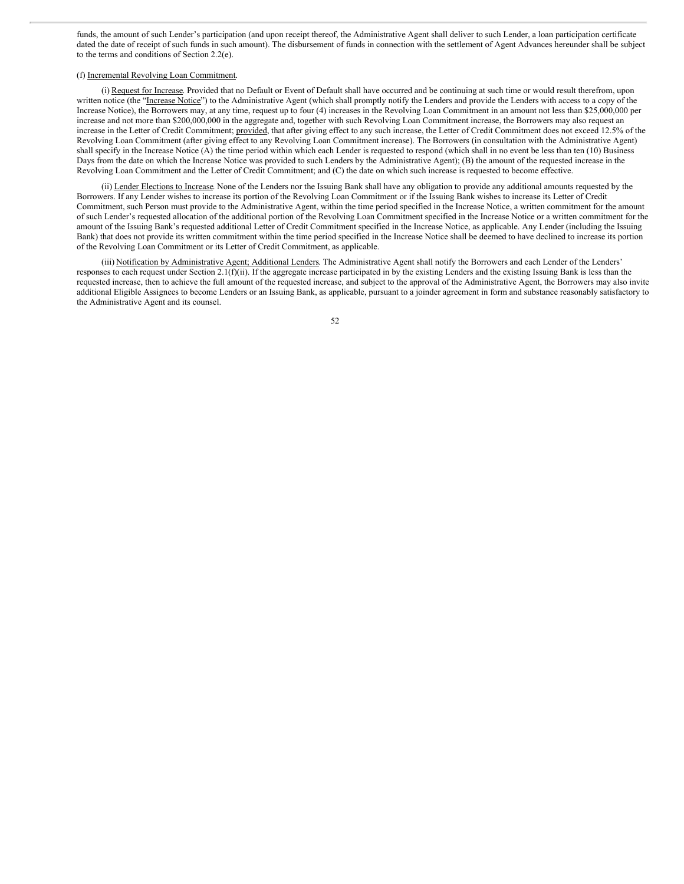funds, the amount of such Lender's participation (and upon receipt thereof, the Administrative Agent shall deliver to such Lender, a loan participation certificate dated the date of receipt of such funds in such amount). The disbursement of funds in connection with the settlement of Agent Advances hereunder shall be subject to the terms and conditions of Section 2.2(e).

#### (f) Incremental Revolving Loan Commitment.

(i) Request for Increase. Provided that no Default or Event of Default shall have occurred and be continuing at such time or would result therefrom, upon written notice (the "Increase Notice") to the Administrative Agent (which shall promptly notify the Lenders and provide the Lenders with access to a copy of the Increase Notice), the Borrowers may, at any time, request up to four (4) increases in the Revolving Loan Commitment in an amount not less than \$25,000,000 per increase and not more than \$200,000,000 in the aggregate and, together with such Revolving Loan Commitment increase, the Borrowers may also request an increase in the Letter of Credit Commitment; provided, that after giving effect to any such increase, the Letter of Credit Commitment does not exceed 12.5% of the Revolving Loan Commitment (after giving effect to any Revolving Loan Commitment increase). The Borrowers (in consultation with the Administrative Agent) shall specify in the Increase Notice (A) the time period within which each Lender is requested to respond (which shall in no event be less than ten (10) Business Days from the date on which the Increase Notice was provided to such Lenders by the Administrative Agent); (B) the amount of the requested increase in the Revolving Loan Commitment and the Letter of Credit Commitment; and (C) the date on which such increase is requested to become effective.

(ii) Lender Elections to Increase. None of the Lenders nor the Issuing Bank shall have any obligation to provide any additional amounts requested by the Borrowers. If any Lender wishes to increase its portion of the Revolving Loan Commitment or if the Issuing Bank wishes to increase its Letter of Credit Commitment, such Person must provide to the Administrative Agent, within the time period specified in the Increase Notice, a written commitment for the amount of such Lender's requested allocation of the additional portion of the Revolving Loan Commitment specified in the Increase Notice or a written commitment for the amount of the Issuing Bank's requested additional Letter of Credit Commitment specified in the Increase Notice, as applicable. Any Lender (including the Issuing Bank) that does not provide its written commitment within the time period specified in the Increase Notice shall be deemed to have declined to increase its portion of the Revolving Loan Commitment or its Letter of Credit Commitment, as applicable.

(iii) Notification by Administrative Agent; Additional Lenders. The Administrative Agent shall notify the Borrowers and each Lender of the Lenders' responses to each request under Section 2.1(f)(ii). If the aggregate increase participated in by the existing Lenders and the existing Issuing Bank is less than the requested increase, then to achieve the full amount of the requested increase, and subject to the approval of the Administrative Agent, the Borrowers may also invite additional Eligible Assignees to become Lenders or an Issuing Bank, as applicable, pursuant to a joinder agreement in form and substance reasonably satisfactory to the Administrative Agent and its counsel.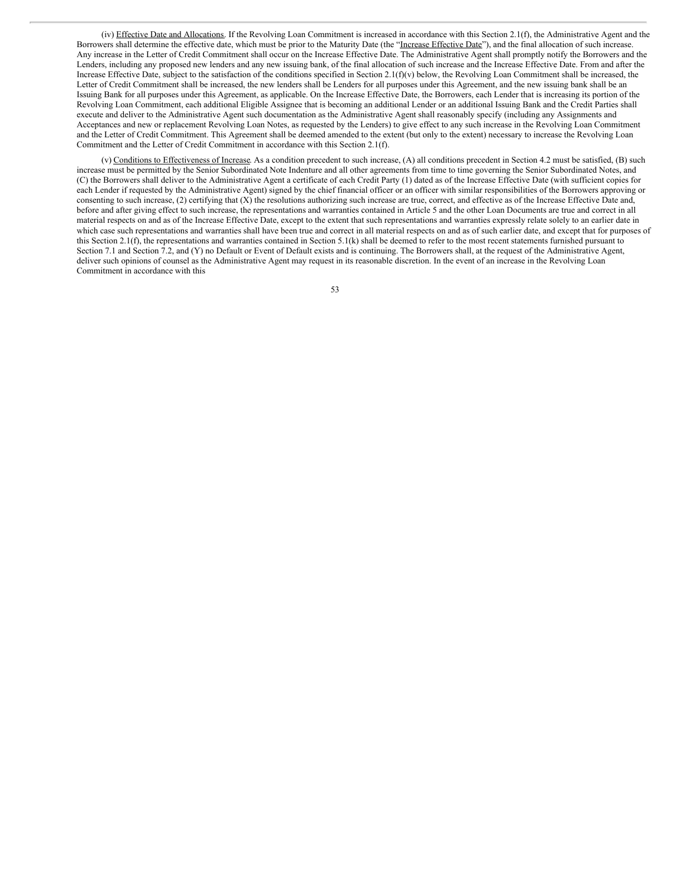(iv) Effective Date and Allocations. If the Revolving Loan Commitment is increased in accordance with this Section 2.1(f), the Administrative Agent and the Borrowers shall determine the effective date, which must be prior to the Maturity Date (the "Increase Effective Date"), and the final allocation of such increase. Any increase in the Letter of Credit Commitment shall occur on the Increase Effective Date. The Administrative Agent shall promptly notify the Borrowers and the Lenders, including any proposed new lenders and any new issuing bank, of the final allocation of such increase and the Increase Effective Date. From and after the Increase Effective Date, subject to the satisfaction of the conditions specified in Section 2.1( $f(y)$  below, the Revolving Loan Commitment shall be increased, the Letter of Credit Commitment shall be increased, the new lenders shall be Lenders for all purposes under this Agreement, and the new issuing bank shall be an Issuing Bank for all purposes under this Agreement, as applicable. On the Increase Effective Date, the Borrowers, each Lender that is increasing its portion of the Revolving Loan Commitment, each additional Eligible Assignee that is becoming an additional Lender or an additional Issuing Bank and the Credit Parties shall execute and deliver to the Administrative Agent such documentation as the Administrative Agent shall reasonably specify (including any Assignments and Acceptances and new or replacement Revolving Loan Notes, as requested by the Lenders) to give effect to any such increase in the Revolving Loan Commitment and the Letter of Credit Commitment. This Agreement shall be deemed amended to the extent (but only to the extent) necessary to increase the Revolving Loan Commitment and the Letter of Credit Commitment in accordance with this Section 2.1(f).

(v) Conditions to Effectiveness of Increase. As a condition precedent to such increase, (A) all conditions precedent in Section 4.2 must be satisfied, (B) such increase must be permitted by the Senior Subordinated Note Indenture and all other agreements from time to time governing the Senior Subordinated Notes, and (C) the Borrowers shall deliver to the Administrative Agent a certificate of each Credit Party (1) dated as of the Increase Effective Date (with sufficient copies for each Lender if requested by the Administrative Agent) signed by the chief financial officer or an officer with similar responsibilities of the Borrowers approving or consenting to such increase, (2) certifying that (X) the resolutions authorizing such increase are true, correct, and effective as of the Increase Effective Date and, before and after giving effect to such increase, the representations and warranties contained in Article 5 and the other Loan Documents are true and correct in all material respects on and as of the Increase Effective Date, except to the extent that such representations and warranties expressly relate solely to an earlier date in which case such representations and warranties shall have been true and correct in all material respects on and as of such earlier date, and except that for purposes of this Section 2.1(f), the representations and warranties contained in Section 5.1(k) shall be deemed to refer to the most recent statements furnished pursuant to Section 7.1 and Section 7.2, and (Y) no Default or Event of Default exists and is continuing. The Borrowers shall, at the request of the Administrative Agent, deliver such opinions of counsel as the Administrative Agent may request in its reasonable discretion. In the event of an increase in the Revolving Loan Commitment in accordance with this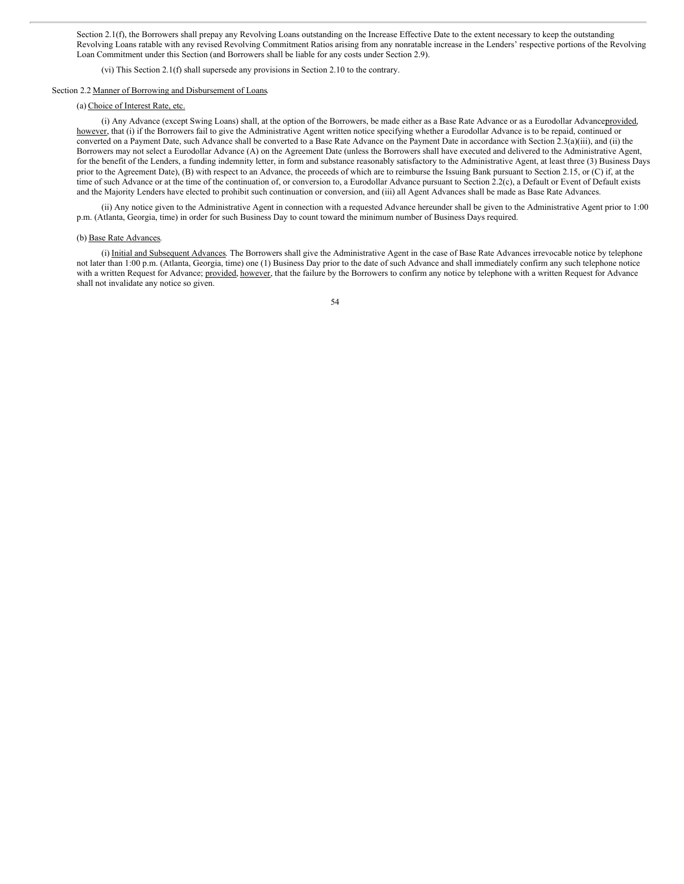Section 2.1(f), the Borrowers shall prepay any Revolving Loans outstanding on the Increase Effective Date to the extent necessary to keep the outstanding Revolving Loans ratable with any revised Revolving Commitment Ratios arising from any nonratable increase in the Lenders' respective portions of the Revolving Loan Commitment under this Section (and Borrowers shall be liable for any costs under Section 2.9).

(vi) This Section 2.1(f) shall supersede any provisions in Section 2.10 to the contrary.

## Section 2.2 Manner of Borrowing and Disbursement of Loans.

### (a) Choice of Interest Rate, etc.

(i) Any Advance (except Swing Loans) shall, at the option of the Borrowers, be made either as a Base Rate Advance or as a Eurodollar Advance provided, however, that (i) if the Borrowers fail to give the Administrative Agent written notice specifying whether a Eurodollar Advance is to be repaid, continued or converted on a Payment Date, such Advance shall be converted to a Base Rate Advance on the Payment Date in accordance with Section 2.3(a)(iii), and (ii) the Borrowers may not select a Eurodollar Advance (A) on the Agreement Date (unless the Borrowers shall have executed and delivered to the Administrative Agent, for the benefit of the Lenders, a funding indemnity letter, in form and substance reasonably satisfactory to the Administrative Agent, at least three (3) Business Days prior to the Agreement Date), (B) with respect to an Advance, the proceeds of which are to reimburse the Issuing Bank pursuant to Section 2.15, or (C) if, at the time of such Advance or at the time of the continuation of, or conversion to, a Eurodollar Advance pursuant to Section 2.2(c), a Default or Event of Default exists and the Majority Lenders have elected to prohibit such continuation or conversion, and (iii) all Agent Advances shall be made as Base Rate Advances.

(ii) Any notice given to the Administrative Agent in connection with a requested Advance hereunder shall be given to the Administrative Agent prior to 1:00 p.m. (Atlanta, Georgia, time) in order for such Business Day to count toward the minimum number of Business Days required.

#### (b) Base Rate Advances.

(i) Initial and Subsequent Advances. The Borrowers shall give the Administrative Agent in the case of Base Rate Advances irrevocable notice by telephone not later than 1:00 p.m. (Atlanta, Georgia, time) one (1) Business Day prior to the date of such Advance and shall immediately confirm any such telephone notice with a written Request for Advance; provided, however, that the failure by the Borrowers to confirm any notice by telephone with a written Request for Advance shall not invalidate any notice so given.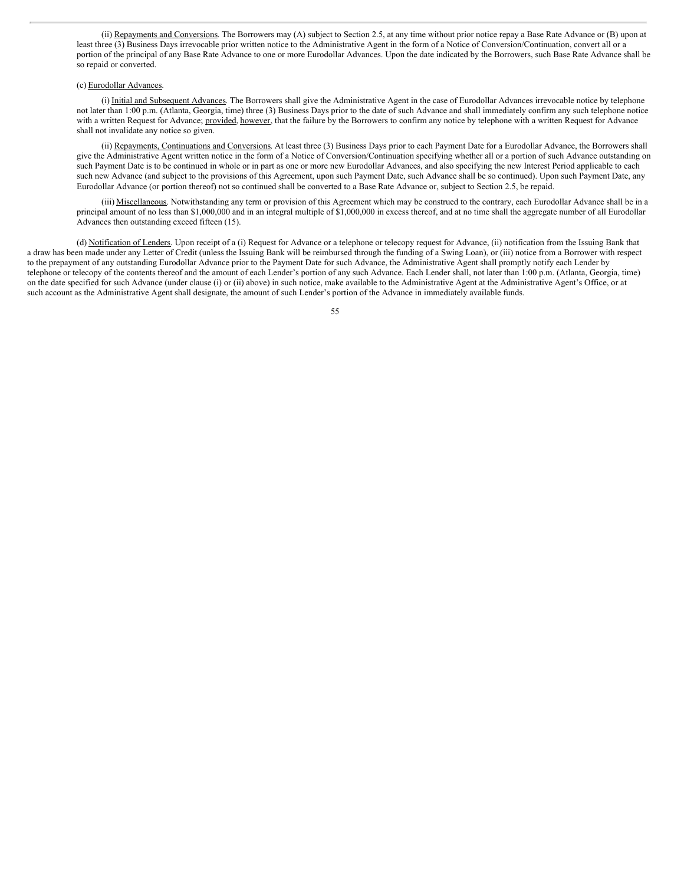(ii) Repayments and Conversions. The Borrowers may (A) subject to Section 2.5, at any time without prior notice repay a Base Rate Advance or (B) upon at least three (3) Business Days irrevocable prior written notice to the Administrative Agent in the form of a Notice of Conversion/Continuation, convert all or a portion of the principal of any Base Rate Advance to one or more Eurodollar Advances. Upon the date indicated by the Borrowers, such Base Rate Advance shall be so repaid or converted.

### (c) Eurodollar Advances.

(i) Initial and Subsequent Advances. The Borrowers shall give the Administrative Agent in the case of Eurodollar Advances irrevocable notice by telephone not later than 1:00 p.m. (Atlanta, Georgia, time) three (3) Business Days prior to the date of such Advance and shall immediately confirm any such telephone notice with a written Request for Advance; provided, however, that the failure by the Borrowers to confirm any notice by telephone with a written Request for Advance shall not invalidate any notice so given.

(ii) Repayments, Continuations and Conversions. At least three (3) Business Days prior to each Payment Date for a Eurodollar Advance, the Borrowers shall give the Administrative Agent written notice in the form of a Notice of Conversion/Continuation specifying whether all or a portion of such Advance outstanding on such Payment Date is to be continued in whole or in part as one or more new Eurodollar Advances, and also specifying the new Interest Period applicable to each such new Advance (and subject to the provisions of this Agreement, upon such Payment Date, such Advance shall be so continued). Upon such Payment Date, any Eurodollar Advance (or portion thereof) not so continued shall be converted to a Base Rate Advance or, subject to Section 2.5, be repaid.

(iii) Miscellaneous. Notwithstanding any term or provision of this Agreement which may be construed to the contrary, each Eurodollar Advance shall be in a principal amount of no less than \$1,000,000 and in an integral multiple of \$1,000,000 in excess thereof, and at no time shall the aggregate number of all Eurodollar Advances then outstanding exceed fifteen (15).

(d) Notification of Lenders. Upon receipt of a (i) Request for Advance or a telephone or telecopy request for Advance, (ii) notification from the Issuing Bank that a draw has been made under any Letter of Credit (unless the Issuing Bank will be reimbursed through the funding of a Swing Loan), or (iii) notice from a Borrower with respect to the prepayment of any outstanding Eurodollar Advance prior to the Payment Date for such Advance, the Administrative Agent shall promptly notify each Lender by telephone or telecopy of the contents thereof and the amount of each Lender's portion of any such Advance. Each Lender shall, not later than 1:00 p.m. (Atlanta, Georgia, time) on the date specified for such Advance (under clause (i) or (ii) above) in such notice, make available to the Administrative Agent at the Administrative Agent's Office, or at such account as the Administrative Agent shall designate, the amount of such Lender's portion of the Advance in immediately available funds.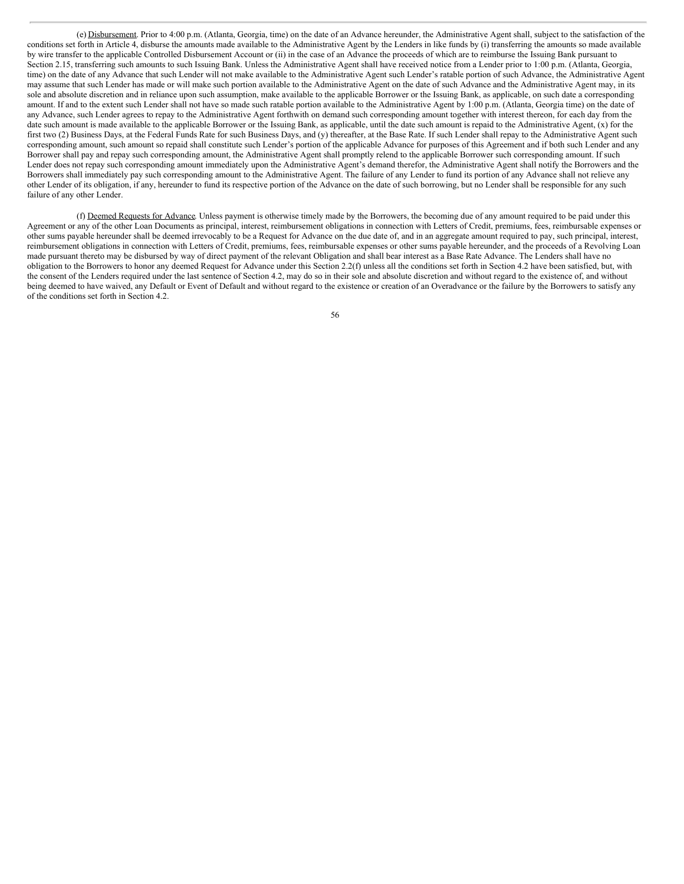(e) Disbursement. Prior to 4:00 p.m. (Atlanta, Georgia, time) on the date of an Advance hereunder, the Administrative Agent shall, subject to the satisfaction of the conditions set forth in Article 4, disburse the amounts made available to the Administrative Agent by the Lenders in like funds by (i) transferring the amounts so made available by wire transfer to the applicable Controlled Disbursement Account or (ii) in the case of an Advance the proceeds of which are to reimburse the Issuing Bank pursuant to Section 2.15, transferring such amounts to such Issuing Bank. Unless the Administrative Agent shall have received notice from a Lender prior to 1:00 p.m. (Atlanta, Georgia, time) on the date of any Advance that such Lender will not make available to the Administrative Agent such Lender's ratable portion of such Advance, the Administrative Agent may assume that such Lender has made or will make such portion available to the Administrative Agent on the date of such Advance and the Administrative Agent may, in its sole and absolute discretion and in reliance upon such assumption, make available to the applicable Borrower or the Issuing Bank, as applicable, on such date a corresponding amount. If and to the extent such Lender shall not have so made such ratable portion available to the Administrative Agent by 1:00 p.m. (Atlanta, Georgia time) on the date of any Advance, such Lender agrees to repay to the Administrative Agent forthwith on demand such corresponding amount together with interest thereon, for each day from the date such amount is made available to the applicable Borrower or the Issuing Bank, as applicable, until the date such amount is repaid to the Administrative Agent, (x) for the first two (2) Business Days, at the Federal Funds Rate for such Business Days, and (y) thereafter, at the Base Rate. If such Lender shall repay to the Administrative Agent such corresponding amount, such amount so repaid shall constitute such Lender's portion of the applicable Advance for purposes of this Agreement and if both such Lender and any Borrower shall pay and repay such corresponding amount, the Administrative Agent shall promptly relend to the applicable Borrower such corresponding amount. If such Lender does not repay such corresponding amount immediately upon the Administrative Agent's demand therefor, the Administrative Agent shall notify the Borrowers and the Borrowers shall immediately pay such corresponding amount to the Administrative Agent. The failure of any Lender to fund its portion of any Advance shall not relieve any other Lender of its obligation, if any, hereunder to fund its respective portion of the Advance on the date of such borrowing, but no Lender shall be responsible for any such failure of any other Lender.

(f) Deemed Requests for Advance. Unless payment is otherwise timely made by the Borrowers, the becoming due of any amount required to be paid under this Agreement or any of the other Loan Documents as principal, interest, reimbursement obligations in connection with Letters of Credit, premiums, fees, reimbursable expenses or other sums payable hereunder shall be deemed irrevocably to be a Request for Advance on the due date of, and in an aggregate amount required to pay, such principal, interest, reimbursement obligations in connection with Letters of Credit, premiums, fees, reimbursable expenses or other sums payable hereunder, and the proceeds of a Revolving Loan made pursuant thereto may be disbursed by way of direct payment of the relevant Obligation and shall bear interest as a Base Rate Advance. The Lenders shall have no obligation to the Borrowers to honor any deemed Request for Advance under this Section 2.2(f) unless all the conditions set forth in Section 4.2 have been satisfied, but, with the consent of the Lenders required under the last sentence of Section 4.2, may do so in their sole and absolute discretion and without regard to the existence of, and without being deemed to have waived, any Default or Event of Default and without regard to the existence or creation of an Overadvance or the failure by the Borrowers to satisfy any of the conditions set forth in Section 4.2.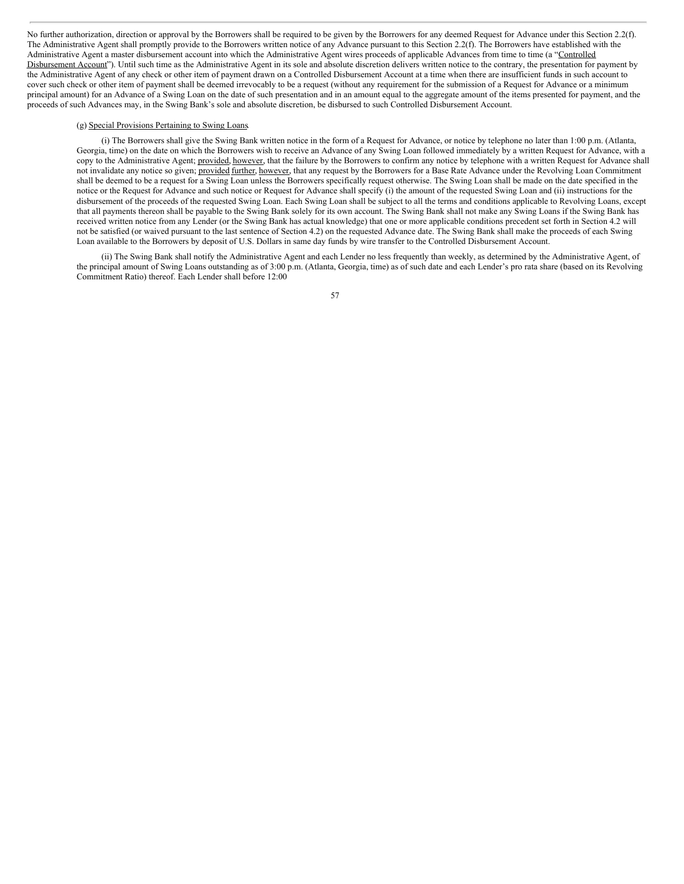No further authorization, direction or approval by the Borrowers shall be required to be given by the Borrowers for any deemed Request for Advance under this Section 2.2(f). The Administrative Agent shall promptly provide to the Borrowers written notice of any Advance pursuant to this Section 2.2(f). The Borrowers have established with the Administrative Agent a master disbursement account into which the Administrative Agent wires proceeds of applicable Advances from time to time (a "Controlled Disbursement Account"). Until such time as the Administrative Agent in its sole and absolute discretion delivers written notice to the contrary, the presentation for payment by the Administrative Agent of any check or other item of payment drawn on a Controlled Disbursement Account at a time when there are insufficient funds in such account to cover such check or other item of payment shall be deemed irrevocably to be a request (without any requirement for the submission of a Request for Advance or a minimum principal amount) for an Advance of a Swing Loan on the date of such presentation and in an amount equal to the aggregate amount of the items presented for payment, and the proceeds of such Advances may, in the Swing Bank's sole and absolute discretion, be disbursed to such Controlled Disbursement Account.

### (g) Special Provisions Pertaining to Swing Loans.

(i) The Borrowers shall give the Swing Bank written notice in the form of a Request for Advance, or notice by telephone no later than 1:00 p.m. (Atlanta, Georgia, time) on the date on which the Borrowers wish to receive an Advance of any Swing Loan followed immediately by a written Request for Advance, with a copy to the Administrative Agent; provided, however, that the failure by the Borrowers to confirm any notice by telephone with a written Request for Advance shall not invalidate any notice so given; provided further, however, that any request by the Borrowers for a Base Rate Advance under the Revolving Loan Commitment shall be deemed to be a request for a Swing Loan unless the Borrowers specifically request otherwise. The Swing Loan shall be made on the date specified in the notice or the Request for Advance and such notice or Request for Advance shall specify (i) the amount of the requested Swing Loan and (ii) instructions for the disbursement of the proceeds of the requested Swing Loan. Each Swing Loan shall be subject to all the terms and conditions applicable to Revolving Loans, except that all payments thereon shall be payable to the Swing Bank solely for its own account. The Swing Bank shall not make any Swing Loans if the Swing Bank has received written notice from any Lender (or the Swing Bank has actual knowledge) that one or more applicable conditions precedent set forth in Section 4.2 will not be satisfied (or waived pursuant to the last sentence of Section 4.2) on the requested Advance date. The Swing Bank shall make the proceeds of each Swing Loan available to the Borrowers by deposit of U.S. Dollars in same day funds by wire transfer to the Controlled Disbursement Account.

(ii) The Swing Bank shall notify the Administrative Agent and each Lender no less frequently than weekly, as determined by the Administrative Agent, of the principal amount of Swing Loans outstanding as of 3:00 p.m. (Atlanta, Georgia, time) as of such date and each Lender's pro rata share (based on its Revolving Commitment Ratio) thereof. Each Lender shall before 12:00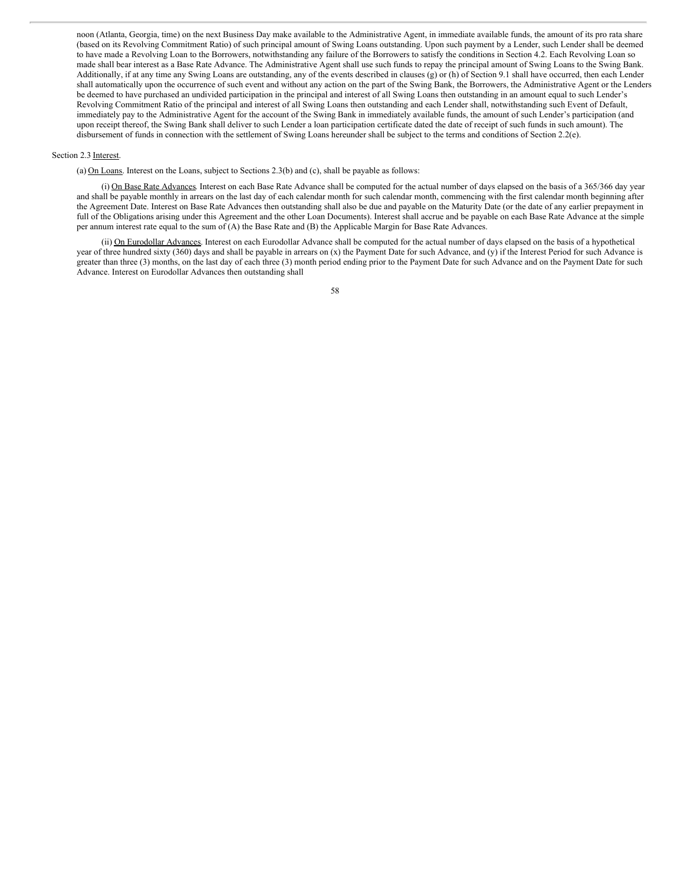noon (Atlanta, Georgia, time) on the next Business Day make available to the Administrative Agent, in immediate available funds, the amount of its pro rata share (based on its Revolving Commitment Ratio) of such principal amount of Swing Loans outstanding. Upon such payment by a Lender, such Lender shall be deemed to have made a Revolving Loan to the Borrowers, notwithstanding any failure of the Borrowers to satisfy the conditions in Section 4.2. Each Revolving Loan so made shall bear interest as a Base Rate Advance. The Administrative Agent shall use such funds to repay the principal amount of Swing Loans to the Swing Bank. Additionally, if at any time any Swing Loans are outstanding, any of the events described in clauses (g) or (h) of Section 9.1 shall have occurred, then each Lender shall automatically upon the occurrence of such event and without any action on the part of the Swing Bank, the Borrowers, the Administrative Agent or the Lenders be deemed to have purchased an undivided participation in the principal and interest of all Swing Loans then outstanding in an amount equal to such Lender's Revolving Commitment Ratio of the principal and interest of all Swing Loans then outstanding and each Lender shall, notwithstanding such Event of Default, immediately pay to the Administrative Agent for the account of the Swing Bank in immediately available funds, the amount of such Lender's participation (and upon receipt thereof, the Swing Bank shall deliver to such Lender a loan participation certificate dated the date of receipt of such funds in such amount). The disbursement of funds in connection with the settlement of Swing Loans hereunder shall be subject to the terms and conditions of Section 2.2(e).

#### Section 2.3 Interest.

(a) On Loans. Interest on the Loans, subject to Sections 2.3(b) and (c), shall be payable as follows:

(i) On Base Rate Advances. Interest on each Base Rate Advance shall be computed for the actual number of days elapsed on the basis of a 365/366 day year and shall be payable monthly in arrears on the last day of each calendar month for such calendar month, commencing with the first calendar month beginning after the Agreement Date. Interest on Base Rate Advances then outstanding shall also be due and payable on the Maturity Date (or the date of any earlier prepayment in full of the Obligations arising under this Agreement and the other Loan Documents). Interest shall accrue and be payable on each Base Rate Advance at the simple per annum interest rate equal to the sum of (A) the Base Rate and (B) the Applicable Margin for Base Rate Advances.

(ii) On Eurodollar Advances. Interest on each Eurodollar Advance shall be computed for the actual number of days elapsed on the basis of a hypothetical year of three hundred sixty (360) days and shall be payable in arrears on (x) the Payment Date for such Advance, and (y) if the Interest Period for such Advance is greater than three (3) months, on the last day of each three (3) month period ending prior to the Payment Date for such Advance and on the Payment Date for such Advance. Interest on Eurodollar Advances then outstanding shall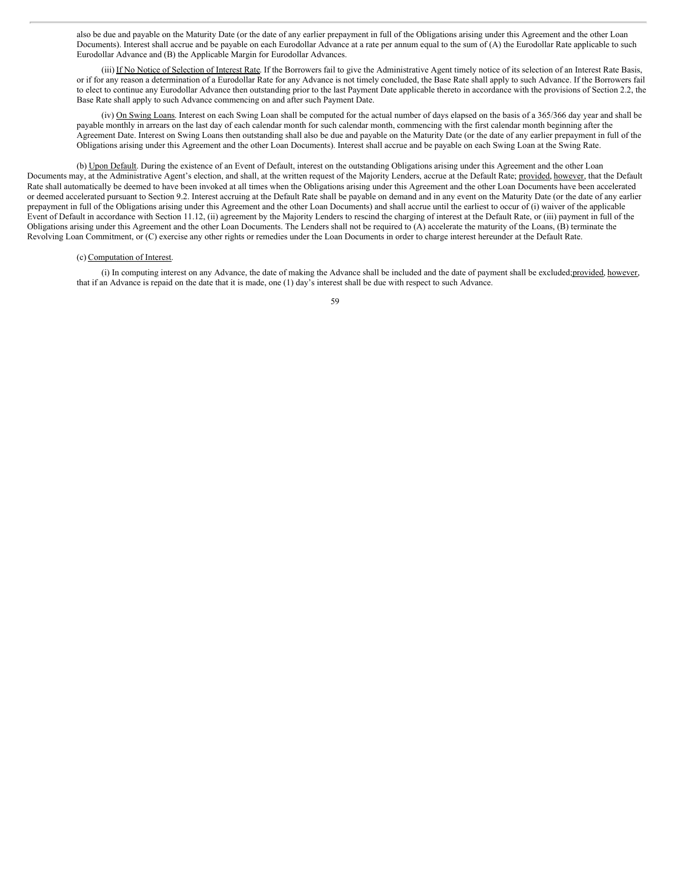also be due and payable on the Maturity Date (or the date of any earlier prepayment in full of the Obligations arising under this Agreement and the other Loan Documents). Interest shall accrue and be payable on each Eurodollar Advance at a rate per annum equal to the sum of (A) the Eurodollar Rate applicable to such Eurodollar Advance and (B) the Applicable Margin for Eurodollar Advances.

(iii) If No Notice of Selection of Interest Rate. If the Borrowers fail to give the Administrative Agent timely notice of its selection of an Interest Rate Basis, or if for any reason a determination of a Eurodollar Rate for any Advance is not timely concluded, the Base Rate shall apply to such Advance. If the Borrowers fail to elect to continue any Eurodollar Advance then outstanding prior to the last Payment Date applicable thereto in accordance with the provisions of Section 2.2, the Base Rate shall apply to such Advance commencing on and after such Payment Date.

(iv) On Swing Loans. Interest on each Swing Loan shall be computed for the actual number of days elapsed on the basis of a 365/366 day year and shall be payable monthly in arrears on the last day of each calendar month for such calendar month, commencing with the first calendar month beginning after the Agreement Date. Interest on Swing Loans then outstanding shall also be due and payable on the Maturity Date (or the date of any earlier prepayment in full of the Obligations arising under this Agreement and the other Loan Documents). Interest shall accrue and be payable on each Swing Loan at the Swing Rate.

(b) Upon Default. During the existence of an Event of Default, interest on the outstanding Obligations arising under this Agreement and the other Loan Documents may, at the Administrative Agent's election, and shall, at the written request of the Majority Lenders, accrue at the Default Rate; provided, however, that the Default Rate shall automatically be deemed to have been invoked at all times when the Obligations arising under this Agreement and the other Loan Documents have been accelerated or deemed accelerated pursuant to Section 9.2. Interest accruing at the Default Rate shall be payable on demand and in any event on the Maturity Date (or the date of any earlier prepayment in full of the Obligations arising under this Agreement and the other Loan Documents) and shall accrue until the earliest to occur of (i) waiver of the applicable Event of Default in accordance with Section 11.12, (ii) agreement by the Majority Lenders to rescind the charging of interest at the Default Rate, or (iii) payment in full of the Obligations arising under this Agreement and the other Loan Documents. The Lenders shall not be required to (A) accelerate the maturity of the Loans, (B) terminate the Revolving Loan Commitment, or (C) exercise any other rights or remedies under the Loan Documents in order to charge interest hereunder at the Default Rate.

#### (c) Computation of Interest.

(i) In computing interest on any Advance, the date of making the Advance shall be included and the date of payment shall be excluded;provided, however, that if an Advance is repaid on the date that it is made, one (1) day's interest shall be due with respect to such Advance.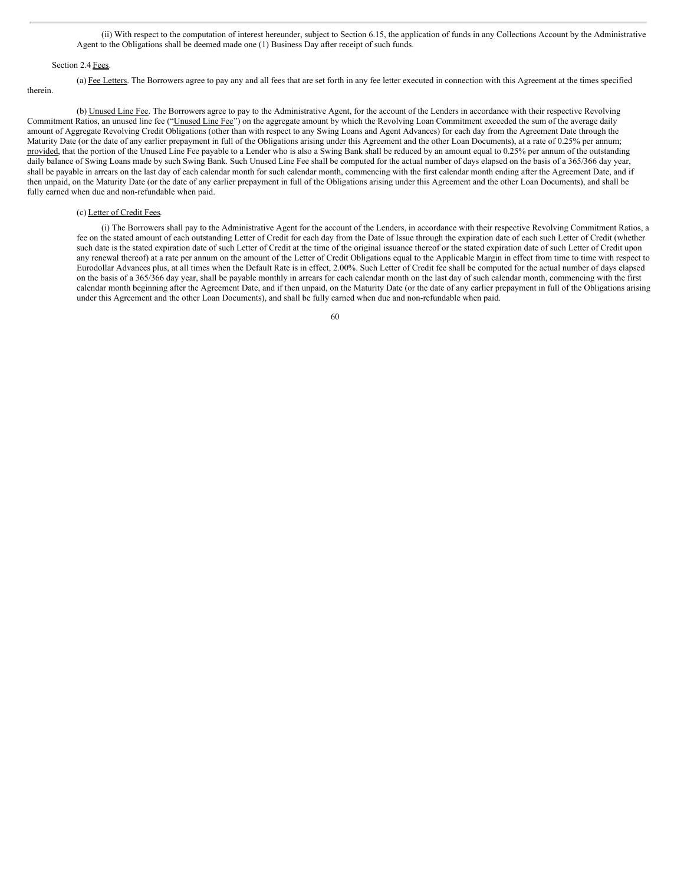(ii) With respect to the computation of interest hereunder, subject to Section 6.15, the application of funds in any Collections Account by the Administrative Agent to the Obligations shall be deemed made one (1) Business Day after receipt of such funds.

#### Section 2.4 Fees.

therein.

(a) Fee Letters. The Borrowers agree to pay any and all fees that are set forth in any fee letter executed in connection with this Agreement at the times specified

(b) Unused Line Fee. The Borrowers agree to pay to the Administrative Agent, for the account of the Lenders in accordance with their respective Revolving Commitment Ratios, an unused line fee ("Unused Line Fee") on the aggregate amount by which the Revolving Loan Commitment exceeded the sum of the average daily amount of Aggregate Revolving Credit Obligations (other than with respect to any Swing Loans and Agent Advances) for each day from the Agreement Date through the Maturity Date (or the date of any earlier prepayment in full of the Obligations arising under this Agreement and the other Loan Documents), at a rate of 0.25% per annum; provided, that the portion of the Unused Line Fee payable to a Lender who is also a Swing Bank shall be reduced by an amount equal to 0.25% per annum of the outstanding daily balance of Swing Loans made by such Swing Bank. Such Unused Line Fee shall be computed for the actual number of days elapsed on the basis of a 365/366 day year, shall be payable in arrears on the last day of each calendar month for such calendar month, commencing with the first calendar month ending after the Agreement Date, and if then unpaid, on the Maturity Date (or the date of any earlier prepayment in full of the Obligations arising under this Agreement and the other Loan Documents), and shall be fully earned when due and non-refundable when paid.

### (c) Letter of Credit Fees.

(i) The Borrowers shall pay to the Administrative Agent for the account of the Lenders, in accordance with their respective Revolving Commitment Ratios, a fee on the stated amount of each outstanding Letter of Credit for each day from the Date of Issue through the expiration date of each such Letter of Credit (whether such date is the stated expiration date of such Letter of Credit at the time of the original issuance thereof or the stated expiration date of such Letter of Credit upon any renewal thereof) at a rate per annum on the amount of the Letter of Credit Obligations equal to the Applicable Margin in effect from time to time with respect to Eurodollar Advances plus, at all times when the Default Rate is in effect, 2.00%. Such Letter of Credit fee shall be computed for the actual number of days elapsed on the basis of a 365/366 day year, shall be payable monthly in arrears for each calendar month on the last day of such calendar month, commencing with the first calendar month beginning after the Agreement Date, and if then unpaid, on the Maturity Date (or the date of any earlier prepayment in full of the Obligations arising under this Agreement and the other Loan Documents), and shall be fully earned when due and non-refundable when paid.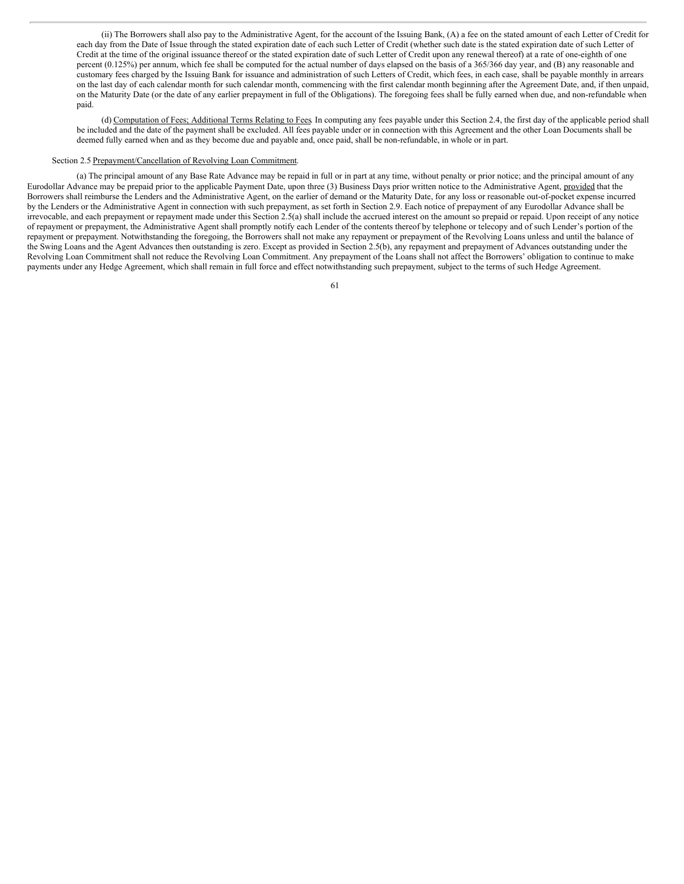(ii) The Borrowers shall also pay to the Administrative Agent, for the account of the Issuing Bank, (A) a fee on the stated amount of each Letter of Credit for each day from the Date of Issue through the stated expiration date of each such Letter of Credit (whether such date is the stated expiration date of such Letter of Credit at the time of the original issuance thereof or the stated expiration date of such Letter of Credit upon any renewal thereof) at a rate of one-eighth of one percent (0.125%) per annum, which fee shall be computed for the actual number of days elapsed on the basis of a 365/366 day year, and (B) any reasonable and customary fees charged by the Issuing Bank for issuance and administration of such Letters of Credit, which fees, in each case, shall be payable monthly in arrears on the last day of each calendar month for such calendar month, commencing with the first calendar month beginning after the Agreement Date, and, if then unpaid, on the Maturity Date (or the date of any earlier prepayment in full of the Obligations). The foregoing fees shall be fully earned when due, and non-refundable when paid.

(d) Computation of Fees; Additional Terms Relating to Fees. In computing any fees payable under this Section 2.4, the first day of the applicable period shall be included and the date of the payment shall be excluded. All fees payable under or in connection with this Agreement and the other Loan Documents shall be deemed fully earned when and as they become due and payable and, once paid, shall be non-refundable, in whole or in part.

#### Section 2.5 Prepayment/Cancellation of Revolving Loan Commitment.

(a) The principal amount of any Base Rate Advance may be repaid in full or in part at any time, without penalty or prior notice; and the principal amount of any Eurodollar Advance may be prepaid prior to the applicable Payment Date, upon three (3) Business Days prior written notice to the Administrative Agent, provided that the Borrowers shall reimburse the Lenders and the Administrative Agent, on the earlier of demand or the Maturity Date, for any loss or reasonable out-of-pocket expense incurred by the Lenders or the Administrative Agent in connection with such prepayment, as set forth in Section 2.9. Each notice of prepayment of any Eurodollar Advance shall be irrevocable, and each prepayment or repayment made under this Section 2.5(a) shall include the accrued interest on the amount so prepaid or repaid. Upon receipt of any notice of repayment or prepayment, the Administrative Agent shall promptly notify each Lender of the contents thereof by telephone or telecopy and of such Lender's portion of the repayment or prepayment. Notwithstanding the foregoing, the Borrowers shall not make any repayment or prepayment of the Revolving Loans unless and until the balance of the Swing Loans and the Agent Advances then outstanding is zero. Except as provided in Section 2.5(b), any repayment and prepayment of Advances outstanding under the Revolving Loan Commitment shall not reduce the Revolving Loan Commitment. Any prepayment of the Loans shall not affect the Borrowers' obligation to continue to make payments under any Hedge Agreement, which shall remain in full force and effect notwithstanding such prepayment, subject to the terms of such Hedge Agreement.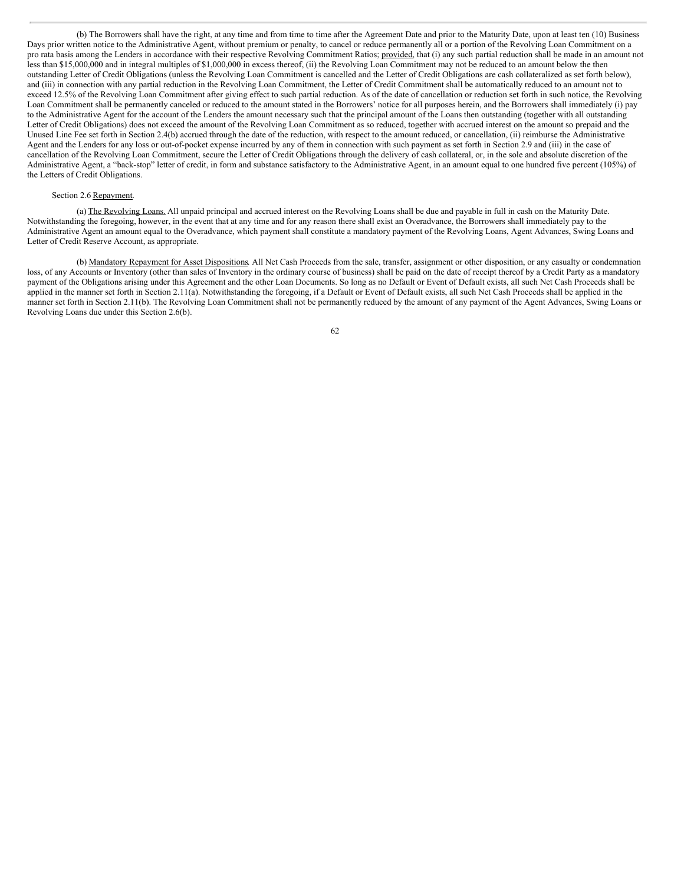(b) The Borrowers shall have the right, at any time and from time to time after the Agreement Date and prior to the Maturity Date, upon at least ten (10) Business Days prior written notice to the Administrative Agent, without premium or penalty, to cancel or reduce permanently all or a portion of the Revolving Loan Commitment on a pro rata basis among the Lenders in accordance with their respective Revolving Commitment Ratios; provided, that (i) any such partial reduction shall be made in an amount not less than \$15,000,000 and in integral multiples of \$1,000,000 in excess thereof, (ii) the Revolving Loan Commitment may not be reduced to an amount below the then outstanding Letter of Credit Obligations (unless the Revolving Loan Commitment is cancelled and the Letter of Credit Obligations are cash collateralized as set forth below), and (iii) in connection with any partial reduction in the Revolving Loan Commitment, the Letter of Credit Commitment shall be automatically reduced to an amount not to exceed 12.5% of the Revolving Loan Commitment after giving effect to such partial reduction. As of the date of cancellation or reduction set forth in such notice, the Revolving Loan Commitment shall be permanently canceled or reduced to the amount stated in the Borrowers' notice for all purposes herein, and the Borrowers shall immediately (i) pay to the Administrative Agent for the account of the Lenders the amount necessary such that the principal amount of the Loans then outstanding (together with all outstanding Letter of Credit Obligations) does not exceed the amount of the Revolving Loan Commitment as so reduced, together with accrued interest on the amount so prepaid and the Unused Line Fee set forth in Section 2.4(b) accrued through the date of the reduction, with respect to the amount reduced, or cancellation, (ii) reimburse the Administrative Agent and the Lenders for any loss or out-of-pocket expense incurred by any of them in connection with such payment as set forth in Section 2.9 and (iii) in the case of cancellation of the Revolving Loan Commitment, secure the Letter of Credit Obligations through the delivery of cash collateral, or, in the sole and absolute discretion of the Administrative Agent, a "back-stop" letter of credit, in form and substance satisfactory to the Administrative Agent, in an amount equal to one hundred five percent (105%) of the Letters of Credit Obligations.

### Section 2.6 Repayment.

(a) The Revolving Loans. All unpaid principal and accrued interest on the Revolving Loans shall be due and payable in full in cash on the Maturity Date. Notwithstanding the foregoing, however, in the event that at any time and for any reason there shall exist an Overadvance, the Borrowers shall immediately pay to the Administrative Agent an amount equal to the Overadvance, which payment shall constitute a mandatory payment of the Revolving Loans, Agent Advances, Swing Loans and Letter of Credit Reserve Account, as appropriate.

(b) Mandatory Repayment for Asset Dispositions. All Net Cash Proceeds from the sale, transfer, assignment or other disposition, or any casualty or condemnation loss, of any Accounts or Inventory (other than sales of Inventory in the ordinary course of business) shall be paid on the date of receipt thereof by a Credit Party as a mandatory payment of the Obligations arising under this Agreement and the other Loan Documents. So long as no Default or Event of Default exists, all such Net Cash Proceeds shall be applied in the manner set forth in Section 2.11(a). Notwithstanding the foregoing, if a Default or Event of Default exists, all such Net Cash Proceeds shall be applied in the manner set forth in Section 2.11(b). The Revolving Loan Commitment shall not be permanently reduced by the amount of any payment of the Agent Advances, Swing Loans or Revolving Loans due under this Section 2.6(b).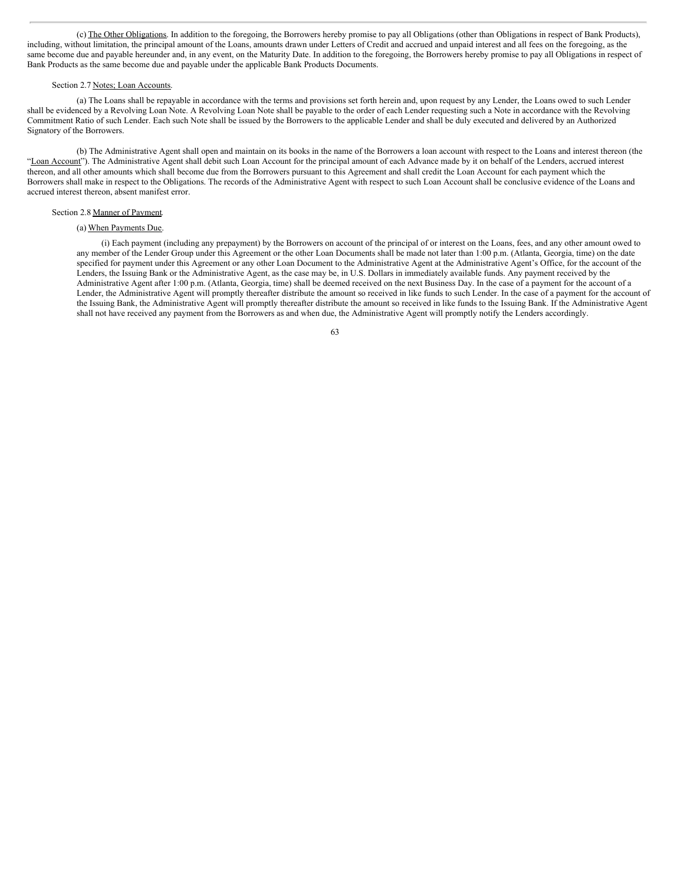(c) The Other Obligations. In addition to the foregoing, the Borrowers hereby promise to pay all Obligations (other than Obligations in respect of Bank Products), including, without limitation, the principal amount of the Loans, amounts drawn under Letters of Credit and accrued and unpaid interest and all fees on the foregoing, as the same become due and payable hereunder and, in any event, on the Maturity Date. In addition to the foregoing, the Borrowers hereby promise to pay all Obligations in respect of Bank Products as the same become due and payable under the applicable Bank Products Documents.

## Section 2.7 Notes; Loan Accounts.

(a) The Loans shall be repayable in accordance with the terms and provisions set forth herein and, upon request by any Lender, the Loans owed to such Lender shall be evidenced by a Revolving Loan Note. A Revolving Loan Note shall be payable to the order of each Lender requesting such a Note in accordance with the Revolving Commitment Ratio of such Lender. Each such Note shall be issued by the Borrowers to the applicable Lender and shall be duly executed and delivered by an Authorized Signatory of the Borrowers.

(b) The Administrative Agent shall open and maintain on its books in the name of the Borrowers a loan account with respect to the Loans and interest thereon (the "Loan Account"). The Administrative Agent shall debit such Loan Account for the principal amount of each Advance made by it on behalf of the Lenders, accrued interest thereon, and all other amounts which shall become due from the Borrowers pursuant to this Agreement and shall credit the Loan Account for each payment which the Borrowers shall make in respect to the Obligations. The records of the Administrative Agent with respect to such Loan Account shall be conclusive evidence of the Loans and accrued interest thereon, absent manifest error.

#### Section 2.8 Manner of Payment.

# (a) When Payments Due.

(i) Each payment (including any prepayment) by the Borrowers on account of the principal of or interest on the Loans, fees, and any other amount owed to any member of the Lender Group under this Agreement or the other Loan Documents shall be made not later than 1:00 p.m. (Atlanta, Georgia, time) on the date specified for payment under this Agreement or any other Loan Document to the Administrative Agent at the Administrative Agent's Office, for the account of the Lenders, the Issuing Bank or the Administrative Agent, as the case may be, in U.S. Dollars in immediately available funds. Any payment received by the Administrative Agent after 1:00 p.m. (Atlanta, Georgia, time) shall be deemed received on the next Business Day. In the case of a payment for the account of a Lender, the Administrative Agent will promptly thereafter distribute the amount so received in like funds to such Lender. In the case of a payment for the account of the Issuing Bank, the Administrative Agent will promptly thereafter distribute the amount so received in like funds to the Issuing Bank. If the Administrative Agent shall not have received any payment from the Borrowers as and when due, the Administrative Agent will promptly notify the Lenders accordingly.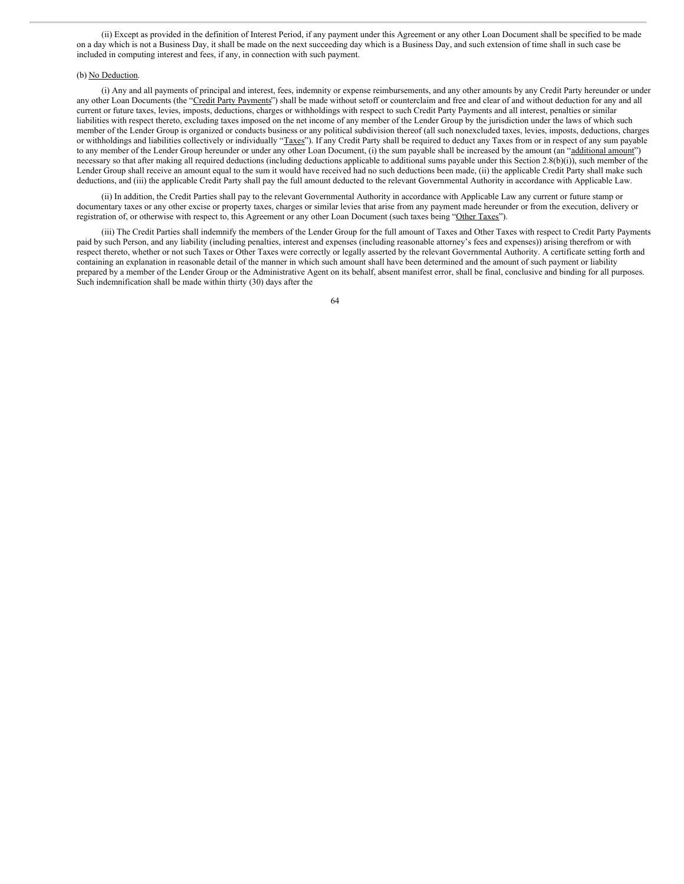(ii) Except as provided in the definition of Interest Period, if any payment under this Agreement or any other Loan Document shall be specified to be made on a day which is not a Business Day, it shall be made on the next succeeding day which is a Business Day, and such extension of time shall in such case be included in computing interest and fees, if any, in connection with such payment.

## (b) No Deduction.

(i) Any and all payments of principal and interest, fees, indemnity or expense reimbursements, and any other amounts by any Credit Party hereunder or under any other Loan Documents (the "Credit Party Payments") shall be made without setoff or counterclaim and free and clear of and without deduction for any and all current or future taxes, levies, imposts, deductions, charges or withholdings with respect to such Credit Party Payments and all interest, penalties or similar liabilities with respect thereto, excluding taxes imposed on the net income of any member of the Lender Group by the jurisdiction under the laws of which such member of the Lender Group is organized or conducts business or any political subdivision thereof (all such nonexcluded taxes, levies, imposts, deductions, charges or withholdings and liabilities collectively or individually "Taxes"). If any Credit Party shall be required to deduct any Taxes from or in respect of any sum payable to any member of the Lender Group hereunder or under any other Loan Document, (i) the sum payable shall be increased by the amount (an "additional amount") necessary so that after making all required deductions (including deductions applicable to additional sums payable under this Section 2.8(b)(i)), such member of the Lender Group shall receive an amount equal to the sum it would have received had no such deductions been made, (ii) the applicable Credit Party shall make such deductions, and (iii) the applicable Credit Party shall pay the full amount deducted to the relevant Governmental Authority in accordance with Applicable Law.

(ii) In addition, the Credit Parties shall pay to the relevant Governmental Authority in accordance with Applicable Law any current or future stamp or documentary taxes or any other excise or property taxes, charges or similar levies that arise from any payment made hereunder or from the execution, delivery or registration of, or otherwise with respect to, this Agreement or any other Loan Document (such taxes being "Other Taxes").

(iii) The Credit Parties shall indemnify the members of the Lender Group for the full amount of Taxes and Other Taxes with respect to Credit Party Payments paid by such Person, and any liability (including penalties, interest and expenses (including reasonable attorney's fees and expenses)) arising therefrom or with respect thereto, whether or not such Taxes or Other Taxes were correctly or legally asserted by the relevant Governmental Authority. A certificate setting forth and containing an explanation in reasonable detail of the manner in which such amount shall have been determined and the amount of such payment or liability prepared by a member of the Lender Group or the Administrative Agent on its behalf, absent manifest error, shall be final, conclusive and binding for all purposes. Such indemnification shall be made within thirty (30) days after the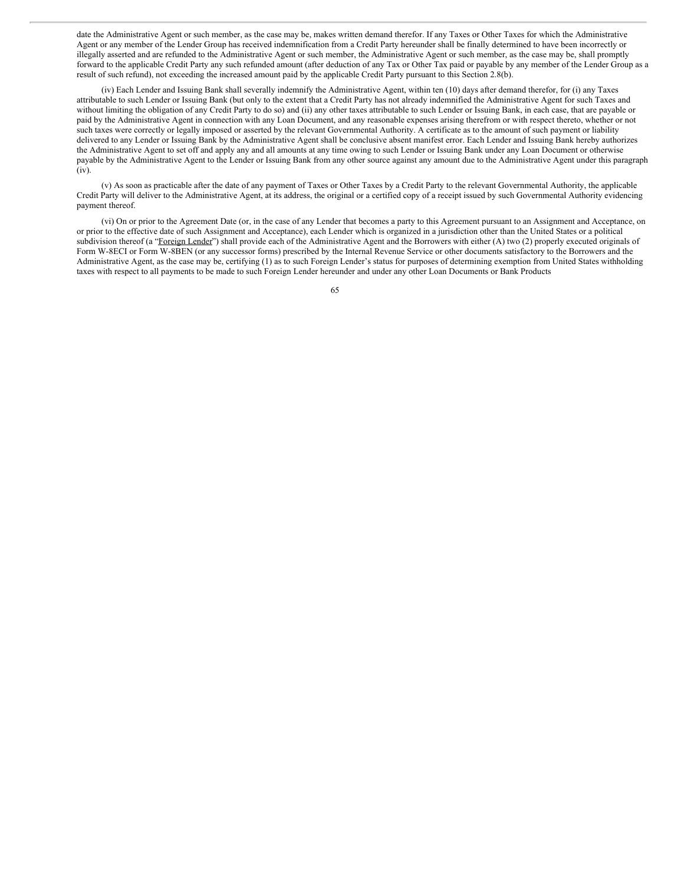date the Administrative Agent or such member, as the case may be, makes written demand therefor. If any Taxes or Other Taxes for which the Administrative Agent or any member of the Lender Group has received indemnification from a Credit Party hereunder shall be finally determined to have been incorrectly or illegally asserted and are refunded to the Administrative Agent or such member, the Administrative Agent or such member, as the case may be, shall promptly forward to the applicable Credit Party any such refunded amount (after deduction of any Tax or Other Tax paid or payable by any member of the Lender Group as a result of such refund), not exceeding the increased amount paid by the applicable Credit Party pursuant to this Section 2.8(b).

(iv) Each Lender and Issuing Bank shall severally indemnify the Administrative Agent, within ten (10) days after demand therefor, for (i) any Taxes attributable to such Lender or Issuing Bank (but only to the extent that a Credit Party has not already indemnified the Administrative Agent for such Taxes and without limiting the obligation of any Credit Party to do so) and (ii) any other taxes attributable to such Lender or Issuing Bank, in each case, that are payable or paid by the Administrative Agent in connection with any Loan Document, and any reasonable expenses arising therefrom or with respect thereto, whether or not such taxes were correctly or legally imposed or asserted by the relevant Governmental Authority. A certificate as to the amount of such payment or liability delivered to any Lender or Issuing Bank by the Administrative Agent shall be conclusive absent manifest error. Each Lender and Issuing Bank hereby authorizes the Administrative Agent to set off and apply any and all amounts at any time owing to such Lender or Issuing Bank under any Loan Document or otherwise payable by the Administrative Agent to the Lender or Issuing Bank from any other source against any amount due to the Administrative Agent under this paragraph (iv).

(v) As soon as practicable after the date of any payment of Taxes or Other Taxes by a Credit Party to the relevant Governmental Authority, the applicable Credit Party will deliver to the Administrative Agent, at its address, the original or a certified copy of a receipt issued by such Governmental Authority evidencing payment thereof.

(vi) On or prior to the Agreement Date (or, in the case of any Lender that becomes a party to this Agreement pursuant to an Assignment and Acceptance, on or prior to the effective date of such Assignment and Acceptance), each Lender which is organized in a jurisdiction other than the United States or a political subdivision thereof (a "Foreign Lender") shall provide each of the Administrative Agent and the Borrowers with either (A) two (2) properly executed originals of Form W-8ECI or Form W-8BEN (or any successor forms) prescribed by the Internal Revenue Service or other documents satisfactory to the Borrowers and the Administrative Agent, as the case may be, certifying (1) as to such Foreign Lender's status for purposes of determining exemption from United States withholding taxes with respect to all payments to be made to such Foreign Lender hereunder and under any other Loan Documents or Bank Products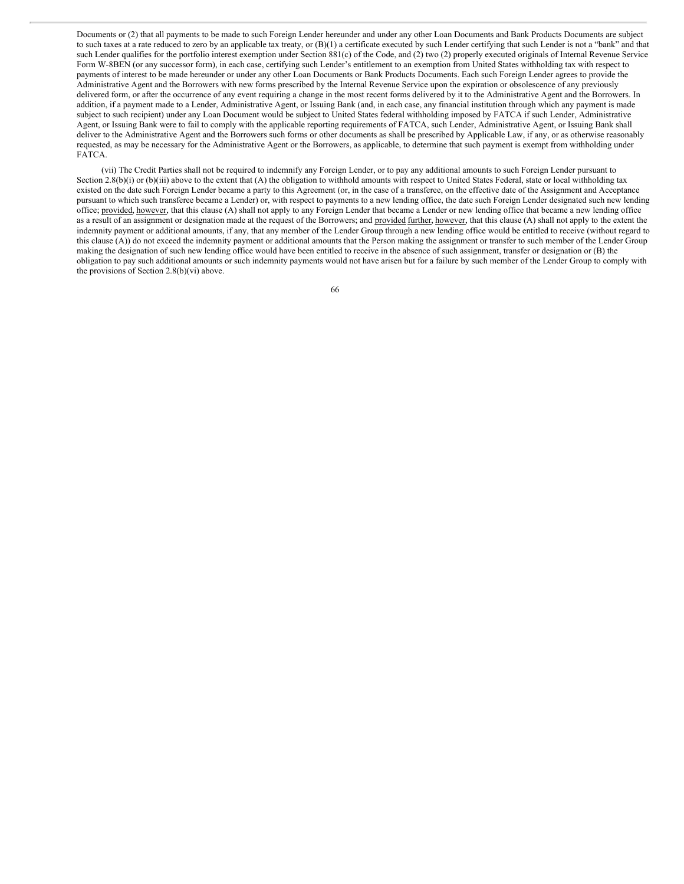Documents or (2) that all payments to be made to such Foreign Lender hereunder and under any other Loan Documents and Bank Products Documents are subject to such taxes at a rate reduced to zero by an applicable tax treaty, or (B)(1) a certificate executed by such Lender certifying that such Lender is not a "bank" and that such Lender qualifies for the portfolio interest exemption under Section 881(c) of the Code, and (2) two (2) properly executed originals of Internal Revenue Service Form W-8BEN (or any successor form), in each case, certifying such Lender's entitlement to an exemption from United States withholding tax with respect to payments of interest to be made hereunder or under any other Loan Documents or Bank Products Documents. Each such Foreign Lender agrees to provide the Administrative Agent and the Borrowers with new forms prescribed by the Internal Revenue Service upon the expiration or obsolescence of any previously delivered form, or after the occurrence of any event requiring a change in the most recent forms delivered by it to the Administrative Agent and the Borrowers. In addition, if a payment made to a Lender, Administrative Agent, or Issuing Bank (and, in each case, any financial institution through which any payment is made subject to such recipient) under any Loan Document would be subject to United States federal withholding imposed by FATCA if such Lender, Administrative Agent, or Issuing Bank were to fail to comply with the applicable reporting requirements of FATCA, such Lender, Administrative Agent, or Issuing Bank shall deliver to the Administrative Agent and the Borrowers such forms or other documents as shall be prescribed by Applicable Law, if any, or as otherwise reasonably requested, as may be necessary for the Administrative Agent or the Borrowers, as applicable, to determine that such payment is exempt from withholding under FATCA.

(vii) The Credit Parties shall not be required to indemnify any Foreign Lender, or to pay any additional amounts to such Foreign Lender pursuant to Section 2.8(b)(i) or (b)(iii) above to the extent that (A) the obligation to withhold amounts with respect to United States Federal, state or local withholding tax existed on the date such Foreign Lender became a party to this Agreement (or, in the case of a transferee, on the effective date of the Assignment and Acceptance pursuant to which such transferee became a Lender) or, with respect to payments to a new lending office, the date such Foreign Lender designated such new lending office; provided, however, that this clause (A) shall not apply to any Foreign Lender that became a Lender or new lending office that became a new lending office as a result of an assignment or designation made at the request of the Borrowers; and provided further, however, that this clause (A) shall not apply to the extent the indemnity payment or additional amounts, if any, that any member of the Lender Group through a new lending office would be entitled to receive (without regard to this clause (A)) do not exceed the indemnity payment or additional amounts that the Person making the assignment or transfer to such member of the Lender Group making the designation of such new lending office would have been entitled to receive in the absence of such assignment, transfer or designation or (B) the obligation to pay such additional amounts or such indemnity payments would not have arisen but for a failure by such member of the Lender Group to comply with the provisions of Section 2.8(b)(vi) above.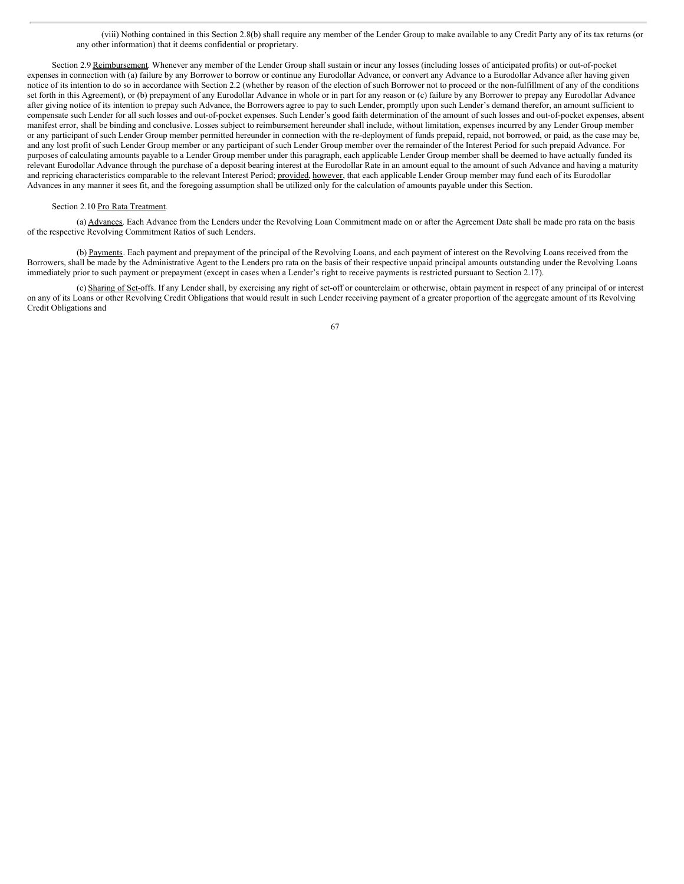(viii) Nothing contained in this Section 2.8(b) shall require any member of the Lender Group to make available to any Credit Party any of its tax returns (or any other information) that it deems confidential or proprietary.

Section 2.9 Reimbursement. Whenever any member of the Lender Group shall sustain or incur any losses (including losses of anticipated profits) or out-of-pocket expenses in connection with (a) failure by any Borrower to borrow or continue any Eurodollar Advance, or convert any Advance to a Eurodollar Advance after having given notice of its intention to do so in accordance with Section 2.2 (whether by reason of the election of such Borrower not to proceed or the non-fulfillment of any of the conditions set forth in this Agreement), or (b) prepayment of any Eurodollar Advance in whole or in part for any reason or (c) failure by any Borrower to prepay any Eurodollar Advance after giving notice of its intention to prepay such Advance, the Borrowers agree to pay to such Lender, promptly upon such Lender's demand therefor, an amount sufficient to compensate such Lender for all such losses and out-of-pocket expenses. Such Lender's good faith determination of the amount of such losses and out-of-pocket expenses, absent manifest error, shall be binding and conclusive. Losses subject to reimbursement hereunder shall include, without limitation, expenses incurred by any Lender Group member or any participant of such Lender Group member permitted hereunder in connection with the re-deployment of funds prepaid, repaid, not borrowed, or paid, as the case may be, and any lost profit of such Lender Group member or any participant of such Lender Group member over the remainder of the Interest Period for such prepaid Advance. For purposes of calculating amounts payable to a Lender Group member under this paragraph, each applicable Lender Group member shall be deemed to have actually funded its relevant Eurodollar Advance through the purchase of a deposit bearing interest at the Eurodollar Rate in an amount equal to the amount of such Advance and having a maturity and repricing characteristics comparable to the relevant Interest Period; provided, however, that each applicable Lender Group member may fund each of its Eurodollar Advances in any manner it sees fit, and the foregoing assumption shall be utilized only for the calculation of amounts payable under this Section.

### Section 2.10 Pro Rata Treatment.

(a) Advances. Each Advance from the Lenders under the Revolving Loan Commitment made on or after the Agreement Date shall be made pro rata on the basis of the respective Revolving Commitment Ratios of such Lenders.

(b) Payments. Each payment and prepayment of the principal of the Revolving Loans, and each payment of interest on the Revolving Loans received from the Borrowers, shall be made by the Administrative Agent to the Lenders pro rata on the basis of their respective unpaid principal amounts outstanding under the Revolving Loans immediately prior to such payment or prepayment (except in cases when a Lender's right to receive payments is restricted pursuant to Section 2.17).

(c) Sharing of Set-offs. If any Lender shall, by exercising any right of set-off or counterclaim or otherwise, obtain payment in respect of any principal of or interest on any of its Loans or other Revolving Credit Obligations that would result in such Lender receiving payment of a greater proportion of the aggregate amount of its Revolving Credit Obligations and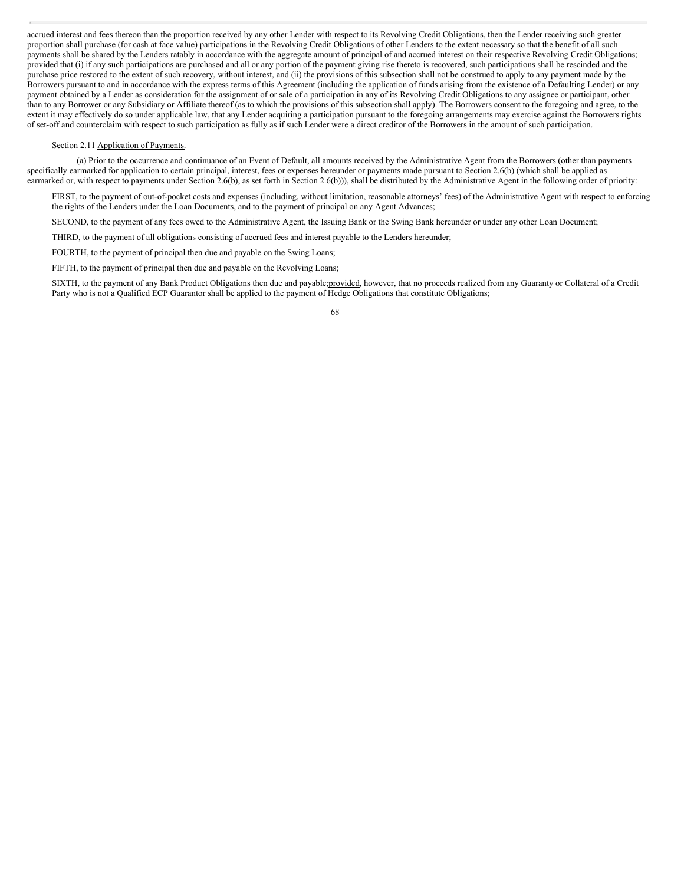accrued interest and fees thereon than the proportion received by any other Lender with respect to its Revolving Credit Obligations, then the Lender receiving such greater proportion shall purchase (for cash at face value) participations in the Revolving Credit Obligations of other Lenders to the extent necessary so that the benefit of all such payments shall be shared by the Lenders ratably in accordance with the aggregate amount of principal of and accrued interest on their respective Revolving Credit Obligations; provided that (i) if any such participations are purchased and all or any portion of the payment giving rise thereto is recovered, such participations shall be rescinded and the purchase price restored to the extent of such recovery, without interest, and (ii) the provisions of this subsection shall not be construed to apply to any payment made by the Borrowers pursuant to and in accordance with the express terms of this Agreement (including the application of funds arising from the existence of a Defaulting Lender) or any payment obtained by a Lender as consideration for the assignment of or sale of a participation in any of its Revolving Credit Obligations to any assignee or participant, other than to any Borrower or any Subsidiary or Affiliate thereof (as to which the provisions of this subsection shall apply). The Borrowers consent to the foregoing and agree, to the extent it may effectively do so under applicable law, that any Lender acquiring a participation pursuant to the foregoing arrangements may exercise against the Borrowers rights of set-off and counterclaim with respect to such participation as fully as if such Lender were a direct creditor of the Borrowers in the amount of such participation.

#### Section 2.11 Application of Payments.

(a) Prior to the occurrence and continuance of an Event of Default, all amounts received by the Administrative Agent from the Borrowers (other than payments specifically earmarked for application to certain principal, interest, fees or expenses hereunder or payments made pursuant to Section 2.6(b) (which shall be applied as earmarked or, with respect to payments under Section 2.6(b), as set forth in Section 2.6(b))), shall be distributed by the Administrative Agent in the following order of priority:

FIRST, to the payment of out-of-pocket costs and expenses (including, without limitation, reasonable attorneys' fees) of the Administrative Agent with respect to enforcing the rights of the Lenders under the Loan Documents, and to the payment of principal on any Agent Advances;

SECOND, to the payment of any fees owed to the Administrative Agent, the Issuing Bank or the Swing Bank hereunder or under any other Loan Document;

THIRD, to the payment of all obligations consisting of accrued fees and interest payable to the Lenders hereunder;

FOURTH, to the payment of principal then due and payable on the Swing Loans;

FIFTH, to the payment of principal then due and payable on the Revolving Loans;

SIXTH, to the payment of any Bank Product Obligations then due and payable;provided, however, that no proceeds realized from any Guaranty or Collateral of a Credit Party who is not a Qualified ECP Guarantor shall be applied to the payment of Hedge Obligations that constitute Obligations;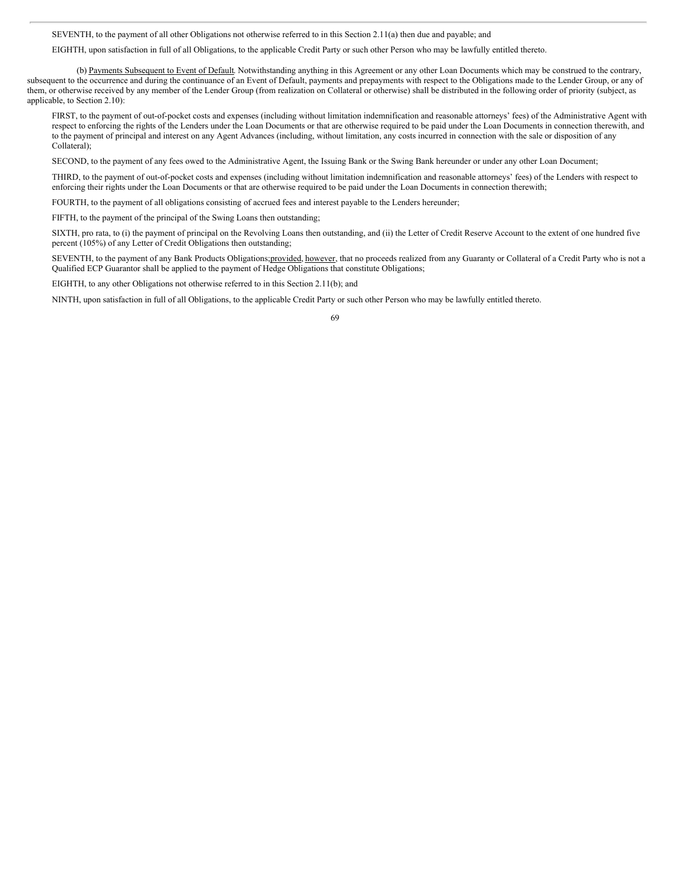SEVENTH, to the payment of all other Obligations not otherwise referred to in this Section 2.11(a) then due and payable; and

EIGHTH, upon satisfaction in full of all Obligations, to the applicable Credit Party or such other Person who may be lawfully entitled thereto.

(b) Payments Subsequent to Event of Default. Notwithstanding anything in this Agreement or any other Loan Documents which may be construed to the contrary, subsequent to the occurrence and during the continuance of an Event of Default, payments and prepayments with respect to the Obligations made to the Lender Group, or any of them, or otherwise received by any member of the Lender Group (from realization on Collateral or otherwise) shall be distributed in the following order of priority (subject, as applicable, to Section 2.10):

FIRST, to the payment of out-of-pocket costs and expenses (including without limitation indemnification and reasonable attorneys' fees) of the Administrative Agent with respect to enforcing the rights of the Lenders under the Loan Documents or that are otherwise required to be paid under the Loan Documents in connection therewith, and to the payment of principal and interest on any Agent Advances (including, without limitation, any costs incurred in connection with the sale or disposition of any Collateral);

SECOND, to the payment of any fees owed to the Administrative Agent, the Issuing Bank or the Swing Bank hereunder or under any other Loan Document;

THIRD, to the payment of out-of-pocket costs and expenses (including without limitation indemnification and reasonable attorneys' fees) of the Lenders with respect to enforcing their rights under the Loan Documents or that are otherwise required to be paid under the Loan Documents in connection therewith;

FOURTH, to the payment of all obligations consisting of accrued fees and interest payable to the Lenders hereunder;

FIFTH, to the payment of the principal of the Swing Loans then outstanding;

SIXTH, pro rata, to (i) the payment of principal on the Revolving Loans then outstanding, and (ii) the Letter of Credit Reserve Account to the extent of one hundred five percent (105%) of any Letter of Credit Obligations then outstanding;

SEVENTH, to the payment of any Bank Products Obligations;provided, however, that no proceeds realized from any Guaranty or Collateral of a Credit Party who is not a Qualified ECP Guarantor shall be applied to the payment of Hedge Obligations that constitute Obligations;

EIGHTH, to any other Obligations not otherwise referred to in this Section 2.11(b); and

NINTH, upon satisfaction in full of all Obligations, to the applicable Credit Party or such other Person who may be lawfully entitled thereto.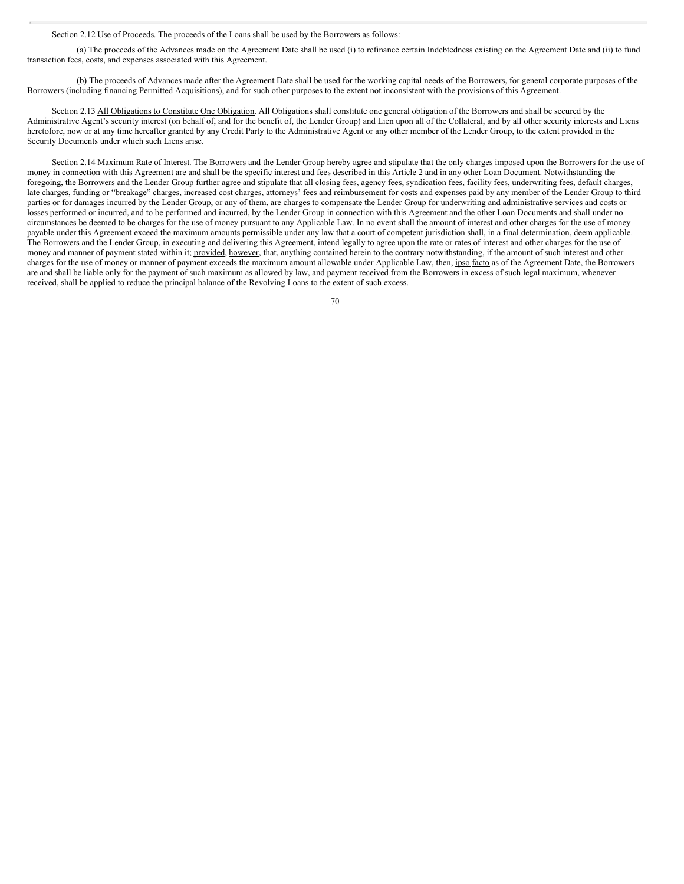Section 2.12 Use of Proceeds. The proceeds of the Loans shall be used by the Borrowers as follows:

(a) The proceeds of the Advances made on the Agreement Date shall be used (i) to refinance certain Indebtedness existing on the Agreement Date and (ii) to fund transaction fees, costs, and expenses associated with this Agreement.

(b) The proceeds of Advances made after the Agreement Date shall be used for the working capital needs of the Borrowers, for general corporate purposes of the Borrowers (including financing Permitted Acquisitions), and for such other purposes to the extent not inconsistent with the provisions of this Agreement.

Section 2.13 All Obligations to Constitute One Obligation. All Obligations shall constitute one general obligation of the Borrowers and shall be secured by the Administrative Agent's security interest (on behalf of, and for the benefit of, the Lender Group) and Lien upon all of the Collateral, and by all other security interests and Liens heretofore, now or at any time hereafter granted by any Credit Party to the Administrative Agent or any other member of the Lender Group, to the extent provided in the Security Documents under which such Liens arise.

Section 2.14 Maximum Rate of Interest. The Borrowers and the Lender Group hereby agree and stipulate that the only charges imposed upon the Borrowers for the use of money in connection with this Agreement are and shall be the specific interest and fees described in this Article 2 and in any other Loan Document. Notwithstanding the foregoing, the Borrowers and the Lender Group further agree and stipulate that all closing fees, agency fees, syndication fees, facility fees, underwriting fees, default charges, late charges, funding or "breakage" charges, increased cost charges, attorneys' fees and reimbursement for costs and expenses paid by any member of the Lender Group to third parties or for damages incurred by the Lender Group, or any of them, are charges to compensate the Lender Group for underwriting and administrative services and costs or losses performed or incurred, and to be performed and incurred, by the Lender Group in connection with this Agreement and the other Loan Documents and shall under no circumstances be deemed to be charges for the use of money pursuant to any Applicable Law. In no event shall the amount of interest and other charges for the use of money payable under this Agreement exceed the maximum amounts permissible under any law that a court of competent jurisdiction shall, in a final determination, deem applicable. The Borrowers and the Lender Group, in executing and delivering this Agreement, intend legally to agree upon the rate or rates of interest and other charges for the use of money and manner of payment stated within it; provided, however, that, anything contained herein to the contrary notwithstanding, if the amount of such interest and other charges for the use of money or manner of payment exceeds the maximum amount allowable under Applicable Law, then, ipso facto as of the Agreement Date, the Borrowers are and shall be liable only for the payment of such maximum as allowed by law, and payment received from the Borrowers in excess of such legal maximum, whenever received, shall be applied to reduce the principal balance of the Revolving Loans to the extent of such excess.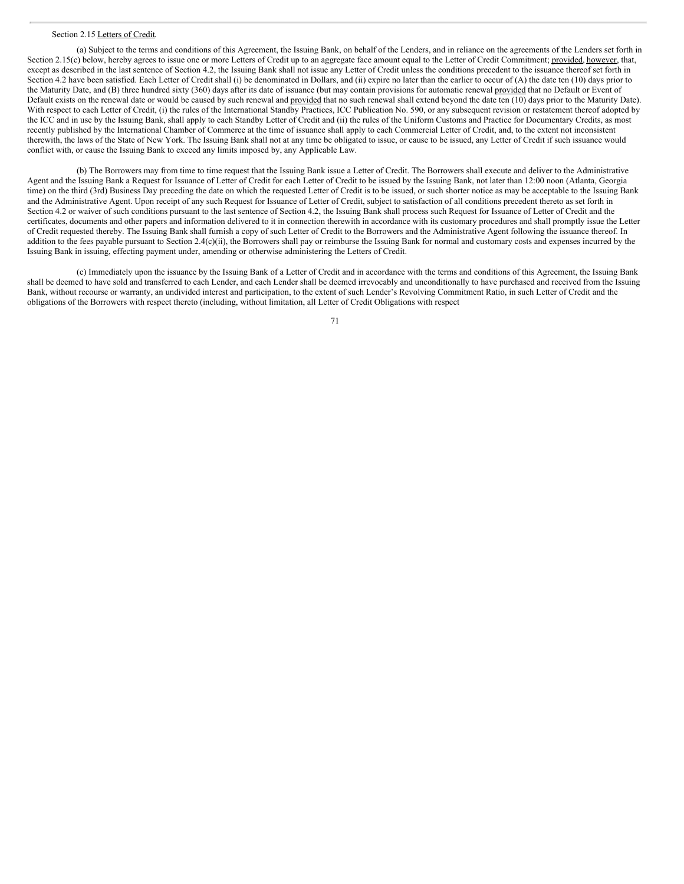#### Section 2.15 Letters of Credit.

(a) Subject to the terms and conditions of this Agreement, the Issuing Bank, on behalf of the Lenders, and in reliance on the agreements of the Lenders set forth in Section 2.15(c) below, hereby agrees to issue one or more Letters of Credit up to an aggregate face amount equal to the Letter of Credit Commitment; provided, however, that, except as described in the last sentence of Section 4.2, the Issuing Bank shall not issue any Letter of Credit unless the conditions precedent to the issuance thereof set forth in Section 4.2 have been satisfied. Each Letter of Credit shall (i) be denominated in Dollars, and (ii) expire no later than the earlier to occur of (A) the date ten (10) days prior to the Maturity Date, and (B) three hundred sixty (360) days after its date of issuance (but may contain provisions for automatic renewal provided that no Default or Event of Default exists on the renewal date or would be caused by such renewal and provided that no such renewal shall extend beyond the date ten (10) days prior to the Maturity Date). With respect to each Letter of Credit, (i) the rules of the International Standby Practices, ICC Publication No. 590, or any subsequent revision or restatement thereof adopted by the ICC and in use by the Issuing Bank, shall apply to each Standby Letter of Credit and (ii) the rules of the Uniform Customs and Practice for Documentary Credits, as most recently published by the International Chamber of Commerce at the time of issuance shall apply to each Commercial Letter of Credit, and, to the extent not inconsistent therewith, the laws of the State of New York. The Issuing Bank shall not at any time be obligated to issue, or cause to be issued, any Letter of Credit if such issuance would conflict with, or cause the Issuing Bank to exceed any limits imposed by, any Applicable Law.

(b) The Borrowers may from time to time request that the Issuing Bank issue a Letter of Credit. The Borrowers shall execute and deliver to the Administrative Agent and the Issuing Bank a Request for Issuance of Letter of Credit for each Letter of Credit to be issued by the Issuing Bank, not later than 12:00 noon (Atlanta, Georgia time) on the third (3rd) Business Day preceding the date on which the requested Letter of Credit is to be issued, or such shorter notice as may be acceptable to the Issuing Bank and the Administrative Agent. Upon receipt of any such Request for Issuance of Letter of Credit, subject to satisfaction of all conditions precedent thereto as set forth in Section 4.2 or waiver of such conditions pursuant to the last sentence of Section 4.2, the Issuing Bank shall process such Request for Issuance of Letter of Credit and the certificates, documents and other papers and information delivered to it in connection therewith in accordance with its customary procedures and shall promptly issue the Letter of Credit requested thereby. The Issuing Bank shall furnish a copy of such Letter of Credit to the Borrowers and the Administrative Agent following the issuance thereof. In addition to the fees payable pursuant to Section 2.4(c)(ii), the Borrowers shall pay or reimburse the Issuing Bank for normal and customary costs and expenses incurred by the Issuing Bank in issuing, effecting payment under, amending or otherwise administering the Letters of Credit.

(c) Immediately upon the issuance by the Issuing Bank of a Letter of Credit and in accordance with the terms and conditions of this Agreement, the Issuing Bank shall be deemed to have sold and transferred to each Lender, and each Lender shall be deemed irrevocably and unconditionally to have purchased and received from the Issuing Bank, without recourse or warranty, an undivided interest and participation, to the extent of such Lender's Revolving Commitment Ratio, in such Letter of Credit and the obligations of the Borrowers with respect thereto (including, without limitation, all Letter of Credit Obligations with respect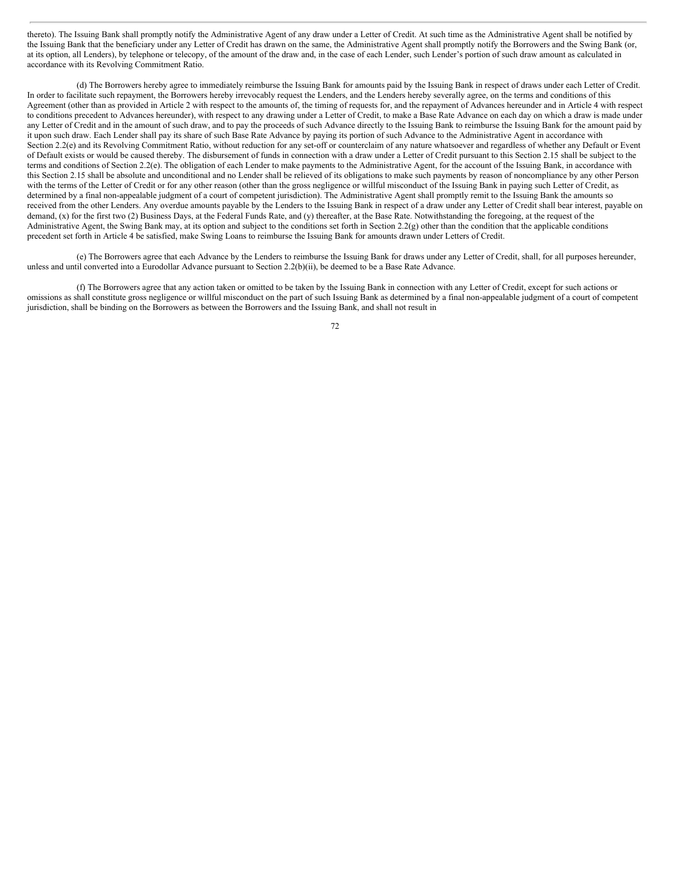thereto). The Issuing Bank shall promptly notify the Administrative Agent of any draw under a Letter of Credit. At such time as the Administrative Agent shall be notified by the Issuing Bank that the beneficiary under any Letter of Credit has drawn on the same, the Administrative Agent shall promptly notify the Borrowers and the Swing Bank (or, at its option, all Lenders), by telephone or telecopy, of the amount of the draw and, in the case of each Lender, such Lender's portion of such draw amount as calculated in accordance with its Revolving Commitment Ratio.

(d) The Borrowers hereby agree to immediately reimburse the Issuing Bank for amounts paid by the Issuing Bank in respect of draws under each Letter of Credit. In order to facilitate such repayment, the Borrowers hereby irrevocably request the Lenders, and the Lenders hereby severally agree, on the terms and conditions of this Agreement (other than as provided in Article 2 with respect to the amounts of, the timing of requests for, and the repayment of Advances hereunder and in Article 4 with respect to conditions precedent to Advances hereunder), with respect to any drawing under a Letter of Credit, to make a Base Rate Advance on each day on which a draw is made under any Letter of Credit and in the amount of such draw, and to pay the proceeds of such Advance directly to the Issuing Bank to reimburse the Issuing Bank for the amount paid by it upon such draw. Each Lender shall pay its share of such Base Rate Advance by paying its portion of such Advance to the Administrative Agent in accordance with Section 2.2(e) and its Revolving Commitment Ratio, without reduction for any set-off or counterclaim of any nature whatsoever and regardless of whether any Default or Event of Default exists or would be caused thereby. The disbursement of funds in connection with a draw under a Letter of Credit pursuant to this Section 2.15 shall be subject to the terms and conditions of Section 2.2(e). The obligation of each Lender to make payments to the Administrative Agent, for the account of the Issuing Bank, in accordance with this Section 2.15 shall be absolute and unconditional and no Lender shall be relieved of its obligations to make such payments by reason of noncompliance by any other Person with the terms of the Letter of Credit or for any other reason (other than the gross negligence or willful misconduct of the Issuing Bank in paying such Letter of Credit, as determined by a final non-appealable judgment of a court of competent jurisdiction). The Administrative Agent shall promptly remit to the Issuing Bank the amounts so received from the other Lenders. Any overdue amounts payable by the Lenders to the Issuing Bank in respect of a draw under any Letter of Credit shall bear interest, payable on demand, (x) for the first two (2) Business Days, at the Federal Funds Rate, and (y) thereafter, at the Base Rate. Notwithstanding the foregoing, at the request of the Administrative Agent, the Swing Bank may, at its option and subject to the conditions set forth in Section 2.2(g) other than the condition that the applicable conditions precedent set forth in Article 4 be satisfied, make Swing Loans to reimburse the Issuing Bank for amounts drawn under Letters of Credit.

(e) The Borrowers agree that each Advance by the Lenders to reimburse the Issuing Bank for draws under any Letter of Credit, shall, for all purposes hereunder, unless and until converted into a Eurodollar Advance pursuant to Section 2.2(b)(ii), be deemed to be a Base Rate Advance.

(f) The Borrowers agree that any action taken or omitted to be taken by the Issuing Bank in connection with any Letter of Credit, except for such actions or omissions as shall constitute gross negligence or willful misconduct on the part of such Issuing Bank as determined by a final non-appealable judgment of a court of competent jurisdiction, shall be binding on the Borrowers as between the Borrowers and the Issuing Bank, and shall not result in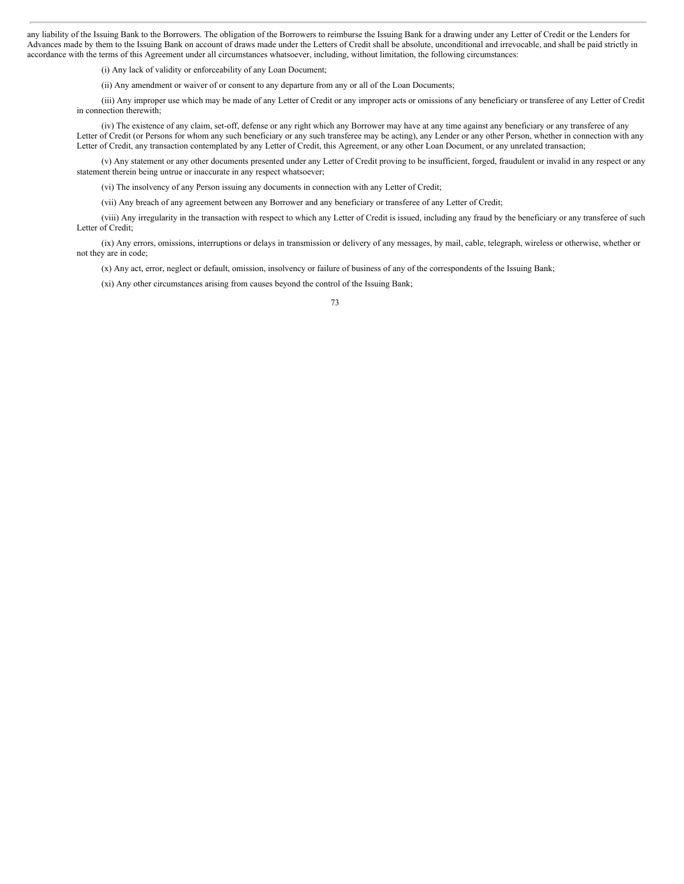any liability of the Issuing Bank to the Borrowers. The obligation of the Borrowers to reimburse the Issuing Bank for a drawing under any Letter of Credit or the Lenders for Advances made by them to the Issuing Bank on account of draws made under the Letters of Credit shall be absolute, unconditional and irrevocable, and shall be paid strictly in accordance with the terms of this Agreement under all circumstances whatsoever, including, without limitation, the following circumstances:

(i) Any lack of validity or enforceability of any Loan Document;

(ii) Any amendment or waiver of or consent to any departure from any or all of the Loan Documents;

(iii) Any improper use which may be made of any Letter of Credit or any improper acts or omissions of any beneficiary or transferee of any Letter of Credit in connection therewith;

(iv) The existence of any claim, set-off, defense or any right which any Borrower may have at any time against any beneficiary or any transferee of any Letter of Credit (or Persons for whom any such beneficiary or any such transferee may be acting), any Lender or any other Person, whether in connection with any Letter of Credit, any transaction contemplated by any Letter of Credit, this Agreement, or any other Loan Document, or any unrelated transaction;

(v) Any statement or any other documents presented under any Letter of Credit proving to be insufficient, forged, fraudulent or invalid in any respect or any statement therein being untrue or inaccurate in any respect whatsoever;

(vi) The insolvency of any Person issuing any documents in connection with any Letter of Credit;

(vii) Any breach of any agreement between any Borrower and any beneficiary or transferee of any Letter of Credit;

(viii) Any irregularity in the transaction with respect to which any Letter of Credit is issued, including any fraud by the beneficiary or any transferee of such Letter of Credit;

(ix) Any errors, omissions, interruptions or delays in transmission or delivery of any messages, by mail, cable, telegraph, wireless or otherwise, whether or not they are in code;

(x) Any act, error, neglect or default, omission, insolvency or failure of business of any of the correspondents of the Issuing Bank;

(xi) Any other circumstances arising from causes beyond the control of the Issuing Bank;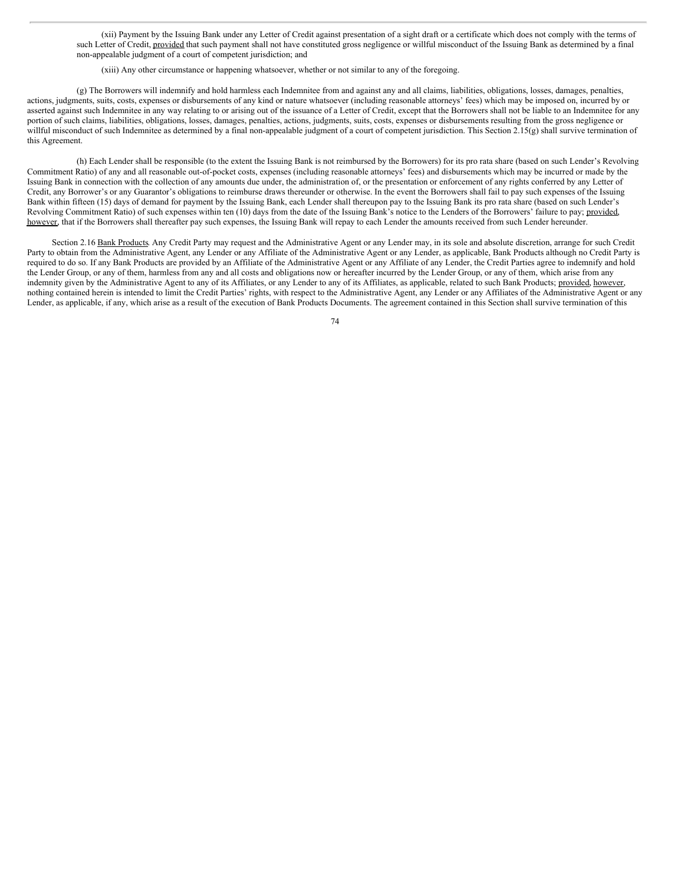(xii) Payment by the Issuing Bank under any Letter of Credit against presentation of a sight draft or a certificate which does not comply with the terms of such Letter of Credit, provided that such payment shall not have constituted gross negligence or willful misconduct of the Issuing Bank as determined by a final non-appealable judgment of a court of competent jurisdiction; and

(xiii) Any other circumstance or happening whatsoever, whether or not similar to any of the foregoing.

(g) The Borrowers will indemnify and hold harmless each Indemnitee from and against any and all claims, liabilities, obligations, losses, damages, penalties, actions, judgments, suits, costs, expenses or disbursements of any kind or nature whatsoever (including reasonable attorneys' fees) which may be imposed on, incurred by or asserted against such Indemnitee in any way relating to or arising out of the issuance of a Letter of Credit, except that the Borrowers shall not be liable to an Indemnitee for any portion of such claims, liabilities, obligations, losses, damages, penalties, actions, judgments, suits, costs, expenses or disbursements resulting from the gross negligence or willful misconduct of such Indemnitee as determined by a final non-appealable judgment of a court of competent jurisdiction. This Section 2.15(g) shall survive termination of this Agreement.

(h) Each Lender shall be responsible (to the extent the Issuing Bank is not reimbursed by the Borrowers) for its pro rata share (based on such Lender's Revolving Commitment Ratio) of any and all reasonable out-of-pocket costs, expenses (including reasonable attorneys' fees) and disbursements which may be incurred or made by the Issuing Bank in connection with the collection of any amounts due under, the administration of, or the presentation or enforcement of any rights conferred by any Letter of Credit, any Borrower's or any Guarantor's obligations to reimburse draws thereunder or otherwise. In the event the Borrowers shall fail to pay such expenses of the Issuing Bank within fifteen (15) days of demand for payment by the Issuing Bank, each Lender shall thereupon pay to the Issuing Bank its pro rata share (based on such Lender's Revolving Commitment Ratio) of such expenses within ten (10) days from the date of the Issuing Bank's notice to the Lenders of the Borrowers' failure to pay; provided, however, that if the Borrowers shall thereafter pay such expenses, the Issuing Bank will repay to each Lender the amounts received from such Lender hereunder.

Section 2.16 Bank Products. Any Credit Party may request and the Administrative Agent or any Lender may, in its sole and absolute discretion, arrange for such Credit Party to obtain from the Administrative Agent, any Lender or any Affiliate of the Administrative Agent or any Lender, as applicable, Bank Products although no Credit Party is required to do so. If any Bank Products are provided by an Affiliate of the Administrative Agent or any Affiliate of any Lender, the Credit Parties agree to indemnify and hold the Lender Group, or any of them, harmless from any and all costs and obligations now or hereafter incurred by the Lender Group, or any of them, which arise from any indemnity given by the Administrative Agent to any of its Affiliates, or any Lender to any of its Affiliates, as applicable, related to such Bank Products; provided, however, nothing contained herein is intended to limit the Credit Parties' rights, with respect to the Administrative Agent, any Lender or any Affiliates of the Administrative Agent or any Lender, as applicable, if any, which arise as a result of the execution of Bank Products Documents. The agreement contained in this Section shall survive termination of this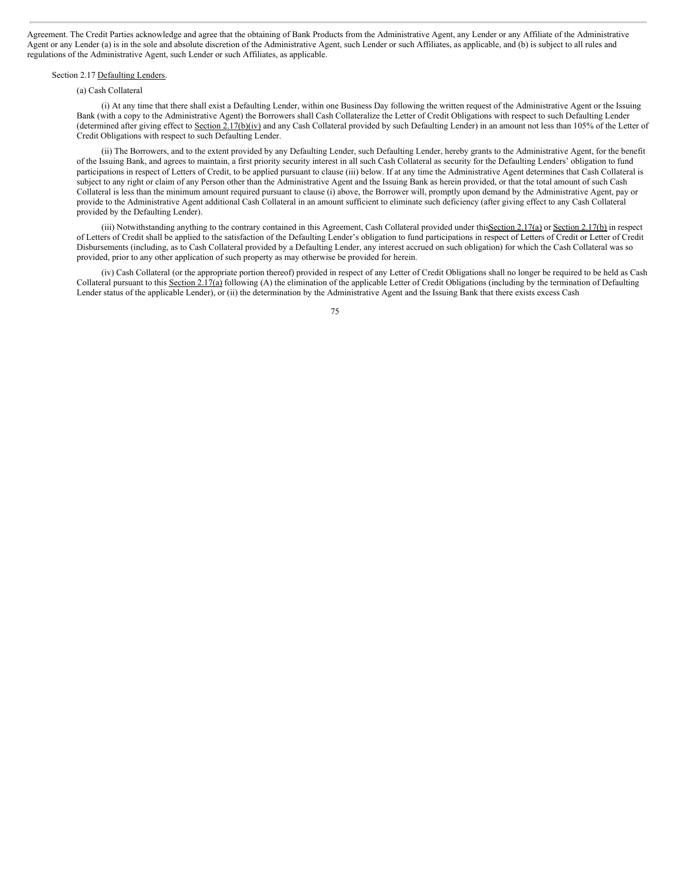Agreement. The Credit Parties acknowledge and agree that the obtaining of Bank Products from the Administrative Agent, any Lender or any Affiliate of the Administrative Agent or any Lender (a) is in the sole and absolute discretion of the Administrative Agent, such Lender or such Affiliates, as applicable, and (b) is subject to all rules and regulations of the Administrative Agent, such Lender or such Affiliates, as applicable.

### Section 2.17 Defaulting Lenders.

### (a) Cash Collateral

(i) At any time that there shall exist a Defaulting Lender, within one Business Day following the written request of the Administrative Agent or the Issuing Bank (with a copy to the Administrative Agent) the Borrowers shall Cash Collateralize the Letter of Credit Obligations with respect to such Defaulting Lender (determined after giving effect to Section 2.17(b)(iv) and any Cash Collateral provided by such Defaulting Lender) in an amount not less than 105% of the Letter of Credit Obligations with respect to such Defaulting Lender.

(ii) The Borrowers, and to the extent provided by any Defaulting Lender, such Defaulting Lender, hereby grants to the Administrative Agent, for the benefit of the Issuing Bank, and agrees to maintain, a first priority security interest in all such Cash Collateral as security for the Defaulting Lenders' obligation to fund participations in respect of Letters of Credit, to be applied pursuant to clause (iii) below. If at any time the Administrative Agent determines that Cash Collateral is subject to any right or claim of any Person other than the Administrative Agent and the Issuing Bank as herein provided, or that the total amount of such Cash Collateral is less than the minimum amount required pursuant to clause (i) above, the Borrower will, promptly upon demand by the Administrative Agent, pay or provide to the Administrative Agent additional Cash Collateral in an amount sufficient to eliminate such deficiency (after giving effect to any Cash Collateral provided by the Defaulting Lender).

(iii) Notwithstanding anything to the contrary contained in this Agreement, Cash Collateral provided under this Section 2.17(a) or Section 2.17(b) in respect of Letters of Credit shall be applied to the satisfaction of the Defaulting Lender's obligation to fund participations in respect of Letters of Credit or Letter of Credit Disbursements (including, as to Cash Collateral provided by a Defaulting Lender, any interest accrued on such obligation) for which the Cash Collateral was so provided, prior to any other application of such property as may otherwise be provided for herein.

(iv) Cash Collateral (or the appropriate portion thereof) provided in respect of any Letter of Credit Obligations shall no longer be required to be held as Cash Collateral pursuant to this Section 2.17(a) following (A) the elimination of the applicable Letter of Credit Obligations (including by the termination of Defaulting Lender status of the applicable Lender), or (ii) the determination by the Administrative Agent and the Issuing Bank that there exists excess Cash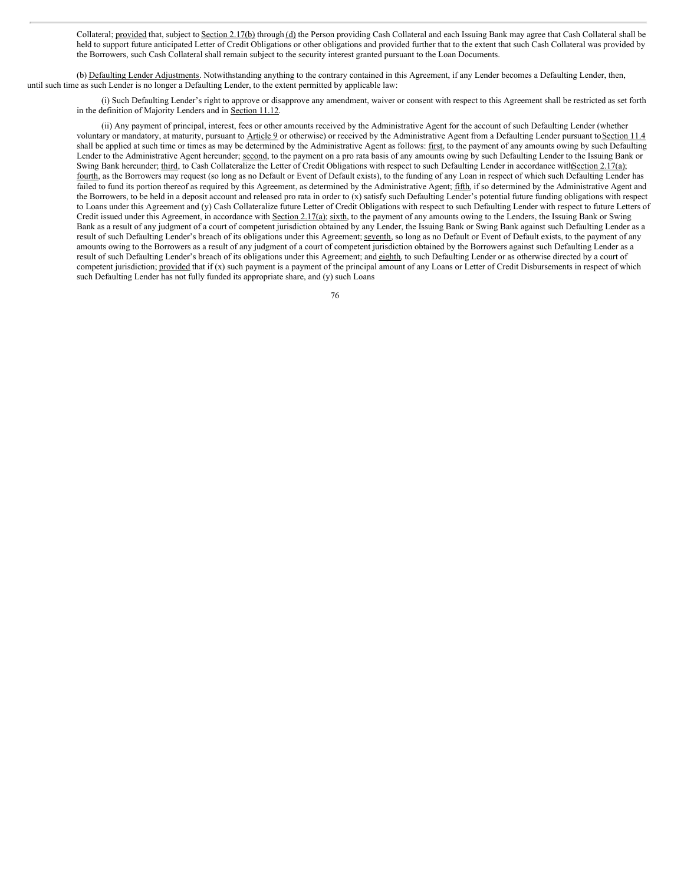Collateral; provided that, subject to Section 2.17(b) through (d) the Person providing Cash Collateral and each Issuing Bank may agree that Cash Collateral shall be held to support future anticipated Letter of Credit Obligations or other obligations and provided further that to the extent that such Cash Collateral was provided by the Borrowers, such Cash Collateral shall remain subject to the security interest granted pursuant to the Loan Documents.

(b) Defaulting Lender Adjustments. Notwithstanding anything to the contrary contained in this Agreement, if any Lender becomes a Defaulting Lender, then, until such time as such Lender is no longer a Defaulting Lender, to the extent permitted by applicable law:

(i) Such Defaulting Lender's right to approve or disapprove any amendment, waiver or consent with respect to this Agreement shall be restricted as set forth in the definition of Majority Lenders and in Section 11.12.

(ii) Any payment of principal, interest, fees or other amounts received by the Administrative Agent for the account of such Defaulting Lender (whether voluntary or mandatory, at maturity, pursuant to Article 9 or otherwise) or received by the Administrative Agent from a Defaulting Lender pursuant to Section 11.4 shall be applied at such time or times as may be determined by the Administrative Agent as follows: first, to the payment of any amounts owing by such Defaulting Lender to the Administrative Agent hereunder; second, to the payment on a pro rata basis of any amounts owing by such Defaulting Lender to the Issuing Bank or Swing Bank hereunder; third, to Cash Collateralize the Letter of Credit Obligations with respect to such Defaulting Lender in accordance withSection 2.17(a); fourth, as the Borrowers may request (so long as no Default or Event of Default exists), to the funding of any Loan in respect of which such Defaulting Lender has failed to fund its portion thereof as required by this Agreement, as determined by the Administrative Agent; fifth, if so determined by the Administrative Agent and the Borrowers, to be held in a deposit account and released pro rata in order to (x) satisfy such Defaulting Lender's potential future funding obligations with respect to Loans under this Agreement and (y) Cash Collateralize future Letter of Credit Obligations with respect to such Defaulting Lender with respect to future Letters of Credit issued under this Agreement, in accordance with Section 2.17(a); sixth, to the payment of any amounts owing to the Lenders, the Issuing Bank or Swing Bank as a result of any judgment of a court of competent jurisdiction obtained by any Lender, the Issuing Bank or Swing Bank against such Defaulting Lender as a result of such Defaulting Lender's breach of its obligations under this Agreement; seventh, so long as no Default or Event of Default exists, to the payment of any amounts owing to the Borrowers as a result of any judgment of a court of competent jurisdiction obtained by the Borrowers against such Defaulting Lender as a result of such Defaulting Lender's breach of its obligations under this Agreement; and eighth, to such Defaulting Lender or as otherwise directed by a court of competent jurisdiction; provided that if (x) such payment is a payment of the principal amount of any Loans or Letter of Credit Disbursements in respect of which such Defaulting Lender has not fully funded its appropriate share, and (y) such Loans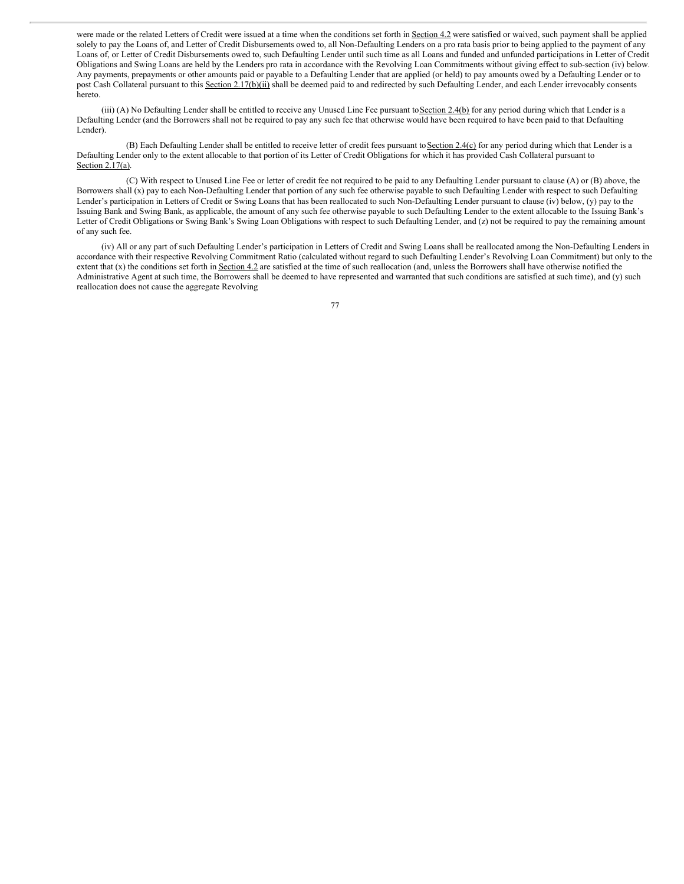were made or the related Letters of Credit were issued at a time when the conditions set forth in Section 4.2 were satisfied or waived, such payment shall be applied solely to pay the Loans of, and Letter of Credit Disbursements owed to, all Non-Defaulting Lenders on a pro rata basis prior to being applied to the payment of any Loans of, or Letter of Credit Disbursements owed to, such Defaulting Lender until such time as all Loans and funded and unfunded participations in Letter of Credit Obligations and Swing Loans are held by the Lenders pro rata in accordance with the Revolving Loan Commitments without giving effect to sub-section (iv) below. Any payments, prepayments or other amounts paid or payable to a Defaulting Lender that are applied (or held) to pay amounts owed by a Defaulting Lender or to post Cash Collateral pursuant to this Section 2.17(b)(ii) shall be deemed paid to and redirected by such Defaulting Lender, and each Lender irrevocably consents hereto.

(iii) (A) No Defaulting Lender shall be entitled to receive any Unused Line Fee pursuant to Section 2.4(b) for any period during which that Lender is a Defaulting Lender (and the Borrowers shall not be required to pay any such fee that otherwise would have been required to have been paid to that Defaulting Lender).

(B) Each Defaulting Lender shall be entitled to receive letter of credit fees pursuant to Section 2.4(c) for any period during which that Lender is a Defaulting Lender only to the extent allocable to that portion of its Letter of Credit Obligations for which it has provided Cash Collateral pursuant to Section 2.17(a).

(C) With respect to Unused Line Fee or letter of credit fee not required to be paid to any Defaulting Lender pursuant to clause (A) or (B) above, the Borrowers shall (x) pay to each Non-Defaulting Lender that portion of any such fee otherwise payable to such Defaulting Lender with respect to such Defaulting Lender's participation in Letters of Credit or Swing Loans that has been reallocated to such Non-Defaulting Lender pursuant to clause (iv) below, (y) pay to the Issuing Bank and Swing Bank, as applicable, the amount of any such fee otherwise payable to such Defaulting Lender to the extent allocable to the Issuing Bank's Letter of Credit Obligations or Swing Bank's Swing Loan Obligations with respect to such Defaulting Lender, and (z) not be required to pay the remaining amount of any such fee.

(iv) All or any part of such Defaulting Lender's participation in Letters of Credit and Swing Loans shall be reallocated among the Non-Defaulting Lenders in accordance with their respective Revolving Commitment Ratio (calculated without regard to such Defaulting Lender's Revolving Loan Commitment) but only to the extent that (x) the conditions set forth in Section 4.2 are satisfied at the time of such reallocation (and, unless the Borrowers shall have otherwise notified the Administrative Agent at such time, the Borrowers shall be deemed to have represented and warranted that such conditions are satisfied at such time), and (y) such reallocation does not cause the aggregate Revolving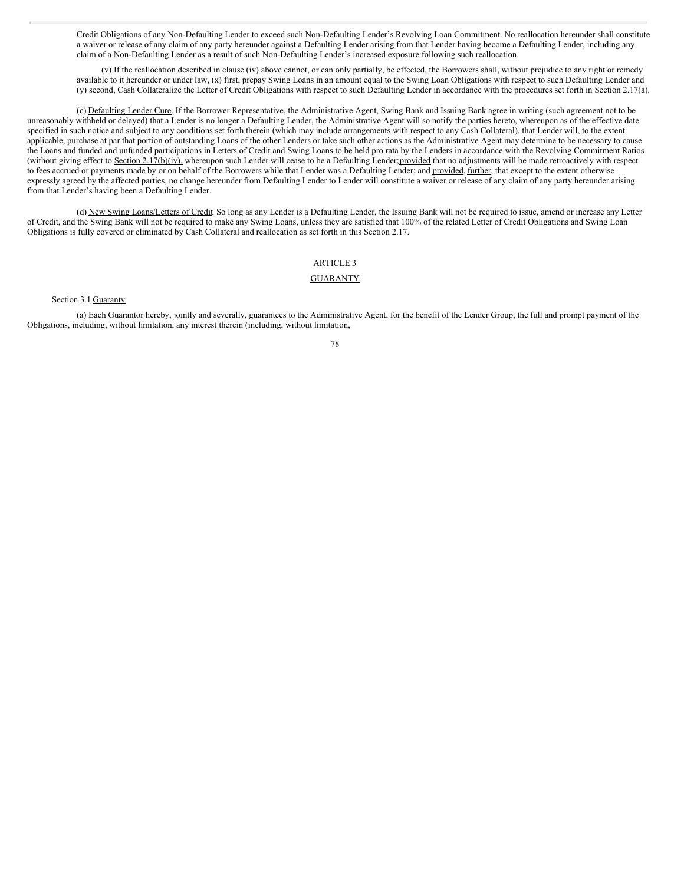Credit Obligations of any Non-Defaulting Lender to exceed such Non-Defaulting Lender's Revolving Loan Commitment. No reallocation hereunder shall constitute a waiver or release of any claim of any party hereunder against a Defaulting Lender arising from that Lender having become a Defaulting Lender, including any claim of a Non-Defaulting Lender as a result of such Non-Defaulting Lender's increased exposure following such reallocation.

(v) If the reallocation described in clause (iv) above cannot, or can only partially, be effected, the Borrowers shall, without prejudice to any right or remedy available to it hereunder or under law, (x) first, prepay Swing Loans in an amount equal to the Swing Loan Obligations with respect to such Defaulting Lender and (y) second, Cash Collateralize the Letter of Credit Obligations with respect to such Defaulting Lender in accordance with the procedures set forth in Section 2.17(a).

(c) Defaulting Lender Cure. If the Borrower Representative, the Administrative Agent, Swing Bank and Issuing Bank agree in writing (such agreement not to be unreasonably withheld or delayed) that a Lender is no longer a Defaulting Lender, the Administrative Agent will so notify the parties hereto, whereupon as of the effective date specified in such notice and subject to any conditions set forth therein (which may include arrangements with respect to any Cash Collateral), that Lender will, to the extent applicable, purchase at par that portion of outstanding Loans of the other Lenders or take such other actions as the Administrative Agent may determine to be necessary to cause the Loans and funded and unfunded participations in Letters of Credit and Swing Loans to be held pro rata by the Lenders in accordance with the Revolving Commitment Ratios (without giving effect to Section 2.17(b)(iv), whereupon such Lender will cease to be a Defaulting Lender; provided that no adjustments will be made retroactively with respect to fees accrued or payments made by or on behalf of the Borrowers while that Lender was a Defaulting Lender; and provided, further, that except to the extent otherwise expressly agreed by the affected parties, no change hereunder from Defaulting Lender to Lender will constitute a waiver or release of any claim of any party hereunder arising from that Lender's having been a Defaulting Lender.

(d) New Swing Loans/Letters of Credit. So long as any Lender is a Defaulting Lender, the Issuing Bank will not be required to issue, amend or increase any Letter of Credit, and the Swing Bank will not be required to make any Swing Loans, unless they are satisfied that 100% of the related Letter of Credit Obligations and Swing Loan Obligations is fully covered or eliminated by Cash Collateral and reallocation as set forth in this Section 2.17.

# ARTICLE 3

## GUARANTY

## Section 3.1 Guaranty.

(a) Each Guarantor hereby, jointly and severally, guarantees to the Administrative Agent, for the benefit of the Lender Group, the full and prompt payment of the Obligations, including, without limitation, any interest therein (including, without limitation,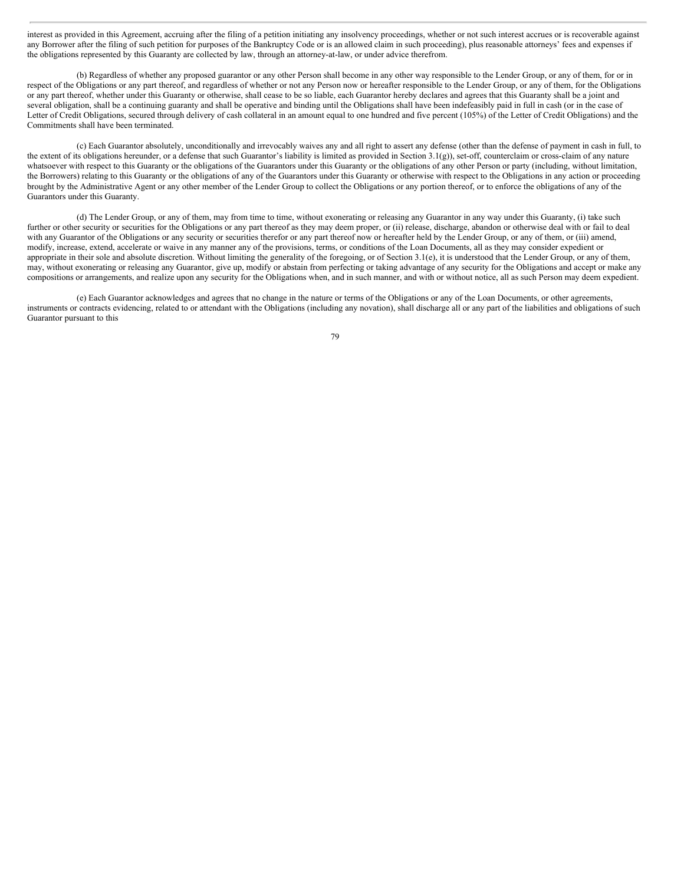interest as provided in this Agreement, accruing after the filing of a petition initiating any insolvency proceedings, whether or not such interest accrues or is recoverable against any Borrower after the filing of such petition for purposes of the Bankruptcy Code or is an allowed claim in such proceeding), plus reasonable attorneys' fees and expenses if the obligations represented by this Guaranty are collected by law, through an attorney-at-law, or under advice therefrom.

(b) Regardless of whether any proposed guarantor or any other Person shall become in any other way responsible to the Lender Group, or any of them, for or in respect of the Obligations or any part thereof, and regardless of whether or not any Person now or hereafter responsible to the Lender Group, or any of them, for the Obligations or any part thereof, whether under this Guaranty or otherwise, shall cease to be so liable, each Guarantor hereby declares and agrees that this Guaranty shall be a joint and several obligation, shall be a continuing guaranty and shall be operative and binding until the Obligations shall have been indefeasibly paid in full in cash (or in the case of Letter of Credit Obligations, secured through delivery of cash collateral in an amount equal to one hundred and five percent (105%) of the Letter of Credit Obligations) and the Commitments shall have been terminated.

(c) Each Guarantor absolutely, unconditionally and irrevocably waives any and all right to assert any defense (other than the defense of payment in cash in full, to the extent of its obligations hereunder, or a defense that such Guarantor's liability is limited as provided in Section 3.1(g)), set-off, counterclaim or cross-claim of any nature whatsoever with respect to this Guaranty or the obligations of the Guarantors under this Guaranty or the obligations of any other Person or party (including, without limitation, the Borrowers) relating to this Guaranty or the obligations of any of the Guarantors under this Guaranty or otherwise with respect to the Obligations in any action or proceeding brought by the Administrative Agent or any other member of the Lender Group to collect the Obligations or any portion thereof, or to enforce the obligations of any of the Guarantors under this Guaranty.

(d) The Lender Group, or any of them, may from time to time, without exonerating or releasing any Guarantor in any way under this Guaranty, (i) take such further or other security or securities for the Obligations or any part thereof as they may deem proper, or (ii) release, discharge, abandon or otherwise deal with or fail to deal with any Guarantor of the Obligations or any security or securities therefor or any part thereof now or hereafter held by the Lender Group, or any of them, or (iii) amend, modify, increase, extend, accelerate or waive in any manner any of the provisions, terms, or conditions of the Loan Documents, all as they may consider expedient or appropriate in their sole and absolute discretion. Without limiting the generality of the foregoing, or of Section 3.1(e), it is understood that the Lender Group, or any of them, may, without exonerating or releasing any Guarantor, give up, modify or abstain from perfecting or taking advantage of any security for the Obligations and accept or make any compositions or arrangements, and realize upon any security for the Obligations when, and in such manner, and with or without notice, all as such Person may deem expedient.

(e) Each Guarantor acknowledges and agrees that no change in the nature or terms of the Obligations or any of the Loan Documents, or other agreements, instruments or contracts evidencing, related to or attendant with the Obligations (including any novation), shall discharge all or any part of the liabilities and obligations of such Guarantor pursuant to this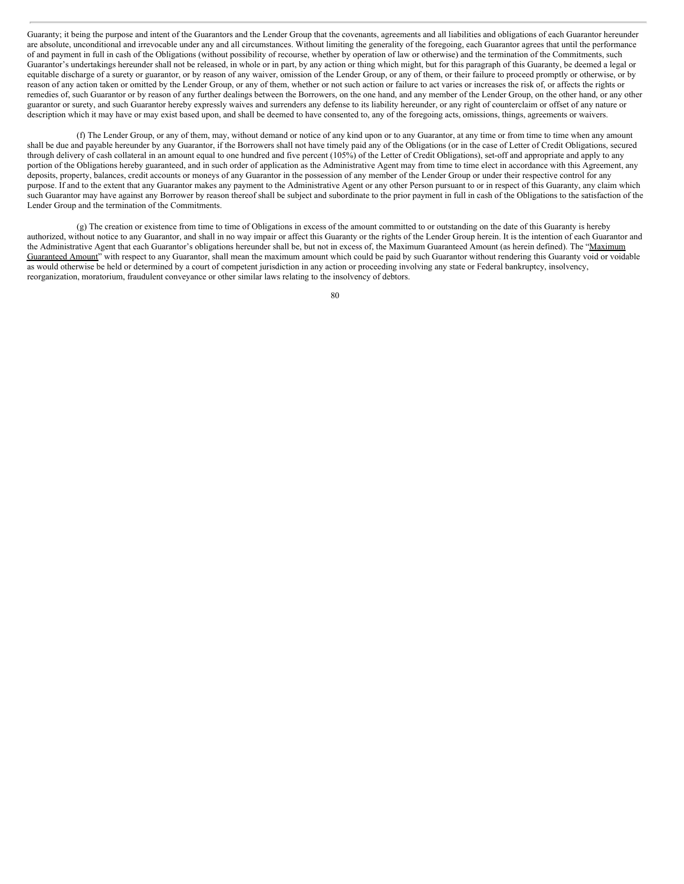Guaranty; it being the purpose and intent of the Guarantors and the Lender Group that the covenants, agreements and all liabilities and obligations of each Guarantor hereunder are absolute, unconditional and irrevocable under any and all circumstances. Without limiting the generality of the foregoing, each Guarantor agrees that until the performance of and payment in full in cash of the Obligations (without possibility of recourse, whether by operation of law or otherwise) and the termination of the Commitments, such Guarantor's undertakings hereunder shall not be released, in whole or in part, by any action or thing which might, but for this paragraph of this Guaranty, be deemed a legal or equitable discharge of a surety or guarantor, or by reason of any waiver, omission of the Lender Group, or any of them, or their failure to proceed promptly or otherwise, or by reason of any action taken or omitted by the Lender Group, or any of them, whether or not such action or failure to act varies or increases the risk of, or affects the rights or remedies of, such Guarantor or by reason of any further dealings between the Borrowers, on the one hand, and any member of the Lender Group, on the other hand, or any other guarantor or surety, and such Guarantor hereby expressly waives and surrenders any defense to its liability hereunder, or any right of counterclaim or offset of any nature or description which it may have or may exist based upon, and shall be deemed to have consented to, any of the foregoing acts, omissions, things, agreements or waivers.

(f) The Lender Group, or any of them, may, without demand or notice of any kind upon or to any Guarantor, at any time or from time to time when any amount shall be due and payable hereunder by any Guarantor, if the Borrowers shall not have timely paid any of the Obligations (or in the case of Letter of Credit Obligations, secured through delivery of cash collateral in an amount equal to one hundred and five percent (105%) of the Letter of Credit Obligations), set-off and appropriate and apply to any portion of the Obligations hereby guaranteed, and in such order of application as the Administrative Agent may from time to time elect in accordance with this Agreement, any deposits, property, balances, credit accounts or moneys of any Guarantor in the possession of any member of the Lender Group or under their respective control for any purpose. If and to the extent that any Guarantor makes any payment to the Administrative Agent or any other Person pursuant to or in respect of this Guaranty, any claim which such Guarantor may have against any Borrower by reason thereof shall be subject and subordinate to the prior payment in full in cash of the Obligations to the satisfaction of the Lender Group and the termination of the Commitments.

(g) The creation or existence from time to time of Obligations in excess of the amount committed to or outstanding on the date of this Guaranty is hereby authorized, without notice to any Guarantor, and shall in no way impair or affect this Guaranty or the rights of the Lender Group herein. It is the intention of each Guarantor and the Administrative Agent that each Guarantor's obligations hereunder shall be, but not in excess of, the Maximum Guaranteed Amount (as herein defined). The "Maximum Guaranteed Amount" with respect to any Guarantor, shall mean the maximum amount which could be paid by such Guarantor without rendering this Guaranty void or voidable as would otherwise be held or determined by a court of competent jurisdiction in any action or proceeding involving any state or Federal bankruptcy, insolvency, reorganization, moratorium, fraudulent conveyance or other similar laws relating to the insolvency of debtors.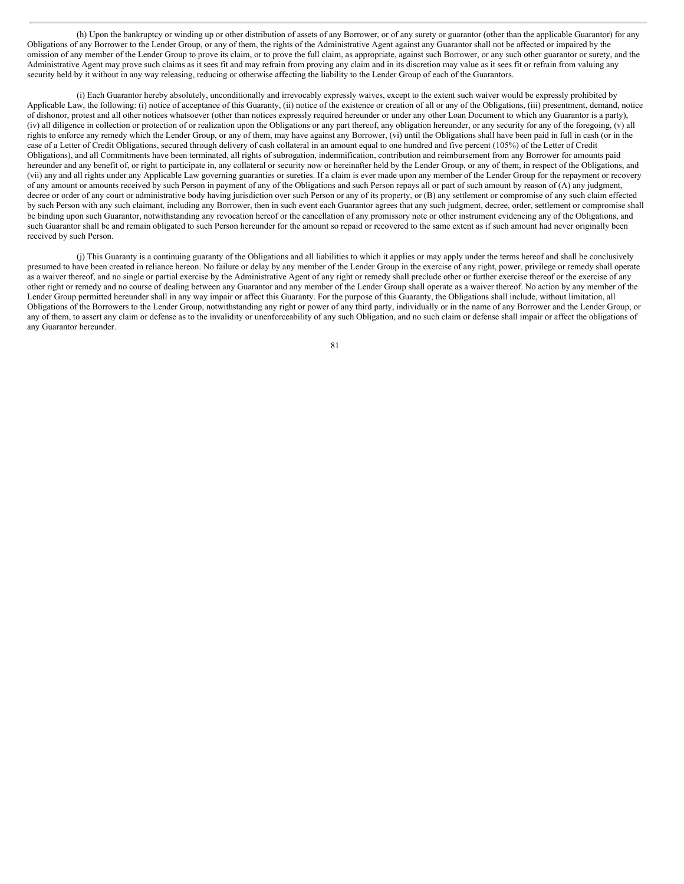(h) Upon the bankruptcy or winding up or other distribution of assets of any Borrower, or of any surety or guarantor (other than the applicable Guarantor) for any Obligations of any Borrower to the Lender Group, or any of them, the rights of the Administrative Agent against any Guarantor shall not be affected or impaired by the omission of any member of the Lender Group to prove its claim, or to prove the full claim, as appropriate, against such Borrower, or any such other guarantor or surety, and the Administrative Agent may prove such claims as it sees fit and may refrain from proving any claim and in its discretion may value as it sees fit or refrain from valuing any security held by it without in any way releasing, reducing or otherwise affecting the liability to the Lender Group of each of the Guarantors.

(i) Each Guarantor hereby absolutely, unconditionally and irrevocably expressly waives, except to the extent such waiver would be expressly prohibited by Applicable Law, the following: (i) notice of acceptance of this Guaranty, (ii) notice of the existence or creation of all or any of the Obligations, (iii) presentment, demand, notice of dishonor, protest and all other notices whatsoever (other than notices expressly required hereunder or under any other Loan Document to which any Guarantor is a party), (iv) all diligence in collection or protection of or realization upon the Obligations or any part thereof, any obligation hereunder, or any security for any of the foregoing, (v) all rights to enforce any remedy which the Lender Group, or any of them, may have against any Borrower, (vi) until the Obligations shall have been paid in full in cash (or in the case of a Letter of Credit Obligations, secured through delivery of cash collateral in an amount equal to one hundred and five percent (105%) of the Letter of Credit Obligations), and all Commitments have been terminated, all rights of subrogation, indemnification, contribution and reimbursement from any Borrower for amounts paid hereunder and any benefit of, or right to participate in, any collateral or security now or hereinafter held by the Lender Group, or any of them, in respect of the Obligations, and (vii) any and all rights under any Applicable Law governing guaranties or sureties. If a claim is ever made upon any member of the Lender Group for the repayment or recovery of any amount or amounts received by such Person in payment of any of the Obligations and such Person repays all or part of such amount by reason of (A) any judgment, decree or order of any court or administrative body having jurisdiction over such Person or any of its property, or (B) any settlement or compromise of any such claim effected by such Person with any such claimant, including any Borrower, then in such event each Guarantor agrees that any such judgment, decree, order, settlement or compromise shall be binding upon such Guarantor, notwithstanding any revocation hereof or the cancellation of any promissory note or other instrument evidencing any of the Obligations, and such Guarantor shall be and remain obligated to such Person hereunder for the amount so repaid or recovered to the same extent as if such amount had never originally been received by such Person.

(j) This Guaranty is a continuing guaranty of the Obligations and all liabilities to which it applies or may apply under the terms hereof and shall be conclusively presumed to have been created in reliance hereon. No failure or delay by any member of the Lender Group in the exercise of any right, power, privilege or remedy shall operate as a waiver thereof, and no single or partial exercise by the Administrative Agent of any right or remedy shall preclude other or further exercise thereof or the exercise of any other right or remedy and no course of dealing between any Guarantor and any member of the Lender Group shall operate as a waiver thereof. No action by any member of the Lender Group permitted hereunder shall in any way impair or affect this Guaranty. For the purpose of this Guaranty, the Obligations shall include, without limitation, all Obligations of the Borrowers to the Lender Group, notwithstanding any right or power of any third party, individually or in the name of any Borrower and the Lender Group, or any of them, to assert any claim or defense as to the invalidity or unenforceability of any such Obligation, and no such claim or defense shall impair or affect the obligations of any Guarantor hereunder.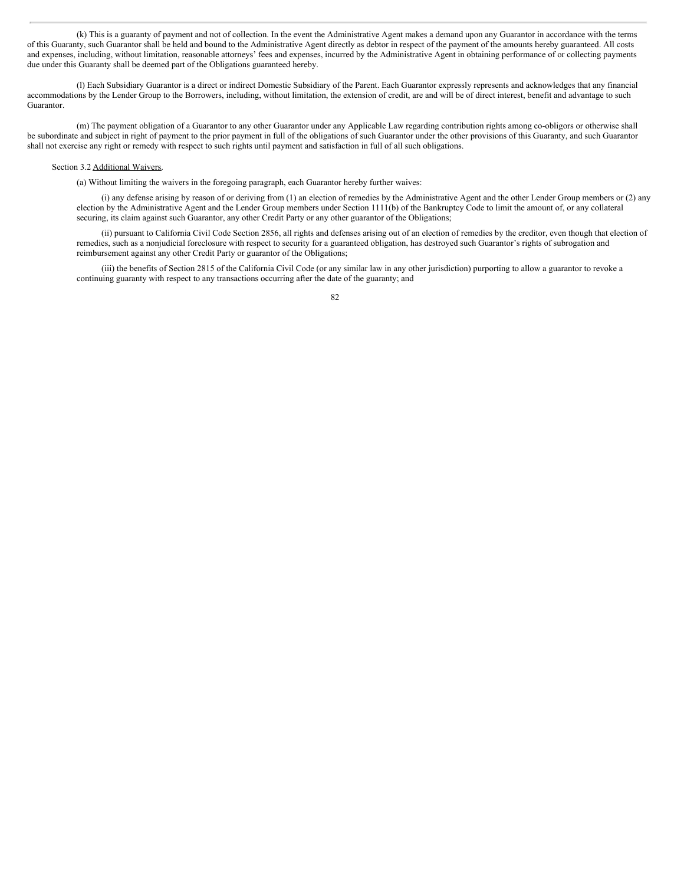(k) This is a guaranty of payment and not of collection. In the event the Administrative Agent makes a demand upon any Guarantor in accordance with the terms of this Guaranty, such Guarantor shall be held and bound to the Administrative Agent directly as debtor in respect of the payment of the amounts hereby guaranteed. All costs and expenses, including, without limitation, reasonable attorneys' fees and expenses, incurred by the Administrative Agent in obtaining performance of or collecting payments due under this Guaranty shall be deemed part of the Obligations guaranteed hereby.

(l) Each Subsidiary Guarantor is a direct or indirect Domestic Subsidiary of the Parent. Each Guarantor expressly represents and acknowledges that any financial accommodations by the Lender Group to the Borrowers, including, without limitation, the extension of credit, are and will be of direct interest, benefit and advantage to such Guarantor.

(m) The payment obligation of a Guarantor to any other Guarantor under any Applicable Law regarding contribution rights among co-obligors or otherwise shall be subordinate and subject in right of payment to the prior payment in full of the obligations of such Guarantor under the other provisions of this Guaranty, and such Guarantor shall not exercise any right or remedy with respect to such rights until payment and satisfaction in full of all such obligations.

### Section 3.2 Additional Waivers.

(a) Without limiting the waivers in the foregoing paragraph, each Guarantor hereby further waives:

(i) any defense arising by reason of or deriving from (1) an election of remedies by the Administrative Agent and the other Lender Group members or (2) any election by the Administrative Agent and the Lender Group members under Section 1111(b) of the Bankruptcy Code to limit the amount of, or any collateral securing, its claim against such Guarantor, any other Credit Party or any other guarantor of the Obligations;

(ii) pursuant to California Civil Code Section 2856, all rights and defenses arising out of an election of remedies by the creditor, even though that election of remedies, such as a nonjudicial foreclosure with respect to security for a guaranteed obligation, has destroyed such Guarantor's rights of subrogation and reimbursement against any other Credit Party or guarantor of the Obligations;

(iii) the benefits of Section 2815 of the California Civil Code (or any similar law in any other jurisdiction) purporting to allow a guarantor to revoke a continuing guaranty with respect to any transactions occurring after the date of the guaranty; and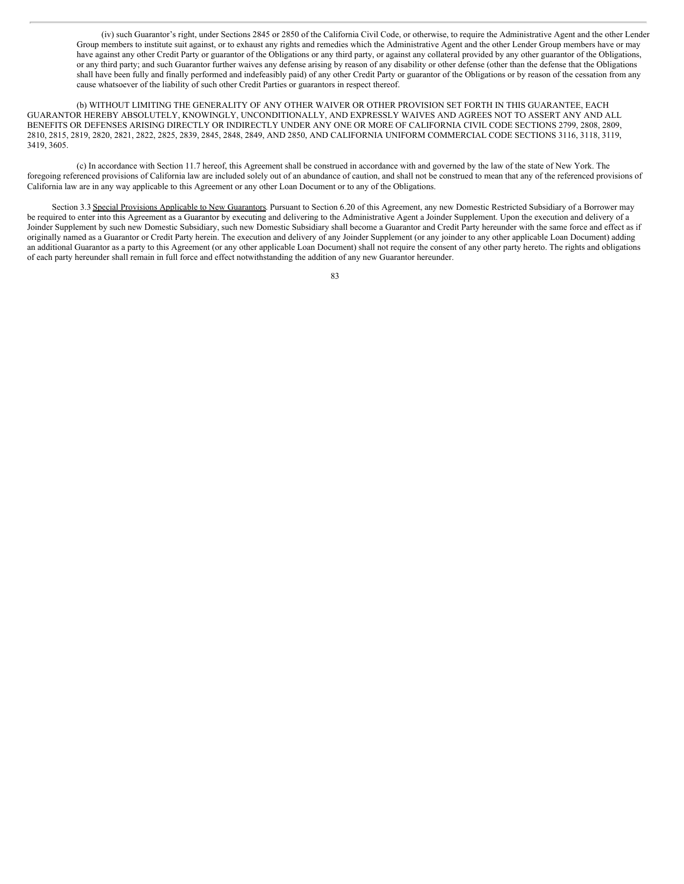(iv) such Guarantor's right, under Sections 2845 or 2850 of the California Civil Code, or otherwise, to require the Administrative Agent and the other Lender Group members to institute suit against, or to exhaust any rights and remedies which the Administrative Agent and the other Lender Group members have or may have against any other Credit Party or guarantor of the Obligations or any third party, or against any collateral provided by any other guarantor of the Obligations, or any third party; and such Guarantor further waives any defense arising by reason of any disability or other defense (other than the defense that the Obligations shall have been fully and finally performed and indefeasibly paid) of any other Credit Party or guarantor of the Obligations or by reason of the cessation from any cause whatsoever of the liability of such other Credit Parties or guarantors in respect thereof.

(b) WITHOUT LIMITING THE GENERALITY OF ANY OTHER WAIVER OR OTHER PROVISION SET FORTH IN THIS GUARANTEE, EACH GUARANTOR HEREBY ABSOLUTELY, KNOWINGLY, UNCONDITIONALLY, AND EXPRESSLY WAIVES AND AGREES NOT TO ASSERT ANY AND ALL BENEFITS OR DEFENSES ARISING DIRECTLY OR INDIRECTLY UNDER ANY ONE OR MORE OF CALIFORNIA CIVIL CODE SECTIONS 2799, 2808, 2809, 2810, 2815, 2819, 2820, 2821, 2822, 2825, 2839, 2845, 2848, 2849, AND 2850, AND CALIFORNIA UNIFORM COMMERCIAL CODE SECTIONS 3116, 3118, 3119, 3419, 3605.

(c) In accordance with Section 11.7 hereof, this Agreement shall be construed in accordance with and governed by the law of the state of New York. The foregoing referenced provisions of California law are included solely out of an abundance of caution, and shall not be construed to mean that any of the referenced provisions of California law are in any way applicable to this Agreement or any other Loan Document or to any of the Obligations.

Section 3.3 Special Provisions Applicable to New Guarantors. Pursuant to Section 6.20 of this Agreement, any new Domestic Restricted Subsidiary of a Borrower may be required to enter into this Agreement as a Guarantor by executing and delivering to the Administrative Agent a Joinder Supplement. Upon the execution and delivery of a Joinder Supplement by such new Domestic Subsidiary, such new Domestic Subsidiary shall become a Guarantor and Credit Party hereunder with the same force and effect as if originally named as a Guarantor or Credit Party herein. The execution and delivery of any Joinder Supplement (or any joinder to any other applicable Loan Document) adding an additional Guarantor as a party to this Agreement (or any other applicable Loan Document) shall not require the consent of any other party hereto. The rights and obligations of each party hereunder shall remain in full force and effect notwithstanding the addition of any new Guarantor hereunder.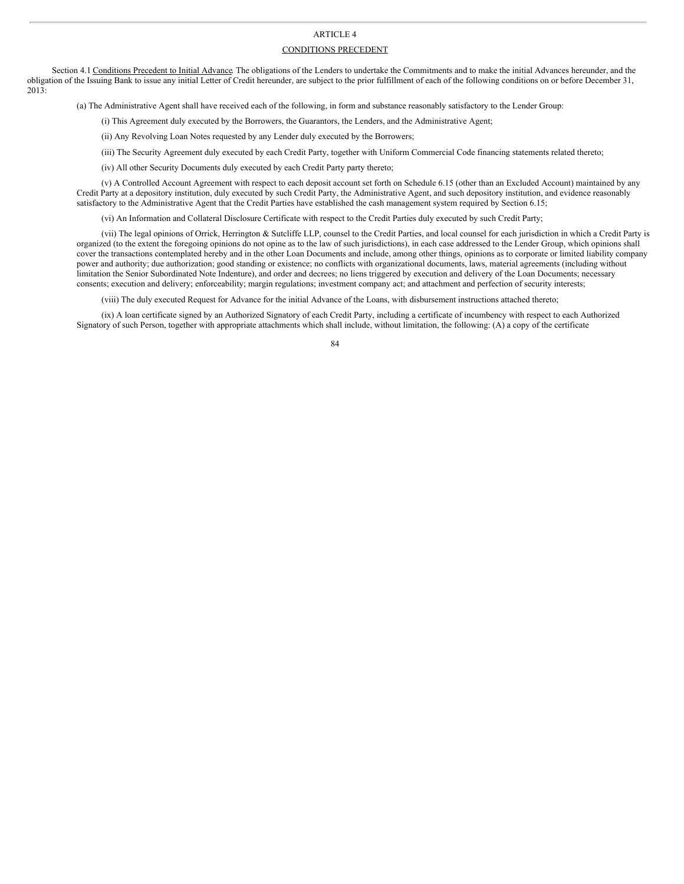# ARTICLE 4

## CONDITIONS PRECEDENT

Section 4.1 Conditions Precedent to Initial Advance. The obligations of the Lenders to undertake the Commitments and to make the initial Advances hereunder, and the obligation of the Issuing Bank to issue any initial Letter of Credit hereunder, are subject to the prior fulfillment of each of the following conditions on or before December 31, 2013:

(a) The Administrative Agent shall have received each of the following, in form and substance reasonably satisfactory to the Lender Group:

(i) This Agreement duly executed by the Borrowers, the Guarantors, the Lenders, and the Administrative Agent;

(ii) Any Revolving Loan Notes requested by any Lender duly executed by the Borrowers;

(iii) The Security Agreement duly executed by each Credit Party, together with Uniform Commercial Code financing statements related thereto;

(iv) All other Security Documents duly executed by each Credit Party party thereto;

(v) A Controlled Account Agreement with respect to each deposit account set forth on Schedule 6.15 (other than an Excluded Account) maintained by any Credit Party at a depository institution, duly executed by such Credit Party, the Administrative Agent, and such depository institution, and evidence reasonably satisfactory to the Administrative Agent that the Credit Parties have established the cash management system required by Section 6.15;

(vi) An Information and Collateral Disclosure Certificate with respect to the Credit Parties duly executed by such Credit Party;

(vii) The legal opinions of Orrick, Herrington & Sutcliffe LLP, counsel to the Credit Parties, and local counsel for each jurisdiction in which a Credit Party is organized (to the extent the foregoing opinions do not opine as to the law of such jurisdictions), in each case addressed to the Lender Group, which opinions shall cover the transactions contemplated hereby and in the other Loan Documents and include, among other things, opinions as to corporate or limited liability company power and authority; due authorization; good standing or existence; no conflicts with organizational documents, laws, material agreements (including without limitation the Senior Subordinated Note Indenture), and order and decrees; no liens triggered by execution and delivery of the Loan Documents; necessary consents; execution and delivery; enforceability; margin regulations; investment company act; and attachment and perfection of security interests;

(viii) The duly executed Request for Advance for the initial Advance of the Loans, with disbursement instructions attached thereto;

(ix) A loan certificate signed by an Authorized Signatory of each Credit Party, including a certificate of incumbency with respect to each Authorized Signatory of such Person, together with appropriate attachments which shall include, without limitation, the following: (A) a copy of the certificate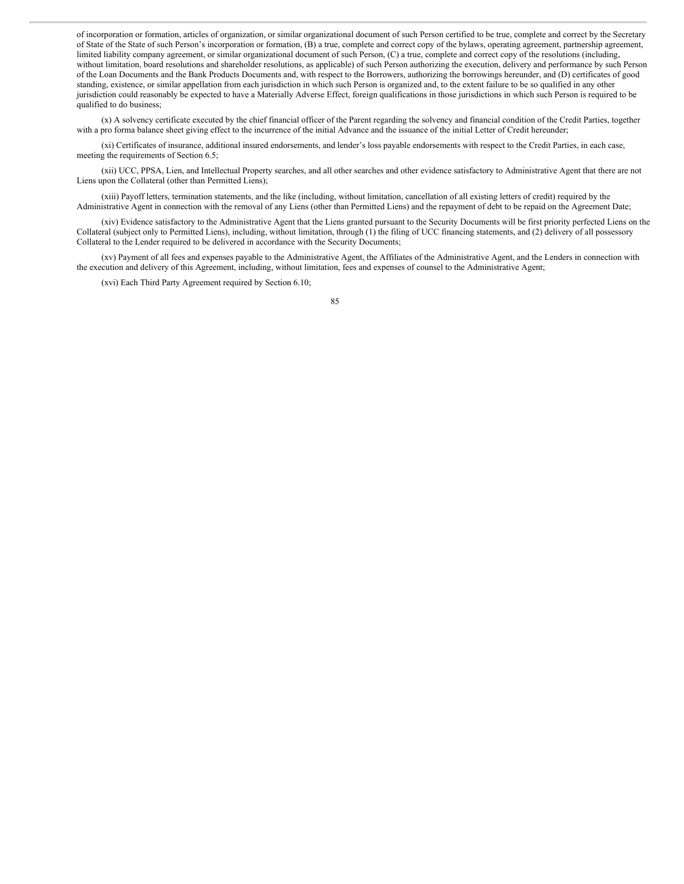of incorporation or formation, articles of organization, or similar organizational document of such Person certified to be true, complete and correct by the Secretary of State of the State of such Person's incorporation or formation, (B) a true, complete and correct copy of the bylaws, operating agreement, partnership agreement, limited liability company agreement, or similar organizational document of such Person, (C) a true, complete and correct copy of the resolutions (including, without limitation, board resolutions and shareholder resolutions, as applicable) of such Person authorizing the execution, delivery and performance by such Person of the Loan Documents and the Bank Products Documents and, with respect to the Borrowers, authorizing the borrowings hereunder, and (D) certificates of good standing, existence, or similar appellation from each jurisdiction in which such Person is organized and, to the extent failure to be so qualified in any other jurisdiction could reasonably be expected to have a Materially Adverse Effect, foreign qualifications in those jurisdictions in which such Person is required to be qualified to do business;

(x) A solvency certificate executed by the chief financial officer of the Parent regarding the solvency and financial condition of the Credit Parties, together with a pro forma balance sheet giving effect to the incurrence of the initial Advance and the issuance of the initial Letter of Credit hereunder;

(xi) Certificates of insurance, additional insured endorsements, and lender's loss payable endorsements with respect to the Credit Parties, in each case, meeting the requirements of Section 6.5;

(xii) UCC, PPSA, Lien, and Intellectual Property searches, and all other searches and other evidence satisfactory to Administrative Agent that there are not Liens upon the Collateral (other than Permitted Liens);

(xiii) Payoff letters, termination statements, and the like (including, without limitation, cancellation of all existing letters of credit) required by the Administrative Agent in connection with the removal of any Liens (other than Permitted Liens) and the repayment of debt to be repaid on the Agreement Date;

(xiv) Evidence satisfactory to the Administrative Agent that the Liens granted pursuant to the Security Documents will be first priority perfected Liens on the Collateral (subject only to Permitted Liens), including, without limitation, through (1) the filing of UCC financing statements, and (2) delivery of all possessory Collateral to the Lender required to be delivered in accordance with the Security Documents;

(xv) Payment of all fees and expenses payable to the Administrative Agent, the Affiliates of the Administrative Agent, and the Lenders in connection with the execution and delivery of this Agreement, including, without limitation, fees and expenses of counsel to the Administrative Agent;

(xvi) Each Third Party Agreement required by Section 6.10;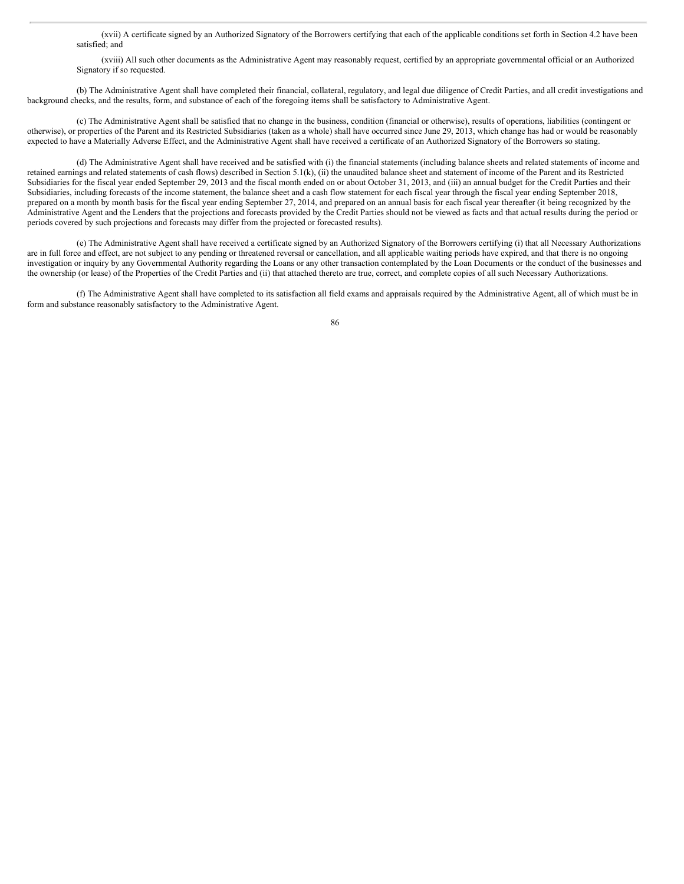(xvii) A certificate signed by an Authorized Signatory of the Borrowers certifying that each of the applicable conditions set forth in Section 4.2 have been satisfied; and

(xviii) All such other documents as the Administrative Agent may reasonably request, certified by an appropriate governmental official or an Authorized Signatory if so requested.

(b) The Administrative Agent shall have completed their financial, collateral, regulatory, and legal due diligence of Credit Parties, and all credit investigations and background checks, and the results, form, and substance of each of the foregoing items shall be satisfactory to Administrative Agent.

(c) The Administrative Agent shall be satisfied that no change in the business, condition (financial or otherwise), results of operations, liabilities (contingent or otherwise), or properties of the Parent and its Restricted Subsidiaries (taken as a whole) shall have occurred since June 29, 2013, which change has had or would be reasonably expected to have a Materially Adverse Effect, and the Administrative Agent shall have received a certificate of an Authorized Signatory of the Borrowers so stating.

(d) The Administrative Agent shall have received and be satisfied with (i) the financial statements (including balance sheets and related statements of income and retained earnings and related statements of cash flows) described in Section 5.1(k), (ii) the unaudited balance sheet and statement of income of the Parent and its Restricted Subsidiaries for the fiscal year ended September 29, 2013 and the fiscal month ended on or about October 31, 2013, and (iii) an annual budget for the Credit Parties and their Subsidiaries, including forecasts of the income statement, the balance sheet and a cash flow statement for each fiscal year through the fiscal year ending September 2018, prepared on a month by month basis for the fiscal year ending September 27, 2014, and prepared on an annual basis for each fiscal year thereafter (it being recognized by the Administrative Agent and the Lenders that the projections and forecasts provided by the Credit Parties should not be viewed as facts and that actual results during the period or periods covered by such projections and forecasts may differ from the projected or forecasted results).

(e) The Administrative Agent shall have received a certificate signed by an Authorized Signatory of the Borrowers certifying (i) that all Necessary Authorizations are in full force and effect, are not subject to any pending or threatened reversal or cancellation, and all applicable waiting periods have expired, and that there is no ongoing investigation or inquiry by any Governmental Authority regarding the Loans or any other transaction contemplated by the Loan Documents or the conduct of the businesses and the ownership (or lease) of the Properties of the Credit Parties and (ii) that attached thereto are true, correct, and complete copies of all such Necessary Authorizations.

(f) The Administrative Agent shall have completed to its satisfaction all field exams and appraisals required by the Administrative Agent, all of which must be in form and substance reasonably satisfactory to the Administrative Agent.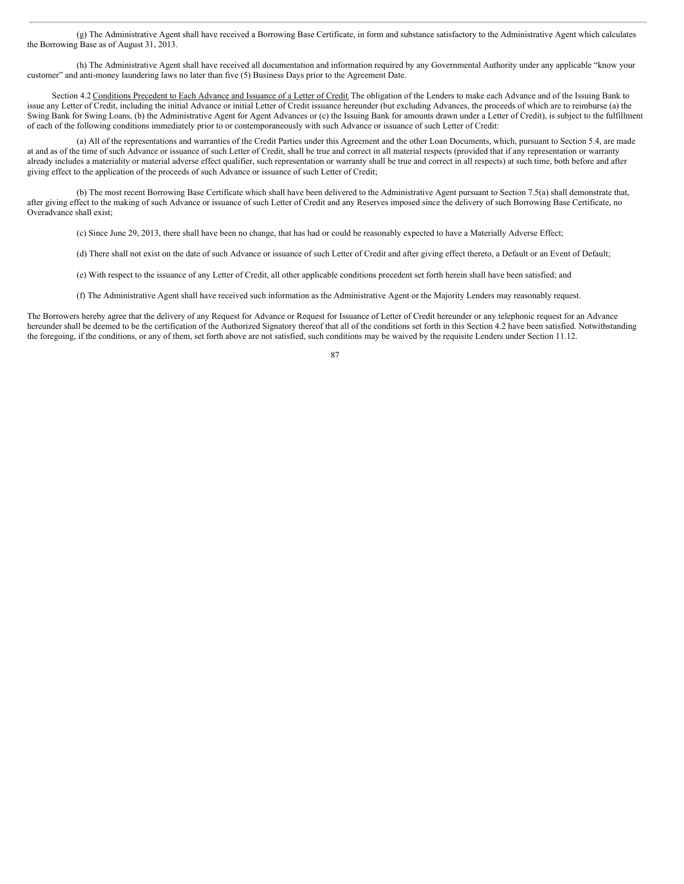(g) The Administrative Agent shall have received a Borrowing Base Certificate, in form and substance satisfactory to the Administrative Agent which calculates the Borrowing Base as of August 31, 2013.

(h) The Administrative Agent shall have received all documentation and information required by any Governmental Authority under any applicable "know your customer" and anti-money laundering laws no later than five (5) Business Days prior to the Agreement Date.

Section 4.2 Conditions Precedent to Each Advance and Issuance of a Letter of Credit. The obligation of the Lenders to make each Advance and of the Issuing Bank to issue any Letter of Credit, including the initial Advance or initial Letter of Credit issuance hereunder (but excluding Advances, the proceeds of which are to reimburse (a) the Swing Bank for Swing Loans, (b) the Administrative Agent for Agent Advances or (c) the Issuing Bank for amounts drawn under a Letter of Credit), is subject to the fulfillment of each of the following conditions immediately prior to or contemporaneously with such Advance or issuance of such Letter of Credit:

(a) All of the representations and warranties of the Credit Parties under this Agreement and the other Loan Documents, which, pursuant to Section 5.4, are made at and as of the time of such Advance or issuance of such Letter of Credit, shall be true and correct in all material respects (provided that if any representation or warranty already includes a materiality or material adverse effect qualifier, such representation or warranty shall be true and correct in all respects) at such time, both before and after giving effect to the application of the proceeds of such Advance or issuance of such Letter of Credit;

(b) The most recent Borrowing Base Certificate which shall have been delivered to the Administrative Agent pursuant to Section 7.5(a) shall demonstrate that, after giving effect to the making of such Advance or issuance of such Letter of Credit and any Reserves imposed since the delivery of such Borrowing Base Certificate, no Overadvance shall exist;

(c) Since June 29, 2013, there shall have been no change, that has had or could be reasonably expected to have a Materially Adverse Effect;

(d) There shall not exist on the date of such Advance or issuance of such Letter of Credit and after giving effect thereto, a Default or an Event of Default;

(e) With respect to the issuance of any Letter of Credit, all other applicable conditions precedent set forth herein shall have been satisfied; and

(f) The Administrative Agent shall have received such information as the Administrative Agent or the Majority Lenders may reasonably request.

The Borrowers hereby agree that the delivery of any Request for Advance or Request for Issuance of Letter of Credit hereunder or any telephonic request for an Advance hereunder shall be deemed to be the certification of the Authorized Signatory thereof that all of the conditions set forth in this Section 4.2 have been satisfied. Notwithstanding the foregoing, if the conditions, or any of them, set forth above are not satisfied, such conditions may be waived by the requisite Lenders under Section 11.12.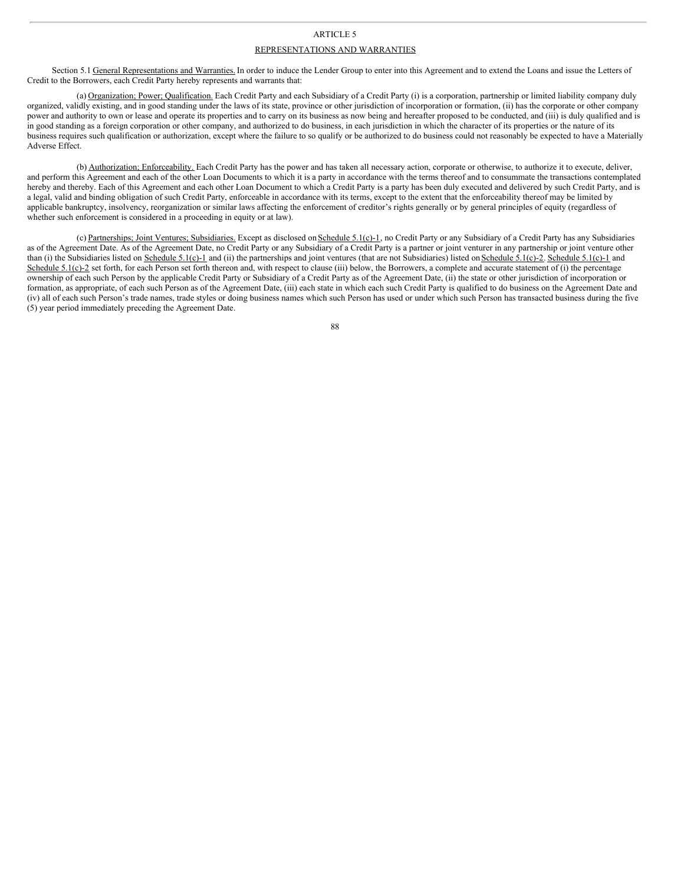## REPRESENTATIONS AND WARRANTIES

Section 5.1 General Representations and Warranties. In order to induce the Lender Group to enter into this Agreement and to extend the Loans and issue the Letters of Credit to the Borrowers, each Credit Party hereby represents and warrants that:

(a) Organization; Power; Qualification. Each Credit Party and each Subsidiary of a Credit Party (i) is a corporation, partnership or limited liability company duly organized, validly existing, and in good standing under the laws of its state, province or other jurisdiction of incorporation or formation, (ii) has the corporate or other company power and authority to own or lease and operate its properties and to carry on its business as now being and hereafter proposed to be conducted, and (iii) is duly qualified and is in good standing as a foreign corporation or other company, and authorized to do business, in each jurisdiction in which the character of its properties or the nature of its business requires such qualification or authorization, except where the failure to so qualify or be authorized to do business could not reasonably be expected to have a Materially Adverse Effect.

(b) Authorization; Enforceability. Each Credit Party has the power and has taken all necessary action, corporate or otherwise, to authorize it to execute, deliver, and perform this Agreement and each of the other Loan Documents to which it is a party in accordance with the terms thereof and to consummate the transactions contemplated hereby and thereby. Each of this Agreement and each other Loan Document to which a Credit Party is a party has been duly executed and delivered by such Credit Party, and is a legal, valid and binding obligation of such Credit Party, enforceable in accordance with its terms, except to the extent that the enforceability thereof may be limited by applicable bankruptcy, insolvency, reorganization or similar laws affecting the enforcement of creditor's rights generally or by general principles of equity (regardless of whether such enforcement is considered in a proceeding in equity or at law).

(c) Partnerships; Joint Ventures; Subsidiaries. Except as disclosed on Schedule 5.1(c)-1, no Credit Party or any Subsidiary of a Credit Party has any Subsidiaries as of the Agreement Date. As of the Agreement Date, no Credit Party or any Subsidiary of a Credit Party is a partner or joint venturer in any partnership or joint venture other than (i) the Subsidiaries listed on Schedule 5.1(c)-1 and (ii) the partnerships and joint ventures (that are not Subsidiaries) listed on Schedule 5.1(c)-2. Schedule 5.1(c)-1 and Schedule  $5.1(c)$ -2 set forth, for each Person set forth thereon and, with respect to clause (iii) below, the Borrowers, a complete and accurate statement of (i) the percentage ownership of each such Person by the applicable Credit Party or Subsidiary of a Credit Party as of the Agreement Date, (ii) the state or other jurisdiction of incorporation or formation, as appropriate, of each such Person as of the Agreement Date, (iii) each state in which each such Credit Party is qualified to do business on the Agreement Date and (iv) all of each such Person's trade names, trade styles or doing business names which such Person has used or under which such Person has transacted business during the five (5) year period immediately preceding the Agreement Date.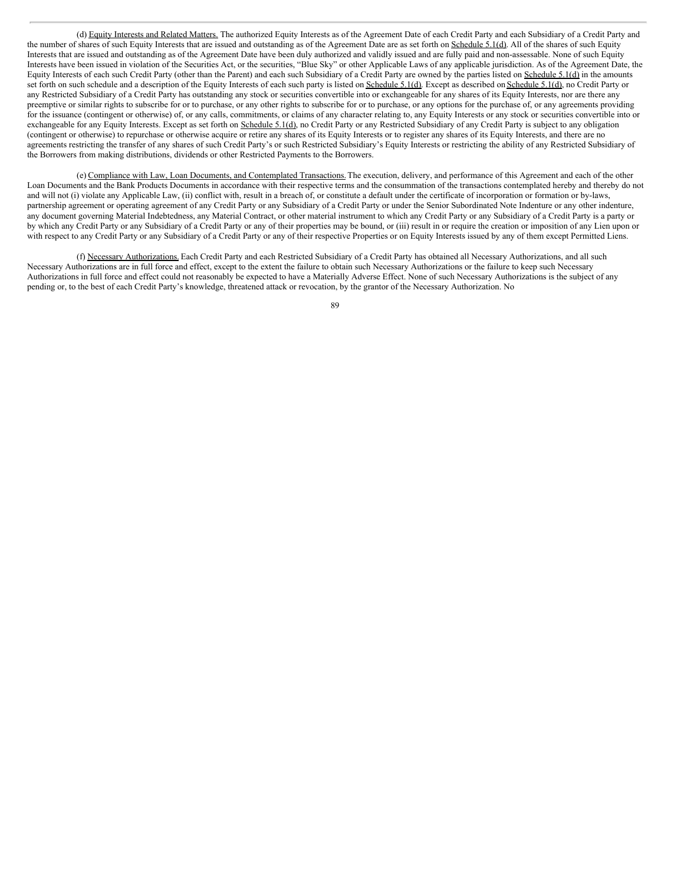(d) Equity Interests and Related Matters. The authorized Equity Interests as of the Agreement Date of each Credit Party and each Subsidiary of a Credit Party and the number of shares of such Equity Interests that are issued and outstanding as of the Agreement Date are as set forth on Schedule 5.1(d). All of the shares of such Equity Interests that are issued and outstanding as of the Agreement Date have been duly authorized and validly issued and are fully paid and non-assessable. None of such Equity Interests have been issued in violation of the Securities Act, or the securities, "Blue Sky" or other Applicable Laws of any applicable jurisdiction. As of the Agreement Date, the Equity Interests of each such Credit Party (other than the Parent) and each such Subsidiary of a Credit Party are owned by the parties listed on Schedule 5.1(d) in the amounts set forth on such schedule and a description of the Equity Interests of each such party is listed on Schedule 5.1(d). Except as described on Schedule 5.1(d), no Credit Party or any Restricted Subsidiary of a Credit Party has outstanding any stock or securities convertible into or exchangeable for any shares of its Equity Interests, nor are there any preemptive or similar rights to subscribe for or to purchase, or any other rights to subscribe for or to purchase, or any options for the purchase of, or any agreements providing for the issuance (contingent or otherwise) of, or any calls, commitments, or claims of any character relating to, any Equity Interests or any stock or securities convertible into or exchangeable for any Equity Interests. Except as set forth on Schedule 5.1(d), no Credit Party or any Restricted Subsidiary of any Credit Party is subject to any obligation (contingent or otherwise) to repurchase or otherwise acquire or retire any shares of its Equity Interests or to register any shares of its Equity Interests, and there are no agreements restricting the transfer of any shares of such Credit Party's or such Restricted Subsidiary's Equity Interests or restricting the ability of any Restricted Subsidiary of the Borrowers from making distributions, dividends or other Restricted Payments to the Borrowers.

(e) Compliance with Law, Loan Documents, and Contemplated Transactions.The execution, delivery, and performance of this Agreement and each of the other Loan Documents and the Bank Products Documents in accordance with their respective terms and the consummation of the transactions contemplated hereby and thereby do not and will not (i) violate any Applicable Law, (ii) conflict with, result in a breach of, or constitute a default under the certificate of incorporation or formation or by-laws, partnership agreement or operating agreement of any Credit Party or any Subsidiary of a Credit Party or under the Senior Subordinated Note Indenture or any other indenture, any document governing Material Indebtedness, any Material Contract, or other material instrument to which any Credit Party or any Subsidiary of a Credit Party is a party or by which any Credit Party or any Subsidiary of a Credit Party or any of their properties may be bound, or (iii) result in or require the creation or imposition of any Lien upon or with respect to any Credit Party or any Subsidiary of a Credit Party or any of their respective Properties or on Equity Interests issued by any of them except Permitted Liens.

(f) Necessary Authorizations. Each Credit Party and each Restricted Subsidiary of a Credit Party has obtained all Necessary Authorizations, and all such Necessary Authorizations are in full force and effect, except to the extent the failure to obtain such Necessary Authorizations or the failure to keep such Necessary Authorizations in full force and effect could not reasonably be expected to have a Materially Adverse Effect. None of such Necessary Authorizations is the subject of any pending or, to the best of each Credit Party's knowledge, threatened attack or revocation, by the grantor of the Necessary Authorization. No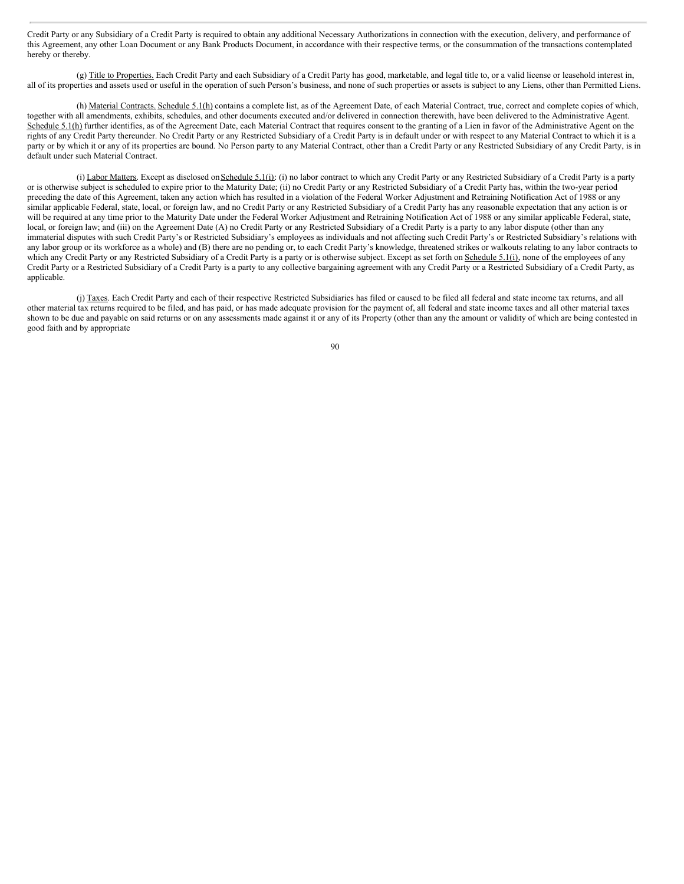Credit Party or any Subsidiary of a Credit Party is required to obtain any additional Necessary Authorizations in connection with the execution, delivery, and performance of this Agreement, any other Loan Document or any Bank Products Document, in accordance with their respective terms, or the consummation of the transactions contemplated hereby or thereby.

(g) Title to Properties. Each Credit Party and each Subsidiary of a Credit Party has good, marketable, and legal title to, or a valid license or leasehold interest in, all of its properties and assets used or useful in the operation of such Person's business, and none of such properties or assets is subject to any Liens, other than Permitted Liens.

(h) Material Contracts. Schedule 5.1(h) contains a complete list, as of the Agreement Date, of each Material Contract, true, correct and complete copies of which, together with all amendments, exhibits, schedules, and other documents executed and/or delivered in connection therewith, have been delivered to the Administrative Agent. Schedule 5.1(h) further identifies, as of the Agreement Date, each Material Contract that requires consent to the granting of a Lien in favor of the Administrative Agent on the rights of any Credit Party thereunder. No Credit Party or any Restricted Subsidiary of a Credit Party is in default under or with respect to any Material Contract to which it is a party or by which it or any of its properties are bound. No Person party to any Material Contract, other than a Credit Party or any Restricted Subsidiary of any Credit Party, is in default under such Material Contract.

(i) Labor Matters. Except as disclosed on Schedule 5.1(i): (i) no labor contract to which any Credit Party or any Restricted Subsidiary of a Credit Party is a party or is otherwise subject is scheduled to expire prior to the Maturity Date; (ii) no Credit Party or any Restricted Subsidiary of a Credit Party has, within the two-year period preceding the date of this Agreement, taken any action which has resulted in a violation of the Federal Worker Adjustment and Retraining Notification Act of 1988 or any similar applicable Federal, state, local, or foreign law, and no Credit Party or any Restricted Subsidiary of a Credit Party has any reasonable expectation that any action is or will be required at any time prior to the Maturity Date under the Federal Worker Adjustment and Retraining Notification Act of 1988 or any similar applicable Federal, state, local, or foreign law; and (iii) on the Agreement Date (A) no Credit Party or any Restricted Subsidiary of a Credit Party is a party to any labor dispute (other than any immaterial disputes with such Credit Party's or Restricted Subsidiary's employees as individuals and not affecting such Credit Party's or Restricted Subsidiary's relations with any labor group or its workforce as a whole) and (B) there are no pending or, to each Credit Party's knowledge, threatened strikes or walkouts relating to any labor contracts to which any Credit Party or any Restricted Subsidiary of a Credit Party is a party or is otherwise subject. Except as set forth on Schedule 5.1(i), none of the employees of any Credit Party or a Restricted Subsidiary of a Credit Party is a party to any collective bargaining agreement with any Credit Party or a Restricted Subsidiary of a Credit Party, as applicable.

(j) Taxes. Each Credit Party and each of their respective Restricted Subsidiaries has filed or caused to be filed all federal and state income tax returns, and all other material tax returns required to be filed, and has paid, or has made adequate provision for the payment of, all federal and state income taxes and all other material taxes shown to be due and payable on said returns or on any assessments made against it or any of its Property (other than any the amount or validity of which are being contested in good faith and by appropriate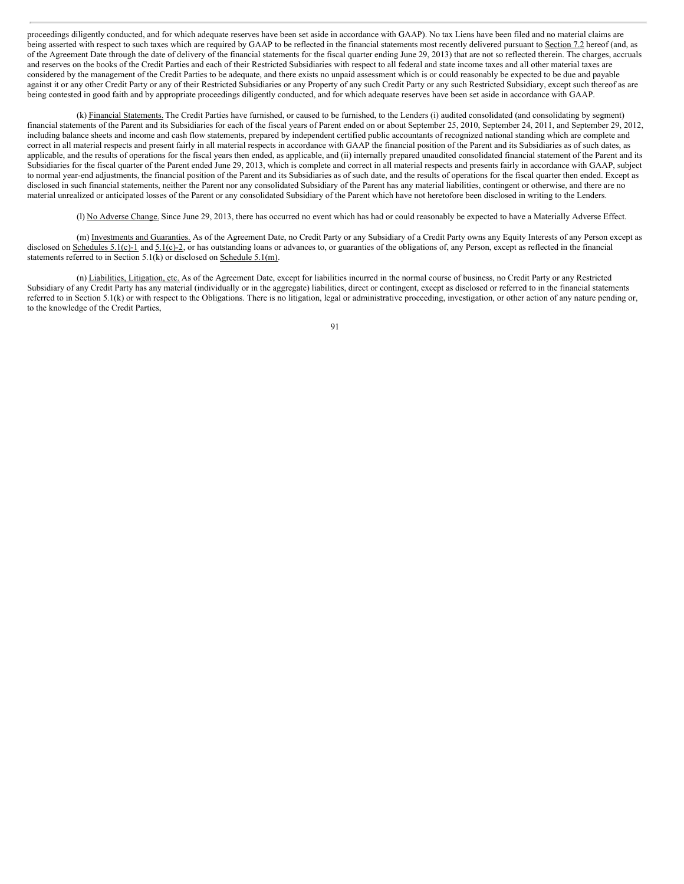proceedings diligently conducted, and for which adequate reserves have been set aside in accordance with GAAP). No tax Liens have been filed and no material claims are being asserted with respect to such taxes which are required by GAAP to be reflected in the financial statements most recently delivered pursuant to Section 7.2 hereof (and, as of the Agreement Date through the date of delivery of the financial statements for the fiscal quarter ending June 29, 2013) that are not so reflected therein. The charges, accruals and reserves on the books of the Credit Parties and each of their Restricted Subsidiaries with respect to all federal and state income taxes and all other material taxes are considered by the management of the Credit Parties to be adequate, and there exists no unpaid assessment which is or could reasonably be expected to be due and payable against it or any other Credit Party or any of their Restricted Subsidiaries or any Property of any such Credit Party or any such Restricted Subsidiary, except such thereof as are being contested in good faith and by appropriate proceedings diligently conducted, and for which adequate reserves have been set aside in accordance with GAAP.

(k) Financial Statements. The Credit Parties have furnished, or caused to be furnished, to the Lenders (i) audited consolidated (and consolidating by segment) financial statements of the Parent and its Subsidiaries for each of the fiscal years of Parent ended on or about September 25, 2010, September 24, 2011, and September 29, 2012, including balance sheets and income and cash flow statements, prepared by independent certified public accountants of recognized national standing which are complete and correct in all material respects and present fairly in all material respects in accordance with GAAP the financial position of the Parent and its Subsidiaries as of such dates, as applicable, and the results of operations for the fiscal years then ended, as applicable, and (ii) internally prepared unaudited consolidated financial statement of the Parent and its Subsidiaries for the fiscal quarter of the Parent ended June 29, 2013, which is complete and correct in all material respects and presents fairly in accordance with GAAP, subject to normal year-end adjustments, the financial position of the Parent and its Subsidiaries as of such date, and the results of operations for the fiscal quarter then ended. Except as disclosed in such financial statements, neither the Parent nor any consolidated Subsidiary of the Parent has any material liabilities, contingent or otherwise, and there are no material unrealized or anticipated losses of the Parent or any consolidated Subsidiary of the Parent which have not heretofore been disclosed in writing to the Lenders.

(l) No Adverse Change. Since June 29, 2013, there has occurred no event which has had or could reasonably be expected to have a Materially Adverse Effect.

(m) Investments and Guaranties. As of the Agreement Date, no Credit Party or any Subsidiary of a Credit Party owns any Equity Interests of any Person except as disclosed on Schedules 5.1(c)-1 and  $5.1(c)$ -2, or has outstanding loans or advances to, or guaranties of the obligations of, any Person, except as reflected in the financial statements referred to in Section 5.1(k) or disclosed on Schedule 5.1(m).

(n) Liabilities, Litigation, etc. As of the Agreement Date, except for liabilities incurred in the normal course of business, no Credit Party or any Restricted Subsidiary of any Credit Party has any material (individually or in the aggregate) liabilities, direct or contingent, except as disclosed or referred to in the financial statements referred to in Section 5.1(k) or with respect to the Obligations. There is no litigation, legal or administrative proceeding, investigation, or other action of any nature pending or, to the knowledge of the Credit Parties,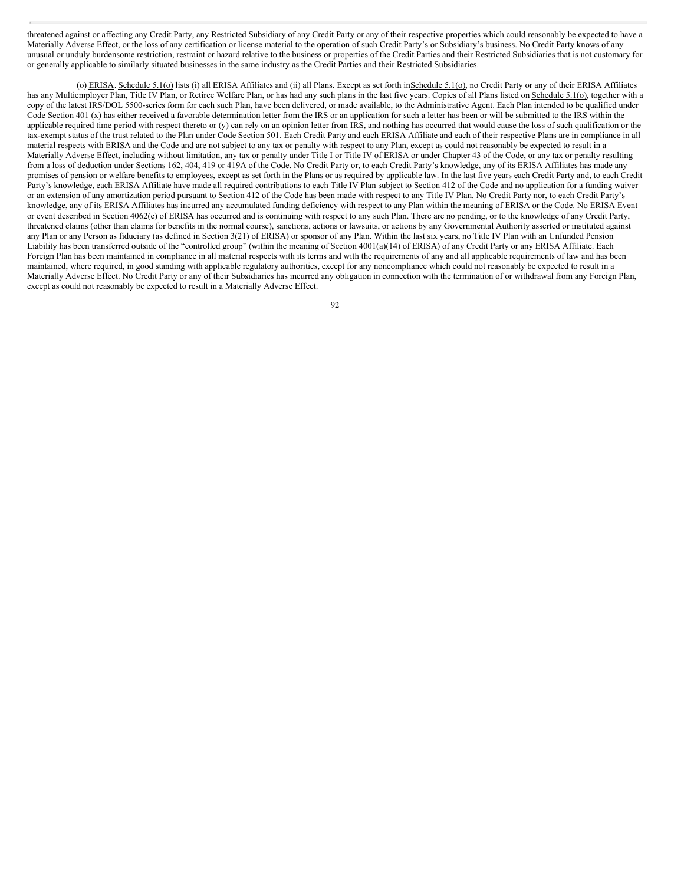threatened against or affecting any Credit Party, any Restricted Subsidiary of any Credit Party or any of their respective properties which could reasonably be expected to have a Materially Adverse Effect, or the loss of any certification or license material to the operation of such Credit Party's or Subsidiary's business. No Credit Party knows of any unusual or unduly burdensome restriction, restraint or hazard relative to the business or properties of the Credit Parties and their Restricted Subsidiaries that is not customary for or generally applicable to similarly situated businesses in the same industry as the Credit Parties and their Restricted Subsidiaries.

(o) ERISA. Schedule 5.1(o) lists (i) all ERISA Affiliates and (ii) all Plans. Except as set forth inSchedule 5.1(o), no Credit Party or any of their ERISA Affiliates has any Multiemployer Plan, Title IV Plan, or Retiree Welfare Plan, or has had any such plans in the last five years. Copies of all Plans listed on Schedule 5.1(o), together with a copy of the latest IRS/DOL 5500-series form for each such Plan, have been delivered, or made available, to the Administrative Agent. Each Plan intended to be qualified under Code Section 401 (x) has either received a favorable determination letter from the IRS or an application for such a letter has been or will be submitted to the IRS within the applicable required time period with respect thereto or (y) can rely on an opinion letter from IRS, and nothing has occurred that would cause the loss of such qualification or the tax-exempt status of the trust related to the Plan under Code Section 501. Each Credit Party and each ERISA Affiliate and each of their respective Plans are in compliance in all material respects with ERISA and the Code and are not subject to any tax or penalty with respect to any Plan, except as could not reasonably be expected to result in a Materially Adverse Effect, including without limitation, any tax or penalty under Title I or Title IV of ERISA or under Chapter 43 of the Code, or any tax or penalty resulting from a loss of deduction under Sections 162, 404, 419 or 419A of the Code. No Credit Party or, to each Credit Party's knowledge, any of its ERISA Affiliates has made any promises of pension or welfare benefits to employees, except as set forth in the Plans or as required by applicable law. In the last five years each Credit Party and, to each Credit Party's knowledge, each ERISA Affiliate have made all required contributions to each Title IV Plan subject to Section 412 of the Code and no application for a funding waiver or an extension of any amortization period pursuant to Section 412 of the Code has been made with respect to any Title IV Plan. No Credit Party nor, to each Credit Party's knowledge, any of its ERISA Affiliates has incurred any accumulated funding deficiency with respect to any Plan within the meaning of ERISA or the Code. No ERISA Event or event described in Section 4062(e) of ERISA has occurred and is continuing with respect to any such Plan. There are no pending, or to the knowledge of any Credit Party, threatened claims (other than claims for benefits in the normal course), sanctions, actions or lawsuits, or actions by any Governmental Authority asserted or instituted against any Plan or any Person as fiduciary (as defined in Section 3(21) of ERISA) or sponsor of any Plan. Within the last six years, no Title IV Plan with an Unfunded Pension Liability has been transferred outside of the "controlled group" (within the meaning of Section 4001(a)(14) of ERISA) of any Credit Party or any ERISA Affiliate. Each Foreign Plan has been maintained in compliance in all material respects with its terms and with the requirements of any and all applicable requirements of law and has been maintained, where required, in good standing with applicable regulatory authorities, except for any noncompliance which could not reasonably be expected to result in a Materially Adverse Effect. No Credit Party or any of their Subsidiaries has incurred any obligation in connection with the termination of or withdrawal from any Foreign Plan, except as could not reasonably be expected to result in a Materially Adverse Effect.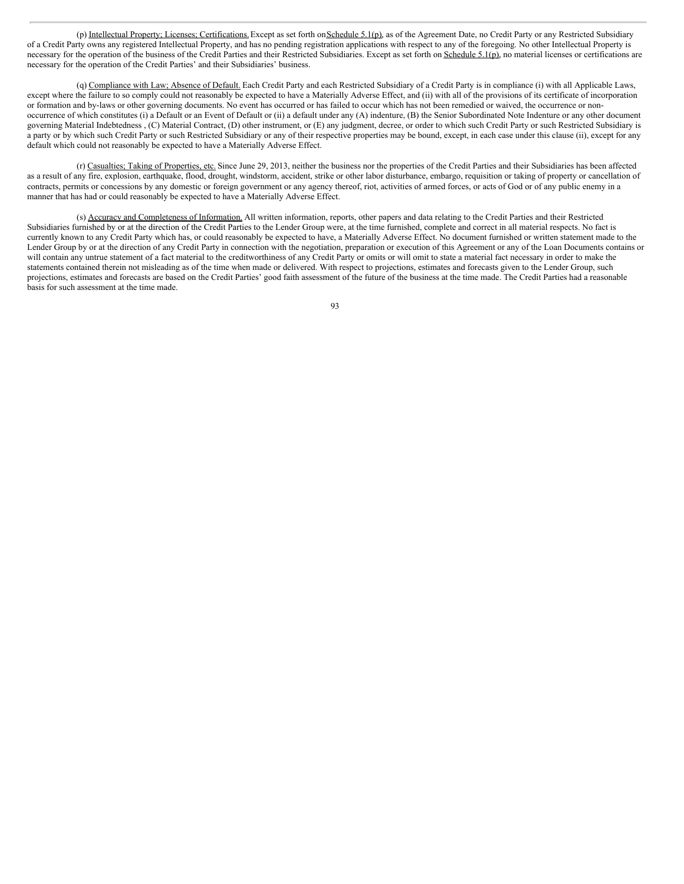(p) Intellectual Property; Licenses; Certifications. Except as set forth on Schedule 5.1(p), as of the Agreement Date, no Credit Party or any Restricted Subsidiary of a Credit Party owns any registered Intellectual Property, and has no pending registration applications with respect to any of the foregoing. No other Intellectual Property is necessary for the operation of the business of the Credit Parties and their Restricted Subsidiaries. Except as set forth on Schedule 5.1(p), no material licenses or certifications are necessary for the operation of the Credit Parties' and their Subsidiaries' business.

(q) Compliance with Law; Absence of Default. Each Credit Party and each Restricted Subsidiary of a Credit Party is in compliance (i) with all Applicable Laws, except where the failure to so comply could not reasonably be expected to have a Materially Adverse Effect, and (ii) with all of the provisions of its certificate of incorporation or formation and by-laws or other governing documents. No event has occurred or has failed to occur which has not been remedied or waived, the occurrence or nonoccurrence of which constitutes (i) a Default or an Event of Default or (ii) a default under any (A) indenture, (B) the Senior Subordinated Note Indenture or any other document governing Material Indebtedness , (C) Material Contract, (D) other instrument, or (E) any judgment, decree, or order to which such Credit Party or such Restricted Subsidiary is a party or by which such Credit Party or such Restricted Subsidiary or any of their respective properties may be bound, except, in each case under this clause (ii), except for any default which could not reasonably be expected to have a Materially Adverse Effect.

(r) Casualties; Taking of Properties, etc. Since June 29, 2013, neither the business nor the properties of the Credit Parties and their Subsidiaries has been affected as a result of any fire, explosion, earthquake, flood, drought, windstorm, accident, strike or other labor disturbance, embargo, requisition or taking of property or cancellation of contracts, permits or concessions by any domestic or foreign government or any agency thereof, riot, activities of armed forces, or acts of God or of any public enemy in a manner that has had or could reasonably be expected to have a Materially Adverse Effect.

(s) Accuracy and Completeness of Information. All written information, reports, other papers and data relating to the Credit Parties and their Restricted Subsidiaries furnished by or at the direction of the Credit Parties to the Lender Group were, at the time furnished, complete and correct in all material respects. No fact is currently known to any Credit Party which has, or could reasonably be expected to have, a Materially Adverse Effect. No document furnished or written statement made to the Lender Group by or at the direction of any Credit Party in connection with the negotiation, preparation or execution of this Agreement or any of the Loan Documents contains or will contain any untrue statement of a fact material to the creditworthiness of any Credit Party or omits or will omit to state a material fact necessary in order to make the statements contained therein not misleading as of the time when made or delivered. With respect to projections, estimates and forecasts given to the Lender Group, such projections, estimates and forecasts are based on the Credit Parties' good faith assessment of the future of the business at the time made. The Credit Parties had a reasonable basis for such assessment at the time made.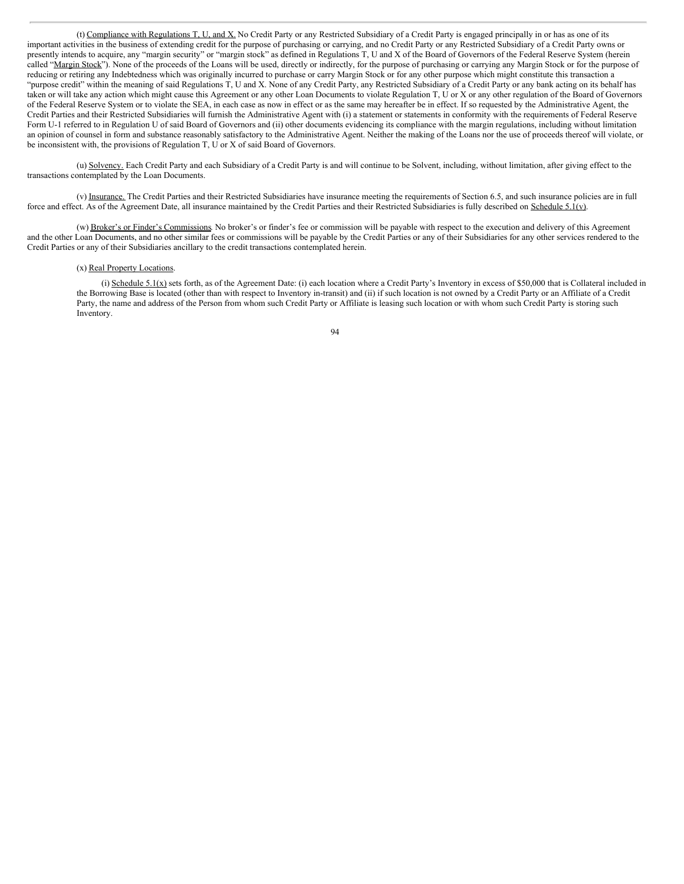(t) Compliance with Regulations T, U, and X. No Credit Party or any Restricted Subsidiary of a Credit Party is engaged principally in or has as one of its important activities in the business of extending credit for the purpose of purchasing or carrying, and no Credit Party or any Restricted Subsidiary of a Credit Party owns or presently intends to acquire, any "margin security" or "margin stock" as defined in Regulations T, U and X of the Board of Governors of the Federal Reserve System (herein called "Margin Stock"). None of the proceeds of the Loans will be used, directly or indirectly, for the purpose of purchasing or carrying any Margin Stock or for the purpose of reducing or retiring any Indebtedness which was originally incurred to purchase or carry Margin Stock or for any other purpose which might constitute this transaction a "purpose credit" within the meaning of said Regulations T, U and X. None of any Credit Party, any Restricted Subsidiary of a Credit Party or any bank acting on its behalf has taken or will take any action which might cause this Agreement or any other Loan Documents to violate Regulation T, U or X or any other regulation of the Board of Governors of the Federal Reserve System or to violate the SEA, in each case as now in effect or as the same may hereafter be in effect. If so requested by the Administrative Agent, the Credit Parties and their Restricted Subsidiaries will furnish the Administrative Agent with (i) a statement or statements in conformity with the requirements of Federal Reserve Form U-1 referred to in Regulation U of said Board of Governors and (ii) other documents evidencing its compliance with the margin regulations, including without limitation an opinion of counsel in form and substance reasonably satisfactory to the Administrative Agent. Neither the making of the Loans nor the use of proceeds thereof will violate, or be inconsistent with, the provisions of Regulation T, U or X of said Board of Governors.

(u) Solvency. Each Credit Party and each Subsidiary of a Credit Party is and will continue to be Solvent, including, without limitation, after giving effect to the transactions contemplated by the Loan Documents.

(v) Insurance. The Credit Parties and their Restricted Subsidiaries have insurance meeting the requirements of Section 6.5, and such insurance policies are in full force and effect. As of the Agreement Date, all insurance maintained by the Credit Parties and their Restricted Subsidiaries is fully described on Schedule 5.1(v).

(w) Broker's or Finder's Commissions. No broker's or finder's fee or commission will be payable with respect to the execution and delivery of this Agreement and the other Loan Documents, and no other similar fees or commissions will be payable by the Credit Parties or any of their Subsidiaries for any other services rendered to the Credit Parties or any of their Subsidiaries ancillary to the credit transactions contemplated herein.

## (x) Real Property Locations.

(i) Schedule 5.1(x) sets forth, as of the Agreement Date: (i) each location where a Credit Party's Inventory in excess of \$50,000 that is Collateral included in the Borrowing Base is located (other than with respect to Inventory in-transit) and (ii) if such location is not owned by a Credit Party or an Affiliate of a Credit Party, the name and address of the Person from whom such Credit Party or Affiliate is leasing such location or with whom such Credit Party is storing such Inventory.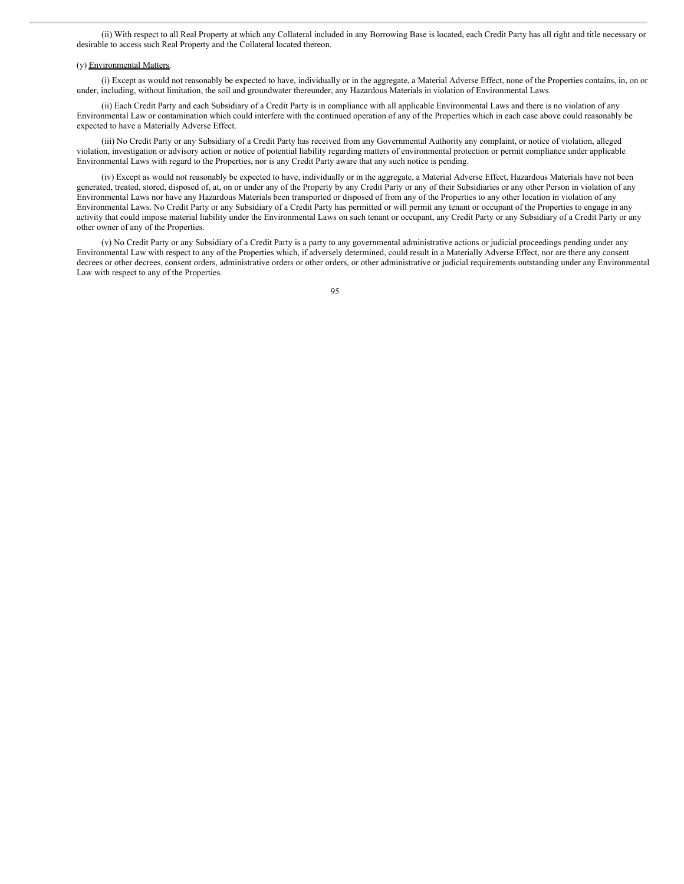(ii) With respect to all Real Property at which any Collateral included in any Borrowing Base is located, each Credit Party has all right and title necessary or desirable to access such Real Property and the Collateral located thereon.

#### (y) Environmental Matters.

(i) Except as would not reasonably be expected to have, individually or in the aggregate, a Material Adverse Effect, none of the Properties contains, in, on or under, including, without limitation, the soil and groundwater thereunder, any Hazardous Materials in violation of Environmental Laws.

(ii) Each Credit Party and each Subsidiary of a Credit Party is in compliance with all applicable Environmental Laws and there is no violation of any Environmental Law or contamination which could interfere with the continued operation of any of the Properties which in each case above could reasonably be expected to have a Materially Adverse Effect.

(iii) No Credit Party or any Subsidiary of a Credit Party has received from any Governmental Authority any complaint, or notice of violation, alleged violation, investigation or advisory action or notice of potential liability regarding matters of environmental protection or permit compliance under applicable Environmental Laws with regard to the Properties, nor is any Credit Party aware that any such notice is pending.

(iv) Except as would not reasonably be expected to have, individually or in the aggregate, a Material Adverse Effect, Hazardous Materials have not been generated, treated, stored, disposed of, at, on or under any of the Property by any Credit Party or any of their Subsidiaries or any other Person in violation of any Environmental Laws nor have any Hazardous Materials been transported or disposed of from any of the Properties to any other location in violation of any Environmental Laws. No Credit Party or any Subsidiary of a Credit Party has permitted or will permit any tenant or occupant of the Properties to engage in any activity that could impose material liability under the Environmental Laws on such tenant or occupant, any Credit Party or any Subsidiary of a Credit Party or any other owner of any of the Properties.

(v) No Credit Party or any Subsidiary of a Credit Party is a party to any governmental administrative actions or judicial proceedings pending under any Environmental Law with respect to any of the Properties which, if adversely determined, could result in a Materially Adverse Effect, nor are there any consent decrees or other decrees, consent orders, administrative orders or other orders, or other administrative or judicial requirements outstanding under any Environmental Law with respect to any of the Properties.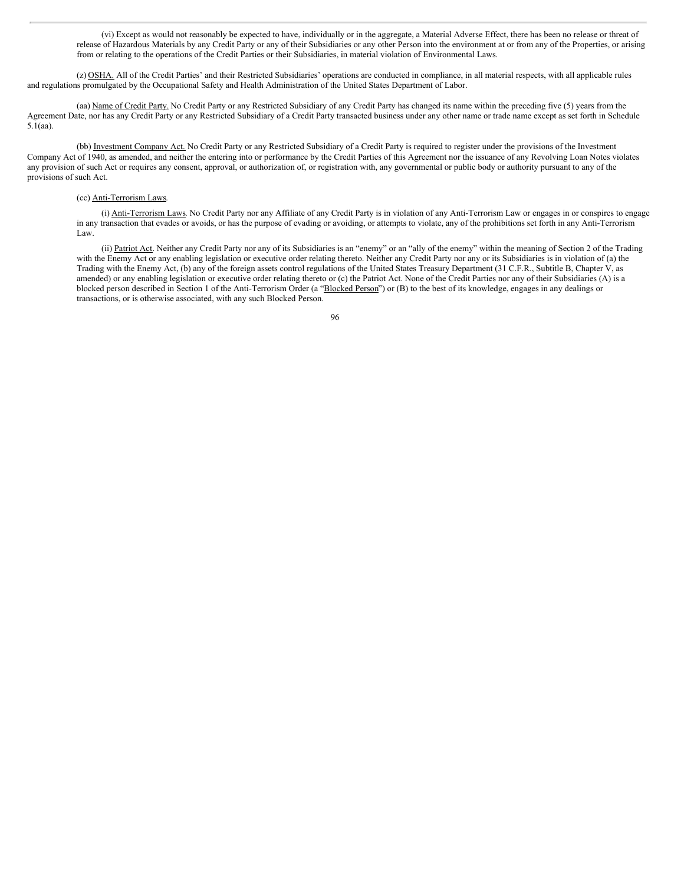(vi) Except as would not reasonably be expected to have, individually or in the aggregate, a Material Adverse Effect, there has been no release or threat of release of Hazardous Materials by any Credit Party or any of their Subsidiaries or any other Person into the environment at or from any of the Properties, or arising from or relating to the operations of the Credit Parties or their Subsidiaries, in material violation of Environmental Laws.

(z) OSHA. All of the Credit Parties' and their Restricted Subsidiaries' operations are conducted in compliance, in all material respects, with all applicable rules and regulations promulgated by the Occupational Safety and Health Administration of the United States Department of Labor.

(aa) Name of Credit Party. No Credit Party or any Restricted Subsidiary of any Credit Party has changed its name within the preceding five (5) years from the Agreement Date, nor has any Credit Party or any Restricted Subsidiary of a Credit Party transacted business under any other name or trade name except as set forth in Schedule 5.1(aa).

(bb) Investment Company Act. No Credit Party or any Restricted Subsidiary of a Credit Party is required to register under the provisions of the Investment Company Act of 1940, as amended, and neither the entering into or performance by the Credit Parties of this Agreement nor the issuance of any Revolving Loan Notes violates any provision of such Act or requires any consent, approval, or authorization of, or registration with, any governmental or public body or authority pursuant to any of the provisions of such Act.

# (cc) Anti-Terrorism Laws.

(i) Anti-Terrorism Laws. No Credit Party nor any Affiliate of any Credit Party is in violation of any Anti-Terrorism Law or engages in or conspires to engage in any transaction that evades or avoids, or has the purpose of evading or avoiding, or attempts to violate, any of the prohibitions set forth in any Anti-Terrorism Law.

(ii) Patriot Act. Neither any Credit Party nor any of its Subsidiaries is an "enemy" or an "ally of the enemy" within the meaning of Section 2 of the Trading with the Enemy Act or any enabling legislation or executive order relating thereto. Neither any Credit Party nor any or its Subsidiaries is in violation of (a) the Trading with the Enemy Act, (b) any of the foreign assets control regulations of the United States Treasury Department (31 C.F.R., Subtitle B, Chapter V, as amended) or any enabling legislation or executive order relating thereto or (c) the Patriot Act. None of the Credit Parties nor any of their Subsidiaries (A) is a blocked person described in Section 1 of the Anti-Terrorism Order (a "Blocked Person") or (B) to the best of its knowledge, engages in any dealings or transactions, or is otherwise associated, with any such Blocked Person.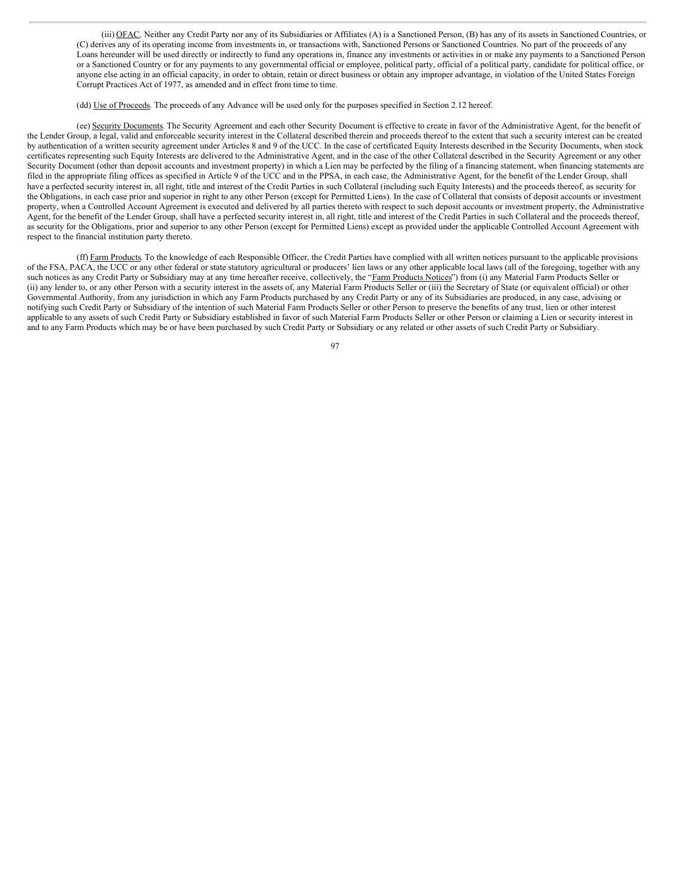(iii) OFAC. Neither any Credit Party nor any of its Subsidiaries or Affiliates (A) is a Sanctioned Person, (B) has any of its assets in Sanctioned Countries, or (C) derives any of its operating income from investments in, or transactions with, Sanctioned Persons or Sanctioned Countries. No part of the proceeds of any Loans hereunder will be used directly or indirectly to fund any operations in, finance any investments or activities in or make any payments to a Sanctioned Person or a Sanctioned Country or for any payments to any governmental official or employee, political party, official of a political party, candidate for political office, or anyone else acting in an official capacity, in order to obtain, retain or direct business or obtain any improper advantage, in violation of the United States Foreign Corrupt Practices Act of 1977, as amended and in effect from time to time.

(dd) Use of Proceeds. The proceeds of any Advance will be used only for the purposes specified in Section 2.12 hereof.

(ee) Security Documents. The Security Agreement and each other Security Document is effective to create in favor of the Administrative Agent, for the benefit of the Lender Group, a legal, valid and enforceable security interest in the Collateral described therein and proceeds thereof to the extent that such a security interest can be created by authentication of a written security agreement under Articles 8 and 9 of the UCC. In the case of certificated Equity Interests described in the Security Documents, when stock certificates representing such Equity Interests are delivered to the Administrative Agent, and in the case of the other Collateral described in the Security Agreement or any other Security Document (other than deposit accounts and investment property) in which a Lien may be perfected by the filing of a financing statement, when financing statements are filed in the appropriate filing offices as specified in Article 9 of the UCC and in the PPSA, in each case, the Administrative Agent, for the benefit of the Lender Group, shall have a perfected security interest in, all right, title and interest of the Credit Parties in such Collateral (including such Equity Interests) and the proceeds thereof, as security for the Obligations, in each case prior and superior in right to any other Person (except for Permitted Liens). In the case of Collateral that consists of deposit accounts or investment property, when a Controlled Account Agreement is executed and delivered by all parties thereto with respect to such deposit accounts or investment property, the Administrative Agent, for the benefit of the Lender Group, shall have a perfected security interest in, all right, title and interest of the Credit Parties in such Collateral and the proceeds thereof, as security for the Obligations, prior and superior to any other Person (except for Permitted Liens) except as provided under the applicable Controlled Account Agreement with respect to the financial institution party thereto.

(ff) Farm Products. To the knowledge of each Responsible Officer, the Credit Parties have complied with all written notices pursuant to the applicable provisions of the FSA, PACA, the UCC or any other federal or state statutory agricultural or producers' lien laws or any other applicable local laws (all of the foregoing, together with any such notices as any Credit Party or Subsidiary may at any time hereafter receive, collectively, the "Farm Products Notices") from (i) any Material Farm Products Seller or (ii) any lender to, or any other Person with a security interest in the assets of, any Material Farm Products Seller or (iii) the Secretary of State (or equivalent official) or other Governmental Authority, from any jurisdiction in which any Farm Products purchased by any Credit Party or any of its Subsidiaries are produced, in any case, advising or notifying such Credit Party or Subsidiary of the intention of such Material Farm Products Seller or other Person to preserve the benefits of any trust, lien or other interest applicable to any assets of such Credit Party or Subsidiary established in favor of such Material Farm Products Seller or other Person or claiming a Lien or security interest in and to any Farm Products which may be or have been purchased by such Credit Party or Subsidiary or any related or other assets of such Credit Party or Subsidiary.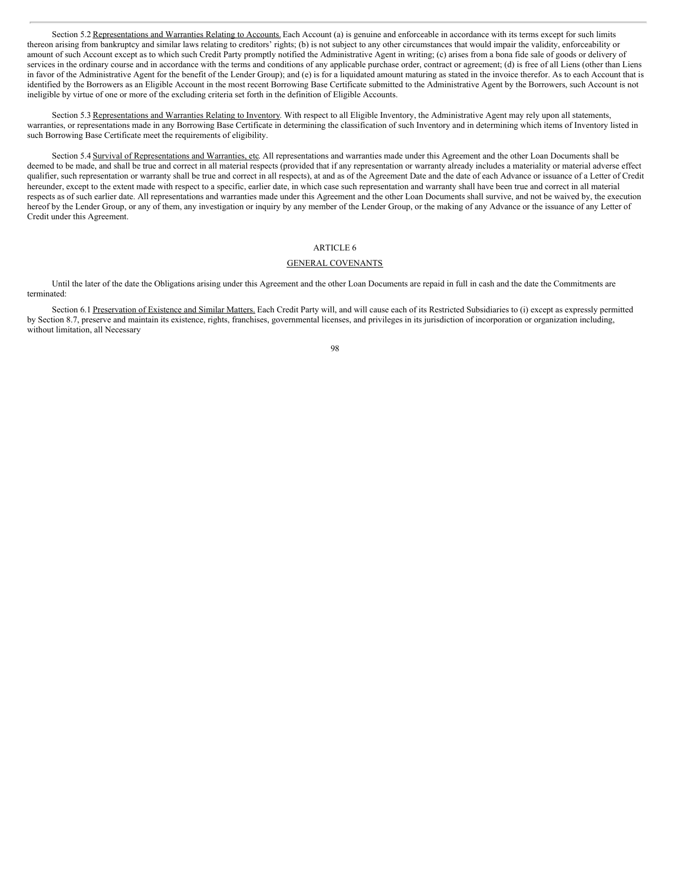Section 5.2 Representations and Warranties Relating to Accounts. Each Account (a) is genuine and enforceable in accordance with its terms except for such limits thereon arising from bankruptcy and similar laws relating to creditors' rights; (b) is not subject to any other circumstances that would impair the validity, enforceability or amount of such Account except as to which such Credit Party promptly notified the Administrative Agent in writing; (c) arises from a bona fide sale of goods or delivery of services in the ordinary course and in accordance with the terms and conditions of any applicable purchase order, contract or agreement; (d) is free of all Liens (other than Liens in favor of the Administrative Agent for the benefit of the Lender Group); and (e) is for a liquidated amount maturing as stated in the invoice therefor. As to each Account that is identified by the Borrowers as an Eligible Account in the most recent Borrowing Base Certificate submitted to the Administrative Agent by the Borrowers, such Account is not ineligible by virtue of one or more of the excluding criteria set forth in the definition of Eligible Accounts.

Section 5.3 Representations and Warranties Relating to Inventory. With respect to all Eligible Inventory, the Administrative Agent may rely upon all statements, warranties, or representations made in any Borrowing Base Certificate in determining the classification of such Inventory and in determining which items of Inventory listed in such Borrowing Base Certificate meet the requirements of eligibility.

Section 5.4 Survival of Representations and Warranties, etc. All representations and warranties made under this Agreement and the other Loan Documents shall be deemed to be made, and shall be true and correct in all material respects (provided that if any representation or warranty already includes a materiality or material adverse effect qualifier, such representation or warranty shall be true and correct in all respects), at and as of the Agreement Date and the date of each Advance or issuance of a Letter of Credit hereunder, except to the extent made with respect to a specific, earlier date, in which case such representation and warranty shall have been true and correct in all material respects as of such earlier date. All representations and warranties made under this Agreement and the other Loan Documents shall survive, and not be waived by, the execution hereof by the Lender Group, or any of them, any investigation or inquiry by any member of the Lender Group, or the making of any Advance or the issuance of any Letter of Credit under this Agreement.

# ARTICLE 6

## GENERAL COVENANTS

Until the later of the date the Obligations arising under this Agreement and the other Loan Documents are repaid in full in cash and the date the Commitments are terminated:

Section 6.1 Preservation of Existence and Similar Matters. Each Credit Party will, and will cause each of its Restricted Subsidiaries to (i) except as expressly permitted by Section 8.7, preserve and maintain its existence, rights, franchises, governmental licenses, and privileges in its jurisdiction of incorporation or organization including, without limitation, all Necessary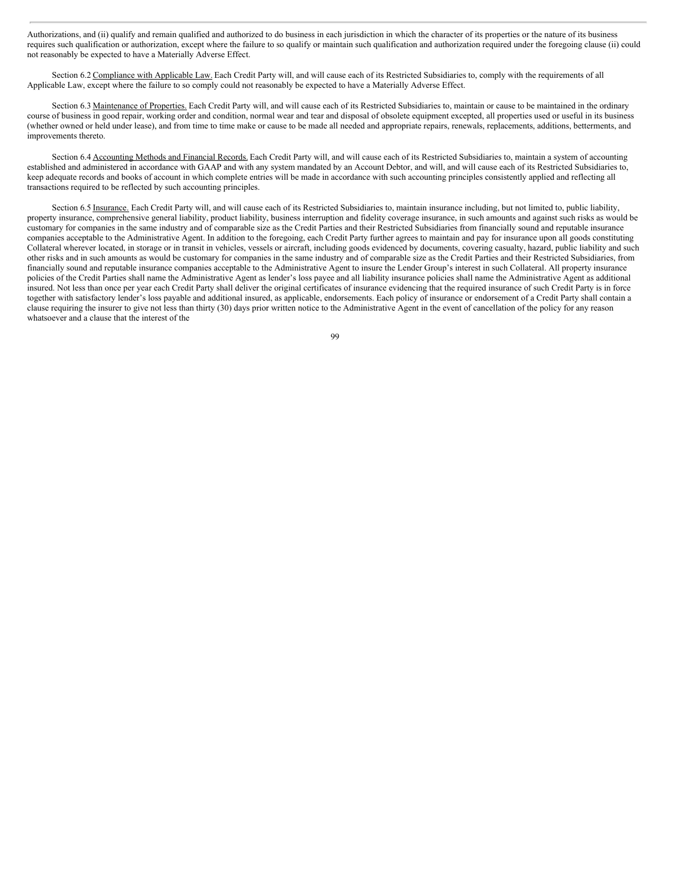Authorizations, and (ii) qualify and remain qualified and authorized to do business in each jurisdiction in which the character of its properties or the nature of its business requires such qualification or authorization, except where the failure to so qualify or maintain such qualification and authorization required under the foregoing clause (ii) could not reasonably be expected to have a Materially Adverse Effect.

Section 6.2 Compliance with Applicable Law. Each Credit Party will, and will cause each of its Restricted Subsidiaries to, comply with the requirements of all Applicable Law, except where the failure to so comply could not reasonably be expected to have a Materially Adverse Effect.

Section 6.3 Maintenance of Properties. Each Credit Party will, and will cause each of its Restricted Subsidiaries to, maintain or cause to be maintained in the ordinary course of business in good repair, working order and condition, normal wear and tear and disposal of obsolete equipment excepted, all properties used or useful in its business (whether owned or held under lease), and from time to time make or cause to be made all needed and appropriate repairs, renewals, replacements, additions, betterments, and improvements thereto.

Section 6.4 Accounting Methods and Financial Records. Each Credit Party will, and will cause each of its Restricted Subsidiaries to, maintain a system of accounting established and administered in accordance with GAAP and with any system mandated by an Account Debtor, and will, and will cause each of its Restricted Subsidiaries to, keep adequate records and books of account in which complete entries will be made in accordance with such accounting principles consistently applied and reflecting all transactions required to be reflected by such accounting principles.

Section 6.5 Insurance. Each Credit Party will, and will cause each of its Restricted Subsidiaries to, maintain insurance including, but not limited to, public liability, property insurance, comprehensive general liability, product liability, business interruption and fidelity coverage insurance, in such amounts and against such risks as would be customary for companies in the same industry and of comparable size as the Credit Parties and their Restricted Subsidiaries from financially sound and reputable insurance companies acceptable to the Administrative Agent. In addition to the foregoing, each Credit Party further agrees to maintain and pay for insurance upon all goods constituting Collateral wherever located, in storage or in transit in vehicles, vessels or aircraft, including goods evidenced by documents, covering casualty, hazard, public liability and such other risks and in such amounts as would be customary for companies in the same industry and of comparable size as the Credit Parties and their Restricted Subsidiaries, from financially sound and reputable insurance companies acceptable to the Administrative Agent to insure the Lender Group's interest in such Collateral. All property insurance policies of the Credit Parties shall name the Administrative Agent as lender's loss payee and all liability insurance policies shall name the Administrative Agent as additional insured. Not less than once per year each Credit Party shall deliver the original certificates of insurance evidencing that the required insurance of such Credit Party is in force together with satisfactory lender's loss payable and additional insured, as applicable, endorsements. Each policy of insurance or endorsement of a Credit Party shall contain a clause requiring the insurer to give not less than thirty (30) days prior written notice to the Administrative Agent in the event of cancellation of the policy for any reason whatsoever and a clause that the interest of the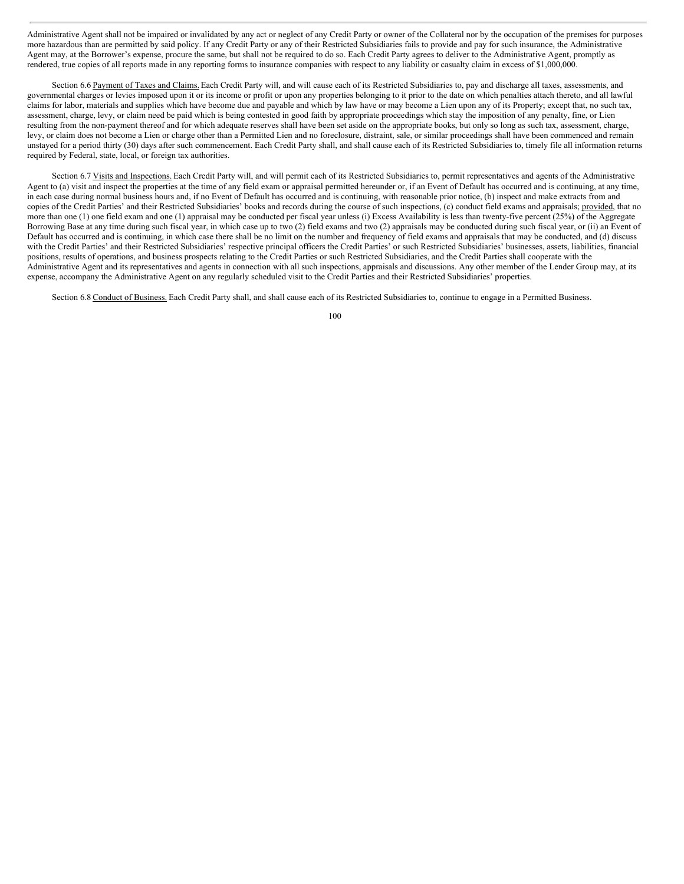Administrative Agent shall not be impaired or invalidated by any act or neglect of any Credit Party or owner of the Collateral nor by the occupation of the premises for purposes more hazardous than are permitted by said policy. If any Credit Party or any of their Restricted Subsidiaries fails to provide and pay for such insurance, the Administrative Agent may, at the Borrower's expense, procure the same, but shall not be required to do so. Each Credit Party agrees to deliver to the Administrative Agent, promptly as rendered, true copies of all reports made in any reporting forms to insurance companies with respect to any liability or casualty claim in excess of \$1,000,000.

Section 6.6 Payment of Taxes and Claims. Each Credit Party will, and will cause each of its Restricted Subsidiaries to, pay and discharge all taxes, assessments, and governmental charges or levies imposed upon it or its income or profit or upon any properties belonging to it prior to the date on which penalties attach thereto, and all lawful claims for labor, materials and supplies which have become due and payable and which by law have or may become a Lien upon any of its Property; except that, no such tax, assessment, charge, levy, or claim need be paid which is being contested in good faith by appropriate proceedings which stay the imposition of any penalty, fine, or Lien resulting from the non-payment thereof and for which adequate reserves shall have been set aside on the appropriate books, but only so long as such tax, assessment, charge, levy, or claim does not become a Lien or charge other than a Permitted Lien and no foreclosure, distraint, sale, or similar proceedings shall have been commenced and remain unstayed for a period thirty (30) days after such commencement. Each Credit Party shall, and shall cause each of its Restricted Subsidiaries to, timely file all information returns required by Federal, state, local, or foreign tax authorities.

Section 6.7 Visits and Inspections. Each Credit Party will, and will permit each of its Restricted Subsidiaries to, permit representatives and agents of the Administrative Agent to (a) visit and inspect the properties at the time of any field exam or appraisal permitted hereunder or, if an Event of Default has occurred and is continuing, at any time, in each case during normal business hours and, if no Event of Default has occurred and is continuing, with reasonable prior notice, (b) inspect and make extracts from and copies of the Credit Parties' and their Restricted Subsidiaries' books and records during the course of such inspections, (c) conduct field exams and appraisals; provided, that no more than one (1) one field exam and one (1) appraisal may be conducted per fiscal year unless (i) Excess Availability is less than twenty-five percent (25%) of the Aggregate Borrowing Base at any time during such fiscal year, in which case up to two (2) field exams and two (2) appraisals may be conducted during such fiscal year, or (ii) an Event of Default has occurred and is continuing, in which case there shall be no limit on the number and frequency of field exams and appraisals that may be conducted, and (d) discuss with the Credit Parties' and their Restricted Subsidiaries' respective principal officers the Credit Parties' or such Restricted Subsidiaries' businesses, assets, liabilities, financial positions, results of operations, and business prospects relating to the Credit Parties or such Restricted Subsidiaries, and the Credit Parties shall cooperate with the Administrative Agent and its representatives and agents in connection with all such inspections, appraisals and discussions. Any other member of the Lender Group may, at its expense, accompany the Administrative Agent on any regularly scheduled visit to the Credit Parties and their Restricted Subsidiaries' properties.

Section 6.8 Conduct of Business. Each Credit Party shall, and shall cause each of its Restricted Subsidiaries to, continue to engage in a Permitted Business.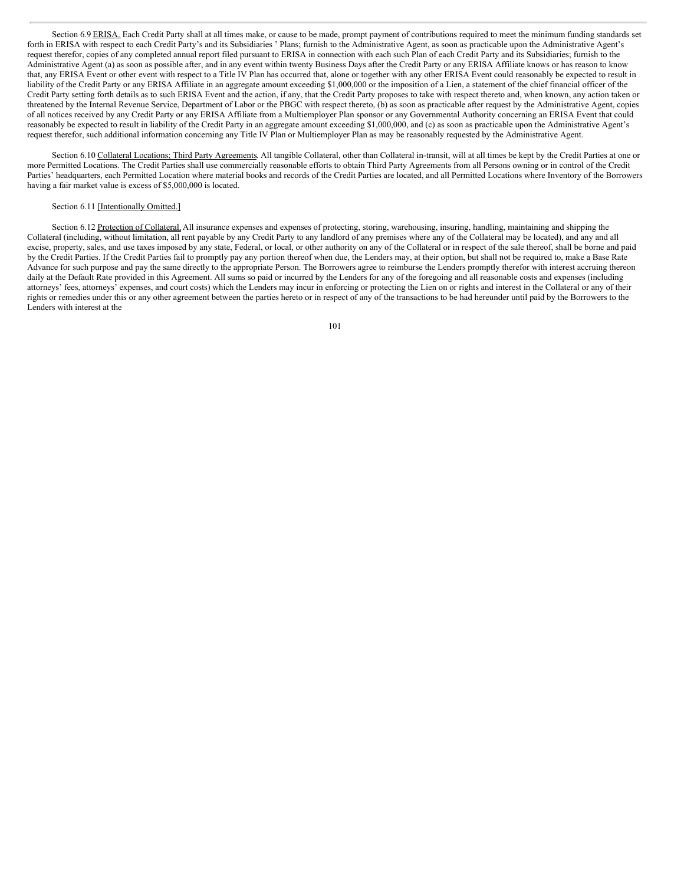Section 6.9 ERISA. Each Credit Party shall at all times make, or cause to be made, prompt payment of contributions required to meet the minimum funding standards set forth in ERISA with respect to each Credit Party's and its Subsidiaries ' Plans; furnish to the Administrative Agent, as soon as practicable upon the Administrative Agent's request therefor, copies of any completed annual report filed pursuant to ERISA in connection with each such Plan of each Credit Party and its Subsidiaries; furnish to the Administrative Agent (a) as soon as possible after, and in any event within twenty Business Days after the Credit Party or any ERISA Affiliate knows or has reason to know that, any ERISA Event or other event with respect to a Title IV Plan has occurred that, alone or together with any other ERISA Event could reasonably be expected to result in liability of the Credit Party or any ERISA Affiliate in an aggregate amount exceeding \$1,000,000 or the imposition of a Lien, a statement of the chief financial officer of the Credit Party setting forth details as to such ERISA Event and the action, if any, that the Credit Party proposes to take with respect thereto and, when known, any action taken or threatened by the Internal Revenue Service, Department of Labor or the PBGC with respect thereto, (b) as soon as practicable after request by the Administrative Agent, copies of all notices received by any Credit Party or any ERISA Affiliate from a Multiemployer Plan sponsor or any Governmental Authority concerning an ERISA Event that could reasonably be expected to result in liability of the Credit Party in an aggregate amount exceeding \$1,000,000, and (c) as soon as practicable upon the Administrative Agent's request therefor, such additional information concerning any Title IV Plan or Multiemployer Plan as may be reasonably requested by the Administrative Agent.

Section 6.10 Collateral Locations; Third Party Agreements. All tangible Collateral, other than Collateral in-transit, will at all times be kept by the Credit Parties at one or more Permitted Locations. The Credit Parties shall use commercially reasonable efforts to obtain Third Party Agreements from all Persons owning or in control of the Credit Parties' headquarters, each Permitted Location where material books and records of the Credit Parties are located, and all Permitted Locations where Inventory of the Borrowers having a fair market value is excess of \$5,000,000 is located.

### Section 6.11 [Intentionally Omitted.]

Section 6.12 Protection of Collateral. All insurance expenses and expenses of protecting, storing, warehousing, insuring, handling, maintaining and shipping the Collateral (including, without limitation, all rent payable by any Credit Party to any landlord of any premises where any of the Collateral may be located), and any and all excise, property, sales, and use taxes imposed by any state, Federal, or local, or other authority on any of the Collateral or in respect of the sale thereof, shall be borne and paid by the Credit Parties. If the Credit Parties fail to promptly pay any portion thereof when due, the Lenders may, at their option, but shall not be required to, make a Base Rate Advance for such purpose and pay the same directly to the appropriate Person. The Borrowers agree to reimburse the Lenders promptly therefor with interest accruing thereon daily at the Default Rate provided in this Agreement. All sums so paid or incurred by the Lenders for any of the foregoing and all reasonable costs and expenses (including attorneys' fees, attorneys' expenses, and court costs) which the Lenders may incur in enforcing or protecting the Lien on or rights and interest in the Collateral or any of their rights or remedies under this or any other agreement between the parties hereto or in respect of any of the transactions to be had hereunder until paid by the Borrowers to the Lenders with interest at the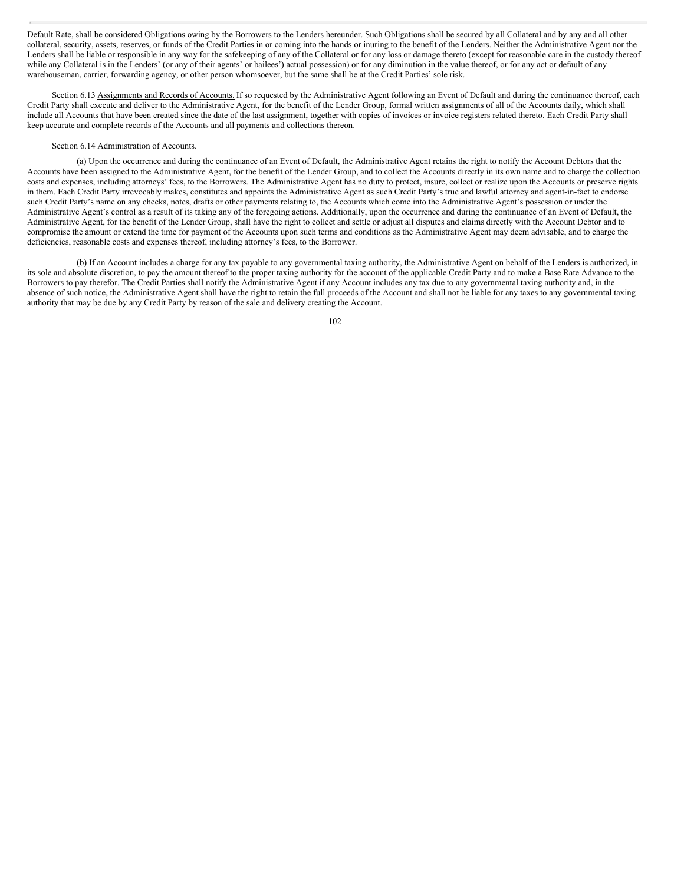Default Rate, shall be considered Obligations owing by the Borrowers to the Lenders hereunder. Such Obligations shall be secured by all Collateral and by any and all other collateral, security, assets, reserves, or funds of the Credit Parties in or coming into the hands or inuring to the benefit of the Lenders. Neither the Administrative Agent nor the Lenders shall be liable or responsible in any way for the safekeeping of any of the Collateral or for any loss or damage thereto (except for reasonable care in the custody thereof while any Collateral is in the Lenders' (or any of their agents' or bailees') actual possession) or for any diminution in the value thereof, or for any act or default of any warehouseman, carrier, forwarding agency, or other person whomsoever, but the same shall be at the Credit Parties' sole risk.

Section 6.13 Assignments and Records of Accounts. If so requested by the Administrative Agent following an Event of Default and during the continuance thereof, each Credit Party shall execute and deliver to the Administrative Agent, for the benefit of the Lender Group, formal written assignments of all of the Accounts daily, which shall include all Accounts that have been created since the date of the last assignment, together with copies of invoices or invoice registers related thereto. Each Credit Party shall keep accurate and complete records of the Accounts and all payments and collections thereon.

#### Section 6.14 Administration of Accounts.

(a) Upon the occurrence and during the continuance of an Event of Default, the Administrative Agent retains the right to notify the Account Debtors that the Accounts have been assigned to the Administrative Agent, for the benefit of the Lender Group, and to collect the Accounts directly in its own name and to charge the collection costs and expenses, including attorneys' fees, to the Borrowers. The Administrative Agent has no duty to protect, insure, collect or realize upon the Accounts or preserve rights in them. Each Credit Party irrevocably makes, constitutes and appoints the Administrative Agent as such Credit Party's true and lawful attorney and agent-in-fact to endorse such Credit Party's name on any checks, notes, drafts or other payments relating to, the Accounts which come into the Administrative Agent's possession or under the Administrative Agent's control as a result of its taking any of the foregoing actions. Additionally, upon the occurrence and during the continuance of an Event of Default, the Administrative Agent, for the benefit of the Lender Group, shall have the right to collect and settle or adjust all disputes and claims directly with the Account Debtor and to compromise the amount or extend the time for payment of the Accounts upon such terms and conditions as the Administrative Agent may deem advisable, and to charge the deficiencies, reasonable costs and expenses thereof, including attorney's fees, to the Borrower.

(b) If an Account includes a charge for any tax payable to any governmental taxing authority, the Administrative Agent on behalf of the Lenders is authorized, in its sole and absolute discretion, to pay the amount thereof to the proper taxing authority for the account of the applicable Credit Party and to make a Base Rate Advance to the Borrowers to pay therefor. The Credit Parties shall notify the Administrative Agent if any Account includes any tax due to any governmental taxing authority and, in the absence of such notice, the Administrative Agent shall have the right to retain the full proceeds of the Account and shall not be liable for any taxes to any governmental taxing authority that may be due by any Credit Party by reason of the sale and delivery creating the Account.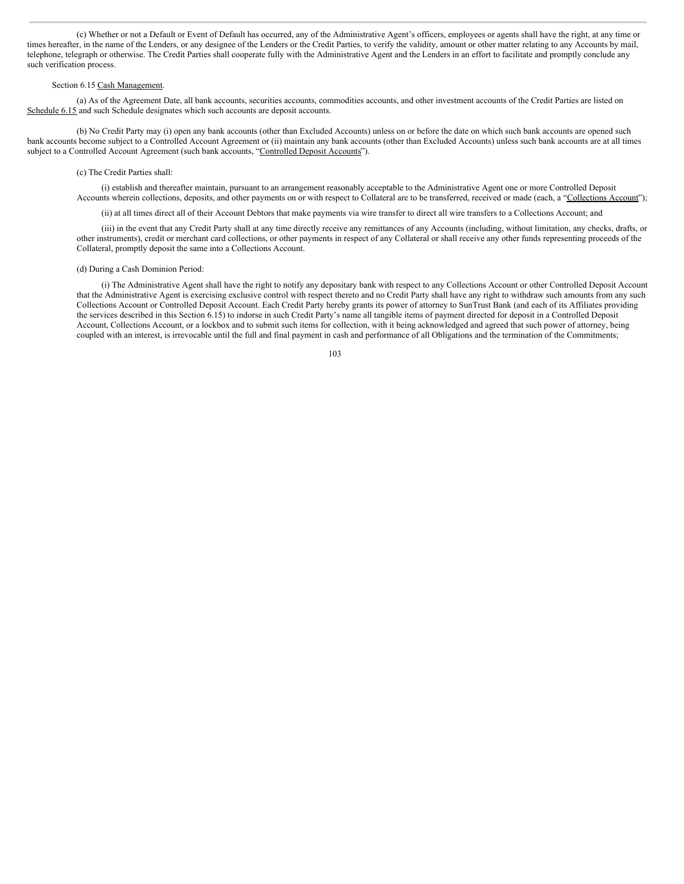(c) Whether or not a Default or Event of Default has occurred, any of the Administrative Agent's officers, employees or agents shall have the right, at any time or times hereafter, in the name of the Lenders, or any designee of the Lenders or the Credit Parties, to verify the validity, amount or other matter relating to any Accounts by mail, telephone, telegraph or otherwise. The Credit Parties shall cooperate fully with the Administrative Agent and the Lenders in an effort to facilitate and promptly conclude any such verification process.

## Section 6.15 Cash Management.

(a) As of the Agreement Date, all bank accounts, securities accounts, commodities accounts, and other investment accounts of the Credit Parties are listed on Schedule 6.15 and such Schedule designates which such accounts are deposit accounts.

(b) No Credit Party may (i) open any bank accounts (other than Excluded Accounts) unless on or before the date on which such bank accounts are opened such bank accounts become subject to a Controlled Account Agreement or (ii) maintain any bank accounts (other than Excluded Accounts) unless such bank accounts are at all times subject to a Controlled Account Agreement (such bank accounts, "Controlled Deposit Accounts").

### (c) The Credit Parties shall:

(i) establish and thereafter maintain, pursuant to an arrangement reasonably acceptable to the Administrative Agent one or more Controlled Deposit Accounts wherein collections, deposits, and other payments on or with respect to Collateral are to be transferred, received or made (each, a "Collections Account");

(ii) at all times direct all of their Account Debtors that make payments via wire transfer to direct all wire transfers to a Collections Account; and

(iii) in the event that any Credit Party shall at any time directly receive any remittances of any Accounts (including, without limitation, any checks, drafts, or other instruments), credit or merchant card collections, or other payments in respect of any Collateral or shall receive any other funds representing proceeds of the Collateral, promptly deposit the same into a Collections Account.

## (d) During a Cash Dominion Period:

(i) The Administrative Agent shall have the right to notify any depositary bank with respect to any Collections Account or other Controlled Deposit Account that the Administrative Agent is exercising exclusive control with respect thereto and no Credit Party shall have any right to withdraw such amounts from any such Collections Account or Controlled Deposit Account. Each Credit Party hereby grants its power of attorney to SunTrust Bank (and each of its Affiliates providing the services described in this Section 6.15) to indorse in such Credit Party's name all tangible items of payment directed for deposit in a Controlled Deposit Account, Collections Account, or a lockbox and to submit such items for collection, with it being acknowledged and agreed that such power of attorney, being coupled with an interest, is irrevocable until the full and final payment in cash and performance of all Obligations and the termination of the Commitments;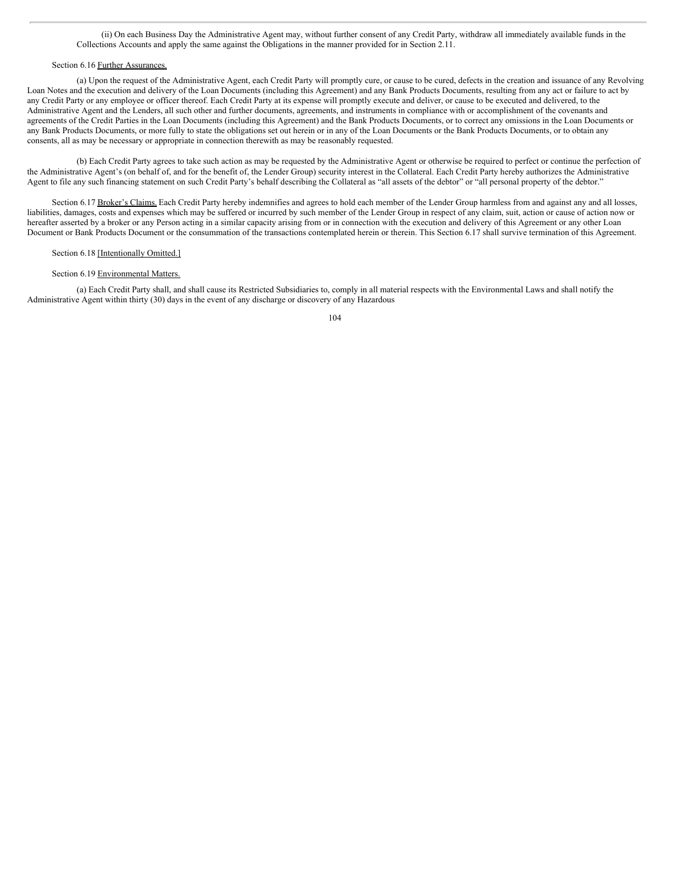(ii) On each Business Day the Administrative Agent may, without further consent of any Credit Party, withdraw all immediately available funds in the Collections Accounts and apply the same against the Obligations in the manner provided for in Section 2.11.

### Section 6.16 Further Assurances.

(a) Upon the request of the Administrative Agent, each Credit Party will promptly cure, or cause to be cured, defects in the creation and issuance of any Revolving Loan Notes and the execution and delivery of the Loan Documents (including this Agreement) and any Bank Products Documents, resulting from any act or failure to act by any Credit Party or any employee or officer thereof. Each Credit Party at its expense will promptly execute and deliver, or cause to be executed and delivered, to the Administrative Agent and the Lenders, all such other and further documents, agreements, and instruments in compliance with or accomplishment of the covenants and agreements of the Credit Parties in the Loan Documents (including this Agreement) and the Bank Products Documents, or to correct any omissions in the Loan Documents or any Bank Products Documents, or more fully to state the obligations set out herein or in any of the Loan Documents or the Bank Products Documents, or to obtain any consents, all as may be necessary or appropriate in connection therewith as may be reasonably requested.

(b) Each Credit Party agrees to take such action as may be requested by the Administrative Agent or otherwise be required to perfect or continue the perfection of the Administrative Agent's (on behalf of, and for the benefit of, the Lender Group) security interest in the Collateral. Each Credit Party hereby authorizes the Administrative Agent to file any such financing statement on such Credit Party's behalf describing the Collateral as "all assets of the debtor" or "all personal property of the debtor."

Section 6.17 Broker's Claims. Each Credit Party hereby indemnifies and agrees to hold each member of the Lender Group harmless from and against any and all losses, liabilities, damages, costs and expenses which may be suffered or incurred by such member of the Lender Group in respect of any claim, suit, action or cause of action now or hereafter asserted by a broker or any Person acting in a similar capacity arising from or in connection with the execution and delivery of this Agreement or any other Loan Document or Bank Products Document or the consummation of the transactions contemplated herein or therein. This Section 6.17 shall survive termination of this Agreement.

## Section 6.18 [Intentionally Omitted.]

## Section 6.19 Environmental Matters.

(a) Each Credit Party shall, and shall cause its Restricted Subsidiaries to, comply in all material respects with the Environmental Laws and shall notify the Administrative Agent within thirty (30) days in the event of any discharge or discovery of any Hazardous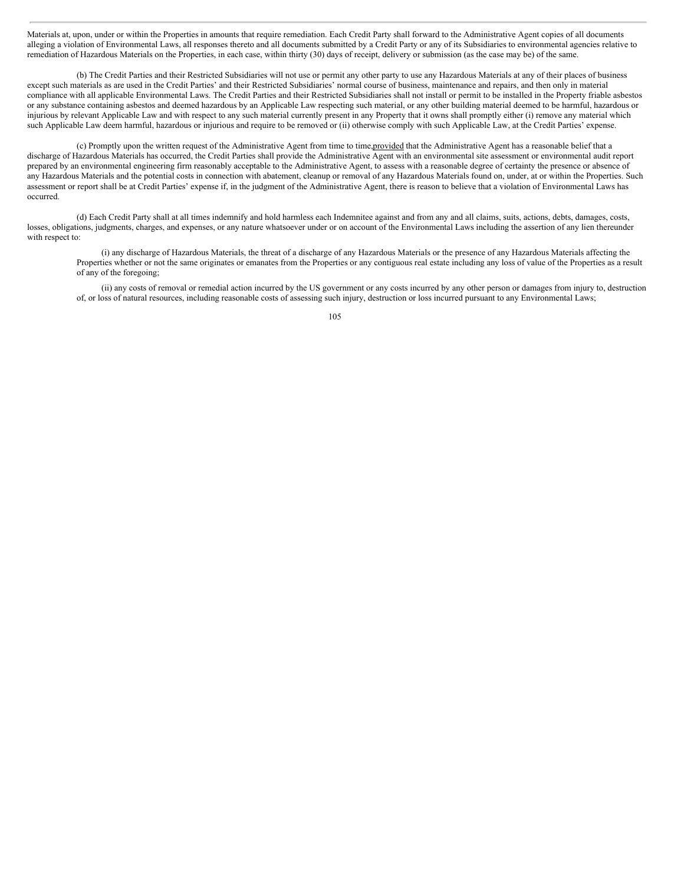Materials at, upon, under or within the Properties in amounts that require remediation. Each Credit Party shall forward to the Administrative Agent copies of all documents alleging a violation of Environmental Laws, all responses thereto and all documents submitted by a Credit Party or any of its Subsidiaries to environmental agencies relative to remediation of Hazardous Materials on the Properties, in each case, within thirty (30) days of receipt, delivery or submission (as the case may be) of the same.

(b) The Credit Parties and their Restricted Subsidiaries will not use or permit any other party to use any Hazardous Materials at any of their places of business except such materials as are used in the Credit Parties' and their Restricted Subsidiaries' normal course of business, maintenance and repairs, and then only in material compliance with all applicable Environmental Laws. The Credit Parties and their Restricted Subsidiaries shall not install or permit to be installed in the Property friable asbestos or any substance containing asbestos and deemed hazardous by an Applicable Law respecting such material, or any other building material deemed to be harmful, hazardous or injurious by relevant Applicable Law and with respect to any such material currently present in any Property that it owns shall promptly either (i) remove any material which such Applicable Law deem harmful, hazardous or injurious and require to be removed or (ii) otherwise comply with such Applicable Law, at the Credit Parties' expense.

(c) Promptly upon the written request of the Administrative Agent from time to time,provided that the Administrative Agent has a reasonable belief that a discharge of Hazardous Materials has occurred, the Credit Parties shall provide the Administrative Agent with an environmental site assessment or environmental audit report prepared by an environmental engineering firm reasonably acceptable to the Administrative Agent, to assess with a reasonable degree of certainty the presence or absence of any Hazardous Materials and the potential costs in connection with abatement, cleanup or removal of any Hazardous Materials found on, under, at or within the Properties. Such assessment or report shall be at Credit Parties' expense if, in the judgment of the Administrative Agent, there is reason to believe that a violation of Environmental Laws has occurred.

(d) Each Credit Party shall at all times indemnify and hold harmless each Indemnitee against and from any and all claims, suits, actions, debts, damages, costs, losses, obligations, judgments, charges, and expenses, or any nature whatsoever under or on account of the Environmental Laws including the assertion of any lien thereunder with respect to:

(i) any discharge of Hazardous Materials, the threat of a discharge of any Hazardous Materials or the presence of any Hazardous Materials affecting the Properties whether or not the same originates or emanates from the Properties or any contiguous real estate including any loss of value of the Properties as a result of any of the foregoing;

(ii) any costs of removal or remedial action incurred by the US government or any costs incurred by any other person or damages from injury to, destruction of, or loss of natural resources, including reasonable costs of assessing such injury, destruction or loss incurred pursuant to any Environmental Laws;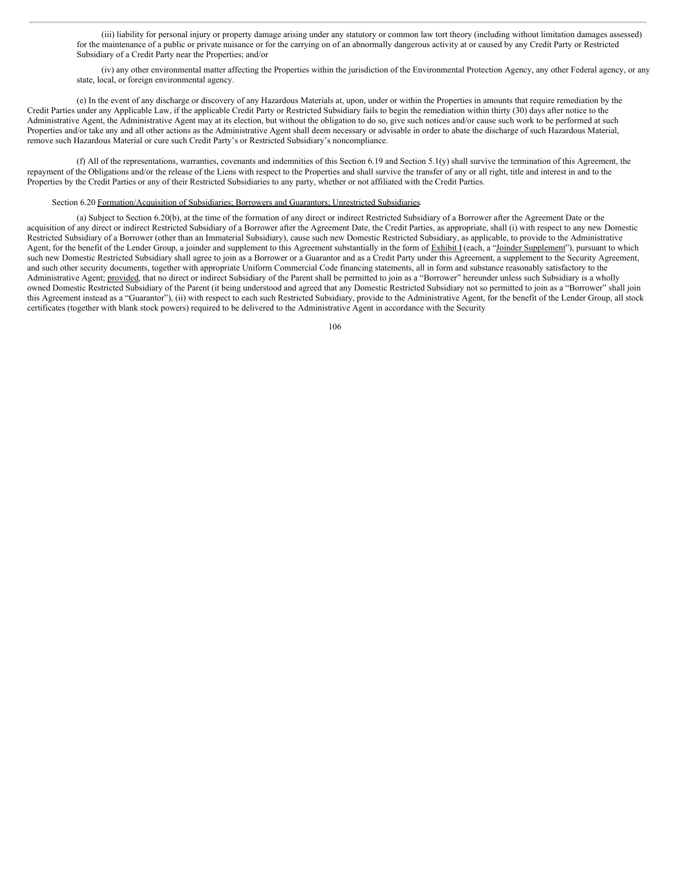(iii) liability for personal injury or property damage arising under any statutory or common law tort theory (including without limitation damages assessed) for the maintenance of a public or private nuisance or for the carrying on of an abnormally dangerous activity at or caused by any Credit Party or Restricted Subsidiary of a Credit Party near the Properties; and/or

(iv) any other environmental matter affecting the Properties within the jurisdiction of the Environmental Protection Agency, any other Federal agency, or any state, local, or foreign environmental agency.

(e) In the event of any discharge or discovery of any Hazardous Materials at, upon, under or within the Properties in amounts that require remediation by the Credit Parties under any Applicable Law, if the applicable Credit Party or Restricted Subsidiary fails to begin the remediation within thirty (30) days after notice to the Administrative Agent, the Administrative Agent may at its election, but without the obligation to do so, give such notices and/or cause such work to be performed at such Properties and/or take any and all other actions as the Administrative Agent shall deem necessary or advisable in order to abate the discharge of such Hazardous Material, remove such Hazardous Material or cure such Credit Party's or Restricted Subsidiary's noncompliance.

(f) All of the representations, warranties, covenants and indemnities of this Section 6.19 and Section 5.1(y) shall survive the termination of this Agreement, the repayment of the Obligations and/or the release of the Liens with respect to the Properties and shall survive the transfer of any or all right, title and interest in and to the Properties by the Credit Parties or any of their Restricted Subsidiaries to any party, whether or not affiliated with the Credit Parties.

#### Section 6.20 Formation/Acquisition of Subsidiaries; Borrowers and Guarantors; Unrestricted Subsidiaries.

(a) Subject to Section 6.20(b), at the time of the formation of any direct or indirect Restricted Subsidiary of a Borrower after the Agreement Date or the acquisition of any direct or indirect Restricted Subsidiary of a Borrower after the Agreement Date, the Credit Parties, as appropriate, shall (i) with respect to any new Domestic Restricted Subsidiary of a Borrower (other than an Immaterial Subsidiary), cause such new Domestic Restricted Subsidiary, as applicable, to provide to the Administrative Agent, for the benefit of the Lender Group, a joinder and supplement to this Agreement substantially in the form of Exhibit I (each, a "Joinder Supplement"), pursuant to which such new Domestic Restricted Subsidiary shall agree to join as a Borrower or a Guarantor and as a Credit Party under this Agreement, a supplement to the Security Agreement, and such other security documents, together with appropriate Uniform Commercial Code financing statements, all in form and substance reasonably satisfactory to the Administrative Agent; provided, that no direct or indirect Subsidiary of the Parent shall be permitted to join as a "Borrower" hereunder unless such Subsidiary is a wholly owned Domestic Restricted Subsidiary of the Parent (it being understood and agreed that any Domestic Restricted Subsidiary not so permitted to join as a "Borrower" shall join this Agreement instead as a "Guarantor"), (ii) with respect to each such Restricted Subsidiary, provide to the Administrative Agent, for the benefit of the Lender Group, all stock certificates (together with blank stock powers) required to be delivered to the Administrative Agent in accordance with the Security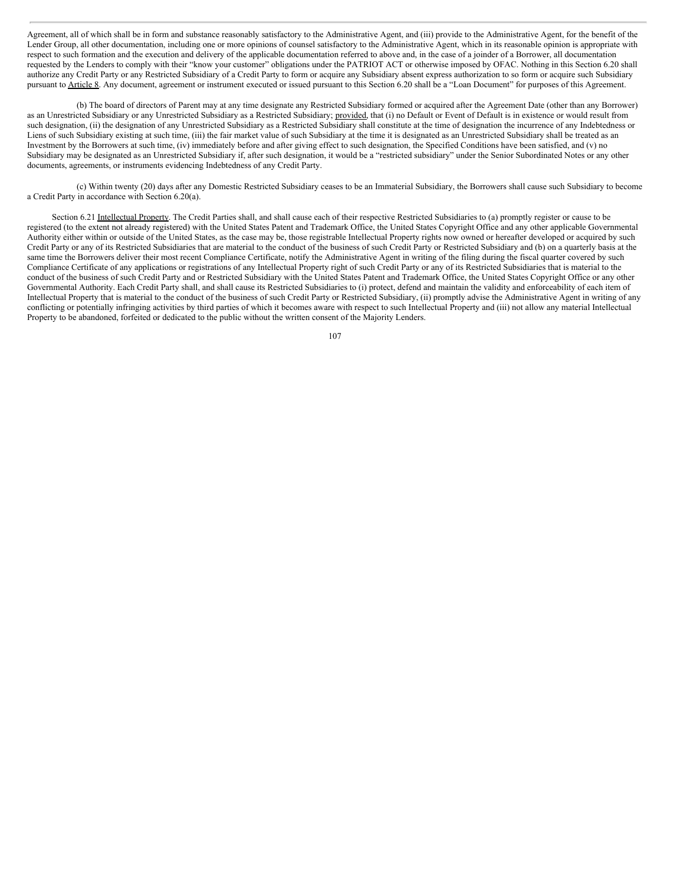Agreement, all of which shall be in form and substance reasonably satisfactory to the Administrative Agent, and (iii) provide to the Administrative Agent, for the benefit of the Lender Group, all other documentation, including one or more opinions of counsel satisfactory to the Administrative Agent, which in its reasonable opinion is appropriate with respect to such formation and the execution and delivery of the applicable documentation referred to above and, in the case of a joinder of a Borrower, all documentation requested by the Lenders to comply with their "know your customer" obligations under the PATRIOT ACT or otherwise imposed by OFAC. Nothing in this Section 6.20 shall authorize any Credit Party or any Restricted Subsidiary of a Credit Party to form or acquire any Subsidiary absent express authorization to so form or acquire such Subsidiary pursuant to Article 8. Any document, agreement or instrument executed or issued pursuant to this Section 6.20 shall be a "Loan Document" for purposes of this Agreement.

(b) The board of directors of Parent may at any time designate any Restricted Subsidiary formed or acquired after the Agreement Date (other than any Borrower) as an Unrestricted Subsidiary or any Unrestricted Subsidiary as a Restricted Subsidiary; provided, that (i) no Default or Event of Default is in existence or would result from such designation, (ii) the designation of any Unrestricted Subsidiary as a Restricted Subsidiary shall constitute at the time of designation the incurrence of any Indebtedness or Liens of such Subsidiary existing at such time, (iii) the fair market value of such Subsidiary at the time it is designated as an Unrestricted Subsidiary shall be treated as an Investment by the Borrowers at such time, (iv) immediately before and after giving effect to such designation, the Specified Conditions have been satisfied, and (v) no Subsidiary may be designated as an Unrestricted Subsidiary if, after such designation, it would be a "restricted subsidiary" under the Senior Subordinated Notes or any other documents, agreements, or instruments evidencing Indebtedness of any Credit Party.

(c) Within twenty (20) days after any Domestic Restricted Subsidiary ceases to be an Immaterial Subsidiary, the Borrowers shall cause such Subsidiary to become a Credit Party in accordance with Section 6.20(a).

Section 6.21 Intellectual Property. The Credit Parties shall, and shall cause each of their respective Restricted Subsidiaries to (a) promptly register or cause to be registered (to the extent not already registered) with the United States Patent and Trademark Office, the United States Copyright Office and any other applicable Governmental Authority either within or outside of the United States, as the case may be, those registrable Intellectual Property rights now owned or hereafter developed or acquired by such Credit Party or any of its Restricted Subsidiaries that are material to the conduct of the business of such Credit Party or Restricted Subsidiary and (b) on a quarterly basis at the same time the Borrowers deliver their most recent Compliance Certificate, notify the Administrative Agent in writing of the filing during the fiscal quarter covered by such Compliance Certificate of any applications or registrations of any Intellectual Property right of such Credit Party or any of its Restricted Subsidiaries that is material to the conduct of the business of such Credit Party and or Restricted Subsidiary with the United States Patent and Trademark Office, the United States Copyright Office or any other Governmental Authority. Each Credit Party shall, and shall cause its Restricted Subsidiaries to (i) protect, defend and maintain the validity and enforceability of each item of Intellectual Property that is material to the conduct of the business of such Credit Party or Restricted Subsidiary, (ii) promptly advise the Administrative Agent in writing of any conflicting or potentially infringing activities by third parties of which it becomes aware with respect to such Intellectual Property and (iii) not allow any material Intellectual Property to be abandoned, forfeited or dedicated to the public without the written consent of the Majority Lenders.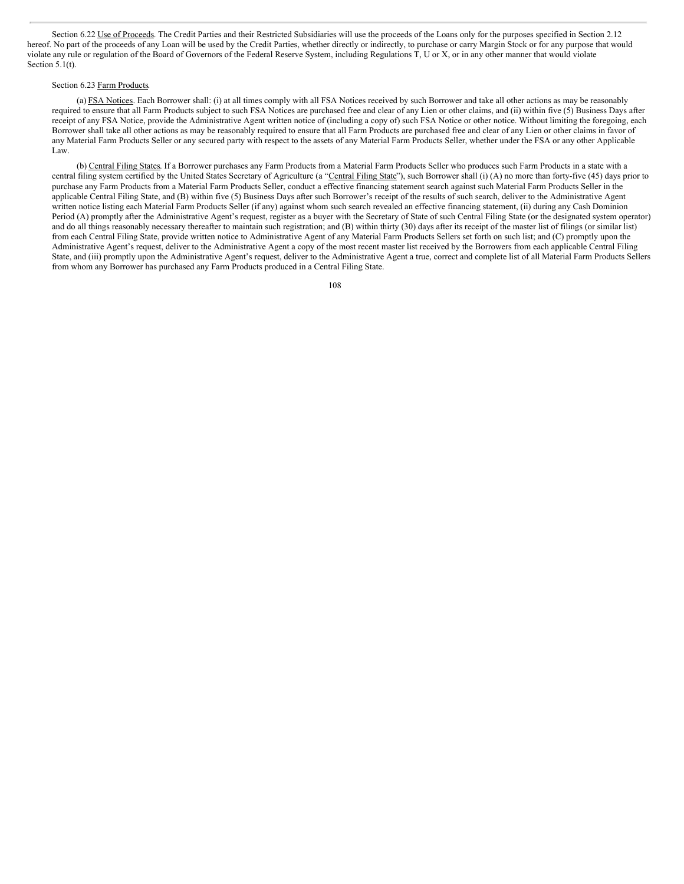Section 6.22 Use of Proceeds. The Credit Parties and their Restricted Subsidiaries will use the proceeds of the Loans only for the purposes specified in Section 2.12 hereof. No part of the proceeds of any Loan will be used by the Credit Parties, whether directly or indirectly, to purchase or carry Margin Stock or for any purpose that would violate any rule or regulation of the Board of Governors of the Federal Reserve System, including Regulations T, U or X, or in any other manner that would violate Section 5.1(t).

#### Section 6.23 Farm Products.

(a) FSA Notices. Each Borrower shall: (i) at all times comply with all FSA Notices received by such Borrower and take all other actions as may be reasonably required to ensure that all Farm Products subject to such FSA Notices are purchased free and clear of any Lien or other claims, and (ii) within five (5) Business Days after receipt of any FSA Notice, provide the Administrative Agent written notice of (including a copy of) such FSA Notice or other notice. Without limiting the foregoing, each Borrower shall take all other actions as may be reasonably required to ensure that all Farm Products are purchased free and clear of any Lien or other claims in favor of any Material Farm Products Seller or any secured party with respect to the assets of any Material Farm Products Seller, whether under the FSA or any other Applicable Law.

(b) Central Filing States. If a Borrower purchases any Farm Products from a Material Farm Products Seller who produces such Farm Products in a state with a central filing system certified by the United States Secretary of Agriculture (a "Central Filing State"), such Borrower shall (i) (A) no more than forty-five (45) days prior to purchase any Farm Products from a Material Farm Products Seller, conduct a effective financing statement search against such Material Farm Products Seller in the applicable Central Filing State, and (B) within five (5) Business Days after such Borrower's receipt of the results of such search, deliver to the Administrative Agent written notice listing each Material Farm Products Seller (if any) against whom such search revealed an effective financing statement, (ii) during any Cash Dominion Period (A) promptly after the Administrative Agent's request, register as a buyer with the Secretary of State of such Central Filing State (or the designated system operator) and do all things reasonably necessary thereafter to maintain such registration; and (B) within thirty (30) days after its receipt of the master list of filings (or similar list) from each Central Filing State, provide written notice to Administrative Agent of any Material Farm Products Sellers set forth on such list; and (C) promptly upon the Administrative Agent's request, deliver to the Administrative Agent a copy of the most recent master list received by the Borrowers from each applicable Central Filing State, and (iii) promptly upon the Administrative Agent's request, deliver to the Administrative Agent a true, correct and complete list of all Material Farm Products Sellers from whom any Borrower has purchased any Farm Products produced in a Central Filing State.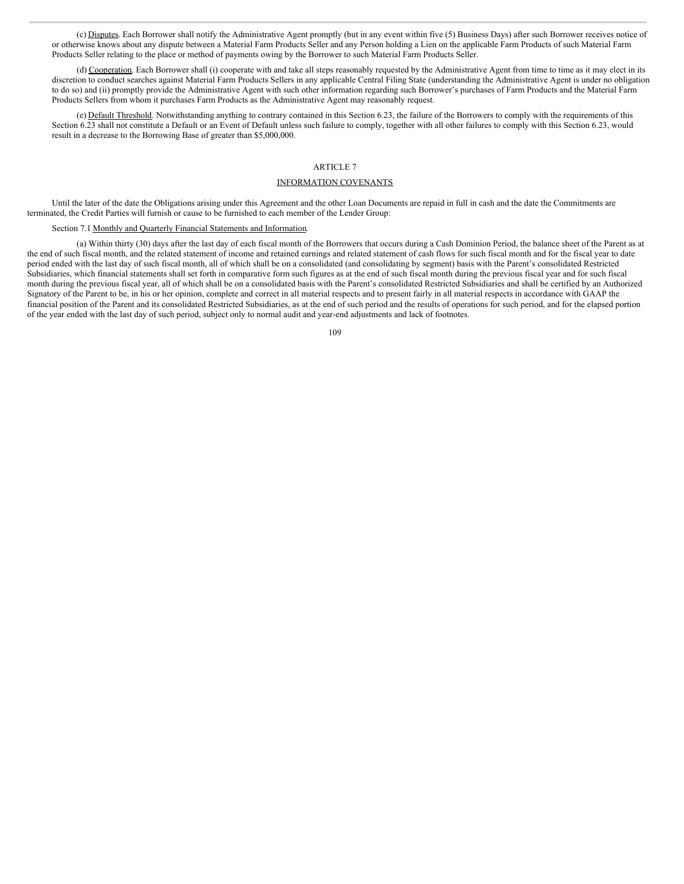(c) Disputes. Each Borrower shall notify the Administrative Agent promptly (but in any event within five (5) Business Days) after such Borrower receives notice of or otherwise knows about any dispute between a Material Farm Products Seller and any Person holding a Lien on the applicable Farm Products of such Material Farm Products Seller relating to the place or method of payments owing by the Borrower to such Material Farm Products Seller.

(d) Cooperation. Each Borrower shall (i) cooperate with and take all steps reasonably requested by the Administrative Agent from time to time as it may elect in its discretion to conduct searches against Material Farm Products Sellers in any applicable Central Filing State (understanding the Administrative Agent is under no obligation to do so) and (ii) promptly provide the Administrative Agent with such other information regarding such Borrower's purchases of Farm Products and the Material Farm Products Sellers from whom it purchases Farm Products as the Administrative Agent may reasonably request.

(e) Default Threshold. Notwithstanding anything to contrary contained in this Section 6.23, the failure of the Borrowers to comply with the requirements of this Section 6.23 shall not constitute a Default or an Event of Default unless such failure to comply, together with all other failures to comply with this Section 6.23, would result in a decrease to the Borrowing Base of greater than \$5,000,000.

# ARTICLE 7

### INFORMATION COVENANTS

Until the later of the date the Obligations arising under this Agreement and the other Loan Documents are repaid in full in cash and the date the Commitments are terminated, the Credit Parties will furnish or cause to be furnished to each member of the Lender Group:

### Section 7.1 Monthly and Quarterly Financial Statements and Information.

(a) Within thirty (30) days after the last day of each fiscal month of the Borrowers that occurs during a Cash Dominion Period, the balance sheet of the Parent as at the end of such fiscal month, and the related statement of income and retained earnings and related statement of cash flows for such fiscal month and for the fiscal year to date period ended with the last day of such fiscal month, all of which shall be on a consolidated (and consolidating by segment) basis with the Parent's consolidated Restricted Subsidiaries, which financial statements shall set forth in comparative form such figures as at the end of such fiscal month during the previous fiscal year and for such fiscal month during the previous fiscal year, all of which shall be on a consolidated basis with the Parent's consolidated Restricted Subsidiaries and shall be certified by an Authorized Signatory of the Parent to be, in his or her opinion, complete and correct in all material respects and to present fairly in all material respects in accordance with GAAP the financial position of the Parent and its consolidated Restricted Subsidiaries, as at the end of such period and the results of operations for such period, and for the elapsed portion of the year ended with the last day of such period, subject only to normal audit and year-end adjustments and lack of footnotes.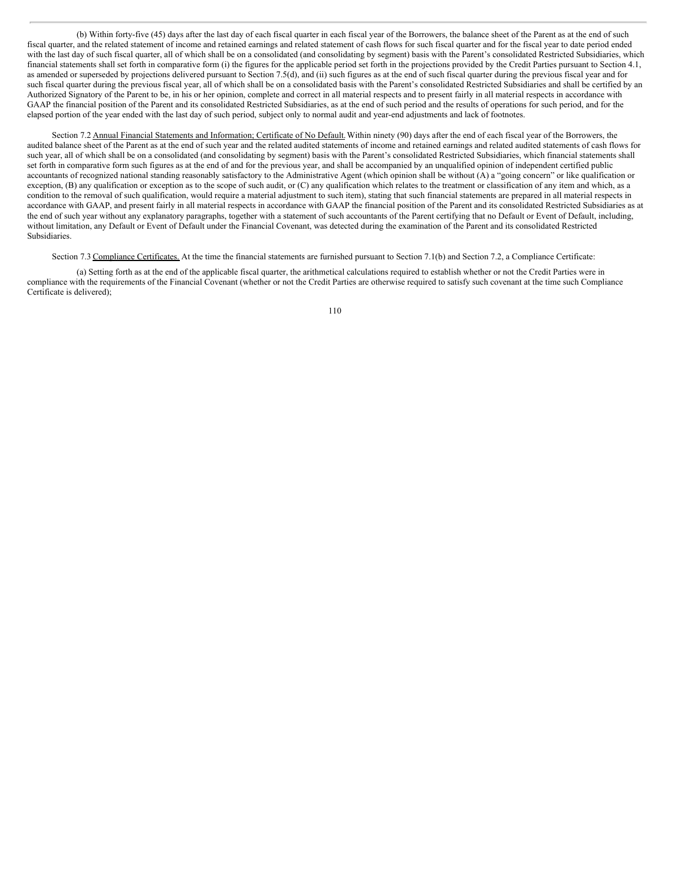(b) Within forty-five (45) days after the last day of each fiscal quarter in each fiscal year of the Borrowers, the balance sheet of the Parent as at the end of such fiscal quarter, and the related statement of income and retained earnings and related statement of cash flows for such fiscal quarter and for the fiscal year to date period ended with the last day of such fiscal quarter, all of which shall be on a consolidated (and consolidating by segment) basis with the Parent's consolidated Restricted Subsidiaries, which financial statements shall set forth in comparative form (i) the figures for the applicable period set forth in the projections provided by the Credit Parties pursuant to Section 4.1, as amended or superseded by projections delivered pursuant to Section 7.5(d), and (ii) such figures as at the end of such fiscal quarter during the previous fiscal year and for such fiscal quarter during the previous fiscal year, all of which shall be on a consolidated basis with the Parent's consolidated Restricted Subsidiaries and shall be certified by an Authorized Signatory of the Parent to be, in his or her opinion, complete and correct in all material respects and to present fairly in all material respects in accordance with GAAP the financial position of the Parent and its consolidated Restricted Subsidiaries, as at the end of such period and the results of operations for such period, and for the elapsed portion of the year ended with the last day of such period, subject only to normal audit and year-end adjustments and lack of footnotes.

Section 7.2 Annual Financial Statements and Information; Certificate of No Default. Within ninety (90) days after the end of each fiscal year of the Borrowers, the audited balance sheet of the Parent as at the end of such year and the related audited statements of income and retained earnings and related audited statements of cash flows for such year, all of which shall be on a consolidated (and consolidating by segment) basis with the Parent's consolidated Restricted Subsidiaries, which financial statements shall set forth in comparative form such figures as at the end of and for the previous year, and shall be accompanied by an unqualified opinion of independent certified public accountants of recognized national standing reasonably satisfactory to the Administrative Agent (which opinion shall be without (A) a "going concern" or like qualification or exception, (B) any qualification or exception as to the scope of such audit, or (C) any qualification which relates to the treatment or classification of any item and which, as a condition to the removal of such qualification, would require a material adjustment to such item), stating that such financial statements are prepared in all material respects in accordance with GAAP, and present fairly in all material respects in accordance with GAAP the financial position of the Parent and its consolidated Restricted Subsidiaries as at the end of such year without any explanatory paragraphs, together with a statement of such accountants of the Parent certifying that no Default or Event of Default, including, without limitation, any Default or Event of Default under the Financial Covenant, was detected during the examination of the Parent and its consolidated Restricted Subsidiaries.

Section 7.3 Compliance Certificates. At the time the financial statements are furnished pursuant to Section 7.1(b) and Section 7.2, a Compliance Certificate:

(a) Setting forth as at the end of the applicable fiscal quarter, the arithmetical calculations required to establish whether or not the Credit Parties were in compliance with the requirements of the Financial Covenant (whether or not the Credit Parties are otherwise required to satisfy such covenant at the time such Compliance Certificate is delivered);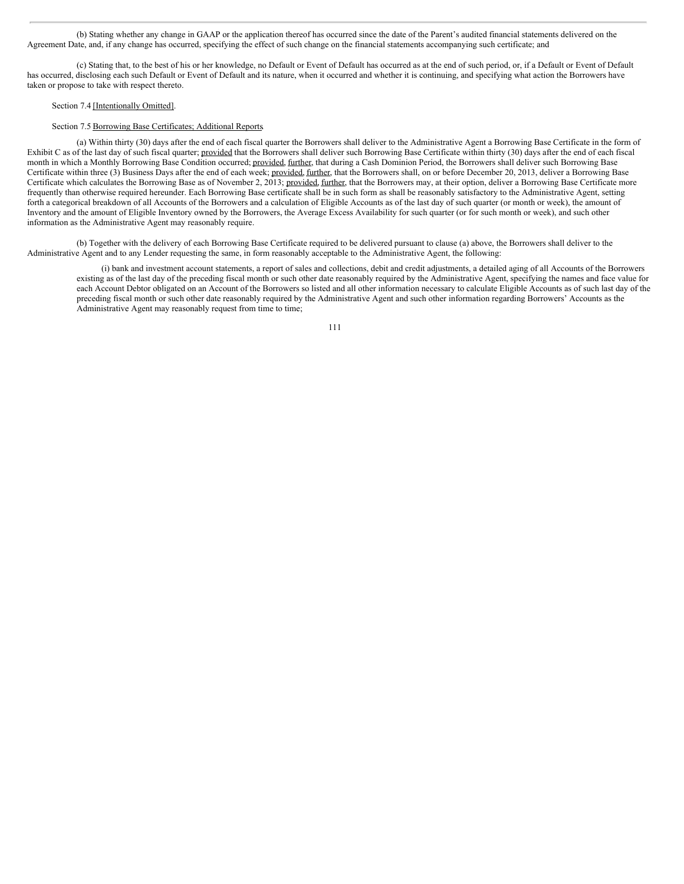(b) Stating whether any change in GAAP or the application thereof has occurred since the date of the Parent's audited financial statements delivered on the Agreement Date, and, if any change has occurred, specifying the effect of such change on the financial statements accompanying such certificate; and

(c) Stating that, to the best of his or her knowledge, no Default or Event of Default has occurred as at the end of such period, or, if a Default or Event of Default has occurred, disclosing each such Default or Event of Default and its nature, when it occurred and whether it is continuing, and specifying what action the Borrowers have taken or propose to take with respect thereto.

### Section 7.4 [Intentionally Omitted].

# Section 7.5 Borrowing Base Certificates; Additional Reports.

(a) Within thirty (30) days after the end of each fiscal quarter the Borrowers shall deliver to the Administrative Agent a Borrowing Base Certificate in the form of Exhibit C as of the last day of such fiscal quarter; provided that the Borrowers shall deliver such Borrowing Base Certificate within thirty (30) days after the end of each fiscal month in which a Monthly Borrowing Base Condition occurred; provided, further, that during a Cash Dominion Period, the Borrowers shall deliver such Borrowing Base Certificate within three (3) Business Days after the end of each week; provided, further, that the Borrowers shall, on or before December 20, 2013, deliver a Borrowing Base Certificate which calculates the Borrowing Base as of November 2, 2013; provided, further, that the Borrowers may, at their option, deliver a Borrowing Base Certificate more frequently than otherwise required hereunder. Each Borrowing Base certificate shall be in such form as shall be reasonably satisfactory to the Administrative Agent, setting forth a categorical breakdown of all Accounts of the Borrowers and a calculation of Eligible Accounts as of the last day of such quarter (or month or week), the amount of Inventory and the amount of Eligible Inventory owned by the Borrowers, the Average Excess Availability for such quarter (or for such month or week), and such other information as the Administrative Agent may reasonably require.

(b) Together with the delivery of each Borrowing Base Certificate required to be delivered pursuant to clause (a) above, the Borrowers shall deliver to the Administrative Agent and to any Lender requesting the same, in form reasonably acceptable to the Administrative Agent, the following:

(i) bank and investment account statements, a report of sales and collections, debit and credit adjustments, a detailed aging of all Accounts of the Borrowers existing as of the last day of the preceding fiscal month or such other date reasonably required by the Administrative Agent, specifying the names and face value for each Account Debtor obligated on an Account of the Borrowers so listed and all other information necessary to calculate Eligible Accounts as of such last day of the preceding fiscal month or such other date reasonably required by the Administrative Agent and such other information regarding Borrowers' Accounts as the Administrative Agent may reasonably request from time to time;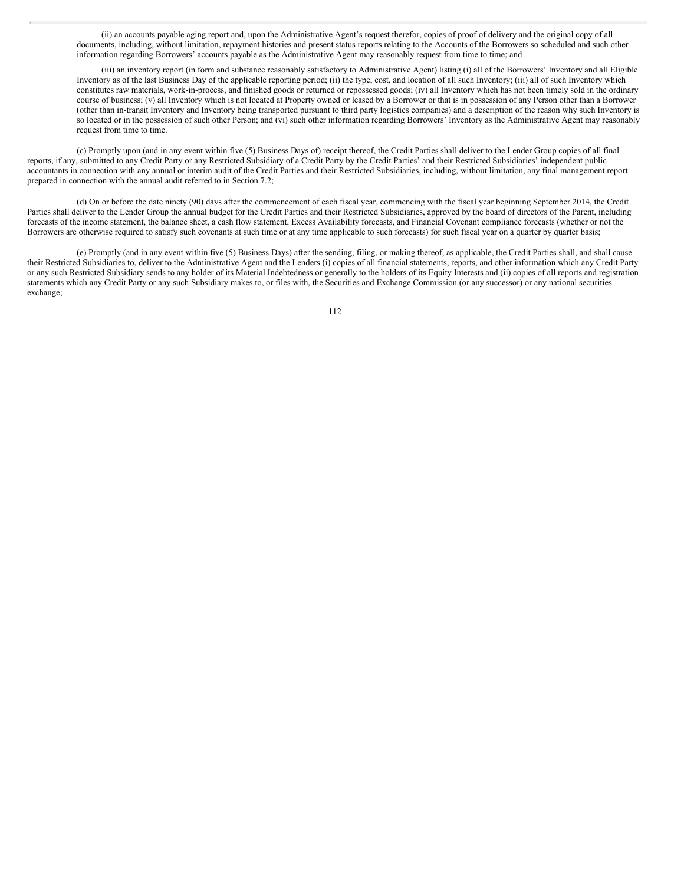(ii) an accounts payable aging report and, upon the Administrative Agent's request therefor, copies of proof of delivery and the original copy of all documents, including, without limitation, repayment histories and present status reports relating to the Accounts of the Borrowers so scheduled and such other information regarding Borrowers' accounts payable as the Administrative Agent may reasonably request from time to time; and

(iii) an inventory report (in form and substance reasonably satisfactory to Administrative Agent) listing (i) all of the Borrowers' Inventory and all Eligible Inventory as of the last Business Day of the applicable reporting period; (ii) the type, cost, and location of all such Inventory; (iii) all of such Inventory which constitutes raw materials, work-in-process, and finished goods or returned or repossessed goods; (iv) all Inventory which has not been timely sold in the ordinary course of business; (v) all Inventory which is not located at Property owned or leased by a Borrower or that is in possession of any Person other than a Borrower (other than in-transit Inventory and Inventory being transported pursuant to third party logistics companies) and a description of the reason why such Inventory is so located or in the possession of such other Person; and (vi) such other information regarding Borrowers' Inventory as the Administrative Agent may reasonably request from time to time.

(c) Promptly upon (and in any event within five (5) Business Days of) receipt thereof, the Credit Parties shall deliver to the Lender Group copies of all final reports, if any, submitted to any Credit Party or any Restricted Subsidiary of a Credit Party by the Credit Parties' and their Restricted Subsidiaries' independent public accountants in connection with any annual or interim audit of the Credit Parties and their Restricted Subsidiaries, including, without limitation, any final management report prepared in connection with the annual audit referred to in Section 7.2;

(d) On or before the date ninety (90) days after the commencement of each fiscal year, commencing with the fiscal year beginning September 2014, the Credit Parties shall deliver to the Lender Group the annual budget for the Credit Parties and their Restricted Subsidiaries, approved by the board of directors of the Parent, including forecasts of the income statement, the balance sheet, a cash flow statement, Excess Availability forecasts, and Financial Covenant compliance forecasts (whether or not the Borrowers are otherwise required to satisfy such covenants at such time or at any time applicable to such forecasts) for such fiscal year on a quarter by quarter basis;

(e) Promptly (and in any event within five (5) Business Days) after the sending, filing, or making thereof, as applicable, the Credit Parties shall, and shall cause their Restricted Subsidiaries to, deliver to the Administrative Agent and the Lenders (i) copies of all financial statements, reports, and other information which any Credit Party or any such Restricted Subsidiary sends to any holder of its Material Indebtedness or generally to the holders of its Equity Interests and (ii) copies of all reports and registration statements which any Credit Party or any such Subsidiary makes to, or files with, the Securities and Exchange Commission (or any successor) or any national securities exchange;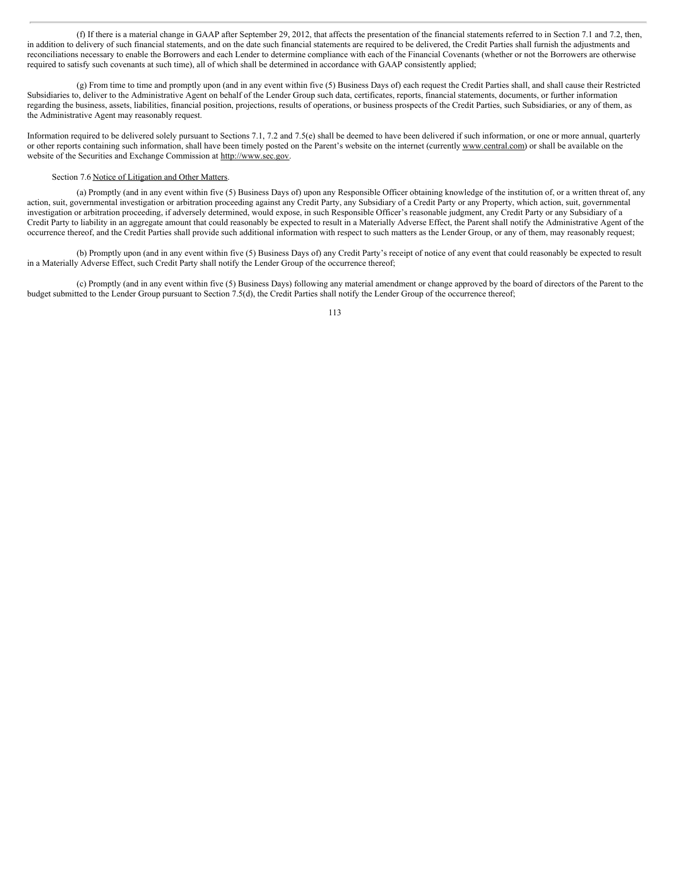(f) If there is a material change in GAAP after September 29, 2012, that affects the presentation of the financial statements referred to in Section 7.1 and 7.2, then, in addition to delivery of such financial statements, and on the date such financial statements are required to be delivered, the Credit Parties shall furnish the adjustments and reconciliations necessary to enable the Borrowers and each Lender to determine compliance with each of the Financial Covenants (whether or not the Borrowers are otherwise required to satisfy such covenants at such time), all of which shall be determined in accordance with GAAP consistently applied;

(g) From time to time and promptly upon (and in any event within five (5) Business Days of) each request the Credit Parties shall, and shall cause their Restricted Subsidiaries to, deliver to the Administrative Agent on behalf of the Lender Group such data, certificates, reports, financial statements, documents, or further information regarding the business, assets, liabilities, financial position, projections, results of operations, or business prospects of the Credit Parties, such Subsidiaries, or any of them, as the Administrative Agent may reasonably request.

Information required to be delivered solely pursuant to Sections 7.1, 7.2 and 7.5(e) shall be deemed to have been delivered if such information, or one or more annual, quarterly or other reports containing such information, shall have been timely posted on the Parent's website on the internet (currently www.central.com) or shall be available on the website of the Securities and Exchange Commission at http://www.sec.gov.

#### Section 7.6 Notice of Litigation and Other Matters.

(a) Promptly (and in any event within five (5) Business Days of) upon any Responsible Officer obtaining knowledge of the institution of, or a written threat of, any action, suit, governmental investigation or arbitration proceeding against any Credit Party, any Subsidiary of a Credit Party or any Property, which action, suit, governmental investigation or arbitration proceeding, if adversely determined, would expose, in such Responsible Officer's reasonable judgment, any Credit Party or any Subsidiary of a Credit Party to liability in an aggregate amount that could reasonably be expected to result in a Materially Adverse Effect, the Parent shall notify the Administrative Agent of the occurrence thereof, and the Credit Parties shall provide such additional information with respect to such matters as the Lender Group, or any of them, may reasonably request;

(b) Promptly upon (and in any event within five (5) Business Days of) any Credit Party's receipt of notice of any event that could reasonably be expected to result in a Materially Adverse Effect, such Credit Party shall notify the Lender Group of the occurrence thereof;

(c) Promptly (and in any event within five (5) Business Days) following any material amendment or change approved by the board of directors of the Parent to the budget submitted to the Lender Group pursuant to Section 7.5(d), the Credit Parties shall notify the Lender Group of the occurrence thereof;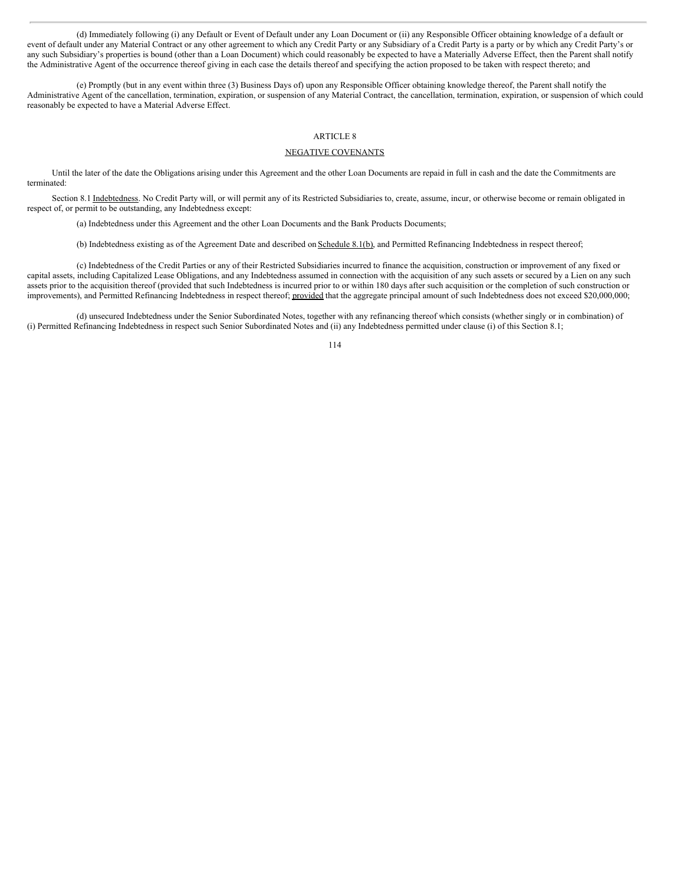(d) Immediately following (i) any Default or Event of Default under any Loan Document or (ii) any Responsible Officer obtaining knowledge of a default or event of default under any Material Contract or any other agreement to which any Credit Party or any Subsidiary of a Credit Party is a party or by which any Credit Party's or any such Subsidiary's properties is bound (other than a Loan Document) which could reasonably be expected to have a Materially Adverse Effect, then the Parent shall notify the Administrative Agent of the occurrence thereof giving in each case the details thereof and specifying the action proposed to be taken with respect thereto; and

(e) Promptly (but in any event within three (3) Business Days of) upon any Responsible Officer obtaining knowledge thereof, the Parent shall notify the Administrative Agent of the cancellation, termination, expiration, or suspension of any Material Contract, the cancellation, termination, expiration, or suspension of which could reasonably be expected to have a Material Adverse Effect.

# ARTICLE 8

### NEGATIVE COVENANTS

Until the later of the date the Obligations arising under this Agreement and the other Loan Documents are repaid in full in cash and the date the Commitments are terminated:

Section 8.1 Indebtedness. No Credit Party will, or will permit any of its Restricted Subsidiaries to, create, assume, incur, or otherwise become or remain obligated in respect of, or permit to be outstanding, any Indebtedness except:

(a) Indebtedness under this Agreement and the other Loan Documents and the Bank Products Documents;

(b) Indebtedness existing as of the Agreement Date and described on Schedule 8.1(b), and Permitted Refinancing Indebtedness in respect thereof;

(c) Indebtedness of the Credit Parties or any of their Restricted Subsidiaries incurred to finance the acquisition, construction or improvement of any fixed or capital assets, including Capitalized Lease Obligations, and any Indebtedness assumed in connection with the acquisition of any such assets or secured by a Lien on any such assets prior to the acquisition thereof (provided that such Indebtedness is incurred prior to or within 180 days after such acquisition or the completion of such construction or improvements), and Permitted Refinancing Indebtedness in respect thereof; provided that the aggregate principal amount of such Indebtedness does not exceed \$20,000,000;

(d) unsecured Indebtedness under the Senior Subordinated Notes, together with any refinancing thereof which consists (whether singly or in combination) of (i) Permitted Refinancing Indebtedness in respect such Senior Subordinated Notes and (ii) any Indebtedness permitted under clause (i) of this Section 8.1;

<sup>114</sup>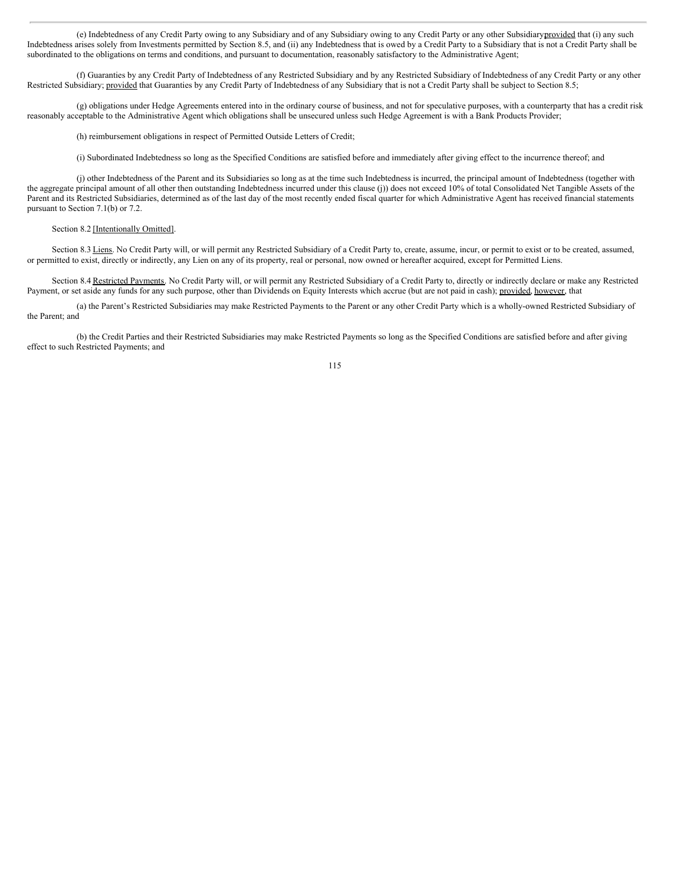(e) Indebtedness of any Credit Party owing to any Subsidiary and of any Subsidiary owing to any Credit Party or any other Subsidiary;provided that (i) any such Indebtedness arises solely from Investments permitted by Section 8.5, and (ii) any Indebtedness that is owed by a Credit Party to a Subsidiary that is not a Credit Party shall be subordinated to the obligations on terms and conditions, and pursuant to documentation, reasonably satisfactory to the Administrative Agent;

(f) Guaranties by any Credit Party of Indebtedness of any Restricted Subsidiary and by any Restricted Subsidiary of Indebtedness of any Credit Party or any other Restricted Subsidiary; provided that Guaranties by any Credit Party of Indebtedness of any Subsidiary that is not a Credit Party shall be subject to Section 8.5;

(g) obligations under Hedge Agreements entered into in the ordinary course of business, and not for speculative purposes, with a counterparty that has a credit risk reasonably acceptable to the Administrative Agent which obligations shall be unsecured unless such Hedge Agreement is with a Bank Products Provider;

(h) reimbursement obligations in respect of Permitted Outside Letters of Credit;

(i) Subordinated Indebtedness so long as the Specified Conditions are satisfied before and immediately after giving effect to the incurrence thereof; and

(j) other Indebtedness of the Parent and its Subsidiaries so long as at the time such Indebtedness is incurred, the principal amount of Indebtedness (together with the aggregate principal amount of all other then outstanding Indebtedness incurred under this clause (j)) does not exceed 10% of total Consolidated Net Tangible Assets of the Parent and its Restricted Subsidiaries, determined as of the last day of the most recently ended fiscal quarter for which Administrative Agent has received financial statements pursuant to Section 7.1(b) or 7.2.

#### Section 8.2 [Intentionally Omitted].

Section 8.3 Liens. No Credit Party will, or will permit any Restricted Subsidiary of a Credit Party to, create, assume, incur, or permit to exist or to be created, assumed, or permitted to exist, directly or indirectly, any Lien on any of its property, real or personal, now owned or hereafter acquired, except for Permitted Liens.

Section 8.4 Restricted Payments. No Credit Party will, or will permit any Restricted Subsidiary of a Credit Party to, directly or indirectly declare or make any Restricted Payment, or set aside any funds for any such purpose, other than Dividends on Equity Interests which accrue (but are not paid in cash); provided, however, that

(a) the Parent's Restricted Subsidiaries may make Restricted Payments to the Parent or any other Credit Party which is a wholly-owned Restricted Subsidiary of the Parent; and

(b) the Credit Parties and their Restricted Subsidiaries may make Restricted Payments so long as the Specified Conditions are satisfied before and after giving effect to such Restricted Payments; and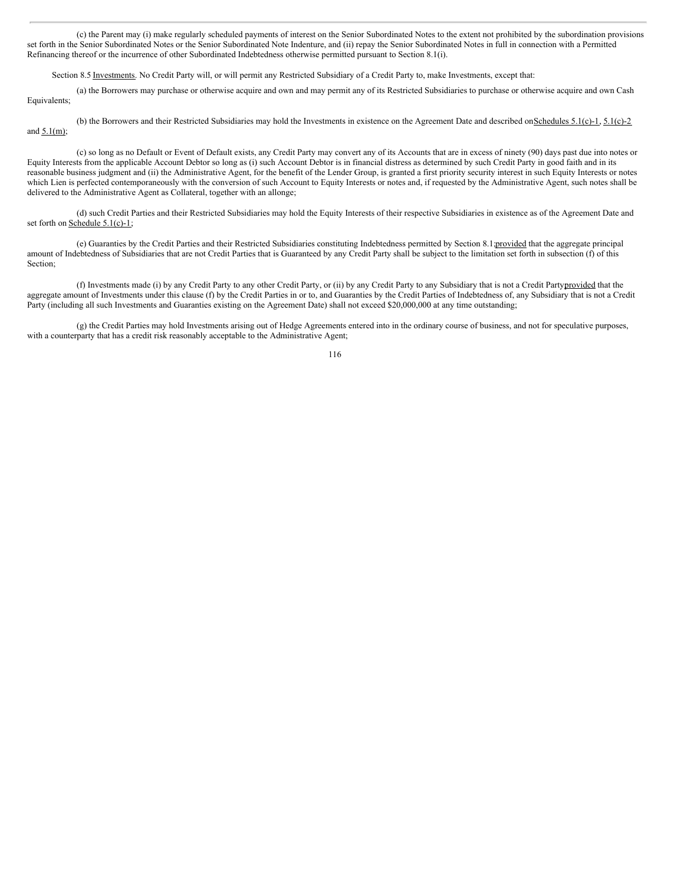(c) the Parent may (i) make regularly scheduled payments of interest on the Senior Subordinated Notes to the extent not prohibited by the subordination provisions set forth in the Senior Subordinated Notes or the Senior Subordinated Note Indenture, and (ii) repay the Senior Subordinated Notes in full in connection with a Permitted Refinancing thereof or the incurrence of other Subordinated Indebtedness otherwise permitted pursuant to Section 8.1(i).

Section 8.5 Investments. No Credit Party will, or will permit any Restricted Subsidiary of a Credit Party to, make Investments, except that:

(a) the Borrowers may purchase or otherwise acquire and own and may permit any of its Restricted Subsidiaries to purchase or otherwise acquire and own Cash Equivalents;

(b) the Borrowers and their Restricted Subsidiaries may hold the Investments in existence on the Agreement Date and described onSchedules 5.1(c)-1, 5.1(c)-2 and 5.1(m);

(c) so long as no Default or Event of Default exists, any Credit Party may convert any of its Accounts that are in excess of ninety (90) days past due into notes or Equity Interests from the applicable Account Debtor so long as (i) such Account Debtor is in financial distress as determined by such Credit Party in good faith and in its reasonable business judgment and (ii) the Administrative Agent, for the benefit of the Lender Group, is granted a first priority security interest in such Equity Interests or notes which Lien is perfected contemporaneously with the conversion of such Account to Equity Interests or notes and, if requested by the Administrative Agent, such notes shall be delivered to the Administrative Agent as Collateral, together with an allonge;

(d) such Credit Parties and their Restricted Subsidiaries may hold the Equity Interests of their respective Subsidiaries in existence as of the Agreement Date and set forth on Schedule 5.1(c)-1;

(e) Guaranties by the Credit Parties and their Restricted Subsidiaries constituting Indebtedness permitted by Section 8.1;provided that the aggregate principal amount of Indebtedness of Subsidiaries that are not Credit Parties that is Guaranteed by any Credit Party shall be subject to the limitation set forth in subsection (f) of this Section;

(f) Investments made (i) by any Credit Party to any other Credit Party, or (ii) by any Credit Party to any Subsidiary that is not a Credit Partyprovided that the aggregate amount of Investments under this clause (f) by the Credit Parties in or to, and Guaranties by the Credit Parties of Indebtedness of, any Subsidiary that is not a Credit Party (including all such Investments and Guaranties existing on the Agreement Date) shall not exceed \$20,000,000 at any time outstanding;

(g) the Credit Parties may hold Investments arising out of Hedge Agreements entered into in the ordinary course of business, and not for speculative purposes, with a counterparty that has a credit risk reasonably acceptable to the Administrative Agent;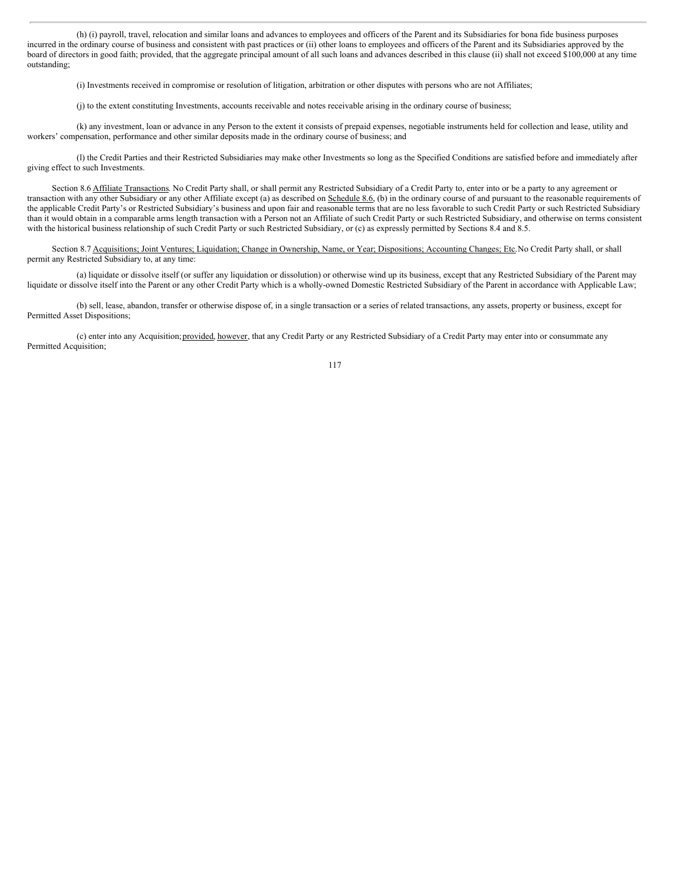(h) (i) payroll, travel, relocation and similar loans and advances to employees and officers of the Parent and its Subsidiaries for bona fide business purposes incurred in the ordinary course of business and consistent with past practices or (ii) other loans to employees and officers of the Parent and its Subsidiaries approved by the board of directors in good faith; provided, that the aggregate principal amount of all such loans and advances described in this clause (ii) shall not exceed \$100,000 at any time outstanding;

(i) Investments received in compromise or resolution of litigation, arbitration or other disputes with persons who are not Affiliates;

(j) to the extent constituting Investments, accounts receivable and notes receivable arising in the ordinary course of business;

(k) any investment, loan or advance in any Person to the extent it consists of prepaid expenses, negotiable instruments held for collection and lease, utility and workers' compensation, performance and other similar deposits made in the ordinary course of business; and

(l) the Credit Parties and their Restricted Subsidiaries may make other Investments so long as the Specified Conditions are satisfied before and immediately after giving effect to such Investments.

Section 8.6 Affiliate Transactions. No Credit Party shall, or shall permit any Restricted Subsidiary of a Credit Party to, enter into or be a party to any agreement or transaction with any other Subsidiary or any other Affiliate except (a) as described on Schedule 8.6, (b) in the ordinary course of and pursuant to the reasonable requirements of the applicable Credit Party's or Restricted Subsidiary's business and upon fair and reasonable terms that are no less favorable to such Credit Party or such Restricted Subsidiary than it would obtain in a comparable arms length transaction with a Person not an Affiliate of such Credit Party or such Restricted Subsidiary, and otherwise on terms consistent with the historical business relationship of such Credit Party or such Restricted Subsidiary, or (c) as expressly permitted by Sections 8.4 and 8.5.

Section 8.7 Acquisitions; Joint Ventures; Liquidation; Change in Ownership, Name, or Year; Dispositions; Accounting Changes; Etc. No Credit Party shall, or shall permit any Restricted Subsidiary to, at any time:

(a) liquidate or dissolve itself (or suffer any liquidation or dissolution) or otherwise wind up its business, except that any Restricted Subsidiary of the Parent may liquidate or dissolve itself into the Parent or any other Credit Party which is a wholly-owned Domestic Restricted Subsidiary of the Parent in accordance with Applicable Law;

(b) sell, lease, abandon, transfer or otherwise dispose of, in a single transaction or a series of related transactions, any assets, property or business, except for Permitted Asset Dispositions;

(c) enter into any Acquisition;provided, however, that any Credit Party or any Restricted Subsidiary of a Credit Party may enter into or consummate any Permitted Acquisition;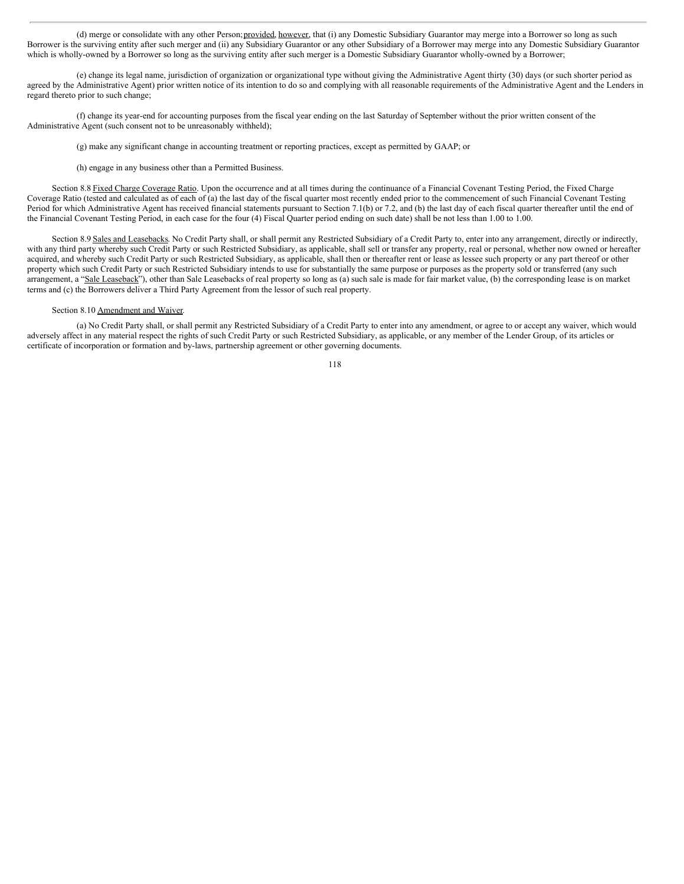(d) merge or consolidate with any other Person; provided, however, that (i) any Domestic Subsidiary Guarantor may merge into a Borrower so long as such Borrower is the surviving entity after such merger and (ii) any Subsidiary Guarantor or any other Subsidiary of a Borrower may merge into any Domestic Subsidiary Guarantor which is wholly-owned by a Borrower so long as the surviving entity after such merger is a Domestic Subsidiary Guarantor wholly-owned by a Borrower;

(e) change its legal name, jurisdiction of organization or organizational type without giving the Administrative Agent thirty (30) days (or such shorter period as agreed by the Administrative Agent) prior written notice of its intention to do so and complying with all reasonable requirements of the Administrative Agent and the Lenders in regard thereto prior to such change;

(f) change its year-end for accounting purposes from the fiscal year ending on the last Saturday of September without the prior written consent of the Administrative Agent (such consent not to be unreasonably withheld);

(g) make any significant change in accounting treatment or reporting practices, except as permitted by GAAP; or

(h) engage in any business other than a Permitted Business.

Section 8.8 Fixed Charge Coverage Ratio. Upon the occurrence and at all times during the continuance of a Financial Covenant Testing Period, the Fixed Charge Coverage Ratio (tested and calculated as of each of (a) the last day of the fiscal quarter most recently ended prior to the commencement of such Financial Covenant Testing Period for which Administrative Agent has received financial statements pursuant to Section 7.1(b) or 7.2, and (b) the last day of each fiscal quarter thereafter until the end of the Financial Covenant Testing Period, in each case for the four (4) Fiscal Quarter period ending on such date) shall be not less than 1.00 to 1.00.

Section 8.9 Sales and Leasebacks. No Credit Party shall, or shall permit any Restricted Subsidiary of a Credit Party to, enter into any arrangement, directly or indirectly, with any third party whereby such Credit Party or such Restricted Subsidiary, as applicable, shall sell or transfer any property, real or personal, whether now owned or hereafter acquired, and whereby such Credit Party or such Restricted Subsidiary, as applicable, shall then or thereafter rent or lease as lessee such property or any part thereof or other property which such Credit Party or such Restricted Subsidiary intends to use for substantially the same purpose or purposes as the property sold or transferred (any such arrangement, a "Sale Leaseback"), other than Sale Leasebacks of real property so long as (a) such sale is made for fair market value, (b) the corresponding lease is on market terms and (c) the Borrowers deliver a Third Party Agreement from the lessor of such real property.

#### Section 8.10 Amendment and Waiver.

(a) No Credit Party shall, or shall permit any Restricted Subsidiary of a Credit Party to enter into any amendment, or agree to or accept any waiver, which would adversely affect in any material respect the rights of such Credit Party or such Restricted Subsidiary, as applicable, or any member of the Lender Group, of its articles or certificate of incorporation or formation and by-laws, partnership agreement or other governing documents.

<sup>118</sup>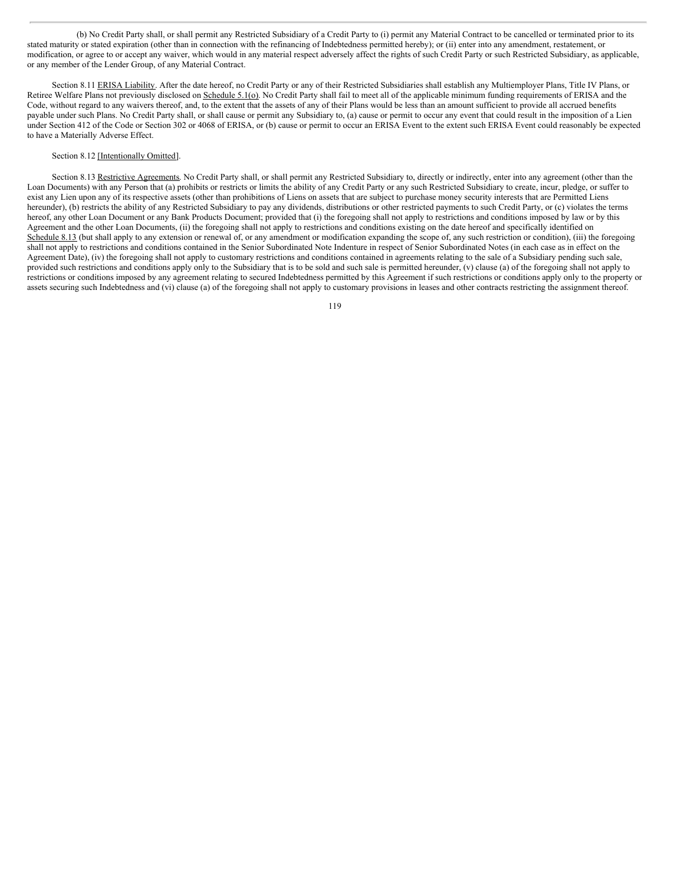(b) No Credit Party shall, or shall permit any Restricted Subsidiary of a Credit Party to (i) permit any Material Contract to be cancelled or terminated prior to its stated maturity or stated expiration (other than in connection with the refinancing of Indebtedness permitted hereby); or (ii) enter into any amendment, restatement, or modification, or agree to or accept any waiver, which would in any material respect adversely affect the rights of such Credit Party or such Restricted Subsidiary, as applicable, or any member of the Lender Group, of any Material Contract.

Section 8.11 ERISA Liability. After the date hereof, no Credit Party or any of their Restricted Subsidiaries shall establish any Multiemployer Plans, Title IV Plans, or Retiree Welfare Plans not previously disclosed on Schedule 5.1(o). No Credit Party shall fail to meet all of the applicable minimum funding requirements of ERISA and the Code, without regard to any waivers thereof, and, to the extent that the assets of any of their Plans would be less than an amount sufficient to provide all accrued benefits payable under such Plans. No Credit Party shall, or shall cause or permit any Subsidiary to, (a) cause or permit to occur any event that could result in the imposition of a Lien under Section 412 of the Code or Section 302 or 4068 of ERISA, or (b) cause or permit to occur an ERISA Event to the extent such ERISA Event could reasonably be expected to have a Materially Adverse Effect.

#### Section 8.12 [Intentionally Omitted].

Section 8.13 Restrictive Agreements. No Credit Party shall, or shall permit any Restricted Subsidiary to, directly or indirectly, enter into any agreement (other than the Loan Documents) with any Person that (a) prohibits or restricts or limits the ability of any Credit Party or any such Restricted Subsidiary to create, incur, pledge, or suffer to exist any Lien upon any of its respective assets (other than prohibitions of Liens on assets that are subject to purchase money security interests that are Permitted Liens hereunder), (b) restricts the ability of any Restricted Subsidiary to pay any dividends, distributions or other restricted payments to such Credit Party, or (c) violates the terms hereof, any other Loan Document or any Bank Products Document; provided that (i) the foregoing shall not apply to restrictions and conditions imposed by law or by this Agreement and the other Loan Documents, (ii) the foregoing shall not apply to restrictions and conditions existing on the date hereof and specifically identified on Schedule 8.13 (but shall apply to any extension or renewal of, or any amendment or modification expanding the scope of, any such restriction or condition), (iii) the foregoing shall not apply to restrictions and conditions contained in the Senior Subordinated Note Indenture in respect of Senior Subordinated Notes (in each case as in effect on the Agreement Date), (iv) the foregoing shall not apply to customary restrictions and conditions contained in agreements relating to the sale of a Subsidiary pending such sale, provided such restrictions and conditions apply only to the Subsidiary that is to be sold and such sale is permitted hereunder, (v) clause (a) of the foregoing shall not apply to restrictions or conditions imposed by any agreement relating to secured Indebtedness permitted by this Agreement if such restrictions or conditions apply only to the property or assets securing such Indebtedness and (vi) clause (a) of the foregoing shall not apply to customary provisions in leases and other contracts restricting the assignment thereof.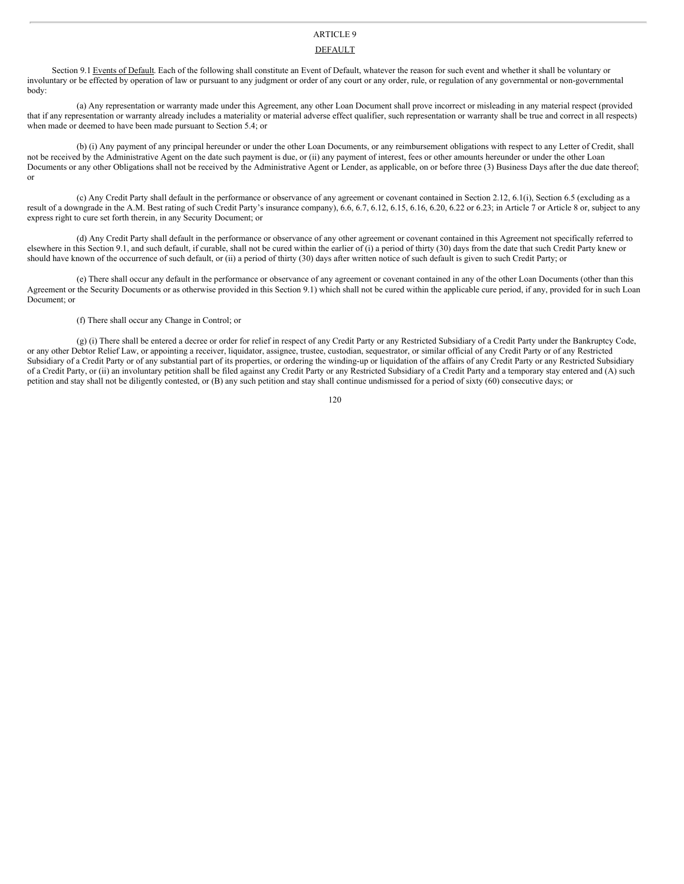# **ARTICLE 9**

### DEFAULT

Section 9.1 Events of Default. Each of the following shall constitute an Event of Default, whatever the reason for such event and whether it shall be voluntary or involuntary or be effected by operation of law or pursuant to any judgment or order of any court or any order, rule, or regulation of any governmental or non-governmental body:

(a) Any representation or warranty made under this Agreement, any other Loan Document shall prove incorrect or misleading in any material respect (provided that if any representation or warranty already includes a materiality or material adverse effect qualifier, such representation or warranty shall be true and correct in all respects) when made or deemed to have been made pursuant to Section 5.4; or

(b) (i) Any payment of any principal hereunder or under the other Loan Documents, or any reimbursement obligations with respect to any Letter of Credit, shall not be received by the Administrative Agent on the date such payment is due, or (ii) any payment of interest, fees or other amounts hereunder or under the other Loan Documents or any other Obligations shall not be received by the Administrative Agent or Lender, as applicable, on or before three (3) Business Days after the due date thereof; or

(c) Any Credit Party shall default in the performance or observance of any agreement or covenant contained in Section 2.12, 6.1(i), Section 6.5 (excluding as a result of a downgrade in the A.M. Best rating of such Credit Party's insurance company), 6.6, 6.7, 6.12, 6.15, 6.16, 6.20, 6.22 or 6.23; in Article 7 or Article 8 or, subject to any express right to cure set forth therein, in any Security Document; or

(d) Any Credit Party shall default in the performance or observance of any other agreement or covenant contained in this Agreement not specifically referred to elsewhere in this Section 9.1, and such default, if curable, shall not be cured within the earlier of (i) a period of thirty (30) days from the date that such Credit Party knew or should have known of the occurrence of such default, or (ii) a period of thirty (30) days after written notice of such default is given to such Credit Party; or

(e) There shall occur any default in the performance or observance of any agreement or covenant contained in any of the other Loan Documents (other than this Agreement or the Security Documents or as otherwise provided in this Section 9.1) which shall not be cured within the applicable cure period, if any, provided for in such Loan Document: or

### (f) There shall occur any Change in Control; or

(g) (i) There shall be entered a decree or order for relief in respect of any Credit Party or any Restricted Subsidiary of a Credit Party under the Bankruptcy Code, or any other Debtor Relief Law, or appointing a receiver, liquidator, assignee, trustee, custodian, sequestrator, or similar official of any Credit Party or of any Restricted Subsidiary of a Credit Party or of any substantial part of its properties, or ordering the winding-up or liquidation of the affairs of any Credit Party or any Restricted Subsidiary of a Credit Party, or (ii) an involuntary petition shall be filed against any Credit Party or any Restricted Subsidiary of a Credit Party and a temporary stay entered and (A) such petition and stay shall not be diligently contested, or (B) any such petition and stay shall continue undismissed for a period of sixty (60) consecutive days; or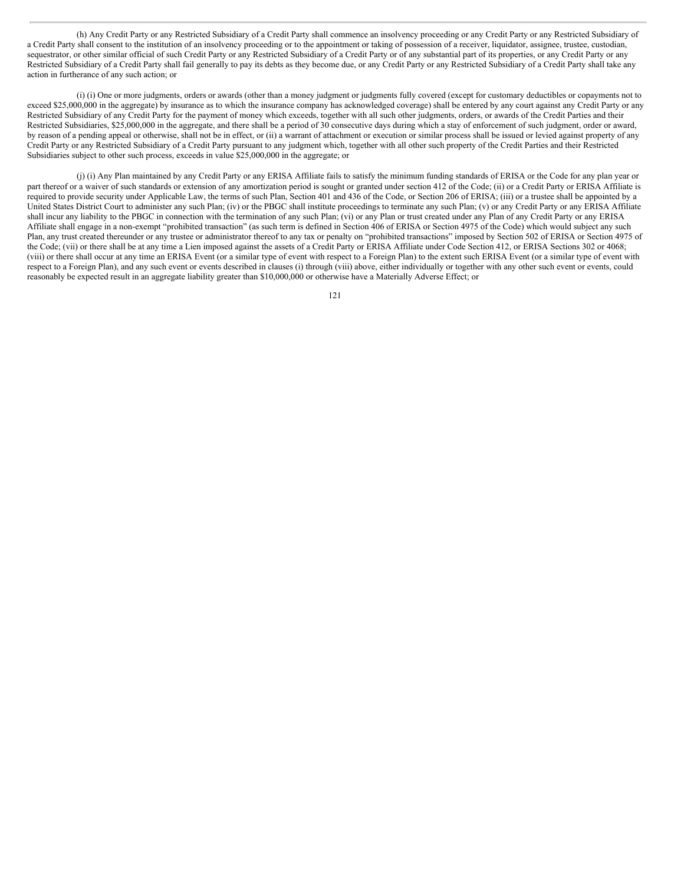(h) Any Credit Party or any Restricted Subsidiary of a Credit Party shall commence an insolvency proceeding or any Credit Party or any Restricted Subsidiary of a Credit Party shall consent to the institution of an insolvency proceeding or to the appointment or taking of possession of a receiver, liquidator, assignee, trustee, custodian, sequestrator, or other similar official of such Credit Party or any Restricted Subsidiary of a Credit Party or of any substantial part of its properties, or any Credit Party or any Restricted Subsidiary of a Credit Party shall fail generally to pay its debts as they become due, or any Credit Party or any Restricted Subsidiary of a Credit Party shall take any action in furtherance of any such action; or

(i) (i) One or more judgments, orders or awards (other than a money judgment or judgments fully covered (except for customary deductibles or copayments not to exceed \$25,000,000 in the aggregate) by insurance as to which the insurance company has acknowledged coverage) shall be entered by any court against any Credit Party or any Restricted Subsidiary of any Credit Party for the payment of money which exceeds, together with all such other judgments, orders, or awards of the Credit Parties and their Restricted Subsidiaries, \$25,000,000 in the aggregate, and there shall be a period of 30 consecutive days during which a stay of enforcement of such judgment, order or award, by reason of a pending appeal or otherwise, shall not be in effect, or (ii) a warrant of attachment or execution or similar process shall be issued or levied against property of any Credit Party or any Restricted Subsidiary of a Credit Party pursuant to any judgment which, together with all other such property of the Credit Parties and their Restricted Subsidiaries subject to other such process, exceeds in value \$25,000,000 in the aggregate; or

(j) (i) Any Plan maintained by any Credit Party or any ERISA Affiliate fails to satisfy the minimum funding standards of ERISA or the Code for any plan year or part thereof or a waiver of such standards or extension of any amortization period is sought or granted under section 412 of the Code; (ii) or a Credit Party or ERISA Affiliate is required to provide security under Applicable Law, the terms of such Plan, Section 401 and 436 of the Code, or Section 206 of ERISA; (iii) or a trustee shall be appointed by a United States District Court to administer any such Plan; (iv) or the PBGC shall institute proceedings to terminate any such Plan; (v) or any Credit Party or any ERISA Affiliate shall incur any liability to the PBGC in connection with the termination of any such Plan; (vi) or any Plan or trust created under any Plan of any Credit Party or any ERISA Affiliate shall engage in a non-exempt "prohibited transaction" (as such term is defined in Section 406 of ERISA or Section 4975 of the Code) which would subject any such Plan, any trust created thereunder or any trustee or administrator thereof to any tax or penalty on "prohibited transactions" imposed by Section 502 of ERISA or Section 4975 of the Code; (vii) or there shall be at any time a Lien imposed against the assets of a Credit Party or ERISA Affiliate under Code Section 412, or ERISA Sections 302 or 4068; (viii) or there shall occur at any time an ERISA Event (or a similar type of event with respect to a Foreign Plan) to the extent such ERISA Event (or a similar type of event with respect to a Foreign Plan), and any such event or events described in clauses (i) through (viii) above, either individually or together with any other such event or events, could reasonably be expected result in an aggregate liability greater than \$10,000,000 or otherwise have a Materially Adverse Effect; or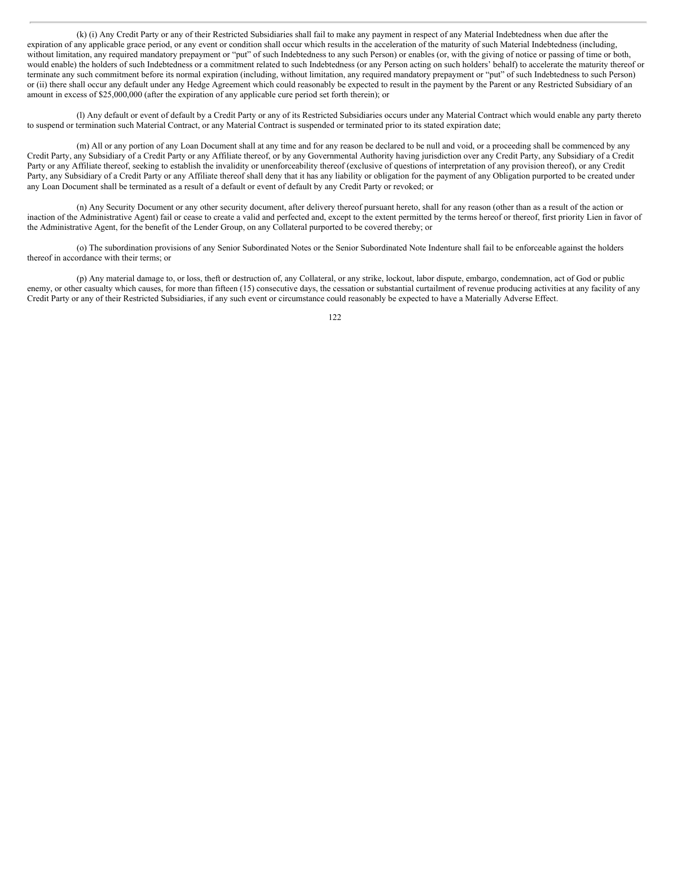(k) (i) Any Credit Party or any of their Restricted Subsidiaries shall fail to make any payment in respect of any Material Indebtedness when due after the expiration of any applicable grace period, or any event or condition shall occur which results in the acceleration of the maturity of such Material Indebtedness (including, without limitation, any required mandatory prepayment or "put" of such Indebtedness to any such Person) or enables (or, with the giving of notice or passing of time or both, would enable) the holders of such Indebtedness or a commitment related to such Indebtedness (or any Person acting on such holders' behalf) to accelerate the maturity thereof or terminate any such commitment before its normal expiration (including, without limitation, any required mandatory prepayment or "put" of such Indebtedness to such Person) or (ii) there shall occur any default under any Hedge Agreement which could reasonably be expected to result in the payment by the Parent or any Restricted Subsidiary of an amount in excess of \$25,000,000 (after the expiration of any applicable cure period set forth therein); or

(l) Any default or event of default by a Credit Party or any of its Restricted Subsidiaries occurs under any Material Contract which would enable any party thereto to suspend or termination such Material Contract, or any Material Contract is suspended or terminated prior to its stated expiration date;

(m) All or any portion of any Loan Document shall at any time and for any reason be declared to be null and void, or a proceeding shall be commenced by any Credit Party, any Subsidiary of a Credit Party or any Affiliate thereof, or by any Governmental Authority having jurisdiction over any Credit Party, any Subsidiary of a Credit Party or any Affiliate thereof, seeking to establish the invalidity or unenforceability thereof (exclusive of questions of interpretation of any provision thereof), or any Credit Party, any Subsidiary of a Credit Party or any Affiliate thereof shall deny that it has any liability or obligation for the payment of any Obligation purported to be created under any Loan Document shall be terminated as a result of a default or event of default by any Credit Party or revoked; or

(n) Any Security Document or any other security document, after delivery thereof pursuant hereto, shall for any reason (other than as a result of the action or inaction of the Administrative Agent) fail or cease to create a valid and perfected and, except to the extent permitted by the terms hereof or thereof, first priority Lien in favor of the Administrative Agent, for the benefit of the Lender Group, on any Collateral purported to be covered thereby; or

(o) The subordination provisions of any Senior Subordinated Notes or the Senior Subordinated Note Indenture shall fail to be enforceable against the holders thereof in accordance with their terms; or

(p) Any material damage to, or loss, theft or destruction of, any Collateral, or any strike, lockout, labor dispute, embargo, condemnation, act of God or public enemy, or other casualty which causes, for more than fifteen (15) consecutive days, the cessation or substantial curtailment of revenue producing activities at any facility of any Credit Party or any of their Restricted Subsidiaries, if any such event or circumstance could reasonably be expected to have a Materially Adverse Effect.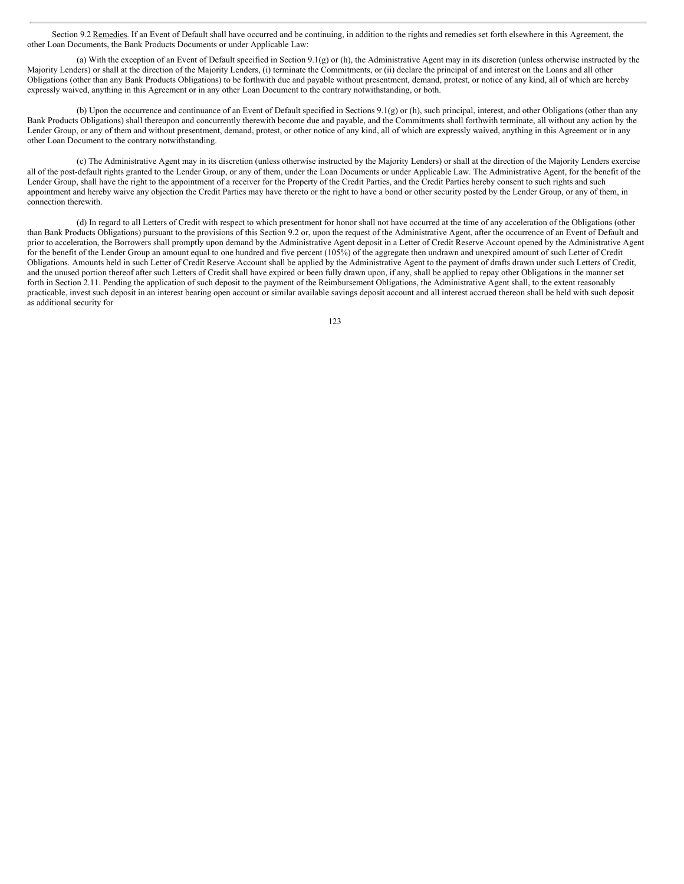Section 9.2 Remedies. If an Event of Default shall have occurred and be continuing, in addition to the rights and remedies set forth elsewhere in this Agreement, the other Loan Documents, the Bank Products Documents or under Applicable Law:

(a) With the exception of an Event of Default specified in Section 9.1(g) or (h), the Administrative Agent may in its discretion (unless otherwise instructed by the Majority Lenders) or shall at the direction of the Majority Lenders, (i) terminate the Commitments, or (ii) declare the principal of and interest on the Loans and all other Obligations (other than any Bank Products Obligations) to be forthwith due and payable without presentment, demand, protest, or notice of any kind, all of which are hereby expressly waived, anything in this Agreement or in any other Loan Document to the contrary notwithstanding, or both.

(b) Upon the occurrence and continuance of an Event of Default specified in Sections 9.1(g) or (h), such principal, interest, and other Obligations (other than any Bank Products Obligations) shall thereupon and concurrently therewith become due and payable, and the Commitments shall forthwith terminate, all without any action by the Lender Group, or any of them and without presentment, demand, protest, or other notice of any kind, all of which are expressly waived, anything in this Agreement or in any other Loan Document to the contrary notwithstanding.

(c) The Administrative Agent may in its discretion (unless otherwise instructed by the Majority Lenders) or shall at the direction of the Majority Lenders exercise all of the post-default rights granted to the Lender Group, or any of them, under the Loan Documents or under Applicable Law. The Administrative Agent, for the benefit of the Lender Group, shall have the right to the appointment of a receiver for the Property of the Credit Parties, and the Credit Parties hereby consent to such rights and such appointment and hereby waive any objection the Credit Parties may have thereto or the right to have a bond or other security posted by the Lender Group, or any of them, in connection therewith.

(d) In regard to all Letters of Credit with respect to which presentment for honor shall not have occurred at the time of any acceleration of the Obligations (other than Bank Products Obligations) pursuant to the provisions of this Section 9.2 or, upon the request of the Administrative Agent, after the occurrence of an Event of Default and prior to acceleration, the Borrowers shall promptly upon demand by the Administrative Agent deposit in a Letter of Credit Reserve Account opened by the Administrative Agent for the benefit of the Lender Group an amount equal to one hundred and five percent (105%) of the aggregate then undrawn and unexpired amount of such Letter of Credit Obligations. Amounts held in such Letter of Credit Reserve Account shall be applied by the Administrative Agent to the payment of drafts drawn under such Letters of Credit, and the unused portion thereof after such Letters of Credit shall have expired or been fully drawn upon, if any, shall be applied to repay other Obligations in the manner set forth in Section 2.11. Pending the application of such deposit to the payment of the Reimbursement Obligations, the Administrative Agent shall, to the extent reasonably practicable, invest such deposit in an interest bearing open account or similar available savings deposit account and all interest accrued thereon shall be held with such deposit as additional security for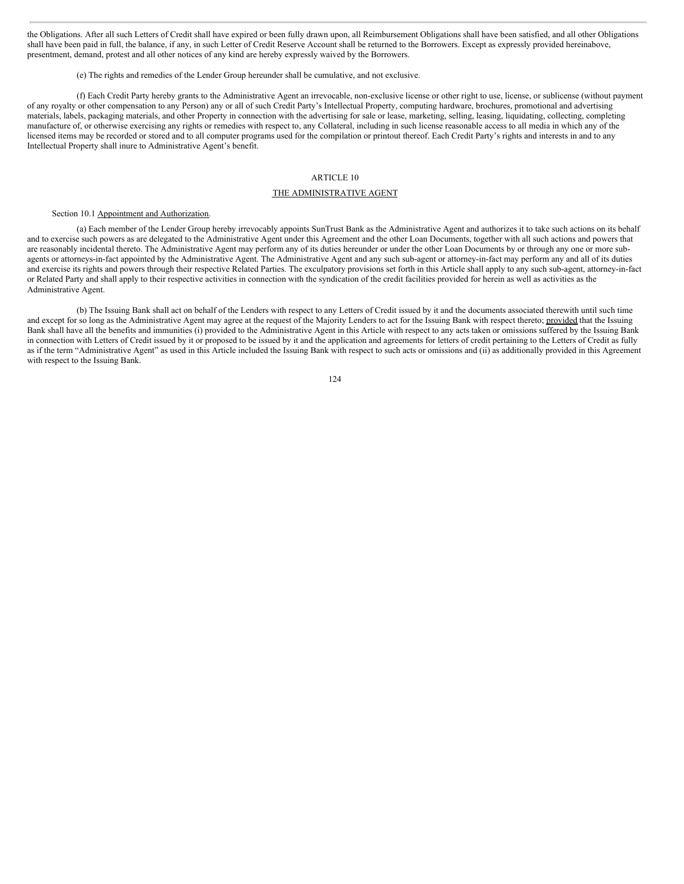the Obligations. After all such Letters of Credit shall have expired or been fully drawn upon, all Reimbursement Obligations shall have been satisfied, and all other Obligations shall have been paid in full, the balance, if any, in such Letter of Credit Reserve Account shall be returned to the Borrowers. Except as expressly provided hereinabove, presentment, demand, protest and all other notices of any kind are hereby expressly waived by the Borrowers.

(e) The rights and remedies of the Lender Group hereunder shall be cumulative, and not exclusive.

(f) Each Credit Party hereby grants to the Administrative Agent an irrevocable, non-exclusive license or other right to use, license, or sublicense (without payment of any royalty or other compensation to any Person) any or all of such Credit Party's Intellectual Property, computing hardware, brochures, promotional and advertising materials, labels, packaging materials, and other Property in connection with the advertising for sale or lease, marketing, selling, leasing, liquidating, collecting, completing manufacture of, or otherwise exercising any rights or remedies with respect to, any Collateral, including in such license reasonable access to all media in which any of the licensed items may be recorded or stored and to all computer programs used for the compilation or printout thereof. Each Credit Party's rights and interests in and to any Intellectual Property shall inure to Administrative Agent's benefit.

# ARTICLE 10

# THE ADMINISTRATIVE AGENT

#### Section 10.1 Appointment and Authorization.

(a) Each member of the Lender Group hereby irrevocably appoints SunTrust Bank as the Administrative Agent and authorizes it to take such actions on its behalf and to exercise such powers as are delegated to the Administrative Agent under this Agreement and the other Loan Documents, together with all such actions and powers that are reasonably incidental thereto. The Administrative Agent may perform any of its duties hereunder or under the other Loan Documents by or through any one or more subagents or attorneys-in-fact appointed by the Administrative Agent. The Administrative Agent and any such sub-agent or attorney-in-fact may perform any and all of its duties and exercise its rights and powers through their respective Related Parties. The exculpatory provisions set forth in this Article shall apply to any such sub-agent, attorney-in-fact or Related Party and shall apply to their respective activities in connection with the syndication of the credit facilities provided for herein as well as activities as the Administrative Agent.

(b) The Issuing Bank shall act on behalf of the Lenders with respect to any Letters of Credit issued by it and the documents associated therewith until such time and except for so long as the Administrative Agent may agree at the request of the Majority Lenders to act for the Issuing Bank with respect thereto; provided that the Issuing Bank shall have all the benefits and immunities (i) provided to the Administrative Agent in this Article with respect to any acts taken or omissions suffered by the Issuing Bank in connection with Letters of Credit issued by it or proposed to be issued by it and the application and agreements for letters of credit pertaining to the Letters of Credit as fully as if the term "Administrative Agent" as used in this Article included the Issuing Bank with respect to such acts or omissions and (ii) as additionally provided in this Agreement with respect to the Issuing Bank.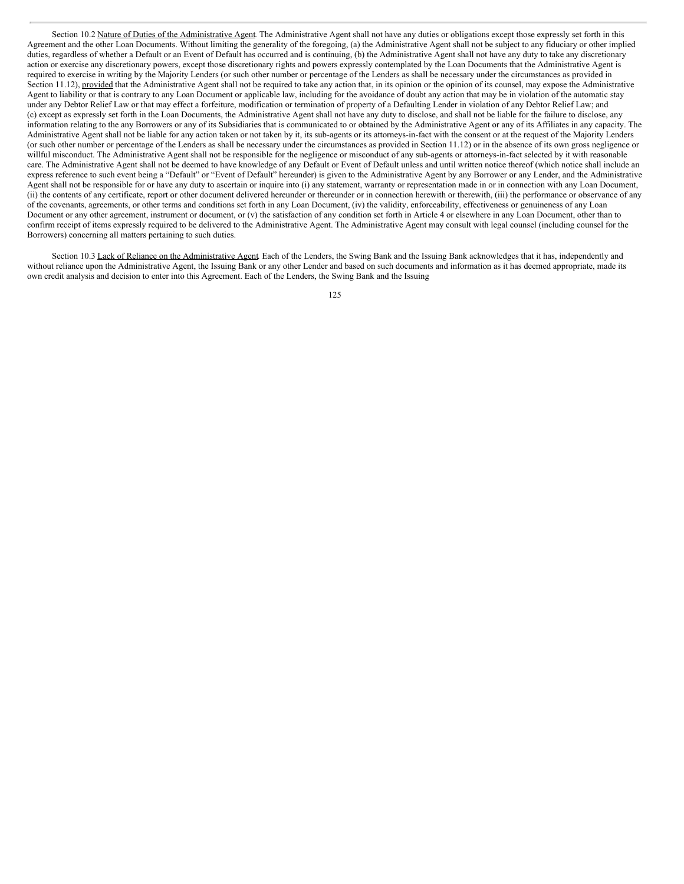Section 10.2 Nature of Duties of the Administrative Agent. The Administrative Agent shall not have any duties or obligations except those expressly set forth in this Agreement and the other Loan Documents. Without limiting the generality of the foregoing, (a) the Administrative Agent shall not be subject to any fiduciary or other implied duties, regardless of whether a Default or an Event of Default has occurred and is continuing, (b) the Administrative Agent shall not have any duty to take any discretionary action or exercise any discretionary powers, except those discretionary rights and powers expressly contemplated by the Loan Documents that the Administrative Agent is required to exercise in writing by the Majority Lenders (or such other number or percentage of the Lenders as shall be necessary under the circumstances as provided in Section 11.12), provided that the Administrative Agent shall not be required to take any action that, in its opinion or the opinion of its counsel, may expose the Administrative Agent to liability or that is contrary to any Loan Document or applicable law, including for the avoidance of doubt any action that may be in violation of the automatic stay under any Debtor Relief Law or that may effect a forfeiture, modification or termination of property of a Defaulting Lender in violation of any Debtor Relief Law; and (c) except as expressly set forth in the Loan Documents, the Administrative Agent shall not have any duty to disclose, and shall not be liable for the failure to disclose, any information relating to the any Borrowers or any of its Subsidiaries that is communicated to or obtained by the Administrative Agent or any of its Affiliates in any capacity. The Administrative Agent shall not be liable for any action taken or not taken by it, its sub-agents or its attorneys-in-fact with the consent or at the request of the Majority Lenders (or such other number or percentage of the Lenders as shall be necessary under the circumstances as provided in Section 11.12) or in the absence of its own gross negligence or willful misconduct. The Administrative Agent shall not be responsible for the negligence or misconduct of any sub-agents or attorneys-in-fact selected by it with reasonable care. The Administrative Agent shall not be deemed to have knowledge of any Default or Event of Default unless and until written notice thereof (which notice shall include an express reference to such event being a "Default" or "Event of Default" hereunder) is given to the Administrative Agent by any Borrower or any Lender, and the Administrative Agent shall not be responsible for or have any duty to ascertain or inquire into (i) any statement, warranty or representation made in or in connection with any Loan Document, (ii) the contents of any certificate, report or other document delivered hereunder or thereunder or in connection herewith or therewith, (iii) the performance or observance of any of the covenants, agreements, or other terms and conditions set forth in any Loan Document, (iv) the validity, enforceability, effectiveness or genuineness of any Loan Document or any other agreement, instrument or document, or (v) the satisfaction of any condition set forth in Article 4 or elsewhere in any Loan Document, other than to confirm receipt of items expressly required to be delivered to the Administrative Agent. The Administrative Agent may consult with legal counsel (including counsel for the Borrowers) concerning all matters pertaining to such duties.

Section 10.3 Lack of Reliance on the Administrative Agent. Each of the Lenders, the Swing Bank and the Issuing Bank acknowledges that it has, independently and without reliance upon the Administrative Agent, the Issuing Bank or any other Lender and based on such documents and information as it has deemed appropriate, made its own credit analysis and decision to enter into this Agreement. Each of the Lenders, the Swing Bank and the Issuing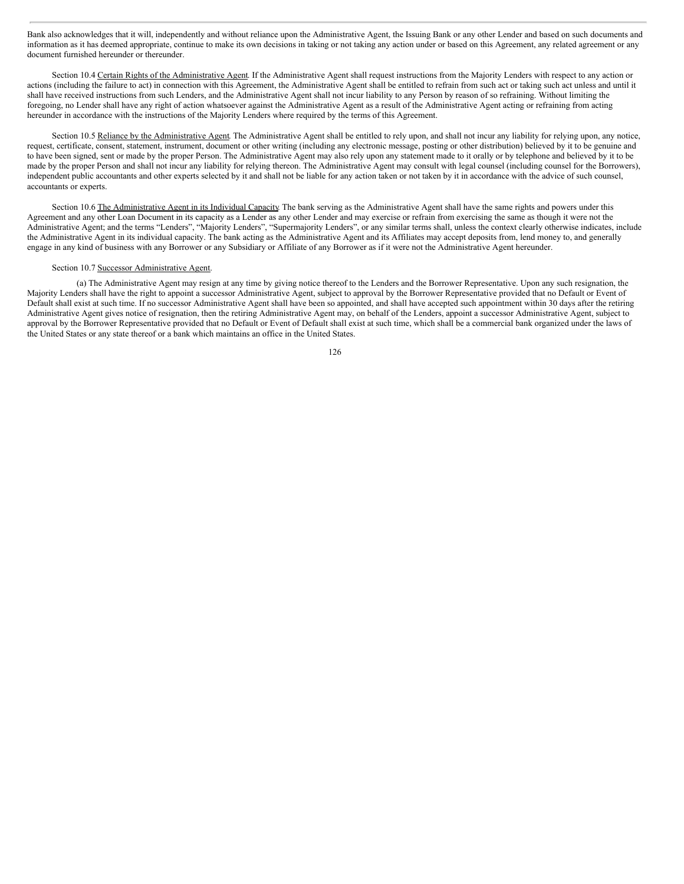Bank also acknowledges that it will, independently and without reliance upon the Administrative Agent, the Issuing Bank or any other Lender and based on such documents and information as it has deemed appropriate, continue to make its own decisions in taking or not taking any action under or based on this Agreement, any related agreement or any document furnished hereunder or thereunder.

Section 10.4 Certain Rights of the Administrative Agent. If the Administrative Agent shall request instructions from the Majority Lenders with respect to any action or actions (including the failure to act) in connection with this Agreement, the Administrative Agent shall be entitled to refrain from such act or taking such act unless and until it shall have received instructions from such Lenders, and the Administrative Agent shall not incur liability to any Person by reason of so refraining. Without limiting the foregoing, no Lender shall have any right of action whatsoever against the Administrative Agent as a result of the Administrative Agent acting or refraining from acting hereunder in accordance with the instructions of the Majority Lenders where required by the terms of this Agreement.

Section 10.5 Reliance by the Administrative Agent. The Administrative Agent shall be entitled to rely upon, and shall not incur any liability for relying upon, any notice, request, certificate, consent, statement, instrument, document or other writing (including any electronic message, posting or other distribution) believed by it to be genuine and to have been signed, sent or made by the proper Person. The Administrative Agent may also rely upon any statement made to it orally or by telephone and believed by it to be made by the proper Person and shall not incur any liability for relying thereon. The Administrative Agent may consult with legal counsel (including counsel for the Borrowers), independent public accountants and other experts selected by it and shall not be liable for any action taken or not taken by it in accordance with the advice of such counsel, accountants or experts.

Section 10.6 The Administrative Agent in its Individual Capacity. The bank serving as the Administrative Agent shall have the same rights and powers under this Agreement and any other Loan Document in its capacity as a Lender as any other Lender and may exercise or refrain from exercising the same as though it were not the Administrative Agent; and the terms "Lenders", "Majority Lenders", "Supermajority Lenders", or any similar terms shall, unless the context clearly otherwise indicates, include the Administrative Agent in its individual capacity. The bank acting as the Administrative Agent and its Affiliates may accept deposits from, lend money to, and generally engage in any kind of business with any Borrower or any Subsidiary or Affiliate of any Borrower as if it were not the Administrative Agent hereunder.

#### Section 10.7 Successor Administrative Agent.

(a) The Administrative Agent may resign at any time by giving notice thereof to the Lenders and the Borrower Representative. Upon any such resignation, the Majority Lenders shall have the right to appoint a successor Administrative Agent, subject to approval by the Borrower Representative provided that no Default or Event of Default shall exist at such time. If no successor Administrative Agent shall have been so appointed, and shall have accepted such appointment within 30 days after the retiring Administrative Agent gives notice of resignation, then the retiring Administrative Agent may, on behalf of the Lenders, appoint a successor Administrative Agent, subject to approval by the Borrower Representative provided that no Default or Event of Default shall exist at such time, which shall be a commercial bank organized under the laws of the United States or any state thereof or a bank which maintains an office in the United States.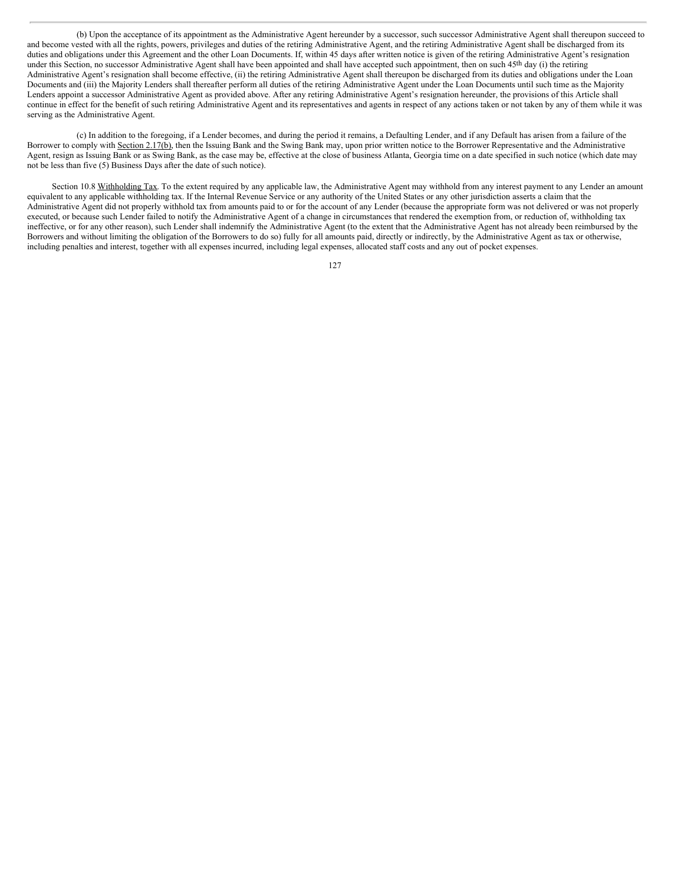(b) Upon the acceptance of its appointment as the Administrative Agent hereunder by a successor, such successor Administrative Agent shall thereupon succeed to and become vested with all the rights, powers, privileges and duties of the retiring Administrative Agent, and the retiring Administrative Agent shall be discharged from its duties and obligations under this Agreement and the other Loan Documents. If, within 45 days after written notice is given of the retiring Administrative Agent's resignation under this Section, no successor Administrative Agent shall have been appointed and shall have accepted such appointment, then on such 45th day (i) the retiring Administrative Agent's resignation shall become effective, (ii) the retiring Administrative Agent shall thereupon be discharged from its duties and obligations under the Loan Documents and (iii) the Majority Lenders shall thereafter perform all duties of the retiring Administrative Agent under the Loan Documents until such time as the Majority Lenders appoint a successor Administrative Agent as provided above. After any retiring Administrative Agent's resignation hereunder, the provisions of this Article shall continue in effect for the benefit of such retiring Administrative Agent and its representatives and agents in respect of any actions taken or not taken by any of them while it was serving as the Administrative Agent.

(c) In addition to the foregoing, if a Lender becomes, and during the period it remains, a Defaulting Lender, and if any Default has arisen from a failure of the Borrower to comply with Section 2.17(b), then the Issuing Bank and the Swing Bank may, upon prior written notice to the Borrower Representative and the Administrative Agent, resign as Issuing Bank or as Swing Bank, as the case may be, effective at the close of business Atlanta, Georgia time on a date specified in such notice (which date may not be less than five (5) Business Days after the date of such notice).

Section 10.8 Withholding Tax. To the extent required by any applicable law, the Administrative Agent may withhold from any interest payment to any Lender an amount equivalent to any applicable withholding tax. If the Internal Revenue Service or any authority of the United States or any other jurisdiction asserts a claim that the Administrative Agent did not properly withhold tax from amounts paid to or for the account of any Lender (because the appropriate form was not delivered or was not properly executed, or because such Lender failed to notify the Administrative Agent of a change in circumstances that rendered the exemption from, or reduction of, withholding tax ineffective, or for any other reason), such Lender shall indemnify the Administrative Agent (to the extent that the Administrative Agent has not already been reimbursed by the Borrowers and without limiting the obligation of the Borrowers to do so) fully for all amounts paid, directly or indirectly, by the Administrative Agent as tax or otherwise, including penalties and interest, together with all expenses incurred, including legal expenses, allocated staff costs and any out of pocket expenses.

<sup>127</sup>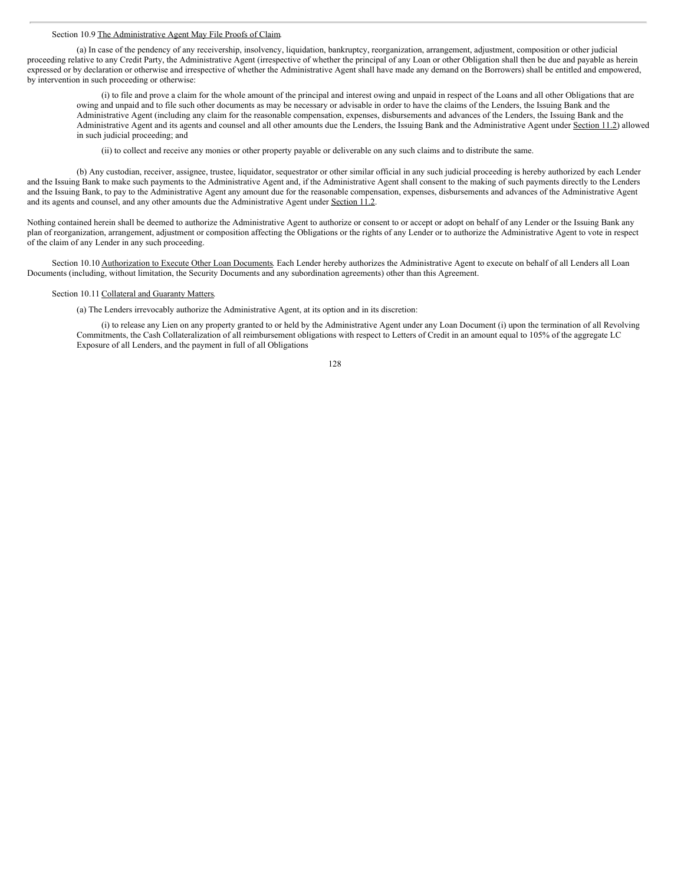#### Section 10.9 The Administrative Agent May File Proofs of Claim.

(a) In case of the pendency of any receivership, insolvency, liquidation, bankruptcy, reorganization, arrangement, adjustment, composition or other judicial proceeding relative to any Credit Party, the Administrative Agent (irrespective of whether the principal of any Loan or other Obligation shall then be due and payable as herein expressed or by declaration or otherwise and irrespective of whether the Administrative Agent shall have made any demand on the Borrowers) shall be entitled and empowered, by intervention in such proceeding or otherwise:

(i) to file and prove a claim for the whole amount of the principal and interest owing and unpaid in respect of the Loans and all other Obligations that are owing and unpaid and to file such other documents as may be necessary or advisable in order to have the claims of the Lenders, the Issuing Bank and the Administrative Agent (including any claim for the reasonable compensation, expenses, disbursements and advances of the Lenders, the Issuing Bank and the Administrative Agent and its agents and counsel and all other amounts due the Lenders, the Issuing Bank and the Administrative Agent under Section 11.2) allowed in such judicial proceeding; and

(ii) to collect and receive any monies or other property payable or deliverable on any such claims and to distribute the same.

(b) Any custodian, receiver, assignee, trustee, liquidator, sequestrator or other similar official in any such judicial proceeding is hereby authorized by each Lender and the Issuing Bank to make such payments to the Administrative Agent and, if the Administrative Agent shall consent to the making of such payments directly to the Lenders and the Issuing Bank, to pay to the Administrative Agent any amount due for the reasonable compensation, expenses, disbursements and advances of the Administrative Agent and its agents and counsel, and any other amounts due the Administrative Agent under Section 11.2.

Nothing contained herein shall be deemed to authorize the Administrative Agent to authorize or consent to or accept or adopt on behalf of any Lender or the Issuing Bank any plan of reorganization, arrangement, adjustment or composition affecting the Obligations or the rights of any Lender or to authorize the Administrative Agent to vote in respect of the claim of any Lender in any such proceeding.

Section 10.10 Authorization to Execute Other Loan Documents. Each Lender hereby authorizes the Administrative Agent to execute on behalf of all Lenders all Loan Documents (including, without limitation, the Security Documents and any subordination agreements) other than this Agreement.

#### Section 10.11 Collateral and Guaranty Matters.

(a) The Lenders irrevocably authorize the Administrative Agent, at its option and in its discretion:

(i) to release any Lien on any property granted to or held by the Administrative Agent under any Loan Document (i) upon the termination of all Revolving Commitments, the Cash Collateralization of all reimbursement obligations with respect to Letters of Credit in an amount equal to 105% of the aggregate LC Exposure of all Lenders, and the payment in full of all Obligations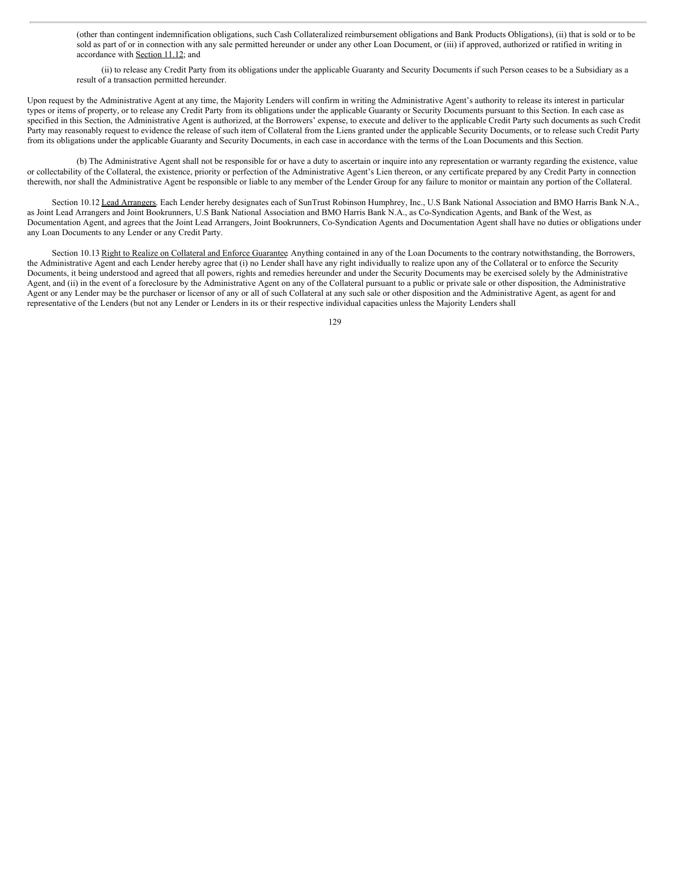(other than contingent indemnification obligations, such Cash Collateralized reimbursement obligations and Bank Products Obligations), (ii) that is sold or to be sold as part of or in connection with any sale permitted hereunder or under any other Loan Document, or (iii) if approved, authorized or ratified in writing in accordance with Section 11.12; and

(ii) to release any Credit Party from its obligations under the applicable Guaranty and Security Documents if such Person ceases to be a Subsidiary as a result of a transaction permitted hereunder.

Upon request by the Administrative Agent at any time, the Majority Lenders will confirm in writing the Administrative Agent's authority to release its interest in particular types or items of property, or to release any Credit Party from its obligations under the applicable Guaranty or Security Documents pursuant to this Section. In each case as specified in this Section, the Administrative Agent is authorized, at the Borrowers' expense, to execute and deliver to the applicable Credit Party such documents as such Credit Party may reasonably request to evidence the release of such item of Collateral from the Liens granted under the applicable Security Documents, or to release such Credit Party from its obligations under the applicable Guaranty and Security Documents, in each case in accordance with the terms of the Loan Documents and this Section.

(b) The Administrative Agent shall not be responsible for or have a duty to ascertain or inquire into any representation or warranty regarding the existence, value or collectability of the Collateral, the existence, priority or perfection of the Administrative Agent's Lien thereon, or any certificate prepared by any Credit Party in connection therewith, nor shall the Administrative Agent be responsible or liable to any member of the Lender Group for any failure to monitor or maintain any portion of the Collateral.

Section 10.12 Lead Arrangers. Each Lender hereby designates each of SunTrust Robinson Humphrey, Inc., U.S Bank National Association and BMO Harris Bank N.A., as Joint Lead Arrangers and Joint Bookrunners, U.S Bank National Association and BMO Harris Bank N.A., as Co-Syndication Agents, and Bank of the West, as Documentation Agent, and agrees that the Joint Lead Arrangers, Joint Bookrunners, Co-Syndication Agents and Documentation Agent shall have no duties or obligations under any Loan Documents to any Lender or any Credit Party.

Section 10.13 Right to Realize on Collateral and Enforce Guarantee Anything contained in any of the Loan Documents to the contrary notwithstanding, the Borrowers, the Administrative Agent and each Lender hereby agree that (i) no Lender shall have any right individually to realize upon any of the Collateral or to enforce the Security Documents, it being understood and agreed that all powers, rights and remedies hereunder and under the Security Documents may be exercised solely by the Administrative Agent, and (ii) in the event of a foreclosure by the Administrative Agent on any of the Collateral pursuant to a public or private sale or other disposition, the Administrative Agent or any Lender may be the purchaser or licensor of any or all of such Collateral at any such sale or other disposition and the Administrative Agent, as agent for and representative of the Lenders (but not any Lender or Lenders in its or their respective individual capacities unless the Majority Lenders shall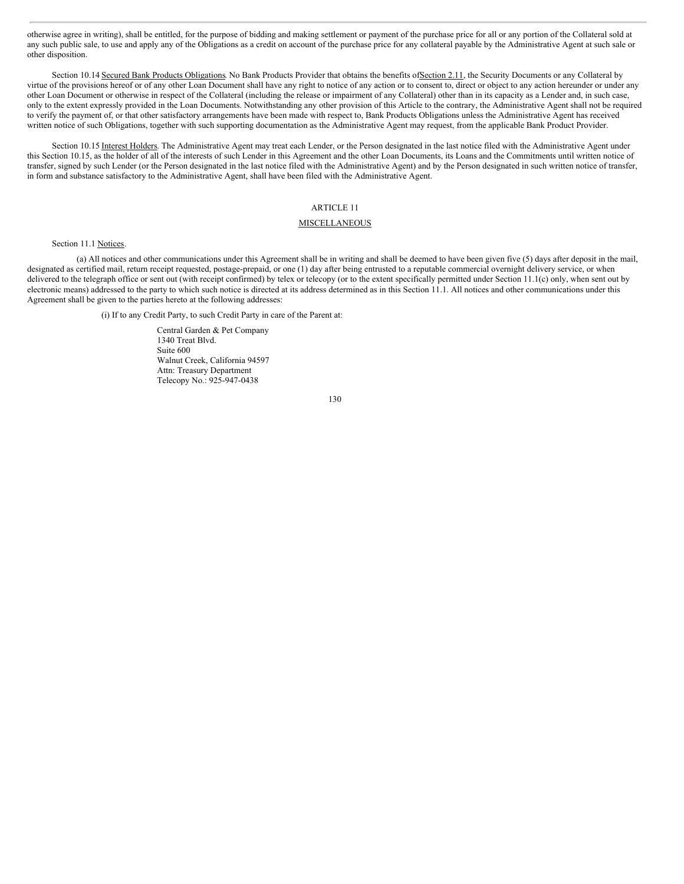otherwise agree in writing), shall be entitled, for the purpose of bidding and making settlement or payment of the purchase price for all or any portion of the Collateral sold at any such public sale, to use and apply any of the Obligations as a credit on account of the purchase price for any collateral payable by the Administrative Agent at such sale or other disposition.

Section 10.14 Secured Bank Products Obligations. No Bank Products Provider that obtains the benefits of Section 2.11, the Security Documents or any Collateral by virtue of the provisions hereof or of any other Loan Document shall have any right to notice of any action or to consent to, direct or object to any action hereunder or under any other Loan Document or otherwise in respect of the Collateral (including the release or impairment of any Collateral) other than in its capacity as a Lender and, in such case, only to the extent expressly provided in the Loan Documents. Notwithstanding any other provision of this Article to the contrary, the Administrative Agent shall not be required to verify the payment of, or that other satisfactory arrangements have been made with respect to, Bank Products Obligations unless the Administrative Agent has received written notice of such Obligations, together with such supporting documentation as the Administrative Agent may request, from the applicable Bank Product Provider.

Section 10.15 Interest Holders. The Administrative Agent may treat each Lender, or the Person designated in the last notice filed with the Administrative Agent under this Section 10.15, as the holder of all of the interests of such Lender in this Agreement and the other Loan Documents, its Loans and the Commitments until written notice of transfer, signed by such Lender (or the Person designated in the last notice filed with the Administrative Agent) and by the Person designated in such written notice of transfer, in form and substance satisfactory to the Administrative Agent, shall have been filed with the Administrative Agent.

# ARTICLE 11

#### **MISCELLANEOUS**

#### Section 11.1 Notices.

(a) All notices and other communications under this Agreement shall be in writing and shall be deemed to have been given five (5) days after deposit in the mail, designated as certified mail, return receipt requested, postage-prepaid, or one (1) day after being entrusted to a reputable commercial overnight delivery service, or when delivered to the telegraph office or sent out (with receipt confirmed) by telex or telecopy (or to the extent specifically permitted under Section 11.1(c) only, when sent out by electronic means) addressed to the party to which such notice is directed at its address determined as in this Section 11.1. All notices and other communications under this Agreement shall be given to the parties hereto at the following addresses:

(i) If to any Credit Party, to such Credit Party in care of the Parent at:

Central Garden & Pet Company 1340 Treat Blvd. Suite 600 Walnut Creek, California 94597 Attn: Treasury Department Telecopy No.: 925-947-0438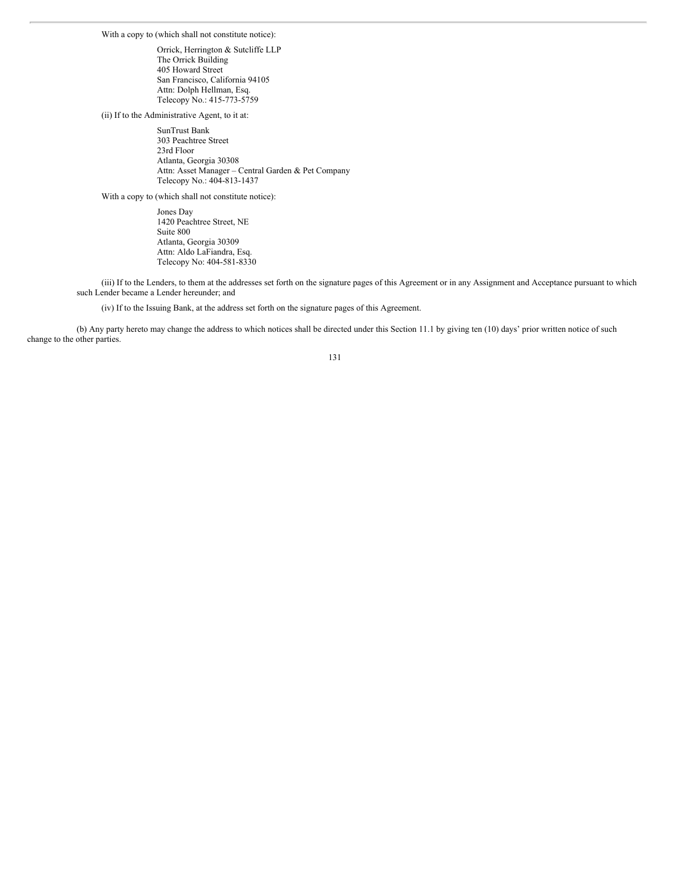With a copy to (which shall not constitute notice):

Orrick, Herrington & Sutcliffe LLP The Orrick Building 405 Howard Street San Francisco, California 94105 Attn: Dolph Hellman, Esq. Telecopy No.: 415-773-5759

(ii) If to the Administrative Agent, to it at:

SunTrust Bank 303 Peachtree Street 23rd Floor Atlanta, Georgia 30308 Attn: Asset Manager – Central Garden & Pet Company Telecopy No.: 404-813-1437

With a copy to (which shall not constitute notice):

Jones Day 1420 Peachtree Street, NE Suite 800 Atlanta, Georgia 30309 Attn: Aldo LaFiandra, Esq. Telecopy No: 404-581-8330

(iii) If to the Lenders, to them at the addresses set forth on the signature pages of this Agreement or in any Assignment and Acceptance pursuant to which such Lender became a Lender hereunder; and

(iv) If to the Issuing Bank, at the address set forth on the signature pages of this Agreement.

(b) Any party hereto may change the address to which notices shall be directed under this Section 11.1 by giving ten (10) days' prior written notice of such change to the other parties.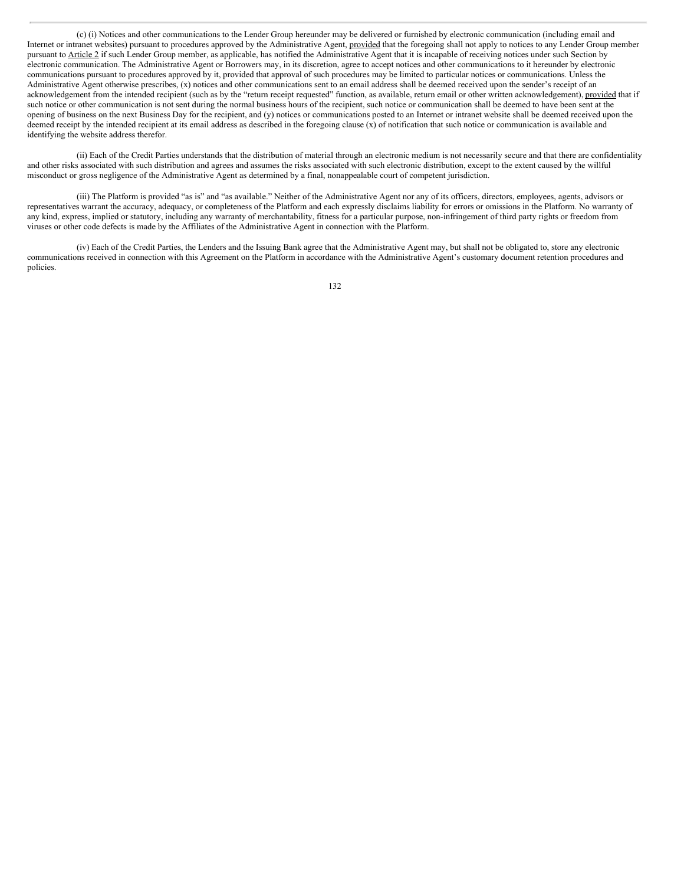(c) (i) Notices and other communications to the Lender Group hereunder may be delivered or furnished by electronic communication (including email and Internet or intranet websites) pursuant to procedures approved by the Administrative Agent, provided that the foregoing shall not apply to notices to any Lender Group member pursuant to Article 2 if such Lender Group member, as applicable, has notified the Administrative Agent that it is incapable of receiving notices under such Section by electronic communication. The Administrative Agent or Borrowers may, in its discretion, agree to accept notices and other communications to it hereunder by electronic communications pursuant to procedures approved by it, provided that approval of such procedures may be limited to particular notices or communications. Unless the Administrative Agent otherwise prescribes, (x) notices and other communications sent to an email address shall be deemed received upon the sender's receipt of an acknowledgement from the intended recipient (such as by the "return receipt requested" function, as available, return email or other written acknowledgement), provided that if such notice or other communication is not sent during the normal business hours of the recipient, such notice or communication shall be deemed to have been sent at the opening of business on the next Business Day for the recipient, and (y) notices or communications posted to an Internet or intranet website shall be deemed received upon the deemed receipt by the intended recipient at its email address as described in the foregoing clause  $(x)$  of notification that such notice or communication is available and identifying the website address therefor.

(ii) Each of the Credit Parties understands that the distribution of material through an electronic medium is not necessarily secure and that there are confidentiality and other risks associated with such distribution and agrees and assumes the risks associated with such electronic distribution, except to the extent caused by the willful misconduct or gross negligence of the Administrative Agent as determined by a final, nonappealable court of competent jurisdiction.

(iii) The Platform is provided "as is" and "as available." Neither of the Administrative Agent nor any of its officers, directors, employees, agents, advisors or representatives warrant the accuracy, adequacy, or completeness of the Platform and each expressly disclaims liability for errors or omissions in the Platform. No warranty of any kind, express, implied or statutory, including any warranty of merchantability, fitness for a particular purpose, non-infringement of third party rights or freedom from viruses or other code defects is made by the Affiliates of the Administrative Agent in connection with the Platform.

(iv) Each of the Credit Parties, the Lenders and the Issuing Bank agree that the Administrative Agent may, but shall not be obligated to, store any electronic communications received in connection with this Agreement on the Platform in accordance with the Administrative Agent's customary document retention procedures and policies.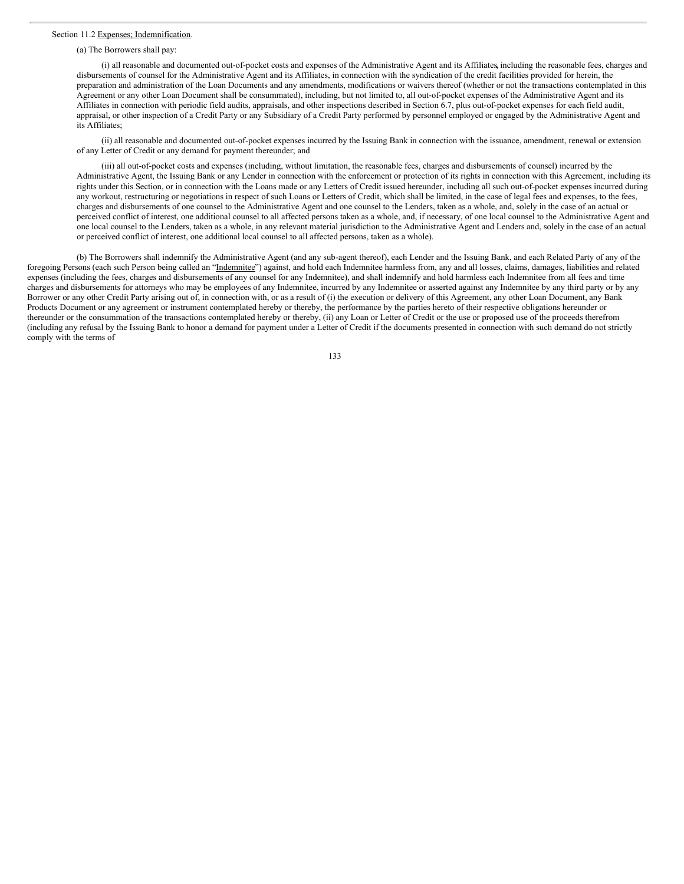### (a) The Borrowers shall pay:

(i) all reasonable and documented out-of-pocket costs and expenses of the Administrative Agent and its Affiliates**,** including the reasonable fees, charges and disbursements of counsel for the Administrative Agent and its Affiliates, in connection with the syndication of the credit facilities provided for herein, the preparation and administration of the Loan Documents and any amendments, modifications or waivers thereof (whether or not the transactions contemplated in this Agreement or any other Loan Document shall be consummated), including, but not limited to, all out-of-pocket expenses of the Administrative Agent and its Affiliates in connection with periodic field audits, appraisals, and other inspections described in Section 6.7, plus out-of-pocket expenses for each field audit, appraisal, or other inspection of a Credit Party or any Subsidiary of a Credit Party performed by personnel employed or engaged by the Administrative Agent and its Affiliates;

(ii) all reasonable and documented out-of-pocket expenses incurred by the Issuing Bank in connection with the issuance, amendment, renewal or extension of any Letter of Credit or any demand for payment thereunder; and

(iii) all out-of-pocket costs and expenses (including, without limitation, the reasonable fees, charges and disbursements of counsel) incurred by the Administrative Agent, the Issuing Bank or any Lender in connection with the enforcement or protection of its rights in connection with this Agreement, including its rights under this Section, or in connection with the Loans made or any Letters of Credit issued hereunder, including all such out-of-pocket expenses incurred during any workout, restructuring or negotiations in respect of such Loans or Letters of Credit, which shall be limited, in the case of legal fees and expenses, to the fees, charges and disbursements of one counsel to the Administrative Agent and one counsel to the Lenders, taken as a whole, and, solely in the case of an actual or perceived conflict of interest, one additional counsel to all affected persons taken as a whole, and, if necessary, of one local counsel to the Administrative Agent and one local counsel to the Lenders, taken as a whole, in any relevant material jurisdiction to the Administrative Agent and Lenders and, solely in the case of an actual or perceived conflict of interest, one additional local counsel to all affected persons, taken as a whole).

(b) The Borrowers shall indemnify the Administrative Agent (and any sub-agent thereof), each Lender and the Issuing Bank, and each Related Party of any of the foregoing Persons (each such Person being called an "Indemnitee") against, and hold each Indemnitee harmless from, any and all losses, claims, damages, liabilities and related expenses (including the fees, charges and disbursements of any counsel for any Indemnitee), and shall indemnify and hold harmless each Indemnitee from all fees and time charges and disbursements for attorneys who may be employees of any Indemnitee, incurred by any Indemnitee or asserted against any Indemnitee by any third party or by any Borrower or any other Credit Party arising out of, in connection with, or as a result of (i) the execution or delivery of this Agreement, any other Loan Document, any Bank Products Document or any agreement or instrument contemplated hereby or thereby, the performance by the parties hereto of their respective obligations hereunder or thereunder or the consummation of the transactions contemplated hereby or thereby, (ii) any Loan or Letter of Credit or the use or proposed use of the proceeds therefrom (including any refusal by the Issuing Bank to honor a demand for payment under a Letter of Credit if the documents presented in connection with such demand do not strictly comply with the terms of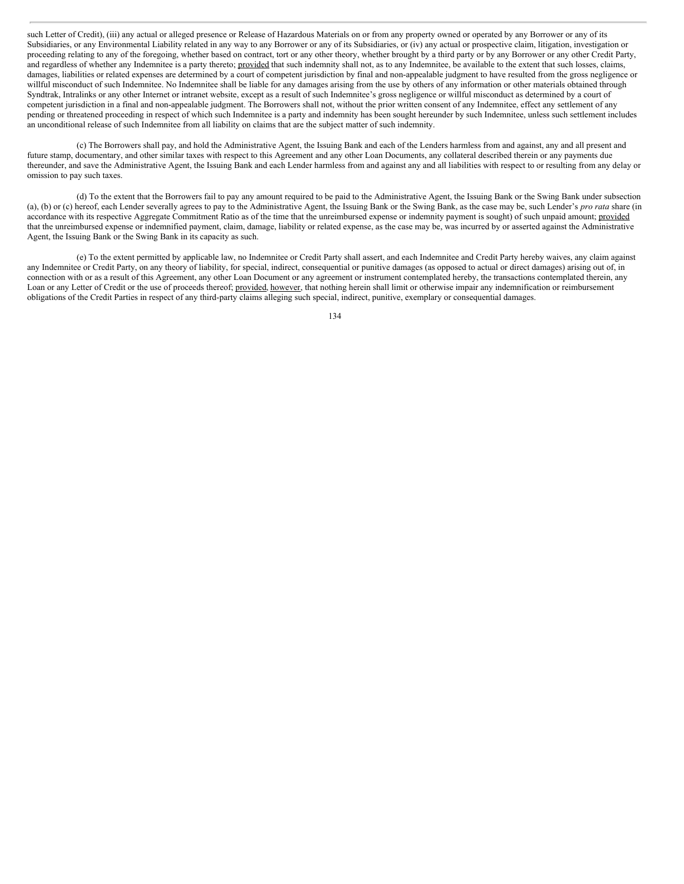such Letter of Credit), (iii) any actual or alleged presence or Release of Hazardous Materials on or from any property owned or operated by any Borrower or any of its Subsidiaries, or any Environmental Liability related in any way to any Borrower or any of its Subsidiaries, or (iv) any actual or prospective claim, litigation, investigation or proceeding relating to any of the foregoing, whether based on contract, tort or any other theory, whether brought by a third party or by any Borrower or any other Credit Party, and regardless of whether any Indemnitee is a party thereto; provided that such indemnity shall not, as to any Indemnitee, be available to the extent that such losses, claims, damages, liabilities or related expenses are determined by a court of competent jurisdiction by final and non-appealable judgment to have resulted from the gross negligence or willful misconduct of such Indemnitee. No Indemnitee shall be liable for any damages arising from the use by others of any information or other materials obtained through Syndtrak, Intralinks or any other Internet or intranet website, except as a result of such Indemnitee's gross negligence or willful misconduct as determined by a court of competent jurisdiction in a final and non-appealable judgment. The Borrowers shall not, without the prior written consent of any Indemnitee, effect any settlement of any pending or threatened proceeding in respect of which such Indemnitee is a party and indemnity has been sought hereunder by such Indemnitee, unless such settlement includes an unconditional release of such Indemnitee from all liability on claims that are the subject matter of such indemnity.

(c) The Borrowers shall pay, and hold the Administrative Agent, the Issuing Bank and each of the Lenders harmless from and against, any and all present and future stamp, documentary, and other similar taxes with respect to this Agreement and any other Loan Documents, any collateral described therein or any payments due thereunder, and save the Administrative Agent, the Issuing Bank and each Lender harmless from and against any and all liabilities with respect to or resulting from any delay or omission to pay such taxes.

(d) To the extent that the Borrowers fail to pay any amount required to be paid to the Administrative Agent, the Issuing Bank or the Swing Bank under subsection (a), (b) or (c) hereof, each Lender severally agrees to pay to the Administrative Agent, the Issuing Bank or the Swing Bank, as the case may be, such Lender's *pro rata* share (in accordance with its respective Aggregate Commitment Ratio as of the time that the unreimbursed expense or indemnity payment is sought) of such unpaid amount; provided that the unreimbursed expense or indemnified payment, claim, damage, liability or related expense, as the case may be, was incurred by or asserted against the Administrative Agent, the Issuing Bank or the Swing Bank in its capacity as such.

(e) To the extent permitted by applicable law, no Indemnitee or Credit Party shall assert, and each Indemnitee and Credit Party hereby waives, any claim against any Indemnitee or Credit Party, on any theory of liability, for special, indirect, consequential or punitive damages (as opposed to actual or direct damages) arising out of, in connection with or as a result of this Agreement, any other Loan Document or any agreement or instrument contemplated hereby, the transactions contemplated therein, any Loan or any Letter of Credit or the use of proceeds thereof; provided, however, that nothing herein shall limit or otherwise impair any indemnification or reimbursement obligations of the Credit Parties in respect of any third-party claims alleging such special, indirect, punitive, exemplary or consequential damages.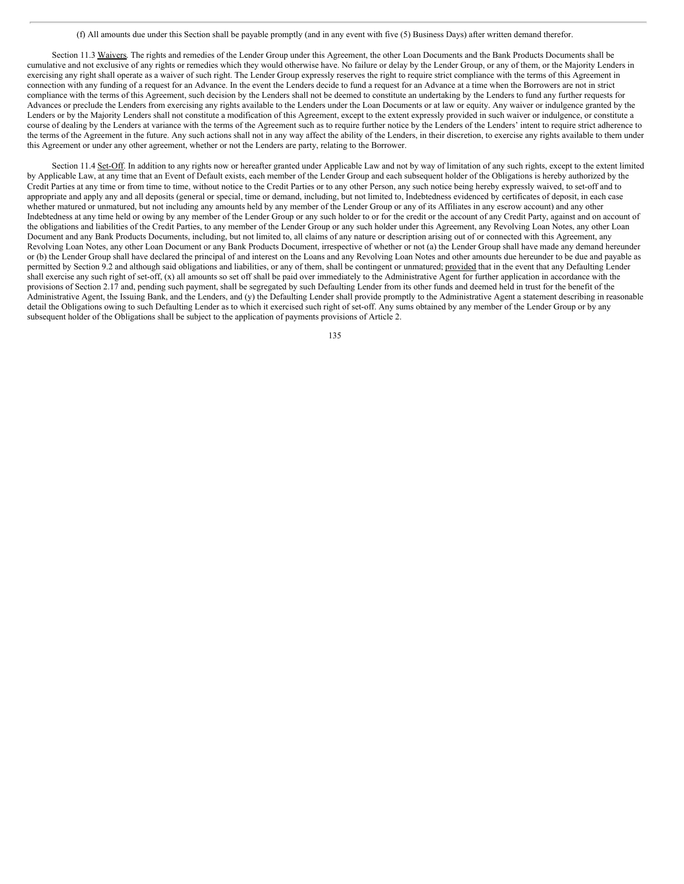#### (f) All amounts due under this Section shall be payable promptly (and in any event with five (5) Business Days) after written demand therefor.

Section 11.3 Waivers. The rights and remedies of the Lender Group under this Agreement, the other Loan Documents and the Bank Products Documents shall be cumulative and not exclusive of any rights or remedies which they would otherwise have. No failure or delay by the Lender Group, or any of them, or the Majority Lenders in exercising any right shall operate as a waiver of such right. The Lender Group expressly reserves the right to require strict compliance with the terms of this Agreement in connection with any funding of a request for an Advance. In the event the Lenders decide to fund a request for an Advance at a time when the Borrowers are not in strict compliance with the terms of this Agreement, such decision by the Lenders shall not be deemed to constitute an undertaking by the Lenders to fund any further requests for Advances or preclude the Lenders from exercising any rights available to the Lenders under the Loan Documents or at law or equity. Any waiver or indulgence granted by the Lenders or by the Majority Lenders shall not constitute a modification of this Agreement, except to the extent expressly provided in such waiver or indulgence, or constitute a course of dealing by the Lenders at variance with the terms of the Agreement such as to require further notice by the Lenders of the Lenders' intent to require strict adherence to the terms of the Agreement in the future. Any such actions shall not in any way affect the ability of the Lenders, in their discretion, to exercise any rights available to them under this Agreement or under any other agreement, whether or not the Lenders are party, relating to the Borrower.

Section 11.4 Set-Off. In addition to any rights now or hereafter granted under Applicable Law and not by way of limitation of any such rights, except to the extent limited by Applicable Law, at any time that an Event of Default exists, each member of the Lender Group and each subsequent holder of the Obligations is hereby authorized by the Credit Parties at any time or from time to time, without notice to the Credit Parties or to any other Person, any such notice being hereby expressly waived, to set-off and to appropriate and apply any and all deposits (general or special, time or demand, including, but not limited to, Indebtedness evidenced by certificates of deposit, in each case whether matured or unmatured, but not including any amounts held by any member of the Lender Group or any of its Affiliates in any escrow account) and any other Indebtedness at any time held or owing by any member of the Lender Group or any such holder to or for the credit or the account of any Credit Party, against and on account of the obligations and liabilities of the Credit Parties, to any member of the Lender Group or any such holder under this Agreement, any Revolving Loan Notes, any other Loan Document and any Bank Products Documents, including, but not limited to, all claims of any nature or description arising out of or connected with this Agreement, any Revolving Loan Notes, any other Loan Document or any Bank Products Document, irrespective of whether or not (a) the Lender Group shall have made any demand hereunder or (b) the Lender Group shall have declared the principal of and interest on the Loans and any Revolving Loan Notes and other amounts due hereunder to be due and payable as permitted by Section 9.2 and although said obligations and liabilities, or any of them, shall be contingent or unmatured; provided that in the event that any Defaulting Lender shall exercise any such right of set-off, (x) all amounts so set off shall be paid over immediately to the Administrative Agent for further application in accordance with the provisions of Section 2.17 and, pending such payment, shall be segregated by such Defaulting Lender from its other funds and deemed held in trust for the benefit of the Administrative Agent, the Issuing Bank, and the Lenders, and (y) the Defaulting Lender shall provide promptly to the Administrative Agent a statement describing in reasonable detail the Obligations owing to such Defaulting Lender as to which it exercised such right of set-off. Any sums obtained by any member of the Lender Group or by any subsequent holder of the Obligations shall be subject to the application of payments provisions of Article 2.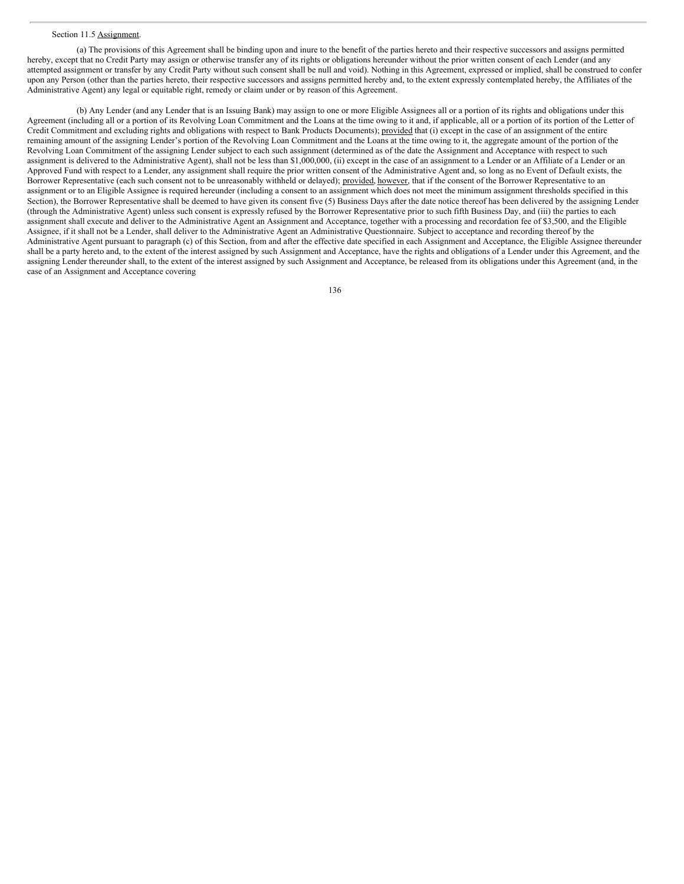#### Section 11.5 Assignment.

(a) The provisions of this Agreement shall be binding upon and inure to the benefit of the parties hereto and their respective successors and assigns permitted hereby, except that no Credit Party may assign or otherwise transfer any of its rights or obligations hereunder without the prior written consent of each Lender (and any attempted assignment or transfer by any Credit Party without such consent shall be null and void). Nothing in this Agreement, expressed or implied, shall be construed to confer upon any Person (other than the parties hereto, their respective successors and assigns permitted hereby and, to the extent expressly contemplated hereby, the Affiliates of the Administrative Agent) any legal or equitable right, remedy or claim under or by reason of this Agreement.

(b) Any Lender (and any Lender that is an Issuing Bank) may assign to one or more Eligible Assignees all or a portion of its rights and obligations under this Agreement (including all or a portion of its Revolving Loan Commitment and the Loans at the time owing to it and, if applicable, all or a portion of its portion of the Letter of Credit Commitment and excluding rights and obligations with respect to Bank Products Documents); provided that (i) except in the case of an assignment of the entire remaining amount of the assigning Lender's portion of the Revolving Loan Commitment and the Loans at the time owing to it, the aggregate amount of the portion of the Revolving Loan Commitment of the assigning Lender subject to each such assignment (determined as of the date the Assignment and Acceptance with respect to such assignment is delivered to the Administrative Agent), shall not be less than \$1,000,000, (ii) except in the case of an assignment to a Lender or an Affiliate of a Lender or an Approved Fund with respect to a Lender, any assignment shall require the prior written consent of the Administrative Agent and, so long as no Event of Default exists, the Borrower Representative (each such consent not to be unreasonably withheld or delayed); provided, however, that if the consent of the Borrower Representative to an assignment or to an Eligible Assignee is required hereunder (including a consent to an assignment which does not meet the minimum assignment thresholds specified in this Section), the Borrower Representative shall be deemed to have given its consent five (5) Business Days after the date notice thereof has been delivered by the assigning Lender (through the Administrative Agent) unless such consent is expressly refused by the Borrower Representative prior to such fifth Business Day, and (iii) the parties to each assignment shall execute and deliver to the Administrative Agent an Assignment and Acceptance, together with a processing and recordation fee of \$3,500, and the Eligible Assignee, if it shall not be a Lender, shall deliver to the Administrative Agent an Administrative Questionnaire. Subject to acceptance and recording thereof by the Administrative Agent pursuant to paragraph (c) of this Section, from and after the effective date specified in each Assignment and Acceptance, the Eligible Assignee thereunder shall be a party hereto and, to the extent of the interest assigned by such Assignment and Acceptance, have the rights and obligations of a Lender under this Agreement, and the assigning Lender thereunder shall, to the extent of the interest assigned by such Assignment and Acceptance, be released from its obligations under this Agreement (and, in the case of an Assignment and Acceptance covering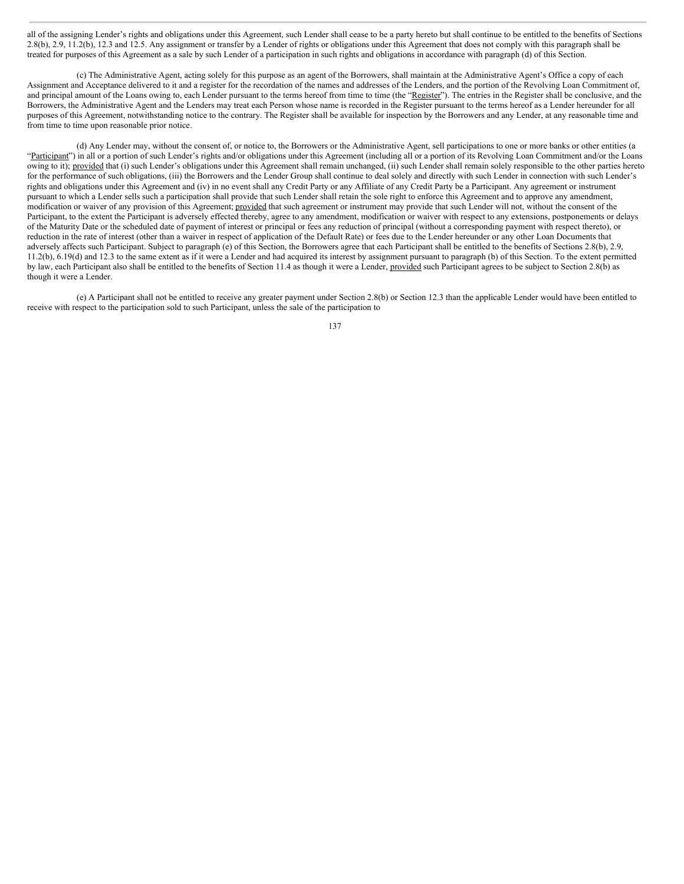all of the assigning Lender's rights and obligations under this Agreement, such Lender shall cease to be a party hereto but shall continue to be entitled to the benefits of Sections 2.8(b), 2.9, 11.2(b), 12.3 and 12.5. Any assignment or transfer by a Lender of rights or obligations under this Agreement that does not comply with this paragraph shall be treated for purposes of this Agreement as a sale by such Lender of a participation in such rights and obligations in accordance with paragraph (d) of this Section.

(c) The Administrative Agent, acting solely for this purpose as an agent of the Borrowers, shall maintain at the Administrative Agent's Office a copy of each Assignment and Acceptance delivered to it and a register for the recordation of the names and addresses of the Lenders, and the portion of the Revolving Loan Commitment of, and principal amount of the Loans owing to, each Lender pursuant to the terms hereof from time to time (the "Register"). The entries in the Register shall be conclusive, and the Borrowers, the Administrative Agent and the Lenders may treat each Person whose name is recorded in the Register pursuant to the terms hereof as a Lender hereunder for all purposes of this Agreement, notwithstanding notice to the contrary. The Register shall be available for inspection by the Borrowers and any Lender, at any reasonable time and from time to time upon reasonable prior notice.

(d) Any Lender may, without the consent of, or notice to, the Borrowers or the Administrative Agent, sell participations to one or more banks or other entities (a "Participant") in all or a portion of such Lender's rights and/or obligations under this Agreement (including all or a portion of its Revolving Loan Commitment and/or the Loans owing to it); provided that (i) such Lender's obligations under this Agreement shall remain unchanged, (ii) such Lender shall remain solely responsible to the other parties hereto for the performance of such obligations, (iii) the Borrowers and the Lender Group shall continue to deal solely and directly with such Lender in connection with such Lender's rights and obligations under this Agreement and (iv) in no event shall any Credit Party or any Affiliate of any Credit Party be a Participant. Any agreement or instrument pursuant to which a Lender sells such a participation shall provide that such Lender shall retain the sole right to enforce this Agreement and to approve any amendment, modification or waiver of any provision of this Agreement; provided that such agreement or instrument may provide that such Lender will not, without the consent of the Participant, to the extent the Participant is adversely effected thereby, agree to any amendment, modification or waiver with respect to any extensions, postponements or delays of the Maturity Date or the scheduled date of payment of interest or principal or fees any reduction of principal (without a corresponding payment with respect thereto), or reduction in the rate of interest (other than a waiver in respect of application of the Default Rate) or fees due to the Lender hereunder or any other Loan Documents that adversely affects such Participant. Subject to paragraph (e) of this Section, the Borrowers agree that each Participant shall be entitled to the benefits of Sections 2.8(b), 2.9, 11.2(b), 6.19(d) and 12.3 to the same extent as if it were a Lender and had acquired its interest by assignment pursuant to paragraph (b) of this Section. To the extent permitted by law, each Participant also shall be entitled to the benefits of Section 11.4 as though it were a Lender, provided such Participant agrees to be subject to Section 2.8(b) as though it were a Lender.

(e) A Participant shall not be entitled to receive any greater payment under Section 2.8(b) or Section 12.3 than the applicable Lender would have been entitled to receive with respect to the participation sold to such Participant, unless the sale of the participation to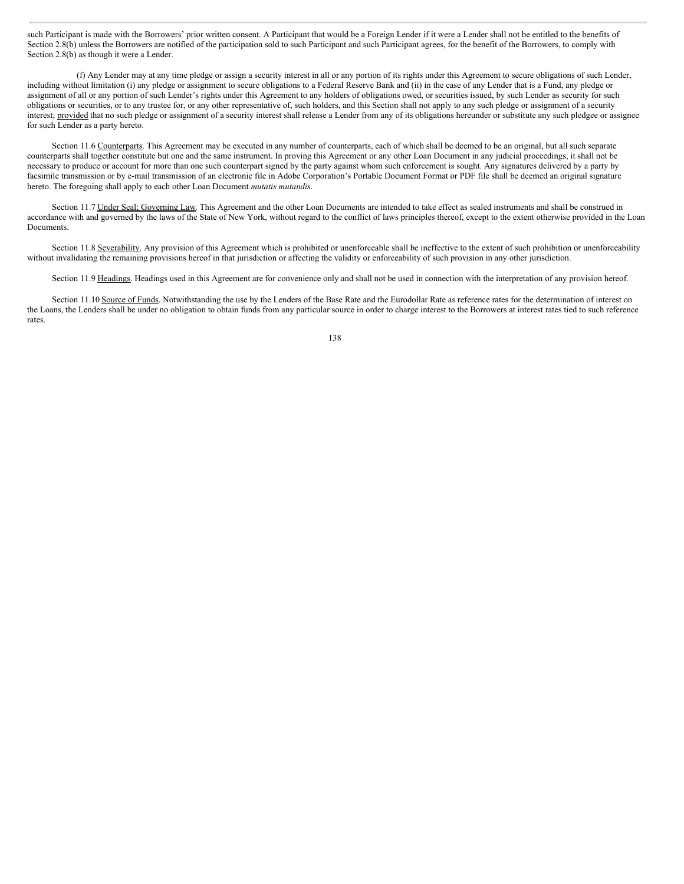such Participant is made with the Borrowers' prior written consent. A Participant that would be a Foreign Lender if it were a Lender shall not be entitled to the benefits of Section 2.8(b) unless the Borrowers are notified of the participation sold to such Participant and such Participant agrees, for the benefit of the Borrowers, to comply with Section 2.8(b) as though it were a Lender.

(f) Any Lender may at any time pledge or assign a security interest in all or any portion of its rights under this Agreement to secure obligations of such Lender, including without limitation (i) any pledge or assignment to secure obligations to a Federal Reserve Bank and (ii) in the case of any Lender that is a Fund, any pledge or assignment of all or any portion of such Lender's rights under this Agreement to any holders of obligations owed, or securities issued, by such Lender as security for such obligations or securities, or to any trustee for, or any other representative of, such holders, and this Section shall not apply to any such pledge or assignment of a security interest; provided that no such pledge or assignment of a security interest shall release a Lender from any of its obligations hereunder or substitute any such pledgee or assignee for such Lender as a party hereto.

Section 11.6 Counterparts. This Agreement may be executed in any number of counterparts, each of which shall be deemed to be an original, but all such separate counterparts shall together constitute but one and the same instrument. In proving this Agreement or any other Loan Document in any judicial proceedings, it shall not be necessary to produce or account for more than one such counterpart signed by the party against whom such enforcement is sought. Any signatures delivered by a party by facsimile transmission or by e-mail transmission of an electronic file in Adobe Corporation's Portable Document Format or PDF file shall be deemed an original signature hereto. The foregoing shall apply to each other Loan Document *mutatis mutandis*.

Section 11.7 Under Seal; Governing Law. This Agreement and the other Loan Documents are intended to take effect as sealed instruments and shall be construed in accordance with and governed by the laws of the State of New York, without regard to the conflict of laws principles thereof, except to the extent otherwise provided in the Loan Documents.

Section 11.8 Severability. Any provision of this Agreement which is prohibited or unenforceable shall be ineffective to the extent of such prohibition or unenforceability without invalidating the remaining provisions hereof in that jurisdiction or affecting the validity or enforceability of such provision in any other jurisdiction.

Section 11.9 Headings. Headings used in this Agreement are for convenience only and shall not be used in connection with the interpretation of any provision hereof.

Section 11.10 Source of Funds. Notwithstanding the use by the Lenders of the Base Rate and the Eurodollar Rate as reference rates for the determination of interest on the Loans, the Lenders shall be under no obligation to obtain funds from any particular source in order to charge interest to the Borrowers at interest rates tied to such reference rates.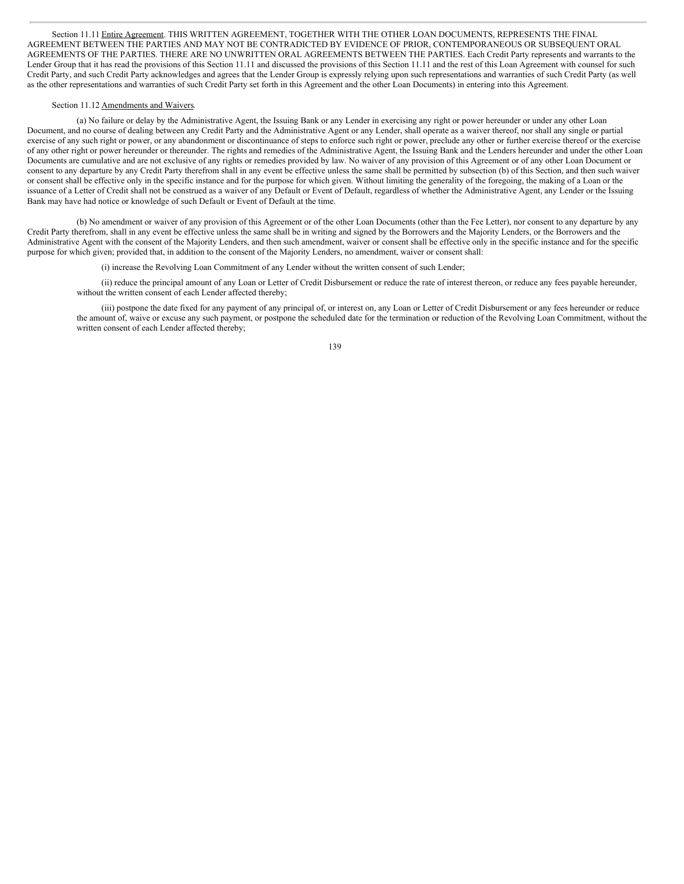Section 11.11 Entire Agreement. THIS WRITTEN AGREEMENT, TOGETHER WITH THE OTHER LOAN DOCUMENTS. REPRESENTS THE FINAL AGREEMENT BETWEEN THE PARTIES AND MAY NOT BE CONTRADICTED BY EVIDENCE OF PRIOR, CONTEMPORANEOUS OR SUBSEQUENT ORAL AGREEMENTS OF THE PARTIES. THERE ARE NO UNWRITTEN ORAL AGREEMENTS BETWEEN THE PARTIES. Each Credit Party represents and warrants to the Lender Group that it has read the provisions of this Section 11.11 and discussed the provisions of this Section 11.11 and the rest of this Loan Agreement with counsel for such Credit Party, and such Credit Party acknowledges and agrees that the Lender Group is expressly relying upon such representations and warranties of such Credit Party (as well as the other representations and warranties of such Credit Party set forth in this Agreement and the other Loan Documents) in entering into this Agreement.

#### Section 11.12 Amendments and Waivers.

(a) No failure or delay by the Administrative Agent, the Issuing Bank or any Lender in exercising any right or power hereunder or under any other Loan Document, and no course of dealing between any Credit Party and the Administrative Agent or any Lender, shall operate as a waiver thereof, nor shall any single or partial exercise of any such right or power, or any abandonment or discontinuance of steps to enforce such right or power, preclude any other or further exercise thereof or the exercise of any other right or power hereunder or thereunder. The rights and remedies of the Administrative Agent, the Issuing Bank and the Lenders hereunder and under the other Loan Documents are cumulative and are not exclusive of any rights or remedies provided by law. No waiver of any provision of this Agreement or of any other Loan Document or consent to any departure by any Credit Party therefrom shall in any event be effective unless the same shall be permitted by subsection (b) of this Section, and then such waiver or consent shall be effective only in the specific instance and for the purpose for which given. Without limiting the generality of the foregoing, the making of a Loan or the issuance of a Letter of Credit shall not be construed as a waiver of any Default or Event of Default, regardless of whether the Administrative Agent, any Lender or the Issuing Bank may have had notice or knowledge of such Default or Event of Default at the time.

(b) No amendment or waiver of any provision of this Agreement or of the other Loan Documents (other than the Fee Letter), nor consent to any departure by any Credit Party therefrom, shall in any event be effective unless the same shall be in writing and signed by the Borrowers and the Majority Lenders, or the Borrowers and the Administrative Agent with the consent of the Majority Lenders, and then such amendment, waiver or consent shall be effective only in the specific instance and for the specific purpose for which given; provided that, in addition to the consent of the Majority Lenders, no amendment, waiver or consent shall:

(i) increase the Revolving Loan Commitment of any Lender without the written consent of such Lender;

(ii) reduce the principal amount of any Loan or Letter of Credit Disbursement or reduce the rate of interest thereon, or reduce any fees payable hereunder, without the written consent of each Lender affected thereby;

(iii) postpone the date fixed for any payment of any principal of, or interest on, any Loan or Letter of Credit Disbursement or any fees hereunder or reduce the amount of, waive or excuse any such payment, or postpone the scheduled date for the termination or reduction of the Revolving Loan Commitment, without the written consent of each Lender affected thereby;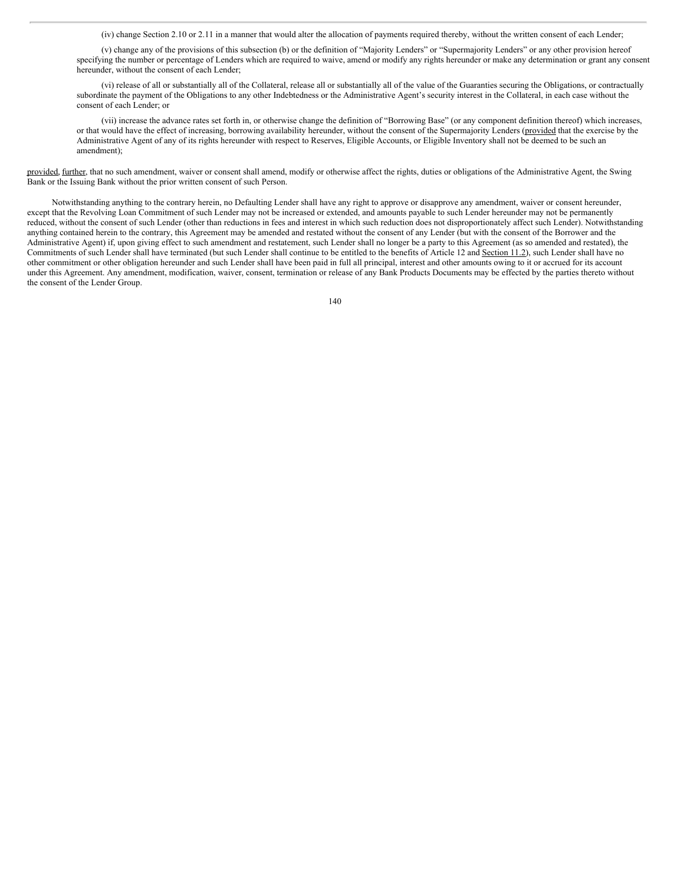(iv) change Section 2.10 or 2.11 in a manner that would alter the allocation of payments required thereby, without the written consent of each Lender;

(v) change any of the provisions of this subsection (b) or the definition of "Majority Lenders" or "Supermajority Lenders" or any other provision hereof specifying the number or percentage of Lenders which are required to waive, amend or modify any rights hereunder or make any determination or grant any consent hereunder, without the consent of each Lender;

(vi) release of all or substantially all of the Collateral, release all or substantially all of the value of the Guaranties securing the Obligations, or contractually subordinate the payment of the Obligations to any other Indebtedness or the Administrative Agent's security interest in the Collateral, in each case without the consent of each Lender; or

(vii) increase the advance rates set forth in, or otherwise change the definition of "Borrowing Base" (or any component definition thereof) which increases, or that would have the effect of increasing, borrowing availability hereunder, without the consent of the Supermajority Lenders (provided that the exercise by the Administrative Agent of any of its rights hereunder with respect to Reserves, Eligible Accounts, or Eligible Inventory shall not be deemed to be such an amendment);

provided, further, that no such amendment, waiver or consent shall amend, modify or otherwise affect the rights, duties or obligations of the Administrative Agent, the Swing Bank or the Issuing Bank without the prior written consent of such Person.

Notwithstanding anything to the contrary herein, no Defaulting Lender shall have any right to approve or disapprove any amendment, waiver or consent hereunder, except that the Revolving Loan Commitment of such Lender may not be increased or extended, and amounts payable to such Lender hereunder may not be permanently reduced, without the consent of such Lender (other than reductions in fees and interest in which such reduction does not disproportionately affect such Lender). Notwithstanding anything contained herein to the contrary, this Agreement may be amended and restated without the consent of any Lender (but with the consent of the Borrower and the Administrative Agent) if, upon giving effect to such amendment and restatement, such Lender shall no longer be a party to this Agreement (as so amended and restated), the Commitments of such Lender shall have terminated (but such Lender shall continue to be entitled to the benefits of Article 12 and Section 11.2), such Lender shall have no other commitment or other obligation hereunder and such Lender shall have been paid in full all principal, interest and other amounts owing to it or accrued for its account under this Agreement. Any amendment, modification, waiver, consent, termination or release of any Bank Products Documents may be effected by the parties thereto without the consent of the Lender Group.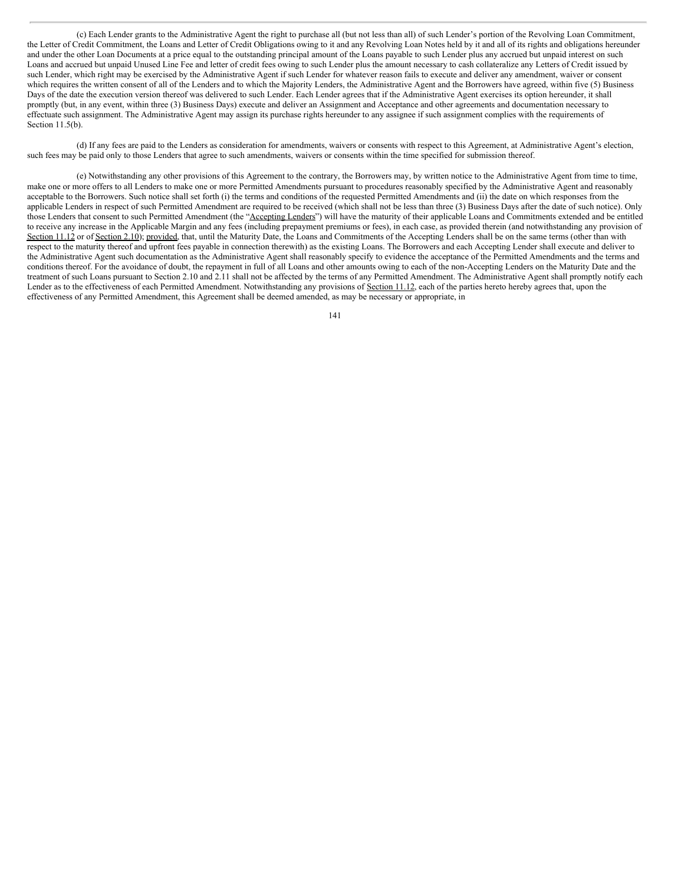(c) Each Lender grants to the Administrative Agent the right to purchase all (but not less than all) of such Lender's portion of the Revolving Loan Commitment, the Letter of Credit Commitment, the Loans and Letter of Credit Obligations owing to it and any Revolving Loan Notes held by it and all of its rights and obligations hereunder and under the other Loan Documents at a price equal to the outstanding principal amount of the Loans payable to such Lender plus any accrued but unpaid interest on such Loans and accrued but unpaid Unused Line Fee and letter of credit fees owing to such Lender plus the amount necessary to cash collateralize any Letters of Credit issued by such Lender, which right may be exercised by the Administrative Agent if such Lender for whatever reason fails to execute and deliver any amendment, waiver or consent which requires the written consent of all of the Lenders and to which the Majority Lenders, the Administrative Agent and the Borrowers have agreed, within five (5) Business Days of the date the execution version thereof was delivered to such Lender. Each Lender agrees that if the Administrative Agent exercises its option hereunder, it shall promptly (but, in any event, within three (3) Business Days) execute and deliver an Assignment and Acceptance and other agreements and documentation necessary to effectuate such assignment. The Administrative Agent may assign its purchase rights hereunder to any assignee if such assignment complies with the requirements of Section 11.5(b).

(d) If any fees are paid to the Lenders as consideration for amendments, waivers or consents with respect to this Agreement, at Administrative Agent's election, such fees may be paid only to those Lenders that agree to such amendments, waivers or consents within the time specified for submission thereof.

(e) Notwithstanding any other provisions of this Agreement to the contrary, the Borrowers may, by written notice to the Administrative Agent from time to time, make one or more offers to all Lenders to make one or more Permitted Amendments pursuant to procedures reasonably specified by the Administrative Agent and reasonably acceptable to the Borrowers. Such notice shall set forth (i) the terms and conditions of the requested Permitted Amendments and (ii) the date on which responses from the applicable Lenders in respect of such Permitted Amendment are required to be received (which shall not be less than three (3) Business Days after the date of such notice). Only those Lenders that consent to such Permitted Amendment (the "Accepting Lenders") will have the maturity of their applicable Loans and Commitments extended and be entitled to receive any increase in the Applicable Margin and any fees (including prepayment premiums or fees), in each case, as provided therein (and notwithstanding any provision of Section 11.12 or of Section 2.10); provided, that, until the Maturity Date, the Loans and Commitments of the Accepting Lenders shall be on the same terms (other than with respect to the maturity thereof and upfront fees payable in connection therewith) as the existing Loans. The Borrowers and each Accepting Lender shall execute and deliver to the Administrative Agent such documentation as the Administrative Agent shall reasonably specify to evidence the acceptance of the Permitted Amendments and the terms and conditions thereof. For the avoidance of doubt, the repayment in full of all Loans and other amounts owing to each of the non-Accepting Lenders on the Maturity Date and the treatment of such Loans pursuant to Section 2.10 and 2.11 shall not be affected by the terms of any Permitted Amendment. The Administrative Agent shall promptly notify each Lender as to the effectiveness of each Permitted Amendment. Notwithstanding any provisions of Section 11.12, each of the parties hereto hereby agrees that, upon the effectiveness of any Permitted Amendment, this Agreement shall be deemed amended, as may be necessary or appropriate, in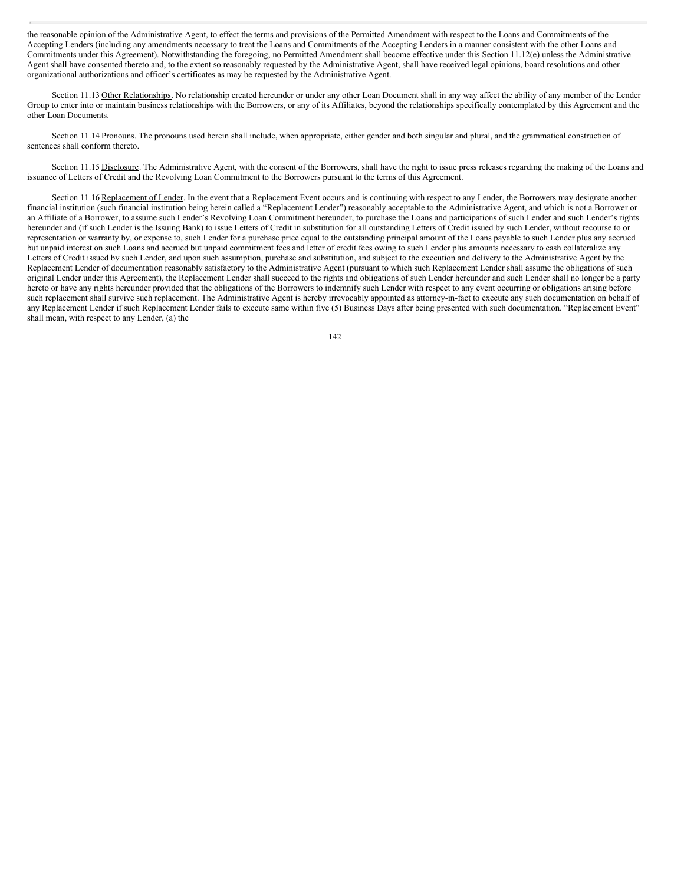the reasonable opinion of the Administrative Agent, to effect the terms and provisions of the Permitted Amendment with respect to the Loans and Commitments of the Accepting Lenders (including any amendments necessary to treat the Loans and Commitments of the Accepting Lenders in a manner consistent with the other Loans and Commitments under this Agreement). Notwithstanding the foregoing, no Permitted Amendment shall become effective under this Section 11.12(e) unless the Administrative Agent shall have consented thereto and, to the extent so reasonably requested by the Administrative Agent, shall have received legal opinions, board resolutions and other organizational authorizations and officer's certificates as may be requested by the Administrative Agent.

Section 11.13 Other Relationships. No relationship created hereunder or under any other Loan Document shall in any way affect the ability of any member of the Lender Group to enter into or maintain business relationships with the Borrowers, or any of its Affiliates, beyond the relationships specifically contemplated by this Agreement and the other Loan Documents.

Section 11.14 Pronouns. The pronouns used herein shall include, when appropriate, either gender and both singular and plural, and the grammatical construction of sentences shall conform thereto.

Section 11.15 Disclosure. The Administrative Agent, with the consent of the Borrowers, shall have the right to issue press releases regarding the making of the Loans and issuance of Letters of Credit and the Revolving Loan Commitment to the Borrowers pursuant to the terms of this Agreement.

Section 11.16 Replacement of Lender. In the event that a Replacement Event occurs and is continuing with respect to any Lender, the Borrowers may designate another financial institution (such financial institution being herein called a "Replacement Lender") reasonably acceptable to the Administrative Agent, and which is not a Borrower or an Affiliate of a Borrower, to assume such Lender's Revolving Loan Commitment hereunder, to purchase the Loans and participations of such Lender and such Lender's rights hereunder and (if such Lender is the Issuing Bank) to issue Letters of Credit in substitution for all outstanding Letters of Credit issued by such Lender, without recourse to or representation or warranty by, or expense to, such Lender for a purchase price equal to the outstanding principal amount of the Loans payable to such Lender plus any accrued but unpaid interest on such Loans and accrued but unpaid commitment fees and letter of credit fees owing to such Lender plus amounts necessary to cash collateralize any Letters of Credit issued by such Lender, and upon such assumption, purchase and substitution, and subject to the execution and delivery to the Administrative Agent by the Replacement Lender of documentation reasonably satisfactory to the Administrative Agent (pursuant to which such Replacement Lender shall assume the obligations of such original Lender under this Agreement), the Replacement Lender shall succeed to the rights and obligations of such Lender hereunder and such Lender shall no longer be a party hereto or have any rights hereunder provided that the obligations of the Borrowers to indemnify such Lender with respect to any event occurring or obligations arising before such replacement shall survive such replacement. The Administrative Agent is hereby irrevocably appointed as attorney-in-fact to execute any such documentation on behalf of any Replacement Lender if such Replacement Lender fails to execute same within five (5) Business Days after being presented with such documentation. "Replacement Event" shall mean, with respect to any Lender, (a) the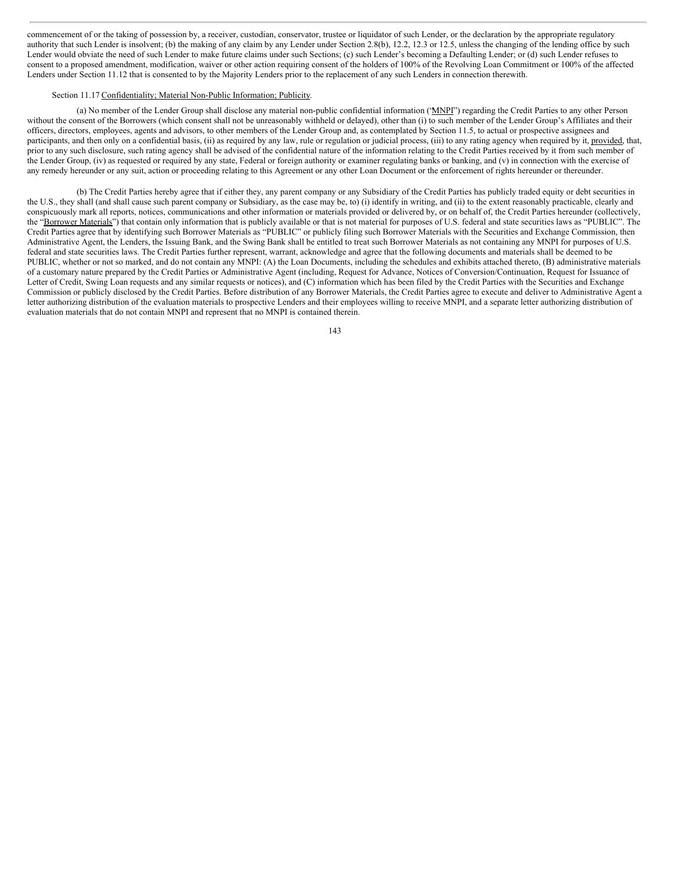commencement of or the taking of possession by, a receiver, custodian, conservator, trustee or liquidator of such Lender, or the declaration by the appropriate regulatory authority that such Lender is insolvent; (b) the making of any claim by any Lender under Section 2.8(b), 12.2, 12.3 or 12.5, unless the changing of the lending office by such Lender would obviate the need of such Lender to make future claims under such Sections; (c) such Lender's becoming a Defaulting Lender; or (d) such Lender refuses to consent to a proposed amendment, modification, waiver or other action requiring consent of the holders of 100% of the Revolving Loan Commitment or 100% of the affected Lenders under Section 11.12 that is consented to by the Majority Lenders prior to the replacement of any such Lenders in connection therewith.

#### Section 11.17 Confidentiality; Material Non-Public Information; Publicity.

(a) No member of the Lender Group shall disclose any material non-public confidential information ('MNPI') regarding the Credit Parties to any other Person without the consent of the Borrowers (which consent shall not be unreasonably withheld or delayed), other than (i) to such member of the Lender Group's Affiliates and their officers, directors, employees, agents and advisors, to other members of the Lender Group and, as contemplated by Section 11.5, to actual or prospective assignees and participants, and then only on a confidential basis, (ii) as required by any law, rule or regulation or judicial process, (iii) to any rating agency when required by it, provided, that, prior to any such disclosure, such rating agency shall be advised of the confidential nature of the information relating to the Credit Parties received by it from such member of the Lender Group, (iv) as requested or required by any state, Federal or foreign authority or examiner regulating banks or banking, and (v) in connection with the exercise of any remedy hereunder or any suit, action or proceeding relating to this Agreement or any other Loan Document or the enforcement of rights hereunder or thereunder.

(b) The Credit Parties hereby agree that if either they, any parent company or any Subsidiary of the Credit Parties has publicly traded equity or debt securities in the U.S., they shall (and shall cause such parent company or Subsidiary, as the case may be, to) (i) identify in writing, and (ii) to the extent reasonably practicable, clearly and conspicuously mark all reports, notices, communications and other information or materials provided or delivered by, or on behalf of, the Credit Parties hereunder (collectively, the "Borrower Materials") that contain only information that is publicly available or that is not material for purposes of U.S. federal and state securities laws as "PUBLIC". The Credit Parties agree that by identifying such Borrower Materials as "PUBLIC" or publicly filing such Borrower Materials with the Securities and Exchange Commission, then Administrative Agent, the Lenders, the Issuing Bank, and the Swing Bank shall be entitled to treat such Borrower Materials as not containing any MNPI for purposes of U.S. federal and state securities laws. The Credit Parties further represent, warrant, acknowledge and agree that the following documents and materials shall be deemed to be PUBLIC, whether or not so marked, and do not contain any MNPI: (A) the Loan Documents, including the schedules and exhibits attached thereto, (B) administrative materials of a customary nature prepared by the Credit Parties or Administrative Agent (including, Request for Advance, Notices of Conversion/Continuation, Request for Issuance of Letter of Credit, Swing Loan requests and any similar requests or notices), and (C) information which has been filed by the Credit Parties with the Securities and Exchange Commission or publicly disclosed by the Credit Parties. Before distribution of any Borrower Materials, the Credit Parties agree to execute and deliver to Administrative Agent a letter authorizing distribution of the evaluation materials to prospective Lenders and their employees willing to receive MNPI, and a separate letter authorizing distribution of evaluation materials that do not contain MNPI and represent that no MNPI is contained therein.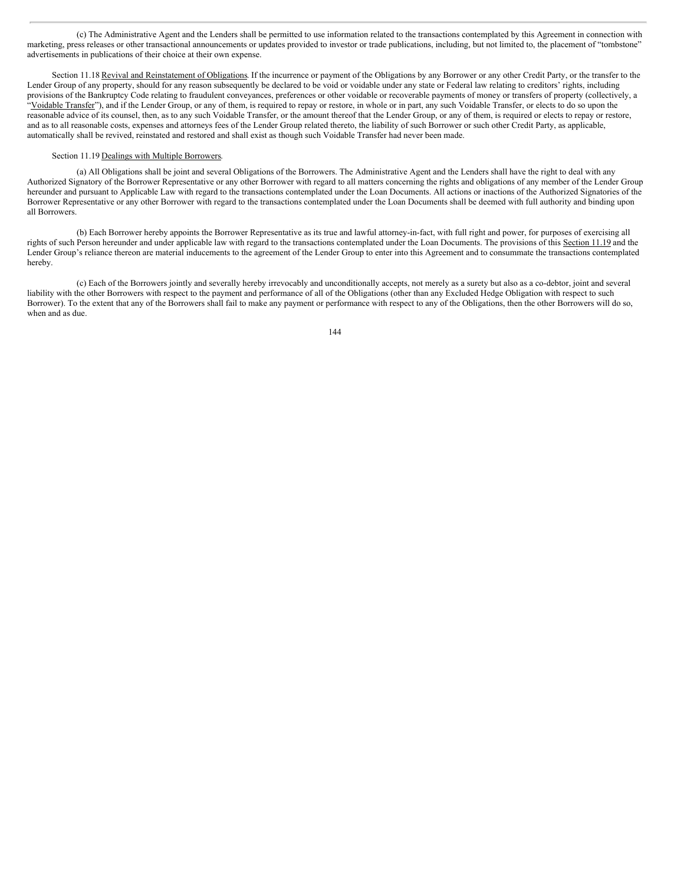(c) The Administrative Agent and the Lenders shall be permitted to use information related to the transactions contemplated by this Agreement in connection with marketing, press releases or other transactional announcements or updates provided to investor or trade publications, including, but not limited to, the placement of "tombstone" advertisements in publications of their choice at their own expense.

Section 11.18 Revival and Reinstatement of Obligations. If the incurrence or payment of the Obligations by any Borrower or any other Credit Party, or the transfer to the Lender Group of any property, should for any reason subsequently be declared to be void or voidable under any state or Federal law relating to creditors' rights, including provisions of the Bankruptcy Code relating to fraudulent conveyances, preferences or other voidable or recoverable payments of money or transfers of property (collectively, a "Voidable Transfer"), and if the Lender Group, or any of them, is required to repay or restore, in whole or in part, any such Voidable Transfer, or elects to do so upon the reasonable advice of its counsel, then, as to any such Voidable Transfer, or the amount thereof that the Lender Group, or any of them, is required or elects to repay or restore, and as to all reasonable costs, expenses and attorneys fees of the Lender Group related thereto, the liability of such Borrower or such other Credit Party, as applicable, automatically shall be revived, reinstated and restored and shall exist as though such Voidable Transfer had never been made.

#### Section 11.19 Dealings with Multiple Borrowers.

(a) All Obligations shall be joint and several Obligations of the Borrowers. The Administrative Agent and the Lenders shall have the right to deal with any Authorized Signatory of the Borrower Representative or any other Borrower with regard to all matters concerning the rights and obligations of any member of the Lender Group hereunder and pursuant to Applicable Law with regard to the transactions contemplated under the Loan Documents. All actions or inactions of the Authorized Signatories of the Borrower Representative or any other Borrower with regard to the transactions contemplated under the Loan Documents shall be deemed with full authority and binding upon all Borrowers.

(b) Each Borrower hereby appoints the Borrower Representative as its true and lawful attorney-in-fact, with full right and power, for purposes of exercising all rights of such Person hereunder and under applicable law with regard to the transactions contemplated under the Loan Documents. The provisions of this Section 11.19 and the Lender Group's reliance thereon are material inducements to the agreement of the Lender Group to enter into this Agreement and to consummate the transactions contemplated hereby.

(c) Each of the Borrowers jointly and severally hereby irrevocably and unconditionally accepts, not merely as a surety but also as a co-debtor, joint and several liability with the other Borrowers with respect to the payment and performance of all of the Obligations (other than any Excluded Hedge Obligation with respect to such Borrower). To the extent that any of the Borrowers shall fail to make any payment or performance with respect to any of the Obligations, then the other Borrowers will do so, when and as due.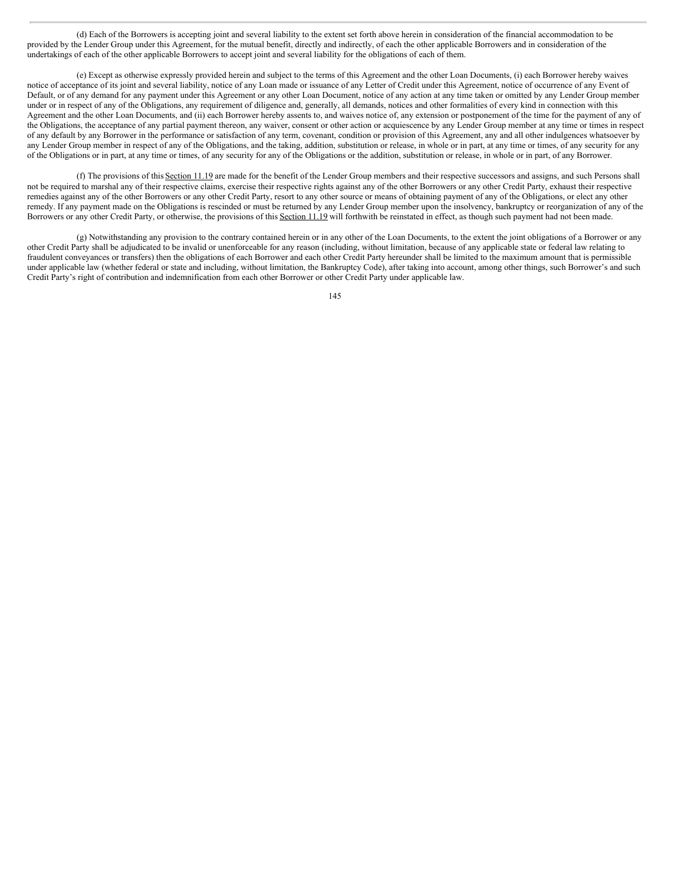(d) Each of the Borrowers is accepting joint and several liability to the extent set forth above herein in consideration of the financial accommodation to be provided by the Lender Group under this Agreement, for the mutual benefit, directly and indirectly, of each the other applicable Borrowers and in consideration of the undertakings of each of the other applicable Borrowers to accept joint and several liability for the obligations of each of them.

(e) Except as otherwise expressly provided herein and subject to the terms of this Agreement and the other Loan Documents, (i) each Borrower hereby waives notice of acceptance of its joint and several liability, notice of any Loan made or issuance of any Letter of Credit under this Agreement, notice of occurrence of any Event of Default, or of any demand for any payment under this Agreement or any other Loan Document, notice of any action at any time taken or omitted by any Lender Group member under or in respect of any of the Obligations, any requirement of diligence and, generally, all demands, notices and other formalities of every kind in connection with this Agreement and the other Loan Documents, and (ii) each Borrower hereby assents to, and waives notice of, any extension or postponement of the time for the payment of any of the Obligations, the acceptance of any partial payment thereon, any waiver, consent or other action or acquiescence by any Lender Group member at any time or times in respect of any default by any Borrower in the performance or satisfaction of any term, covenant, condition or provision of this Agreement, any and all other indulgences whatsoever by any Lender Group member in respect of any of the Obligations, and the taking, addition, substitution or release, in whole or in part, at any time or times, of any security for any of the Obligations or in part, at any time or times, of any security for any of the Obligations or the addition, substitution or release, in whole or in part, of any Borrower.

(f) The provisions of this Section 11.19 are made for the benefit of the Lender Group members and their respective successors and assigns, and such Persons shall not be required to marshal any of their respective claims, exercise their respective rights against any of the other Borrowers or any other Credit Party, exhaust their respective remedies against any of the other Borrowers or any other Credit Party, resort to any other source or means of obtaining payment of any of the Obligations, or elect any other remedy. If any payment made on the Obligations is rescinded or must be returned by any Lender Group member upon the insolvency, bankruptcy or reorganization of any of the Borrowers or any other Credit Party, or otherwise, the provisions of this Section 11.19 will forthwith be reinstated in effect, as though such payment had not been made.

(g) Notwithstanding any provision to the contrary contained herein or in any other of the Loan Documents, to the extent the joint obligations of a Borrower or any other Credit Party shall be adjudicated to be invalid or unenforceable for any reason (including, without limitation, because of any applicable state or federal law relating to fraudulent conveyances or transfers) then the obligations of each Borrower and each other Credit Party hereunder shall be limited to the maximum amount that is permissible under applicable law (whether federal or state and including, without limitation, the Bankruptcy Code), after taking into account, among other things, such Borrower's and such Credit Party's right of contribution and indemnification from each other Borrower or other Credit Party under applicable law.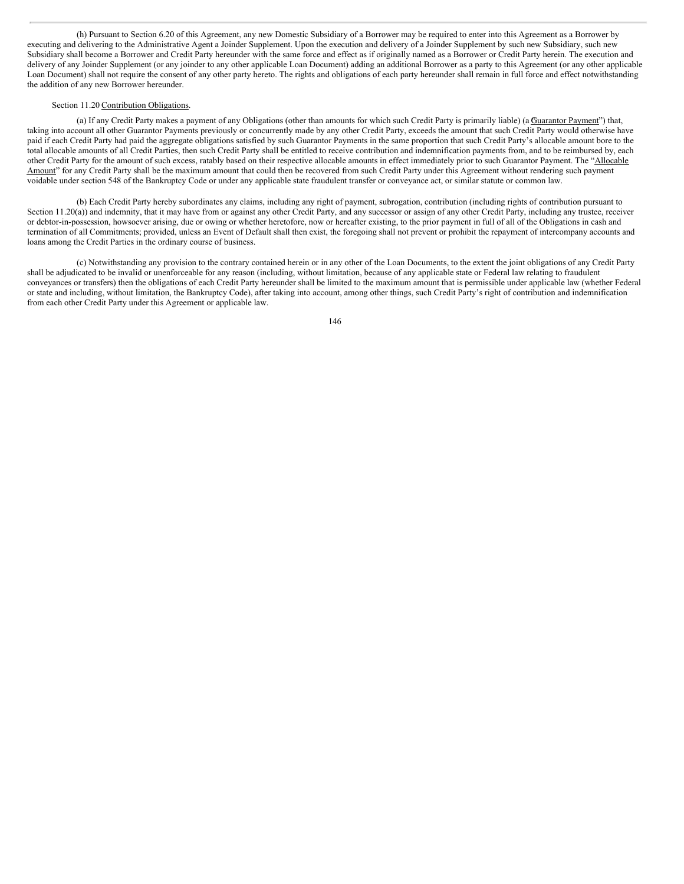(h) Pursuant to Section 6.20 of this Agreement, any new Domestic Subsidiary of a Borrower may be required to enter into this Agreement as a Borrower by executing and delivering to the Administrative Agent a Joinder Supplement. Upon the execution and delivery of a Joinder Supplement by such new Subsidiary, such new Subsidiary shall become a Borrower and Credit Party hereunder with the same force and effect as if originally named as a Borrower or Credit Party herein. The execution and delivery of any Joinder Supplement (or any joinder to any other applicable Loan Document) adding an additional Borrower as a party to this Agreement (or any other applicable Loan Document) shall not require the consent of any other party hereto. The rights and obligations of each party hereunder shall remain in full force and effect notwithstanding the addition of any new Borrower hereunder.

#### Section 11.20 Contribution Obligations.

(a) If any Credit Party makes a payment of any Obligations (other than amounts for which such Credit Party is primarily liable) (a Guarantor Payment") that, taking into account all other Guarantor Payments previously or concurrently made by any other Credit Party, exceeds the amount that such Credit Party would otherwise have paid if each Credit Party had paid the aggregate obligations satisfied by such Guarantor Payments in the same proportion that such Credit Party's allocable amount bore to the total allocable amounts of all Credit Parties, then such Credit Party shall be entitled to receive contribution and indemnification payments from, and to be reimbursed by, each other Credit Party for the amount of such excess, ratably based on their respective allocable amounts in effect immediately prior to such Guarantor Payment. The "Allocable Amount" for any Credit Party shall be the maximum amount that could then be recovered from such Credit Party under this Agreement without rendering such payment voidable under section 548 of the Bankruptcy Code or under any applicable state fraudulent transfer or conveyance act, or similar statute or common law.

(b) Each Credit Party hereby subordinates any claims, including any right of payment, subrogation, contribution (including rights of contribution pursuant to Section 11.20(a)) and indemnity, that it may have from or against any other Credit Party, and any successor or assign of any other Credit Party, including any trustee, receiver or debtor-in-possession, howsoever arising, due or owing or whether heretofore, now or hereafter existing, to the prior payment in full of all of the Obligations in cash and termination of all Commitments; provided, unless an Event of Default shall then exist, the foregoing shall not prevent or prohibit the repayment of intercompany accounts and loans among the Credit Parties in the ordinary course of business.

(c) Notwithstanding any provision to the contrary contained herein or in any other of the Loan Documents, to the extent the joint obligations of any Credit Party shall be adjudicated to be invalid or unenforceable for any reason (including, without limitation, because of any applicable state or Federal law relating to fraudulent conveyances or transfers) then the obligations of each Credit Party hereunder shall be limited to the maximum amount that is permissible under applicable law (whether Federal or state and including, without limitation, the Bankruptcy Code), after taking into account, among other things, such Credit Party's right of contribution and indemnification from each other Credit Party under this Agreement or applicable law.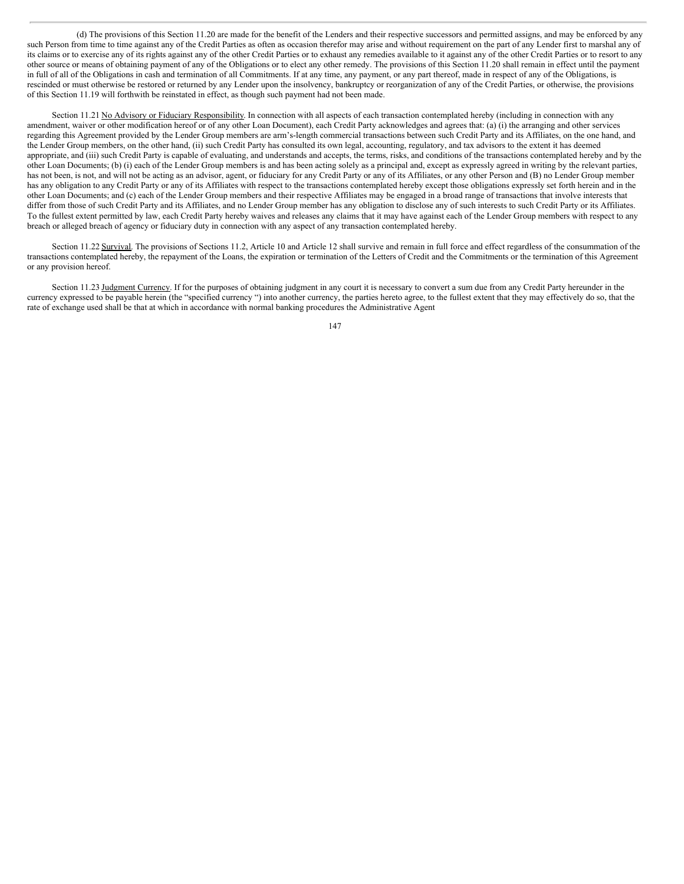(d) The provisions of this Section 11.20 are made for the benefit of the Lenders and their respective successors and permitted assigns, and may be enforced by any such Person from time to time against any of the Credit Parties as often as occasion therefor may arise and without requirement on the part of any Lender first to marshal any of its claims or to exercise any of its rights against any of the other Credit Parties or to exhaust any remedies available to it against any of the other Credit Parties or to resort to any other source or means of obtaining payment of any of the Obligations or to elect any other remedy. The provisions of this Section 11.20 shall remain in effect until the payment in full of all of the Obligations in cash and termination of all Commitments. If at any time, any payment, or any part thereof, made in respect of any of the Obligations, is rescinded or must otherwise be restored or returned by any Lender upon the insolvency, bankruptcy or reorganization of any of the Credit Parties, or otherwise, the provisions of this Section 11.19 will forthwith be reinstated in effect, as though such payment had not been made.

Section 11.21 No Advisory or Fiduciary Responsibility. In connection with all aspects of each transaction contemplated hereby (including in connection with any amendment, waiver or other modification hereof or of any other Loan Document), each Credit Party acknowledges and agrees that: (a) (i) the arranging and other services regarding this Agreement provided by the Lender Group members are arm's-length commercial transactions between such Credit Party and its Affiliates, on the one hand, and the Lender Group members, on the other hand, (ii) such Credit Party has consulted its own legal, accounting, regulatory, and tax advisors to the extent it has deemed appropriate, and (iii) such Credit Party is capable of evaluating, and understands and accepts, the terms, risks, and conditions of the transactions contemplated hereby and by the other Loan Documents; (b) (i) each of the Lender Group members is and has been acting solely as a principal and, except as expressly agreed in writing by the relevant parties, has not been, is not, and will not be acting as an advisor, agent, or fiduciary for any Credit Party or any of its Affiliates, or any other Person and (B) no Lender Group member has any obligation to any Credit Party or any of its Affiliates with respect to the transactions contemplated hereby except those obligations expressly set forth herein and in the other Loan Documents; and (c) each of the Lender Group members and their respective Affiliates may be engaged in a broad range of transactions that involve interests that differ from those of such Credit Party and its Affiliates, and no Lender Group member has any obligation to disclose any of such interests to such Credit Party or its Affiliates. To the fullest extent permitted by law, each Credit Party hereby waives and releases any claims that it may have against each of the Lender Group members with respect to any breach or alleged breach of agency or fiduciary duty in connection with any aspect of any transaction contemplated hereby.

Section 11.22 Survival. The provisions of Sections 11.2, Article 10 and Article 12 shall survive and remain in full force and effect regardless of the consummation of the transactions contemplated hereby, the repayment of the Loans, the expiration or termination of the Letters of Credit and the Commitments or the termination of this Agreement or any provision hereof.

Section 11.23 Judgment Currency. If for the purposes of obtaining judgment in any court it is necessary to convert a sum due from any Credit Party hereunder in the currency expressed to be payable herein (the "specified currency ") into another currency, the parties hereto agree, to the fullest extent that they may effectively do so, that the rate of exchange used shall be that at which in accordance with normal banking procedures the Administrative Agent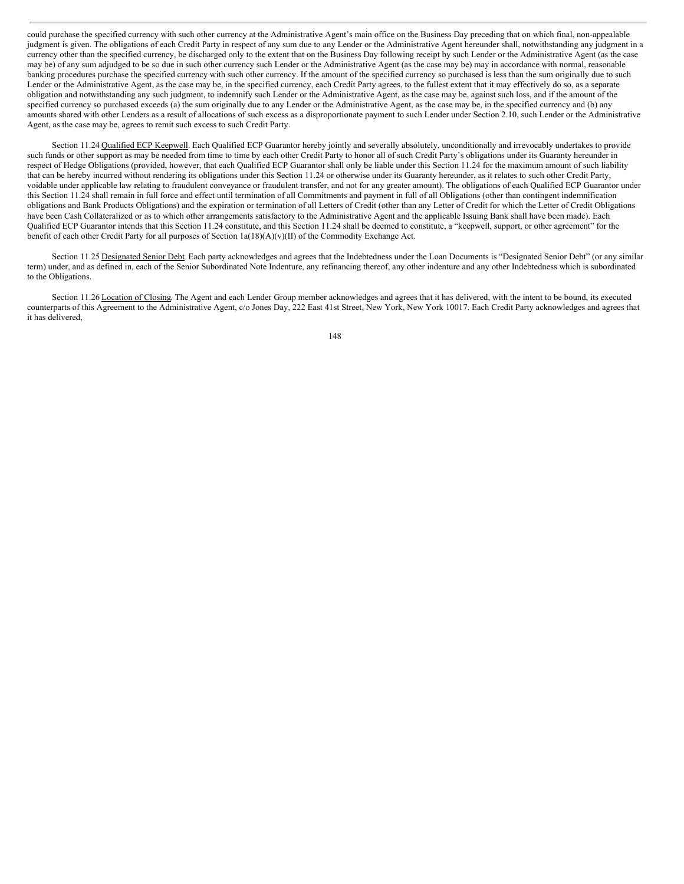could purchase the specified currency with such other currency at the Administrative Agent's main office on the Business Day preceding that on which final, non-appealable judgment is given. The obligations of each Credit Party in respect of any sum due to any Lender or the Administrative Agent hereunder shall, notwithstanding any judgment in a currency other than the specified currency, be discharged only to the extent that on the Business Day following receipt by such Lender or the Administrative Agent (as the case may be) of any sum adjudged to be so due in such other currency such Lender or the Administrative Agent (as the case may be) may in accordance with normal, reasonable banking procedures purchase the specified currency with such other currency. If the amount of the specified currency so purchased is less than the sum originally due to such Lender or the Administrative Agent, as the case may be, in the specified currency, each Credit Party agrees, to the fullest extent that it may effectively do so, as a separate obligation and notwithstanding any such judgment, to indemnify such Lender or the Administrative Agent, as the case may be, against such loss, and if the amount of the specified currency so purchased exceeds (a) the sum originally due to any Lender or the Administrative Agent, as the case may be, in the specified currency and (b) any amounts shared with other Lenders as a result of allocations of such excess as a disproportionate payment to such Lender under Section 2.10, such Lender or the Administrative Agent, as the case may be, agrees to remit such excess to such Credit Party.

Section 11.24 Qualified ECP Keepwell. Each Qualified ECP Guarantor hereby jointly and severally absolutely, unconditionally and irrevocably undertakes to provide such funds or other support as may be needed from time to time by each other Credit Party to honor all of such Credit Party's obligations under its Guaranty hereunder in respect of Hedge Obligations (provided, however, that each Qualified ECP Guarantor shall only be liable under this Section 11.24 for the maximum amount of such liability that can be hereby incurred without rendering its obligations under this Section 11.24 or otherwise under its Guaranty hereunder, as it relates to such other Credit Party, voidable under applicable law relating to fraudulent conveyance or fraudulent transfer, and not for any greater amount). The obligations of each Qualified ECP Guarantor under this Section 11.24 shall remain in full force and effect until termination of all Commitments and payment in full of all Obligations (other than contingent indemnification obligations and Bank Products Obligations) and the expiration or termination of all Letters of Credit (other than any Letter of Credit for which the Letter of Credit Obligations have been Cash Collateralized or as to which other arrangements satisfactory to the Administrative Agent and the applicable Issuing Bank shall have been made). Each Qualified ECP Guarantor intends that this Section 11.24 constitute, and this Section 11.24 shall be deemed to constitute, a "keepwell, support, or other agreement" for the benefit of each other Credit Party for all purposes of Section 1a(18)(A)(v)(II) of the Commodity Exchange Act.

Section 11.25 Designated Senior Debt. Each party acknowledges and agrees that the Indebtedness under the Loan Documents is "Designated Senior Debt" (or any similar term) under, and as defined in, each of the Senior Subordinated Note Indenture, any refinancing thereof, any other indenture and any other Indebtedness which is subordinated to the Obligations.

Section 11.26 Location of Closing. The Agent and each Lender Group member acknowledges and agrees that it has delivered, with the intent to be bound, its executed counterparts of this Agreement to the Administrative Agent, c/o Jones Day, 222 East 41st Street, New York, New York 10017. Each Credit Party acknowledges and agrees that it has delivered,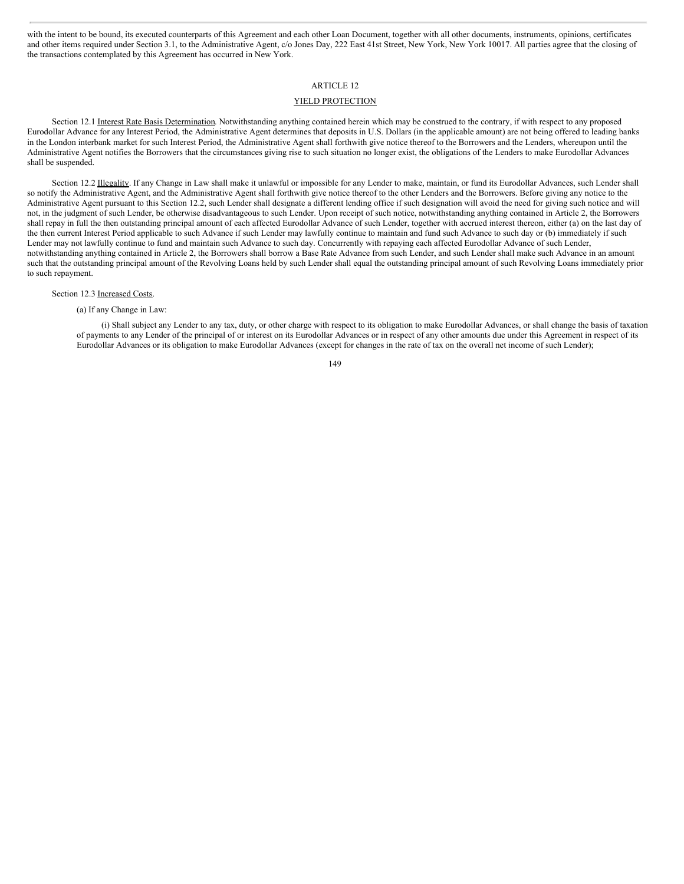with the intent to be bound, its executed counterparts of this Agreement and each other Loan Document, together with all other documents, instruments, opinions, certificates and other items required under Section 3.1, to the Administrative Agent, c/o Jones Day, 222 East 41st Street, New York, New York 10017. All parties agree that the closing of the transactions contemplated by this Agreement has occurred in New York.

### ARTICLE 12

#### YIELD PROTECTION

Section 12.1 Interest Rate Basis Determination. Notwithstanding anything contained herein which may be construed to the contrary, if with respect to any proposed Eurodollar Advance for any Interest Period, the Administrative Agent determines that deposits in U.S. Dollars (in the applicable amount) are not being offered to leading banks in the London interbank market for such Interest Period, the Administrative Agent shall forthwith give notice thereof to the Borrowers and the Lenders, whereupon until the Administrative Agent notifies the Borrowers that the circumstances giving rise to such situation no longer exist, the obligations of the Lenders to make Eurodollar Advances shall be suspended.

Section 12.2 Illegality. If any Change in Law shall make it unlawful or impossible for any Lender to make, maintain, or fund its Eurodollar Advances, such Lender shall so notify the Administrative Agent, and the Administrative Agent shall forthwith give notice thereof to the other Lenders and the Borrowers. Before giving any notice to the Administrative Agent pursuant to this Section 12.2, such Lender shall designate a different lending office if such designation will avoid the need for giving such notice and will not, in the judgment of such Lender, be otherwise disadvantageous to such Lender. Upon receipt of such notice, notwithstanding anything contained in Article 2, the Borrowers shall repay in full the then outstanding principal amount of each affected Eurodollar Advance of such Lender, together with accrued interest thereon, either (a) on the last day of the then current Interest Period applicable to such Advance if such Lender may lawfully continue to maintain and fund such Advance to such day or (b) immediately if such Lender may not lawfully continue to fund and maintain such Advance to such day. Concurrently with repaying each affected Eurodollar Advance of such Lender, notwithstanding anything contained in Article 2, the Borrowers shall borrow a Base Rate Advance from such Lender, and such Lender shall make such Advance in an amount such that the outstanding principal amount of the Revolving Loans held by such Lender shall equal the outstanding principal amount of such Revolving Loans immediately prior to such repayment.

#### Section 12.3 Increased Costs.

#### (a) If any Change in Law:

(i) Shall subject any Lender to any tax, duty, or other charge with respect to its obligation to make Eurodollar Advances, or shall change the basis of taxation of payments to any Lender of the principal of or interest on its Eurodollar Advances or in respect of any other amounts due under this Agreement in respect of its Eurodollar Advances or its obligation to make Eurodollar Advances (except for changes in the rate of tax on the overall net income of such Lender);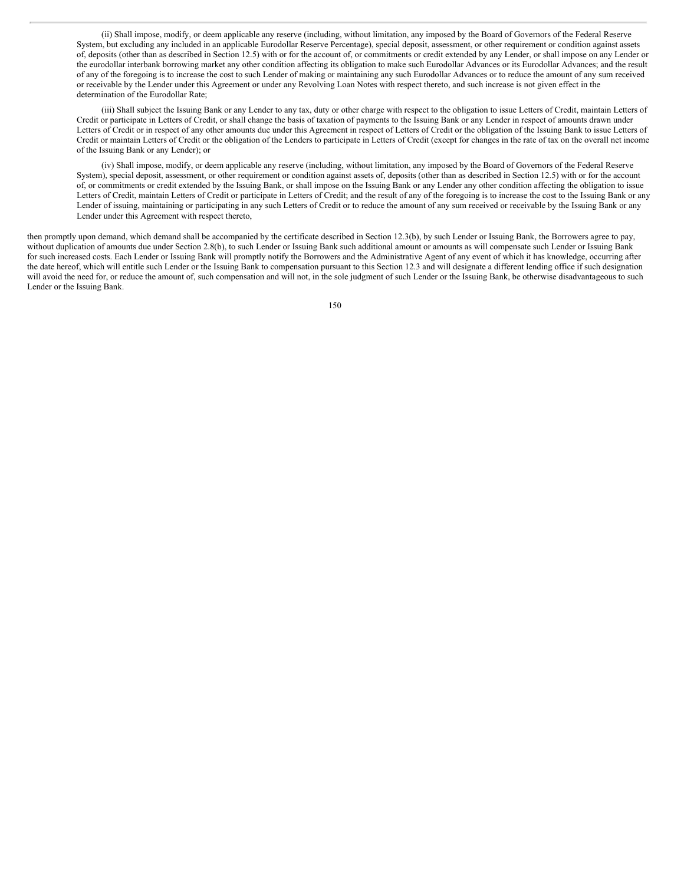(ii) Shall impose, modify, or deem applicable any reserve (including, without limitation, any imposed by the Board of Governors of the Federal Reserve System, but excluding any included in an applicable Eurodollar Reserve Percentage), special deposit, assessment, or other requirement or condition against assets of, deposits (other than as described in Section 12.5) with or for the account of, or commitments or credit extended by any Lender, or shall impose on any Lender or the eurodollar interbank borrowing market any other condition affecting its obligation to make such Eurodollar Advances or its Eurodollar Advances; and the result of any of the foregoing is to increase the cost to such Lender of making or maintaining any such Eurodollar Advances or to reduce the amount of any sum received or receivable by the Lender under this Agreement or under any Revolving Loan Notes with respect thereto, and such increase is not given effect in the determination of the Eurodollar Rate;

(iii) Shall subject the Issuing Bank or any Lender to any tax, duty or other charge with respect to the obligation to issue Letters of Credit, maintain Letters of Credit or participate in Letters of Credit, or shall change the basis of taxation of payments to the Issuing Bank or any Lender in respect of amounts drawn under Letters of Credit or in respect of any other amounts due under this Agreement in respect of Letters of Credit or the obligation of the Issuing Bank to issue Letters of Credit or maintain Letters of Credit or the obligation of the Lenders to participate in Letters of Credit (except for changes in the rate of tax on the overall net income of the Issuing Bank or any Lender); or

(iv) Shall impose, modify, or deem applicable any reserve (including, without limitation, any imposed by the Board of Governors of the Federal Reserve System), special deposit, assessment, or other requirement or condition against assets of, deposits (other than as described in Section 12.5) with or for the account of, or commitments or credit extended by the Issuing Bank, or shall impose on the Issuing Bank or any Lender any other condition affecting the obligation to issue Letters of Credit, maintain Letters of Credit or participate in Letters of Credit; and the result of any of the foregoing is to increase the cost to the Issuing Bank or any Lender of issuing, maintaining or participating in any such Letters of Credit or to reduce the amount of any sum received or receivable by the Issuing Bank or any Lender under this Agreement with respect thereto,

then promptly upon demand, which demand shall be accompanied by the certificate described in Section 12.3(b), by such Lender or Issuing Bank, the Borrowers agree to pay, without duplication of amounts due under Section 2.8(b), to such Lender or Issuing Bank such additional amount or amounts as will compensate such Lender or Issuing Bank for such increased costs. Each Lender or Issuing Bank will promptly notify the Borrowers and the Administrative Agent of any event of which it has knowledge, occurring after the date hereof, which will entitle such Lender or the Issuing Bank to compensation pursuant to this Section 12.3 and will designate a different lending office if such designation will avoid the need for, or reduce the amount of, such compensation and will not, in the sole judgment of such Lender or the Issuing Bank, be otherwise disadvantageous to such Lender or the Issuing Bank.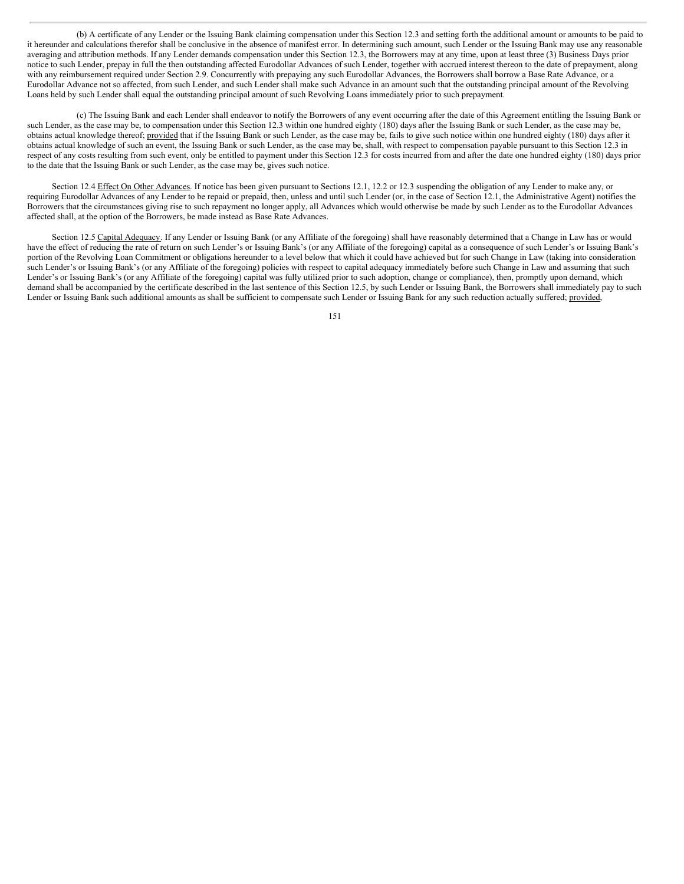(b) A certificate of any Lender or the Issuing Bank claiming compensation under this Section 12.3 and setting forth the additional amount or amounts to be paid to it hereunder and calculations therefor shall be conclusive in the absence of manifest error. In determining such amount, such Lender or the Issuing Bank may use any reasonable averaging and attribution methods. If any Lender demands compensation under this Section 12.3, the Borrowers may at any time, upon at least three (3) Business Days prior notice to such Lender, prepay in full the then outstanding affected Eurodollar Advances of such Lender, together with accrued interest thereon to the date of prepayment, along with any reimbursement required under Section 2.9. Concurrently with prepaying any such Eurodollar Advances, the Borrowers shall borrow a Base Rate Advance, or a Eurodollar Advance not so affected, from such Lender, and such Lender shall make such Advance in an amount such that the outstanding principal amount of the Revolving Loans held by such Lender shall equal the outstanding principal amount of such Revolving Loans immediately prior to such prepayment.

(c) The Issuing Bank and each Lender shall endeavor to notify the Borrowers of any event occurring after the date of this Agreement entitling the Issuing Bank or such Lender, as the case may be, to compensation under this Section 12.3 within one hundred eighty (180) days after the Issuing Bank or such Lender, as the case may be, obtains actual knowledge thereof; provided that if the Issuing Bank or such Lender, as the case may be, fails to give such notice within one hundred eighty (180) days after it obtains actual knowledge of such an event, the Issuing Bank or such Lender, as the case may be, shall, with respect to compensation payable pursuant to this Section 12.3 in respect of any costs resulting from such event, only be entitled to payment under this Section 12.3 for costs incurred from and after the date one hundred eighty (180) days prior to the date that the Issuing Bank or such Lender, as the case may be, gives such notice.

Section 12.4 Effect On Other Advances. If notice has been given pursuant to Sections 12.1, 12.2 or 12.3 suspending the obligation of any Lender to make any, or requiring Eurodollar Advances of any Lender to be repaid or prepaid, then, unless and until such Lender (or, in the case of Section 12.1, the Administrative Agent) notifies the Borrowers that the circumstances giving rise to such repayment no longer apply, all Advances which would otherwise be made by such Lender as to the Eurodollar Advances affected shall, at the option of the Borrowers, be made instead as Base Rate Advances.

Section 12.5 Capital Adequacy. If any Lender or Issuing Bank (or any Affiliate of the foregoing) shall have reasonably determined that a Change in Law has or would have the effect of reducing the rate of return on such Lender's or Issuing Bank's (or any Affiliate of the foregoing) capital as a consequence of such Lender's or Issuing Bank's portion of the Revolving Loan Commitment or obligations hereunder to a level below that which it could have achieved but for such Change in Law (taking into consideration such Lender's or Issuing Bank's (or any Affiliate of the foregoing) policies with respect to capital adequacy immediately before such Change in Law and assuming that such Lender's or Issuing Bank's (or any Affiliate of the foregoing) capital was fully utilized prior to such adoption, change or compliance), then, promptly upon demand, which demand shall be accompanied by the certificate described in the last sentence of this Section 12.5, by such Lender or Issuing Bank, the Borrowers shall immediately pay to such Lender or Issuing Bank such additional amounts as shall be sufficient to compensate such Lender or Issuing Bank for any such reduction actually suffered; provided,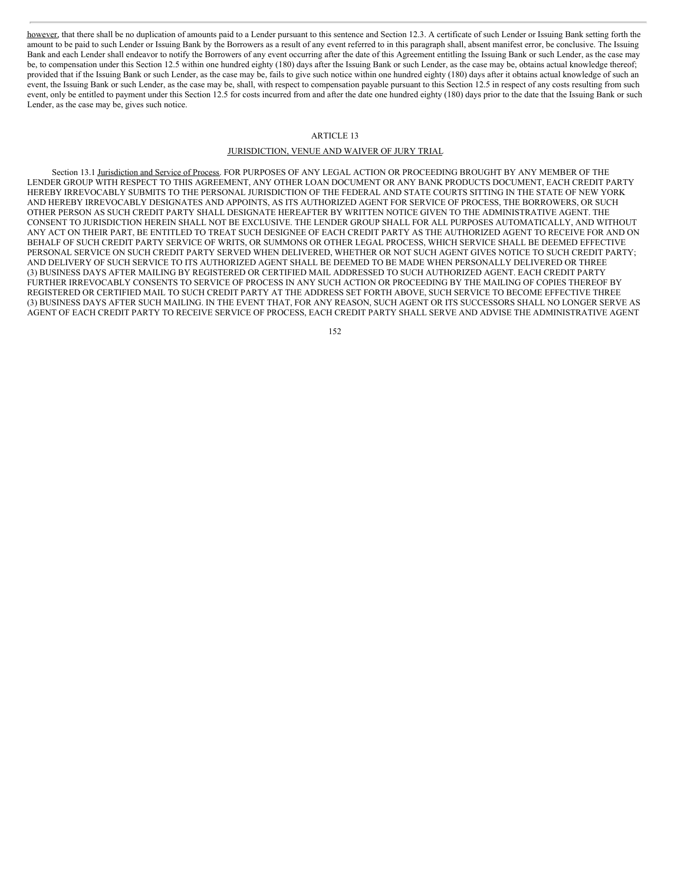however, that there shall be no duplication of amounts paid to a Lender pursuant to this sentence and Section 12.3. A certificate of such Lender or Issuing Bank setting forth the amount to be paid to such Lender or Issuing Bank by the Borrowers as a result of any event referred to in this paragraph shall, absent manifest error, be conclusive. The Issuing Bank and each Lender shall endeavor to notify the Borrowers of any event occurring after the date of this Agreement entitling the Issuing Bank or such Lender, as the case may be, to compensation under this Section 12.5 within one hundred eighty (180) days after the Issuing Bank or such Lender, as the case may be, obtains actual knowledge thereof; provided that if the Issuing Bank or such Lender, as the case may be, fails to give such notice within one hundred eighty (180) days after it obtains actual knowledge of such an event, the Issuing Bank or such Lender, as the case may be, shall, with respect to compensation payable pursuant to this Section 12.5 in respect of any costs resulting from such event, only be entitled to payment under this Section 12.5 for costs incurred from and after the date one hundred eighty (180) days prior to the date that the Issuing Bank or such Lender, as the case may be, gives such notice.

#### ARTICLE 13

#### JURISDICTION, VENUE AND WAIVER OF JURY TRIAL

Section 13.1 Jurisdiction and Service of Process. FOR PURPOSES OF ANY LEGAL ACTION OR PROCEEDING BROUGHT BY ANY MEMBER OF THE LENDER GROUP WITH RESPECT TO THIS AGREEMENT, ANY OTHER LOAN DOCUMENT OR ANY BANK PRODUCTS DOCUMENT, EACH CREDIT PARTY HEREBY IRREVOCABLY SUBMITS TO THE PERSONAL JURISDICTION OF THE FEDERAL AND STATE COURTS SITTING IN THE STATE OF NEW YORK AND HEREBY IRREVOCABLY DESIGNATES AND APPOINTS, AS ITS AUTHORIZED AGENT FOR SERVICE OF PROCESS, THE BORROWERS, OR SUCH OTHER PERSON AS SUCH CREDIT PARTY SHALL DESIGNATE HEREAFTER BY WRITTEN NOTICE GIVEN TO THE ADMINISTRATIVE AGENT. THE CONSENT TO JURISDICTION HEREIN SHALL NOT BE EXCLUSIVE. THE LENDER GROUP SHALL FOR ALL PURPOSES AUTOMATICALLY, AND WITHOUT ANY ACT ON THEIR PART, BE ENTITLED TO TREAT SUCH DESIGNEE OF EACH CREDIT PARTY AS THE AUTHORIZED AGENT TO RECEIVE FOR AND ON BEHALF OF SUCH CREDIT PARTY SERVICE OF WRITS, OR SUMMONS OR OTHER LEGAL PROCESS, WHICH SERVICE SHALL BE DEEMED EFFECTIVE PERSONAL SERVICE ON SUCH CREDIT PARTY SERVED WHEN DELIVERED, WHETHER OR NOT SUCH AGENT GIVES NOTICE TO SUCH CREDIT PARTY; AND DELIVERY OF SUCH SERVICE TO ITS AUTHORIZED AGENT SHALL BE DEEMED TO BE MADE WHEN PERSONALLY DELIVERED OR THREE (3) BUSINESS DAYS AFTER MAILING BY REGISTERED OR CERTIFIED MAIL ADDRESSED TO SUCH AUTHORIZED AGENT. EACH CREDIT PARTY FURTHER IRREVOCABLY CONSENTS TO SERVICE OF PROCESS IN ANY SUCH ACTION OR PROCEEDING BY THE MAILING OF COPIES THEREOF BY REGISTERED OR CERTIFIED MAIL TO SUCH CREDIT PARTY AT THE ADDRESS SET FORTH ABOVE, SUCH SERVICE TO BECOME EFFECTIVE THREE (3) BUSINESS DAYS AFTER SUCH MAILING. IN THE EVENT THAT, FOR ANY REASON, SUCH AGENT OR ITS SUCCESSORS SHALL NO LONGER SERVE AS AGENT OF EACH CREDIT PARTY TO RECEIVE SERVICE OF PROCESS, EACH CREDIT PARTY SHALL SERVE AND ADVISE THE ADMINISTRATIVE AGENT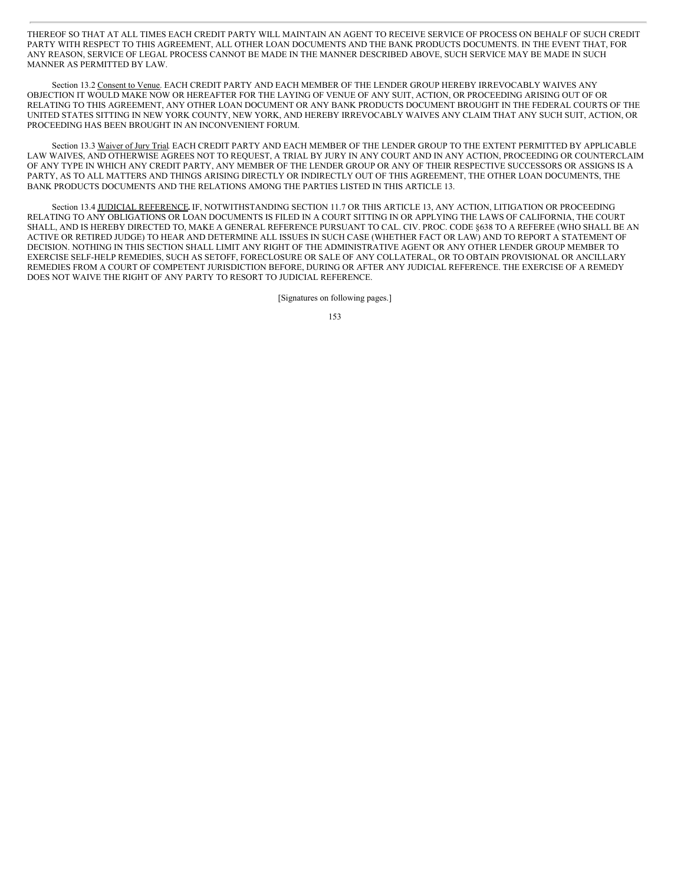THEREOF SO THAT AT ALL TIMES EACH CREDIT PARTY WILL MAINTAIN AN AGENT TO RECEIVE SERVICE OF PROCESS ON BEHALF OF SUCH CREDIT PARTY WITH RESPECT TO THIS AGREEMENT, ALL OTHER LOAN DOCUMENTS AND THE BANK PRODUCTS DOCUMENTS. IN THE EVENT THAT, FOR ANY REASON, SERVICE OF LEGAL PROCESS CANNOT BE MADE IN THE MANNER DESCRIBED ABOVE, SUCH SERVICE MAY BE MADE IN SUCH MANNER AS PERMITTED BY LAW.

Section 13.2 Consent to Venue. EACH CREDIT PARTY AND EACH MEMBER OF THE LENDER GROUP HEREBY IRREVOCABLY WAIVES ANY OBJECTION IT WOULD MAKE NOW OR HEREAFTER FOR THE LAYING OF VENUE OF ANY SUIT, ACTION, OR PROCEEDING ARISING OUT OF OR RELATING TO THIS AGREEMENT, ANY OTHER LOAN DOCUMENT OR ANY BANK PRODUCTS DOCUMENT BROUGHT IN THE FEDERAL COURTS OF THE UNITED STATES SITTING IN NEW YORK COUNTY, NEW YORK, AND HEREBY IRREVOCABLY WAIVES ANY CLAIM THAT ANY SUCH SUIT, ACTION, OR PROCEEDING HAS BEEN BROUGHT IN AN INCONVENIENT FORUM.

Section 13.3 Waiver of Jury Trial. EACH CREDIT PARTY AND EACH MEMBER OF THE LENDER GROUP TO THE EXTENT PERMITTED BY APPLICABLE LAW WAIVES, AND OTHERWISE AGREES NOT TO REQUEST, A TRIAL BY JURY IN ANY COURT AND IN ANY ACTION, PROCEEDING OR COUNTERCLAIM OF ANY TYPE IN WHICH ANY CREDIT PARTY, ANY MEMBER OF THE LENDER GROUP OR ANY OF THEIR RESPECTIVE SUCCESSORS OR ASSIGNS IS A PARTY, AS TO ALL MATTERS AND THINGS ARISING DIRECTLY OR INDIRECTLY OUT OF THIS AGREEMENT, THE OTHER LOAN DOCUMENTS, THE BANK PRODUCTS DOCUMENTS AND THE RELATIONS AMONG THE PARTIES LISTED IN THIS ARTICLE 13.

Section 13.4 JUDICIAL REFERENCE**.** IF, NOTWITHSTANDING SECTION 11.7 OR THIS ARTICLE 13, ANY ACTION, LITIGATION OR PROCEEDING RELATING TO ANY OBLIGATIONS OR LOAN DOCUMENTS IS FILED IN A COURT SITTING IN OR APPLYING THE LAWS OF CALIFORNIA, THE COURT SHALL, AND IS HEREBY DIRECTED TO, MAKE A GENERAL REFERENCE PURSUANT TO CAL. CIV. PROC. CODE §638 TO A REFEREE (WHO SHALL BE AN ACTIVE OR RETIRED JUDGE) TO HEAR AND DETERMINE ALL ISSUES IN SUCH CASE (WHETHER FACT OR LAW) AND TO REPORT A STATEMENT OF DECISION. NOTHING IN THIS SECTION SHALL LIMIT ANY RIGHT OF THE ADMINISTRATIVE AGENT OR ANY OTHER LENDER GROUP MEMBER TO EXERCISE SELF-HELP REMEDIES, SUCH AS SETOFF, FORECLOSURE OR SALE OF ANY COLLATERAL, OR TO OBTAIN PROVISIONAL OR ANCILLARY REMEDIES FROM A COURT OF COMPETENT JURISDICTION BEFORE, DURING OR AFTER ANY JUDICIAL REFERENCE. THE EXERCISE OF A REMEDY DOES NOT WAIVE THE RIGHT OF ANY PARTY TO RESORT TO JUDICIAL REFERENCE.

[Signatures on following pages.]

153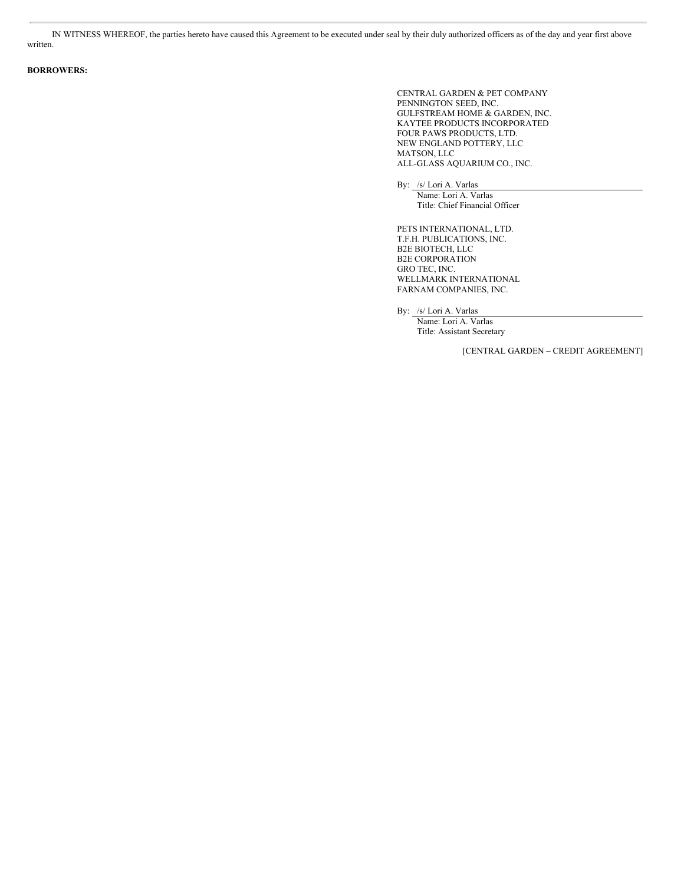IN WITNESS WHEREOF, the parties hereto have caused this Agreement to be executed under seal by their duly authorized officers as of the day and year first above written.

#### **BORROWERS:**

CENTRAL GARDEN & PET COMPANY PENNINGTON SEED, INC. GULFSTREAM HOME & GARDEN, INC. KAYTEE PRODUCTS INCORPORATED FOUR PAWS PRODUCTS, LTD. NEW ENGLAND POTTERY, LLC MATSON, LLC ALL-GLASS AQUARIUM CO., INC.

By: /s/ Lori A. Varlas Name: Lori A. Varlas Title: Chief Financial Officer

PETS INTERNATIONAL, LTD. T.F.H. PUBLICATIONS, INC. B2E BIOTECH, LLC B2E CORPORATION GRO TEC, INC. WELLMARK INTERNATIONAL FARNAM COMPANIES, INC.

By: /s/ Lori A. Varlas

Name: Lori A. Varlas Title: Assistant Secretary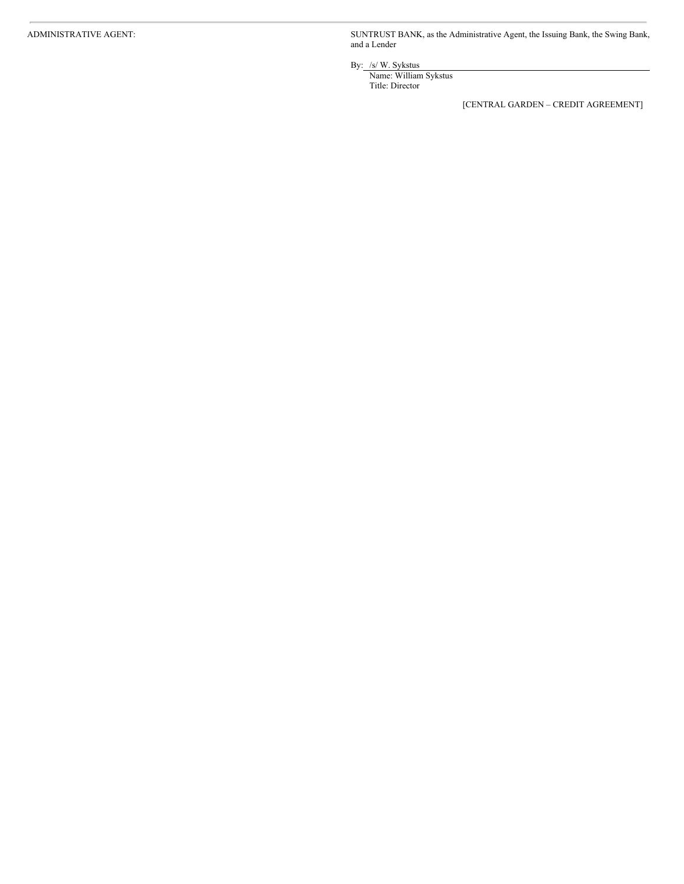ADMINISTRATIVE AGENT: SUNTRUST BANK, as the Administrative Agent, the Issuing Bank, the Swing Bank, and a Lender

By: /s/ W. Sykstus

Name: William Sykstus Title: Director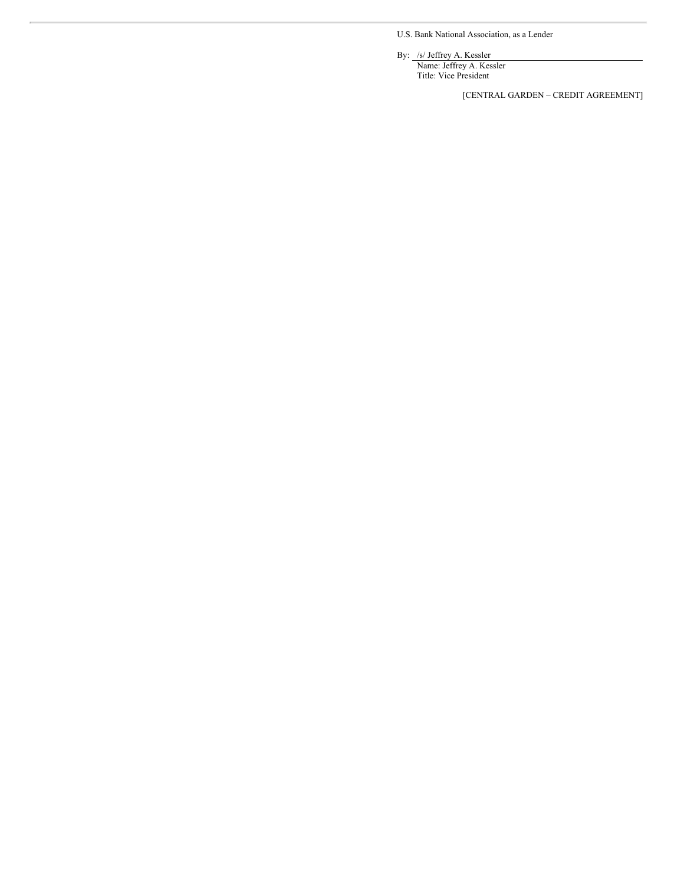U.S. Bank National Association, as a Lender

By: /s/ Jeffrey A. Kessler Name: Jeffrey A. Kessler Title: Vice President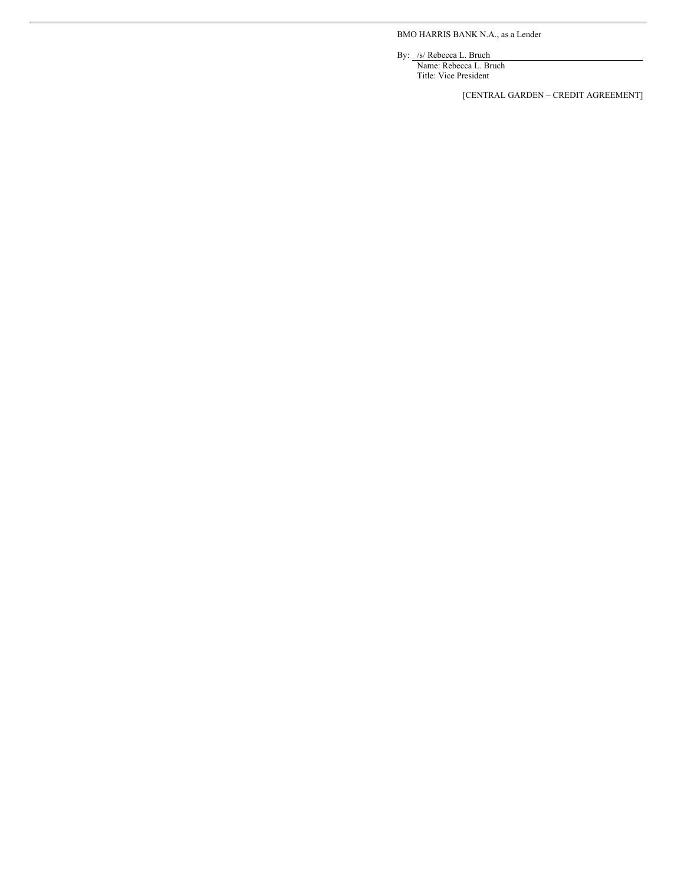BMO HARRIS BANK N.A., as a Lender

By: /s/ Rebecca L. Bruch

Name: Rebecca L. Bruch Title: Vice President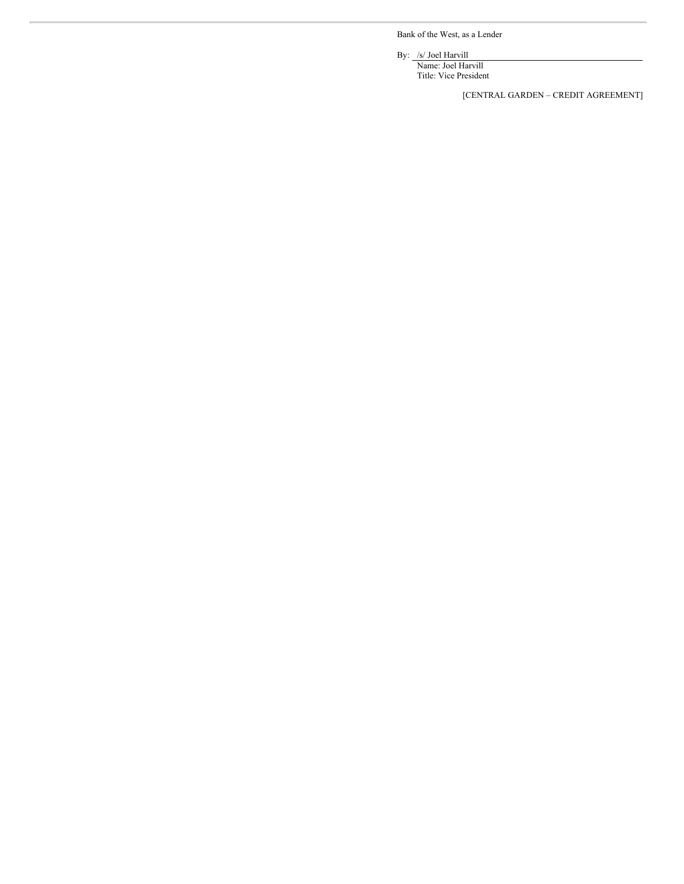Bank of the West, as a Lender

By: /s/ Joel Harvill

Name: Joel Harvill Title: Vice President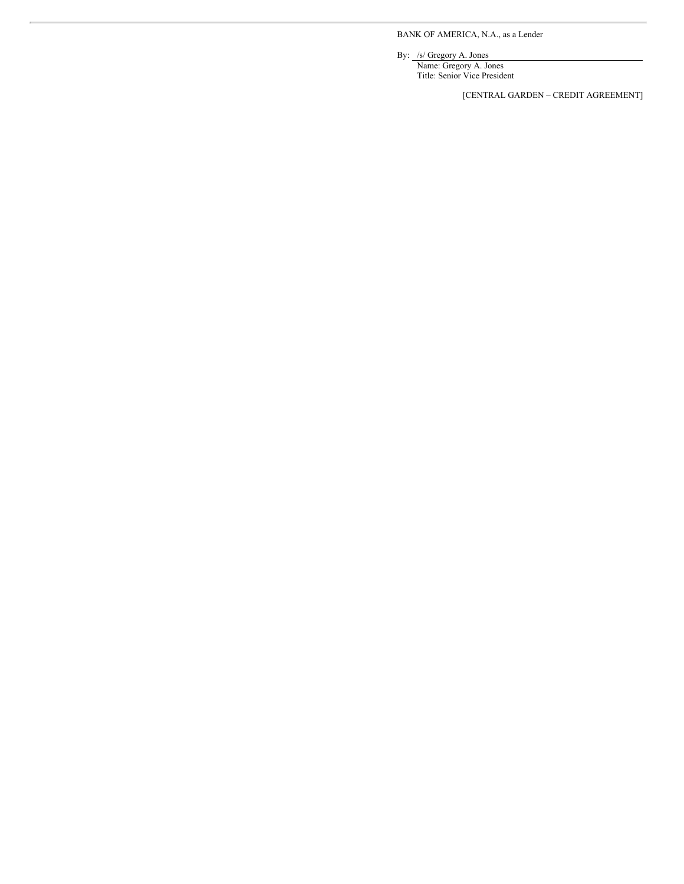BANK OF AMERICA, N.A., as a Lender

By: /s/ Gregory A. Jones

Name: Gregory A. Jones Title: Senior Vice President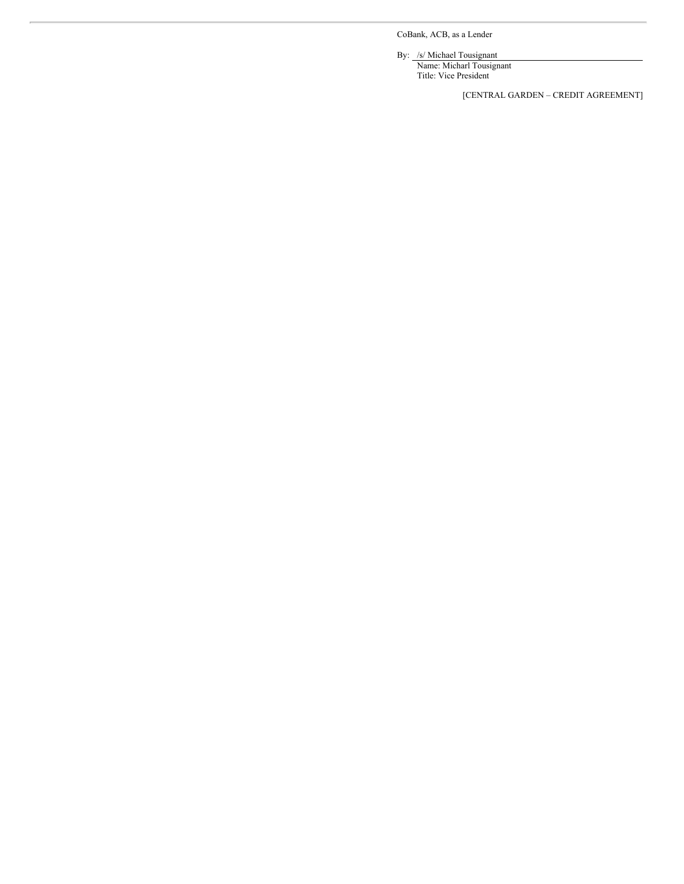CoBank, ACB, as a Lender

By: /s/ Michael Tousignant

Name: Micharl Tousignant Title: Vice President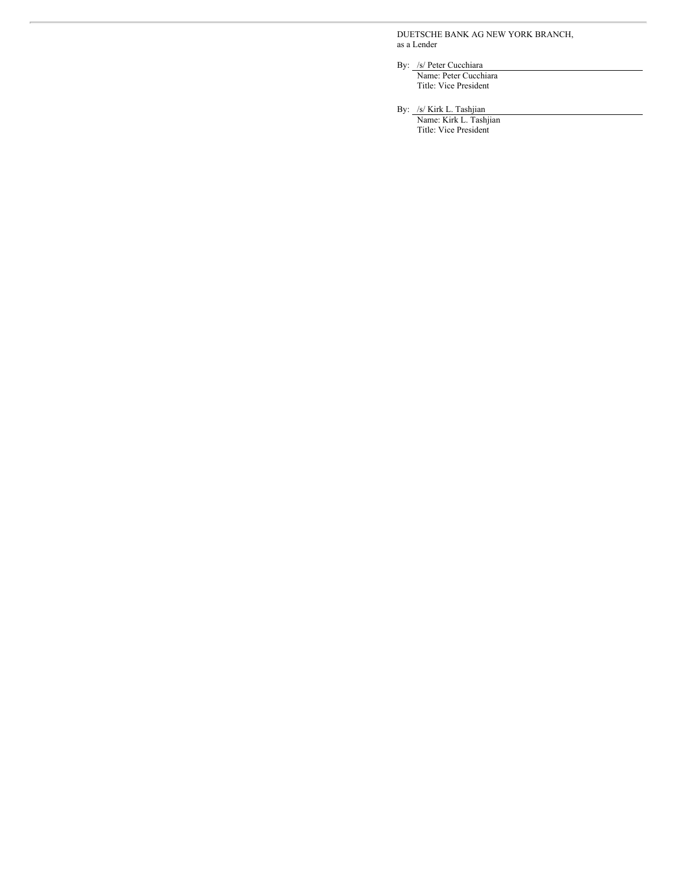DUETSCHE BANK AG NEW YORK BRANCH, as a Lender

By: /s/ Peter Cucchiara

Name: Peter Cucchiara Title: Vice President

By: /s/ Kirk L. Tashjian

Name: Kirk L. Tashjian Title: Vice President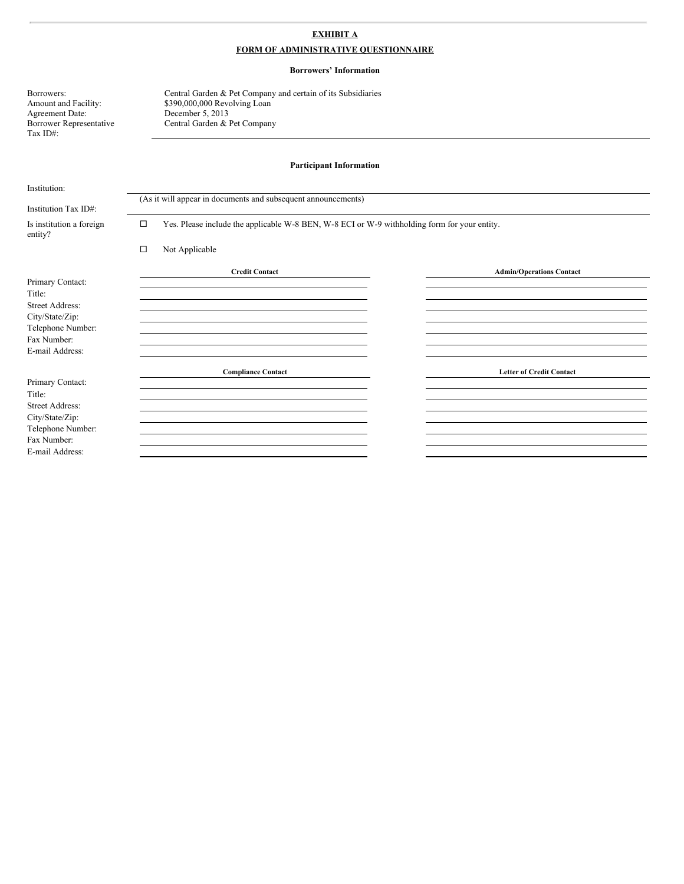# **EXHIBIT A**

# **FORM OF ADMINISTRATIVE QUESTIONNAIRE**

### **Borrowers' Information**

Agreement Date: December 5, 2013 Tax ID#:

Borrowers: Central Garden & Pet Company and certain of its Subsidiaries Amount and Facility: \$390,000,000 Revolving Loan Borrower Representative Central Garden & Pet Company

## **Participant Information**

| Institution:                        |                                                                                                   |                                 |  |  |
|-------------------------------------|---------------------------------------------------------------------------------------------------|---------------------------------|--|--|
|                                     | (As it will appear in documents and subsequent announcements)                                     |                                 |  |  |
| Institution Tax ID#:                |                                                                                                   |                                 |  |  |
| Is institution a foreign<br>entity? | Yes. Please include the applicable W-8 BEN, W-8 ECI or W-9 withholding form for your entity.<br>□ |                                 |  |  |
|                                     | □<br>Not Applicable                                                                               |                                 |  |  |
|                                     | <b>Credit Contact</b>                                                                             | <b>Admin/Operations Contact</b> |  |  |
| Primary Contact:                    |                                                                                                   |                                 |  |  |
| Title:                              |                                                                                                   |                                 |  |  |
| <b>Street Address:</b>              |                                                                                                   |                                 |  |  |
| City/State/Zip:                     |                                                                                                   |                                 |  |  |
| Telephone Number:                   |                                                                                                   |                                 |  |  |
| Fax Number:                         |                                                                                                   |                                 |  |  |
| E-mail Address:                     |                                                                                                   |                                 |  |  |
|                                     | <b>Compliance Contact</b>                                                                         | <b>Letter of Credit Contact</b> |  |  |
| Primary Contact:                    |                                                                                                   |                                 |  |  |
| Title:                              |                                                                                                   |                                 |  |  |
| <b>Street Address:</b>              |                                                                                                   |                                 |  |  |
| City/State/Zip:                     |                                                                                                   |                                 |  |  |
| Telephone Number:                   |                                                                                                   |                                 |  |  |
| Fax Number:                         |                                                                                                   |                                 |  |  |
| E-mail Address:                     |                                                                                                   |                                 |  |  |
|                                     |                                                                                                   |                                 |  |  |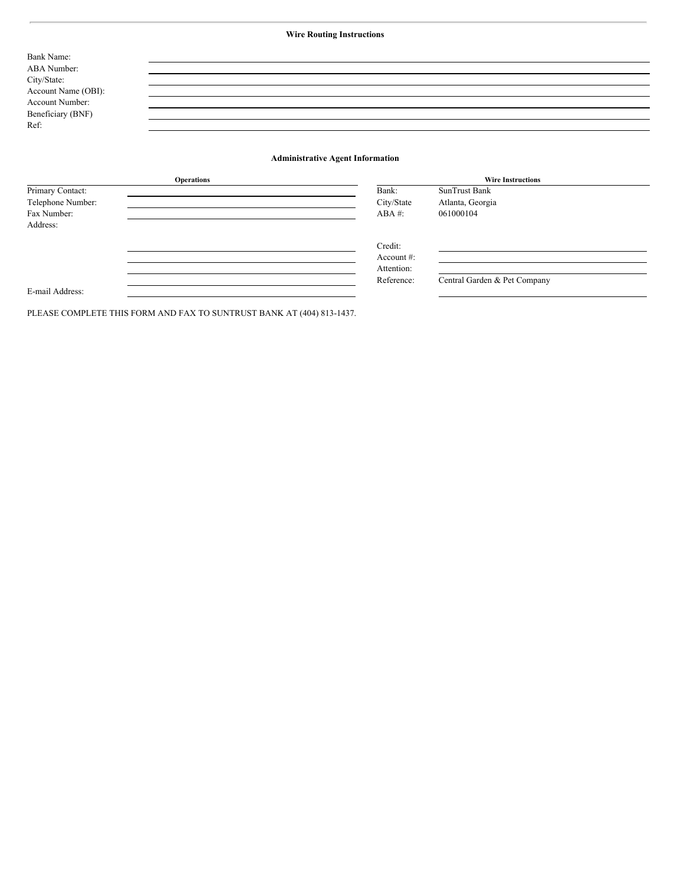| <b>Wire Routing Instructions</b> |
|----------------------------------|
|----------------------------------|

| <b>Bank Name:</b><br>ABA Number:<br>City/State:<br>Account Name (OBI):<br>Account Number:<br>Beneficiary (BNF)<br>Ref: |                   |                                         |                              |  |
|------------------------------------------------------------------------------------------------------------------------|-------------------|-----------------------------------------|------------------------------|--|
|                                                                                                                        |                   | <b>Administrative Agent Information</b> |                              |  |
|                                                                                                                        | <b>Operations</b> |                                         | <b>Wire Instructions</b>     |  |
| Primary Contact:                                                                                                       |                   | Bank:                                   | SunTrust Bank                |  |
| Telephone Number:                                                                                                      |                   | City/State                              | Atlanta, Georgia             |  |
| Fax Number:                                                                                                            |                   | $ABA$ #:                                | 061000104                    |  |
| Address:                                                                                                               |                   |                                         |                              |  |
|                                                                                                                        |                   | Credit:                                 |                              |  |
|                                                                                                                        |                   | Account #:                              |                              |  |
|                                                                                                                        |                   | Attention:                              |                              |  |
|                                                                                                                        |                   | Reference:                              | Central Garden & Pet Company |  |
| E-mail Address:                                                                                                        |                   |                                         |                              |  |

PLEASE COMPLETE THIS FORM AND FAX TO SUNTRUST BANK AT (404) 813-1437.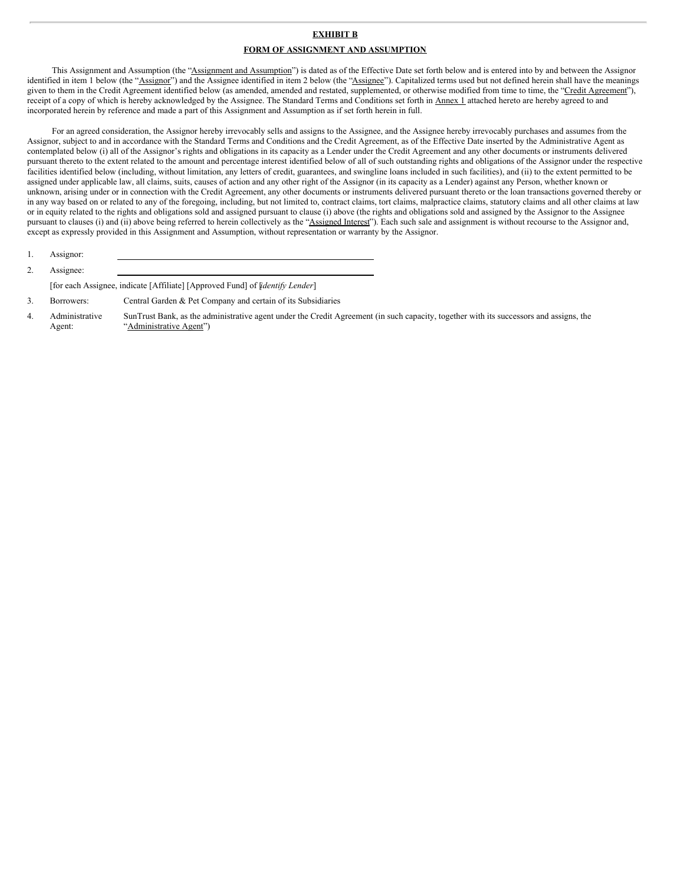### **EXHIBIT B**

### **FORM OF ASSIGNMENT AND ASSUMPTION**

This Assignment and Assumption (the "Assignment and Assumption") is dated as of the Effective Date set forth below and is entered into by and between the Assignor identified in item 1 below (the "Assignor") and the Assignee identified in item 2 below (the "Assignee"). Capitalized terms used but not defined herein shall have the meanings given to them in the Credit Agreement identified below (as amended, amended and restated, supplemented, or otherwise modified from time to time, the "Credit Agreement"), receipt of a copy of which is hereby acknowledged by the Assignee. The Standard Terms and Conditions set forth in Annex 1 attached hereto are hereby agreed to and incorporated herein by reference and made a part of this Assignment and Assumption as if set forth herein in full.

For an agreed consideration, the Assignor hereby irrevocably sells and assigns to the Assignee, and the Assignee hereby irrevocably purchases and assumes from the Assignor, subject to and in accordance with the Standard Terms and Conditions and the Credit Agreement, as of the Effective Date inserted by the Administrative Agent as contemplated below (i) all of the Assignor's rights and obligations in its capacity as a Lender under the Credit Agreement and any other documents or instruments delivered pursuant thereto to the extent related to the amount and percentage interest identified below of all of such outstanding rights and obligations of the Assignor under the respective facilities identified below (including, without limitation, any letters of credit, guarantees, and swingline loans included in such facilities), and (ii) to the extent permitted to be assigned under applicable law, all claims, suits, causes of action and any other right of the Assignor (in its capacity as a Lender) against any Person, whether known or unknown, arising under or in connection with the Credit Agreement, any other documents or instruments delivered pursuant thereto or the loan transactions governed thereby or in any way based on or related to any of the foregoing, including, but not limited to, contract claims, tort claims, malpractice claims, statutory claims and all other claims at law or in equity related to the rights and obligations sold and assigned pursuant to clause (i) above (the rights and obligations sold and assigned by the Assignor to the Assignee pursuant to clauses (i) and (ii) above being referred to herein collectively as the "Assigned Interest"). Each such sale and assignment is without recourse to the Assignor and, except as expressly provided in this Assignment and Assumption, without representation or warranty by the Assignor.

- 1. Assignor:
- 2. Assignee:

[for each Assignee, indicate [Affiliate] [Approved Fund] of [*identify Lender*]

3. Borrowers: Central Garden & Pet Company and certain of its Subsidiaries

4. Administrative Agent: SunTrust Bank, as the administrative agent under the Credit Agreement (in such capacity, together with its successors and assigns, the "Administrative Agent")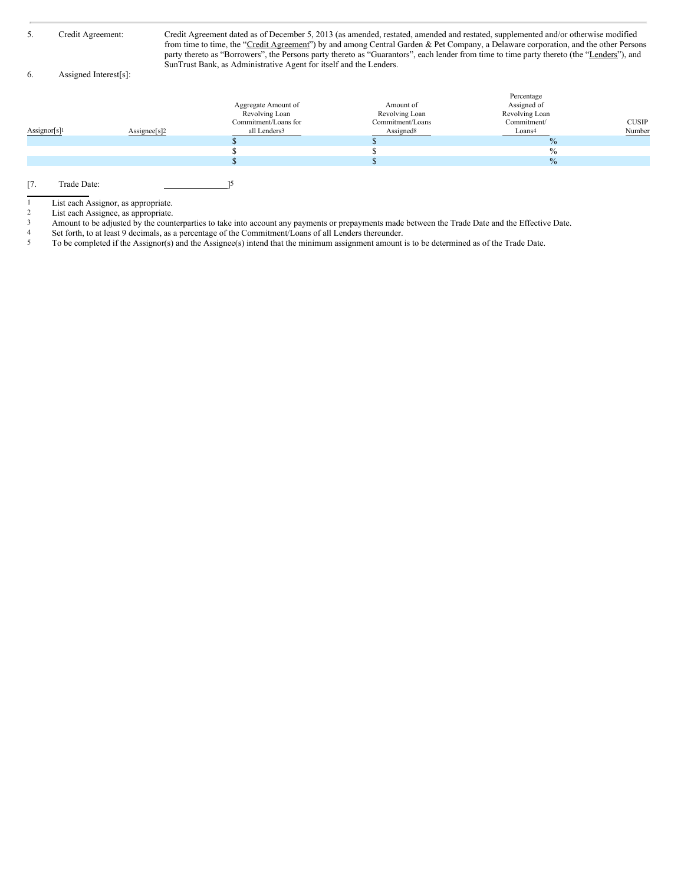| Credit Agreement:                                                                                         | Credit Agreement dated as of December 5, 2013 (as amended, restated, amended and restated, supplemented and/or otherwise modified         |
|-----------------------------------------------------------------------------------------------------------|-------------------------------------------------------------------------------------------------------------------------------------------|
|                                                                                                           | from time to time, the "Credit Agreement") by and among Central Garden & Pet Company, a Delaware corporation, and the other Persons       |
|                                                                                                           | party thereto as "Borrowers", the Persons party thereto as "Guarantors", each lender from time to time party thereto (the "Lenders"), and |
|                                                                                                           | SunTrust Bank, as Administrative Agent for itself and the Lenders.                                                                        |
| $\lambda$ , $\lambda$ , $\lambda$ , $\lambda$ , $\lambda$ , $\lambda$ , $\lambda$ , $\lambda$ , $\lambda$ |                                                                                                                                           |

| Assigned Interest[s]:<br>6. |  |  |
|-----------------------------|--|--|
|-----------------------------|--|--|

| Assignor[s]1 | Assignee[s]2 | Aggregate Amount of<br>Revolving Loan<br>Commitment/Loans for<br>all Lenders <sup>3</sup> | Amount of<br>Revolving Loan<br>Commitment/Loans<br>Assigned <sup>8</sup> | Percentage<br>Assigned of<br>Revolving Loan<br>Commitment/<br>Loans4 | <b>CUSIP</b><br>Number |
|--------------|--------------|-------------------------------------------------------------------------------------------|--------------------------------------------------------------------------|----------------------------------------------------------------------|------------------------|
|              |              |                                                                                           |                                                                          | $\%$                                                                 |                        |
|              |              |                                                                                           |                                                                          | $\frac{0}{0}$                                                        |                        |
|              |              |                                                                                           |                                                                          | $\frac{0}{0}$                                                        |                        |

[7. Trade Date: ]5

<sup>1</sup> List each Assignor, as appropriate.<br><sup>2</sup> List each Assignee, as appropriate.

2 List each Assignee, as appropriate.

3 Amount to be adjusted by the counterparties to take into account any payments or prepayments made between the Trade Date and the Effective Date.

4 Set forth, to at least 9 decimals, as a percentage of the Commitment/Loans of all Lenders thereunder.

5 To be completed if the Assignor(s) and the Assignee(s) intend that the minimum assignment amount is to be determined as of the Trade Date.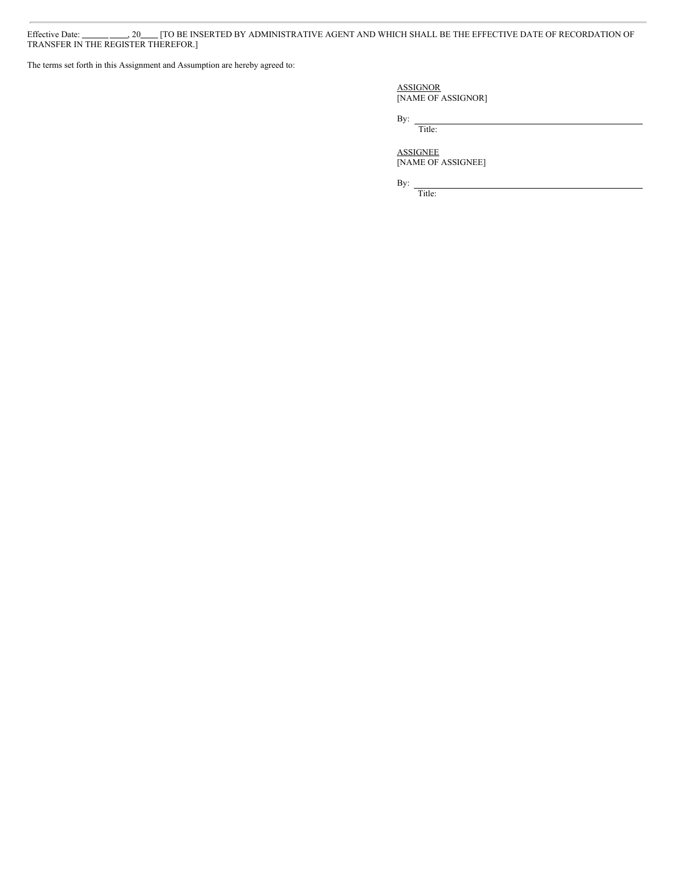Effective Date: , 20 [TO BE INSERTED BY ADMINISTRATIVE AGENT AND WHICH SHALL BE THE EFFECTIVE DATE OF RECORDATION OF TRANSFER IN THE REGISTER THEREFOR.]

The terms set forth in this Assignment and Assumption are hereby agreed to:

ASSIGNOR [NAME OF ASSIGNOR]

By:

Title:

**ASSIGNEE** [NAME OF ASSIGNEE]

By: Title: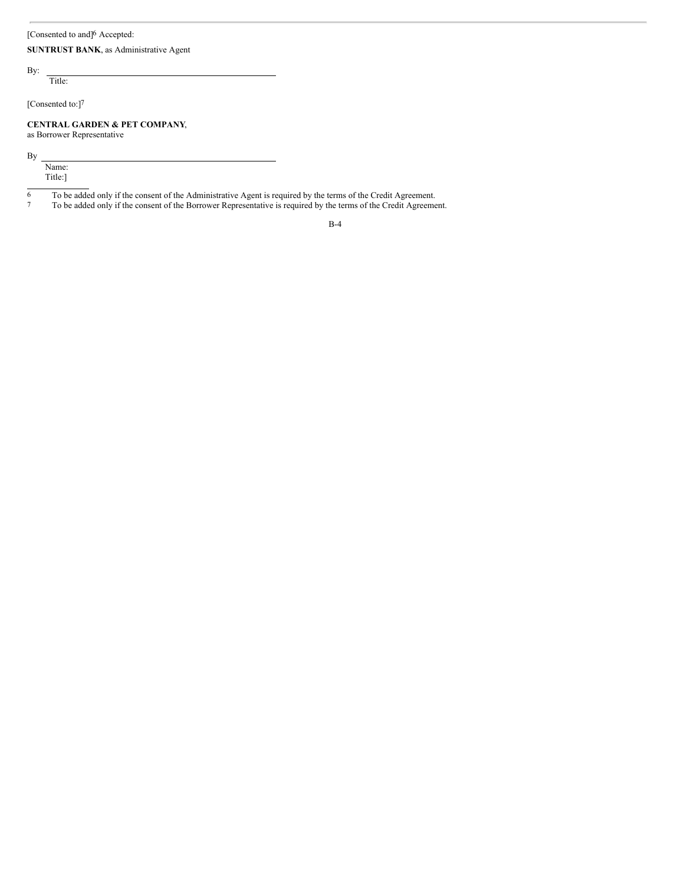### [Consented to and]6 Accepted:

### **SUNTRUST BANK**, as Administrative Agent

By:

Title:

[Consented to:]7

### **CENTRAL GARDEN & PET COMPANY**, as Borrower Representative

By

Name: Title:]

6 To be added only if the consent of the Administrative Agent is required by the terms of the Credit Agreement.

7 To be added only if the consent of the Borrower Representative is required by the terms of the Credit Agreement.

B-4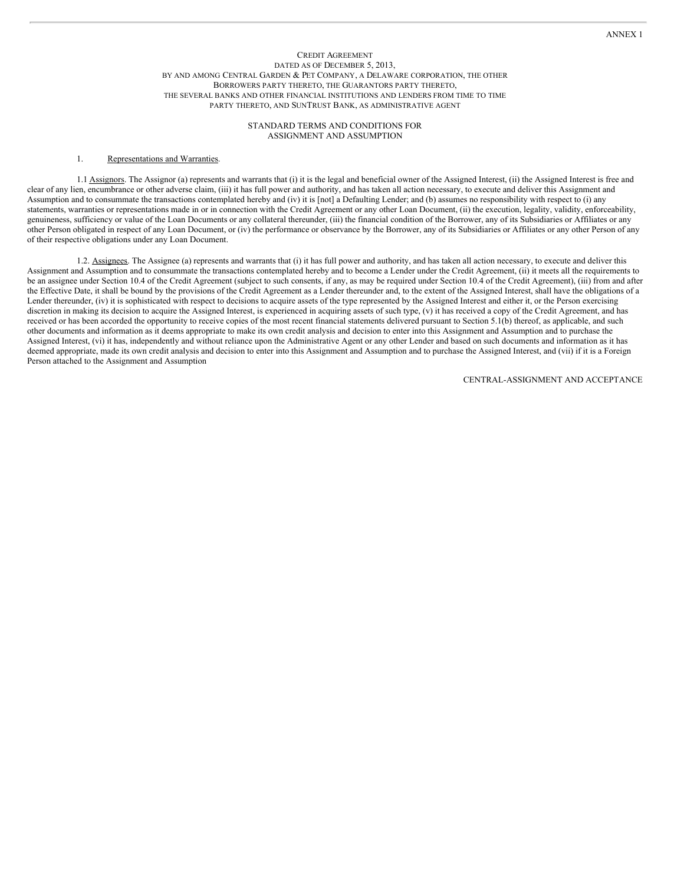#### CREDIT AGREEMENT DATED AS OF DECEMBER 5, 2013, BY AND AMONG CENTRAL GARDEN & PET COMPANY, A DELAWARE CORPORATION, THE OTHER BORROWERS PARTY THERETO, THE GUARANTORS PARTY THERETO, THE SEVERAL BANKS AND OTHER FINANCIAL INSTITUTIONS AND LENDERS FROM TIME TO TIME PARTY THERETO, AND SUNTRUST BANK, AS ADMINISTRATIVE AGENT

#### STANDARD TERMS AND CONDITIONS FOR ASSIGNMENT AND ASSUMPTION

#### 1. Representations and Warranties.

1.1 Assignors. The Assignor (a) represents and warrants that (i) it is the legal and beneficial owner of the Assigned Interest, (ii) the Assigned Interest is free and clear of any lien, encumbrance or other adverse claim, (iii) it has full power and authority, and has taken all action necessary, to execute and deliver this Assignment and Assumption and to consummate the transactions contemplated hereby and (iv) it is [not] a Defaulting Lender; and (b) assumes no responsibility with respect to (i) any statements, warranties or representations made in or in connection with the Credit Agreement or any other Loan Document, (ii) the execution, legality, validity, enforceability, genuineness, sufficiency or value of the Loan Documents or any collateral thereunder, (iii) the financial condition of the Borrower, any of its Subsidiaries or Affiliates or any other Person obligated in respect of any Loan Document, or (iv) the performance or observance by the Borrower, any of its Subsidiaries or Affiliates or any other Person of any of their respective obligations under any Loan Document.

1.2. Assignees. The Assignee (a) represents and warrants that (i) it has full power and authority, and has taken all action necessary, to execute and deliver this Assignment and Assumption and to consummate the transactions contemplated hereby and to become a Lender under the Credit Agreement, (ii) it meets all the requirements to be an assignee under Section 10.4 of the Credit Agreement (subject to such consents, if any, as may be required under Section 10.4 of the Credit Agreement), (iii) from and after the Effective Date, it shall be bound by the provisions of the Credit Agreement as a Lender thereunder and, to the extent of the Assigned Interest, shall have the obligations of a Lender thereunder, (iv) it is sophisticated with respect to decisions to acquire assets of the type represented by the Assigned Interest and either it, or the Person exercising discretion in making its decision to acquire the Assigned Interest, is experienced in acquiring assets of such type, (v) it has received a copy of the Credit Agreement, and has received or has been accorded the opportunity to receive copies of the most recent financial statements delivered pursuant to Section 5.1(b) thereof, as applicable, and such other documents and information as it deems appropriate to make its own credit analysis and decision to enter into this Assignment and Assumption and to purchase the Assigned Interest, (vi) it has, independently and without reliance upon the Administrative Agent or any other Lender and based on such documents and information as it has deemed appropriate, made its own credit analysis and decision to enter into this Assignment and Assumption and to purchase the Assigned Interest, and (vii) if it is a Foreign Person attached to the Assignment and Assumption

#### CENTRAL-ASSIGNMENT AND ACCEPTANCE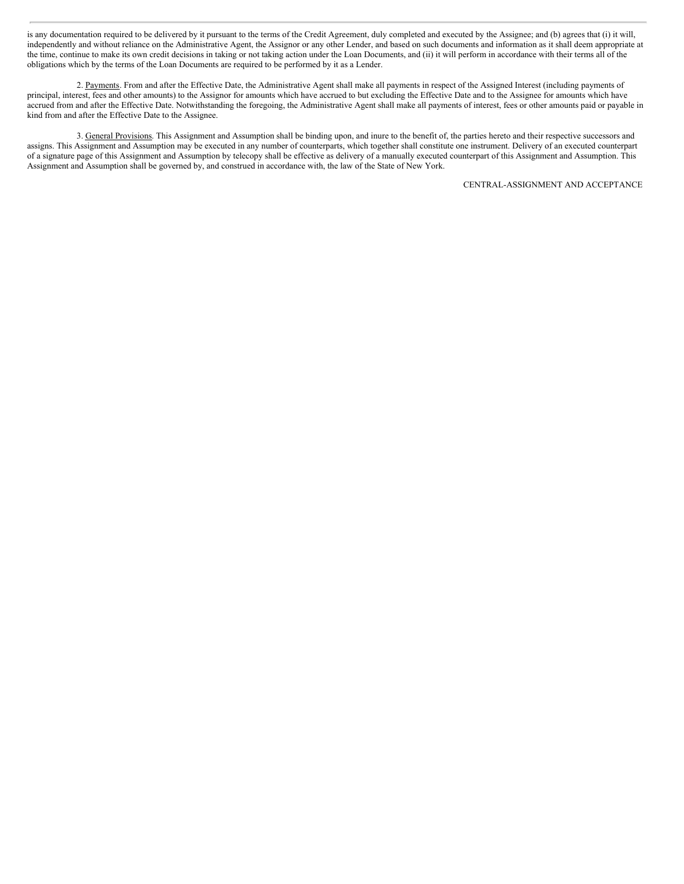is any documentation required to be delivered by it pursuant to the terms of the Credit Agreement, duly completed and executed by the Assignee; and (b) agrees that (i) it will, independently and without reliance on the Administrative Agent, the Assignor or any other Lender, and based on such documents and information as it shall deem appropriate at the time, continue to make its own credit decisions in taking or not taking action under the Loan Documents, and (ii) it will perform in accordance with their terms all of the obligations which by the terms of the Loan Documents are required to be performed by it as a Lender.

2. Payments. From and after the Effective Date, the Administrative Agent shall make all payments in respect of the Assigned Interest (including payments of principal, interest, fees and other amounts) to the Assignor for amounts which have accrued to but excluding the Effective Date and to the Assignee for amounts which have accrued from and after the Effective Date. Notwithstanding the foregoing, the Administrative Agent shall make all payments of interest, fees or other amounts paid or payable in kind from and after the Effective Date to the Assignee.

3. General Provisions. This Assignment and Assumption shall be binding upon, and inure to the benefit of, the parties hereto and their respective successors and assigns. This Assignment and Assumption may be executed in any number of counterparts, which together shall constitute one instrument. Delivery of an executed counterpart of a signature page of this Assignment and Assumption by telecopy shall be effective as delivery of a manually executed counterpart of this Assignment and Assumption. This Assignment and Assumption shall be governed by, and construed in accordance with, the law of the State of New York.

CENTRAL-ASSIGNMENT AND ACCEPTANCE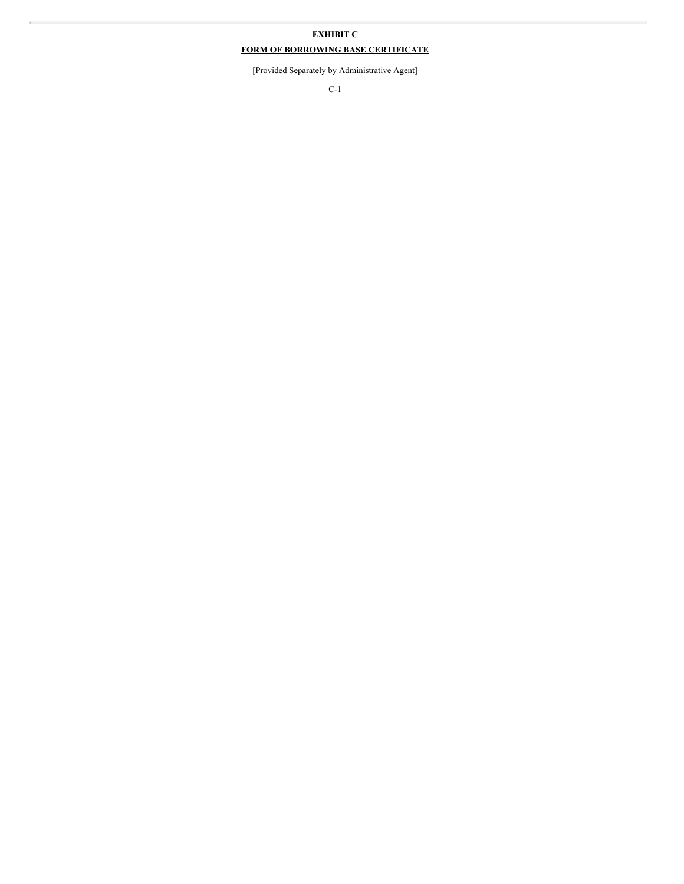# **EXHIBIT C**

## **FORM OF BORROWING BASE CERTIFICATE**

[Provided Separately by Administrative Agent]

C-1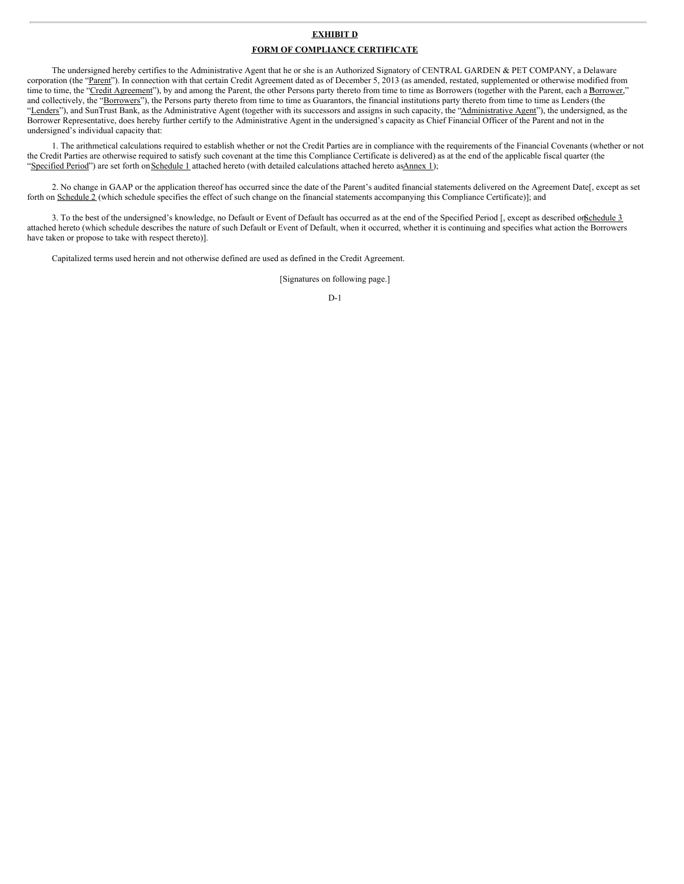### **EXHIBIT D**

### **FORM OF COMPLIANCE CERTIFICATE**

The undersigned hereby certifies to the Administrative Agent that he or she is an Authorized Signatory of CENTRAL GARDEN & PET COMPANY, a Delaware corporation (the "Parent"). In connection with that certain Credit Agreement dated as of December 5, 2013 (as amended, restated, supplemented or otherwise modified from time to time, the "Credit Agreement"), by and among the Parent, the other Persons party thereto from time to time as Borrowers (together with the Parent, each a Borrower," and collectively, the "Borrowers"), the Persons party thereto from time to time as Guarantors, the financial institutions party thereto from time to time as Lenders (the "Lenders"), and SunTrust Bank, as the Administrative Agent (together with its successors and assigns in such capacity, the "Administrative Agent"), the undersigned, as the Borrower Representative, does hereby further certify to the Administrative Agent in the undersigned's capacity as Chief Financial Officer of the Parent and not in the undersigned's individual capacity that:

1. The arithmetical calculations required to establish whether or not the Credit Parties are in compliance with the requirements of the Financial Covenants (whether or not the Credit Parties are otherwise required to satisfy such covenant at the time this Compliance Certificate is delivered) as at the end of the applicable fiscal quarter (the "Specified Period") are set forth on Schedule 1 attached hereto (with detailed calculations attached hereto asAnnex 1);

2. No change in GAAP or the application thereof has occurred since the date of the Parent's audited financial statements delivered on the Agreement Date[, except as set forth on Schedule 2 (which schedule specifies the effect of such change on the financial statements accompanying this Compliance Certificate)]; and

3. To the best of the undersigned's knowledge, no Default or Event of Default has occurred as at the end of the Specified Period [, except as described on Schedule 3 attached hereto (which schedule describes the nature of such Default or Event of Default, when it occurred, whether it is continuing and specifies what action the Borrowers have taken or propose to take with respect thereto)].

Capitalized terms used herein and not otherwise defined are used as defined in the Credit Agreement.

[Signatures on following page.]

D-1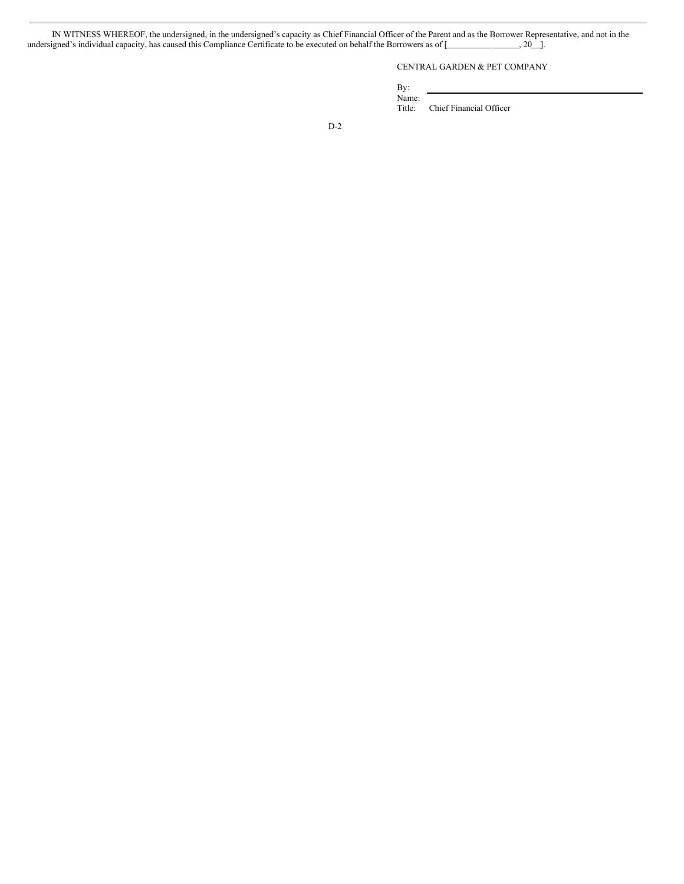IN WITNESS WHEREOF, the undersigned, in the undersigned's capacity as Chief Financial Officer of the Parent and as the Borrower Representative, and not in the undersigned's individual capacity, has caused this Compliance Certificate to be executed on behalf the Borrowers as of  $[\_\_\_\_\_$  20 $[\_\_\_\_\$ 

## CENTRAL GARDEN & PET COMPANY

By:

Name:<br>Title: Chief Financial Officer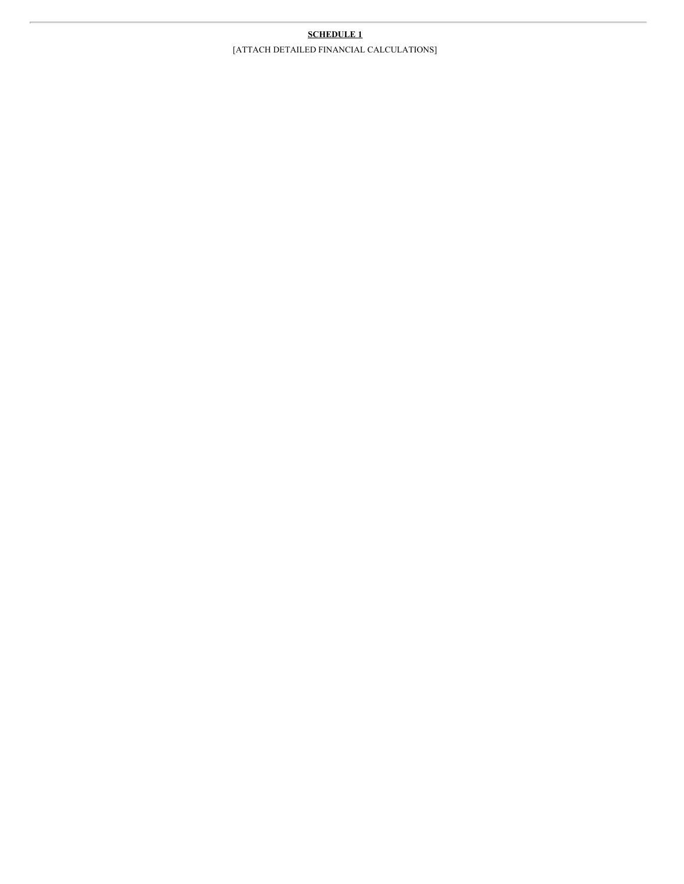## **SCHEDULE 1**

[ATTACH DETAILED FINANCIAL CALCULATIONS]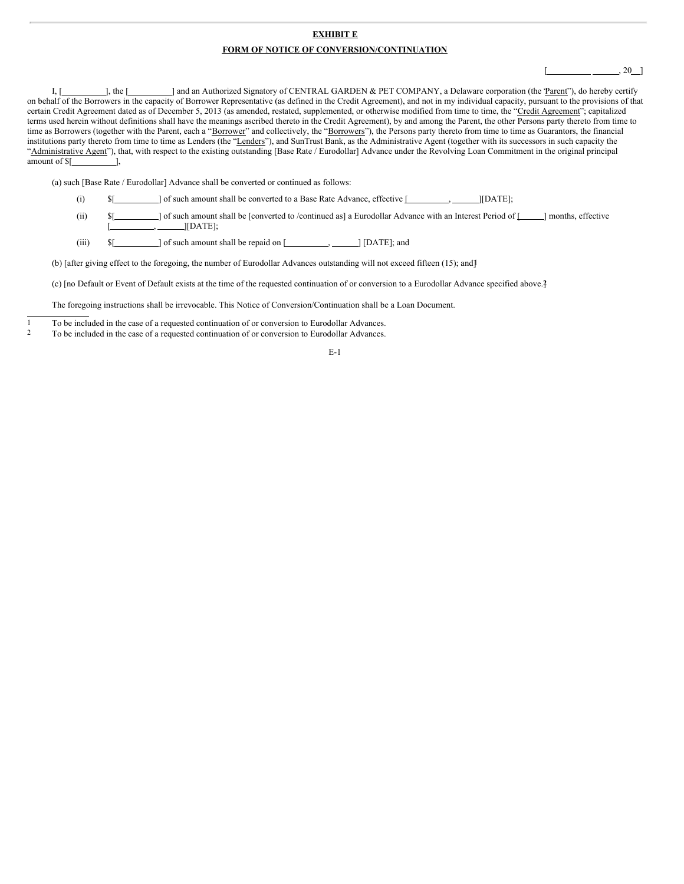# **EXHIBIT E**

### **FORM OF NOTICE OF CONVERSION/CONTINUATION**

 $, 20 \square$ 

I, [ ], the [ ] and an Authorized Signatory of CENTRAL GARDEN & PET COMPANY, a Delaware corporation (the "Parent"), do hereby certify on behalf of the Borrowers in the capacity of Borrower Representative (as defined in the Credit Agreement), and not in my individual capacity, pursuant to the provisions of that certain Credit Agreement dated as of December 5, 2013 (as amended, restated, supplemented, or otherwise modified from time to time, the "Credit Agreement"; capitalized terms used herein without definitions shall have the meanings ascribed thereto in the Credit Agreement), by and among the Parent, the other Persons party thereto from time to time as Borrowers (together with the Parent, each a "Borrower" and collectively, the "Borrowers"), the Persons party thereto from time to time as Guarantors, the financial institutions party thereto from time to time as Lenders (the "Lenders"), and SunTrust Bank, as the Administrative Agent (together with its successors in such capacity the "Administrative Agent"), that, with respect to the existing outstanding [Base Rate / Eurodollar] Advance under the Revolving Loan Commitment in the original principal amount of  $\[\ \ ]$ ,

(a) such [Base Rate / Eurodollar] Advance shall be converted or continued as follows:

- (i)  $\S$   $\S$  of such amount shall be converted to a Base Rate Advance, effective  $\S$ ,  $\S$   $\[$ DATE];
- (ii)  $\begin{bmatrix} \text{Si} \\ \text{Si} \end{bmatrix}$  of such amount shall be [converted to /continued as] a Eurodollar Advance with an Interest Period of [1000] months, effective [ , ][DATE];
- (iii)  $\S$ [\_\_\_\_\_\_\_\_\_] of such amount shall be repaid on [\_\_\_\_\_\_\_\_\_\_\_\_\_\_\_] [DATE]; and
- (b) [after giving effect to the foregoing, the number of Eurodollar Advances outstanding will not exceed fifteen (15); and]1

(c) [no Default or Event of Default exists at the time of the requested continuation of or conversion to a Eurodollar Advance specified above.2]

The foregoing instructions shall be irrevocable. This Notice of Conversion/Continuation shall be a Loan Document.

1 To be included in the case of a requested continuation of or conversion to Eurodollar Advances.<br>2 To be included in the case of a requested continuation of or conversion to Eurodollar Advances.

2 To be included in the case of a requested continuation of or conversion to Eurodollar Advances.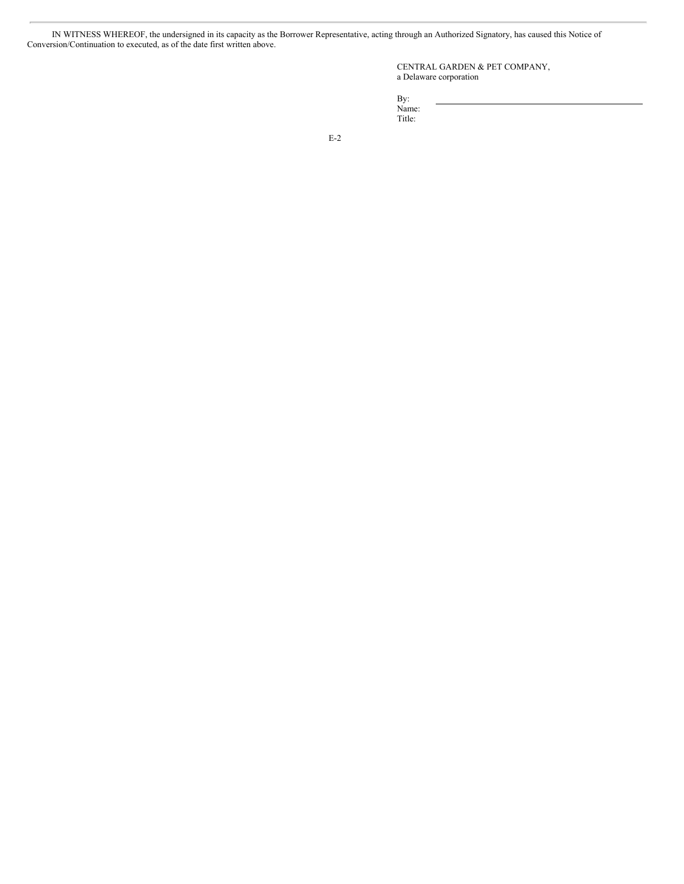IN WITNESS WHEREOF, the undersigned in its capacity as the Borrower Representative, acting through an Authorized Signatory, has caused this Notice of Conversion/Continuation to executed, as of the date first written above.

### CENTRAL GARDEN & PET COMPANY, a Delaware corporation

By: Name: Title: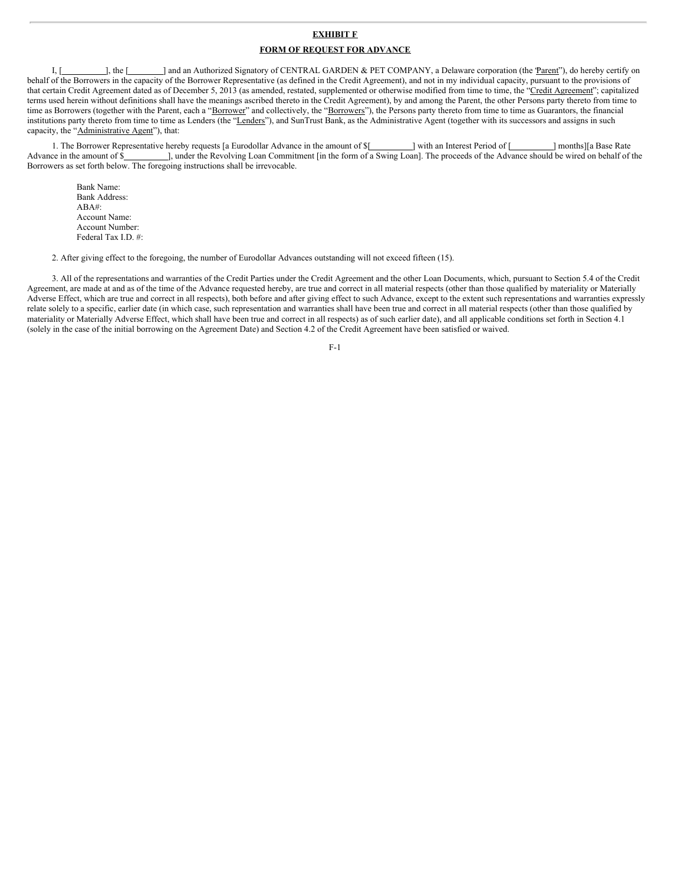### **EXHIBIT F**

### **FORM OF REQUEST FOR ADVANCE**

I, [ [ ], the [ ] and an Authorized Signatory of CENTRAL GARDEN & PET COMPANY, a Delaware corporation (the  $\frac{Parent''}{Parent''}$ ), do hereby certify on behalf of the Borrowers in the capacity of the Borrower Representative (as defined in the Credit Agreement), and not in my individual capacity, pursuant to the provisions of that certain Credit Agreement dated as of December 5, 2013 (as amended, restated, supplemented or otherwise modified from time to time, the "Credit Agreement"; capitalized terms used herein without definitions shall have the meanings ascribed thereto in the Credit Agreement), by and among the Parent, the other Persons party thereto from time to time as Borrowers (together with the Parent, each a "Borrower" and collectively, the "Borrowers"), the Persons party thereto from time to time as Guarantors, the financial institutions party thereto from time to time as Lenders (the "Lenders"), and SunTrust Bank, as the Administrative Agent (together with its successors and assigns in such capacity, the "Administrative Agent"), that:

1. The Borrower Representative hereby requests [a Eurodollar Advance in the amount of \$[  $\Box$  with an Interest Period of  $\Box$  months][a Base Rate Advance in the amount of \$ ], under the Revolving Loan Commitment [in the form of a Swing Loan]. The proceeds of the Advance should be wired on behalf of the Borrowers as set forth below. The foregoing instructions shall be irrevocable.

Bank Name: Bank Address: ABA#: Account Name: Account Number: Federal Tax I.D. #:

2. After giving effect to the foregoing, the number of Eurodollar Advances outstanding will not exceed fifteen (15).

3. All of the representations and warranties of the Credit Parties under the Credit Agreement and the other Loan Documents, which, pursuant to Section 5.4 of the Credit Agreement, are made at and as of the time of the Advance requested hereby, are true and correct in all material respects (other than those qualified by materiality or Materially Adverse Effect, which are true and correct in all respects), both before and after giving effect to such Advance, except to the extent such representations and warranties expressly relate solely to a specific, earlier date (in which case, such representation and warranties shall have been true and correct in all material respects (other than those qualified by materiality or Materially Adverse Effect, which shall have been true and correct in all respects) as of such earlier date), and all applicable conditions set forth in Section 4.1 (solely in the case of the initial borrowing on the Agreement Date) and Section 4.2 of the Credit Agreement have been satisfied or waived.

F-1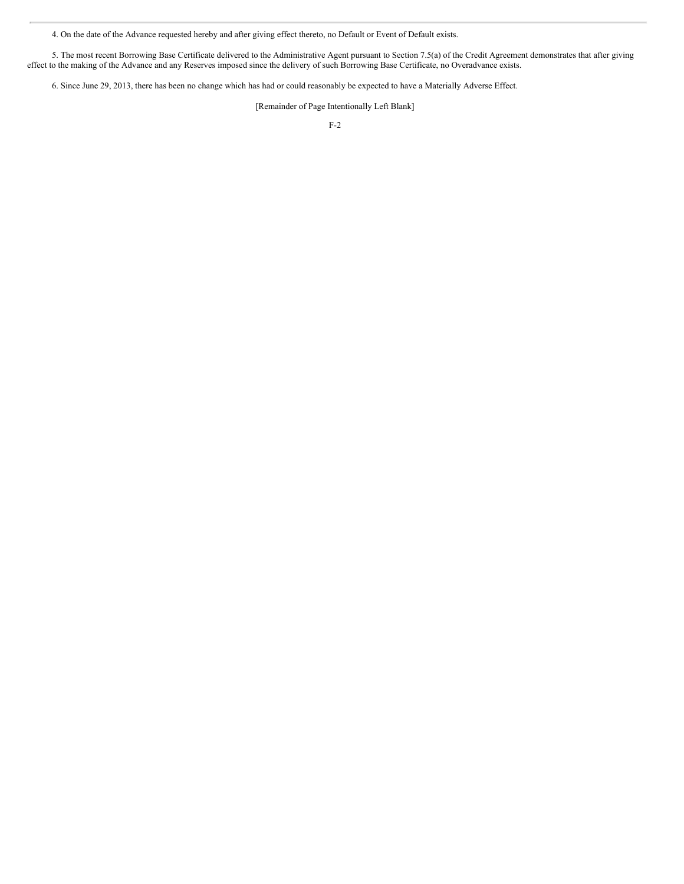4. On the date of the Advance requested hereby and after giving effect thereto, no Default or Event of Default exists.

5. The most recent Borrowing Base Certificate delivered to the Administrative Agent pursuant to Section 7.5(a) of the Credit Agreement demonstrates that after giving effect to the making of the Advance and any Reserves imposed since the delivery of such Borrowing Base Certificate, no Overadvance exists.

6. Since June 29, 2013, there has been no change which has had or could reasonably be expected to have a Materially Adverse Effect.

[Remainder of Page Intentionally Left Blank]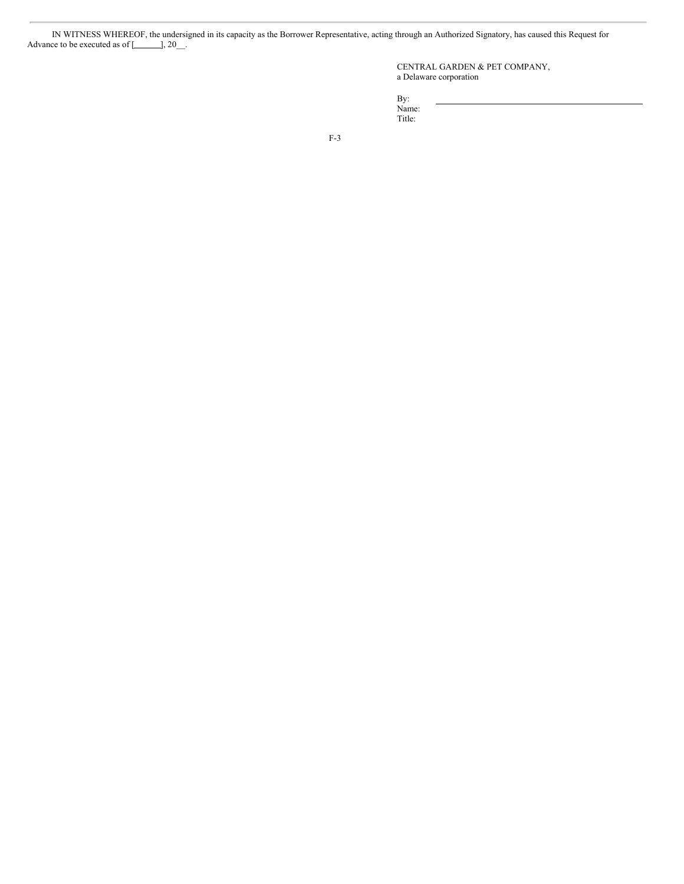IN WITNESS WHEREOF, the undersigned in its capacity as the Borrower Representative, acting through an Authorized Signatory, has caused this Request for Advance to be executed as of  $[\_\_]$ , 20\_.

# CENTRAL GARDEN & PET COMPANY, a Delaware corporation

By: Name: Title: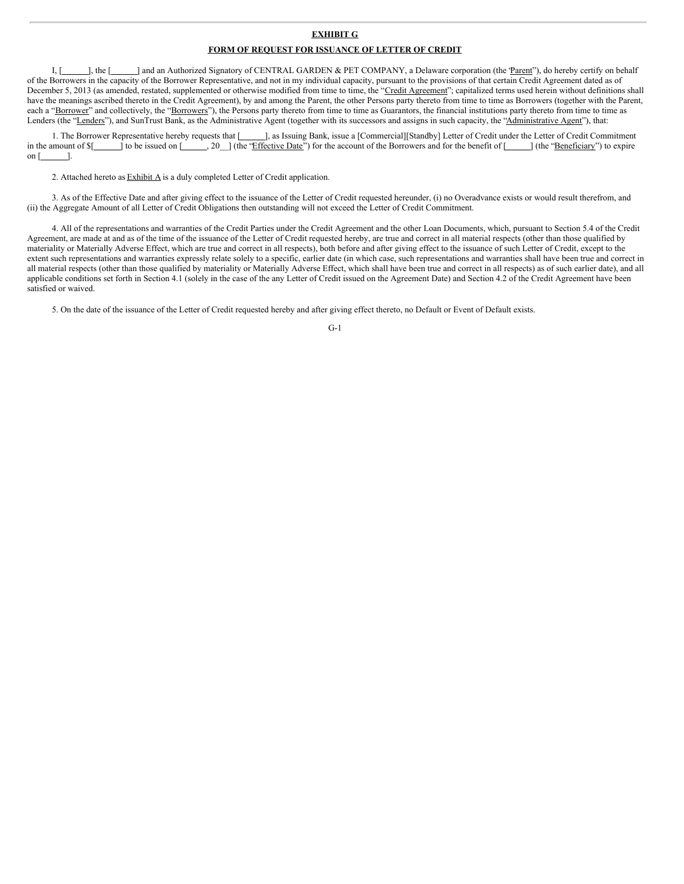### **EXHIBIT G**

### **FORM OF REQUEST FOR ISSUANCE OF LETTER OF CREDIT**

I, [ ], the [ ] and an Authorized Signatory of CENTRAL GARDEN & PET COMPANY, a Delaware corporation (the "Parent"), do hereby certify on behalf of the Borrowers in the capacity of the Borrower Representative, and not in my individual capacity, pursuant to the provisions of that certain Credit Agreement dated as of December 5, 2013 (as amended, restated, supplemented or otherwise modified from time to time, the "Credit Agreement"; capitalized terms used herein without definitions shall have the meanings ascribed thereto in the Credit Agreement), by and among the Parent, the other Persons party thereto from time to time as Borrowers (together with the Parent, each a "Borrower" and collectively, the "Borrowers"), the Persons party thereto from time to time as Guarantors, the financial institutions party thereto from time to time as Lenders (the "Lenders"), and SunTrust Bank, as the Administrative Agent (together with its successors and assigns in such capacity, the "Administrative Agent"), that:

1. The Borrower Representative hereby requests that [1000], as Issuing Bank, issue a [Commercial][Standby] Letter of Credit under the Letter of Credit Commitment in the amount of  $\frac{1}{\sqrt{2}}$  to be issued on  $\frac{1}{\sqrt{2}}$  20  $\frac{1}{\sqrt{2}}$  (the "Effective Date") for the account of the Borrowers and for the benefit of  $\boxed{\phantom{2}}$  (the "Beneficiary") to expire on  $[$   $]$ .

2. Attached hereto as  $Exhibit A$  is a duly completed Letter of Credit application.

3. As of the Effective Date and after giving effect to the issuance of the Letter of Credit requested hereunder, (i) no Overadvance exists or would result therefrom, and (ii) the Aggregate Amount of all Letter of Credit Obligations then outstanding will not exceed the Letter of Credit Commitment.

4. All of the representations and warranties of the Credit Parties under the Credit Agreement and the other Loan Documents, which, pursuant to Section 5.4 of the Credit Agreement, are made at and as of the time of the issuance of the Letter of Credit requested hereby, are true and correct in all material respects (other than those qualified by materiality or Materially Adverse Effect, which are true and correct in all respects), both before and after giving effect to the issuance of such Letter of Credit, except to the extent such representations and warranties expressly relate solely to a specific, earlier date (in which case, such representations and warranties shall have been true and correct in all material respects (other than those qualified by materiality or Materially Adverse Effect, which shall have been true and correct in all respects) as of such earlier date), and all applicable conditions set forth in Section 4.1 (solely in the case of the any Letter of Credit issued on the Agreement Date) and Section 4.2 of the Credit Agreement have been satisfied or waived.

5. On the date of the issuance of the Letter of Credit requested hereby and after giving effect thereto, no Default or Event of Default exists.

G-1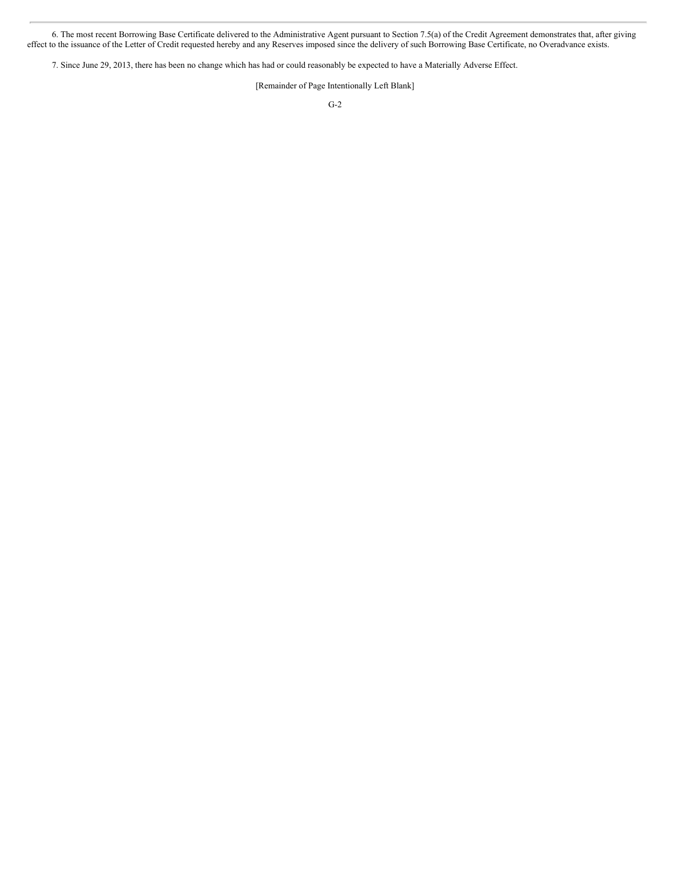6. The most recent Borrowing Base Certificate delivered to the Administrative Agent pursuant to Section 7.5(a) of the Credit Agreement demonstrates that, after giving effect to the issuance of the Letter of Credit requested hereby and any Reserves imposed since the delivery of such Borrowing Base Certificate, no Overadvance exists.

7. Since June 29, 2013, there has been no change which has had or could reasonably be expected to have a Materially Adverse Effect.

[Remainder of Page Intentionally Left Blank]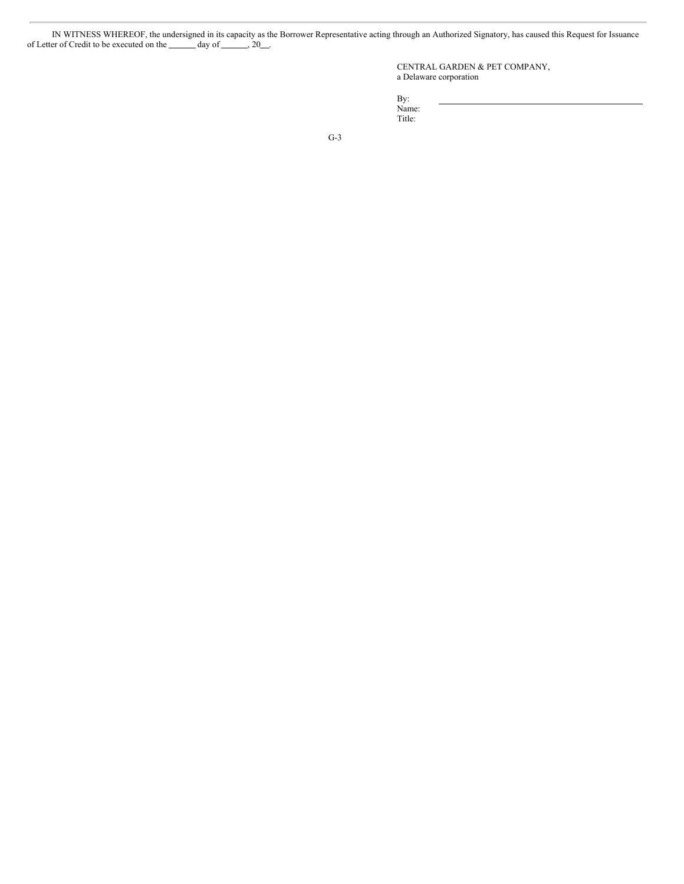IN WITNESS WHEREOF, the undersigned in its capacity as the Borrower Representative acting through an Authorized Signatory, has caused this Request for Issuance of Letter of Credit to be executed on the  $\_\_\_\_$  day of  $\_\_\_\_$ , 20  $\_\_\_\_\_\_\_\_\$ .

# CENTRAL GARDEN & PET COMPANY, a Delaware corporation

By: Name: Title: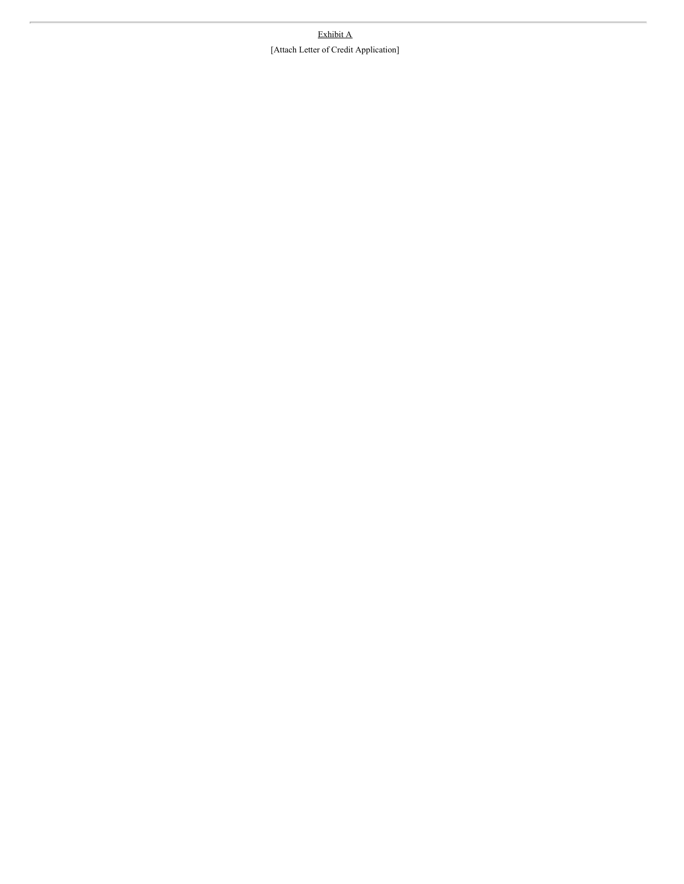Exhibit A [Attach Letter of Credit Application]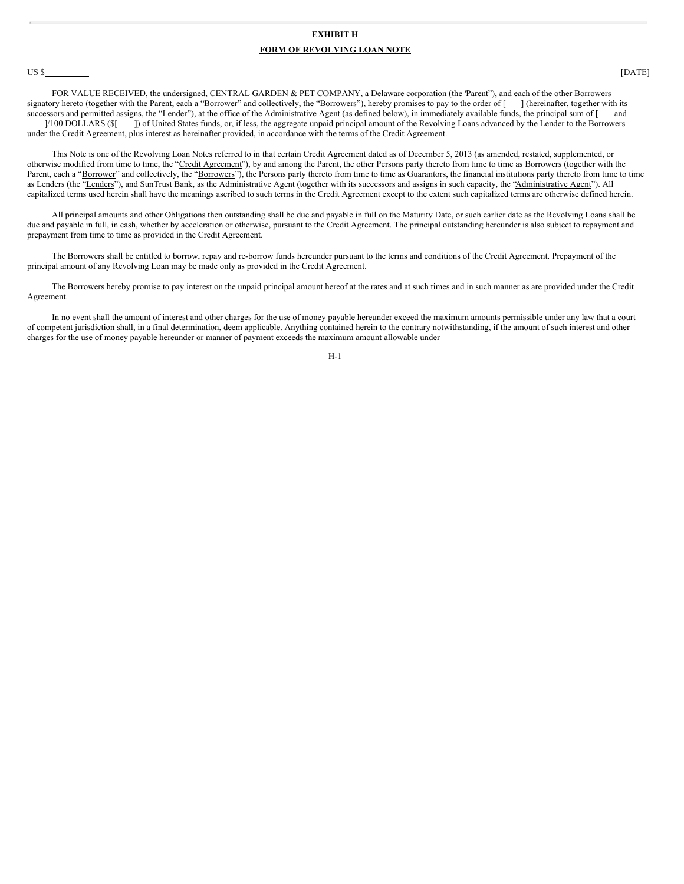# **EXHIBIT H FORM OF REVOLVING LOAN NOTE**

US \$ [DATE]

FOR VALUE RECEIVED, the undersigned, CENTRAL GARDEN & PET COMPANY, a Delaware corporation (the 'Parent''), and each of the other Borrowers signatory hereto (together with the Parent, each a "Borrower" and collectively, the "Borrowers"), hereby promises to pay to the order of [ ] (hereinafter, together with its successors and permitted assigns, the "Lender"), at the office of the Administrative Agent (as defined below), in immediately available funds, the principal sum of [ and ]/100 DOLLARS (\$[ ]) of United States funds, or, if less, the aggregate unpaid principal amount of the Revolving Loans advanced by the Lender to the Borrowers under the Credit Agreement, plus interest as hereinafter provided, in accordance with the terms of the Credit Agreement.

This Note is one of the Revolving Loan Notes referred to in that certain Credit Agreement dated as of December 5, 2013 (as amended, restated, supplemented, or otherwise modified from time to time, the "Credit Agreement"), by and among the Parent, the other Persons party thereto from time to time as Borrowers (together with the Parent, each a "Borrower" and collectively, the "Borrowers"), the Persons party thereto from time to time as Guarantors, the financial institutions party thereto from time to time as Lenders (the "Lenders"), and SunTrust Bank, as the Administrative Agent (together with its successors and assigns in such capacity, the "Administrative Agent"). All capitalized terms used herein shall have the meanings ascribed to such terms in the Credit Agreement except to the extent such capitalized terms are otherwise defined herein.

All principal amounts and other Obligations then outstanding shall be due and payable in full on the Maturity Date, or such earlier date as the Revolving Loans shall be due and payable in full, in cash, whether by acceleration or otherwise, pursuant to the Credit Agreement. The principal outstanding hereunder is also subject to repayment and prepayment from time to time as provided in the Credit Agreement.

The Borrowers shall be entitled to borrow, repay and re-borrow funds hereunder pursuant to the terms and conditions of the Credit Agreement. Prepayment of the principal amount of any Revolving Loan may be made only as provided in the Credit Agreement.

The Borrowers hereby promise to pay interest on the unpaid principal amount hereof at the rates and at such times and in such manner as are provided under the Credit Agreement.

In no event shall the amount of interest and other charges for the use of money payable hereunder exceed the maximum amounts permissible under any law that a court of competent jurisdiction shall, in a final determination, deem applicable. Anything contained herein to the contrary notwithstanding, if the amount of such interest and other charges for the use of money payable hereunder or manner of payment exceeds the maximum amount allowable under

H-1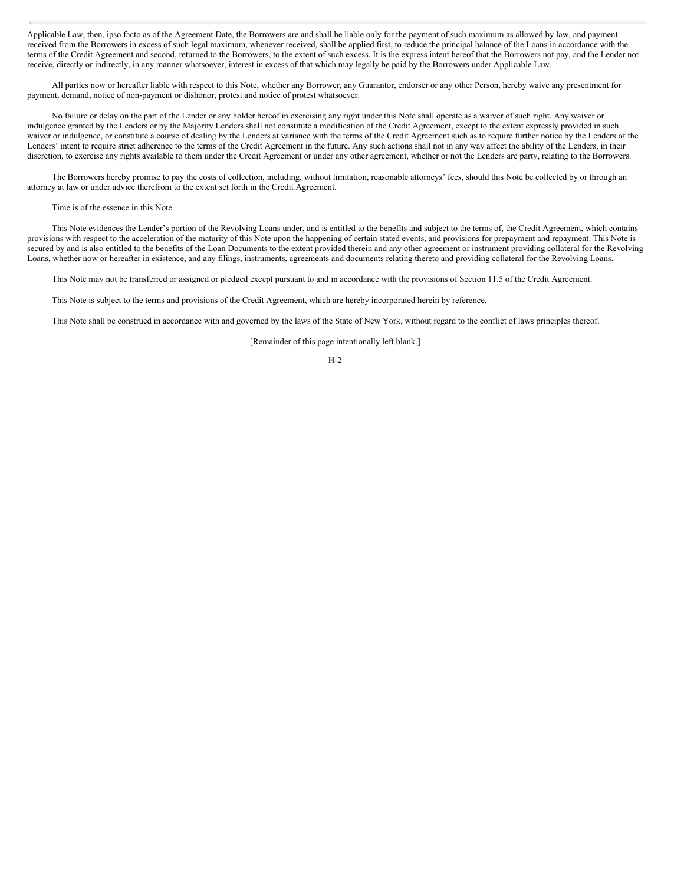Applicable Law, then, ipso facto as of the Agreement Date, the Borrowers are and shall be liable only for the payment of such maximum as allowed by law, and payment received from the Borrowers in excess of such legal maximum, whenever received, shall be applied first, to reduce the principal balance of the Loans in accordance with the terms of the Credit Agreement and second, returned to the Borrowers, to the extent of such excess. It is the express intent hereof that the Borrowers not pay, and the Lender not receive, directly or indirectly, in any manner whatsoever, interest in excess of that which may legally be paid by the Borrowers under Applicable Law.

All parties now or hereafter liable with respect to this Note, whether any Borrower, any Guarantor, endorser or any other Person, hereby waive any presentment for payment, demand, notice of non-payment or dishonor, protest and notice of protest whatsoever.

No failure or delay on the part of the Lender or any holder hereof in exercising any right under this Note shall operate as a waiver of such right. Any waiver or indulgence granted by the Lenders or by the Majority Lenders shall not constitute a modification of the Credit Agreement, except to the extent expressly provided in such waiver or indulgence, or constitute a course of dealing by the Lenders at variance with the terms of the Credit Agreement such as to require further notice by the Lenders of the Lenders' intent to require strict adherence to the terms of the Credit Agreement in the future. Any such actions shall not in any way affect the ability of the Lenders, in their discretion, to exercise any rights available to them under the Credit Agreement or under any other agreement, whether or not the Lenders are party, relating to the Borrowers.

The Borrowers hereby promise to pay the costs of collection, including, without limitation, reasonable attorneys' fees, should this Note be collected by or through an attorney at law or under advice therefrom to the extent set forth in the Credit Agreement.

#### Time is of the essence in this Note.

This Note evidences the Lender's portion of the Revolving Loans under, and is entitled to the benefits and subject to the terms of, the Credit Agreement, which contains provisions with respect to the acceleration of the maturity of this Note upon the happening of certain stated events, and provisions for prepayment and repayment. This Note is secured by and is also entitled to the benefits of the Loan Documents to the extent provided therein and any other agreement or instrument providing collateral for the Revolving Loans, whether now or hereafter in existence, and any filings, instruments, agreements and documents relating thereto and providing collateral for the Revolving Loans.

This Note may not be transferred or assigned or pledged except pursuant to and in accordance with the provisions of Section 11.5 of the Credit Agreement.

This Note is subject to the terms and provisions of the Credit Agreement, which are hereby incorporated herein by reference.

This Note shall be construed in accordance with and governed by the laws of the State of New York, without regard to the conflict of laws principles thereof.

[Remainder of this page intentionally left blank.]

#### H-2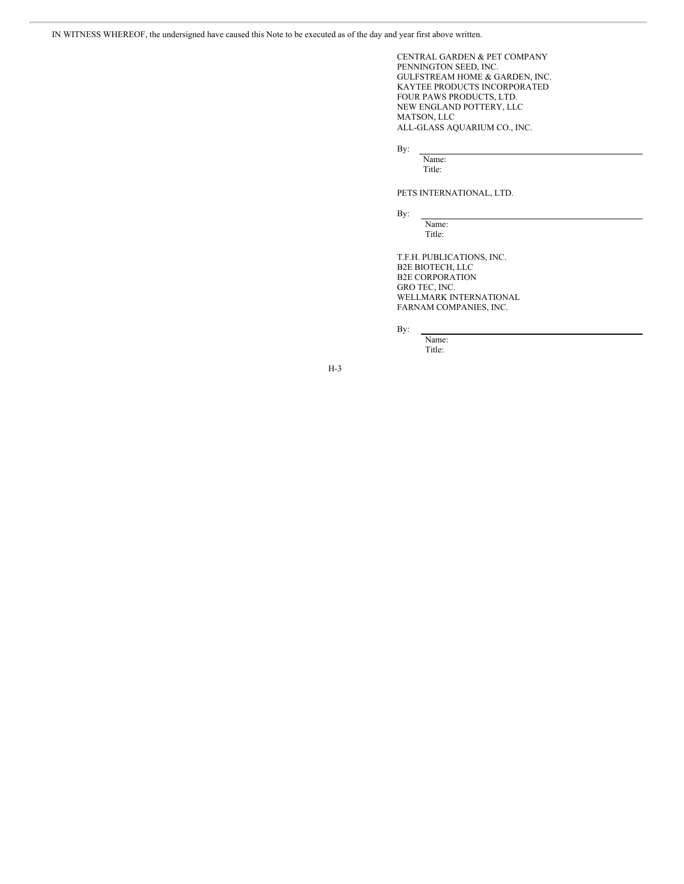CENTRAL GARDEN & PET COMPANY PENNINGTON SEED, INC. GULFSTREAM HOME & GARDEN, INC. KAYTEE PRODUCTS INCORPORATED FOUR PAWS PRODUCTS, LTD. NEW ENGLAND POTTERY, LLC MATSON, LLC ALL-GLASS AQUARIUM CO., INC.

By:

Name: Title:

PETS INTERNATIONAL, LTD.

By:

Name: Title:

T.F.H. PUBLICATIONS, INC. B2E BIOTECH, LLC B2E CORPORATION GRO TEC, INC. WELLMARK INTERNATIONAL FARNAM COMPANIES, INC.

By:

Name: Title:

H-3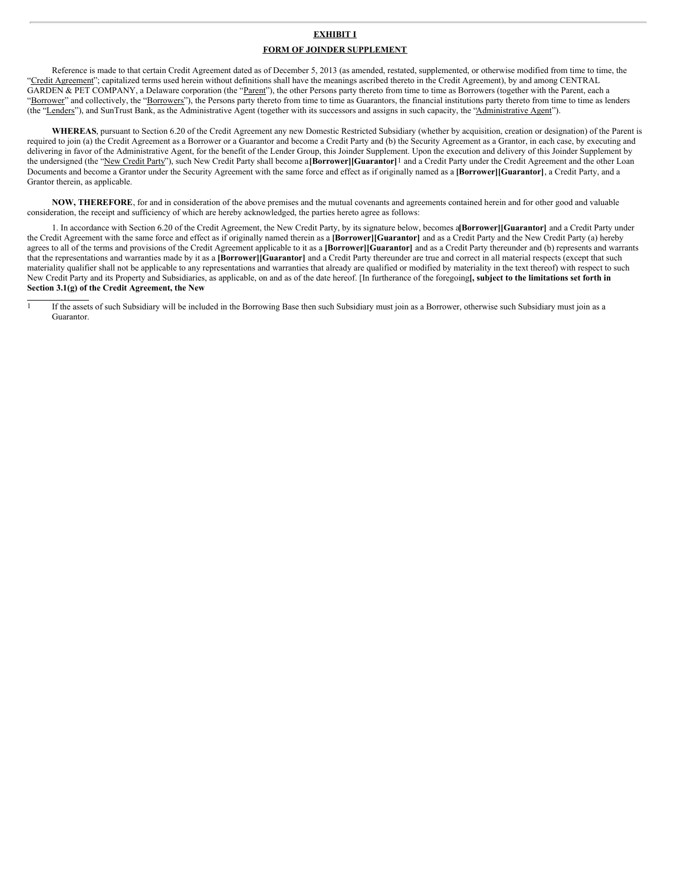# **EXHIBIT I**

# **FORM OF JOINDER SUPPLEMENT**

Reference is made to that certain Credit Agreement dated as of December 5, 2013 (as amended, restated, supplemented, or otherwise modified from time to time, the "Credit Agreement"; capitalized terms used herein without definitions shall have the meanings ascribed thereto in the Credit Agreement), by and among CENTRAL GARDEN & PET COMPANY, a Delaware corporation (the "Parent"), the other Persons party thereto from time to time as Borrowers (together with the Parent, each a "Borrower" and collectively, the "Borrowers"), the Persons party thereto from time to time as Guarantors, the financial institutions party thereto from time to time as lenders (the "Lenders"), and SunTrust Bank, as the Administrative Agent (together with its successors and assigns in such capacity, the "Administrative Agent").

**WHEREAS**, pursuant to Section 6.20 of the Credit Agreement any new Domestic Restricted Subsidiary (whether by acquisition, creation or designation) of the Parent is required to join (a) the Credit Agreement as a Borrower or a Guarantor and become a Credit Party and (b) the Security Agreement as a Grantor, in each case, by executing and delivering in favor of the Administrative Agent, for the benefit of the Lender Group, this Joinder Supplement. Upon the execution and delivery of this Joinder Supplement by the undersigned (the "New Credit Party"), such New Credit Party shall become a**[Borrower][Guarantor]**1 and a Credit Party under the Credit Agreement and the other Loan Documents and become a Grantor under the Security Agreement with the same force and effect as if originally named as a **[Borrower][Guarantor]**, a Credit Party, and a Grantor therein, as applicable.

**NOW, THEREFORE**, for and in consideration of the above premises and the mutual covenants and agreements contained herein and for other good and valuable consideration, the receipt and sufficiency of which are hereby acknowledged, the parties hereto agree as follows:

1. In accordance with Section 6.20 of the Credit Agreement, the New Credit Party, by its signature below, becomes a**[Borrower][Guarantor]** and a Credit Party under the Credit Agreement with the same force and effect as if originally named therein as a **[Borrower][Guarantor]** and as a Credit Party and the New Credit Party (a) hereby agrees to all of the terms and provisions of the Credit Agreement applicable to it as a **[Borrower][Guarantor]** and as a Credit Party thereunder and (b) represents and warrants that the representations and warranties made by it as a **[Borrower][Guarantor]** and a Credit Party thereunder are true and correct in all material respects (except that such materiality qualifier shall not be applicable to any representations and warranties that already are qualified or modified by materiality in the text thereof) with respect to such New Credit Party and its Property and Subsidiaries, as applicable, on and as of the date hereof. [In furtherance of the foregoing], subject to the limitations set forth in **Section 3.1(g) of the Credit Agreement, the New**

 $\frac{1}{1}$  If the assets of such Subsidiary will be included in the Borrowing Base then such Subsidiary must join as a Borrower, otherwise such Subsidiary must join as a Guarantor.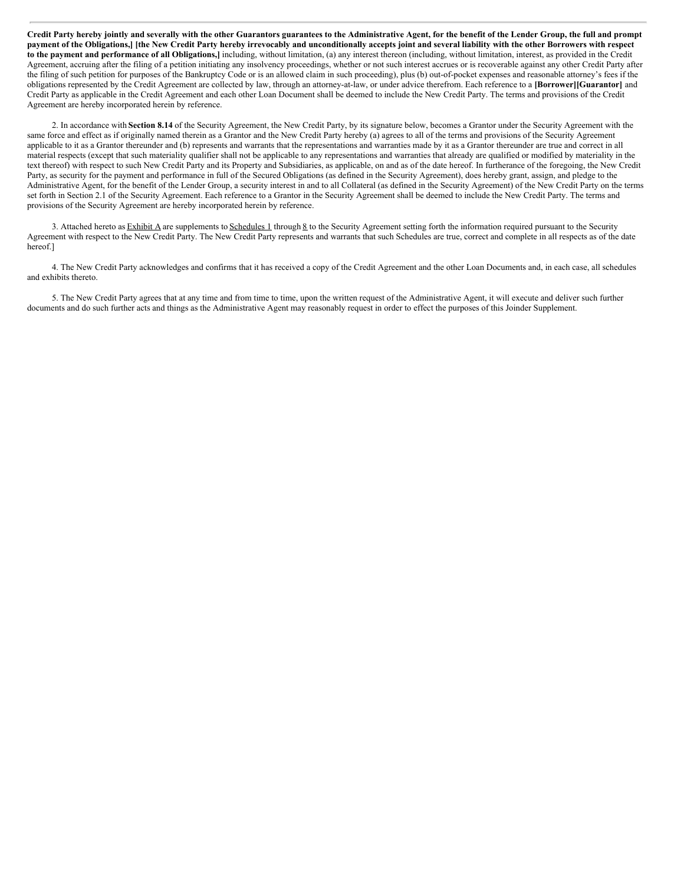Credit Party hereby jointly and severally with the other Guarantors guarantees to the Administrative Agent, for the benefit of the Lender Group, the full and prompt payment of the Obligations, | [the New Credit Party hereby irrevocably and unconditionally accepts joint and several liability with the other Borrowers with respect to the payment and performance of all Obligations, including, without limitation, (a) any interest thereon (including, without limitation, interest, as provided in the Credit Agreement, accruing after the filing of a petition initiating any insolvency proceedings, whether or not such interest accrues or is recoverable against any other Credit Party after the filing of such petition for purposes of the Bankruptcy Code or is an allowed claim in such proceeding), plus (b) out-of-pocket expenses and reasonable attorney's fees if the obligations represented by the Credit Agreement are collected by law, through an attorney-at-law, or under advice therefrom. Each reference to a **[Borrower][Guarantor]** and Credit Party as applicable in the Credit Agreement and each other Loan Document shall be deemed to include the New Credit Party. The terms and provisions of the Credit Agreement are hereby incorporated herein by reference.

2. In accordance with **Section 8.14** of the Security Agreement, the New Credit Party, by its signature below, becomes a Grantor under the Security Agreement with the same force and effect as if originally named therein as a Grantor and the New Credit Party hereby (a) agrees to all of the terms and provisions of the Security Agreement applicable to it as a Grantor thereunder and (b) represents and warrants that the representations and warranties made by it as a Grantor thereunder are true and correct in all material respects (except that such materiality qualifier shall not be applicable to any representations and warranties that already are qualified or modified by materiality in the text thereof) with respect to such New Credit Party and its Property and Subsidiaries, as applicable, on and as of the date hereof. In furtherance of the foregoing, the New Credit Party, as security for the payment and performance in full of the Secured Obligations (as defined in the Security Agreement), does hereby grant, assign, and pledge to the Administrative Agent, for the benefit of the Lender Group, a security interest in and to all Collateral (as defined in the Security Agreement) of the New Credit Party on the terms set forth in Section 2.1 of the Security Agreement. Each reference to a Grantor in the Security Agreement shall be deemed to include the New Credit Party. The terms and provisions of the Security Agreement are hereby incorporated herein by reference.

3. Attached hereto as Exhibit A are supplements to Schedules 1 through 8 to the Security Agreement setting forth the information required pursuant to the Security Agreement with respect to the New Credit Party. The New Credit Party represents and warrants that such Schedules are true, correct and complete in all respects as of the date hereof.]

4. The New Credit Party acknowledges and confirms that it has received a copy of the Credit Agreement and the other Loan Documents and, in each case, all schedules and exhibits thereto.

5. The New Credit Party agrees that at any time and from time to time, upon the written request of the Administrative Agent, it will execute and deliver such further documents and do such further acts and things as the Administrative Agent may reasonably request in order to effect the purposes of this Joinder Supplement.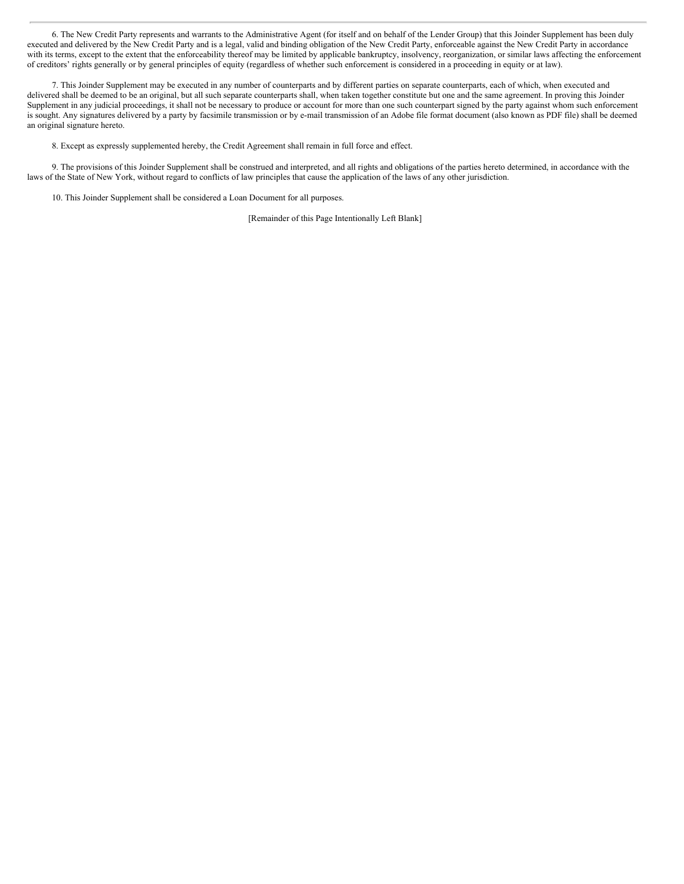6. The New Credit Party represents and warrants to the Administrative Agent (for itself and on behalf of the Lender Group) that this Joinder Supplement has been duly executed and delivered by the New Credit Party and is a legal, valid and binding obligation of the New Credit Party, enforceable against the New Credit Party in accordance with its terms, except to the extent that the enforceability thereof may be limited by applicable bankruptcy, insolvency, reorganization, or similar laws affecting the enforcement of creditors' rights generally or by general principles of equity (regardless of whether such enforcement is considered in a proceeding in equity or at law).

7. This Joinder Supplement may be executed in any number of counterparts and by different parties on separate counterparts, each of which, when executed and delivered shall be deemed to be an original, but all such separate counterparts shall, when taken together constitute but one and the same agreement. In proving this Joinder Supplement in any judicial proceedings, it shall not be necessary to produce or account for more than one such counterpart signed by the party against whom such enforcement is sought. Any signatures delivered by a party by facsimile transmission or by e-mail transmission of an Adobe file format document (also known as PDF file) shall be deemed an original signature hereto.

8. Except as expressly supplemented hereby, the Credit Agreement shall remain in full force and effect.

9. The provisions of this Joinder Supplement shall be construed and interpreted, and all rights and obligations of the parties hereto determined, in accordance with the laws of the State of New York, without regard to conflicts of law principles that cause the application of the laws of any other jurisdiction.

10. This Joinder Supplement shall be considered a Loan Document for all purposes.

[Remainder of this Page Intentionally Left Blank]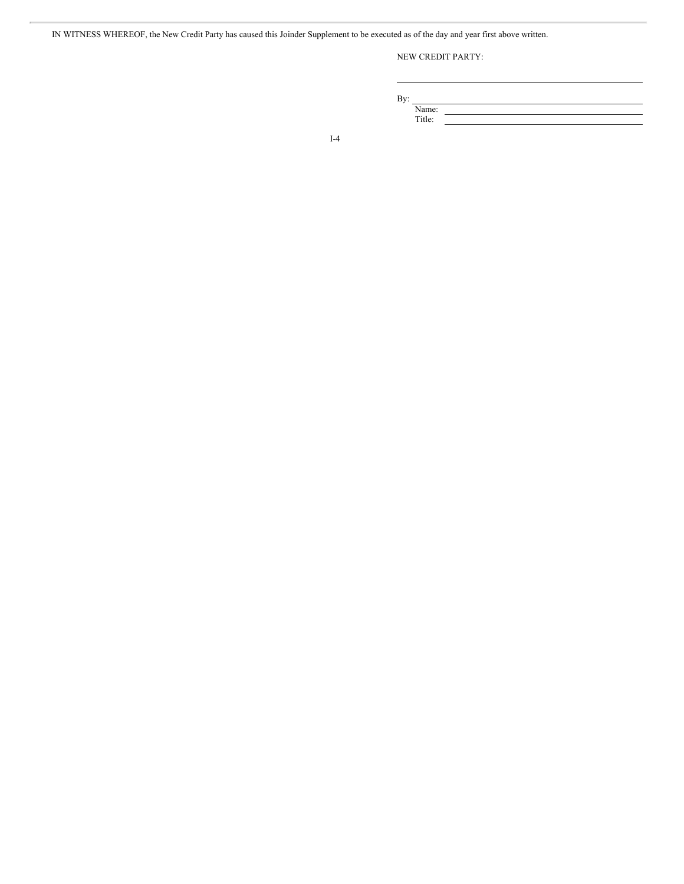IN WITNESS WHEREOF, the New Credit Party has caused this Joinder Supplement to be executed as of the day and year first above written.

NEW CREDIT PARTY:

By:

Name:

Title:

I-4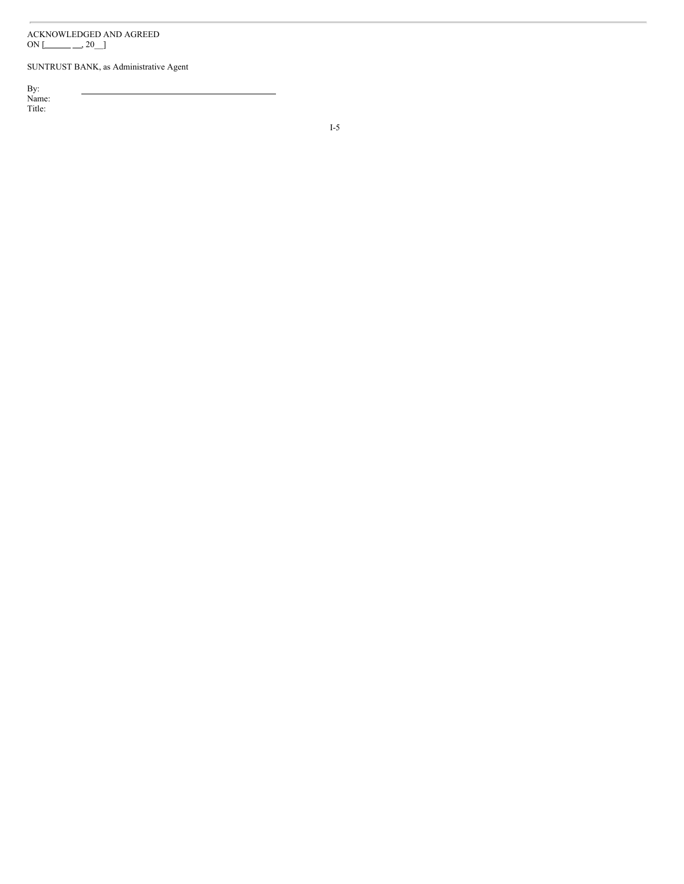ACKNOWLEDGED AND AGREED  $ON$   $[$   $]$   $[$   $]$   $[$   $]$   $[$   $]$   $[$   $]$   $[$   $]$   $[$   $]$   $[$   $]$   $[$   $]$   $[$   $]$   $[$   $]$   $[$   $]$   $[$   $]$   $[$   $]$   $[$   $]$   $[$   $]$   $[$   $]$   $[$   $]$   $[$   $]$   $[$   $]$   $[$   $]$   $[$   $]$   $[$   $]$   $[$   $]$   $[$   $]$   $[$   $]$   $[$   $]$ 

SUNTRUST BANK, as Administrative Agent

By: Name: Title: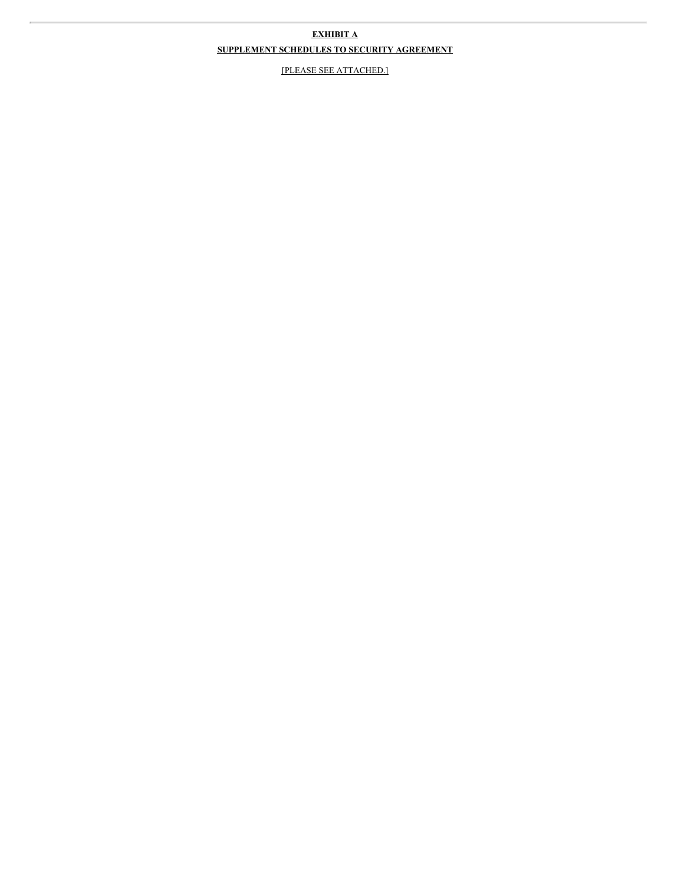# **EXHIBIT A SUPPLEMENT SCHEDULES TO SECURITY AGREEMENT**

[PLEASE SEE ATTACHED.]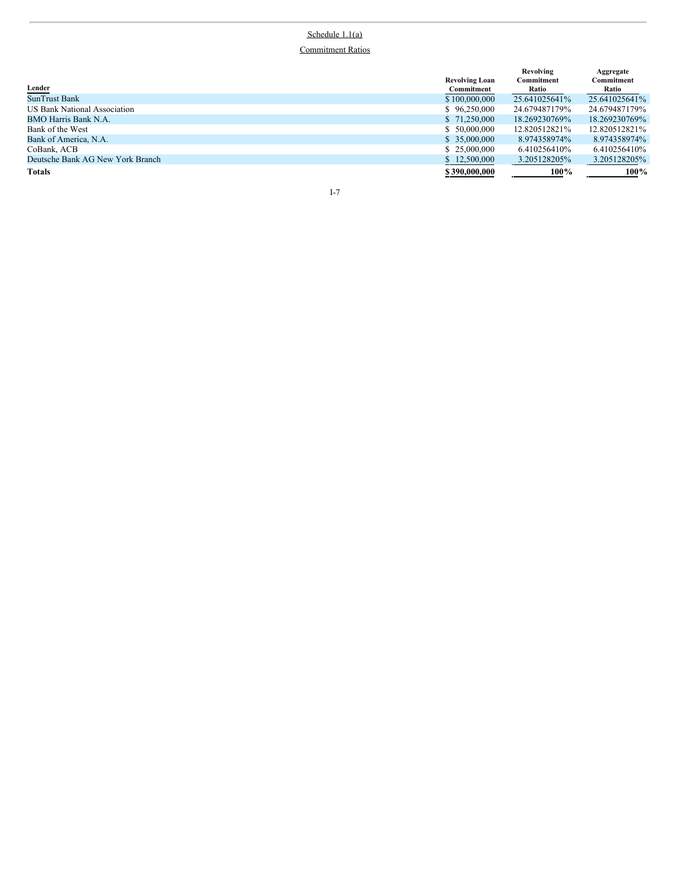### Schedule 1.1(a)

### Commitment Ratios

|                                     |                       | Revolving     | Aggregate     |
|-------------------------------------|-----------------------|---------------|---------------|
|                                     | <b>Revolving Loan</b> | Commitment    | Commitment    |
| Lender                              | Commitment            | Ratio         | Ratio         |
| <b>SunTrust Bank</b>                | \$100,000,000         | 25.641025641% | 25.641025641% |
| <b>US Bank National Association</b> | \$96,250,000          | 24.679487179% | 24.679487179% |
| BMO Harris Bank N.A.                | \$ 71,250,000         | 18.269230769% | 18.269230769% |
| Bank of the West                    | \$ 50,000,000         | 12.820512821% | 12.820512821% |
| Bank of America, N.A.               | \$ 35,000,000         | 8.974358974%  | 8.974358974%  |
| CoBank, ACB                         | \$25,000,000          | 6.410256410\% | 6.410256410\% |
| Deutsche Bank AG New York Branch    | \$12,500,000          | 3.205128205%  | 3.205128205%  |
| <b>Totals</b>                       | \$390,000,000         | $100\%$       | 100%          |

I - 7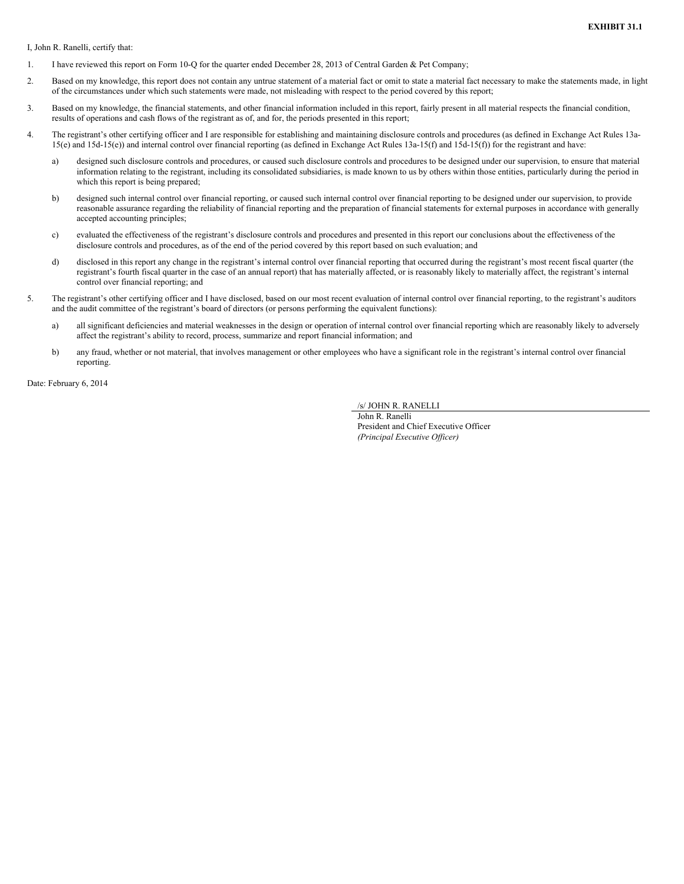I, John R. Ranelli, certify that:

- 1. I have reviewed this report on Form 10-Q for the quarter ended December 28, 2013 of Central Garden & Pet Company;
- 2. Based on my knowledge, this report does not contain any untrue statement of a material fact or omit to state a material fact necessary to make the statements made, in light of the circumstances under which such statements were made, not misleading with respect to the period covered by this report;
- 3. Based on my knowledge, the financial statements, and other financial information included in this report, fairly present in all material respects the financial condition, results of operations and cash flows of the registrant as of, and for, the periods presented in this report;
- 4. The registrant's other certifying officer and I are responsible for establishing and maintaining disclosure controls and procedures (as defined in Exchange Act Rules 13a- $15(e)$  and  $15d-15(e)$ ) and internal control over financial reporting (as defined in Exchange Act Rules  $13a-15(f)$  and  $15d-15(f)$ ) for the registrant and have:
	- a) designed such disclosure controls and procedures, or caused such disclosure controls and procedures to be designed under our supervision, to ensure that material information relating to the registrant, including its consolidated subsidiaries, is made known to us by others within those entities, particularly during the period in which this report is being prepared:
	- b) designed such internal control over financial reporting, or caused such internal control over financial reporting to be designed under our supervision, to provide reasonable assurance regarding the reliability of financial reporting and the preparation of financial statements for external purposes in accordance with generally accepted accounting principles;
	- c) evaluated the effectiveness of the registrant's disclosure controls and procedures and presented in this report our conclusions about the effectiveness of the disclosure controls and procedures, as of the end of the period covered by this report based on such evaluation; and
	- d) disclosed in this report any change in the registrant's internal control over financial reporting that occurred during the registrant's most recent fiscal quarter (the registrant's fourth fiscal quarter in the case of an annual report) that has materially affected, or is reasonably likely to materially affect, the registrant's internal control over financial reporting; and
- 5. The registrant's other certifying officer and I have disclosed, based on our most recent evaluation of internal control over financial reporting, to the registrant's auditors and the audit committee of the registrant's board of directors (or persons performing the equivalent functions):
	- a) all significant deficiencies and material weaknesses in the design or operation of internal control over financial reporting which are reasonably likely to adversely affect the registrant's ability to record, process, summarize and report financial information; and
	- b) any fraud, whether or not material, that involves management or other employees who have a significant role in the registrant's internal control over financial reporting.

Date: February 6, 2014

/s/ JOHN R. RANELLI

John R. Ranelli President and Chief Executive Officer *(Principal Executive Of icer)*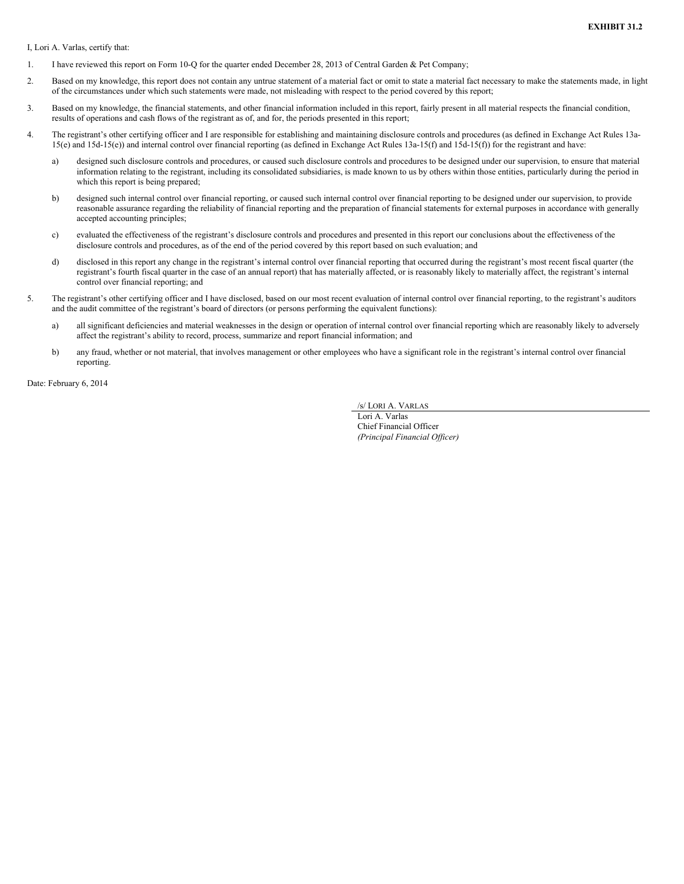I, Lori A. Varlas, certify that:

- 1. I have reviewed this report on Form 10-Q for the quarter ended December 28, 2013 of Central Garden & Pet Company;
- 2. Based on my knowledge, this report does not contain any untrue statement of a material fact or omit to state a material fact necessary to make the statements made, in light of the circumstances under which such statements were made, not misleading with respect to the period covered by this report;
- 3. Based on my knowledge, the financial statements, and other financial information included in this report, fairly present in all material respects the financial condition, results of operations and cash flows of the registrant as of, and for, the periods presented in this report;
- 4. The registrant's other certifying officer and I are responsible for establishing and maintaining disclosure controls and procedures (as defined in Exchange Act Rules 13a- $15(e)$  and  $15d-15(e)$ ) and internal control over financial reporting (as defined in Exchange Act Rules  $13a-15(f)$  and  $15d-15(f)$ ) for the registrant and have:
	- a) designed such disclosure controls and procedures, or caused such disclosure controls and procedures to be designed under our supervision, to ensure that material information relating to the registrant, including its consolidated subsidiaries, is made known to us by others within those entities, particularly during the period in which this report is being prepared:
	- b) designed such internal control over financial reporting, or caused such internal control over financial reporting to be designed under our supervision, to provide reasonable assurance regarding the reliability of financial reporting and the preparation of financial statements for external purposes in accordance with generally accepted accounting principles;
	- c) evaluated the effectiveness of the registrant's disclosure controls and procedures and presented in this report our conclusions about the effectiveness of the disclosure controls and procedures, as of the end of the period covered by this report based on such evaluation; and
	- d) disclosed in this report any change in the registrant's internal control over financial reporting that occurred during the registrant's most recent fiscal quarter (the registrant's fourth fiscal quarter in the case of an annual report) that has materially affected, or is reasonably likely to materially affect, the registrant's internal control over financial reporting; and
- 5. The registrant's other certifying officer and I have disclosed, based on our most recent evaluation of internal control over financial reporting, to the registrant's auditors and the audit committee of the registrant's board of directors (or persons performing the equivalent functions):
	- a) all significant deficiencies and material weaknesses in the design or operation of internal control over financial reporting which are reasonably likely to adversely affect the registrant's ability to record, process, summarize and report financial information; and
	- b) any fraud, whether or not material, that involves management or other employees who have a significant role in the registrant's internal control over financial reporting.

Date: February 6, 2014

/s/ LORI A. VARLAS

Lori A. Varlas Chief Financial Officer *(Principal Financial Of icer)*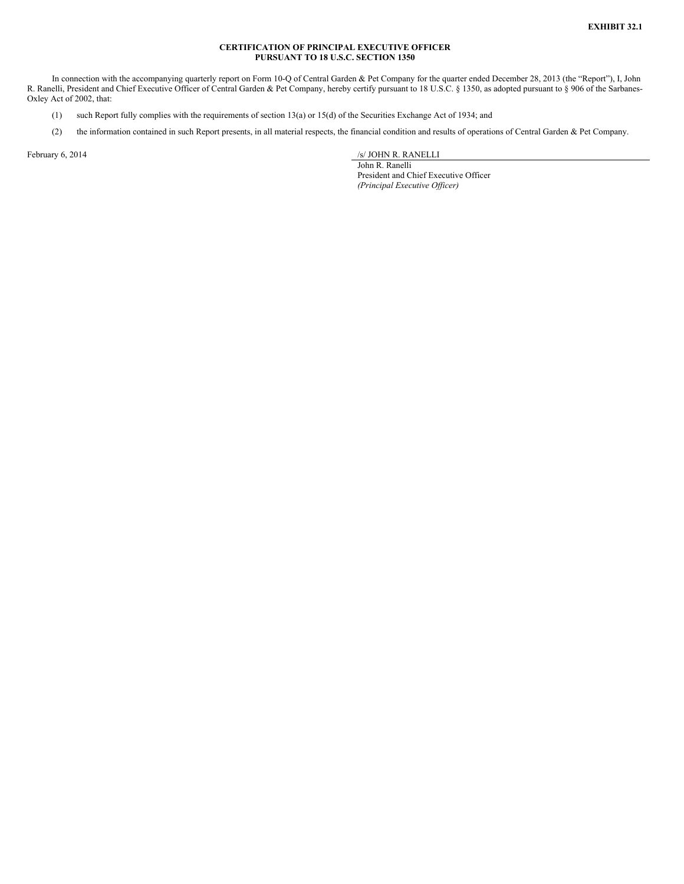### **CERTIFICATION OF PRINCIPAL EXECUTIVE OFFICER PURSUANT TO 18 U.S.C. SECTION 1350**

In connection with the accompanying quarterly report on Form 10-Q of Central Garden & Pet Company for the quarter ended December 28, 2013 (the "Report"), I, John R. Ranelli, President and Chief Executive Officer of Central Garden & Pet Company, hereby certify pursuant to 18 U.S.C. § 1350, as adopted pursuant to § 906 of the Sarbanes-Oxley Act of 2002, that:

- (1) such Report fully complies with the requirements of section 13(a) or 15(d) of the Securities Exchange Act of 1934; and
- (2) the information contained in such Report presents, in all material respects, the financial condition and results of operations of Central Garden & Pet Company.

February 6, 2014 /s/ JOHN R. RANELLI

John R. Ranelli President and Chief Executive Officer *(Principal Executive Of icer)*